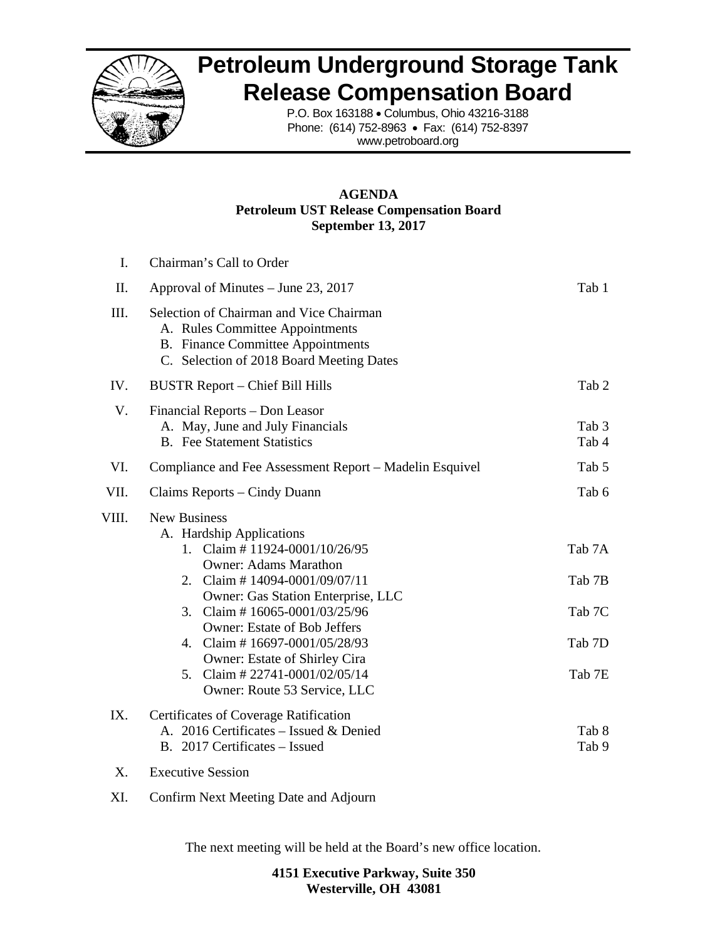

 $I \qquad \text{Cl} \qquad \ldots \qquad \text{Cl} \qquad \text{Cl} \qquad \text{Cl} \qquad \text{Cl} \qquad \text{Cl} \qquad \text{Cl} \qquad \text{Cl} \qquad \text{Cl} \qquad \text{Cl} \qquad \text{Cl} \qquad \text{Cl} \qquad \text{Cl} \qquad \text{Cl} \qquad \text{Cl} \qquad \text{Cl} \qquad \text{Cl} \qquad \text{Cl} \qquad \text{Cl} \qquad \text{Cl} \qquad \text{Cl} \qquad \text{Cl} \qquad \text{Cl} \qquad \text{Cl} \qquad \text{Cl} \qquad \text{Cl} \qquad \text$ 

## **Petroleum Underground Storage Tank Release Compensation Board**

P.O. Box 163188 • Columbus, Ohio 43216-3188 Phone: (614) 752-8963 • Fax: (614) 752-8397 www.petroboard.org

## **AGENDA Petroleum UST Release Compensation Board September 13, 2017**

| ı.        | Chairman's Call to Order                                                                                                                                                                                                                                                                                                                                                                                             |                                                |  |  |  |  |  |  |
|-----------|----------------------------------------------------------------------------------------------------------------------------------------------------------------------------------------------------------------------------------------------------------------------------------------------------------------------------------------------------------------------------------------------------------------------|------------------------------------------------|--|--|--|--|--|--|
| II.       | Approval of Minutes – June 23, 2017                                                                                                                                                                                                                                                                                                                                                                                  | Tab 1                                          |  |  |  |  |  |  |
| III.      | Selection of Chairman and Vice Chairman<br>A. Rules Committee Appointments<br><b>B.</b> Finance Committee Appointments<br>C. Selection of 2018 Board Meeting Dates                                                                                                                                                                                                                                                   |                                                |  |  |  |  |  |  |
| IV.       | <b>BUSTR Report - Chief Bill Hills</b>                                                                                                                                                                                                                                                                                                                                                                               | Tab 2                                          |  |  |  |  |  |  |
| V.        | Financial Reports – Don Leasor<br>A. May, June and July Financials<br><b>B.</b> Fee Statement Statistics                                                                                                                                                                                                                                                                                                             | Tab 3<br>Tab 4                                 |  |  |  |  |  |  |
| VI.       | Compliance and Fee Assessment Report – Madelin Esquivel                                                                                                                                                                                                                                                                                                                                                              | Tab 5                                          |  |  |  |  |  |  |
| VII.      | Claims Reports – Cindy Duann                                                                                                                                                                                                                                                                                                                                                                                         | Tab 6                                          |  |  |  |  |  |  |
| VIII.     | <b>New Business</b><br>A. Hardship Applications<br>1. Claim # 11924-0001/10/26/95<br><b>Owner: Adams Marathon</b><br>2. Claim #14094-0001/09/07/11<br><b>Owner: Gas Station Enterprise, LLC</b><br>3. Claim # $16065 - 0001/03/25/96$<br><b>Owner: Estate of Bob Jeffers</b><br>4. Claim #16697-0001/05/28/93<br>Owner: Estate of Shirley Cira<br>5. Claim # $22741 - 0001/02/05/14$<br>Owner: Route 53 Service, LLC | Tab 7A<br>Tab 7B<br>Tab 7C<br>Tab 7D<br>Tab 7E |  |  |  |  |  |  |
| IX.<br>X. | Certificates of Coverage Ratification<br>A. 2016 Certificates - Issued & Denied<br>B. 2017 Certificates – Issued<br><b>Executive Session</b>                                                                                                                                                                                                                                                                         | Tab 8<br>Tab 9                                 |  |  |  |  |  |  |
|           |                                                                                                                                                                                                                                                                                                                                                                                                                      |                                                |  |  |  |  |  |  |

XI. Confirm Next Meeting Date and Adjourn

The next meeting will be held at the Board's new office location.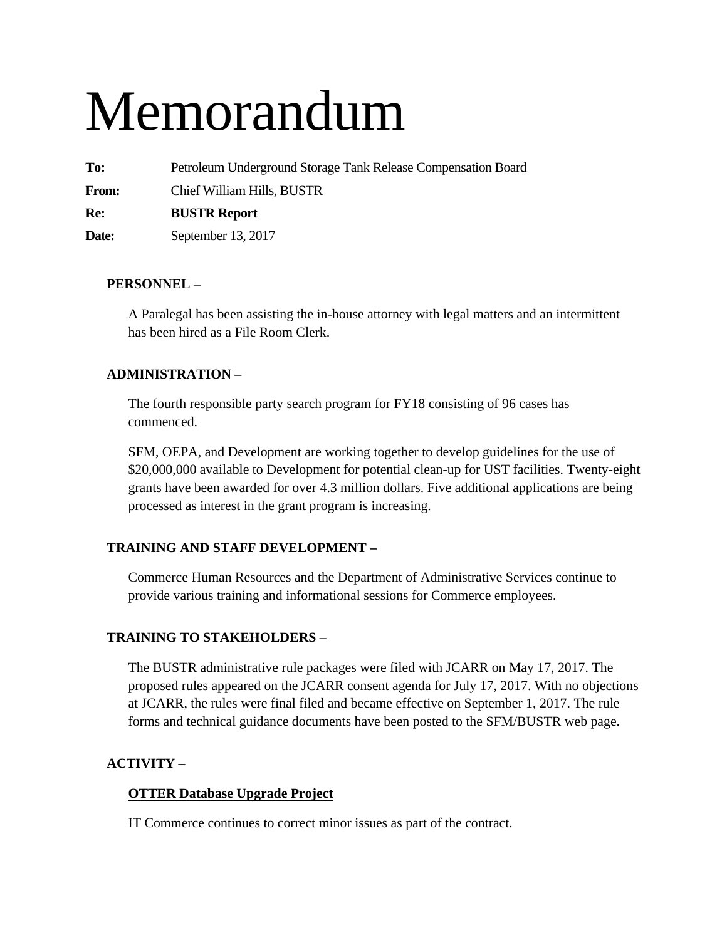# Memorandum

**To:** Petroleum Underground Storage Tank Release Compensation Board

**From:** Chief William Hills, BUSTR

**Re: BUSTR Report** 

**Date:** September 13, 2017

## **PERSONNEL –**

A Paralegal has been assisting the in-house attorney with legal matters and an intermittent has been hired as a File Room Clerk.

## **ADMINISTRATION –**

The fourth responsible party search program for FY18 consisting of 96 cases has commenced.

SFM, OEPA, and Development are working together to develop guidelines for the use of \$20,000,000 available to Development for potential clean-up for UST facilities. Twenty-eight grants have been awarded for over 4.3 million dollars. Five additional applications are being processed as interest in the grant program is increasing.

## **TRAINING AND STAFF DEVELOPMENT –**

Commerce Human Resources and the Department of Administrative Services continue to provide various training and informational sessions for Commerce employees.

## **TRAINING TO STAKEHOLDERS** –

The BUSTR administrative rule packages were filed with JCARR on May 17, 2017. The proposed rules appeared on the JCARR consent agenda for July 17, 2017. With no objections at JCARR, the rules were final filed and became effective on September 1, 2017. The rule forms and technical guidance documents have been posted to the SFM/BUSTR web page.

## **ACTIVITY –**

## **OTTER Database Upgrade Project**

IT Commerce continues to correct minor issues as part of the contract.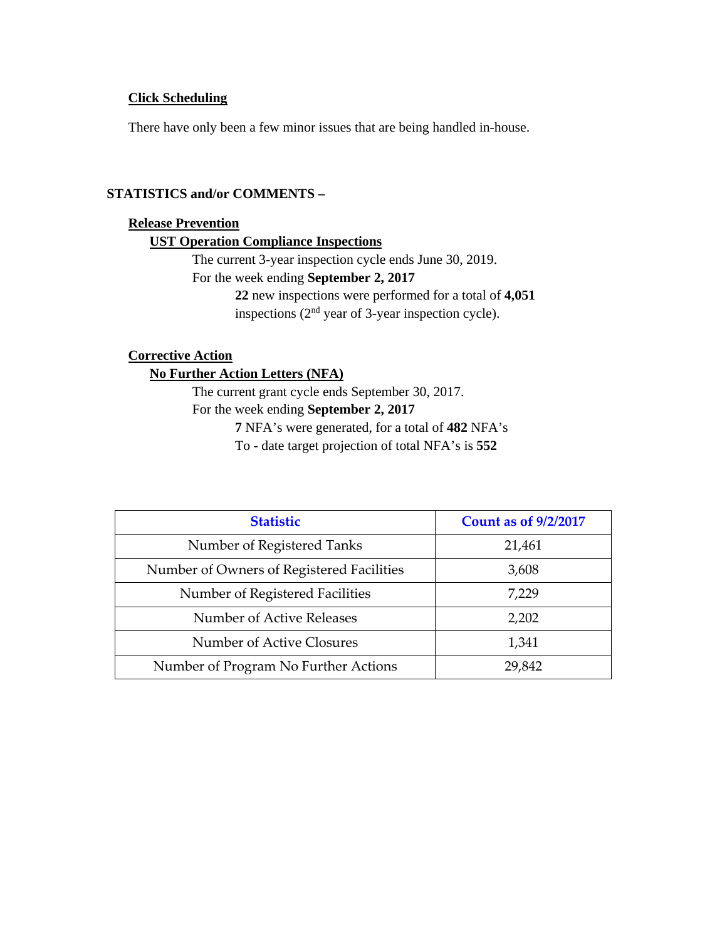## **Click Scheduling**

There have only been a few minor issues that are being handled in-house.

#### **STATISTICS and/or COMMENTS –**

#### **Release Prevention**

#### **UST Operation Compliance Inspections**

The current 3-year inspection cycle ends June 30, 2019. For the week ending **September 2, 2017** 

**22** new inspections were performed for a total of **4,051** inspections  $(2<sup>nd</sup>$  year of 3-year inspection cycle).

#### **Corrective Action**

## **No Further Action Letters (NFA)**

The current grant cycle ends September 30, 2017.

## For the week ending **September 2, 2017**

**7** NFA's were generated, for a total of **482** NFA's

To - date target projection of total NFA's is **552** 

| <b>Statistic</b>                          | <b>Count as of 9/2/2017</b> |
|-------------------------------------------|-----------------------------|
| Number of Registered Tanks                | 21,461                      |
| Number of Owners of Registered Facilities | 3,608                       |
| Number of Registered Facilities           | 7,229                       |
| Number of Active Releases                 | 2,202                       |
| Number of Active Closures                 | 1,341                       |
| Number of Program No Further Actions      | 29,842                      |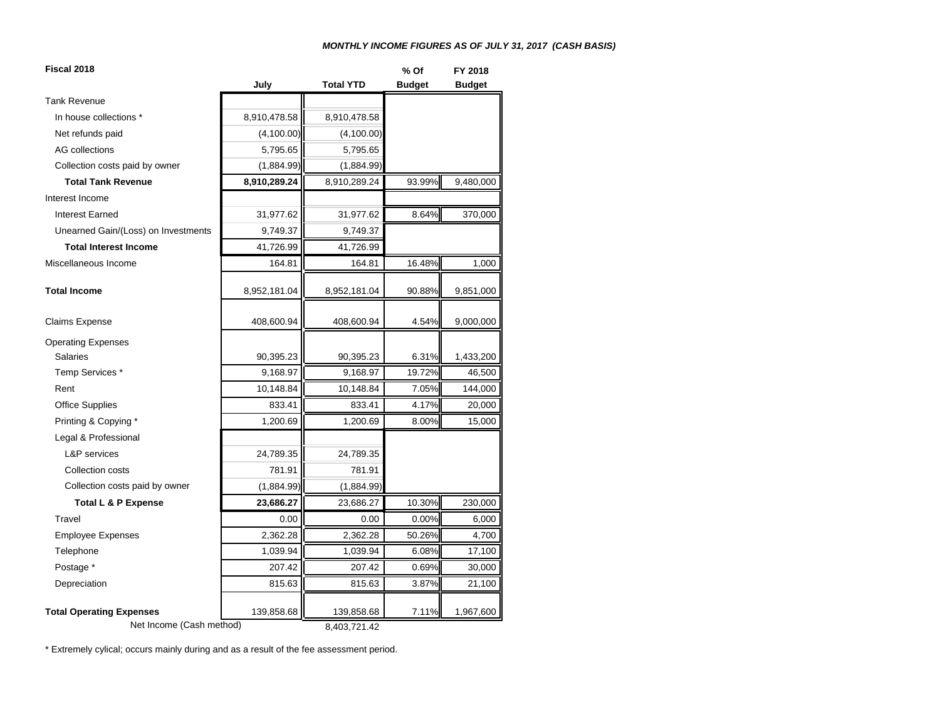#### *MONTHLY INCOME FIGURES AS OF JULY 31, 2017 (CASH BASIS)*

| July<br><b>Total YTD</b><br><b>Budget</b><br><b>Budget</b><br><b>Tank Revenue</b><br>8,910,478.58<br>In house collections *<br>8,910,478.58<br>Net refunds paid<br>(4,100.00)<br>(4,100.00)<br><b>AG</b> collections<br>5,795.65<br>5,795.65<br>Collection costs paid by owner<br>(1,884.99)<br>(1,884.99)<br>93.99%<br>9,480,000<br><b>Total Tank Revenue</b><br>8,910,289.24<br>8,910,289.24<br>Interest Income<br>8.64%<br>370,000<br>31,977.62<br><b>Interest Earned</b><br>31,977.62<br>Unearned Gain/(Loss) on Investments<br>9,749.37<br>9,749.37<br><b>Total Interest Income</b><br>41,726.99<br>41,726.99<br>Miscellaneous Income<br>16.48%<br>164.81<br>164.81<br>1,000<br>90.88%<br>9,851,000<br><b>Total Income</b><br>8,952,181.04<br>8,952,181.04<br>4.54%<br>9,000,000<br><b>Claims Expense</b><br>408,600.94<br>408,600.94<br><b>Operating Expenses</b><br><b>Salaries</b><br>90,395.23<br>90,395.23<br>6.31%<br>1,433,200<br>Temp Services *<br>9,168.97<br>19.72%<br>9,168.97<br>46,500<br>10,148.84<br>10,148.84<br>7.05%<br>144,000<br>Rent<br><b>Office Supplies</b><br>833.41<br>833.41<br>4.17%<br>20,000<br>Printing & Copying *<br>1,200.69<br>8.00%<br>1,200.69<br>15,000<br>Legal & Professional<br>L&P services<br>24,789.35<br>24,789.35<br>781.91<br>781.91<br><b>Collection costs</b><br>(1,884.99)<br>Collection costs paid by owner<br>(1,884.99)<br>10.30%<br>23,686.27<br>230,000<br><b>Total L &amp; P Expense</b><br>23,686.27 | Fiscal 2018 |      |      |       | FY 2018 |  |
|---------------------------------------------------------------------------------------------------------------------------------------------------------------------------------------------------------------------------------------------------------------------------------------------------------------------------------------------------------------------------------------------------------------------------------------------------------------------------------------------------------------------------------------------------------------------------------------------------------------------------------------------------------------------------------------------------------------------------------------------------------------------------------------------------------------------------------------------------------------------------------------------------------------------------------------------------------------------------------------------------------------------------------------------------------------------------------------------------------------------------------------------------------------------------------------------------------------------------------------------------------------------------------------------------------------------------------------------------------------------------------------------------------------------------------------------------------------------|-------------|------|------|-------|---------|--|
|                                                                                                                                                                                                                                                                                                                                                                                                                                                                                                                                                                                                                                                                                                                                                                                                                                                                                                                                                                                                                                                                                                                                                                                                                                                                                                                                                                                                                                                                     |             |      |      |       |         |  |
|                                                                                                                                                                                                                                                                                                                                                                                                                                                                                                                                                                                                                                                                                                                                                                                                                                                                                                                                                                                                                                                                                                                                                                                                                                                                                                                                                                                                                                                                     |             |      |      |       |         |  |
|                                                                                                                                                                                                                                                                                                                                                                                                                                                                                                                                                                                                                                                                                                                                                                                                                                                                                                                                                                                                                                                                                                                                                                                                                                                                                                                                                                                                                                                                     |             |      |      |       |         |  |
|                                                                                                                                                                                                                                                                                                                                                                                                                                                                                                                                                                                                                                                                                                                                                                                                                                                                                                                                                                                                                                                                                                                                                                                                                                                                                                                                                                                                                                                                     |             |      |      |       |         |  |
|                                                                                                                                                                                                                                                                                                                                                                                                                                                                                                                                                                                                                                                                                                                                                                                                                                                                                                                                                                                                                                                                                                                                                                                                                                                                                                                                                                                                                                                                     |             |      |      |       |         |  |
|                                                                                                                                                                                                                                                                                                                                                                                                                                                                                                                                                                                                                                                                                                                                                                                                                                                                                                                                                                                                                                                                                                                                                                                                                                                                                                                                                                                                                                                                     |             |      |      |       |         |  |
|                                                                                                                                                                                                                                                                                                                                                                                                                                                                                                                                                                                                                                                                                                                                                                                                                                                                                                                                                                                                                                                                                                                                                                                                                                                                                                                                                                                                                                                                     |             |      |      |       |         |  |
|                                                                                                                                                                                                                                                                                                                                                                                                                                                                                                                                                                                                                                                                                                                                                                                                                                                                                                                                                                                                                                                                                                                                                                                                                                                                                                                                                                                                                                                                     |             |      |      |       |         |  |
|                                                                                                                                                                                                                                                                                                                                                                                                                                                                                                                                                                                                                                                                                                                                                                                                                                                                                                                                                                                                                                                                                                                                                                                                                                                                                                                                                                                                                                                                     |             |      |      |       |         |  |
|                                                                                                                                                                                                                                                                                                                                                                                                                                                                                                                                                                                                                                                                                                                                                                                                                                                                                                                                                                                                                                                                                                                                                                                                                                                                                                                                                                                                                                                                     |             |      |      |       |         |  |
|                                                                                                                                                                                                                                                                                                                                                                                                                                                                                                                                                                                                                                                                                                                                                                                                                                                                                                                                                                                                                                                                                                                                                                                                                                                                                                                                                                                                                                                                     |             |      |      |       |         |  |
|                                                                                                                                                                                                                                                                                                                                                                                                                                                                                                                                                                                                                                                                                                                                                                                                                                                                                                                                                                                                                                                                                                                                                                                                                                                                                                                                                                                                                                                                     |             |      |      |       |         |  |
|                                                                                                                                                                                                                                                                                                                                                                                                                                                                                                                                                                                                                                                                                                                                                                                                                                                                                                                                                                                                                                                                                                                                                                                                                                                                                                                                                                                                                                                                     |             |      |      |       |         |  |
|                                                                                                                                                                                                                                                                                                                                                                                                                                                                                                                                                                                                                                                                                                                                                                                                                                                                                                                                                                                                                                                                                                                                                                                                                                                                                                                                                                                                                                                                     |             |      |      |       |         |  |
|                                                                                                                                                                                                                                                                                                                                                                                                                                                                                                                                                                                                                                                                                                                                                                                                                                                                                                                                                                                                                                                                                                                                                                                                                                                                                                                                                                                                                                                                     |             |      |      |       |         |  |
|                                                                                                                                                                                                                                                                                                                                                                                                                                                                                                                                                                                                                                                                                                                                                                                                                                                                                                                                                                                                                                                                                                                                                                                                                                                                                                                                                                                                                                                                     |             |      |      |       |         |  |
|                                                                                                                                                                                                                                                                                                                                                                                                                                                                                                                                                                                                                                                                                                                                                                                                                                                                                                                                                                                                                                                                                                                                                                                                                                                                                                                                                                                                                                                                     |             |      |      |       |         |  |
|                                                                                                                                                                                                                                                                                                                                                                                                                                                                                                                                                                                                                                                                                                                                                                                                                                                                                                                                                                                                                                                                                                                                                                                                                                                                                                                                                                                                                                                                     |             |      |      |       |         |  |
|                                                                                                                                                                                                                                                                                                                                                                                                                                                                                                                                                                                                                                                                                                                                                                                                                                                                                                                                                                                                                                                                                                                                                                                                                                                                                                                                                                                                                                                                     |             |      |      |       |         |  |
|                                                                                                                                                                                                                                                                                                                                                                                                                                                                                                                                                                                                                                                                                                                                                                                                                                                                                                                                                                                                                                                                                                                                                                                                                                                                                                                                                                                                                                                                     |             |      |      |       |         |  |
|                                                                                                                                                                                                                                                                                                                                                                                                                                                                                                                                                                                                                                                                                                                                                                                                                                                                                                                                                                                                                                                                                                                                                                                                                                                                                                                                                                                                                                                                     |             |      |      |       |         |  |
|                                                                                                                                                                                                                                                                                                                                                                                                                                                                                                                                                                                                                                                                                                                                                                                                                                                                                                                                                                                                                                                                                                                                                                                                                                                                                                                                                                                                                                                                     |             |      |      |       |         |  |
|                                                                                                                                                                                                                                                                                                                                                                                                                                                                                                                                                                                                                                                                                                                                                                                                                                                                                                                                                                                                                                                                                                                                                                                                                                                                                                                                                                                                                                                                     |             |      |      |       |         |  |
|                                                                                                                                                                                                                                                                                                                                                                                                                                                                                                                                                                                                                                                                                                                                                                                                                                                                                                                                                                                                                                                                                                                                                                                                                                                                                                                                                                                                                                                                     |             |      |      |       |         |  |
|                                                                                                                                                                                                                                                                                                                                                                                                                                                                                                                                                                                                                                                                                                                                                                                                                                                                                                                                                                                                                                                                                                                                                                                                                                                                                                                                                                                                                                                                     |             |      |      |       |         |  |
|                                                                                                                                                                                                                                                                                                                                                                                                                                                                                                                                                                                                                                                                                                                                                                                                                                                                                                                                                                                                                                                                                                                                                                                                                                                                                                                                                                                                                                                                     | Travel      | 0.00 | 0.00 | 0.00% | 6,000   |  |
| 2,362.28<br><b>Employee Expenses</b><br>2,362.28<br>50.26%<br>4,700                                                                                                                                                                                                                                                                                                                                                                                                                                                                                                                                                                                                                                                                                                                                                                                                                                                                                                                                                                                                                                                                                                                                                                                                                                                                                                                                                                                                 |             |      |      |       |         |  |
| Telephone<br>1,039.94<br>6.08%<br>1,039.94<br>17,100                                                                                                                                                                                                                                                                                                                                                                                                                                                                                                                                                                                                                                                                                                                                                                                                                                                                                                                                                                                                                                                                                                                                                                                                                                                                                                                                                                                                                |             |      |      |       |         |  |
| Postage *<br>207.42<br>207.42<br>0.69%<br>30,000                                                                                                                                                                                                                                                                                                                                                                                                                                                                                                                                                                                                                                                                                                                                                                                                                                                                                                                                                                                                                                                                                                                                                                                                                                                                                                                                                                                                                    |             |      |      |       |         |  |
| 815.63<br>3.87%<br>Depreciation<br>815.63<br>21,100                                                                                                                                                                                                                                                                                                                                                                                                                                                                                                                                                                                                                                                                                                                                                                                                                                                                                                                                                                                                                                                                                                                                                                                                                                                                                                                                                                                                                 |             |      |      |       |         |  |
|                                                                                                                                                                                                                                                                                                                                                                                                                                                                                                                                                                                                                                                                                                                                                                                                                                                                                                                                                                                                                                                                                                                                                                                                                                                                                                                                                                                                                                                                     |             |      |      |       |         |  |
| <b>Total Operating Expenses</b><br>139,858.68<br>139,858.68<br>7.11%<br>1,967,600<br>Net Income (Cash method)<br>8,403,721.42                                                                                                                                                                                                                                                                                                                                                                                                                                                                                                                                                                                                                                                                                                                                                                                                                                                                                                                                                                                                                                                                                                                                                                                                                                                                                                                                       |             |      |      |       |         |  |

\* Extremely cylical; occurs mainly during and as a result of the fee assessment period.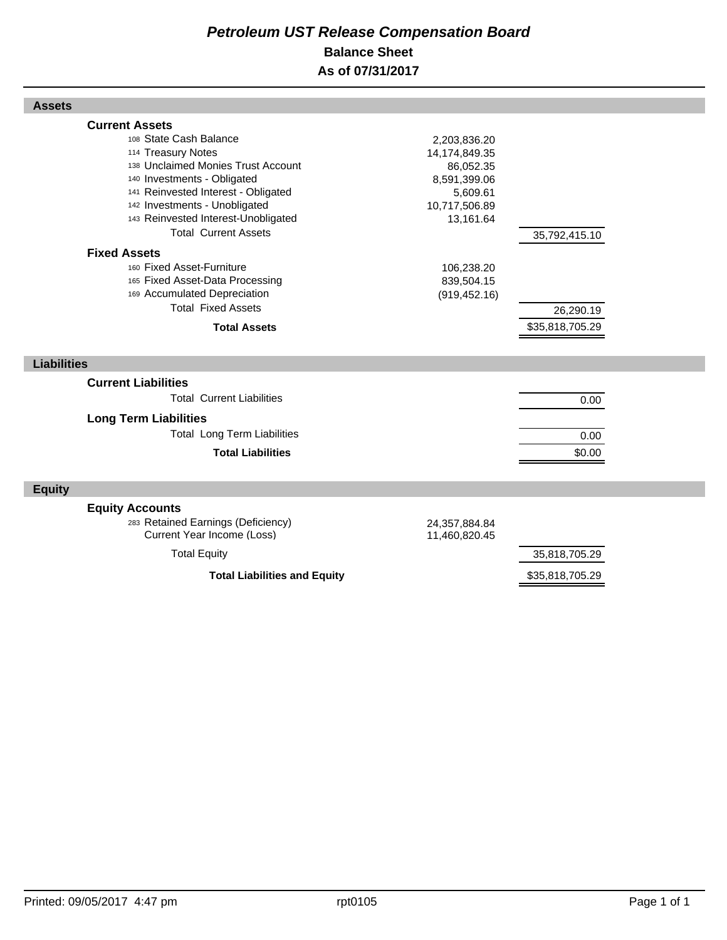## *Petroleum UST Release Compensation Board*  **Balance Sheet As of 07/31/2017**

| <b>Assets</b>                                                                                                                                                                                                                                                                            |                                                                                                      |                                  |  |
|------------------------------------------------------------------------------------------------------------------------------------------------------------------------------------------------------------------------------------------------------------------------------------------|------------------------------------------------------------------------------------------------------|----------------------------------|--|
| <b>Current Assets</b><br>108 State Cash Balance<br>114 Treasury Notes<br>138 Unclaimed Monies Trust Account<br>140 Investments - Obligated<br>141 Reinvested Interest - Obligated<br>142 Investments - Unobligated<br>143 Reinvested Interest-Unobligated<br><b>Total Current Assets</b> | 2,203,836.20<br>14,174,849.35<br>86,052.35<br>8,591,399.06<br>5,609.61<br>10,717,506.89<br>13,161.64 | 35,792,415.10                    |  |
| <b>Fixed Assets</b><br>160 Fixed Asset-Furniture<br>165 Fixed Asset-Data Processing<br>169 Accumulated Depreciation<br><b>Total Fixed Assets</b><br><b>Total Assets</b>                                                                                                                  | 106,238.20<br>839,504.15<br>(919, 452.16)                                                            | 26,290.19<br>\$35,818,705.29     |  |
| <b>Liabilities</b>                                                                                                                                                                                                                                                                       |                                                                                                      |                                  |  |
| <b>Current Liabilities</b><br><b>Total Current Liabilities</b><br><b>Long Term Liabilities</b><br><b>Total Long Term Liabilities</b><br><b>Total Liabilities</b>                                                                                                                         |                                                                                                      | 0.00<br>0.00<br>\$0.00           |  |
| <b>Equity</b>                                                                                                                                                                                                                                                                            |                                                                                                      |                                  |  |
| <b>Equity Accounts</b><br>283 Retained Earnings (Deficiency)<br>Current Year Income (Loss)                                                                                                                                                                                               | 24,357,884.84<br>11,460,820.45                                                                       |                                  |  |
| <b>Total Equity</b><br><b>Total Liabilities and Equity</b>                                                                                                                                                                                                                               |                                                                                                      | 35,818,705.29<br>\$35,818,705.29 |  |
|                                                                                                                                                                                                                                                                                          |                                                                                                      |                                  |  |

I

Г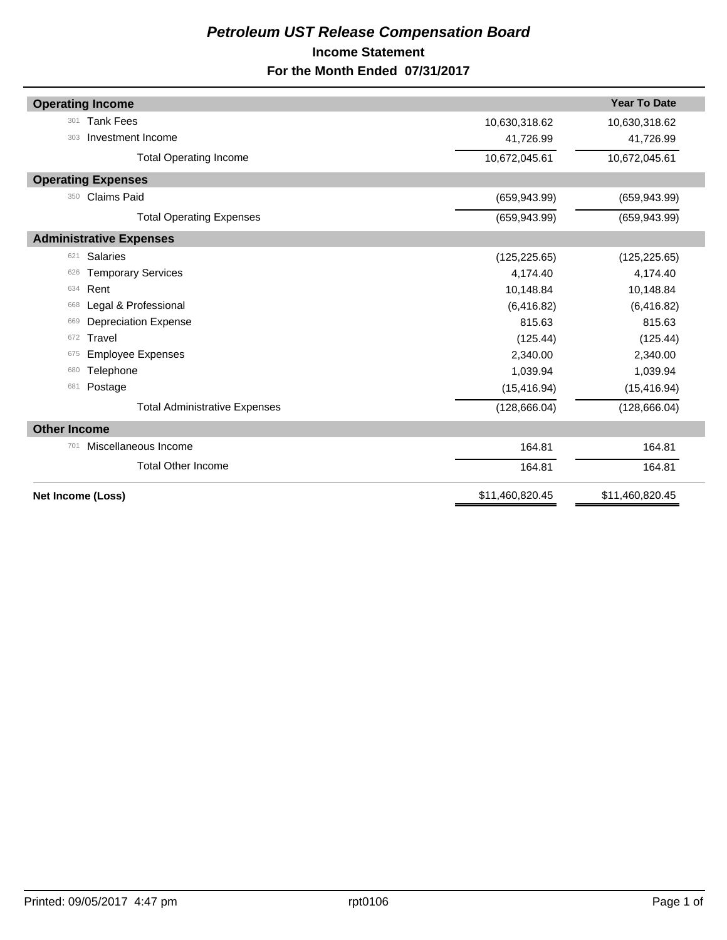## *Petroleum UST Release Compensation Board*  **Income Statement For the Month Ended 07/31/2017**

| <b>Operating Income</b>              |                 | <b>Year To Date</b> |
|--------------------------------------|-----------------|---------------------|
| <b>Tank Fees</b><br>301              | 10,630,318.62   | 10,630,318.62       |
| Investment Income<br>303             | 41,726.99       | 41,726.99           |
| <b>Total Operating Income</b>        | 10,672,045.61   | 10,672,045.61       |
| <b>Operating Expenses</b>            |                 |                     |
| <b>Claims Paid</b><br>350            | (659, 943.99)   | (659, 943.99)       |
| <b>Total Operating Expenses</b>      | (659, 943.99)   | (659, 943.99)       |
| <b>Administrative Expenses</b>       |                 |                     |
| Salaries<br>621                      | (125, 225.65)   | (125, 225.65)       |
| <b>Temporary Services</b><br>626     | 4,174.40        | 4,174.40            |
| Rent<br>634                          | 10,148.84       | 10,148.84           |
| Legal & Professional<br>668          | (6, 416.82)     | (6, 416.82)         |
| <b>Depreciation Expense</b><br>669   | 815.63          | 815.63              |
| Travel<br>672                        | (125.44)        | (125.44)            |
| <b>Employee Expenses</b><br>675      | 2,340.00        | 2,340.00            |
| Telephone<br>680                     | 1,039.94        | 1,039.94            |
| Postage<br>681                       | (15, 416.94)    | (15, 416.94)        |
| <b>Total Administrative Expenses</b> | (128, 666.04)   | (128, 666.04)       |
| <b>Other Income</b>                  |                 |                     |
| Miscellaneous Income<br>701          | 164.81          | 164.81              |
| <b>Total Other Income</b>            | 164.81          | 164.81              |
| Net Income (Loss)                    | \$11,460,820.45 | \$11,460,820.45     |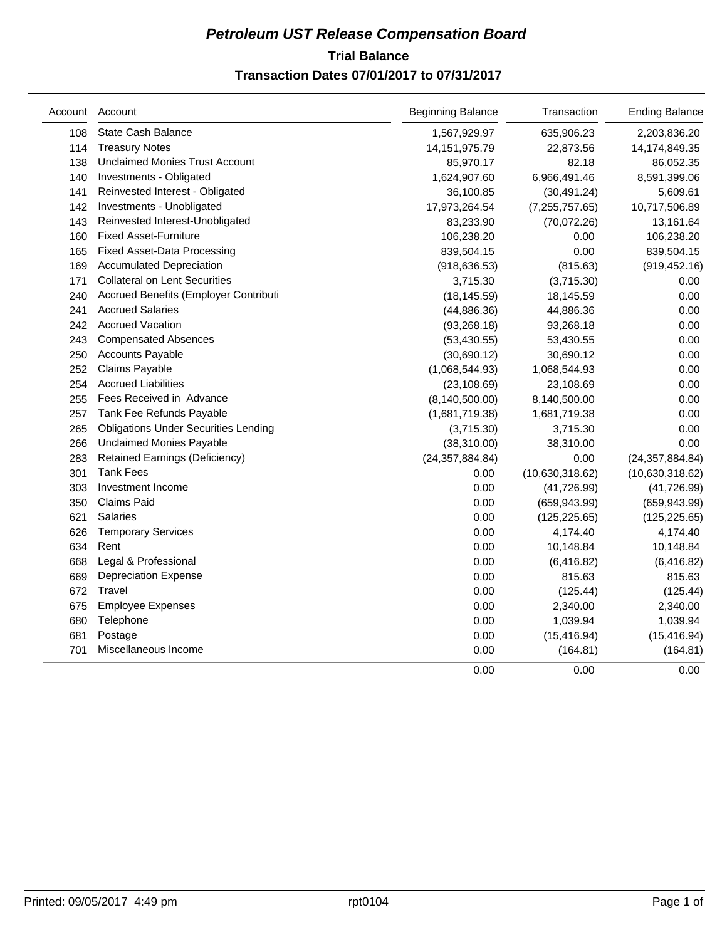## **Trial Balance** *Petroleum UST Release Compensation Board*  **Transaction Dates 07/01/2017 to 07/31/2017**

|     | Account Account                             | <b>Beginning Balance</b> | Transaction      | <b>Ending Balance</b> |
|-----|---------------------------------------------|--------------------------|------------------|-----------------------|
| 108 | <b>State Cash Balance</b>                   | 1,567,929.97             | 635,906.23       | 2,203,836.20          |
| 114 | <b>Treasury Notes</b>                       | 14, 151, 975. 79         | 22,873.56        | 14,174,849.35         |
| 138 | <b>Unclaimed Monies Trust Account</b>       | 85,970.17                | 82.18            | 86,052.35             |
| 140 | Investments - Obligated                     | 1,624,907.60             | 6,966,491.46     | 8,591,399.06          |
| 141 | Reinvested Interest - Obligated             | 36,100.85                | (30, 491.24)     | 5,609.61              |
| 142 | Investments - Unobligated                   | 17,973,264.54            | (7, 255, 757.65) | 10,717,506.89         |
| 143 | Reinvested Interest-Unobligated             | 83,233.90                | (70,072.26)      | 13,161.64             |
| 160 | <b>Fixed Asset-Furniture</b>                | 106,238.20               | 0.00             | 106,238.20            |
| 165 | <b>Fixed Asset-Data Processing</b>          | 839,504.15               | 0.00             | 839,504.15            |
| 169 | <b>Accumulated Depreciation</b>             | (918, 636.53)            | (815.63)         | (919, 452.16)         |
| 171 | <b>Collateral on Lent Securities</b>        | 3,715.30                 | (3,715.30)       | 0.00                  |
| 240 | Accrued Benefits (Employer Contributi       | (18, 145.59)             | 18,145.59        | 0.00                  |
| 241 | <b>Accrued Salaries</b>                     | (44, 886.36)             | 44,886.36        | 0.00                  |
| 242 | <b>Accrued Vacation</b>                     | (93, 268.18)             | 93,268.18        | 0.00                  |
| 243 | <b>Compensated Absences</b>                 | (53, 430.55)             | 53,430.55        | 0.00                  |
| 250 | <b>Accounts Payable</b>                     | (30,690.12)              | 30,690.12        | 0.00                  |
| 252 | Claims Payable                              | (1,068,544.93)           | 1,068,544.93     | 0.00                  |
| 254 | <b>Accrued Liabilities</b>                  | (23, 108.69)             | 23,108.69        | 0.00                  |
| 255 | Fees Received in Advance                    | (8, 140, 500.00)         | 8,140,500.00     | 0.00                  |
| 257 | Tank Fee Refunds Payable                    | (1,681,719.38)           | 1,681,719.38     | 0.00                  |
| 265 | <b>Obligations Under Securities Lending</b> | (3,715.30)               | 3,715.30         | 0.00                  |
| 266 | <b>Unclaimed Monies Payable</b>             | (38,310.00)              | 38,310.00        | 0.00                  |
| 283 | Retained Earnings (Deficiency)              | (24, 357, 884.84)        | 0.00             | (24, 357, 884.84)     |
| 301 | <b>Tank Fees</b>                            | 0.00                     | (10,630,318.62)  | (10,630,318.62)       |
| 303 | Investment Income                           | 0.00                     | (41, 726.99)     | (41, 726.99)          |
| 350 | Claims Paid                                 | 0.00                     | (659, 943.99)    | (659, 943.99)         |
| 621 | <b>Salaries</b>                             | 0.00                     | (125, 225.65)    | (125, 225.65)         |
| 626 | <b>Temporary Services</b>                   | 0.00                     | 4,174.40         | 4,174.40              |
| 634 | Rent                                        | 0.00                     | 10,148.84        | 10,148.84             |
| 668 | Legal & Professional                        | 0.00                     | (6, 416.82)      | (6, 416.82)           |
| 669 | <b>Depreciation Expense</b>                 | 0.00                     | 815.63           | 815.63                |
| 672 | Travel                                      | 0.00                     | (125.44)         | (125.44)              |
| 675 | <b>Employee Expenses</b>                    | 0.00                     | 2,340.00         | 2,340.00              |
| 680 | Telephone                                   | 0.00                     | 1,039.94         | 1,039.94              |
| 681 | Postage                                     | 0.00                     | (15, 416.94)     | (15, 416.94)          |
| 701 | Miscellaneous Income                        | 0.00                     | (164.81)         | (164.81)              |
|     |                                             | 0.00                     | 0.00             | 0.00                  |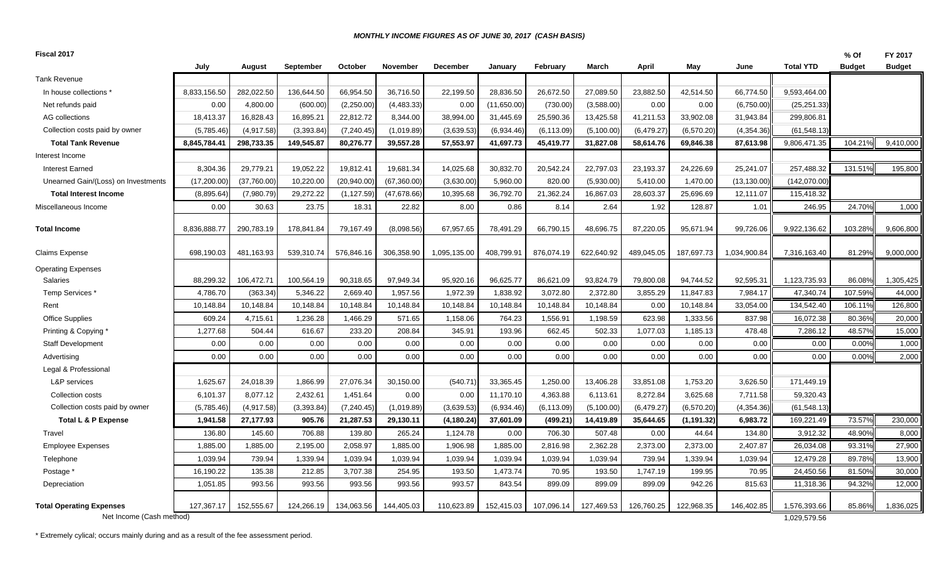#### *MONTHLY INCOME FIGURES AS OF JUNE 30, 2017 (CASH BASIS)*

| Fiscal 2017                         |              |             |            |             |              |              |             |             |            |            |             |              |                  | % Of          | FY 2017       |
|-------------------------------------|--------------|-------------|------------|-------------|--------------|--------------|-------------|-------------|------------|------------|-------------|--------------|------------------|---------------|---------------|
|                                     | July         | August      | September  | October     | November     | December     | January     | February    | March      | April      | May         | June         | <b>Total YTD</b> | <b>Budget</b> | <b>Budget</b> |
| <b>Tank Revenue</b>                 |              |             |            |             |              |              |             |             |            |            |             |              |                  |               |               |
| In house collections *              | 8,833,156.50 | 282,022.50  | 136,644.50 | 66,954.50   | 36,716.50    | 22,199.50    | 28,836.50   | 26,672.50   | 27,089.50  | 23,882.50  | 42,514.50   | 66,774.50    | 9,593,464.00     |               |               |
| Net refunds paid                    | 0.00         | 4,800.00    | (600.00)   | (2,250.00)  | (4, 483.33)  | 0.00         | (11,650.00) | (730.00)    | (3,588.00) | 0.00       | 0.00        | (6,750.00)   | (25, 251.33)     |               |               |
| AG collections                      | 18,413.37    | 16,828.43   | 16,895.21  | 22,812.72   | 8,344.00     | 38,994.00    | 31,445.69   | 25,590.36   | 13,425.58  | 41,211.53  | 33,902.08   | 31,943.84    | 299,806.81       |               |               |
| Collection costs paid by owner      | (5,785.46)   | (4,917.58)  | (3,393.84) | (7, 240.45) | (1,019.89)   | (3,639.53)   | (6,934.46)  | (6, 113.09) | (5,100.00) | (6,479.27) | (6,570.20)  | (4,354.36)   | (61, 548.13)     |               |               |
| <b>Total Tank Revenue</b>           | 8,845,784.41 | 298,733.35  | 149,545.87 | 80,276.77   | 39,557.28    | 57,553.97    | 41,697.73   | 45,419.77   | 31,827.08  | 58,614.76  | 69,846.38   | 87,613.98    | 9,806,471.35     | 104.21%       | 9,410,000     |
| Interest Income                     |              |             |            |             |              |              |             |             |            |            |             |              |                  |               |               |
| <b>Interest Earned</b>              | 8,304.36     | 29,779.21   | 19,052.22  | 19,812.41   | 19,681.34    | 14,025.68    | 30,832.70   | 20,542.24   | 22,797.03  | 23,193.37  | 24,226.69   | 25,241.07    | 257,488.32       | 131.51%       | 195,800       |
| Unearned Gain/(Loss) on Investments | (17,200.00)  | (37,760.00) | 10,220.00  | (20,940.00) | (67, 360.00) | (3,630.00)   | 5,960.00    | 820.00      | (5,930.00) | 5,410.00   | 1,470.00    | (13, 130.00) | (142,070.00)     |               |               |
| <b>Total Interest Income</b>        | (8,895.64)   | (7,980.79)  | 29,272.22  | (1, 127.59) | (47, 678.66) | 10,395.68    | 36,792.70   | 21,362.24   | 16,867.03  | 28,603.37  | 25,696.69   | 12,111.07    | 115,418.32       |               |               |
| Miscellaneous Income                | 0.00         | 30.63       | 23.75      | 18.31       | 22.82        | 8.00         | 0.86        | 8.14        | 2.64       | 1.92       | 128.87      | 1.01         | 246.95           | 24.70%        | 1,000         |
| <b>Total Income</b>                 | 8,836,888.77 | 290,783.19  | 178,841.84 | 79,167.49   | (8,098.56)   | 67,957.65    | 78,491.29   | 66,790.15   | 48,696.75  | 87,220.05  | 95,671.94   | 99,726.06    | 9,922,136.62     | 103.28%       | 9,606,800     |
| <b>Claims Expense</b>               | 698,190.03   | 481,163.93  | 539,310.74 | 576,846.16  | 306,358.90   | 1,095,135.00 | 408,799.91  | 876,074.19  | 622,640.92 | 489,045.05 | 187,697.73  | 1,034,900.84 | 7,316,163.40     | 81.29%        | 9,000,000     |
| <b>Operating Expenses</b>           |              |             |            |             |              |              |             |             |            |            |             |              |                  |               |               |
| <b>Salaries</b>                     | 88,299.32    | 106,472.71  | 100,564.19 | 90,318.65   | 97,949.34    | 95,920.16    | 96,625.77   | 86,621.09   | 93,824.79  | 79,800.08  | 94,744.52   | 92,595.31    | 1,123,735.93     | 86.08%        | 1,305,425     |
| Temp Services *                     | 4,786.70     | (363.34)    | 5,346.22   | 2,669.40    | 1,957.56     | 1,972.39     | 1,838.92    | 3,072.80    | 2,372.80   | 3,855.29   | 11,847.83   | 7,984.17     | 47,340.74        | 107.59%       | 44,000        |
| Rent                                | 10,148.84    | 10,148.84   | 10,148.84  | 10,148.84   | 10,148.84    | 10,148.84    | 10,148.84   | 10,148.84   | 10,148.84  | 0.00       | 10,148.84   | 33,054.00    | 134,542.40       | 106.11%       | 126,800       |
| <b>Office Supplies</b>              | 609.24       | 4,715.61    | 1,236.28   | 1,466.29    | 571.65       | 1,158.06     | 764.23      | 1,556.91    | 1,198.59   | 623.98     | 1,333.56    | 837.98       | 16,072.38        | 80.36%        | 20,000        |
| Printing & Copying '                | 1,277.68     | 504.44      | 616.67     | 233.20      | 208.84       | 345.91       | 193.96      | 662.45      | 502.33     | 1,077.03   | 1,185.13    | 478.48       | 7,286.12         | 48.57%        | 15,000        |
| <b>Staff Development</b>            | 0.00         | 0.00        | 0.00       | 0.00        | 0.00         | 0.00         | 0.00        | 0.00        | 0.00       | 0.00       | 0.00        | 0.00         | 0.00             | 0.00%         | 1,000         |
| Advertising                         | 0.00         | 0.00        | 0.00       | 0.00        | 0.00         | 0.00         | 0.00        | 0.00        | 0.00       | 0.00       | 0.00        | 0.00         | 0.00             | 0.00%         | 2,000         |
| Legal & Professional                |              |             |            |             |              |              |             |             |            |            |             |              |                  |               |               |
| L&P services                        | 1,625.67     | 24,018.39   | 1,866.99   | 27,076.34   | 30,150.00    | (540.71)     | 33,365.45   | 1,250.00    | 13,406.28  | 33,851.08  | 1,753.20    | 3,626.50     | 171,449.19       |               |               |
| Collection costs                    | 6,101.37     | 8,077.12    | 2,432.61   | 1,451.64    | 0.00         | 0.00         | 11,170.10   | 4,363.88    | 6,113.61   | 8,272.84   | 3,625.68    | 7,711.58     | 59,320.43        |               |               |
| Collection costs paid by owner      | (5,785.46)   | (4,917.58)  | (3,393.84) | (7, 240.45) | (1,019.89)   | (3,639.53)   | (6,934.46)  | (6, 113.09) | (5,100.00) | (6,479.27) | (6,570.20)  | (4,354.36)   | (61, 548.13)     |               |               |
| <b>Total L &amp; P Expense</b>      | 1,941.58     | 27,177.93   | 905.76     | 21,287.53   | 29,130.11    | (4, 180.24)  | 37,601.09   | (499.21)    | 14,419.89  | 35,644.65  | (1, 191.32) | 6,983.72     | 169,221.49       | 73.57%        | 230,000       |
| Travel                              | 136.80       | 145.60      | 706.88     | 139.80      | 265.24       | 1,124.78     | 0.00        | 706.30      | 507.48     | 0.00       | 44.64       | 134.80       | 3,912.32         | 48.90%        | 8,000         |
| <b>Employee Expenses</b>            | 1,885.00     | 1,885.00    | 2,195.00   | 2,058.97    | 1,885.00     | 1,906.98     | 1,885.00    | 2,816.98    | 2,362.28   | 2,373.00   | 2,373.00    | 2,407.87     | 26,034.08        | 93.31%        | 27,900        |
| Telephone                           | 1,039.94     | 739.94      | 1,339.94   | 1,039.94    | 1,039.94     | 1,039.94     | 1,039.94    | 1,039.94    | 1,039.94   | 739.94     | 1,339.94    | 1,039.94     | 12,479.28        | 89.78%        | 13,900        |
| Postage *                           | 16,190.22    | 135.38      | 212.85     | 3,707.38    | 254.95       | 193.50       | 1,473.74    | 70.95       | 193.50     | 1,747.19   | 199.95      | 70.95        | 24,450.56        | 81.50%        | 30,000        |
| Depreciation                        | 1,051.85     | 993.56      | 993.56     | 993.56      | 993.56       | 993.57       | 843.54      | 899.09      | 899.09     | 899.09     | 942.26      | 815.63       | 11,318.36        | 94.32%        | 12,000        |
| <b>Total Operating Expenses</b>     | 127,367.17   | 152,555.67  | 124,266.19 | 134,063.56  | 144,405.03   | 110,623.89   | 152,415.03  | 107,096.14  | 127,469.53 | 126,760.25 | 122,968.35  | 146,402.85   | 1,576,393.66     | 85.86%        | 1,836,025     |
| Net Income (Cash method)            |              |             |            |             |              |              |             |             |            |            |             |              | 1,029,579.56     |               |               |

\* Extremely cylical; occurs mainly during and as a result of the fee assessment period.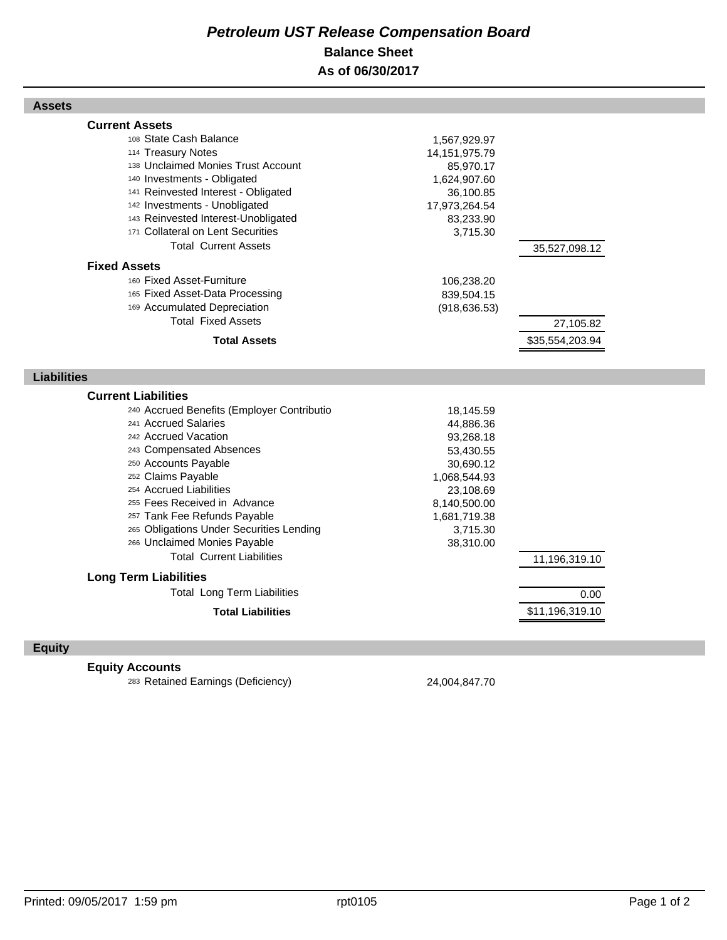## *Petroleum UST Release Compensation Board*  **Balance Sheet As of 06/30/2017**

#### **Assets**

| <b>Current Assets</b>      |                                                                  |                  |                 |  |
|----------------------------|------------------------------------------------------------------|------------------|-----------------|--|
|                            | 108 State Cash Balance                                           | 1,567,929.97     |                 |  |
|                            | 114 Treasury Notes                                               | 14, 151, 975. 79 |                 |  |
|                            | 138 Unclaimed Monies Trust Account                               | 85,970.17        |                 |  |
|                            | 140 Investments - Obligated                                      | 1,624,907.60     |                 |  |
|                            | 141 Reinvested Interest - Obligated                              | 36,100.85        |                 |  |
|                            | 142 Investments - Unobligated                                    | 17,973,264.54    |                 |  |
|                            | 143 Reinvested Interest-Unobligated                              | 83,233.90        |                 |  |
|                            | 171 Collateral on Lent Securities                                | 3,715.30         |                 |  |
|                            | <b>Total Current Assets</b>                                      |                  | 35,527,098.12   |  |
| <b>Fixed Assets</b>        |                                                                  |                  |                 |  |
|                            | 160 Fixed Asset-Furniture                                        | 106,238.20       |                 |  |
|                            | 165 Fixed Asset-Data Processing                                  | 839,504.15       |                 |  |
|                            | 169 Accumulated Depreciation                                     | (918, 636.53)    |                 |  |
|                            | <b>Total Fixed Assets</b>                                        |                  | 27,105.82       |  |
|                            | <b>Total Assets</b>                                              |                  | \$35,554,203.94 |  |
|                            |                                                                  |                  |                 |  |
| <b>Liabilities</b>         |                                                                  |                  |                 |  |
|                            |                                                                  |                  |                 |  |
|                            |                                                                  |                  |                 |  |
| <b>Current Liabilities</b> |                                                                  |                  |                 |  |
|                            | 240 Accrued Benefits (Employer Contributio                       | 18,145.59        |                 |  |
|                            | 241 Accrued Salaries                                             | 44,886.36        |                 |  |
|                            | 242 Accrued Vacation                                             | 93,268.18        |                 |  |
|                            | 243 Compensated Absences                                         | 53,430.55        |                 |  |
|                            | 250 Accounts Payable                                             | 30,690.12        |                 |  |
|                            | 252 Claims Payable                                               | 1,068,544.93     |                 |  |
|                            | 254 Accrued Liabilities                                          | 23,108.69        |                 |  |
|                            | 255 Fees Received in Advance                                     | 8,140,500.00     |                 |  |
|                            | 257 Tank Fee Refunds Payable                                     | 1,681,719.38     |                 |  |
|                            | 265 Obligations Under Securities Lending                         | 3,715.30         |                 |  |
|                            | 266 Unclaimed Monies Payable<br><b>Total Current Liabilities</b> | 38,310.00        |                 |  |
|                            |                                                                  |                  | 11,196,319.10   |  |
|                            | <b>Long Term Liabilities</b>                                     |                  |                 |  |
|                            | <b>Total Long Term Liabilities</b>                               |                  | 0.00            |  |
|                            | <b>Total Liabilities</b>                                         |                  | \$11,196,319.10 |  |

## **Equity**

## **Equity Accounts**

<sup>283</sup> Retained Earnings (Deficiency) 24,004,847.70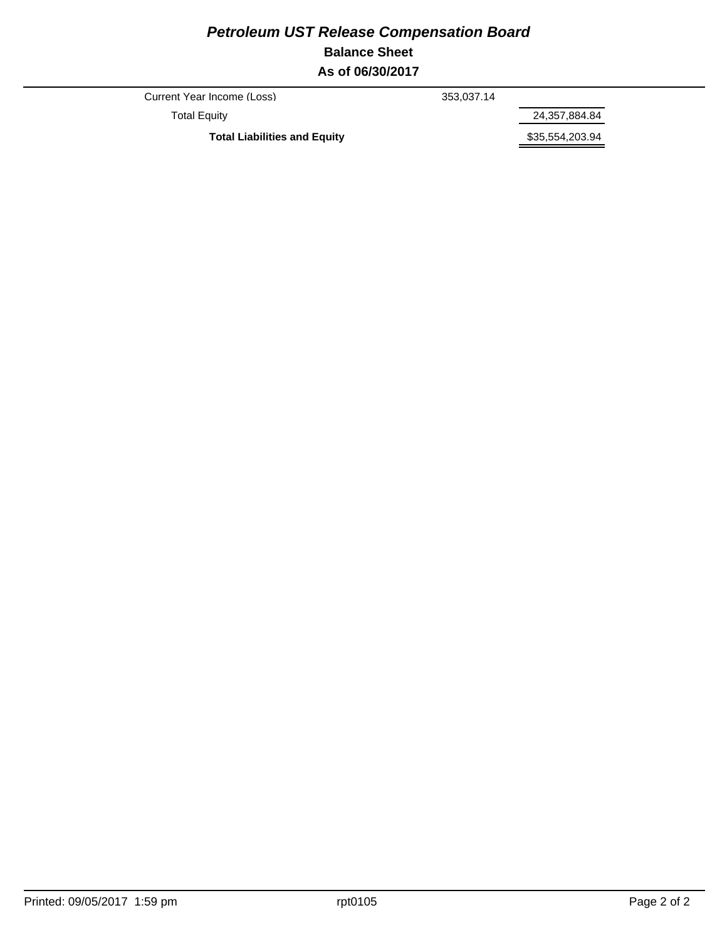## *Petroleum UST Release Compensation Board*  **Balance Sheet As of 06/30/2017**

Current Year Income (Loss) 353,037.14

Total Equity 24,357,884.84

Total Liabilities and Equity **\$35,554,203.94**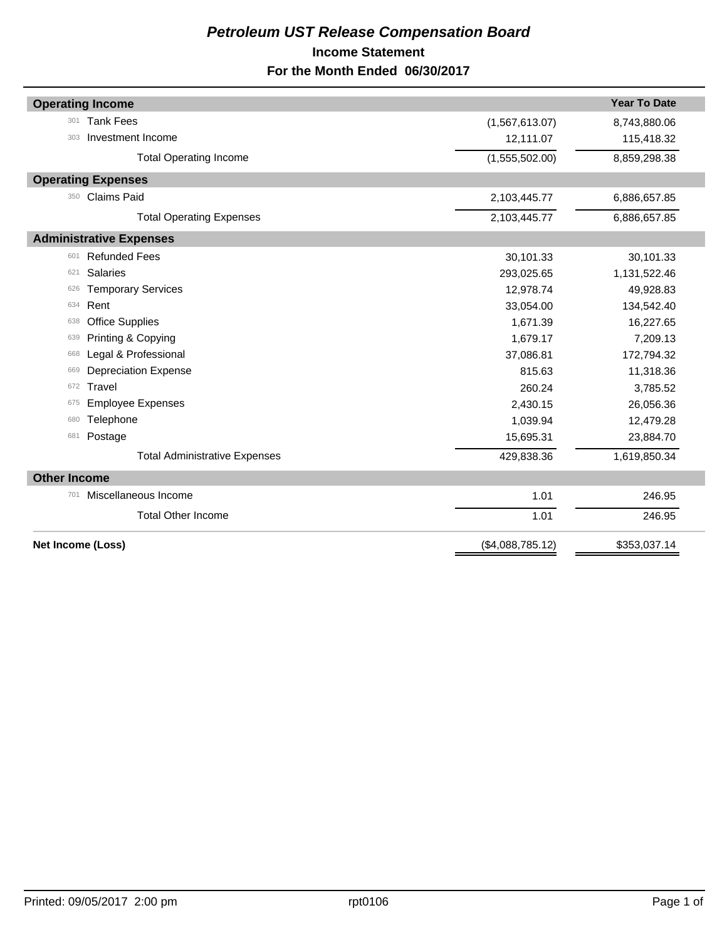## *Petroleum UST Release Compensation Board*  **Income Statement For the Month Ended 06/30/2017**

| <b>Operating Income</b>              |                  | <b>Year To Date</b> |
|--------------------------------------|------------------|---------------------|
| <b>Tank Fees</b><br>301              | (1,567,613.07)   | 8,743,880.06        |
| Investment Income<br>303             | 12,111.07        | 115,418.32          |
| <b>Total Operating Income</b>        | (1,555,502.00)   | 8,859,298.38        |
| <b>Operating Expenses</b>            |                  |                     |
| <b>Claims Paid</b><br>350            | 2,103,445.77     | 6,886,657.85        |
| <b>Total Operating Expenses</b>      | 2,103,445.77     | 6,886,657.85        |
| <b>Administrative Expenses</b>       |                  |                     |
| <b>Refunded Fees</b><br>601          | 30,101.33        | 30,101.33           |
| <b>Salaries</b><br>621               | 293,025.65       | 1,131,522.46        |
| <b>Temporary Services</b><br>626     | 12,978.74        | 49,928.83           |
| Rent<br>634                          | 33,054.00        | 134,542.40          |
| <b>Office Supplies</b><br>638        | 1,671.39         | 16,227.65           |
| Printing & Copying<br>639            | 1,679.17         | 7,209.13            |
| Legal & Professional<br>668          | 37,086.81        | 172,794.32          |
| <b>Depreciation Expense</b><br>669   | 815.63           | 11,318.36           |
| Travel<br>672                        | 260.24           | 3,785.52            |
| <b>Employee Expenses</b><br>675      | 2,430.15         | 26,056.36           |
| Telephone<br>680                     | 1,039.94         | 12,479.28           |
| Postage<br>681                       | 15,695.31        | 23,884.70           |
| <b>Total Administrative Expenses</b> | 429,838.36       | 1,619,850.34        |
| <b>Other Income</b>                  |                  |                     |
| Miscellaneous Income<br>701          | 1.01             | 246.95              |
| <b>Total Other Income</b>            | 1.01             | 246.95              |
| Net Income (Loss)                    | (\$4,088,785.12) | \$353,037.14        |
|                                      |                  |                     |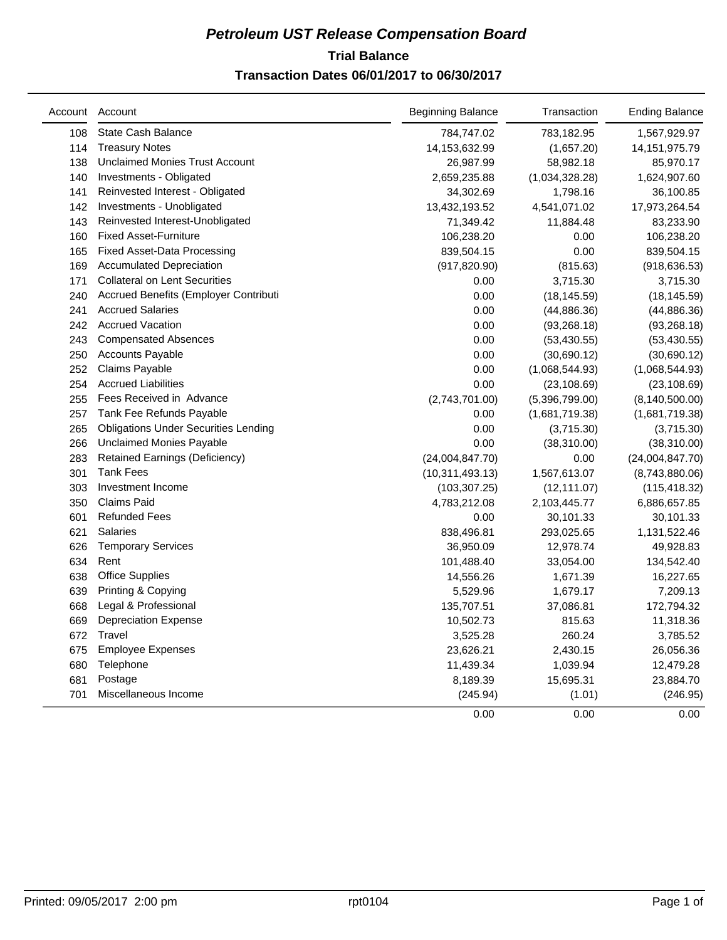## **Trial Balance** *Petroleum UST Release Compensation Board*  **Transaction Dates 06/01/2017 to 06/30/2017**

|     | Account Account                             | <b>Beginning Balance</b> | Transaction    | <b>Ending Balance</b> |
|-----|---------------------------------------------|--------------------------|----------------|-----------------------|
| 108 | State Cash Balance                          | 784,747.02               | 783,182.95     | 1,567,929.97          |
| 114 | <b>Treasury Notes</b>                       | 14,153,632.99            | (1,657.20)     | 14, 151, 975. 79      |
| 138 | <b>Unclaimed Monies Trust Account</b>       | 26,987.99                | 58,982.18      | 85,970.17             |
| 140 | Investments - Obligated                     | 2,659,235.88             | (1,034,328.28) | 1,624,907.60          |
| 141 | Reinvested Interest - Obligated             | 34,302.69                | 1,798.16       | 36,100.85             |
| 142 | Investments - Unobligated                   | 13,432,193.52            | 4,541,071.02   | 17,973,264.54         |
| 143 | Reinvested Interest-Unobligated             | 71,349.42                | 11,884.48      | 83,233.90             |
| 160 | <b>Fixed Asset-Furniture</b>                | 106,238.20               | 0.00           | 106,238.20            |
| 165 | <b>Fixed Asset-Data Processing</b>          | 839,504.15               | 0.00           | 839,504.15            |
| 169 | <b>Accumulated Depreciation</b>             | (917, 820.90)            | (815.63)       | (918, 636.53)         |
| 171 | <b>Collateral on Lent Securities</b>        | 0.00                     | 3,715.30       | 3,715.30              |
| 240 | Accrued Benefits (Employer Contributi       | 0.00                     | (18, 145.59)   | (18, 145.59)          |
| 241 | <b>Accrued Salaries</b>                     | 0.00                     | (44,886.36)    | (44,886.36)           |
| 242 | <b>Accrued Vacation</b>                     | 0.00                     | (93, 268.18)   | (93, 268.18)          |
| 243 | <b>Compensated Absences</b>                 | 0.00                     | (53, 430.55)   | (53, 430.55)          |
| 250 | <b>Accounts Payable</b>                     | 0.00                     | (30,690.12)    | (30,690.12)           |
| 252 | Claims Payable                              | 0.00                     | (1,068,544.93) | (1,068,544.93)        |
| 254 | <b>Accrued Liabilities</b>                  | 0.00                     | (23, 108.69)   | (23, 108.69)          |
| 255 | Fees Received in Advance                    | (2,743,701.00)           | (5,396,799.00) | (8, 140, 500.00)      |
| 257 | Tank Fee Refunds Payable                    | 0.00                     | (1,681,719.38) | (1,681,719.38)        |
| 265 | <b>Obligations Under Securities Lending</b> | 0.00                     | (3,715.30)     | (3,715.30)            |
| 266 | <b>Unclaimed Monies Payable</b>             | 0.00                     | (38, 310.00)   | (38, 310.00)          |
| 283 | <b>Retained Earnings (Deficiency)</b>       | (24,004,847.70)          | 0.00           | (24,004,847.70)       |
| 301 | <b>Tank Fees</b>                            | (10, 311, 493.13)        | 1,567,613.07   | (8,743,880.06)        |
| 303 | Investment Income                           | (103, 307.25)            | (12, 111.07)   | (115, 418.32)         |
| 350 | <b>Claims Paid</b>                          | 4,783,212.08             | 2,103,445.77   | 6,886,657.85          |
| 601 | <b>Refunded Fees</b>                        | 0.00                     | 30,101.33      | 30,101.33             |
| 621 | <b>Salaries</b>                             | 838,496.81               | 293,025.65     | 1,131,522.46          |
| 626 | <b>Temporary Services</b>                   | 36,950.09                | 12,978.74      | 49,928.83             |
| 634 | Rent                                        | 101,488.40               | 33,054.00      | 134,542.40            |
| 638 | <b>Office Supplies</b>                      | 14,556.26                | 1,671.39       | 16,227.65             |
| 639 | Printing & Copying                          | 5,529.96                 | 1,679.17       | 7,209.13              |
| 668 | Legal & Professional                        | 135,707.51               | 37,086.81      | 172,794.32            |
| 669 | <b>Depreciation Expense</b>                 | 10,502.73                | 815.63         | 11,318.36             |
| 672 | Travel                                      | 3,525.28                 | 260.24         | 3,785.52              |
| 675 | <b>Employee Expenses</b>                    | 23,626.21                | 2,430.15       | 26,056.36             |
| 680 | Telephone                                   | 11,439.34                | 1,039.94       | 12,479.28             |
| 681 | Postage                                     | 8,189.39                 | 15,695.31      | 23,884.70             |
| 701 | Miscellaneous Income                        | (245.94)                 | (1.01)         | (246.95)              |
|     |                                             | 0.00                     | 0.00           | 0.00                  |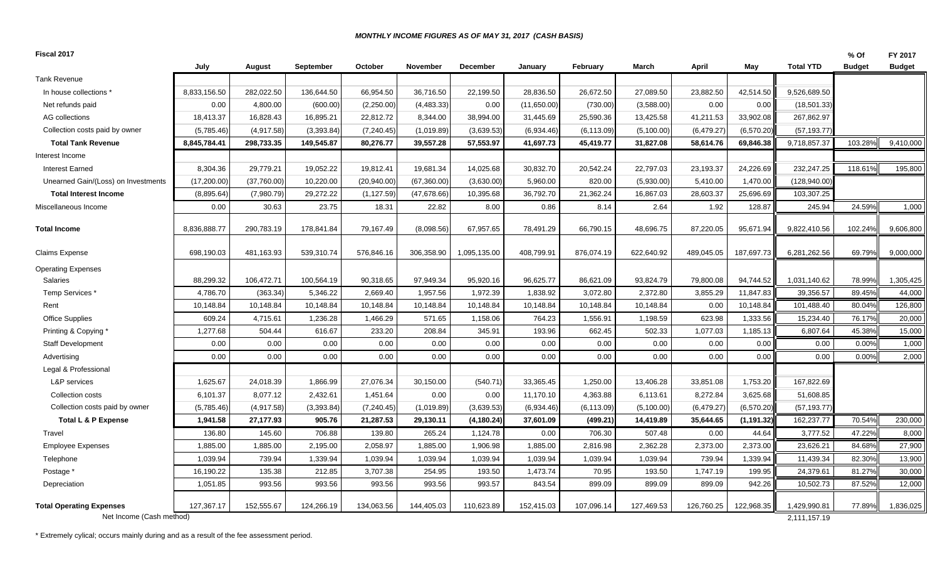#### *MONTHLY INCOME FIGURES AS OF MAY 31, 2017 (CASH BASIS)*

| Fiscal 2017                                                 |              |             |            |              |                 |                 |             |             |            |            |             |                              | % Of               | FY 2017       |
|-------------------------------------------------------------|--------------|-------------|------------|--------------|-----------------|-----------------|-------------|-------------|------------|------------|-------------|------------------------------|--------------------|---------------|
|                                                             | July         | August      | September  | October      | <b>November</b> | <b>December</b> | January     | February    | March      | April      | May         | <b>Total YTD</b>             | <b>Budget</b>      | <b>Budget</b> |
| <b>Tank Revenue</b>                                         |              |             |            |              |                 |                 |             |             |            |            |             |                              |                    |               |
| In house collections                                        | 8,833,156.50 | 282,022.50  | 136,644.50 | 66,954.50    | 36,716.50       | 22,199.50       | 28,836.50   | 26,672.50   | 27,089.50  | 23,882.50  | 42,514.50   | 9,526,689.50                 |                    |               |
| Net refunds paid                                            | 0.00         | 4,800.00    | (600.00)   | (2,250.00)   | (4, 483.33)     | 0.00            | (11,650.00) | (730.00)    | (3,588.00) | 0.00       | 0.00        | (18,501.33)                  |                    |               |
| AG collections                                              | 18,413.37    | 16,828.43   | 16,895.21  | 22,812.72    | 8,344.00        | 38,994.00       | 31,445.69   | 25,590.36   | 13,425.58  | 41,211.53  | 33,902.08   | 267,862.97                   |                    |               |
| Collection costs paid by owner                              | (5,785.46)   | (4,917.58)  | (3,393.84) | (7, 240.45)  | (1,019.89)      | (3,639.53)      | (6,934.46)  | (6, 113.09) | (5,100.00) | (6,479.27) | (6,570.20)  | (57, 193.77)                 |                    |               |
| <b>Total Tank Revenue</b>                                   | 8,845,784.41 | 298,733.35  | 149,545.87 | 80,276.77    | 39,557.28       | 57,553.97       | 41,697.73   | 45,419.77   | 31,827.08  | 58,614.76  | 69,846.38   | 9,718,857.37                 | 103.289            | 9,410,000     |
| Interest Income                                             |              |             |            |              |                 |                 |             |             |            |            |             |                              |                    |               |
| <b>Interest Earned</b>                                      | 8,304.36     | 29,779.21   | 19,052.22  | 19,812.41    | 19,681.34       | 14,025.68       | 30,832.70   | 20,542.24   | 22,797.03  | 23,193.37  | 24,226.69   | 232,247.25                   | 118.61             | 195,800       |
| Unearned Gain/(Loss) on Investments                         | (17, 200.00) | (37,760.00) | 10,220.00  | (20, 940.00) | (67, 360.00)    | (3,630.00)      | 5,960.00    | 820.00      | (5,930.00) | 5,410.00   | 1,470.00    | (128, 940.00)                |                    |               |
| <b>Total Interest Income</b>                                | (8,895.64)   | (7,980.79)  | 29,272.22  | (1, 127.59)  | (47, 678.66)    | 10,395.68       | 36,792.70   | 21,362.24   | 16,867.03  | 28,603.37  | 25,696.69   | 103,307.25                   |                    |               |
| Miscellaneous Income                                        | 0.00         | 30.63       | 23.75      | 18.31        | 22.82           | 8.00            | 0.86        | 8.14        | 2.64       | 1.92       | 128.87      | 245.94                       | 24.59%             | 1,000         |
| <b>Total Income</b>                                         | 8,836,888.77 | 290,783.19  | 178,841.84 | 79,167.49    | (8,098.56)      | 67,957.65       | 78,491.29   | 66,790.15   | 48,696.75  | 87,220.05  | 95,671.94   | 9,822,410.56                 | 102.24%            | 9,606,800     |
| <b>Claims Expense</b>                                       | 698,190.03   | 481,163.93  | 539,310.74 | 576,846.16   | 306,358.90      | 1,095,135.00    | 408,799.91  | 876,074.19  | 622,640.92 | 489,045.05 | 187,697.73  | 6,281,262.56                 | 69.79%             | 9,000,000     |
| <b>Operating Expenses</b>                                   |              |             |            |              |                 |                 |             |             |            |            |             |                              |                    |               |
| <b>Salaries</b>                                             | 88,299.32    | 106,472.71  | 100,564.19 | 90,318.65    | 97,949.34       | 95,920.16       | 96,625.77   | 86,621.09   | 93,824.79  | 79,800.08  | 94,744.52   | 1,031,140.62                 | 78.99%             | 1,305,425     |
| Temp Services*                                              | 4,786.70     | (363.34)    | 5,346.22   | 2,669.40     | 1,957.56        | 1,972.39        | 1,838.92    | 3,072.80    | 2,372.80   | 3,855.29   | 11,847.83   | 39,356.57                    | 89.45%             | 44,000        |
| Rent                                                        | 10,148.84    | 10,148.84   | 10,148.84  | 10,148.84    | 10,148.84       | 10,148.84       | 10,148.84   | 10,148.84   | 10,148.84  | 0.00       | 10,148.84   | 101,488.40                   | 80.04%             | 126,800       |
| <b>Office Supplies</b>                                      | 609.24       | 4,715.61    | 1,236.28   | 1,466.29     | 571.65          | 1,158.06        | 764.23      | 1,556.91    | 1,198.59   | 623.98     | 1,333.56    | 15,234.40                    | 76.17%             | 20,000        |
| Printing & Copying *                                        | 1,277.68     | 504.44      | 616.67     | 233.20       | 208.84          | 345.91          | 193.96      | 662.45      | 502.33     | 1,077.03   | 1,185.13    | $6,807.\overline{64}$        | 45.38%             | 15,000        |
| <b>Staff Development</b>                                    | 0.00         | 0.00        | 0.00       | 0.00         | 0.00            | 0.00            | 0.00        | 0.00        | 0.00       | 0.00       | 0.00        | 0.00                         | 0.00%              | 1,000         |
| Advertising                                                 | 0.00         | 0.00        | 0.00       | 0.00         | 0.00            | 0.00            | 0.00        | 0.00        | 0.00       | 0.00       | 0.00        | 0.00                         | 0.00%              | 2,000         |
| Legal & Professional                                        |              |             |            |              |                 |                 |             |             |            |            |             |                              |                    |               |
| L&P services                                                | 1,625.67     | 24,018.39   | 1,866.99   | 27,076.34    | 30,150.00       | (540.71)        | 33,365.45   | 1,250.00    | 13,406.28  | 33,851.08  | 1,753.20    | 167,822.69                   |                    |               |
| Collection costs                                            | 6,101.37     | 8,077.12    | 2,432.61   | 1,451.64     | 0.00            | 0.00            | 11,170.10   | 4,363.88    | 6,113.61   | 8,272.84   | 3,625.68    | 51,608.85                    |                    |               |
| Collection costs paid by owner                              | (5,785.46)   | (4,917.58)  | (3,393.84) | (7, 240.45)  | (1,019.89)      | (3,639.53)      | (6,934.46)  | (6, 113.09) | (5,100.00) | (6,479.27) | (6,570.20)  | (57, 193.77)                 |                    |               |
| <b>Total L &amp; P Expense</b>                              | 1,941.58     | 27,177.93   | 905.76     | 21,287.53    | 29,130.11       | (4, 180.24)     | 37,601.09   | (499.21)    | 14,419.89  | 35,644.65  | (1, 191.32) | 162,237.77                   | 70.54%             | 230,000       |
| Travel                                                      | 136.80       | 145.60      | 706.88     | 139.80       | 265.24          | 1,124.78        | 0.00        | 706.30      | 507.48     | 0.00       | 44.64       | 3,777.52                     | 47.22%             | 8,000         |
| <b>Employee Expenses</b>                                    | 1,885.00     | 1,885.00    | 2,195.00   | 2,058.97     | 1,885.00        | 1,906.98        | 1,885.00    | 2,816.98    | 2,362.28   | 2,373.00   | 2,373.00    | 23,626.21                    | 84.68%             | 27,900        |
| Telephone                                                   | 1,039.94     | 739.94      | 1,339.94   | 1,039.94     | 1,039.94        | 1,039.94        | 1,039.94    | 1,039.94    | 1,039.94   | 739.94     | 1,339.94    | 11,439.34                    | 82.30%             | 13,900        |
| Postage *                                                   | 16,190.22    | 135.38      | 212.85     | 3,707.38     | 254.95          | 193.50          | 1,473.74    | 70.95       | 193.50     | 1,747.19   | 199.95      | 24,379.61                    | 81.27%             | 30,000        |
| Depreciation                                                | 1,051.85     | 993.56      | 993.56     | 993.56       | 993.56          | 993.57          | 843.54      | 899.09      | 899.09     | 899.09     | 942.26      | 10,502.73                    | 87.52%             | 12,000        |
| <b>Total Operating Expenses</b><br>Net Income (Cash method) | 127,367.17   | 152,555.67  | 124,266.19 | 134,063.56   | 144,405.03      | 110,623.89      | 152,415.03  | 107,096.14  | 127,469.53 | 126,760.25 | 122,968.35  | 1,429,990.81<br>2,111,157.19 | 77.89 <sup>°</sup> | 1,836,025     |

\* Extremely cylical; occurs mainly during and as a result of the fee assessment period.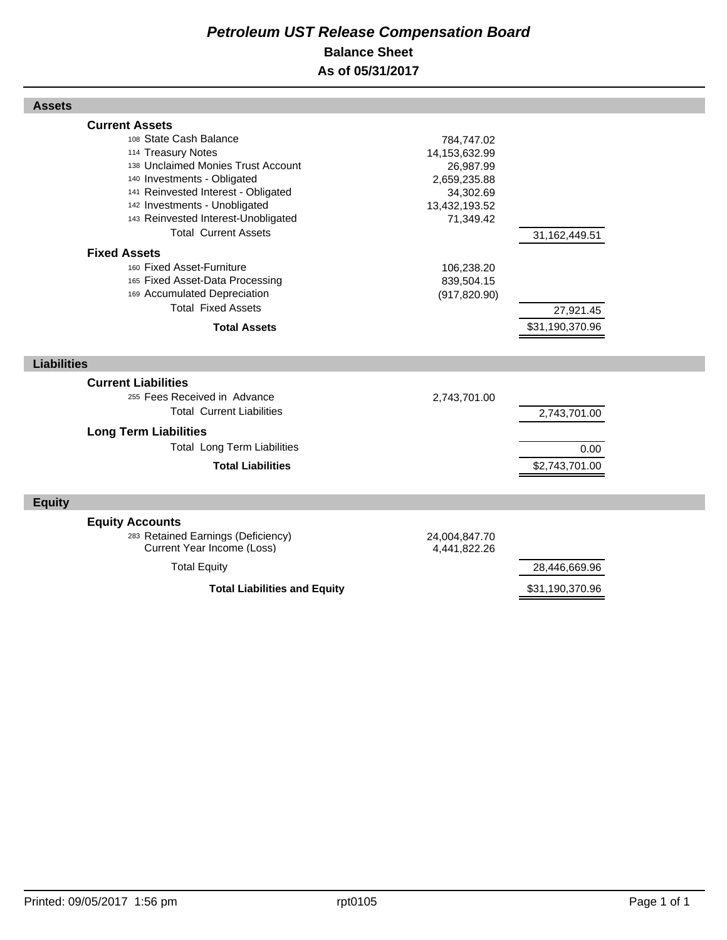## *Petroleum UST Release Compensation Board*  **Balance Sheet As of 05/31/2017**

| <b>Assets</b>                                                                                                                                                                                                                                                                                                                                                                                                                                                       |                                                                                                                                                     |                                               |  |
|---------------------------------------------------------------------------------------------------------------------------------------------------------------------------------------------------------------------------------------------------------------------------------------------------------------------------------------------------------------------------------------------------------------------------------------------------------------------|-----------------------------------------------------------------------------------------------------------------------------------------------------|-----------------------------------------------|--|
| <b>Current Assets</b><br>108 State Cash Balance<br>114 Treasury Notes<br>138 Unclaimed Monies Trust Account<br>140 Investments - Obligated<br>141 Reinvested Interest - Obligated<br>142 Investments - Unobligated<br>143 Reinvested Interest-Unobligated<br><b>Total Current Assets</b><br><b>Fixed Assets</b><br>160 Fixed Asset-Furniture<br>165 Fixed Asset-Data Processing<br>169 Accumulated Depreciation<br><b>Total Fixed Assets</b><br><b>Total Assets</b> | 784,747.02<br>14, 153, 632. 99<br>26,987.99<br>2,659,235.88<br>34,302.69<br>13,432,193.52<br>71,349.42<br>106,238.20<br>839,504.15<br>(917, 820.90) | 31,162,449.51<br>27,921.45<br>\$31,190,370.96 |  |
| <b>Liabilities</b>                                                                                                                                                                                                                                                                                                                                                                                                                                                  |                                                                                                                                                     |                                               |  |
|                                                                                                                                                                                                                                                                                                                                                                                                                                                                     |                                                                                                                                                     |                                               |  |
| <b>Current Liabilities</b><br>255 Fees Received in Advance<br><b>Total Current Liabilities</b>                                                                                                                                                                                                                                                                                                                                                                      | 2,743,701.00                                                                                                                                        | 2,743,701.00                                  |  |
| <b>Long Term Liabilities</b>                                                                                                                                                                                                                                                                                                                                                                                                                                        |                                                                                                                                                     |                                               |  |
| <b>Total Long Term Liabilities</b>                                                                                                                                                                                                                                                                                                                                                                                                                                  |                                                                                                                                                     | 0.00                                          |  |
| <b>Total Liabilities</b>                                                                                                                                                                                                                                                                                                                                                                                                                                            |                                                                                                                                                     | \$2,743,701.00                                |  |
| <b>Equity</b>                                                                                                                                                                                                                                                                                                                                                                                                                                                       |                                                                                                                                                     |                                               |  |
| <b>Equity Accounts</b><br>283 Retained Earnings (Deficiency)<br>Current Year Income (Loss)                                                                                                                                                                                                                                                                                                                                                                          | 24,004,847.70<br>4,441,822.26                                                                                                                       |                                               |  |
| <b>Total Equity</b>                                                                                                                                                                                                                                                                                                                                                                                                                                                 |                                                                                                                                                     | 28,446,669.96                                 |  |
| <b>Total Liabilities and Equity</b>                                                                                                                                                                                                                                                                                                                                                                                                                                 |                                                                                                                                                     | \$31,190,370.96                               |  |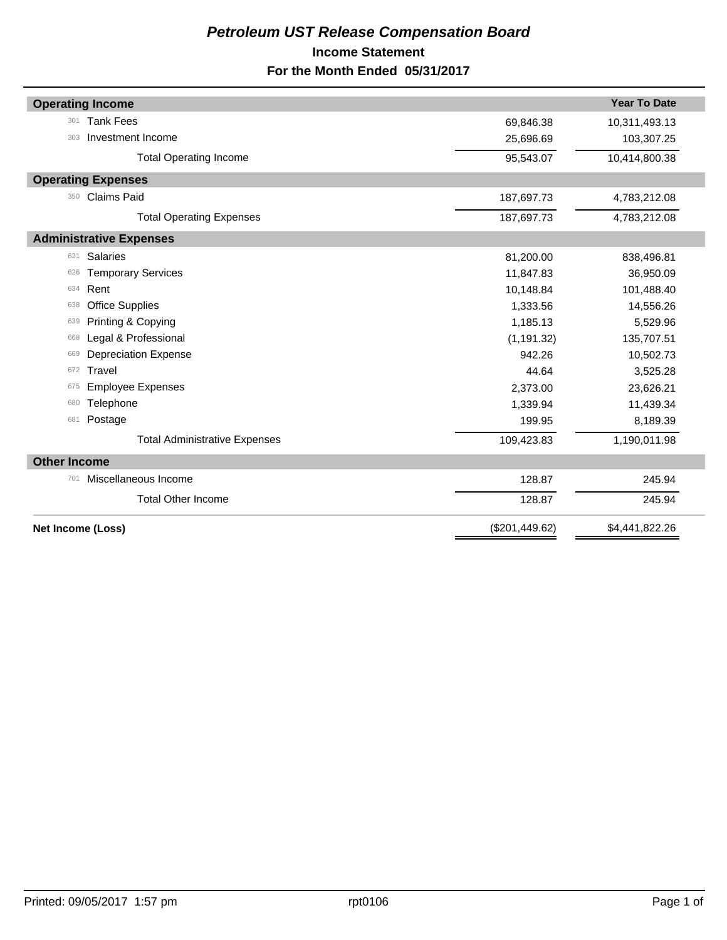## *Petroleum UST Release Compensation Board*  **Income Statement For the Month Ended 05/31/2017**

| <b>Operating Income</b>              |                  | <b>Year To Date</b> |  |  |
|--------------------------------------|------------------|---------------------|--|--|
| <b>Tank Fees</b><br>301              | 69,846.38        | 10,311,493.13       |  |  |
| Investment Income<br>303             | 25,696.69        | 103,307.25          |  |  |
| <b>Total Operating Income</b>        | 95,543.07        | 10,414,800.38       |  |  |
| <b>Operating Expenses</b>            |                  |                     |  |  |
| <b>Claims Paid</b><br>350            | 187,697.73       | 4,783,212.08        |  |  |
| <b>Total Operating Expenses</b>      | 187,697.73       | 4,783,212.08        |  |  |
| <b>Administrative Expenses</b>       |                  |                     |  |  |
| <b>Salaries</b><br>621               | 81,200.00        | 838,496.81          |  |  |
| <b>Temporary Services</b><br>626     | 11,847.83        | 36,950.09           |  |  |
| Rent<br>634                          | 10,148.84        | 101,488.40          |  |  |
| <b>Office Supplies</b><br>638        | 1,333.56         | 14,556.26           |  |  |
| Printing & Copying<br>639            | 1,185.13         | 5,529.96            |  |  |
| Legal & Professional<br>668          | (1, 191.32)      | 135,707.51          |  |  |
| <b>Depreciation Expense</b><br>669   | 942.26           | 10,502.73           |  |  |
| Travel<br>672                        | 44.64            | 3,525.28            |  |  |
| <b>Employee Expenses</b><br>675      | 2,373.00         | 23,626.21           |  |  |
| Telephone<br>680                     | 1,339.94         | 11,439.34           |  |  |
| 681<br>Postage                       | 199.95           | 8,189.39            |  |  |
| <b>Total Administrative Expenses</b> | 109,423.83       | 1,190,011.98        |  |  |
| <b>Other Income</b>                  |                  |                     |  |  |
| Miscellaneous Income<br>701          | 128.87           | 245.94              |  |  |
| <b>Total Other Income</b>            | 128.87<br>245.94 |                     |  |  |
| Net Income (Loss)                    | (\$201,449.62)   | \$4,441,822.26      |  |  |
|                                      |                  |                     |  |  |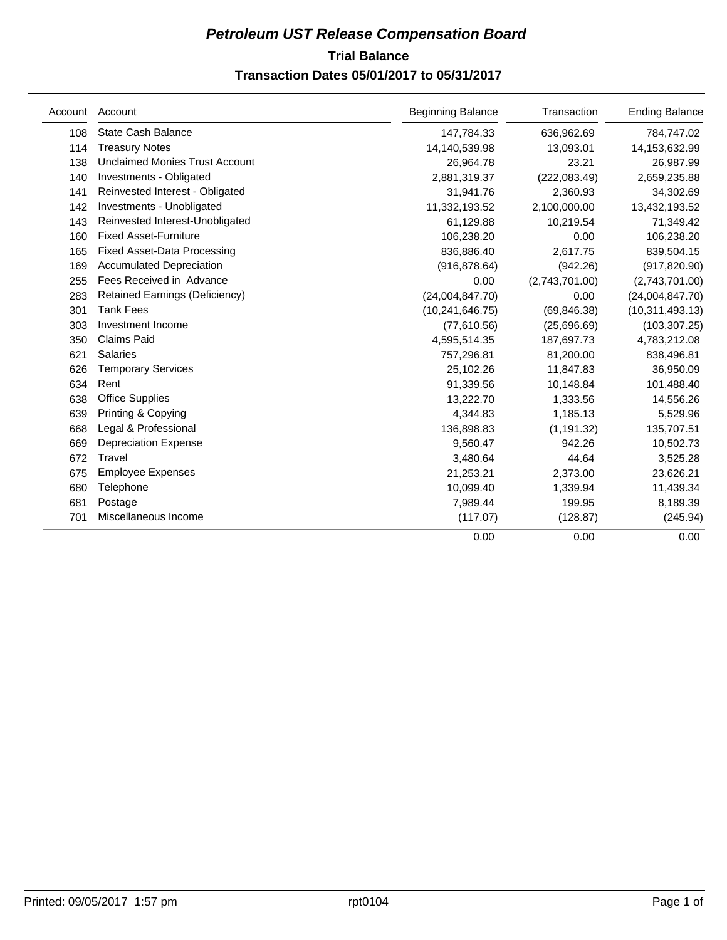## **Trial Balance** *Petroleum UST Release Compensation Board*  **Transaction Dates 05/01/2017 to 05/31/2017**

| Account | Account                               | <b>Beginning Balance</b> | Transaction    | <b>Ending Balance</b> |  |
|---------|---------------------------------------|--------------------------|----------------|-----------------------|--|
| 108     | <b>State Cash Balance</b>             | 147,784.33               | 636,962.69     | 784,747.02            |  |
| 114     | <b>Treasury Notes</b>                 | 14,140,539.98            | 13,093.01      | 14,153,632.99         |  |
| 138     | <b>Unclaimed Monies Trust Account</b> | 26,964.78                | 23.21          | 26,987.99             |  |
| 140     | Investments - Obligated               | 2,881,319.37             | (222,083.49)   | 2,659,235.88          |  |
| 141     | Reinvested Interest - Obligated       | 31,941.76                | 2,360.93       | 34,302.69             |  |
| 142     | Investments - Unobligated             | 11,332,193.52            | 2,100,000.00   | 13,432,193.52         |  |
| 143     | Reinvested Interest-Unobligated       | 61,129.88                | 10,219.54      | 71,349.42             |  |
| 160     | <b>Fixed Asset-Furniture</b>          | 106,238.20               | 0.00           | 106,238.20            |  |
| 165     | <b>Fixed Asset-Data Processing</b>    | 836,886.40               | 2,617.75       | 839,504.15            |  |
| 169     | <b>Accumulated Depreciation</b>       | (916, 878.64)            | (942.26)       | (917, 820.90)         |  |
| 255     | Fees Received in Advance              | 0.00                     | (2,743,701.00) | (2,743,701.00)        |  |
| 283     | <b>Retained Earnings (Deficiency)</b> | (24,004,847.70)          | 0.00           | (24,004,847.70)       |  |
| 301     | <b>Tank Fees</b>                      | (10, 241, 646.75)        | (69, 846.38)   | (10, 311, 493.13)     |  |
| 303     | Investment Income                     | (77,610.56)              | (25,696.69)    | (103, 307.25)         |  |
| 350     | <b>Claims Paid</b>                    | 4,595,514.35             | 187,697.73     | 4,783,212.08          |  |
| 621     | <b>Salaries</b>                       | 757,296.81               | 81,200.00      | 838,496.81            |  |
| 626     | <b>Temporary Services</b>             | 25,102.26                | 11,847.83      | 36,950.09             |  |
| 634     | Rent                                  | 91,339.56                | 10,148.84      | 101,488.40            |  |
| 638     | <b>Office Supplies</b>                | 13,222.70                | 1,333.56       | 14,556.26             |  |
| 639     | Printing & Copying                    | 4,344.83                 | 1,185.13       | 5,529.96              |  |
| 668     | Legal & Professional                  | 136,898.83               | (1, 191.32)    | 135,707.51            |  |
| 669     | <b>Depreciation Expense</b>           | 9,560.47                 | 942.26         | 10,502.73             |  |
| 672     | Travel                                | 3,480.64                 | 44.64          | 3,525.28              |  |
| 675     | <b>Employee Expenses</b>              | 21,253.21                | 2,373.00       | 23,626.21             |  |
| 680     | Telephone                             | 10,099.40                | 1,339.94       | 11,439.34             |  |
| 681     | Postage                               | 7,989.44                 | 199.95         | 8,189.39              |  |
| 701     | Miscellaneous Income                  | (117.07)                 | (128.87)       | (245.94)              |  |
|         |                                       | 0.00                     | 0.00           | 0.00                  |  |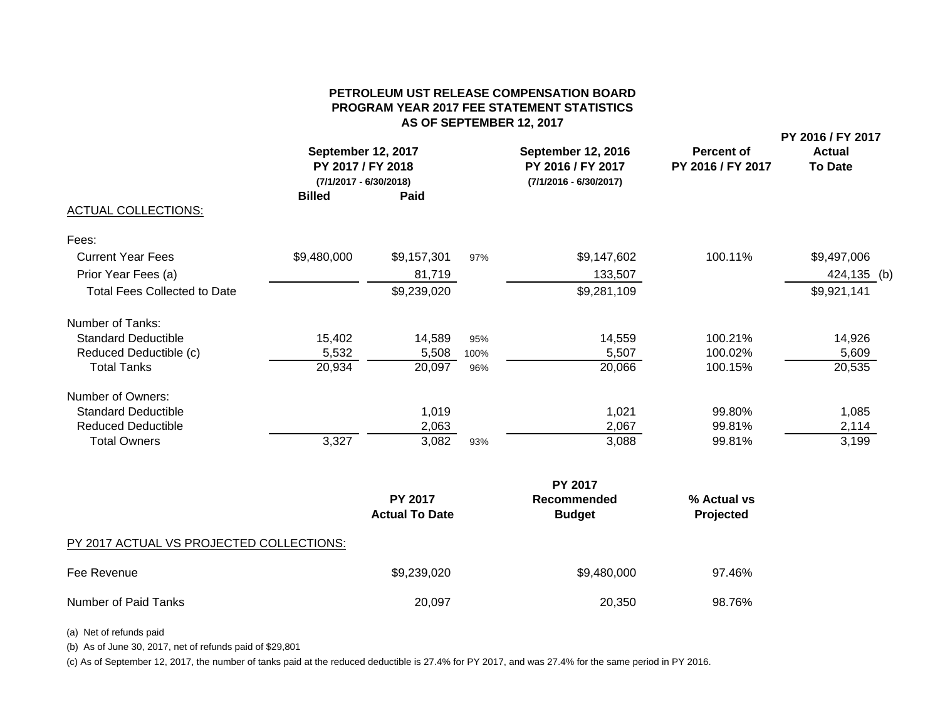#### **PETROLEUM UST RELEASE COMPENSATION BOARDPROGRAM YEAR 2017 FEE STATEMENT STATISTICS AS OF SEPTEMBER 12, 2017**

|                                              |               |                                                                   |      |                                                                            |                                        | PY 2016 / FY 2017               |  |
|----------------------------------------------|---------------|-------------------------------------------------------------------|------|----------------------------------------------------------------------------|----------------------------------------|---------------------------------|--|
|                                              |               | September 12, 2017<br>PY 2017 / FY 2018<br>(7/1/2017 - 6/30/2018) |      | <b>September 12, 2016</b><br>PY 2016 / FY 2017<br>$(7/1/2016 - 6/30/2017)$ | <b>Percent of</b><br>PY 2016 / FY 2017 | <b>Actual</b><br><b>To Date</b> |  |
|                                              | <b>Billed</b> | Paid                                                              |      |                                                                            |                                        |                                 |  |
| <b>ACTUAL COLLECTIONS:</b>                   |               |                                                                   |      |                                                                            |                                        |                                 |  |
| Fees:                                        |               |                                                                   |      |                                                                            |                                        |                                 |  |
| <b>Current Year Fees</b>                     | \$9,480,000   | \$9,157,301                                                       | 97%  | \$9,147,602                                                                | 100.11%                                | \$9,497,006                     |  |
| Prior Year Fees (a)                          |               | 81,719                                                            |      | 133,507                                                                    |                                        | 424,135 (b)                     |  |
| <b>Total Fees Collected to Date</b>          |               | \$9,239,020                                                       |      | \$9,281,109                                                                |                                        | \$9,921,141                     |  |
| Number of Tanks:                             |               |                                                                   |      |                                                                            |                                        |                                 |  |
| <b>Standard Deductible</b>                   | 15,402        | 14,589                                                            | 95%  | 14,559                                                                     | 100.21%                                | 14,926                          |  |
| Reduced Deductible (c)                       | 5,532         | 5,508                                                             | 100% | 5,507                                                                      | 100.02%                                | 5,609                           |  |
| <b>Total Tanks</b>                           | 20,934        | 20,097                                                            | 96%  | 20,066                                                                     | 100.15%                                | 20,535                          |  |
| Number of Owners:                            |               |                                                                   |      |                                                                            |                                        |                                 |  |
| <b>Standard Deductible</b>                   |               | 1,019                                                             |      | 1,021                                                                      | 99.80%                                 | 1,085                           |  |
| <b>Reduced Deductible</b>                    |               | 2,063                                                             |      | 2,067                                                                      | 99.81%                                 | 2,114                           |  |
| <b>Total Owners</b>                          | 3,327         | 3,082                                                             | 93%  | 3,088                                                                      | 99.81%                                 | 3,199                           |  |
|                                              |               |                                                                   |      | PY 2017                                                                    |                                        |                                 |  |
|                                              |               | <b>PY 2017</b><br><b>Actual To Date</b>                           |      | <b>Recommended</b><br><b>Budget</b>                                        | % Actual vs<br>Projected               |                                 |  |
| DV. 0017 A OTHAI AIQ DDQ IFOTED QQUI FOTIQUO |               |                                                                   |      |                                                                            |                                        |                                 |  |

#### PY 2017 ACTUAL VS PROJECTED COLLECTIONS:

| Fee Revenue          | \$9,239,020 | \$9,480,000 | 97.46% |
|----------------------|-------------|-------------|--------|
| Number of Paid Tanks | 20,097      | 20,350      | 98.76% |

(a) Net of refunds paid

(b) As of June 30, 2017, net of refunds paid of \$29,801

(c) As of September 12, 2017, the number of tanks paid at the reduced deductible is 27.4% for PY 2017, and was 27.4% for the same period in PY 2016.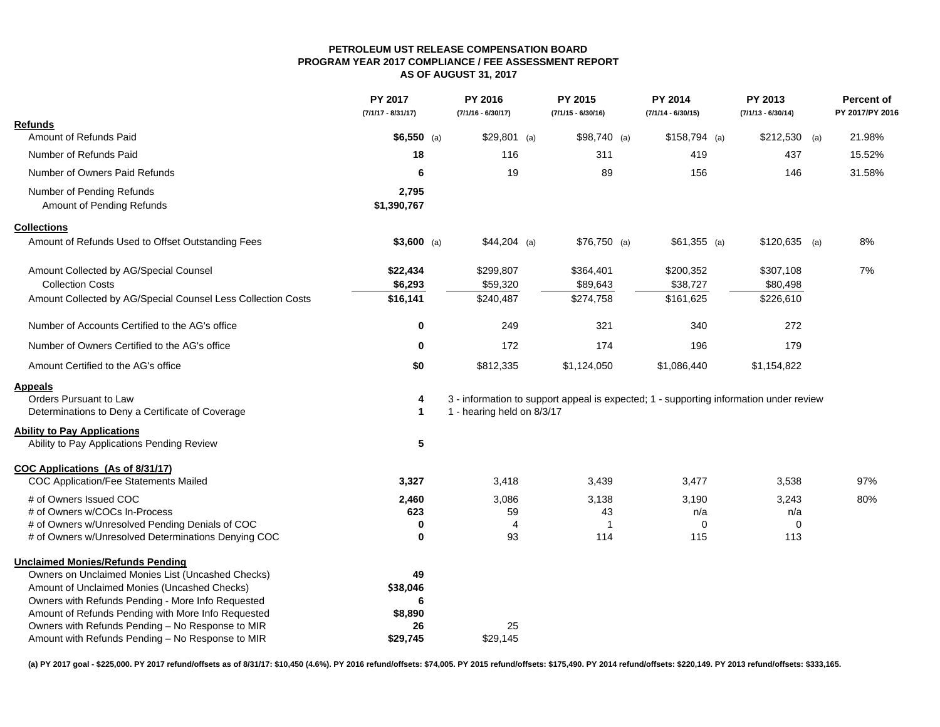#### **PETROLEUM UST RELEASE COMPENSATION BOARDPROGRAM YEAR 2017 COMPLIANCE / FEE ASSESSMENT REPORTAS OF AUGUST 31, 2017**

|                                                              | PY 2017<br>$(7/1/17 - 8/31/17)$ | PY 2016<br>$(7/1/16 - 6/30/17)$ | PY 2015<br>$(7/1/15 - 6/30/16)$                                                        | <b>PY 2014</b><br>$(7/1/14 - 6/30/15)$ | PY 2013<br>$(7/1/13 - 6/30/14)$ |     | <b>Percent of</b><br>PY 2017/PY 2016 |
|--------------------------------------------------------------|---------------------------------|---------------------------------|----------------------------------------------------------------------------------------|----------------------------------------|---------------------------------|-----|--------------------------------------|
| <b>Refunds</b>                                               |                                 |                                 |                                                                                        |                                        |                                 |     |                                      |
| Amount of Refunds Paid                                       | $$6,550$ (a)                    | $$29,801$ (a)                   | $$98,740$ (a)                                                                          | $$158,794$ (a)                         | \$212,530                       | (a) | 21.98%                               |
| Number of Refunds Paid                                       | 18                              | 116                             | 311                                                                                    | 419                                    | 437                             |     | 15.52%                               |
| Number of Owners Paid Refunds                                | 6                               | 19                              | 89                                                                                     | 156                                    | 146                             |     | 31.58%                               |
| Number of Pending Refunds<br>Amount of Pending Refunds       | 2,795<br>\$1,390,767            |                                 |                                                                                        |                                        |                                 |     |                                      |
| <b>Collections</b>                                           |                                 |                                 |                                                                                        |                                        |                                 |     |                                      |
| Amount of Refunds Used to Offset Outstanding Fees            | $$3,600$ (a)                    | $$44,204$ (a)                   | $$76,750$ (a)                                                                          | $$61,355$ (a)                          | $$120,635$ (a)                  |     | 8%                                   |
| Amount Collected by AG/Special Counsel                       | \$22,434                        | \$299,807                       | \$364,401                                                                              | \$200,352                              | \$307,108                       |     | 7%                                   |
| <b>Collection Costs</b>                                      | \$6,293                         | \$59,320                        | \$89,643                                                                               | \$38,727                               | \$80,498                        |     |                                      |
| Amount Collected by AG/Special Counsel Less Collection Costs | \$16,141                        | \$240,487                       | \$274,758                                                                              | \$161,625                              | \$226,610                       |     |                                      |
| Number of Accounts Certified to the AG's office              | 0                               | 249                             | 321                                                                                    | 340                                    | 272                             |     |                                      |
| Number of Owners Certified to the AG's office                | $\bf{0}$                        | 172                             | 174                                                                                    | 196                                    | 179                             |     |                                      |
| Amount Certified to the AG's office                          | \$0                             | \$812,335                       | \$1,124,050                                                                            | \$1,086,440                            | \$1,154,822                     |     |                                      |
| Appeals                                                      |                                 |                                 |                                                                                        |                                        |                                 |     |                                      |
| <b>Orders Pursuant to Law</b>                                | 4                               |                                 | 3 - information to support appeal is expected; 1 - supporting information under review |                                        |                                 |     |                                      |
| Determinations to Deny a Certificate of Coverage             | $\mathbf 1$                     | 1 - hearing held on 8/3/17      |                                                                                        |                                        |                                 |     |                                      |
| <b>Ability to Pay Applications</b>                           |                                 |                                 |                                                                                        |                                        |                                 |     |                                      |
| Ability to Pay Applications Pending Review                   | ${\bf 5}$                       |                                 |                                                                                        |                                        |                                 |     |                                      |
| COC Applications (As of 8/31/17)                             |                                 |                                 |                                                                                        |                                        |                                 |     |                                      |
| COC Application/Fee Statements Mailed                        | 3,327                           | 3,418                           | 3,439                                                                                  | 3,477                                  | 3,538                           |     | 97%                                  |
| # of Owners Issued COC                                       | 2,460                           | 3,086                           | 3,138                                                                                  | 3,190                                  | 3,243                           |     | 80%                                  |
| # of Owners w/COCs In-Process                                | 623                             | 59                              | 43                                                                                     | n/a                                    | n/a                             |     |                                      |
| # of Owners w/Unresolved Pending Denials of COC              | 0                               | $\overline{4}$                  | -1                                                                                     | $\mathbf 0$                            | $\mathbf 0$                     |     |                                      |
| # of Owners w/Unresolved Determinations Denying COC          | $\bf{0}$                        | 93                              | 114                                                                                    | 115                                    | 113                             |     |                                      |
| <b>Unclaimed Monies/Refunds Pending</b>                      |                                 |                                 |                                                                                        |                                        |                                 |     |                                      |
| Owners on Unclaimed Monies List (Uncashed Checks)            | 49                              |                                 |                                                                                        |                                        |                                 |     |                                      |
| Amount of Unclaimed Monies (Uncashed Checks)                 | \$38,046                        |                                 |                                                                                        |                                        |                                 |     |                                      |
| Owners with Refunds Pending - More Info Requested            | 6                               |                                 |                                                                                        |                                        |                                 |     |                                      |
| Amount of Refunds Pending with More Info Requested           | \$8,890                         |                                 |                                                                                        |                                        |                                 |     |                                      |
| Owners with Refunds Pending - No Response to MIR             | 26                              | 25                              |                                                                                        |                                        |                                 |     |                                      |
| Amount with Refunds Pending - No Response to MIR             | \$29,745                        | \$29,145                        |                                                                                        |                                        |                                 |     |                                      |

**(a) PY 2017 goal - \$225,000. PY 2017 refund/offsets as of 8/31/17: \$10,450 (4.6%). PY 2016 refund/offsets: \$74,005. PY 2015 refund/offsets: \$175,490. PY 2014 refund/offsets: \$220,149. PY 2013 refund/offsets: \$333,165.**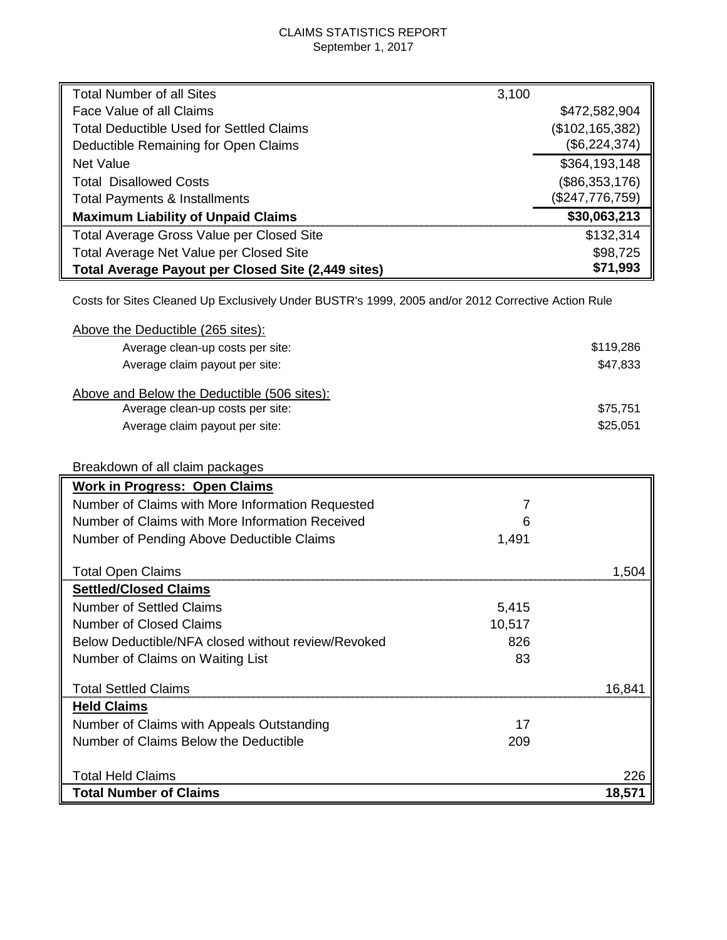## CLAIMS STATISTICS REPORT September 1, 2017

| <b>Total Number of all Sites</b>                   | 3,100             |
|----------------------------------------------------|-------------------|
| Face Value of all Claims                           | \$472,582,904     |
| <b>Total Deductible Used for Settled Claims</b>    | (\$102, 165, 382) |
| Deductible Remaining for Open Claims               | (\$6,224,374)     |
| <b>Net Value</b>                                   | \$364,193,148     |
| <b>Total Disallowed Costs</b>                      | (\$86,353,176)    |
| <b>Total Payments &amp; Installments</b>           | (\$247,776,759)   |
| <b>Maximum Liability of Unpaid Claims</b>          | \$30,063,213      |
| Total Average Gross Value per Closed Site          | \$132,314         |
| Total Average Net Value per Closed Site            | \$98,725          |
| Total Average Payout per Closed Site (2,449 sites) | \$71,993          |

Costs for Sites Cleaned Up Exclusively Under BUSTR's 1999, 2005 and/or 2012 Corrective Action Rule

| Above the Deductible (265 sites):           |           |
|---------------------------------------------|-----------|
| Average clean-up costs per site:            | \$119,286 |
| Average claim payout per site:              | \$47,833  |
| Above and Below the Deductible (506 sites): |           |
| Average clean-up costs per site:            | \$75,751  |
| Average claim payout per site:              | \$25,051  |
|                                             |           |
| Breakdown of all claim packages             |           |
| <b>Work in Progress: Open Claims</b>        |           |

| WORK In Progress: Open Claims                      |        |        |
|----------------------------------------------------|--------|--------|
| Number of Claims with More Information Requested   |        |        |
| Number of Claims with More Information Received    | 6      |        |
| Number of Pending Above Deductible Claims          | 1,491  |        |
| <b>Total Open Claims</b>                           |        | 1.504  |
| <b>Settled/Closed Claims</b>                       |        |        |
|                                                    |        |        |
| <b>Number of Settled Claims</b>                    | 5,415  |        |
| <b>Number of Closed Claims</b>                     | 10,517 |        |
| Below Deductible/NFA closed without review/Revoked | 826    |        |
| Number of Claims on Waiting List                   | 83     |        |
| <b>Total Settled Claims</b>                        |        | 16.841 |
| <b>Held Claims</b>                                 |        |        |
| Number of Claims with Appeals Outstanding          | 17     |        |
| Number of Claims Below the Deductible              | 209    |        |
|                                                    |        |        |
| <b>Total Held Claims</b>                           |        | 226    |
| <b>Total Number of Claims</b>                      |        | 18,571 |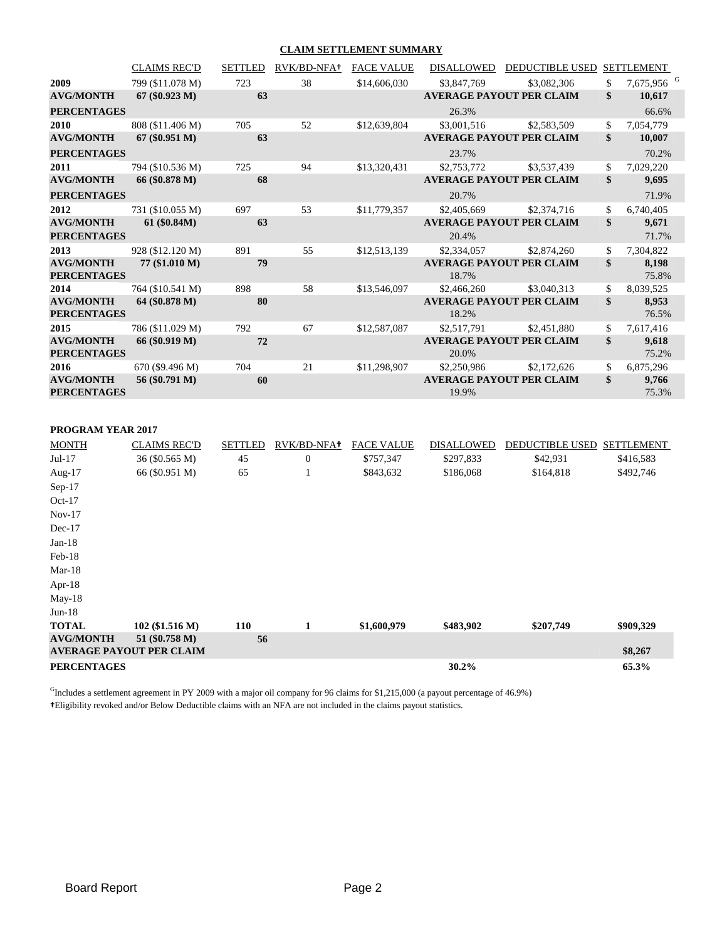#### **CLAIM SETTLEMENT SUMMARY**

|                                        | <b>CLAIMS REC'D</b> | <b>SETTLED</b> | RVK/BD-NFA+    | <b>FACE VALUE</b> | <b>DISALLOWED</b> | <b>DEDUCTIBLE USED</b>          | <b>SETTLEMENT</b>            |
|----------------------------------------|---------------------|----------------|----------------|-------------------|-------------------|---------------------------------|------------------------------|
| 2009                                   | 799 (\$11.078 M)    | 723            | 38             | \$14,606,030      | \$3,847,769       | \$3,082,306                     | \$<br>7,675,956 <sup>G</sup> |
| <b>AVG/MONTH</b>                       | $67 (\$0.923 M)$    | 63             |                |                   |                   | <b>AVERAGE PAYOUT PER CLAIM</b> | \$<br>10,617                 |
| <b>PERCENTAGES</b>                     |                     |                |                |                   | 26.3%             |                                 | 66.6%                        |
| 2010                                   | 808 (\$11.406 M)    | 705            | 52             | \$12,639,804      | \$3,001,516       | \$2,583,509                     | \$<br>7,054,779              |
| <b>AVG/MONTH</b>                       | $67 (\$0.951 M)$    | 63             |                |                   |                   | <b>AVERAGE PAYOUT PER CLAIM</b> | \$<br>10,007                 |
| <b>PERCENTAGES</b>                     |                     |                |                |                   | 23.7%             |                                 | 70.2%                        |
| 2011                                   | 794 (\$10.536 M)    | 725            | 94             | \$13,320,431      | \$2,753,772       | \$3,537,439                     | \$<br>7,029,220              |
| <b>AVG/MONTH</b>                       | 66 (\$0.878 M)      | 68             |                |                   |                   | <b>AVERAGE PAYOUT PER CLAIM</b> | \$<br>9,695                  |
| <b>PERCENTAGES</b>                     |                     |                |                |                   | 20.7%             |                                 | 71.9%                        |
| 2012                                   | 731 (\$10.055 M)    | 697            | 53             | \$11,779,357      | \$2,405,669       | \$2,374,716                     | \$<br>6,740,405              |
| <b>AVG/MONTH</b>                       | 61 (\$0.84M)        | 63             |                |                   |                   | <b>AVERAGE PAYOUT PER CLAIM</b> | \$<br>9,671                  |
| <b>PERCENTAGES</b>                     |                     |                |                |                   | 20.4%             |                                 | 71.7%                        |
| 2013                                   | 928 (\$12.120 M)    | 891            | 55             | \$12,513,139      | \$2,334,057       | \$2,874,260                     | \$<br>7,304,822              |
| <b>AVG/MONTH</b>                       | 77 (\$1.010 M)      | 79             |                |                   |                   | <b>AVERAGE PAYOUT PER CLAIM</b> | \$<br>8,198                  |
| <b>PERCENTAGES</b>                     |                     |                |                |                   | 18.7%             |                                 | 75.8%                        |
| 2014                                   | 764 (\$10.541 M)    | 898            | 58             | \$13,546,097      | \$2,466,260       | \$3,040,313                     | \$<br>8,039,525              |
| <b>AVG/MONTH</b><br><b>PERCENTAGES</b> | 64 (\$0.878 M)      | 80             |                |                   | 18.2%             | <b>AVERAGE PAYOUT PER CLAIM</b> | \$<br>8,953<br>76.5%         |
| 2015                                   | 786 (\$11.029 M)    | 792            | 67             | \$12,587,087      | \$2,517,791       | \$2,451,880                     | \$<br>7,617,416              |
| <b>AVG/MONTH</b><br><b>PERCENTAGES</b> | 66 (\$0.919 M)      | 72             |                |                   | 20.0%             | <b>AVERAGE PAYOUT PER CLAIM</b> | \$<br>9,618<br>75.2%         |
| 2016                                   | 670 (\$9.496 M)     | 704            | 21             | \$11,298,907      | \$2,250,986       | \$2,172,626                     | \$<br>6,875,296              |
| <b>AVG/MONTH</b><br><b>PERCENTAGES</b> | 56 (\$0.791 M)      | 60             |                |                   | 19.9%             | <b>AVERAGE PAYOUT PER CLAIM</b> | \$<br>9,766<br>75.3%         |
| PROGRAM YEAR 2017                      |                     |                |                |                   |                   |                                 |                              |
| <b>MONTH</b>                           | <b>CLAIMS REC'D</b> | <b>SETTLED</b> | RVK/BD-NFA+    | <b>FACE VALUE</b> | <b>DISALLOWED</b> | DEDUCTIBLE USED SETTLEMENT      |                              |
| $Jul-17$                               | 36 (\$0.565 M)      | 45             | $\overline{0}$ | \$757,347         | \$297,833         | \$42,931                        | \$416,583                    |

|                    |                                 | -------    |                |             |           |           |           |
|--------------------|---------------------------------|------------|----------------|-------------|-----------|-----------|-----------|
| $Jul-17$           | 36 (\$0.565 M)                  | 45         | $\overline{0}$ | \$757,347   | \$297,833 | \$42,931  | \$416,583 |
| Aug- $17$          | 66 (\$0.951 M)                  | 65         |                | \$843,632   | \$186,068 | \$164,818 | \$492,746 |
| $Sep-17$           |                                 |            |                |             |           |           |           |
| $Oct-17$           |                                 |            |                |             |           |           |           |
| $Nov-17$           |                                 |            |                |             |           |           |           |
| $Dec-17$           |                                 |            |                |             |           |           |           |
| $Jan-18$           |                                 |            |                |             |           |           |           |
| Feb-18             |                                 |            |                |             |           |           |           |
| $Mar-18$           |                                 |            |                |             |           |           |           |
| Apr- $18$          |                                 |            |                |             |           |           |           |
| $May-18$           |                                 |            |                |             |           |           |           |
| $Jun-18$           |                                 |            |                |             |           |           |           |
| <b>TOTAL</b>       | $102 (\$1.516 M)$               | <b>110</b> |                | \$1,600,979 | \$483,902 | \$207,749 | \$909,329 |
| <b>AVG/MONTH</b>   | 51 (\$0.758 M)                  | 56         |                |             |           |           |           |
|                    | <b>AVERAGE PAYOUT PER CLAIM</b> |            |                |             |           |           | \$8,267   |
| <b>PERCENTAGES</b> |                                 |            |                |             | 30.2%     |           | 65.3%     |

<sup>G</sup>Includes a settlement agreement in PY 2009 with a major oil company for 96 claims for \$1,215,000 (a payout percentage of 46.9%) **†**Eligibility revoked and/or Below Deductible claims with an NFA are not included in the claims payout statistics.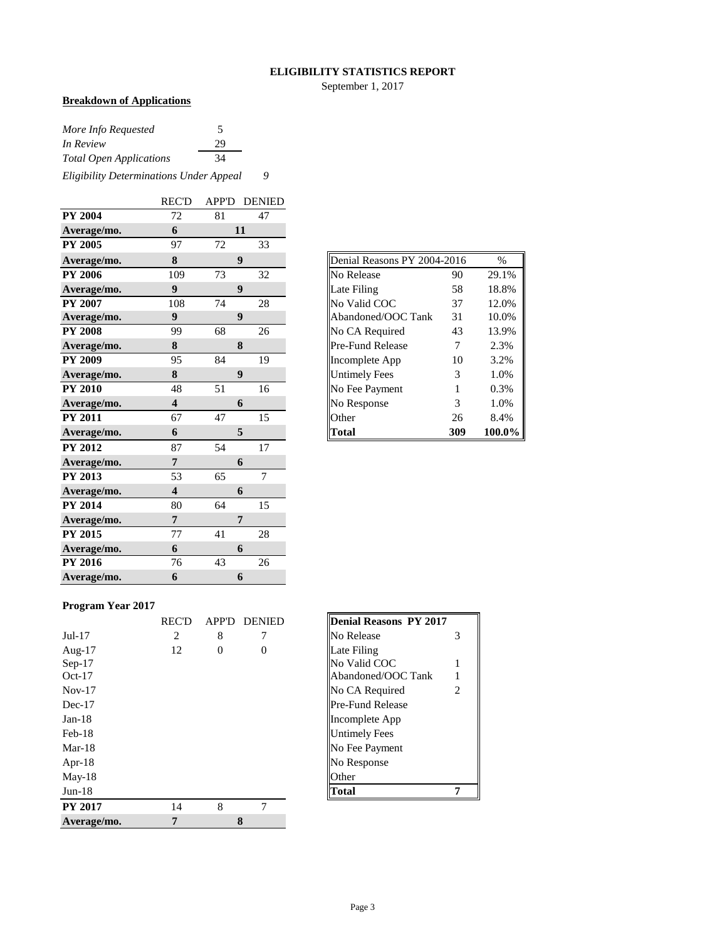#### **ELIGIBILITY STATISTICS REPORT**

September 1, 2017

## **Breakdown of Applications**

| More Info Requested                     | 5  |   |
|-----------------------------------------|----|---|
| <i>In Review</i>                        | 29 |   |
| <b>Total Open Applications</b>          | 34 |   |
| Eligibility Determinations Under Appeal |    | Q |

|                | <b>REC'D</b>            |    | <b>APP'D DENIED</b> |
|----------------|-------------------------|----|---------------------|
| <b>PY 2004</b> | 72                      | 81 | 47                  |
| Average/mo.    | 6                       |    | 11                  |
| <b>PY 2005</b> | 97                      | 72 | 33                  |
| Average/mo.    | 8                       |    | 9                   |
| <b>PY 2006</b> | 109                     | 73 | 32                  |
| Average/mo.    | $\boldsymbol{9}$        |    | $\boldsymbol{9}$    |
| <b>PY 2007</b> | 108                     | 74 | 28                  |
| Average/mo.    | 9                       |    | 9                   |
| <b>PY 2008</b> | 99                      | 68 | 26                  |
| Average/mo.    | 8                       |    | 8                   |
| <b>PY 2009</b> | 95                      | 84 | 19                  |
| Average/mo.    | 8                       |    | 9                   |
| <b>PY 2010</b> | 48                      | 51 | 16                  |
| Average/mo.    | $\overline{\mathbf{4}}$ |    | 6                   |
| <b>PY 2011</b> | 67                      | 47 | 15                  |
| Average/mo.    | 6                       |    | 5                   |
| <b>PY 2012</b> | 87                      | 54 | 17                  |
| Average/mo.    | 7                       |    | 6                   |
| <b>PY 2013</b> | 53                      | 65 | $\overline{7}$      |
| Average/mo.    | $\overline{\mathbf{4}}$ |    | 6                   |
| <b>PY 2014</b> | 80                      | 64 | 15                  |
| Average/mo.    | $\overline{7}$          |    | 7                   |
| <b>PY 2015</b> | 77                      | 41 | 28                  |
| Average/mo.    | 6                       |    | 6                   |
| <b>PY 2016</b> | 76                      | 43 | 26                  |
| Average/mo.    | 6                       |    | 6                   |

| Denial Reasons PY 2004-2016 |     | $\frac{0}{0}$ |
|-----------------------------|-----|---------------|
| No Release                  | 90  | 29.1%         |
| Late Filing                 | 58  | 18.8%         |
| No Valid COC                | 37  | 12.0%         |
| Abandoned/OOC Tank          | 31  | 10.0%         |
| No CA Required              | 43  | 13.9%         |
| Pre-Fund Release            | 7   | 2.3%          |
| Incomplete App              | 10  | 3.2%          |
| <b>Untimely Fees</b>        | 3   | 1.0%          |
| No Fee Payment              | 1   | 0.3%          |
| No Response                 | 3   | 1.0%          |
| Other                       | 26  | 8.4%          |
| Total                       | 309 | 100.0%        |

#### **Program Year 2017**

|                | <b>REC'D</b> | <b>APP'D</b> | <b>DENIED</b> | <b>Denial Reasons PY 2017</b> |
|----------------|--------------|--------------|---------------|-------------------------------|
| $Jul-17$       | 2            | 8            |               | No Release                    |
| Aug- $17$      | 12           | $\Omega$     | 0             | Late Filing                   |
| $Sep-17$       |              |              |               | No Valid COC                  |
| $Oct-17$       |              |              |               | Abandoned/OOC Tank            |
| $Nov-17$       |              |              |               | No CA Required                |
| $Dec-17$       |              |              |               | <b>Pre-Fund Release</b>       |
| $Jan-18$       |              |              |               | Incomplete App                |
| $Feb-18$       |              |              |               | <b>Untimely Fees</b>          |
| $Mar-18$       |              |              |               | No Fee Payment                |
| Apr- $18$      |              |              |               | No Response                   |
| $May-18$       |              |              |               | Other                         |
| $Jun-18$       |              |              |               | Total                         |
| <b>PY 2017</b> | 14           | 8            | 7             |                               |
| Average/mo.    | 7            |              | 8             |                               |

| <b>Denial Reasons PY 2017</b> |   |
|-------------------------------|---|
| No Release                    |   |
| Late Filing                   |   |
| No Valid COC                  |   |
| Abandoned/OOC Tank            |   |
| No CA Required                | 2 |
| Pre-Fund Release              |   |
| Incomplete App                |   |
| Untimely Fees                 |   |
| No Fee Payment                |   |
| No Response                   |   |
| Other                         |   |
| Fotal                         |   |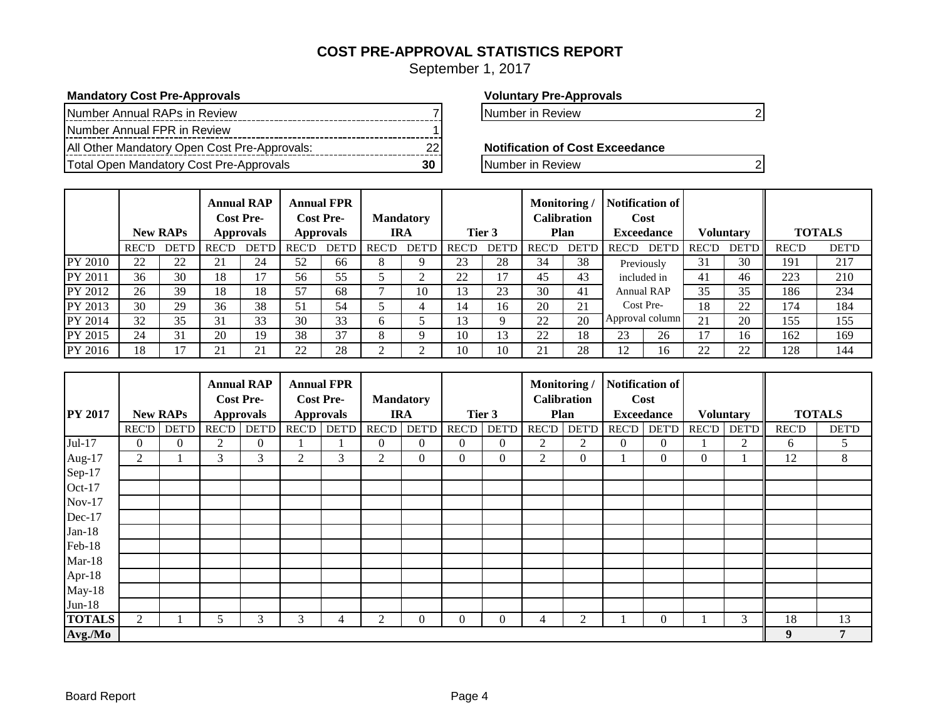## **COST PRE-APPROVAL STATISTICS REPORT**

September 1, 2017

#### **Mandatory Cost Pre-Approvals Voluntary Pre-Approvals**

| Number Annual RAPs in Review                 |  |
|----------------------------------------------|--|
| Number Annual FPR in Review                  |  |
| All Other Mandatory Open Cost Pre-Approvals: |  |
| Total Open Mandatory Cost Pre-Approvals      |  |

Number in Review 7 Number in Review 2

**Notification of Cost Exceedance** 

**The Pre-Approvalship Cost Pre-Approvals** 20 Number in Review 20

|                |              | <b>New RAPs</b> | <b>Annual RAP</b><br><b>Cost Pre-</b><br><b>Approvals</b> |              | <b>Annual FPR</b><br><b>Cost Pre-</b><br><b>Approvals</b> |              | <b>Mandatory</b><br><b>IRA</b> |              | Tier 3          |                | Monitoring<br>Calibration<br>Plan |              | Notification of<br>Cost<br><b>Exceedance</b> |                 | <b>Voluntary</b> |              |              | <b>TOTALS</b> |
|----------------|--------------|-----------------|-----------------------------------------------------------|--------------|-----------------------------------------------------------|--------------|--------------------------------|--------------|-----------------|----------------|-----------------------------------|--------------|----------------------------------------------|-----------------|------------------|--------------|--------------|---------------|
|                | <b>REC'D</b> | <b>DET'D</b>    | <b>REC'D</b>                                              | <b>DET'D</b> | <b>REC'D</b>                                              | <b>DET'D</b> | <b>REC'D</b>                   | <b>DET'D</b> | <b>REC'D</b>    | DET'D          | <b>REC'D</b>                      | <b>DET'D</b> | <b>REC'D</b>                                 | DET'D           | <b>REC'D</b>     | <b>DET'D</b> | <b>REC'D</b> | <b>DET'D</b>  |
| <b>PY 2010</b> | 22           | 22              | 21                                                        | 24           | 52                                                        | 66           | 8                              |              | 23              | 28             | 34                                | 38           |                                              | Previously      | 31               | 30           | 191          | 217           |
| PY 2011        | 36           | 30              | 18                                                        | 17           | 56                                                        | 55           |                                |              | 22              | $\overline{7}$ | 45                                | 43           | included in                                  |                 | 41               | 46           | 223          | 210           |
| PY 2012        | 26           | 39              | 18                                                        | 18           | 57                                                        | 68           |                                | 10           | 13              | 23             | 30                                | 41           |                                              | Annual RAP      | 35               | 35           | 186          | 234           |
| <b>PY 2013</b> | 30           | 29              | 36                                                        | 38           | 51                                                        | 54           |                                |              | 14              | 16             | 20                                | 21           | Cost Pre-                                    |                 | 18               | 22           | 174          | 184           |
| PY 2014        | 32           | 35              | 31                                                        | 33           | 30                                                        | 33           | <sub>0</sub>                   |              | $\overline{13}$ |                | 22                                | 20           |                                              | Approval column | 21               | 20           | 155          | 155           |
| PY 2015        | 24           | 31              | 20                                                        | 19           | 38                                                        | 37           | 8                              |              | 10              | 13             | 22                                | 18           | 23                                           | 26              | 17               | 16           | 162          | 169           |
| PY 2016        | 18           | 17              | 21                                                        | 21           | 22                                                        | 28           |                                |              | 10              | 10             | 21                                | 28           | 12                                           | 16              | 22               | 22           | 128          | 144           |

|                |              |                 |                | <b>Annual RAP</b>                    |              | <b>Annual FPR</b>                    |               |                                |              |              | Monitoring/    |                            |                | Notification of           |              |                  |              |               |
|----------------|--------------|-----------------|----------------|--------------------------------------|--------------|--------------------------------------|---------------|--------------------------------|--------------|--------------|----------------|----------------------------|----------------|---------------------------|--------------|------------------|--------------|---------------|
| <b>PY 2017</b> |              | <b>New RAPs</b> |                | <b>Cost Pre-</b><br><b>Approvals</b> |              | <b>Cost Pre-</b><br><b>Approvals</b> |               | <b>Mandatory</b><br><b>IRA</b> |              | Tier 3       |                | <b>Calibration</b><br>Plan |                | Cost<br><b>Exceedance</b> |              | <b>Voluntary</b> |              | <b>TOTALS</b> |
|                | <b>REC'D</b> | <b>DET'D</b>    | <b>REC'D</b>   | <b>DET'D</b>                         | <b>REC'D</b> | <b>DET'D</b>                         | <b>REC'D</b>  | <b>DET'D</b>                   | <b>REC'D</b> | <b>DET'D</b> | <b>REC'D</b>   | <b>DET'D</b>               | REC'D          | <b>DET'D</b>              | <b>REC'D</b> | <b>DET'D</b>     | <b>REC'D</b> | <b>DET'D</b>  |
| Jul-17         | 0            | $\overline{0}$  | $\overline{c}$ | $\overline{0}$                       |              |                                      | $\Omega$      | $\Omega$                       | $\Omega$     | $\Omega$     | $\overline{c}$ | 2                          | $\overline{0}$ | $\Omega$                  |              | 2                | 6            | 5             |
| Aug-17         | 2            |                 | 3              | 3                                    | 2            | 3                                    | 2             | $\Omega$                       | $\Omega$     | $\mathbf{0}$ | $\overline{2}$ | $\mathbf{0}$               |                | $\Omega$                  | $\Omega$     |                  | 12           | 8             |
| Sep-17         |              |                 |                |                                      |              |                                      |               |                                |              |              |                |                            |                |                           |              |                  |              |               |
| Oct-17         |              |                 |                |                                      |              |                                      |               |                                |              |              |                |                            |                |                           |              |                  |              |               |
| $Nov-17$       |              |                 |                |                                      |              |                                      |               |                                |              |              |                |                            |                |                           |              |                  |              |               |
| Dec-17         |              |                 |                |                                      |              |                                      |               |                                |              |              |                |                            |                |                           |              |                  |              |               |
| $Jan-18$       |              |                 |                |                                      |              |                                      |               |                                |              |              |                |                            |                |                           |              |                  |              |               |
| Feb-18         |              |                 |                |                                      |              |                                      |               |                                |              |              |                |                            |                |                           |              |                  |              |               |
| $Mar-18$       |              |                 |                |                                      |              |                                      |               |                                |              |              |                |                            |                |                           |              |                  |              |               |
| Apr-18         |              |                 |                |                                      |              |                                      |               |                                |              |              |                |                            |                |                           |              |                  |              |               |
| $May-18$       |              |                 |                |                                      |              |                                      |               |                                |              |              |                |                            |                |                           |              |                  |              |               |
| $Jun-18$       |              |                 |                |                                      |              |                                      |               |                                |              |              |                |                            |                |                           |              |                  |              |               |
| <b>TOTALS</b>  | 2            |                 | 5              | 3                                    | 3            |                                      | $\mathcal{P}$ | 0                              | U            | $\theta$     | 4              | 2                          |                | $\Omega$                  |              | 3                | 18           | 13            |
| Avg./Mo        |              |                 |                |                                      |              |                                      |               |                                |              |              |                |                            |                |                           |              |                  | 9            | 7             |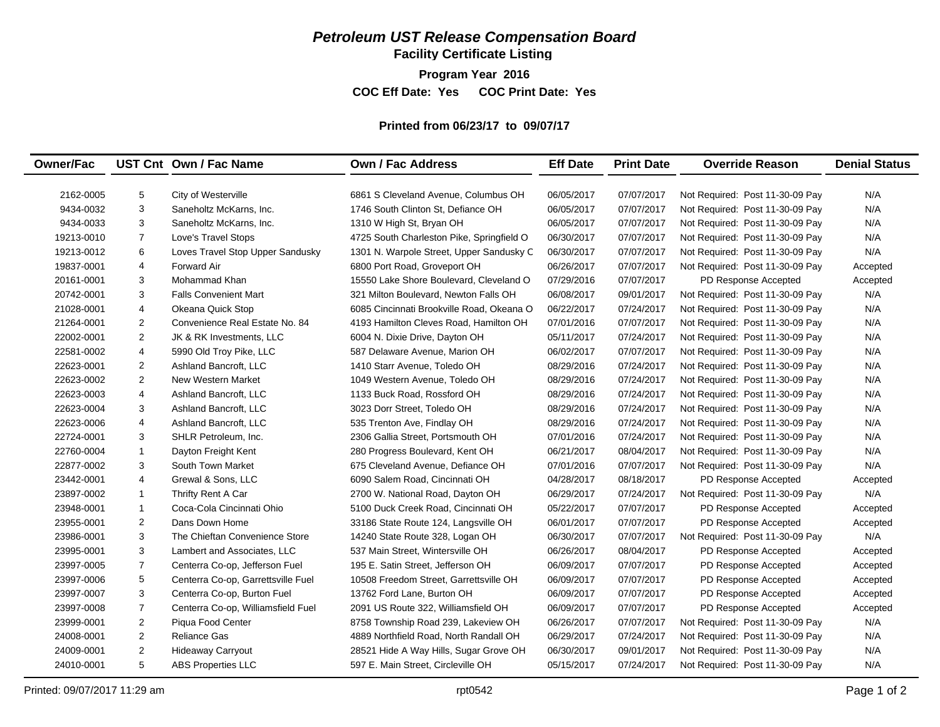## *Petroleum UST Release Compensation Board*

**Facility Certificate Listing**

**Program Year 2016**

**COC Eff Date: Yes COC Print Date: Yes** 

#### **Printed from 06/23/17 to 09/07/17**

| <b>Owner/Fac</b> |                | UST Cnt Own / Fac Name             | <b>Own / Fac Address</b>                  | <b>Eff Date</b> | <b>Print Date</b> | <b>Override Reason</b>          | <b>Denial Status</b> |
|------------------|----------------|------------------------------------|-------------------------------------------|-----------------|-------------------|---------------------------------|----------------------|
|                  |                |                                    |                                           |                 |                   |                                 |                      |
| 2162-0005        | 5              | City of Westerville                | 6861 S Cleveland Avenue, Columbus OH      | 06/05/2017      | 07/07/2017        | Not Required: Post 11-30-09 Pay | N/A                  |
| 9434-0032        | 3              | Saneholtz McKarns, Inc.            | 1746 South Clinton St. Defiance OH        | 06/05/2017      | 07/07/2017        | Not Required: Post 11-30-09 Pay | N/A                  |
| 9434-0033        | 3              | Saneholtz McKarns, Inc.            | 1310 W High St, Bryan OH                  | 06/05/2017      | 07/07/2017        | Not Required: Post 11-30-09 Pay | N/A                  |
| 19213-0010       | $\overline{7}$ | Love's Travel Stops                | 4725 South Charleston Pike, Springfield O | 06/30/2017      | 07/07/2017        | Not Required: Post 11-30-09 Pay | N/A                  |
| 19213-0012       | 6              | Loves Travel Stop Upper Sandusky   | 1301 N. Warpole Street, Upper Sandusky C  | 06/30/2017      | 07/07/2017        | Not Required: Post 11-30-09 Pay | N/A                  |
| 19837-0001       | $\overline{4}$ | <b>Forward Air</b>                 | 6800 Port Road, Groveport OH              | 06/26/2017      | 07/07/2017        | Not Required: Post 11-30-09 Pay | Accepted             |
| 20161-0001       | 3              | Mohammad Khan                      | 15550 Lake Shore Boulevard, Cleveland O   | 07/29/2016      | 07/07/2017        | PD Response Accepted            | Accepted             |
| 20742-0001       | 3              | <b>Falls Convenient Mart</b>       | 321 Milton Boulevard, Newton Falls OH     | 06/08/2017      | 09/01/2017        | Not Required: Post 11-30-09 Pay | N/A                  |
| 21028-0001       | $\overline{4}$ | Okeana Quick Stop                  | 6085 Cincinnati Brookville Road, Okeana O | 06/22/2017      | 07/24/2017        | Not Required: Post 11-30-09 Pay | N/A                  |
| 21264-0001       | $\overline{2}$ | Convenience Real Estate No. 84     | 4193 Hamilton Cleves Road, Hamilton OH    | 07/01/2016      | 07/07/2017        | Not Required: Post 11-30-09 Pay | N/A                  |
| 22002-0001       | $\overline{2}$ | JK & RK Investments, LLC           | 6004 N. Dixie Drive, Dayton OH            | 05/11/2017      | 07/24/2017        | Not Required: Post 11-30-09 Pay | N/A                  |
| 22581-0002       | $\overline{4}$ | 5990 Old Troy Pike, LLC            | 587 Delaware Avenue, Marion OH            | 06/02/2017      | 07/07/2017        | Not Required: Post 11-30-09 Pay | N/A                  |
| 22623-0001       | $\overline{2}$ | Ashland Bancroft, LLC              | 1410 Starr Avenue, Toledo OH              | 08/29/2016      | 07/24/2017        | Not Required: Post 11-30-09 Pay | N/A                  |
| 22623-0002       | 2              | New Western Market                 | 1049 Western Avenue. Toledo OH            | 08/29/2016      | 07/24/2017        | Not Required: Post 11-30-09 Pay | N/A                  |
| 22623-0003       | $\overline{4}$ | Ashland Bancroft, LLC              | 1133 Buck Road, Rossford OH               | 08/29/2016      | 07/24/2017        | Not Required: Post 11-30-09 Pay | N/A                  |
| 22623-0004       | 3              | Ashland Bancroft, LLC              | 3023 Dorr Street, Toledo OH               | 08/29/2016      | 07/24/2017        | Not Required: Post 11-30-09 Pay | N/A                  |
| 22623-0006       | $\overline{4}$ | Ashland Bancroft, LLC              | 535 Trenton Ave, Findlay OH               | 08/29/2016      | 07/24/2017        | Not Required: Post 11-30-09 Pay | N/A                  |
| 22724-0001       | 3              | SHLR Petroleum, Inc.               | 2306 Gallia Street, Portsmouth OH         | 07/01/2016      | 07/24/2017        | Not Required: Post 11-30-09 Pay | N/A                  |
| 22760-0004       | $\mathbf{1}$   | Dayton Freight Kent                | 280 Progress Boulevard, Kent OH           | 06/21/2017      | 08/04/2017        | Not Required: Post 11-30-09 Pay | N/A                  |
| 22877-0002       | 3              | South Town Market                  | 675 Cleveland Avenue, Defiance OH         | 07/01/2016      | 07/07/2017        | Not Required: Post 11-30-09 Pay | N/A                  |
| 23442-0001       | $\overline{4}$ | Grewal & Sons, LLC                 | 6090 Salem Road, Cincinnati OH            | 04/28/2017      | 08/18/2017        | PD Response Accepted            | Accepted             |
| 23897-0002       | $\mathbf{1}$   | Thrifty Rent A Car                 | 2700 W. National Road, Dayton OH          | 06/29/2017      | 07/24/2017        | Not Required: Post 11-30-09 Pay | N/A                  |
| 23948-0001       | $\mathbf{1}$   | Coca-Cola Cincinnati Ohio          | 5100 Duck Creek Road, Cincinnati OH       | 05/22/2017      | 07/07/2017        | PD Response Accepted            | Accepted             |
| 23955-0001       | 2              | Dans Down Home                     | 33186 State Route 124, Langsville OH      | 06/01/2017      | 07/07/2017        | PD Response Accepted            | Accepted             |
| 23986-0001       | 3              | The Chieftan Convenience Store     | 14240 State Route 328, Logan OH           | 06/30/2017      | 07/07/2017        | Not Required: Post 11-30-09 Pay | N/A                  |
| 23995-0001       | 3              | Lambert and Associates, LLC        | 537 Main Street, Wintersville OH          | 06/26/2017      | 08/04/2017        | PD Response Accepted            | Accepted             |
| 23997-0005       | $\overline{7}$ | Centerra Co-op, Jefferson Fuel     | 195 E. Satin Street, Jefferson OH         | 06/09/2017      | 07/07/2017        | PD Response Accepted            | Accepted             |
| 23997-0006       | 5              | Centerra Co-op, Garrettsville Fuel | 10508 Freedom Street, Garrettsville OH    | 06/09/2017      | 07/07/2017        | PD Response Accepted            | Accepted             |
| 23997-0007       | 3              | Centerra Co-op, Burton Fuel        | 13762 Ford Lane, Burton OH                | 06/09/2017      | 07/07/2017        | PD Response Accepted            | Accepted             |
| 23997-0008       | $\overline{7}$ | Centerra Co-op, Williamsfield Fuel | 2091 US Route 322, Williamsfield OH       | 06/09/2017      | 07/07/2017        | PD Response Accepted            | Accepted             |
| 23999-0001       | 2              | Piqua Food Center                  | 8758 Township Road 239, Lakeview OH       | 06/26/2017      | 07/07/2017        | Not Required: Post 11-30-09 Pay | N/A                  |
| 24008-0001       | 2              | <b>Reliance Gas</b>                | 4889 Northfield Road. North Randall OH    | 06/29/2017      | 07/24/2017        | Not Required: Post 11-30-09 Pay | N/A                  |
| 24009-0001       | $\overline{2}$ | Hideaway Carryout                  | 28521 Hide A Way Hills, Sugar Grove OH    | 06/30/2017      | 09/01/2017        | Not Required: Post 11-30-09 Pay | N/A                  |
| 24010-0001       | 5              | <b>ABS Properties LLC</b>          | 597 E. Main Street, Circleville OH        | 05/15/2017      | 07/24/2017        | Not Required: Post 11-30-09 Pay | N/A                  |
|                  |                |                                    |                                           |                 |                   |                                 |                      |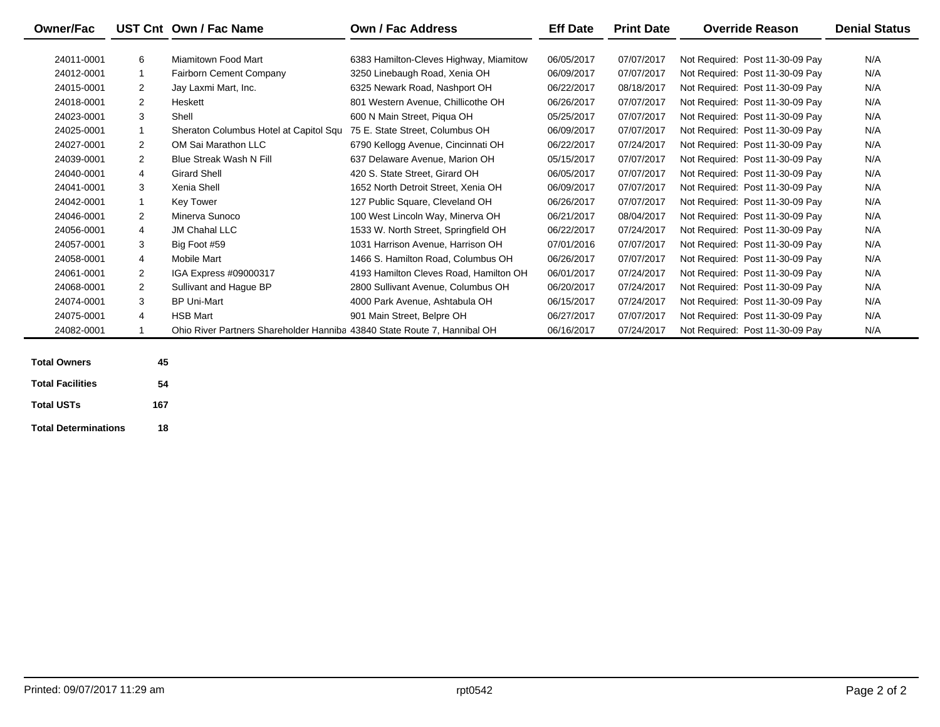| <b>Owner/Fac</b> |                | UST Cnt Own / Fac Name                                                   | Own / Fac Address                      | <b>Eff Date</b> | <b>Print Date</b> | <b>Override Reason</b>          | <b>Denial Status</b> |
|------------------|----------------|--------------------------------------------------------------------------|----------------------------------------|-----------------|-------------------|---------------------------------|----------------------|
|                  |                |                                                                          |                                        |                 |                   |                                 |                      |
| 24011-0001       | 6              | Miamitown Food Mart                                                      | 6383 Hamilton-Cleves Highway, Miamitow | 06/05/2017      | 07/07/2017        | Not Required: Post 11-30-09 Pay | N/A                  |
| 24012-0001       | $\mathbf{1}$   | <b>Fairborn Cement Company</b>                                           | 3250 Linebaugh Road, Xenia OH          | 06/09/2017      | 07/07/2017        | Not Required: Post 11-30-09 Pay | N/A                  |
| 24015-0001       | $\overline{2}$ | Jay Laxmi Mart, Inc.                                                     | 6325 Newark Road, Nashport OH          | 06/22/2017      | 08/18/2017        | Not Required: Post 11-30-09 Pay | N/A                  |
| 24018-0001       | $\overline{2}$ | Heskett                                                                  | 801 Western Avenue, Chillicothe OH     | 06/26/2017      | 07/07/2017        | Not Required: Post 11-30-09 Pay | N/A                  |
| 24023-0001       | 3              | Shell                                                                    | 600 N Main Street, Piqua OH            | 05/25/2017      | 07/07/2017        | Not Required: Post 11-30-09 Pay | N/A                  |
| 24025-0001       | $\mathbf{1}$   | Sheraton Columbus Hotel at Capitol Squ                                   | 75 E. State Street. Columbus OH        | 06/09/2017      | 07/07/2017        | Not Required: Post 11-30-09 Pay | N/A                  |
| 24027-0001       | 2              | OM Sai Marathon LLC                                                      | 6790 Kellogg Avenue, Cincinnati OH     | 06/22/2017      | 07/24/2017        | Not Required: Post 11-30-09 Pay | N/A                  |
| 24039-0001       | 2              | <b>Blue Streak Wash N Fill</b>                                           | 637 Delaware Avenue, Marion OH         | 05/15/2017      | 07/07/2017        | Not Required: Post 11-30-09 Pay | N/A                  |
| 24040-0001       | 4              | <b>Girard Shell</b>                                                      | 420 S. State Street. Girard OH         | 06/05/2017      | 07/07/2017        | Not Required: Post 11-30-09 Pay | N/A                  |
| 24041-0001       | 3              | Xenia Shell                                                              | 1652 North Detroit Street, Xenia OH    | 06/09/2017      | 07/07/2017        | Not Required: Post 11-30-09 Pay | N/A                  |
| 24042-0001       | $\mathbf{1}$   | Key Tower                                                                | 127 Public Square, Cleveland OH        | 06/26/2017      | 07/07/2017        | Not Required: Post 11-30-09 Pay | N/A                  |
| 24046-0001       | 2              | Minerva Sunoco                                                           | 100 West Lincoln Way, Minerva OH       | 06/21/2017      | 08/04/2017        | Not Required: Post 11-30-09 Pay | N/A                  |
| 24056-0001       | 4              | <b>JM Chahal LLC</b>                                                     | 1533 W. North Street, Springfield OH   | 06/22/2017      | 07/24/2017        | Not Required: Post 11-30-09 Pay | N/A                  |
| 24057-0001       | 3              | Big Foot #59                                                             | 1031 Harrison Avenue, Harrison OH      | 07/01/2016      | 07/07/2017        | Not Required: Post 11-30-09 Pay | N/A                  |
| 24058-0001       | 4              | Mobile Mart                                                              | 1466 S. Hamilton Road, Columbus OH     | 06/26/2017      | 07/07/2017        | Not Required: Post 11-30-09 Pay | N/A                  |
| 24061-0001       | 2              | IGA Express #09000317                                                    | 4193 Hamilton Cleves Road, Hamilton OH | 06/01/2017      | 07/24/2017        | Not Required: Post 11-30-09 Pay | N/A                  |
| 24068-0001       | $\overline{2}$ | Sullivant and Hague BP                                                   | 2800 Sullivant Avenue, Columbus OH     | 06/20/2017      | 07/24/2017        | Not Required: Post 11-30-09 Pay | N/A                  |
| 24074-0001       | 3              | <b>BP Uni-Mart</b>                                                       | 4000 Park Avenue. Ashtabula OH         | 06/15/2017      | 07/24/2017        | Not Required: Post 11-30-09 Pay | N/A                  |
| 24075-0001       | 4              | <b>HSB Mart</b>                                                          | 901 Main Street, Belpre OH             | 06/27/2017      | 07/07/2017        | Not Required: Post 11-30-09 Pay | N/A                  |
| 24082-0001       | 1              | Ohio River Partners Shareholder Hanniba 43840 State Route 7, Hannibal OH |                                        | 06/16/2017      | 07/24/2017        | Not Required: Post 11-30-09 Pay | N/A                  |
|                  |                |                                                                          |                                        |                 |                   |                                 |                      |

| <b>Total Owners</b>         | 45  |
|-----------------------------|-----|
| <b>Total Facilities</b>     | 54  |
| <b>Total USTs</b>           | 167 |
| <b>Total Determinations</b> | 18  |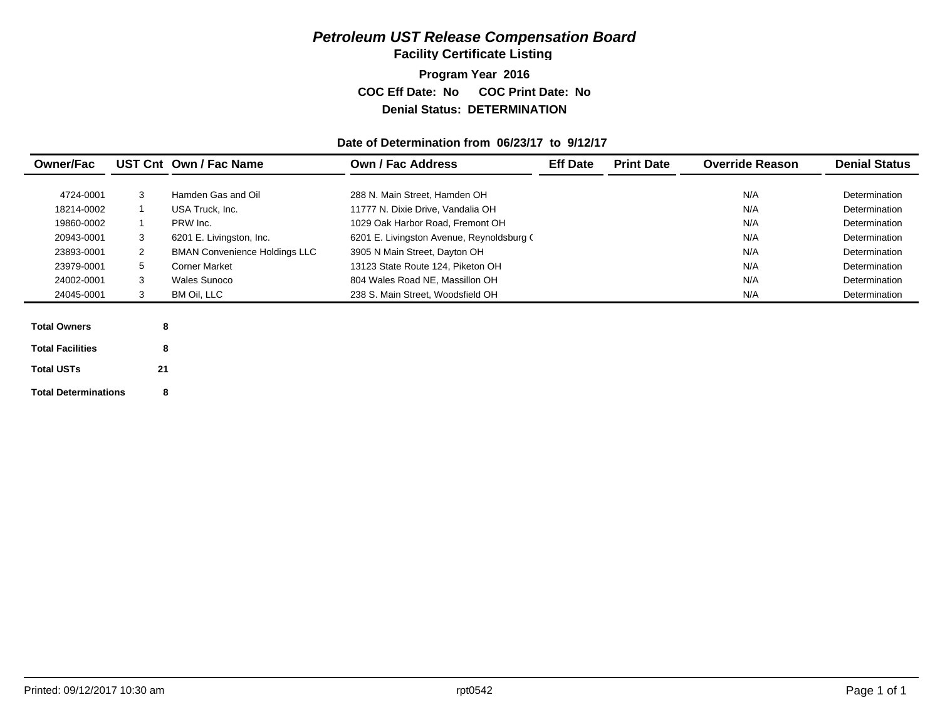## *Petroleum UST Release Compensation Board*

**Facility Certificate Listing**

**Program Year 2016 COC Eff Date: No COC Print Date: No Denial Status: DETERMINATION**

#### **Date of Determination from 06/23/17 to 9/12/17**

| <b>Owner/Fac</b>            |              | UST Cnt Own / Fac Name               | <b>Own / Fac Address</b>                  | <b>Eff Date</b> | <b>Print Date</b> | <b>Override Reason</b> | <b>Denial Status</b> |
|-----------------------------|--------------|--------------------------------------|-------------------------------------------|-----------------|-------------------|------------------------|----------------------|
|                             |              |                                      |                                           |                 |                   |                        |                      |
| 4724-0001                   | 3            | Hamden Gas and Oil                   | 288 N. Main Street, Hamden OH             |                 |                   | N/A                    | Determination        |
| 18214-0002                  |              | USA Truck, Inc.                      | 11777 N. Dixie Drive, Vandalia OH         |                 |                   | N/A                    | Determination        |
| 19860-0002                  |              | PRW Inc.                             | 1029 Oak Harbor Road, Fremont OH          |                 |                   | N/A                    | Determination        |
| 20943-0001                  | 3            | 6201 E. Livingston, Inc.             | 6201 E. Livingston Avenue, Reynoldsburg ( |                 |                   | N/A                    | Determination        |
| 23893-0001                  | $\mathbf{2}$ | <b>BMAN Convenience Holdings LLC</b> | 3905 N Main Street, Dayton OH             |                 |                   | N/A                    | Determination        |
| 23979-0001                  | 5            | <b>Corner Market</b>                 | 13123 State Route 124, Piketon OH         |                 |                   | N/A                    | Determination        |
| 24002-0001                  | 3            | <b>Wales Sunoco</b>                  | 804 Wales Road NE, Massillon OH           |                 |                   | N/A                    | Determination        |
| 24045-0001                  | 3            | BM Oil, LLC                          | 238 S. Main Street, Woodsfield OH         |                 |                   | N/A                    | Determination        |
|                             |              |                                      |                                           |                 |                   |                        |                      |
| <b>Total Owners</b>         | 8            |                                      |                                           |                 |                   |                        |                      |
| <b>Total Facilities</b>     | 8            |                                      |                                           |                 |                   |                        |                      |
| <b>Total USTs</b>           | 21           |                                      |                                           |                 |                   |                        |                      |
| <b>Total Determinations</b> | 8            |                                      |                                           |                 |                   |                        |                      |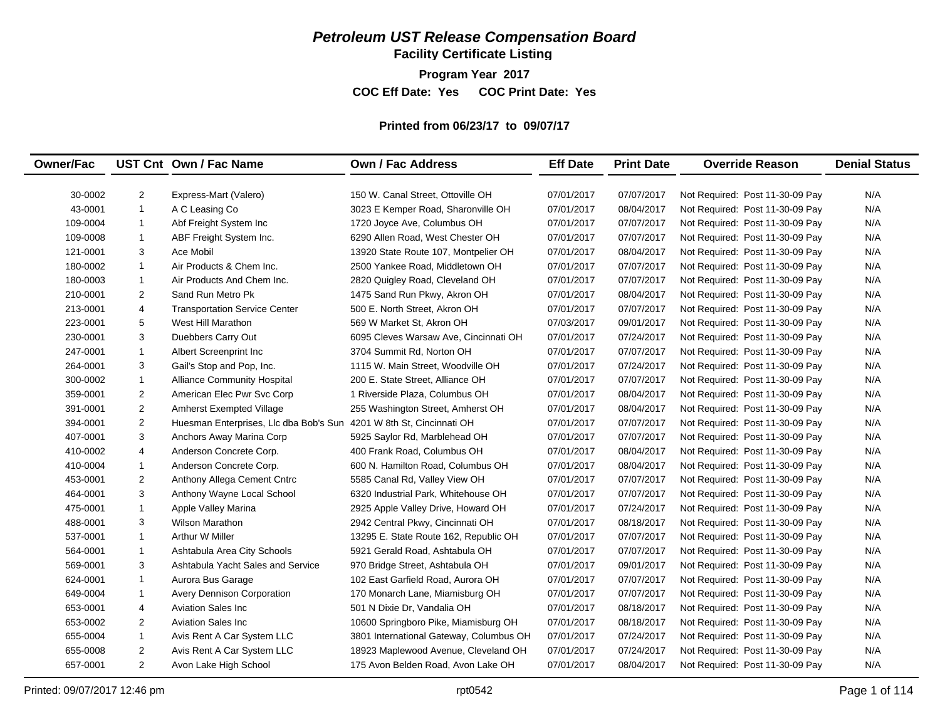## *Petroleum UST Release Compensation Board*

**Facility Certificate Listing**

**Program Year 2017**

**COC Eff Date: Yes COC Print Date: Yes** 

#### **Printed from 06/23/17 to 09/07/17**

| <b>Owner/Fac</b>                                                                             |                                                                                                              | UST Cnt Own / Fac Name                                                                                                                                                                                                                | <b>Own / Fac Address</b>                                                                                                                                                                                                                                                                                | <b>Eff Date</b>                                                                                              | <b>Print Date</b>                                                                                            | <b>Override Reason</b>                                                                                                                                                                                                                                                               | <b>Denial Status</b>                                 |
|----------------------------------------------------------------------------------------------|--------------------------------------------------------------------------------------------------------------|---------------------------------------------------------------------------------------------------------------------------------------------------------------------------------------------------------------------------------------|---------------------------------------------------------------------------------------------------------------------------------------------------------------------------------------------------------------------------------------------------------------------------------------------------------|--------------------------------------------------------------------------------------------------------------|--------------------------------------------------------------------------------------------------------------|--------------------------------------------------------------------------------------------------------------------------------------------------------------------------------------------------------------------------------------------------------------------------------------|------------------------------------------------------|
|                                                                                              |                                                                                                              |                                                                                                                                                                                                                                       |                                                                                                                                                                                                                                                                                                         |                                                                                                              |                                                                                                              |                                                                                                                                                                                                                                                                                      |                                                      |
| 30-0002                                                                                      | $\overline{c}$                                                                                               | Express-Mart (Valero)                                                                                                                                                                                                                 | 150 W. Canal Street, Ottoville OH                                                                                                                                                                                                                                                                       | 07/01/2017                                                                                                   | 07/07/2017                                                                                                   | Not Required: Post 11-30-09 Pay                                                                                                                                                                                                                                                      | N/A                                                  |
| 43-0001                                                                                      | $\mathbf{1}$                                                                                                 | A C Leasing Co                                                                                                                                                                                                                        | 3023 E Kemper Road, Sharonville OH                                                                                                                                                                                                                                                                      | 07/01/2017                                                                                                   | 08/04/2017                                                                                                   | Not Required: Post 11-30-09 Pay                                                                                                                                                                                                                                                      | N/A                                                  |
| 109-0004                                                                                     | $\mathbf{1}$                                                                                                 | Abf Freight System Inc                                                                                                                                                                                                                | 1720 Joyce Ave, Columbus OH                                                                                                                                                                                                                                                                             | 07/01/2017                                                                                                   | 07/07/2017                                                                                                   | Not Required: Post 11-30-09 Pay                                                                                                                                                                                                                                                      | N/A                                                  |
| 109-0008                                                                                     | $\mathbf{1}$                                                                                                 | ABF Freight System Inc.                                                                                                                                                                                                               | 6290 Allen Road, West Chester OH                                                                                                                                                                                                                                                                        | 07/01/2017                                                                                                   | 07/07/2017                                                                                                   | Not Required: Post 11-30-09 Pay                                                                                                                                                                                                                                                      | N/A                                                  |
| 121-0001                                                                                     | 3                                                                                                            | Ace Mobil                                                                                                                                                                                                                             | 13920 State Route 107, Montpelier OH                                                                                                                                                                                                                                                                    | 07/01/2017                                                                                                   | 08/04/2017                                                                                                   | Not Required: Post 11-30-09 Pay                                                                                                                                                                                                                                                      | N/A                                                  |
| 180-0002                                                                                     | $\mathbf{1}$                                                                                                 | Air Products & Chem Inc.                                                                                                                                                                                                              | 2500 Yankee Road, Middletown OH                                                                                                                                                                                                                                                                         | 07/01/2017                                                                                                   | 07/07/2017                                                                                                   | Not Required: Post 11-30-09 Pay                                                                                                                                                                                                                                                      | N/A                                                  |
| 180-0003                                                                                     | $\mathbf{1}$                                                                                                 | Air Products And Chem Inc.                                                                                                                                                                                                            | 2820 Quigley Road, Cleveland OH                                                                                                                                                                                                                                                                         | 07/01/2017                                                                                                   | 07/07/2017                                                                                                   | Not Required: Post 11-30-09 Pay                                                                                                                                                                                                                                                      | N/A                                                  |
| 210-0001                                                                                     | $\overline{2}$                                                                                               | Sand Run Metro Pk                                                                                                                                                                                                                     | 1475 Sand Run Pkwy, Akron OH                                                                                                                                                                                                                                                                            | 07/01/2017                                                                                                   | 08/04/2017                                                                                                   | Not Required: Post 11-30-09 Pay                                                                                                                                                                                                                                                      | N/A                                                  |
| 213-0001                                                                                     | 4                                                                                                            | <b>Transportation Service Center</b>                                                                                                                                                                                                  | 500 E. North Street, Akron OH                                                                                                                                                                                                                                                                           | 07/01/2017                                                                                                   | 07/07/2017                                                                                                   | Not Required: Post 11-30-09 Pay                                                                                                                                                                                                                                                      | N/A                                                  |
| 223-0001                                                                                     | 5                                                                                                            | West Hill Marathon                                                                                                                                                                                                                    | 569 W Market St, Akron OH                                                                                                                                                                                                                                                                               | 07/03/2017                                                                                                   | 09/01/2017                                                                                                   | Not Required: Post 11-30-09 Pay                                                                                                                                                                                                                                                      | N/A                                                  |
| 230-0001                                                                                     | 3                                                                                                            | Duebbers Carry Out                                                                                                                                                                                                                    | 6095 Cleves Warsaw Ave, Cincinnati OH                                                                                                                                                                                                                                                                   | 07/01/2017                                                                                                   | 07/24/2017                                                                                                   | Not Required: Post 11-30-09 Pay                                                                                                                                                                                                                                                      | N/A                                                  |
| 247-0001                                                                                     | $\mathbf{1}$                                                                                                 | Albert Screenprint Inc                                                                                                                                                                                                                | 3704 Summit Rd, Norton OH                                                                                                                                                                                                                                                                               | 07/01/2017                                                                                                   | 07/07/2017                                                                                                   | Not Required: Post 11-30-09 Pay                                                                                                                                                                                                                                                      | N/A                                                  |
| 264-0001                                                                                     | 3                                                                                                            | Gail's Stop and Pop, Inc.                                                                                                                                                                                                             | 1115 W. Main Street, Woodville OH                                                                                                                                                                                                                                                                       | 07/01/2017                                                                                                   | 07/24/2017                                                                                                   | Not Required: Post 11-30-09 Pay                                                                                                                                                                                                                                                      | N/A                                                  |
| 300-0002                                                                                     | $\mathbf{1}$                                                                                                 | Alliance Community Hospital                                                                                                                                                                                                           | 200 E. State Street. Alliance OH                                                                                                                                                                                                                                                                        | 07/01/2017                                                                                                   | 07/07/2017                                                                                                   | Not Required: Post 11-30-09 Pay                                                                                                                                                                                                                                                      | N/A                                                  |
| 359-0001                                                                                     | $\overline{2}$                                                                                               | American Elec Pwr Svc Corp                                                                                                                                                                                                            | 1 Riverside Plaza, Columbus OH                                                                                                                                                                                                                                                                          | 07/01/2017                                                                                                   | 08/04/2017                                                                                                   | Not Required: Post 11-30-09 Pay                                                                                                                                                                                                                                                      | N/A                                                  |
| 391-0001                                                                                     | $\overline{a}$                                                                                               | Amherst Exempted Village                                                                                                                                                                                                              | 255 Washington Street, Amherst OH                                                                                                                                                                                                                                                                       | 07/01/2017                                                                                                   | 08/04/2017                                                                                                   | Not Required: Post 11-30-09 Pay                                                                                                                                                                                                                                                      | N/A                                                  |
| 394-0001                                                                                     | $\overline{2}$                                                                                               | Huesman Enterprises, Llc dba Bob's Sun 4201 W 8th St, Cincinnati OH                                                                                                                                                                   |                                                                                                                                                                                                                                                                                                         | 07/01/2017                                                                                                   | 07/07/2017                                                                                                   | Not Required: Post 11-30-09 Pay                                                                                                                                                                                                                                                      | N/A                                                  |
| 407-0001                                                                                     | 3                                                                                                            | Anchors Away Marina Corp                                                                                                                                                                                                              | 5925 Saylor Rd, Marblehead OH                                                                                                                                                                                                                                                                           | 07/01/2017                                                                                                   | 07/07/2017                                                                                                   | Not Required: Post 11-30-09 Pay                                                                                                                                                                                                                                                      | N/A                                                  |
| 410-0002                                                                                     | 4                                                                                                            | Anderson Concrete Corp.                                                                                                                                                                                                               | 400 Frank Road, Columbus OH                                                                                                                                                                                                                                                                             | 07/01/2017                                                                                                   | 08/04/2017                                                                                                   | Not Required: Post 11-30-09 Pay                                                                                                                                                                                                                                                      | N/A                                                  |
| 410-0004                                                                                     | $\mathbf{1}$                                                                                                 | Anderson Concrete Corp.                                                                                                                                                                                                               | 600 N. Hamilton Road, Columbus OH                                                                                                                                                                                                                                                                       | 07/01/2017                                                                                                   | 08/04/2017                                                                                                   | Not Required: Post 11-30-09 Pay                                                                                                                                                                                                                                                      | N/A                                                  |
| 453-0001                                                                                     | 2                                                                                                            | Anthony Allega Cement Cntrc                                                                                                                                                                                                           | 5585 Canal Rd, Valley View OH                                                                                                                                                                                                                                                                           | 07/01/2017                                                                                                   | 07/07/2017                                                                                                   | Not Required: Post 11-30-09 Pay                                                                                                                                                                                                                                                      | N/A                                                  |
| 464-0001                                                                                     | 3                                                                                                            | Anthony Wayne Local School                                                                                                                                                                                                            | 6320 Industrial Park, Whitehouse OH                                                                                                                                                                                                                                                                     | 07/01/2017                                                                                                   | 07/07/2017                                                                                                   | Not Required: Post 11-30-09 Pay                                                                                                                                                                                                                                                      | N/A                                                  |
| 475-0001                                                                                     | $\mathbf{1}$                                                                                                 | Apple Valley Marina                                                                                                                                                                                                                   | 2925 Apple Valley Drive, Howard OH                                                                                                                                                                                                                                                                      | 07/01/2017                                                                                                   | 07/24/2017                                                                                                   | Not Required: Post 11-30-09 Pay                                                                                                                                                                                                                                                      | N/A                                                  |
| 488-0001                                                                                     | 3                                                                                                            | <b>Wilson Marathon</b>                                                                                                                                                                                                                | 2942 Central Pkwy, Cincinnati OH                                                                                                                                                                                                                                                                        | 07/01/2017                                                                                                   | 08/18/2017                                                                                                   | Not Required: Post 11-30-09 Pay                                                                                                                                                                                                                                                      | N/A                                                  |
| 537-0001                                                                                     | $\mathbf{1}$                                                                                                 | <b>Arthur W Miller</b>                                                                                                                                                                                                                | 13295 E. State Route 162, Republic OH                                                                                                                                                                                                                                                                   | 07/01/2017                                                                                                   | 07/07/2017                                                                                                   | Not Required: Post 11-30-09 Pay                                                                                                                                                                                                                                                      | N/A                                                  |
| 564-0001                                                                                     | $\mathbf{1}$                                                                                                 | Ashtabula Area City Schools                                                                                                                                                                                                           | 5921 Gerald Road, Ashtabula OH                                                                                                                                                                                                                                                                          | 07/01/2017                                                                                                   | 07/07/2017                                                                                                   | Not Required: Post 11-30-09 Pay                                                                                                                                                                                                                                                      | N/A                                                  |
|                                                                                              |                                                                                                              |                                                                                                                                                                                                                                       |                                                                                                                                                                                                                                                                                                         |                                                                                                              |                                                                                                              |                                                                                                                                                                                                                                                                                      |                                                      |
|                                                                                              |                                                                                                              |                                                                                                                                                                                                                                       |                                                                                                                                                                                                                                                                                                         |                                                                                                              |                                                                                                              |                                                                                                                                                                                                                                                                                      |                                                      |
|                                                                                              |                                                                                                              |                                                                                                                                                                                                                                       |                                                                                                                                                                                                                                                                                                         |                                                                                                              |                                                                                                              |                                                                                                                                                                                                                                                                                      |                                                      |
|                                                                                              |                                                                                                              |                                                                                                                                                                                                                                       |                                                                                                                                                                                                                                                                                                         |                                                                                                              |                                                                                                              |                                                                                                                                                                                                                                                                                      |                                                      |
|                                                                                              |                                                                                                              |                                                                                                                                                                                                                                       |                                                                                                                                                                                                                                                                                                         |                                                                                                              |                                                                                                              |                                                                                                                                                                                                                                                                                      |                                                      |
|                                                                                              |                                                                                                              |                                                                                                                                                                                                                                       |                                                                                                                                                                                                                                                                                                         |                                                                                                              |                                                                                                              |                                                                                                                                                                                                                                                                                      |                                                      |
|                                                                                              |                                                                                                              |                                                                                                                                                                                                                                       |                                                                                                                                                                                                                                                                                                         |                                                                                                              |                                                                                                              |                                                                                                                                                                                                                                                                                      |                                                      |
|                                                                                              |                                                                                                              |                                                                                                                                                                                                                                       |                                                                                                                                                                                                                                                                                                         |                                                                                                              |                                                                                                              |                                                                                                                                                                                                                                                                                      |                                                      |
| 569-0001<br>624-0001<br>649-0004<br>653-0001<br>653-0002<br>655-0004<br>655-0008<br>657-0001 | 3<br>$\mathbf{1}$<br>$\mathbf{1}$<br>4<br>$\overline{2}$<br>$\mathbf{1}$<br>$\overline{2}$<br>$\overline{2}$ | Ashtabula Yacht Sales and Service<br>Aurora Bus Garage<br>Avery Dennison Corporation<br><b>Aviation Sales Inc.</b><br><b>Aviation Sales Inc.</b><br>Avis Rent A Car System LLC<br>Avis Rent A Car System LLC<br>Avon Lake High School | 970 Bridge Street, Ashtabula OH<br>102 East Garfield Road, Aurora OH<br>170 Monarch Lane, Miamisburg OH<br>501 N Dixie Dr, Vandalia OH<br>10600 Springboro Pike, Miamisburg OH<br>3801 International Gateway, Columbus OH<br>18923 Maplewood Avenue, Cleveland OH<br>175 Avon Belden Road, Avon Lake OH | 07/01/2017<br>07/01/2017<br>07/01/2017<br>07/01/2017<br>07/01/2017<br>07/01/2017<br>07/01/2017<br>07/01/2017 | 09/01/2017<br>07/07/2017<br>07/07/2017<br>08/18/2017<br>08/18/2017<br>07/24/2017<br>07/24/2017<br>08/04/2017 | Not Required: Post 11-30-09 Pay<br>Not Required: Post 11-30-09 Pay<br>Not Required: Post 11-30-09 Pay<br>Not Required: Post 11-30-09 Pay<br>Not Required: Post 11-30-09 Pay<br>Not Required: Post 11-30-09 Pay<br>Not Required: Post 11-30-09 Pay<br>Not Required: Post 11-30-09 Pay | N/A<br>N/A<br>N/A<br>N/A<br>N/A<br>N/A<br>N/A<br>N/A |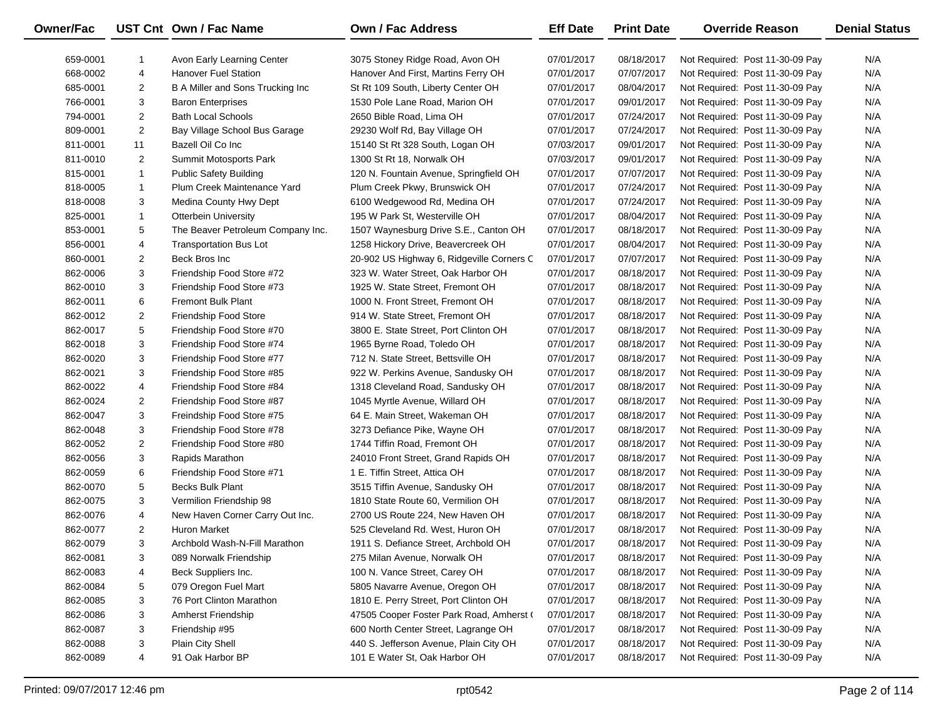| <b>Owner/Fac</b> |                | UST Cnt Own / Fac Name            | <b>Own / Fac Address</b>                  | <b>Eff Date</b> | <b>Print Date</b> | <b>Override Reason</b>          | <b>Denial Status</b> |
|------------------|----------------|-----------------------------------|-------------------------------------------|-----------------|-------------------|---------------------------------|----------------------|
| 659-0001         | 1              | Avon Early Learning Center        | 3075 Stoney Ridge Road, Avon OH           | 07/01/2017      | 08/18/2017        | Not Required: Post 11-30-09 Pay | N/A                  |
| 668-0002         | 4              | <b>Hanover Fuel Station</b>       | Hanover And First, Martins Ferry OH       | 07/01/2017      | 07/07/2017        | Not Required: Post 11-30-09 Pay | N/A                  |
| 685-0001         | $\overline{c}$ | B A Miller and Sons Trucking Inc  | St Rt 109 South, Liberty Center OH        | 07/01/2017      | 08/04/2017        | Not Required: Post 11-30-09 Pay | N/A                  |
| 766-0001         | 3              | <b>Baron Enterprises</b>          | 1530 Pole Lane Road, Marion OH            | 07/01/2017      | 09/01/2017        | Not Required: Post 11-30-09 Pay | N/A                  |
| 794-0001         | $\overline{2}$ | <b>Bath Local Schools</b>         | 2650 Bible Road, Lima OH                  | 07/01/2017      | 07/24/2017        | Not Required: Post 11-30-09 Pay | N/A                  |
| 809-0001         | $\overline{c}$ | Bay Village School Bus Garage     | 29230 Wolf Rd, Bay Village OH             | 07/01/2017      | 07/24/2017        | Not Required: Post 11-30-09 Pay | N/A                  |
| 811-0001         | 11             | Bazell Oil Co Inc                 | 15140 St Rt 328 South, Logan OH           | 07/03/2017      | 09/01/2017        | Not Required: Post 11-30-09 Pay | N/A                  |
| 811-0010         | $\overline{2}$ | Summit Motosports Park            | 1300 St Rt 18, Norwalk OH                 | 07/03/2017      | 09/01/2017        | Not Required: Post 11-30-09 Pay | N/A                  |
| 815-0001         | $\mathbf{1}$   | <b>Public Safety Building</b>     | 120 N. Fountain Avenue, Springfield OH    | 07/01/2017      | 07/07/2017        | Not Required: Post 11-30-09 Pay | N/A                  |
| 818-0005         | $\mathbf{1}$   | Plum Creek Maintenance Yard       | Plum Creek Pkwy, Brunswick OH             | 07/01/2017      | 07/24/2017        | Not Required: Post 11-30-09 Pay | N/A                  |
| 818-0008         | 3              | Medina County Hwy Dept            | 6100 Wedgewood Rd, Medina OH              | 07/01/2017      | 07/24/2017        | Not Required: Post 11-30-09 Pay | N/A                  |
| 825-0001         | $\mathbf{1}$   | Otterbein University              | 195 W Park St, Westerville OH             | 07/01/2017      | 08/04/2017        | Not Required: Post 11-30-09 Pay | N/A                  |
| 853-0001         | 5              | The Beaver Petroleum Company Inc. | 1507 Waynesburg Drive S.E., Canton OH     | 07/01/2017      | 08/18/2017        | Not Required: Post 11-30-09 Pay | N/A                  |
| 856-0001         | 4              | <b>Transportation Bus Lot</b>     | 1258 Hickory Drive, Beavercreek OH        | 07/01/2017      | 08/04/2017        | Not Required: Post 11-30-09 Pay | N/A                  |
| 860-0001         | $\overline{2}$ | Beck Bros Inc                     | 20-902 US Highway 6, Ridgeville Corners C | 07/01/2017      | 07/07/2017        | Not Required: Post 11-30-09 Pay | N/A                  |
| 862-0006         | 3              | Friendship Food Store #72         | 323 W. Water Street, Oak Harbor OH        | 07/01/2017      | 08/18/2017        | Not Required: Post 11-30-09 Pay | N/A                  |
| 862-0010         | 3              | Friendship Food Store #73         | 1925 W. State Street, Fremont OH          | 07/01/2017      | 08/18/2017        | Not Required: Post 11-30-09 Pay | N/A                  |
| 862-0011         | 6              | <b>Fremont Bulk Plant</b>         | 1000 N. Front Street, Fremont OH          | 07/01/2017      | 08/18/2017        | Not Required: Post 11-30-09 Pay | N/A                  |
| 862-0012         | $\overline{2}$ | Friendship Food Store             | 914 W. State Street, Fremont OH           | 07/01/2017      | 08/18/2017        | Not Required: Post 11-30-09 Pay | N/A                  |
| 862-0017         | 5              | Friendship Food Store #70         | 3800 E. State Street, Port Clinton OH     | 07/01/2017      | 08/18/2017        | Not Required: Post 11-30-09 Pay | N/A                  |
| 862-0018         | 3              | Friendship Food Store #74         | 1965 Byrne Road, Toledo OH                | 07/01/2017      | 08/18/2017        | Not Required: Post 11-30-09 Pay | N/A                  |
| 862-0020         | 3              | Friendship Food Store #77         | 712 N. State Street, Bettsville OH        | 07/01/2017      | 08/18/2017        | Not Required: Post 11-30-09 Pay | N/A                  |
| 862-0021         | 3              | Friendship Food Store #85         | 922 W. Perkins Avenue, Sandusky OH        | 07/01/2017      | 08/18/2017        | Not Required: Post 11-30-09 Pay | N/A                  |
| 862-0022         | 4              | Friendship Food Store #84         | 1318 Cleveland Road, Sandusky OH          | 07/01/2017      | 08/18/2017        | Not Required: Post 11-30-09 Pay | N/A                  |
| 862-0024         | $\overline{c}$ | Friendship Food Store #87         | 1045 Myrtle Avenue, Willard OH            | 07/01/2017      | 08/18/2017        | Not Required: Post 11-30-09 Pay | N/A                  |
| 862-0047         | 3              | Freindship Food Store #75         | 64 E. Main Street, Wakeman OH             | 07/01/2017      | 08/18/2017        | Not Required: Post 11-30-09 Pay | N/A                  |
| 862-0048         | 3              | Friendship Food Store #78         | 3273 Defiance Pike, Wayne OH              | 07/01/2017      | 08/18/2017        | Not Required: Post 11-30-09 Pay | N/A                  |
| 862-0052         | $\overline{2}$ | Friendship Food Store #80         | 1744 Tiffin Road, Fremont OH              | 07/01/2017      | 08/18/2017        | Not Required: Post 11-30-09 Pay | N/A                  |
| 862-0056         | 3              | Rapids Marathon                   | 24010 Front Street, Grand Rapids OH       | 07/01/2017      | 08/18/2017        | Not Required: Post 11-30-09 Pay | N/A                  |
| 862-0059         | 6              | Friendship Food Store #71         | 1 E. Tiffin Street, Attica OH             | 07/01/2017      | 08/18/2017        | Not Required: Post 11-30-09 Pay | N/A                  |
| 862-0070         | 5              | <b>Becks Bulk Plant</b>           | 3515 Tiffin Avenue, Sandusky OH           | 07/01/2017      | 08/18/2017        | Not Required: Post 11-30-09 Pay | N/A                  |
| 862-0075         | 3              | Vermilion Friendship 98           | 1810 State Route 60, Vermilion OH         | 07/01/2017      | 08/18/2017        | Not Required: Post 11-30-09 Pay | N/A                  |
| 862-0076         | 4              | New Haven Corner Carry Out Inc.   | 2700 US Route 224, New Haven OH           | 07/01/2017      | 08/18/2017        | Not Required: Post 11-30-09 Pay | N/A                  |
| 862-0077         | $\overline{c}$ | <b>Huron Market</b>               | 525 Cleveland Rd. West, Huron OH          | 07/01/2017      | 08/18/2017        | Not Required: Post 11-30-09 Pay | N/A                  |
| 862-0079         | 3              | Archbold Wash-N-Fill Marathon     | 1911 S. Defiance Street, Archbold OH      | 07/01/2017      | 08/18/2017        | Not Required: Post 11-30-09 Pay | N/A                  |
| 862-0081         | 3              | 089 Norwalk Friendship            | 275 Milan Avenue, Norwalk OH              | 07/01/2017      | 08/18/2017        | Not Required: Post 11-30-09 Pay | N/A                  |
| 862-0083         | 4              | Beck Suppliers Inc.               | 100 N. Vance Street, Carey OH             | 07/01/2017      | 08/18/2017        | Not Required: Post 11-30-09 Pay | N/A                  |
| 862-0084         | 5              | 079 Oregon Fuel Mart              | 5805 Navarre Avenue, Oregon OH            | 07/01/2017      | 08/18/2017        | Not Required: Post 11-30-09 Pay | N/A                  |
| 862-0085         | 3              | 76 Port Clinton Marathon          | 1810 E. Perry Street, Port Clinton OH     | 07/01/2017      | 08/18/2017        | Not Required: Post 11-30-09 Pay | N/A                  |
| 862-0086         | 3              | Amherst Friendship                | 47505 Cooper Foster Park Road, Amherst (  | 07/01/2017      | 08/18/2017        | Not Required: Post 11-30-09 Pay | N/A                  |
| 862-0087         | 3              | Friendship #95                    | 600 North Center Street, Lagrange OH      | 07/01/2017      | 08/18/2017        | Not Required: Post 11-30-09 Pay | N/A                  |
| 862-0088         | 3              | Plain City Shell                  | 440 S. Jefferson Avenue, Plain City OH    | 07/01/2017      | 08/18/2017        | Not Required: Post 11-30-09 Pay | N/A                  |
| 862-0089         | 4              | 91 Oak Harbor BP                  | 101 E Water St, Oak Harbor OH             | 07/01/2017      | 08/18/2017        | Not Required: Post 11-30-09 Pay | N/A                  |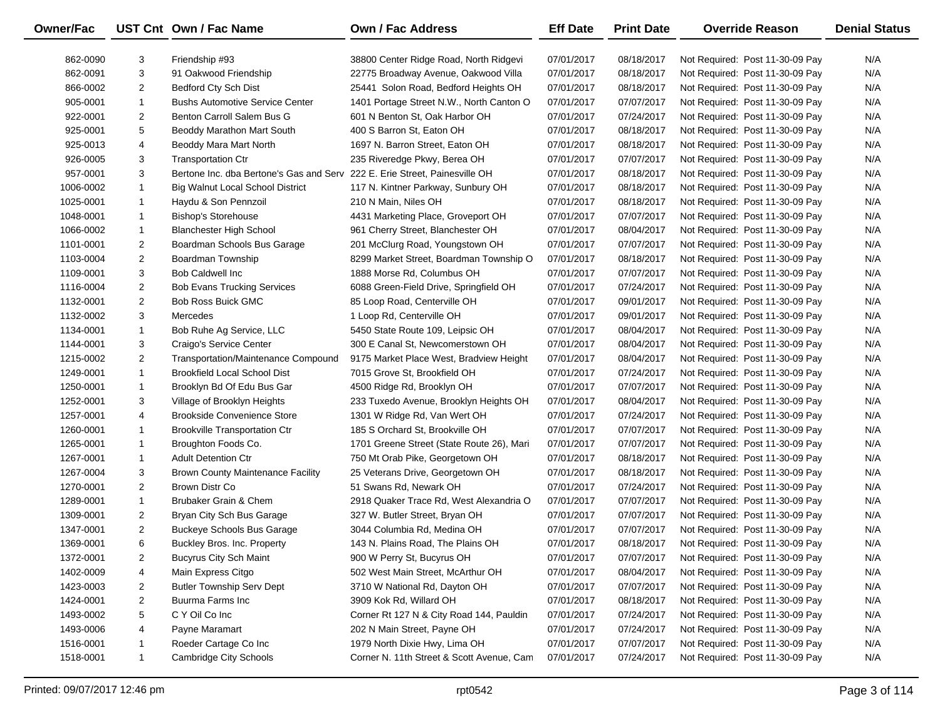| Owner/Fac |                | UST Cnt Own / Fac Name                                                     | <b>Own / Fac Address</b>                  | <b>Eff Date</b> | <b>Print Date</b> | <b>Override Reason</b>          | <b>Denial Status</b> |
|-----------|----------------|----------------------------------------------------------------------------|-------------------------------------------|-----------------|-------------------|---------------------------------|----------------------|
| 862-0090  | 3              | Friendship #93                                                             | 38800 Center Ridge Road, North Ridgevi    | 07/01/2017      | 08/18/2017        | Not Required: Post 11-30-09 Pay | N/A                  |
| 862-0091  | 3              | 91 Oakwood Friendship                                                      | 22775 Broadway Avenue, Oakwood Villa      | 07/01/2017      | 08/18/2017        | Not Required: Post 11-30-09 Pay | N/A                  |
| 866-0002  | $\overline{2}$ | Bedford Cty Sch Dist                                                       | 25441 Solon Road, Bedford Heights OH      | 07/01/2017      | 08/18/2017        | Not Required: Post 11-30-09 Pay | N/A                  |
| 905-0001  | $\mathbf{1}$   | <b>Bushs Automotive Service Center</b>                                     | 1401 Portage Street N.W., North Canton O  | 07/01/2017      | 07/07/2017        | Not Required: Post 11-30-09 Pay | N/A                  |
| 922-0001  | $\overline{2}$ | Benton Carroll Salem Bus G                                                 | 601 N Benton St, Oak Harbor OH            | 07/01/2017      | 07/24/2017        | Not Required: Post 11-30-09 Pay | N/A                  |
| 925-0001  | 5              | Beoddy Marathon Mart South                                                 | 400 S Barron St, Eaton OH                 | 07/01/2017      | 08/18/2017        | Not Required: Post 11-30-09 Pay | N/A                  |
| 925-0013  | 4              | Beoddy Mara Mart North                                                     | 1697 N. Barron Street, Eaton OH           | 07/01/2017      | 08/18/2017        | Not Required: Post 11-30-09 Pay | N/A                  |
| 926-0005  | 3              | <b>Transportation Ctr</b>                                                  | 235 Riveredge Pkwy, Berea OH              | 07/01/2017      | 07/07/2017        | Not Required: Post 11-30-09 Pay | N/A                  |
| 957-0001  | 3              | Bertone Inc. dba Bertone's Gas and Serv 222 E. Erie Street, Painesville OH |                                           | 07/01/2017      | 08/18/2017        | Not Required: Post 11-30-09 Pay | N/A                  |
| 1006-0002 | $\mathbf{1}$   | <b>Big Walnut Local School District</b>                                    | 117 N. Kintner Parkway, Sunbury OH        | 07/01/2017      | 08/18/2017        | Not Required: Post 11-30-09 Pay | N/A                  |
| 1025-0001 | $\mathbf{1}$   | Haydu & Son Pennzoil                                                       | 210 N Main, Niles OH                      | 07/01/2017      | 08/18/2017        | Not Required: Post 11-30-09 Pay | N/A                  |
| 1048-0001 | $\mathbf{1}$   | <b>Bishop's Storehouse</b>                                                 | 4431 Marketing Place, Groveport OH        | 07/01/2017      | 07/07/2017        | Not Required: Post 11-30-09 Pay | N/A                  |
| 1066-0002 | $\mathbf{1}$   | <b>Blanchester High School</b>                                             | 961 Cherry Street, Blanchester OH         | 07/01/2017      | 08/04/2017        | Not Required: Post 11-30-09 Pay | N/A                  |
| 1101-0001 | $\overline{c}$ | Boardman Schools Bus Garage                                                | 201 McClurg Road, Youngstown OH           | 07/01/2017      | 07/07/2017        | Not Required: Post 11-30-09 Pay | N/A                  |
| 1103-0004 | $\overline{2}$ | Boardman Township                                                          | 8299 Market Street, Boardman Township O   | 07/01/2017      | 08/18/2017        | Not Required: Post 11-30-09 Pay | N/A                  |
| 1109-0001 | 3              | <b>Bob Caldwell Inc</b>                                                    | 1888 Morse Rd, Columbus OH                | 07/01/2017      | 07/07/2017        | Not Required: Post 11-30-09 Pay | N/A                  |
| 1116-0004 | $\overline{c}$ | <b>Bob Evans Trucking Services</b>                                         | 6088 Green-Field Drive, Springfield OH    | 07/01/2017      | 07/24/2017        | Not Required: Post 11-30-09 Pay | N/A                  |
| 1132-0001 | $\overline{c}$ | <b>Bob Ross Buick GMC</b>                                                  | 85 Loop Road, Centerville OH              | 07/01/2017      | 09/01/2017        | Not Required: Post 11-30-09 Pay | N/A                  |
| 1132-0002 | 3              | Mercedes                                                                   | 1 Loop Rd, Centerville OH                 | 07/01/2017      | 09/01/2017        | Not Required: Post 11-30-09 Pay | N/A                  |
| 1134-0001 | $\mathbf{1}$   | Bob Ruhe Ag Service, LLC                                                   | 5450 State Route 109, Leipsic OH          | 07/01/2017      | 08/04/2017        | Not Required: Post 11-30-09 Pay | N/A                  |
| 1144-0001 | 3              | Craigo's Service Center                                                    | 300 E Canal St, Newcomerstown OH          | 07/01/2017      | 08/04/2017        | Not Required: Post 11-30-09 Pay | N/A                  |
| 1215-0002 | $\overline{2}$ | Transportation/Maintenance Compound                                        | 9175 Market Place West, Bradview Height   | 07/01/2017      | 08/04/2017        | Not Required: Post 11-30-09 Pay | N/A                  |
| 1249-0001 | $\mathbf{1}$   | <b>Brookfield Local School Dist</b>                                        | 7015 Grove St, Brookfield OH              | 07/01/2017      | 07/24/2017        | Not Required: Post 11-30-09 Pay | N/A                  |
| 1250-0001 | $\mathbf{1}$   | Brooklyn Bd Of Edu Bus Gar                                                 | 4500 Ridge Rd, Brooklyn OH                | 07/01/2017      | 07/07/2017        | Not Required: Post 11-30-09 Pay | N/A                  |
| 1252-0001 | 3              | Village of Brooklyn Heights                                                | 233 Tuxedo Avenue, Brooklyn Heights OH    | 07/01/2017      | 08/04/2017        | Not Required: Post 11-30-09 Pay | N/A                  |
| 1257-0001 | 4              | <b>Brookside Convenience Store</b>                                         | 1301 W Ridge Rd, Van Wert OH              | 07/01/2017      | 07/24/2017        | Not Required: Post 11-30-09 Pay | N/A                  |
| 1260-0001 | $\mathbf{1}$   | <b>Brookville Transportation Ctr</b>                                       | 185 S Orchard St, Brookville OH           | 07/01/2017      | 07/07/2017        | Not Required: Post 11-30-09 Pay | N/A                  |
| 1265-0001 | $\mathbf{1}$   | Broughton Foods Co.                                                        | 1701 Greene Street (State Route 26), Mari | 07/01/2017      | 07/07/2017        | Not Required: Post 11-30-09 Pay | N/A                  |
| 1267-0001 | $\mathbf{1}$   | <b>Adult Detention Ctr</b>                                                 | 750 Mt Orab Pike, Georgetown OH           | 07/01/2017      | 08/18/2017        | Not Required: Post 11-30-09 Pay | N/A                  |
| 1267-0004 | 3              | <b>Brown County Maintenance Facility</b>                                   | 25 Veterans Drive, Georgetown OH          | 07/01/2017      | 08/18/2017        | Not Required: Post 11-30-09 Pay | N/A                  |
| 1270-0001 | $\overline{c}$ | Brown Distr Co                                                             | 51 Swans Rd, Newark OH                    | 07/01/2017      | 07/24/2017        | Not Required: Post 11-30-09 Pay | N/A                  |
| 1289-0001 | $\mathbf{1}$   | Brubaker Grain & Chem                                                      | 2918 Quaker Trace Rd, West Alexandria O   | 07/01/2017      | 07/07/2017        | Not Required: Post 11-30-09 Pay | N/A                  |
| 1309-0001 | $\overline{c}$ | Bryan City Sch Bus Garage                                                  | 327 W. Butler Street, Bryan OH            | 07/01/2017      | 07/07/2017        | Not Required: Post 11-30-09 Pay | N/A                  |
| 1347-0001 | $\overline{2}$ | <b>Buckeye Schools Bus Garage</b>                                          | 3044 Columbia Rd, Medina OH               | 07/01/2017      | 07/07/2017        | Not Required: Post 11-30-09 Pay | N/A                  |
| 1369-0001 | 6              | Buckley Bros. Inc. Property                                                | 143 N. Plains Road, The Plains OH         | 07/01/2017      | 08/18/2017        | Not Required: Post 11-30-09 Pay | N/A                  |
| 1372-0001 | 2              | <b>Bucyrus City Sch Maint</b>                                              | 900 W Perry St, Bucyrus OH                | 07/01/2017      | 07/07/2017        | Not Required: Post 11-30-09 Pay | N/A                  |
| 1402-0009 | 4              | Main Express Citgo                                                         | 502 West Main Street, McArthur OH         | 07/01/2017      | 08/04/2017        | Not Required: Post 11-30-09 Pay | N/A                  |
| 1423-0003 | $\overline{2}$ | <b>Butler Township Serv Dept</b>                                           | 3710 W National Rd, Dayton OH             | 07/01/2017      | 07/07/2017        | Not Required: Post 11-30-09 Pay | N/A                  |
| 1424-0001 | $\overline{2}$ | Buurma Farms Inc                                                           | 3909 Kok Rd, Willard OH                   | 07/01/2017      | 08/18/2017        | Not Required: Post 11-30-09 Pay | N/A                  |
| 1493-0002 | 5              | C Y Oil Co Inc                                                             | Corner Rt 127 N & City Road 144, Pauldin  | 07/01/2017      | 07/24/2017        | Not Required: Post 11-30-09 Pay | N/A                  |
| 1493-0006 | 4              | Payne Maramart                                                             | 202 N Main Street, Payne OH               | 07/01/2017      | 07/24/2017        | Not Required: Post 11-30-09 Pay | N/A                  |
| 1516-0001 | 1              | Roeder Cartage Co Inc                                                      | 1979 North Dixie Hwy, Lima OH             | 07/01/2017      | 07/07/2017        | Not Required: Post 11-30-09 Pay | N/A                  |
| 1518-0001 | $\mathbf{1}$   | Cambridge City Schools                                                     | Corner N. 11th Street & Scott Avenue, Cam | 07/01/2017      | 07/24/2017        | Not Required: Post 11-30-09 Pay | N/A                  |

 $\overline{\phantom{0}}$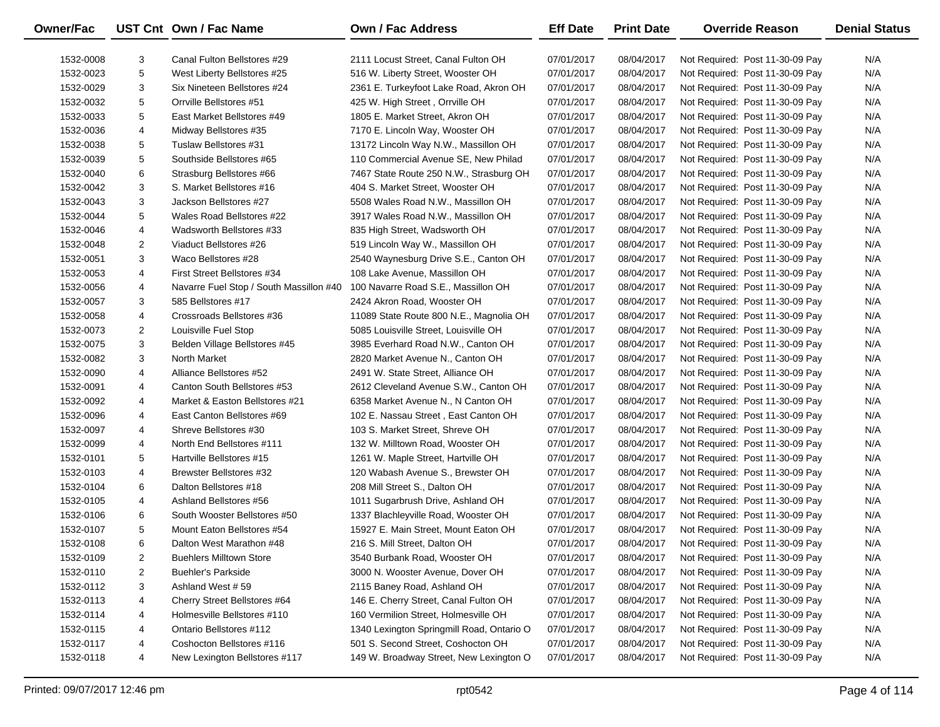| Owner/Fac |                | UST Cnt Own / Fac Name                  | <b>Own / Fac Address</b>                  | <b>Eff Date</b> | <b>Print Date</b> | <b>Override Reason</b>          | <b>Denial Status</b> |
|-----------|----------------|-----------------------------------------|-------------------------------------------|-----------------|-------------------|---------------------------------|----------------------|
| 1532-0008 | 3              | Canal Fulton Bellstores #29             | 2111 Locust Street, Canal Fulton OH       | 07/01/2017      | 08/04/2017        | Not Required: Post 11-30-09 Pay | N/A                  |
| 1532-0023 | 5              | West Liberty Bellstores #25             | 516 W. Liberty Street, Wooster OH         | 07/01/2017      | 08/04/2017        | Not Required: Post 11-30-09 Pay | N/A                  |
| 1532-0029 | 3              | Six Nineteen Bellstores #24             | 2361 E. Turkeyfoot Lake Road, Akron OH    | 07/01/2017      | 08/04/2017        | Not Required: Post 11-30-09 Pay | N/A                  |
| 1532-0032 | 5              | Orrville Bellstores #51                 | 425 W. High Street, Orrville OH           | 07/01/2017      | 08/04/2017        | Not Required: Post 11-30-09 Pay | N/A                  |
| 1532-0033 | 5              | East Market Bellstores #49              | 1805 E. Market Street, Akron OH           | 07/01/2017      | 08/04/2017        | Not Required: Post 11-30-09 Pay | N/A                  |
| 1532-0036 | 4              | Midway Bellstores #35                   | 7170 E. Lincoln Way, Wooster OH           | 07/01/2017      | 08/04/2017        | Not Required: Post 11-30-09 Pay | N/A                  |
| 1532-0038 | 5              | Tuslaw Bellstores #31                   | 13172 Lincoln Way N.W., Massillon OH      | 07/01/2017      | 08/04/2017        | Not Required: Post 11-30-09 Pay | N/A                  |
| 1532-0039 | 5              | Southside Bellstores #65                | 110 Commercial Avenue SE, New Philad      | 07/01/2017      | 08/04/2017        | Not Required: Post 11-30-09 Pay | N/A                  |
| 1532-0040 | 6              | Strasburg Bellstores #66                | 7467 State Route 250 N.W., Strasburg OH   | 07/01/2017      | 08/04/2017        | Not Required: Post 11-30-09 Pay | N/A                  |
| 1532-0042 | 3              | S. Market Bellstores #16                | 404 S. Market Street, Wooster OH          | 07/01/2017      | 08/04/2017        | Not Required: Post 11-30-09 Pay | N/A                  |
| 1532-0043 | 3              | Jackson Bellstores #27                  | 5508 Wales Road N.W., Massillon OH        | 07/01/2017      | 08/04/2017        | Not Required: Post 11-30-09 Pay | N/A                  |
| 1532-0044 | 5              | Wales Road Bellstores #22               | 3917 Wales Road N.W., Massillon OH        | 07/01/2017      | 08/04/2017        | Not Required: Post 11-30-09 Pay | N/A                  |
| 1532-0046 | 4              | Wadsworth Bellstores #33                | 835 High Street, Wadsworth OH             | 07/01/2017      | 08/04/2017        | Not Required: Post 11-30-09 Pay | N/A                  |
| 1532-0048 | $\overline{2}$ | Viaduct Bellstores #26                  | 519 Lincoln Way W., Massillon OH          | 07/01/2017      | 08/04/2017        | Not Required: Post 11-30-09 Pay | N/A                  |
| 1532-0051 | 3              | Waco Bellstores #28                     | 2540 Waynesburg Drive S.E., Canton OH     | 07/01/2017      | 08/04/2017        | Not Required: Post 11-30-09 Pay | N/A                  |
| 1532-0053 | 4              | First Street Bellstores #34             | 108 Lake Avenue, Massillon OH             | 07/01/2017      | 08/04/2017        | Not Required: Post 11-30-09 Pay | N/A                  |
| 1532-0056 | 4              | Navarre Fuel Stop / South Massillon #40 | 100 Navarre Road S.E., Massillon OH       | 07/01/2017      | 08/04/2017        | Not Required: Post 11-30-09 Pay | N/A                  |
| 1532-0057 | 3              | 585 Bellstores #17                      | 2424 Akron Road, Wooster OH               | 07/01/2017      | 08/04/2017        | Not Required: Post 11-30-09 Pay | N/A                  |
| 1532-0058 | 4              | Crossroads Bellstores #36               | 11089 State Route 800 N.E., Magnolia OH   | 07/01/2017      | 08/04/2017        | Not Required: Post 11-30-09 Pay | N/A                  |
| 1532-0073 | $\overline{2}$ | Louisville Fuel Stop                    | 5085 Louisville Street, Louisville OH     | 07/01/2017      | 08/04/2017        | Not Required: Post 11-30-09 Pay | N/A                  |
| 1532-0075 | 3              | Belden Village Bellstores #45           | 3985 Everhard Road N.W., Canton OH        | 07/01/2017      | 08/04/2017        | Not Required: Post 11-30-09 Pay | N/A                  |
| 1532-0082 | 3              | North Market                            | 2820 Market Avenue N., Canton OH          | 07/01/2017      | 08/04/2017        | Not Required: Post 11-30-09 Pay | N/A                  |
| 1532-0090 | 4              | Alliance Bellstores #52                 | 2491 W. State Street, Alliance OH         | 07/01/2017      | 08/04/2017        | Not Required: Post 11-30-09 Pay | N/A                  |
| 1532-0091 | 4              | Canton South Bellstores #53             | 2612 Cleveland Avenue S.W., Canton OH     | 07/01/2017      | 08/04/2017        | Not Required: Post 11-30-09 Pay | N/A                  |
| 1532-0092 | 4              | Market & Easton Bellstores #21          | 6358 Market Avenue N., N Canton OH        | 07/01/2017      | 08/04/2017        | Not Required: Post 11-30-09 Pay | N/A                  |
| 1532-0096 | 4              | East Canton Bellstores #69              | 102 E. Nassau Street, East Canton OH      | 07/01/2017      | 08/04/2017        | Not Required: Post 11-30-09 Pay | N/A                  |
| 1532-0097 | 4              | Shreve Bellstores #30                   | 103 S. Market Street, Shreve OH           | 07/01/2017      | 08/04/2017        | Not Required: Post 11-30-09 Pay | N/A                  |
| 1532-0099 | 4              | North End Bellstores #111               | 132 W. Milltown Road, Wooster OH          | 07/01/2017      | 08/04/2017        | Not Required: Post 11-30-09 Pay | N/A                  |
| 1532-0101 | 5              | Hartville Bellstores #15                | 1261 W. Maple Street, Hartville OH        | 07/01/2017      | 08/04/2017        | Not Required: Post 11-30-09 Pay | N/A                  |
| 1532-0103 | 4              | Brewster Bellstores #32                 | 120 Wabash Avenue S., Brewster OH         | 07/01/2017      | 08/04/2017        | Not Required: Post 11-30-09 Pay | N/A                  |
| 1532-0104 | 6              | Dalton Bellstores #18                   | 208 Mill Street S., Dalton OH             | 07/01/2017      | 08/04/2017        | Not Required: Post 11-30-09 Pay | N/A                  |
| 1532-0105 | 4              | Ashland Bellstores #56                  | 1011 Sugarbrush Drive, Ashland OH         | 07/01/2017      | 08/04/2017        | Not Required: Post 11-30-09 Pay | N/A                  |
| 1532-0106 | 6              | South Wooster Bellstores #50            | 1337 Blachleyville Road, Wooster OH       | 07/01/2017      | 08/04/2017        | Not Required: Post 11-30-09 Pay | N/A                  |
| 1532-0107 | 5              | Mount Eaton Bellstores #54              | 15927 E. Main Street, Mount Eaton OH      | 07/01/2017      | 08/04/2017        | Not Required: Post 11-30-09 Pay | N/A                  |
| 1532-0108 | 6              | Dalton West Marathon #48                | 216 S. Mill Street, Dalton OH             | 07/01/2017      | 08/04/2017        | Not Required: Post 11-30-09 Pay | N/A                  |
| 1532-0109 | 2              | <b>Buehlers Milltown Store</b>          | 3540 Burbank Road, Wooster OH             | 07/01/2017      | 08/04/2017        | Not Required: Post 11-30-09 Pay | N/A                  |
| 1532-0110 | 2              | <b>Buehler's Parkside</b>               | 3000 N. Wooster Avenue, Dover OH          | 07/01/2017      | 08/04/2017        | Not Required: Post 11-30-09 Pay | N/A                  |
| 1532-0112 | 3              | Ashland West #59                        | 2115 Baney Road, Ashland OH               | 07/01/2017      | 08/04/2017        | Not Required: Post 11-30-09 Pay | N/A                  |
| 1532-0113 | 4              | Cherry Street Bellstores #64            | 146 E. Cherry Street, Canal Fulton OH     | 07/01/2017      | 08/04/2017        | Not Required: Post 11-30-09 Pay | N/A                  |
| 1532-0114 | 4              | Holmesville Bellstores #110             | 160 Vermilion Street, Holmesville OH      | 07/01/2017      | 08/04/2017        | Not Required: Post 11-30-09 Pay | N/A                  |
| 1532-0115 | 4              | Ontario Bellstores #112                 | 1340 Lexington Springmill Road, Ontario O | 07/01/2017      | 08/04/2017        | Not Required: Post 11-30-09 Pay | N/A                  |
| 1532-0117 | 4              | Coshocton Bellstores #116               | 501 S. Second Street, Coshocton OH        | 07/01/2017      | 08/04/2017        | Not Required: Post 11-30-09 Pay | N/A                  |
| 1532-0118 | 4              | New Lexington Bellstores #117           | 149 W. Broadway Street, New Lexington O   | 07/01/2017      | 08/04/2017        | Not Required: Post 11-30-09 Pay | N/A                  |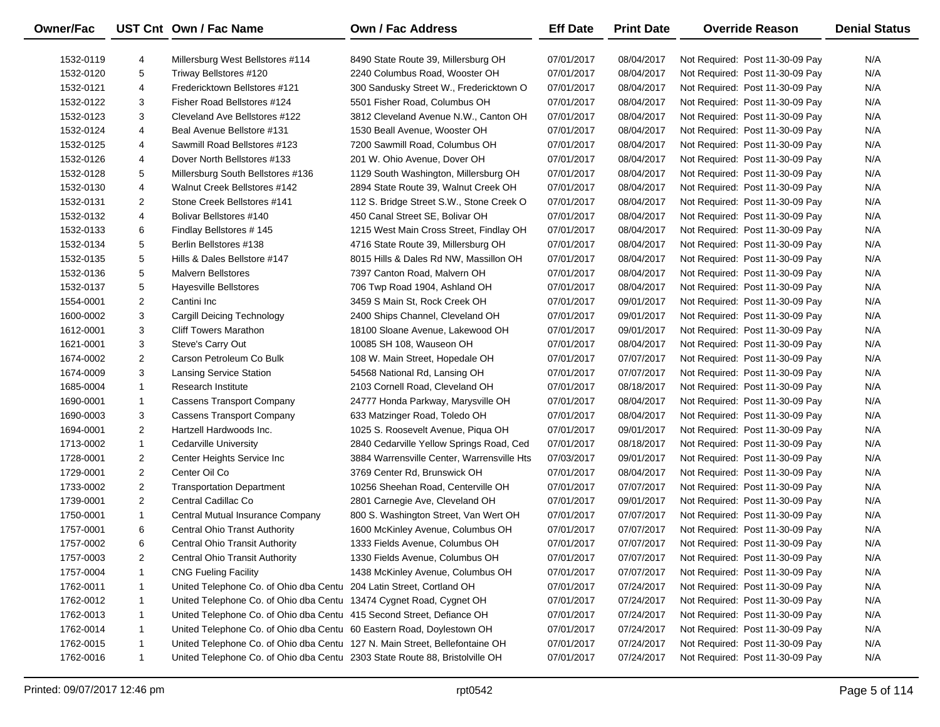| Owner/Fac |                | UST Cnt Own / Fac Name                                                      | <b>Own / Fac Address</b>                   | <b>Eff Date</b>          | <b>Print Date</b> | <b>Override Reason</b>          | <b>Denial Status</b> |
|-----------|----------------|-----------------------------------------------------------------------------|--------------------------------------------|--------------------------|-------------------|---------------------------------|----------------------|
| 1532-0119 | 4              | Millersburg West Bellstores #114                                            | 8490 State Route 39, Millersburg OH        | 07/01/2017               | 08/04/2017        | Not Required: Post 11-30-09 Pay | N/A                  |
| 1532-0120 | 5              | Triway Bellstores #120                                                      | 2240 Columbus Road, Wooster OH             | 07/01/2017               | 08/04/2017        | Not Required: Post 11-30-09 Pay | N/A                  |
| 1532-0121 | 4              | Fredericktown Bellstores #121                                               | 300 Sandusky Street W., Fredericktown O    | 07/01/2017               | 08/04/2017        | Not Required: Post 11-30-09 Pay | N/A                  |
| 1532-0122 | 3              | Fisher Road Bellstores #124                                                 | 5501 Fisher Road, Columbus OH              | 07/01/2017               | 08/04/2017        | Not Required: Post 11-30-09 Pay | N/A                  |
| 1532-0123 | 3              | Cleveland Ave Bellstores #122                                               | 3812 Cleveland Avenue N.W., Canton OH      | 07/01/2017               | 08/04/2017        | Not Required: Post 11-30-09 Pay | N/A                  |
| 1532-0124 | 4              | Beal Avenue Bellstore #131                                                  | 1530 Beall Avenue, Wooster OH              | 07/01/2017               | 08/04/2017        | Not Required: Post 11-30-09 Pay | N/A                  |
| 1532-0125 | 4              | Sawmill Road Bellstores #123                                                | 7200 Sawmill Road, Columbus OH             | 07/01/2017               | 08/04/2017        | Not Required: Post 11-30-09 Pay | N/A                  |
| 1532-0126 | 4              | Dover North Bellstores #133                                                 | 201 W. Ohio Avenue, Dover OH               | 07/01/2017               | 08/04/2017        | Not Required: Post 11-30-09 Pay | N/A                  |
| 1532-0128 | 5              | Millersburg South Bellstores #136                                           | 1129 South Washington, Millersburg OH      | 07/01/2017               | 08/04/2017        | Not Required: Post 11-30-09 Pay | N/A                  |
| 1532-0130 | 4              | Walnut Creek Bellstores #142                                                | 2894 State Route 39, Walnut Creek OH       | 07/01/2017               | 08/04/2017        | Not Required: Post 11-30-09 Pay | N/A                  |
| 1532-0131 | $\overline{2}$ | Stone Creek Bellstores #141                                                 | 112 S. Bridge Street S.W., Stone Creek O   | 07/01/2017               | 08/04/2017        | Not Required: Post 11-30-09 Pay | N/A                  |
| 1532-0132 | 4              | Bolivar Bellstores #140                                                     | 450 Canal Street SE, Bolivar OH            | 07/01/2017               | 08/04/2017        | Not Required: Post 11-30-09 Pay | N/A                  |
| 1532-0133 | 6              | Findlay Bellstores #145                                                     | 1215 West Main Cross Street, Findlay OH    | 07/01/2017               | 08/04/2017        | Not Required: Post 11-30-09 Pay | N/A                  |
| 1532-0134 | 5              | Berlin Bellstores #138                                                      | 4716 State Route 39, Millersburg OH        | 07/01/2017               | 08/04/2017        | Not Required: Post 11-30-09 Pay | N/A                  |
| 1532-0135 | 5              | Hills & Dales Bellstore #147                                                | 8015 Hills & Dales Rd NW, Massillon OH     | 07/01/2017               | 08/04/2017        | Not Required: Post 11-30-09 Pay | N/A                  |
| 1532-0136 | 5              | <b>Malvern Bellstores</b>                                                   | 7397 Canton Road, Malvern OH               | 07/01/2017               | 08/04/2017        | Not Required: Post 11-30-09 Pay | N/A                  |
| 1532-0137 | 5              | Hayesville Bellstores                                                       | 706 Twp Road 1904, Ashland OH              | 07/01/2017               | 08/04/2017        | Not Required: Post 11-30-09 Pay | N/A                  |
| 1554-0001 | $\overline{2}$ | Cantini Inc                                                                 | 3459 S Main St, Rock Creek OH              | 07/01/2017               | 09/01/2017        | Not Required: Post 11-30-09 Pay | N/A                  |
| 1600-0002 | 3              | Cargill Deicing Technology                                                  | 2400 Ships Channel, Cleveland OH           | 07/01/2017               | 09/01/2017        | Not Required: Post 11-30-09 Pay | N/A                  |
| 1612-0001 | 3              | <b>Cliff Towers Marathon</b>                                                | 18100 Sloane Avenue, Lakewood OH           | 07/01/2017               | 09/01/2017        | Not Required: Post 11-30-09 Pay | N/A                  |
| 1621-0001 | 3              | Steve's Carry Out                                                           | 10085 SH 108, Wauseon OH                   | 07/01/2017               | 08/04/2017        | Not Required: Post 11-30-09 Pay | N/A                  |
| 1674-0002 | $\overline{2}$ | Carson Petroleum Co Bulk                                                    | 108 W. Main Street, Hopedale OH            | 07/01/2017               | 07/07/2017        | Not Required: Post 11-30-09 Pay | N/A                  |
| 1674-0009 | 3              | <b>Lansing Service Station</b>                                              | 54568 National Rd, Lansing OH              | 07/01/2017               | 07/07/2017        | Not Required: Post 11-30-09 Pay | N/A                  |
| 1685-0004 | $\mathbf{1}$   | <b>Research Institute</b>                                                   | 2103 Cornell Road, Cleveland OH            | 07/01/2017               | 08/18/2017        | Not Required: Post 11-30-09 Pay | N/A                  |
| 1690-0001 | $\mathbf{1}$   | <b>Cassens Transport Company</b>                                            | 24777 Honda Parkway, Marysville OH         | 07/01/2017               | 08/04/2017        | Not Required: Post 11-30-09 Pay | N/A                  |
| 1690-0003 | 3              | <b>Cassens Transport Company</b>                                            | 633 Matzinger Road, Toledo OH              | 07/01/2017               | 08/04/2017        | Not Required: Post 11-30-09 Pay | N/A                  |
| 1694-0001 | $\overline{2}$ | Hartzell Hardwoods Inc.                                                     | 1025 S. Roosevelt Avenue, Piqua OH         | 07/01/2017               | 09/01/2017        | Not Required: Post 11-30-09 Pay | N/A                  |
| 1713-0002 | $\mathbf{1}$   | <b>Cedarville University</b>                                                | 2840 Cedarville Yellow Springs Road, Ced   | 07/01/2017               | 08/18/2017        | Not Required: Post 11-30-09 Pay | N/A                  |
| 1728-0001 | $\overline{2}$ | Center Heights Service Inc                                                  | 3884 Warrensville Center, Warrensville Hts | 07/03/2017               | 09/01/2017        | Not Required: Post 11-30-09 Pay | N/A                  |
| 1729-0001 | $\overline{2}$ | Center Oil Co                                                               | 3769 Center Rd, Brunswick OH               | 07/01/2017               | 08/04/2017        | Not Required: Post 11-30-09 Pay | N/A                  |
| 1733-0002 | $\overline{2}$ | <b>Transportation Department</b>                                            | 10256 Sheehan Road, Centerville OH         | 07/01/2017               | 07/07/2017        | Not Required: Post 11-30-09 Pay | N/A                  |
| 1739-0001 | $\overline{2}$ | Central Cadillac Co                                                         | 2801 Carnegie Ave, Cleveland OH            | 07/01/2017               | 09/01/2017        | Not Required: Post 11-30-09 Pay | N/A                  |
| 1750-0001 | $\mathbf{1}$   | Central Mutual Insurance Company                                            | 800 S. Washington Street, Van Wert OH      | 07/01/2017               | 07/07/2017        | Not Required: Post 11-30-09 Pay | N/A                  |
| 1757-0001 | 6              | <b>Central Ohio Transt Authority</b>                                        | 1600 McKinley Avenue, Columbus OH          | 07/01/2017               | 07/07/2017        | Not Required: Post 11-30-09 Pay | N/A                  |
| 1757-0002 | 6              | <b>Central Ohio Transit Authority</b>                                       | 1333 Fields Avenue, Columbus OH            | 07/01/2017               | 07/07/2017        | Not Required: Post 11-30-09 Pay | N/A                  |
| 1757-0003 | 2              | <b>Central Ohio Transit Authority</b>                                       | 1330 Fields Avenue, Columbus OH            | 07/01/2017               | 07/07/2017        | Not Required: Post 11-30-09 Pay | N/A                  |
| 1757-0004 | 1              | <b>CNG Fueling Facility</b>                                                 | 1438 McKinley Avenue, Columbus OH          | 07/01/2017               | 07/07/2017        | Not Required: Post 11-30-09 Pay | N/A                  |
| 1762-0011 | 1              | United Telephone Co. of Ohio dba Centu 204 Latin Street, Cortland OH        |                                            | 07/01/2017               | 07/24/2017        | Not Required: Post 11-30-09 Pay | N/A                  |
| 1762-0012 | 1              | United Telephone Co. of Ohio dba Centu 13474 Cygnet Road, Cygnet OH         |                                            | 07/01/2017               | 07/24/2017        | Not Required: Post 11-30-09 Pay | N/A                  |
| 1762-0013 | 1              | United Telephone Co. of Ohio dba Centu 415 Second Street, Defiance OH       |                                            | 07/01/2017               | 07/24/2017        | Not Required: Post 11-30-09 Pay | N/A                  |
| 1762-0014 | 1              |                                                                             |                                            |                          | 07/24/2017        | Not Required: Post 11-30-09 Pay |                      |
| 1762-0015 |                | United Telephone Co. of Ohio dba Centu 60 Eastern Road, Doylestown OH       |                                            | 07/01/2017<br>07/01/2017 | 07/24/2017        |                                 | N/A                  |
|           | 1              | United Telephone Co. of Ohio dba Centu 127 N. Main Street, Bellefontaine OH |                                            |                          |                   | Not Required: Post 11-30-09 Pay | N/A                  |
| 1762-0016 | $\mathbf{1}$   | United Telephone Co. of Ohio dba Centu 2303 State Route 88, Bristolville OH |                                            | 07/01/2017               | 07/24/2017        | Not Required: Post 11-30-09 Pay | N/A                  |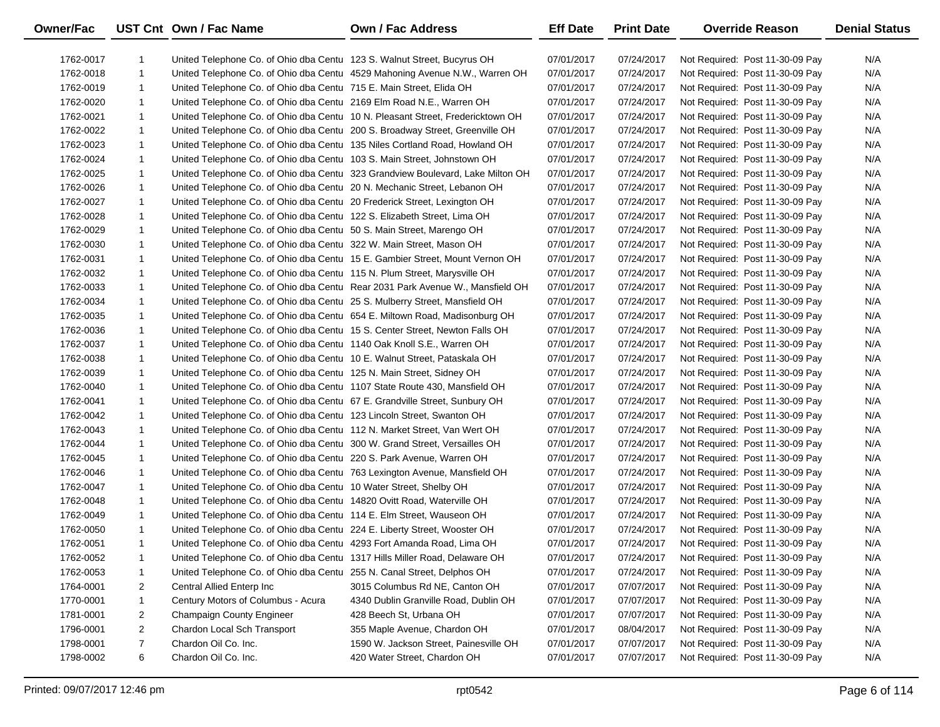| Owner/Fac |                | UST Cnt Own / Fac Name                                                       | <b>Own / Fac Address</b>                                                       | <b>Eff Date</b> | <b>Print Date</b> | <b>Override Reason</b>          | <b>Denial Status</b> |
|-----------|----------------|------------------------------------------------------------------------------|--------------------------------------------------------------------------------|-----------------|-------------------|---------------------------------|----------------------|
| 1762-0017 | 1              | United Telephone Co. of Ohio dba Centu 123 S. Walnut Street, Bucyrus OH      |                                                                                | 07/01/2017      | 07/24/2017        | Not Required: Post 11-30-09 Pay | N/A                  |
| 1762-0018 | $\mathbf{1}$   |                                                                              | United Telephone Co. of Ohio dba Centu 4529 Mahoning Avenue N.W., Warren OH    | 07/01/2017      | 07/24/2017        | Not Required: Post 11-30-09 Pay | N/A                  |
| 1762-0019 | $\mathbf{1}$   | United Telephone Co. of Ohio dba Centu 715 E. Main Street, Elida OH          |                                                                                | 07/01/2017      | 07/24/2017        | Not Required: Post 11-30-09 Pay | N/A                  |
| 1762-0020 | $\mathbf{1}$   | United Telephone Co. of Ohio dba Centu 2169 Elm Road N.E., Warren OH         |                                                                                | 07/01/2017      | 07/24/2017        | Not Required: Post 11-30-09 Pay | N/A                  |
| 1762-0021 | $\mathbf{1}$   |                                                                              | United Telephone Co. of Ohio dba Centu 10 N. Pleasant Street, Fredericktown OH | 07/01/2017      | 07/24/2017        | Not Required: Post 11-30-09 Pay | N/A                  |
| 1762-0022 | $\mathbf{1}$   | United Telephone Co. of Ohio dba Centu 200 S. Broadway Street, Greenville OH |                                                                                | 07/01/2017      | 07/24/2017        | Not Required: Post 11-30-09 Pay | N/A                  |
| 1762-0023 | $\mathbf{1}$   | United Telephone Co. of Ohio dba Centu 135 Niles Cortland Road, Howland OH   |                                                                                | 07/01/2017      | 07/24/2017        | Not Required: Post 11-30-09 Pay | N/A                  |
| 1762-0024 | $\mathbf{1}$   | United Telephone Co. of Ohio dba Centu 103 S. Main Street, Johnstown OH      |                                                                                | 07/01/2017      | 07/24/2017        | Not Required: Post 11-30-09 Pay | N/A                  |
| 1762-0025 | $\mathbf{1}$   |                                                                              | United Telephone Co. of Ohio dba Centu 323 Grandview Boulevard, Lake Milton OH | 07/01/2017      | 07/24/2017        | Not Required: Post 11-30-09 Pay | N/A                  |
| 1762-0026 | $\mathbf{1}$   | United Telephone Co. of Ohio dba Centu 20 N. Mechanic Street, Lebanon OH     |                                                                                | 07/01/2017      | 07/24/2017        | Not Required: Post 11-30-09 Pay | N/A                  |
| 1762-0027 | $\mathbf{1}$   | United Telephone Co. of Ohio dba Centu 20 Frederick Street, Lexington OH     |                                                                                | 07/01/2017      | 07/24/2017        | Not Required: Post 11-30-09 Pay | N/A                  |
| 1762-0028 | $\mathbf{1}$   | United Telephone Co. of Ohio dba Centu 122 S. Elizabeth Street, Lima OH      |                                                                                | 07/01/2017      | 07/24/2017        | Not Required: Post 11-30-09 Pay | N/A                  |
| 1762-0029 | $\mathbf{1}$   | United Telephone Co. of Ohio dba Centu 50 S. Main Street, Marengo OH         |                                                                                | 07/01/2017      | 07/24/2017        | Not Required: Post 11-30-09 Pay | N/A                  |
| 1762-0030 | $\mathbf{1}$   | United Telephone Co. of Ohio dba Centu 322 W. Main Street, Mason OH          |                                                                                | 07/01/2017      | 07/24/2017        | Not Required: Post 11-30-09 Pay | N/A                  |
| 1762-0031 | $\mathbf{1}$   |                                                                              | United Telephone Co. of Ohio dba Centu 15 E. Gambier Street, Mount Vernon OH   | 07/01/2017      | 07/24/2017        | Not Required: Post 11-30-09 Pay | N/A                  |
| 1762-0032 | $\mathbf{1}$   | United Telephone Co. of Ohio dba Centu 115 N. Plum Street, Marysville OH     |                                                                                | 07/01/2017      | 07/24/2017        | Not Required: Post 11-30-09 Pay | N/A                  |
| 1762-0033 | $\mathbf{1}$   |                                                                              | United Telephone Co. of Ohio dba Centu Rear 2031 Park Avenue W., Mansfield OH  | 07/01/2017      | 07/24/2017        | Not Required: Post 11-30-09 Pay | N/A                  |
| 1762-0034 | $\mathbf{1}$   | United Telephone Co. of Ohio dba Centu 25 S. Mulberry Street, Mansfield OH   |                                                                                | 07/01/2017      | 07/24/2017        | Not Required: Post 11-30-09 Pay | N/A                  |
| 1762-0035 | $\mathbf{1}$   | United Telephone Co. of Ohio dba Centu 654 E. Miltown Road, Madisonburg OH   |                                                                                | 07/01/2017      | 07/24/2017        | Not Required: Post 11-30-09 Pay | N/A                  |
| 1762-0036 | $\mathbf{1}$   | United Telephone Co. of Ohio dba Centu 15 S. Center Street, Newton Falls OH  |                                                                                | 07/01/2017      | 07/24/2017        | Not Required: Post 11-30-09 Pay | N/A                  |
| 1762-0037 | $\mathbf{1}$   | United Telephone Co. of Ohio dba Centu 1140 Oak Knoll S.E., Warren OH        |                                                                                | 07/01/2017      | 07/24/2017        | Not Required: Post 11-30-09 Pay | N/A                  |
| 1762-0038 | $\mathbf{1}$   | United Telephone Co. of Ohio dba Centu 10 E. Walnut Street, Pataskala OH     |                                                                                | 07/01/2017      | 07/24/2017        | Not Required: Post 11-30-09 Pay | N/A                  |
| 1762-0039 | $\mathbf{1}$   | United Telephone Co. of Ohio dba Centu 125 N. Main Street, Sidney OH         |                                                                                | 07/01/2017      | 07/24/2017        | Not Required: Post 11-30-09 Pay | N/A                  |
| 1762-0040 | $\mathbf{1}$   | United Telephone Co. of Ohio dba Centu 1107 State Route 430, Mansfield OH    |                                                                                | 07/01/2017      | 07/24/2017        | Not Required: Post 11-30-09 Pay | N/A                  |
| 1762-0041 | $\mathbf{1}$   | United Telephone Co. of Ohio dba Centu 67 E. Grandville Street, Sunbury OH   |                                                                                | 07/01/2017      | 07/24/2017        | Not Required: Post 11-30-09 Pay | N/A                  |
| 1762-0042 | $\mathbf{1}$   | United Telephone Co. of Ohio dba Centu 123 Lincoln Street, Swanton OH        |                                                                                | 07/01/2017      | 07/24/2017        | Not Required: Post 11-30-09 Pay | N/A                  |
| 1762-0043 | $\mathbf{1}$   | United Telephone Co. of Ohio dba Centu 112 N. Market Street, Van Wert OH     |                                                                                | 07/01/2017      | 07/24/2017        | Not Required: Post 11-30-09 Pay | N/A                  |
| 1762-0044 | $\mathbf{1}$   | United Telephone Co. of Ohio dba Centu 300 W. Grand Street, Versailles OH    |                                                                                | 07/01/2017      | 07/24/2017        | Not Required: Post 11-30-09 Pay | N/A                  |
| 1762-0045 | $\mathbf{1}$   | United Telephone Co. of Ohio dba Centu 220 S. Park Avenue, Warren OH         |                                                                                | 07/01/2017      | 07/24/2017        | Not Required: Post 11-30-09 Pay | N/A                  |
| 1762-0046 | $\mathbf{1}$   | United Telephone Co. of Ohio dba Centu 763 Lexington Avenue, Mansfield OH    |                                                                                | 07/01/2017      | 07/24/2017        | Not Required: Post 11-30-09 Pay | N/A                  |
| 1762-0047 | $\mathbf{1}$   | United Telephone Co. of Ohio dba Centu 10 Water Street, Shelby OH            |                                                                                | 07/01/2017      | 07/24/2017        | Not Required: Post 11-30-09 Pay | N/A                  |
| 1762-0048 | $\mathbf{1}$   | United Telephone Co. of Ohio dba Centu 14820 Ovitt Road, Waterville OH       |                                                                                | 07/01/2017      | 07/24/2017        | Not Required: Post 11-30-09 Pay | N/A                  |
| 1762-0049 | $\mathbf{1}$   | United Telephone Co. of Ohio dba Centu 114 E. Elm Street, Wauseon OH         |                                                                                | 07/01/2017      | 07/24/2017        | Not Required: Post 11-30-09 Pay | N/A                  |
| 1762-0050 | $\mathbf{1}$   | United Telephone Co. of Ohio dba Centu 224 E. Liberty Street, Wooster OH     |                                                                                | 07/01/2017      | 07/24/2017        | Not Required: Post 11-30-09 Pay | N/A                  |
| 1762-0051 | $\mathbf{1}$   | United Telephone Co. of Ohio dba Centu 4293 Fort Amanda Road, Lima OH        |                                                                                | 07/01/2017      | 07/24/2017        | Not Required: Post 11-30-09 Pay | N/A                  |
| 1762-0052 | 1              | United Telephone Co. of Ohio dba Centu 1317 Hills Miller Road, Delaware OH   |                                                                                | 07/01/2017      | 07/24/2017        | Not Required: Post 11-30-09 Pay | N/A                  |
| 1762-0053 | 1              | United Telephone Co. of Ohio dba Centu 255 N. Canal Street, Delphos OH       |                                                                                | 07/01/2017      | 07/24/2017        | Not Required: Post 11-30-09 Pay | N/A                  |
| 1764-0001 | $\overline{2}$ | Central Allied Enterp Inc                                                    | 3015 Columbus Rd NE, Canton OH                                                 | 07/01/2017      | 07/07/2017        | Not Required: Post 11-30-09 Pay | N/A                  |
| 1770-0001 | 1              | Century Motors of Columbus - Acura                                           | 4340 Dublin Granville Road, Dublin OH                                          | 07/01/2017      | 07/07/2017        | Not Required: Post 11-30-09 Pay | N/A                  |
| 1781-0001 | $\overline{2}$ | Champaign County Engineer                                                    | 428 Beech St, Urbana OH                                                        | 07/01/2017      | 07/07/2017        | Not Required: Post 11-30-09 Pay | N/A                  |
| 1796-0001 | $\overline{2}$ | Chardon Local Sch Transport                                                  | 355 Maple Avenue, Chardon OH                                                   | 07/01/2017      | 08/04/2017        | Not Required: Post 11-30-09 Pay | N/A                  |
| 1798-0001 | $\overline{7}$ | Chardon Oil Co. Inc.                                                         | 1590 W. Jackson Street, Painesville OH                                         | 07/01/2017      | 07/07/2017        | Not Required: Post 11-30-09 Pay | N/A                  |
| 1798-0002 | 6              | Chardon Oil Co. Inc.                                                         | 420 Water Street, Chardon OH                                                   | 07/01/2017      | 07/07/2017        | Not Required: Post 11-30-09 Pay | N/A                  |

 $\overline{\phantom{0}}$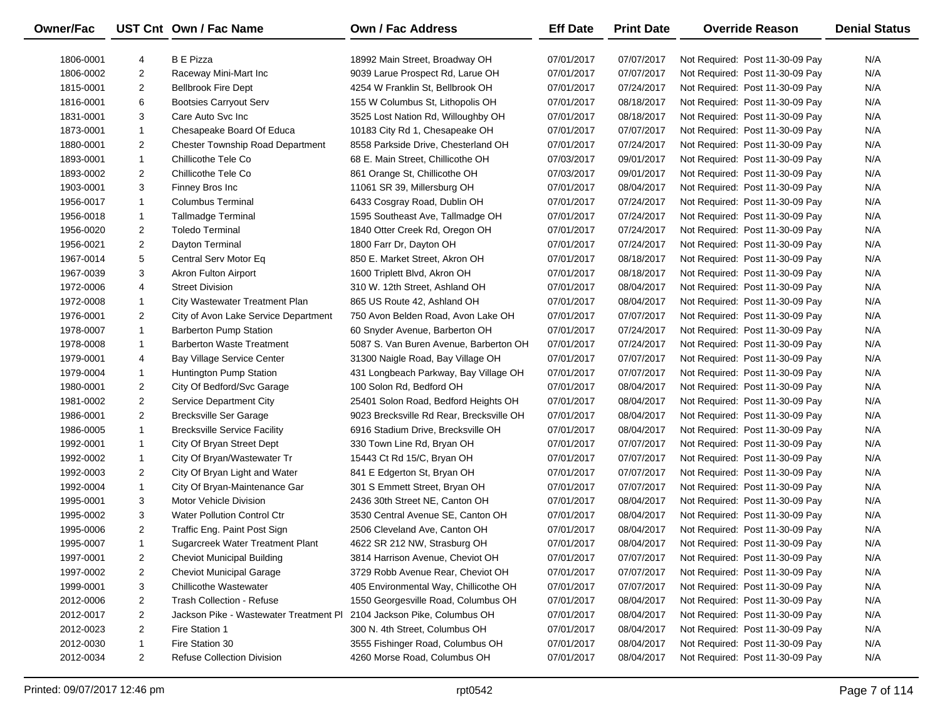| Owner/Fac |                | UST Cnt Own / Fac Name                  | <b>Own / Fac Address</b>                 | <b>Eff Date</b> | <b>Print Date</b> | <b>Override Reason</b>          | <b>Denial Status</b> |
|-----------|----------------|-----------------------------------------|------------------------------------------|-----------------|-------------------|---------------------------------|----------------------|
| 1806-0001 | 4              | <b>B</b> E Pizza                        | 18992 Main Street, Broadway OH           | 07/01/2017      | 07/07/2017        | Not Required: Post 11-30-09 Pay | N/A                  |
| 1806-0002 | 2              | Raceway Mini-Mart Inc                   | 9039 Larue Prospect Rd, Larue OH         | 07/01/2017      | 07/07/2017        | Not Required: Post 11-30-09 Pay | N/A                  |
| 1815-0001 | $\overline{2}$ | <b>Bellbrook Fire Dept</b>              | 4254 W Franklin St, Bellbrook OH         | 07/01/2017      | 07/24/2017        | Not Required: Post 11-30-09 Pay | N/A                  |
| 1816-0001 | 6              | <b>Bootsies Carryout Serv</b>           | 155 W Columbus St, Lithopolis OH         | 07/01/2017      | 08/18/2017        | Not Required: Post 11-30-09 Pay | N/A                  |
| 1831-0001 | 3              | Care Auto Svc Inc                       | 3525 Lost Nation Rd, Willoughby OH       | 07/01/2017      | 08/18/2017        | Not Required: Post 11-30-09 Pay | N/A                  |
| 1873-0001 | $\mathbf{1}$   | Chesapeake Board Of Educa               | 10183 City Rd 1, Chesapeake OH           | 07/01/2017      | 07/07/2017        | Not Required: Post 11-30-09 Pay | N/A                  |
| 1880-0001 | $\overline{2}$ | <b>Chester Township Road Department</b> | 8558 Parkside Drive, Chesterland OH      | 07/01/2017      | 07/24/2017        | Not Required: Post 11-30-09 Pay | N/A                  |
| 1893-0001 | $\mathbf{1}$   | Chillicothe Tele Co                     | 68 E. Main Street, Chillicothe OH        | 07/03/2017      | 09/01/2017        | Not Required: Post 11-30-09 Pay | N/A                  |
| 1893-0002 | $\overline{2}$ | Chillicothe Tele Co                     | 861 Orange St, Chillicothe OH            | 07/03/2017      | 09/01/2017        | Not Required: Post 11-30-09 Pay | N/A                  |
| 1903-0001 | 3              | Finney Bros Inc                         | 11061 SR 39, Millersburg OH              | 07/01/2017      | 08/04/2017        | Not Required: Post 11-30-09 Pay | N/A                  |
| 1956-0017 | $\mathbf{1}$   | Columbus Terminal                       | 6433 Cosgray Road, Dublin OH             | 07/01/2017      | 07/24/2017        | Not Required: Post 11-30-09 Pay | N/A                  |
| 1956-0018 | $\mathbf{1}$   | Tallmadge Terminal                      | 1595 Southeast Ave, Tallmadge OH         | 07/01/2017      | 07/24/2017        | Not Required: Post 11-30-09 Pay | N/A                  |
| 1956-0020 | $\overline{2}$ | Toledo Terminal                         | 1840 Otter Creek Rd, Oregon OH           | 07/01/2017      | 07/24/2017        | Not Required: Post 11-30-09 Pay | N/A                  |
| 1956-0021 | $\overline{2}$ | Dayton Terminal                         | 1800 Farr Dr, Dayton OH                  | 07/01/2017      | 07/24/2017        | Not Required: Post 11-30-09 Pay | N/A                  |
| 1967-0014 | 5              | Central Serv Motor Eq                   | 850 E. Market Street, Akron OH           | 07/01/2017      | 08/18/2017        | Not Required: Post 11-30-09 Pay | N/A                  |
| 1967-0039 | 3              | Akron Fulton Airport                    | 1600 Triplett Blvd, Akron OH             | 07/01/2017      | 08/18/2017        | Not Required: Post 11-30-09 Pay | N/A                  |
| 1972-0006 | 4              | <b>Street Division</b>                  | 310 W. 12th Street, Ashland OH           | 07/01/2017      | 08/04/2017        | Not Required: Post 11-30-09 Pay | N/A                  |
| 1972-0008 | $\mathbf{1}$   | City Wastewater Treatment Plan          | 865 US Route 42, Ashland OH              | 07/01/2017      | 08/04/2017        | Not Required: Post 11-30-09 Pay | N/A                  |
| 1976-0001 | $\overline{2}$ | City of Avon Lake Service Department    | 750 Avon Belden Road, Avon Lake OH       | 07/01/2017      | 07/07/2017        | Not Required: Post 11-30-09 Pay | N/A                  |
| 1978-0007 | $\mathbf{1}$   | <b>Barberton Pump Station</b>           | 60 Snyder Avenue, Barberton OH           | 07/01/2017      | 07/24/2017        | Not Required: Post 11-30-09 Pay | N/A                  |
| 1978-0008 | $\mathbf{1}$   | <b>Barberton Waste Treatment</b>        | 5087 S. Van Buren Avenue, Barberton OH   | 07/01/2017      | 07/24/2017        | Not Required: Post 11-30-09 Pay | N/A                  |
| 1979-0001 | 4              | Bay Village Service Center              | 31300 Naigle Road, Bay Village OH        | 07/01/2017      | 07/07/2017        | Not Required: Post 11-30-09 Pay | N/A                  |
| 1979-0004 | $\mathbf{1}$   | Huntington Pump Station                 | 431 Longbeach Parkway, Bay Village OH    | 07/01/2017      | 07/07/2017        | Not Required: Post 11-30-09 Pay | N/A                  |
| 1980-0001 | $\overline{2}$ | City Of Bedford/Svc Garage              | 100 Solon Rd, Bedford OH                 | 07/01/2017      | 08/04/2017        | Not Required: Post 11-30-09 Pay | N/A                  |
| 1981-0002 | $\overline{2}$ | Service Department City                 | 25401 Solon Road, Bedford Heights OH     | 07/01/2017      | 08/04/2017        | Not Required: Post 11-30-09 Pay | N/A                  |
| 1986-0001 | $\overline{2}$ | <b>Brecksville Ser Garage</b>           | 9023 Brecksville Rd Rear, Brecksville OH | 07/01/2017      | 08/04/2017        | Not Required: Post 11-30-09 Pay | N/A                  |
| 1986-0005 | $\mathbf{1}$   | <b>Brecksville Service Facility</b>     | 6916 Stadium Drive, Brecksville OH       | 07/01/2017      | 08/04/2017        | Not Required: Post 11-30-09 Pay | N/A                  |
| 1992-0001 | $\mathbf{1}$   | City Of Bryan Street Dept               | 330 Town Line Rd, Bryan OH               | 07/01/2017      | 07/07/2017        | Not Required: Post 11-30-09 Pay | N/A                  |
| 1992-0002 | $\mathbf{1}$   | City Of Bryan/Wastewater Tr             | 15443 Ct Rd 15/C, Bryan OH               | 07/01/2017      | 07/07/2017        | Not Required: Post 11-30-09 Pay | N/A                  |
| 1992-0003 | $\overline{2}$ | City Of Bryan Light and Water           | 841 E Edgerton St, Bryan OH              | 07/01/2017      | 07/07/2017        | Not Required: Post 11-30-09 Pay | N/A                  |
| 1992-0004 | $\mathbf{1}$   | City Of Bryan-Maintenance Gar           | 301 S Emmett Street, Bryan OH            | 07/01/2017      | 07/07/2017        | Not Required: Post 11-30-09 Pay | N/A                  |
| 1995-0001 | 3              | <b>Motor Vehicle Division</b>           | 2436 30th Street NE, Canton OH           | 07/01/2017      | 08/04/2017        | Not Required: Post 11-30-09 Pay | N/A                  |
| 1995-0002 | 3              | <b>Water Pollution Control Ctr</b>      | 3530 Central Avenue SE, Canton OH        | 07/01/2017      | 08/04/2017        | Not Required: Post 11-30-09 Pay | N/A                  |
| 1995-0006 | $\overline{2}$ | Traffic Eng. Paint Post Sign            | 2506 Cleveland Ave, Canton OH            | 07/01/2017      | 08/04/2017        | Not Required: Post 11-30-09 Pay | N/A                  |
| 1995-0007 | $\mathbf{1}$   | Sugarcreek Water Treatment Plant        | 4622 SR 212 NW, Strasburg OH             | 07/01/2017      | 08/04/2017        | Not Required: Post 11-30-09 Pay | N/A                  |
| 1997-0001 | 2              | <b>Cheviot Municipal Building</b>       | 3814 Harrison Avenue, Cheviot OH         | 07/01/2017      | 07/07/2017        | Not Required: Post 11-30-09 Pay | N/A                  |
| 1997-0002 | 2              | <b>Cheviot Municipal Garage</b>         | 3729 Robb Avenue Rear, Cheviot OH        | 07/01/2017      | 07/07/2017        | Not Required: Post 11-30-09 Pay | N/A                  |
| 1999-0001 | 3              | <b>Chillicothe Wastewater</b>           | 405 Environmental Way, Chillicothe OH    | 07/01/2017      | 07/07/2017        | Not Required: Post 11-30-09 Pay | N/A                  |
| 2012-0006 | 2              | <b>Trash Collection - Refuse</b>        | 1550 Georgesville Road, Columbus OH      | 07/01/2017      | 08/04/2017        | Not Required: Post 11-30-09 Pay | N/A                  |
| 2012-0017 | 2              | Jackson Pike - Wastewater Treatment Pl  | 2104 Jackson Pike, Columbus OH           | 07/01/2017      | 08/04/2017        | Not Required: Post 11-30-09 Pay | N/A                  |
| 2012-0023 | 2              | Fire Station 1                          | 300 N. 4th Street, Columbus OH           | 07/01/2017      | 08/04/2017        | Not Required: Post 11-30-09 Pay | N/A                  |
| 2012-0030 | $\mathbf{1}$   | Fire Station 30                         | 3555 Fishinger Road, Columbus OH         | 07/01/2017      | 08/04/2017        | Not Required: Post 11-30-09 Pay | N/A                  |
| 2012-0034 | $\overline{2}$ | <b>Refuse Collection Division</b>       | 4260 Morse Road, Columbus OH             | 07/01/2017      | 08/04/2017        | Not Required: Post 11-30-09 Pay | N/A                  |

 $\overline{\phantom{0}}$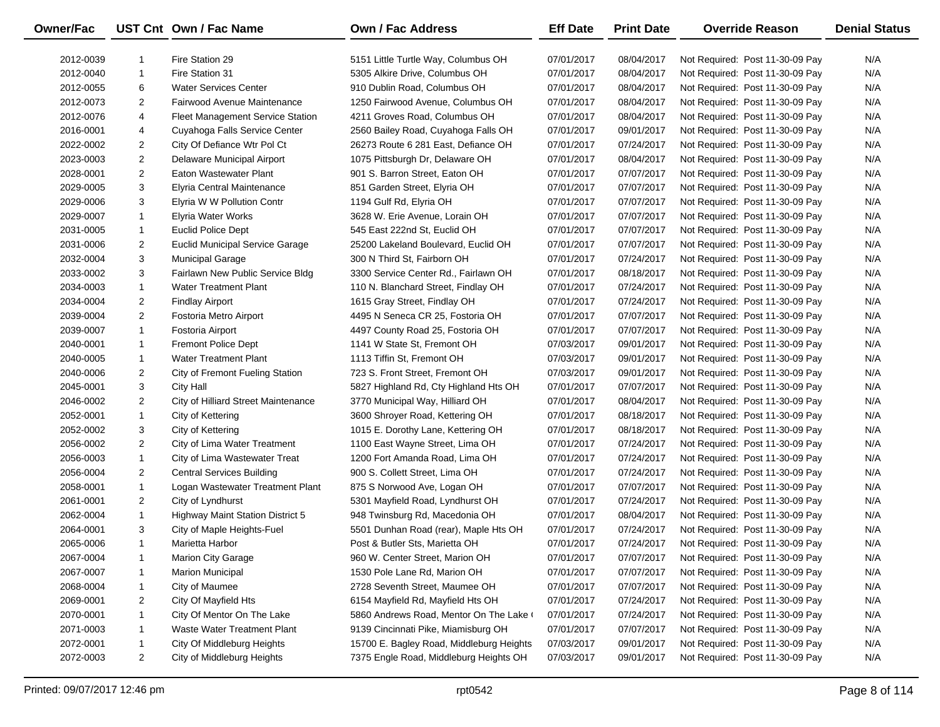| Owner/Fac |                | UST Cnt Own / Fac Name                  | Own / Fac Address                        | <b>Eff Date</b> | <b>Print Date</b> | <b>Override Reason</b>          | <b>Denial Status</b> |
|-----------|----------------|-----------------------------------------|------------------------------------------|-----------------|-------------------|---------------------------------|----------------------|
| 2012-0039 | 1              | Fire Station 29                         | 5151 Little Turtle Way, Columbus OH      | 07/01/2017      | 08/04/2017        | Not Required: Post 11-30-09 Pay | N/A                  |
| 2012-0040 | $\mathbf{1}$   | Fire Station 31                         | 5305 Alkire Drive, Columbus OH           | 07/01/2017      | 08/04/2017        | Not Required: Post 11-30-09 Pay | N/A                  |
| 2012-0055 | 6              | <b>Water Services Center</b>            | 910 Dublin Road, Columbus OH             | 07/01/2017      | 08/04/2017        | Not Required: Post 11-30-09 Pay | N/A                  |
| 2012-0073 | $\overline{2}$ | Fairwood Avenue Maintenance             | 1250 Fairwood Avenue, Columbus OH        | 07/01/2017      | 08/04/2017        | Not Required: Post 11-30-09 Pay | N/A                  |
| 2012-0076 | 4              | Fleet Management Service Station        | 4211 Groves Road, Columbus OH            | 07/01/2017      | 08/04/2017        | Not Required: Post 11-30-09 Pay | N/A                  |
| 2016-0001 | 4              | Cuyahoga Falls Service Center           | 2560 Bailey Road, Cuyahoga Falls OH      | 07/01/2017      | 09/01/2017        | Not Required: Post 11-30-09 Pay | N/A                  |
| 2022-0002 | $\overline{2}$ | City Of Defiance Wtr Pol Ct             | 26273 Route 6 281 East, Defiance OH      | 07/01/2017      | 07/24/2017        | Not Required: Post 11-30-09 Pay | N/A                  |
| 2023-0003 | $\overline{2}$ | Delaware Municipal Airport              | 1075 Pittsburgh Dr, Delaware OH          | 07/01/2017      | 08/04/2017        | Not Required: Post 11-30-09 Pay | N/A                  |
| 2028-0001 | $\overline{2}$ | Eaton Wastewater Plant                  | 901 S. Barron Street, Eaton OH           | 07/01/2017      | 07/07/2017        | Not Required: Post 11-30-09 Pay | N/A                  |
| 2029-0005 | 3              | <b>Elyria Central Maintenance</b>       | 851 Garden Street, Elyria OH             | 07/01/2017      | 07/07/2017        | Not Required: Post 11-30-09 Pay | N/A                  |
| 2029-0006 | 3              | Elyria W W Pollution Contr              | 1194 Gulf Rd, Elyria OH                  | 07/01/2017      | 07/07/2017        | Not Required: Post 11-30-09 Pay | N/A                  |
| 2029-0007 | $\mathbf{1}$   | Elyria Water Works                      | 3628 W. Erie Avenue, Lorain OH           | 07/01/2017      | 07/07/2017        | Not Required: Post 11-30-09 Pay | N/A                  |
| 2031-0005 | $\mathbf{1}$   | Euclid Police Dept                      | 545 East 222nd St, Euclid OH             | 07/01/2017      | 07/07/2017        | Not Required: Post 11-30-09 Pay | N/A                  |
| 2031-0006 | $\overline{2}$ | <b>Euclid Municipal Service Garage</b>  | 25200 Lakeland Boulevard, Euclid OH      | 07/01/2017      | 07/07/2017        | Not Required: Post 11-30-09 Pay | N/A                  |
| 2032-0004 | 3              | <b>Municipal Garage</b>                 | 300 N Third St, Fairborn OH              | 07/01/2017      | 07/24/2017        | Not Required: Post 11-30-09 Pay | N/A                  |
| 2033-0002 | 3              | Fairlawn New Public Service Bldg        | 3300 Service Center Rd., Fairlawn OH     | 07/01/2017      | 08/18/2017        | Not Required: Post 11-30-09 Pay | N/A                  |
| 2034-0003 | $\mathbf{1}$   | <b>Water Treatment Plant</b>            | 110 N. Blanchard Street, Findlay OH      | 07/01/2017      | 07/24/2017        | Not Required: Post 11-30-09 Pay | N/A                  |
| 2034-0004 | 2              | <b>Findlay Airport</b>                  | 1615 Gray Street, Findlay OH             | 07/01/2017      | 07/24/2017        | Not Required: Post 11-30-09 Pay | N/A                  |
| 2039-0004 | $\overline{2}$ | Fostoria Metro Airport                  | 4495 N Seneca CR 25, Fostoria OH         | 07/01/2017      | 07/07/2017        | Not Required: Post 11-30-09 Pay | N/A                  |
| 2039-0007 | $\mathbf{1}$   | Fostoria Airport                        | 4497 County Road 25, Fostoria OH         | 07/01/2017      | 07/07/2017        | Not Required: Post 11-30-09 Pay | N/A                  |
| 2040-0001 | $\mathbf{1}$   | <b>Fremont Police Dept</b>              | 1141 W State St, Fremont OH              | 07/03/2017      | 09/01/2017        | Not Required: Post 11-30-09 Pay | N/A                  |
| 2040-0005 | $\mathbf{1}$   | <b>Water Treatment Plant</b>            | 1113 Tiffin St, Fremont OH               | 07/03/2017      | 09/01/2017        | Not Required: Post 11-30-09 Pay | N/A                  |
| 2040-0006 | $\overline{2}$ | City of Fremont Fueling Station         | 723 S. Front Street, Fremont OH          | 07/03/2017      | 09/01/2017        | Not Required: Post 11-30-09 Pay | N/A                  |
| 2045-0001 | 3              | City Hall                               | 5827 Highland Rd, Cty Highland Hts OH    | 07/01/2017      | 07/07/2017        | Not Required: Post 11-30-09 Pay | N/A                  |
| 2046-0002 | $\overline{2}$ | City of Hilliard Street Maintenance     | 3770 Municipal Way, Hilliard OH          | 07/01/2017      | 08/04/2017        | Not Required: Post 11-30-09 Pay | N/A                  |
| 2052-0001 | $\mathbf{1}$   | City of Kettering                       | 3600 Shroyer Road, Kettering OH          | 07/01/2017      | 08/18/2017        | Not Required: Post 11-30-09 Pay | N/A                  |
| 2052-0002 | 3              | City of Kettering                       | 1015 E. Dorothy Lane, Kettering OH       | 07/01/2017      | 08/18/2017        | Not Required: Post 11-30-09 Pay | N/A                  |
| 2056-0002 | $\overline{2}$ | City of Lima Water Treatment            | 1100 East Wayne Street, Lima OH          | 07/01/2017      | 07/24/2017        | Not Required: Post 11-30-09 Pay | N/A                  |
| 2056-0003 | $\mathbf{1}$   | City of Lima Wastewater Treat           | 1200 Fort Amanda Road, Lima OH           | 07/01/2017      | 07/24/2017        | Not Required: Post 11-30-09 Pay | N/A                  |
| 2056-0004 | $\overline{2}$ | <b>Central Services Building</b>        | 900 S. Collett Street, Lima OH           | 07/01/2017      | 07/24/2017        | Not Required: Post 11-30-09 Pay | N/A                  |
| 2058-0001 | $\mathbf{1}$   | Logan Wastewater Treatment Plant        | 875 S Norwood Ave, Logan OH              | 07/01/2017      | 07/07/2017        | Not Required: Post 11-30-09 Pay | N/A                  |
| 2061-0001 | $\overline{2}$ | City of Lyndhurst                       | 5301 Mayfield Road, Lyndhurst OH         | 07/01/2017      | 07/24/2017        | Not Required: Post 11-30-09 Pay | N/A                  |
| 2062-0004 | $\mathbf{1}$   | <b>Highway Maint Station District 5</b> | 948 Twinsburg Rd, Macedonia OH           | 07/01/2017      | 08/04/2017        | Not Required: Post 11-30-09 Pay | N/A                  |
| 2064-0001 | 3              | City of Maple Heights-Fuel              | 5501 Dunhan Road (rear), Maple Hts OH    | 07/01/2017      | 07/24/2017        | Not Required: Post 11-30-09 Pay | N/A                  |
| 2065-0006 | $\mathbf{1}$   | Marietta Harbor                         | Post & Butler Sts, Marietta OH           | 07/01/2017      | 07/24/2017        | Not Required: Post 11-30-09 Pay | N/A                  |
| 2067-0004 |                | <b>Marion City Garage</b>               | 960 W. Center Street, Marion OH          | 07/01/2017      | 07/07/2017        | Not Required: Post 11-30-09 Pay | N/A                  |
| 2067-0007 | 1              | <b>Marion Municipal</b>                 | 1530 Pole Lane Rd, Marion OH             | 07/01/2017      | 07/07/2017        | Not Required: Post 11-30-09 Pay | N/A                  |
| 2068-0004 | 1              | City of Maumee                          | 2728 Seventh Street, Maumee OH           | 07/01/2017      | 07/07/2017        | Not Required: Post 11-30-09 Pay | N/A                  |
| 2069-0001 | 2              | City Of Mayfield Hts                    | 6154 Mayfield Rd, Mayfield Hts OH        | 07/01/2017      | 07/24/2017        | Not Required: Post 11-30-09 Pay | N/A                  |
| 2070-0001 | 1              | City Of Mentor On The Lake              | 5860 Andrews Road, Mentor On The Lake    | 07/01/2017      | 07/24/2017        | Not Required: Post 11-30-09 Pay | N/A                  |
| 2071-0003 | -1             | Waste Water Treatment Plant             | 9139 Cincinnati Pike, Miamisburg OH      | 07/01/2017      | 07/07/2017        | Not Required: Post 11-30-09 Pay | N/A                  |
| 2072-0001 | $\mathbf{1}$   | City Of Middleburg Heights              | 15700 E. Bagley Road, Middleburg Heights | 07/03/2017      | 09/01/2017        | Not Required: Post 11-30-09 Pay | N/A                  |
| 2072-0003 | 2              | City of Middleburg Heights              | 7375 Engle Road, Middleburg Heights OH   | 07/03/2017      | 09/01/2017        | Not Required: Post 11-30-09 Pay | N/A                  |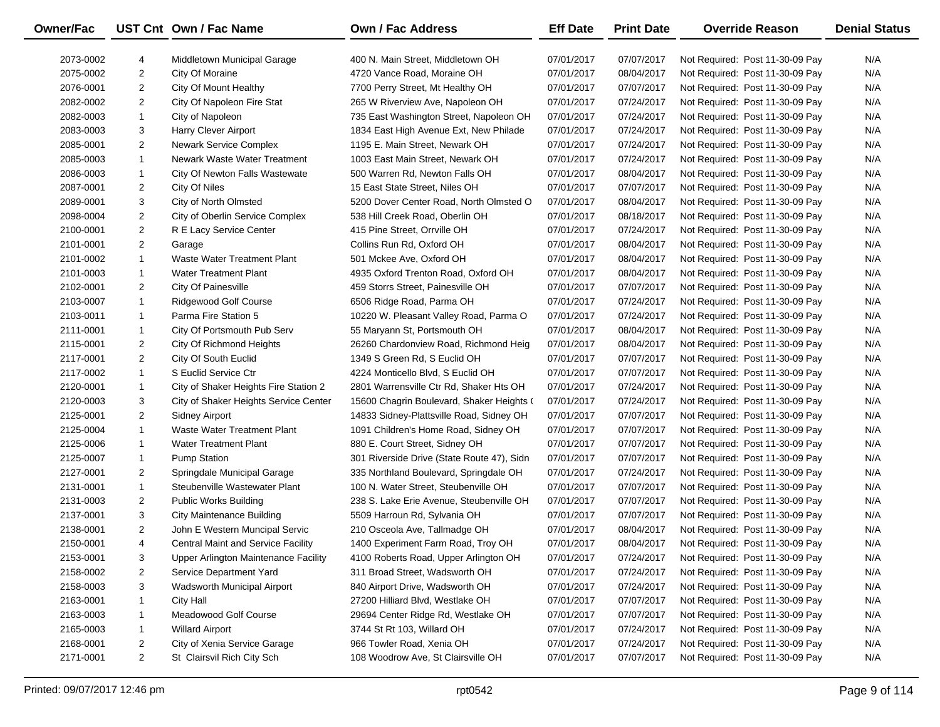| Owner/Fac |                | UST Cnt Own / Fac Name                    | Own / Fac Address                          | <b>Eff Date</b> | <b>Print Date</b> | <b>Override Reason</b>          | <b>Denial Status</b> |
|-----------|----------------|-------------------------------------------|--------------------------------------------|-----------------|-------------------|---------------------------------|----------------------|
| 2073-0002 | 4              | Middletown Municipal Garage               | 400 N. Main Street, Middletown OH          | 07/01/2017      | 07/07/2017        | Not Required: Post 11-30-09 Pay | N/A                  |
| 2075-0002 | $\overline{2}$ | City Of Moraine                           | 4720 Vance Road, Moraine OH                | 07/01/2017      | 08/04/2017        | Not Required: Post 11-30-09 Pay | N/A                  |
| 2076-0001 | $\overline{2}$ | City Of Mount Healthy                     | 7700 Perry Street, Mt Healthy OH           | 07/01/2017      | 07/07/2017        | Not Required: Post 11-30-09 Pay | N/A                  |
| 2082-0002 | $\overline{2}$ | City Of Napoleon Fire Stat                | 265 W Riverview Ave, Napoleon OH           | 07/01/2017      | 07/24/2017        | Not Required: Post 11-30-09 Pay | N/A                  |
| 2082-0003 | $\mathbf{1}$   | City of Napoleon                          | 735 East Washington Street, Napoleon OH    | 07/01/2017      | 07/24/2017        | Not Required: Post 11-30-09 Pay | N/A                  |
| 2083-0003 | 3              | Harry Clever Airport                      | 1834 East High Avenue Ext, New Philade     | 07/01/2017      | 07/24/2017        | Not Required: Post 11-30-09 Pay | N/A                  |
| 2085-0001 | $\overline{2}$ | <b>Newark Service Complex</b>             | 1195 E. Main Street, Newark OH             | 07/01/2017      | 07/24/2017        | Not Required: Post 11-30-09 Pay | N/A                  |
| 2085-0003 | $\mathbf{1}$   | Newark Waste Water Treatment              | 1003 East Main Street, Newark OH           | 07/01/2017      | 07/24/2017        | Not Required: Post 11-30-09 Pay | N/A                  |
| 2086-0003 | 1              | City Of Newton Falls Wastewate            | 500 Warren Rd, Newton Falls OH             | 07/01/2017      | 08/04/2017        | Not Required: Post 11-30-09 Pay | N/A                  |
| 2087-0001 | $\overline{2}$ | City Of Niles                             | 15 East State Street, Niles OH             | 07/01/2017      | 07/07/2017        | Not Required: Post 11-30-09 Pay | N/A                  |
| 2089-0001 | 3              | City of North Olmsted                     | 5200 Dover Center Road, North Olmsted O    | 07/01/2017      | 08/04/2017        | Not Required: Post 11-30-09 Pay | N/A                  |
| 2098-0004 | $\overline{2}$ | City of Oberlin Service Complex           | 538 Hill Creek Road, Oberlin OH            | 07/01/2017      | 08/18/2017        | Not Required: Post 11-30-09 Pay | N/A                  |
| 2100-0001 | $\overline{2}$ | R E Lacy Service Center                   | 415 Pine Street, Orrville OH               | 07/01/2017      | 07/24/2017        | Not Required: Post 11-30-09 Pay | N/A                  |
| 2101-0001 | $\overline{2}$ | Garage                                    | Collins Run Rd, Oxford OH                  | 07/01/2017      | 08/04/2017        | Not Required: Post 11-30-09 Pay | N/A                  |
| 2101-0002 | $\mathbf{1}$   | <b>Waste Water Treatment Plant</b>        | 501 Mckee Ave, Oxford OH                   | 07/01/2017      | 08/04/2017        | Not Required: Post 11-30-09 Pay | N/A                  |
| 2101-0003 | 1              | <b>Water Treatment Plant</b>              | 4935 Oxford Trenton Road, Oxford OH        | 07/01/2017      | 08/04/2017        | Not Required: Post 11-30-09 Pay | N/A                  |
| 2102-0001 | $\overline{2}$ | City Of Painesville                       | 459 Storrs Street, Painesville OH          | 07/01/2017      | 07/07/2017        | Not Required: Post 11-30-09 Pay | N/A                  |
| 2103-0007 | $\mathbf{1}$   | Ridgewood Golf Course                     | 6506 Ridge Road, Parma OH                  | 07/01/2017      | 07/24/2017        | Not Required: Post 11-30-09 Pay | N/A                  |
| 2103-0011 | 1              | Parma Fire Station 5                      | 10220 W. Pleasant Valley Road, Parma O     | 07/01/2017      | 07/24/2017        | Not Required: Post 11-30-09 Pay | N/A                  |
| 2111-0001 | 1              | City Of Portsmouth Pub Serv               | 55 Maryann St, Portsmouth OH               | 07/01/2017      | 08/04/2017        | Not Required: Post 11-30-09 Pay | N/A                  |
| 2115-0001 | $\overline{2}$ | City Of Richmond Heights                  | 26260 Chardonview Road, Richmond Heig      | 07/01/2017      | 08/04/2017        | Not Required: Post 11-30-09 Pay | N/A                  |
| 2117-0001 | $\overline{2}$ | City Of South Euclid                      | 1349 S Green Rd, S Euclid OH               | 07/01/2017      | 07/07/2017        | Not Required: Post 11-30-09 Pay | N/A                  |
| 2117-0002 | 1              | S Euclid Service Ctr                      | 4224 Monticello Blvd, S Euclid OH          | 07/01/2017      | 07/07/2017        | Not Required: Post 11-30-09 Pay | N/A                  |
| 2120-0001 | 1              | City of Shaker Heights Fire Station 2     | 2801 Warrensville Ctr Rd, Shaker Hts OH    | 07/01/2017      | 07/24/2017        | Not Required: Post 11-30-09 Pay | N/A                  |
| 2120-0003 | 3              | City of Shaker Heights Service Center     | 15600 Chagrin Boulevard, Shaker Heights (  | 07/01/2017      | 07/24/2017        | Not Required: Post 11-30-09 Pay | N/A                  |
| 2125-0001 | $\overline{2}$ | <b>Sidney Airport</b>                     | 14833 Sidney-Plattsville Road, Sidney OH   | 07/01/2017      | 07/07/2017        | Not Required: Post 11-30-09 Pay | N/A                  |
| 2125-0004 | $\mathbf{1}$   | Waste Water Treatment Plant               | 1091 Children's Home Road, Sidney OH       | 07/01/2017      | 07/07/2017        | Not Required: Post 11-30-09 Pay | N/A                  |
| 2125-0006 | $\mathbf{1}$   | Water Treatment Plant                     | 880 E. Court Street, Sidney OH             | 07/01/2017      | 07/07/2017        | Not Required: Post 11-30-09 Pay | N/A                  |
| 2125-0007 | 1              | <b>Pump Station</b>                       | 301 Riverside Drive (State Route 47), Sidn | 07/01/2017      | 07/07/2017        | Not Required: Post 11-30-09 Pay | N/A                  |
| 2127-0001 | $\overline{2}$ | Springdale Municipal Garage               | 335 Northland Boulevard, Springdale OH     | 07/01/2017      | 07/24/2017        | Not Required: Post 11-30-09 Pay | N/A                  |
| 2131-0001 | $\mathbf{1}$   | Steubenville Wastewater Plant             | 100 N. Water Street, Steubenville OH       | 07/01/2017      | 07/07/2017        | Not Required: Post 11-30-09 Pay | N/A                  |
| 2131-0003 | $\overline{2}$ | Public Works Building                     | 238 S. Lake Erie Avenue, Steubenville OH   | 07/01/2017      | 07/07/2017        | Not Required: Post 11-30-09 Pay | N/A                  |
| 2137-0001 | 3              | <b>City Maintenance Building</b>          | 5509 Harroun Rd, Sylvania OH               | 07/01/2017      | 07/07/2017        | Not Required: Post 11-30-09 Pay | N/A                  |
| 2138-0001 | $\overline{2}$ | John E Western Muncipal Servic            | 210 Osceola Ave, Tallmadge OH              | 07/01/2017      | 08/04/2017        | Not Required: Post 11-30-09 Pay | N/A                  |
| 2150-0001 | 4              | <b>Central Maint and Service Facility</b> | 1400 Experiment Farm Road, Troy OH         | 07/01/2017      | 08/04/2017        | Not Required: Post 11-30-09 Pay | N/A                  |
| 2153-0001 | 3              | Upper Arlington Maintenance Facility      | 4100 Roberts Road, Upper Arlington OH      | 07/01/2017      | 07/24/2017        | Not Required: Post 11-30-09 Pay | N/A                  |
| 2158-0002 | 2              | Service Department Yard                   | 311 Broad Street, Wadsworth OH             | 07/01/2017      | 07/24/2017        | Not Required: Post 11-30-09 Pay | N/A                  |
| 2158-0003 | 3              | Wadsworth Municipal Airport               | 840 Airport Drive, Wadsworth OH            | 07/01/2017      | 07/24/2017        | Not Required: Post 11-30-09 Pay | N/A                  |
| 2163-0001 | 1              | City Hall                                 | 27200 Hilliard Blvd, Westlake OH           | 07/01/2017      | 07/07/2017        | Not Required: Post 11-30-09 Pay | N/A                  |
| 2163-0003 | 1              | Meadowood Golf Course                     | 29694 Center Ridge Rd, Westlake OH         | 07/01/2017      | 07/07/2017        | Not Required: Post 11-30-09 Pay | N/A                  |
| 2165-0003 | 1              | <b>Willard Airport</b>                    | 3744 St Rt 103, Willard OH                 | 07/01/2017      | 07/24/2017        | Not Required: Post 11-30-09 Pay | N/A                  |
| 2168-0001 | $\overline{2}$ | City of Xenia Service Garage              | 966 Towler Road, Xenia OH                  | 07/01/2017      | 07/24/2017        | Not Required: Post 11-30-09 Pay | N/A                  |
| 2171-0001 | $\overline{a}$ | St Clairsvil Rich City Sch                | 108 Woodrow Ave, St Clairsville OH         | 07/01/2017      | 07/07/2017        | Not Required: Post 11-30-09 Pay | N/A                  |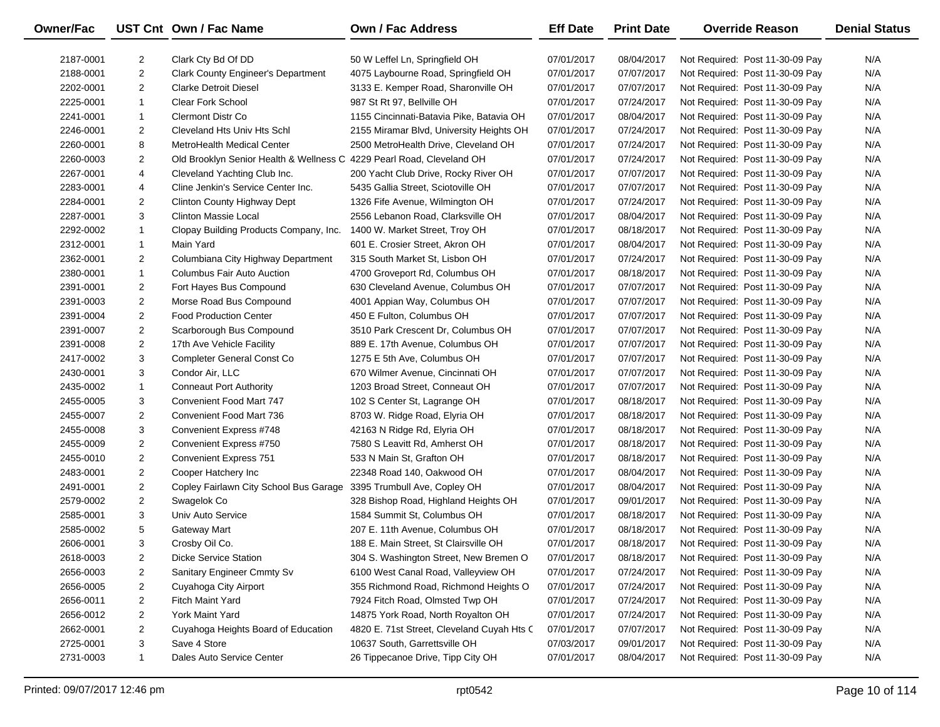| <b>Owner/Fac</b> |                | UST Cnt Own / Fac Name                                                | Own / Fac Address                          | <b>Eff Date</b> | <b>Print Date</b> | <b>Override Reason</b>          | <b>Denial Status</b> |
|------------------|----------------|-----------------------------------------------------------------------|--------------------------------------------|-----------------|-------------------|---------------------------------|----------------------|
| 2187-0001        | $\overline{2}$ | Clark Cty Bd Of DD                                                    | 50 W Leffel Ln, Springfield OH             | 07/01/2017      | 08/04/2017        | Not Required: Post 11-30-09 Pay | N/A                  |
| 2188-0001        | $\overline{2}$ | <b>Clark County Engineer's Department</b>                             | 4075 Laybourne Road, Springfield OH        | 07/01/2017      | 07/07/2017        | Not Required: Post 11-30-09 Pay | N/A                  |
| 2202-0001        | $\overline{2}$ | <b>Clarke Detroit Diesel</b>                                          | 3133 E. Kemper Road, Sharonville OH        | 07/01/2017      | 07/07/2017        | Not Required: Post 11-30-09 Pay | N/A                  |
| 2225-0001        | $\mathbf{1}$   | <b>Clear Fork School</b>                                              | 987 St Rt 97, Bellville OH                 | 07/01/2017      | 07/24/2017        | Not Required: Post 11-30-09 Pay | N/A                  |
| 2241-0001        | $\mathbf{1}$   | <b>Clermont Distr Co</b>                                              | 1155 Cincinnati-Batavia Pike, Batavia OH   | 07/01/2017      | 08/04/2017        | Not Required: Post 11-30-09 Pay | N/A                  |
| 2246-0001        | $\overline{2}$ | Cleveland Hts Univ Hts Schl                                           | 2155 Miramar Blvd, University Heights OH   | 07/01/2017      | 07/24/2017        | Not Required: Post 11-30-09 Pay | N/A                  |
| 2260-0001        | 8              | MetroHealth Medical Center                                            | 2500 MetroHealth Drive, Cleveland OH       | 07/01/2017      | 07/24/2017        | Not Required: Post 11-30-09 Pay | N/A                  |
| 2260-0003        | $\overline{2}$ | Old Brooklyn Senior Health & Wellness C 4229 Pearl Road, Cleveland OH |                                            | 07/01/2017      | 07/24/2017        | Not Required: Post 11-30-09 Pay | N/A                  |
| 2267-0001        | 4              | Cleveland Yachting Club Inc.                                          | 200 Yacht Club Drive, Rocky River OH       | 07/01/2017      | 07/07/2017        | Not Required: Post 11-30-09 Pay | N/A                  |
| 2283-0001        | 4              | Cline Jenkin's Service Center Inc.                                    | 5435 Gallia Street, Sciotoville OH         | 07/01/2017      | 07/07/2017        | Not Required: Post 11-30-09 Pay | N/A                  |
| 2284-0001        | $\overline{2}$ | Clinton County Highway Dept                                           | 1326 Fife Avenue, Wilmington OH            | 07/01/2017      | 07/24/2017        | Not Required: Post 11-30-09 Pay | N/A                  |
| 2287-0001        | 3              | <b>Clinton Massie Local</b>                                           | 2556 Lebanon Road, Clarksville OH          | 07/01/2017      | 08/04/2017        | Not Required: Post 11-30-09 Pay | N/A                  |
| 2292-0002        | $\mathbf{1}$   | Clopay Building Products Company, Inc.                                | 1400 W. Market Street, Troy OH             | 07/01/2017      | 08/18/2017        | Not Required: Post 11-30-09 Pay | N/A                  |
| 2312-0001        | $\mathbf{1}$   | Main Yard                                                             | 601 E. Crosier Street, Akron OH            | 07/01/2017      | 08/04/2017        | Not Required: Post 11-30-09 Pay | N/A                  |
| 2362-0001        | $\overline{2}$ | Columbiana City Highway Department                                    | 315 South Market St, Lisbon OH             | 07/01/2017      | 07/24/2017        | Not Required: Post 11-30-09 Pay | N/A                  |
| 2380-0001        | $\mathbf{1}$   | Columbus Fair Auto Auction                                            | 4700 Groveport Rd, Columbus OH             | 07/01/2017      | 08/18/2017        | Not Required: Post 11-30-09 Pay | N/A                  |
| 2391-0001        | $\overline{2}$ | Fort Hayes Bus Compound                                               | 630 Cleveland Avenue, Columbus OH          | 07/01/2017      | 07/07/2017        | Not Required: Post 11-30-09 Pay | N/A                  |
| 2391-0003        | $\overline{2}$ | Morse Road Bus Compound                                               | 4001 Appian Way, Columbus OH               | 07/01/2017      | 07/07/2017        | Not Required: Post 11-30-09 Pay | N/A                  |
| 2391-0004        | $\overline{2}$ | <b>Food Production Center</b>                                         | 450 E Fulton, Columbus OH                  | 07/01/2017      | 07/07/2017        | Not Required: Post 11-30-09 Pay | N/A                  |
| 2391-0007        | $\overline{2}$ | Scarborough Bus Compound                                              | 3510 Park Crescent Dr, Columbus OH         | 07/01/2017      | 07/07/2017        | Not Required: Post 11-30-09 Pay | N/A                  |
| 2391-0008        | $\overline{2}$ | 17th Ave Vehicle Facility                                             | 889 E. 17th Avenue, Columbus OH            | 07/01/2017      | 07/07/2017        | Not Required: Post 11-30-09 Pay | N/A                  |
| 2417-0002        | 3              | Completer General Const Co                                            | 1275 E 5th Ave, Columbus OH                | 07/01/2017      | 07/07/2017        | Not Required: Post 11-30-09 Pay | N/A                  |
| 2430-0001        | 3              | Condor Air, LLC                                                       | 670 Wilmer Avenue, Cincinnati OH           | 07/01/2017      | 07/07/2017        | Not Required: Post 11-30-09 Pay | N/A                  |
| 2435-0002        | $\mathbf{1}$   | <b>Conneaut Port Authority</b>                                        | 1203 Broad Street, Conneaut OH             | 07/01/2017      | 07/07/2017        | Not Required: Post 11-30-09 Pay | N/A                  |
| 2455-0005        | 3              | Convenient Food Mart 747                                              | 102 S Center St, Lagrange OH               | 07/01/2017      | 08/18/2017        | Not Required: Post 11-30-09 Pay | N/A                  |
| 2455-0007        | $\overline{2}$ | Convenient Food Mart 736                                              | 8703 W. Ridge Road, Elyria OH              | 07/01/2017      | 08/18/2017        | Not Required: Post 11-30-09 Pay | N/A                  |
| 2455-0008        | 3              | Convenient Express #748                                               | 42163 N Ridge Rd, Elyria OH                | 07/01/2017      | 08/18/2017        | Not Required: Post 11-30-09 Pay | N/A                  |
| 2455-0009        | $\overline{2}$ | Convenient Express #750                                               | 7580 S Leavitt Rd, Amherst OH              | 07/01/2017      | 08/18/2017        | Not Required: Post 11-30-09 Pay | N/A                  |
| 2455-0010        | $\overline{2}$ | <b>Convenient Express 751</b>                                         | 533 N Main St, Grafton OH                  | 07/01/2017      | 08/18/2017        | Not Required: Post 11-30-09 Pay | N/A                  |
| 2483-0001        | $\overline{2}$ | Cooper Hatchery Inc                                                   | 22348 Road 140, Oakwood OH                 | 07/01/2017      | 08/04/2017        | Not Required: Post 11-30-09 Pay | N/A                  |
| 2491-0001        | $\overline{2}$ | Copley Fairlawn City School Bus Garage                                | 3395 Trumbull Ave, Copley OH               | 07/01/2017      | 08/04/2017        | Not Required: Post 11-30-09 Pay | N/A                  |
| 2579-0002        | $\overline{2}$ | Swagelok Co                                                           | 328 Bishop Road, Highland Heights OH       | 07/01/2017      | 09/01/2017        | Not Required: Post 11-30-09 Pay | N/A                  |
| 2585-0001        | 3              | Univ Auto Service                                                     | 1584 Summit St, Columbus OH                | 07/01/2017      | 08/18/2017        | Not Required: Post 11-30-09 Pay | N/A                  |
| 2585-0002        | 5              | <b>Gateway Mart</b>                                                   | 207 E. 11th Avenue, Columbus OH            | 07/01/2017      | 08/18/2017        | Not Required: Post 11-30-09 Pay | N/A                  |
| 2606-0001        | 3              | Crosby Oil Co.                                                        | 188 E. Main Street, St Clairsville OH      | 07/01/2017      | 08/18/2017        | Not Required: Post 11-30-09 Pay | N/A                  |
| 2618-0003        | $\overline{c}$ | <b>Dicke Service Station</b>                                          | 304 S. Washington Street, New Bremen O     | 07/01/2017      | 08/18/2017        | Not Required: Post 11-30-09 Pay | N/A                  |
| 2656-0003        | $\overline{2}$ | Sanitary Engineer Cmmty Sv                                            | 6100 West Canal Road, Valleyview OH        | 07/01/2017      | 07/24/2017        | Not Required: Post 11-30-09 Pay | N/A                  |
| 2656-0005        | $\overline{2}$ | Cuyahoga City Airport                                                 | 355 Richmond Road, Richmond Heights O      | 07/01/2017      | 07/24/2017        | Not Required: Post 11-30-09 Pay | N/A                  |
| 2656-0011        | 2              | Fitch Maint Yard                                                      | 7924 Fitch Road, Olmsted Twp OH            | 07/01/2017      | 07/24/2017        | Not Required: Post 11-30-09 Pay | N/A                  |
| 2656-0012        | $\overline{2}$ | York Maint Yard                                                       | 14875 York Road, North Royalton OH         | 07/01/2017      | 07/24/2017        | Not Required: Post 11-30-09 Pay | N/A                  |
| 2662-0001        | $\overline{2}$ | Cuyahoga Heights Board of Education                                   | 4820 E. 71st Street, Cleveland Cuyah Hts C | 07/01/2017      | 07/07/2017        | Not Required: Post 11-30-09 Pay | N/A                  |
| 2725-0001        | 3              | Save 4 Store                                                          | 10637 South, Garrettsville OH              | 07/03/2017      | 09/01/2017        | Not Required: Post 11-30-09 Pay | N/A                  |
| 2731-0003        | $\mathbf{1}$   | Dales Auto Service Center                                             | 26 Tippecanoe Drive, Tipp City OH          | 07/01/2017      | 08/04/2017        | Not Required: Post 11-30-09 Pay | N/A                  |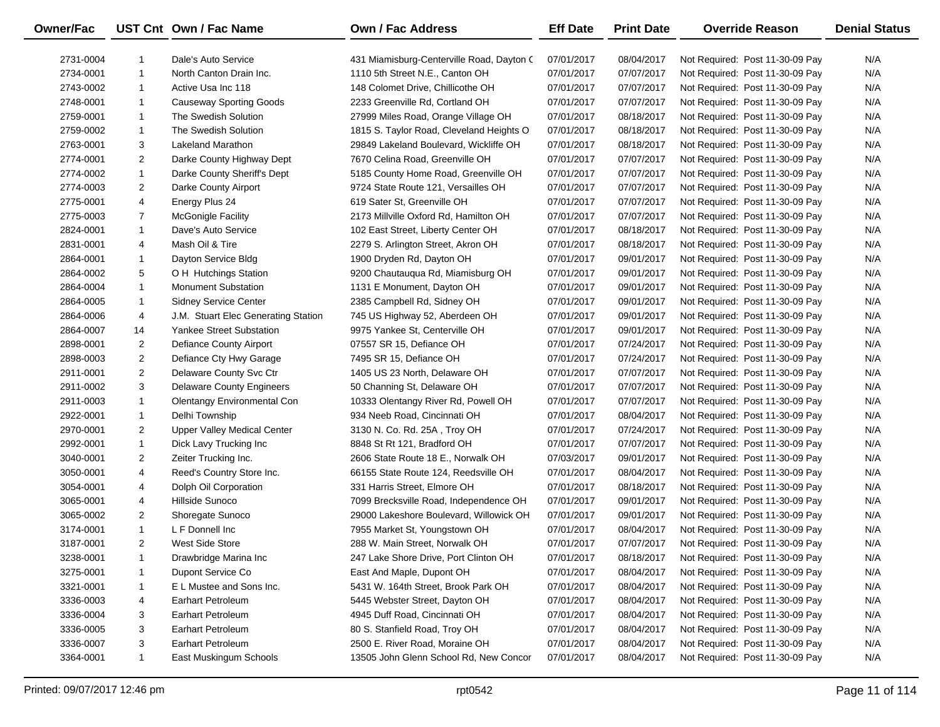| Owner/Fac |                | UST Cnt Own / Fac Name              | <b>Own / Fac Address</b>                  | <b>Eff Date</b> | <b>Print Date</b> | <b>Override Reason</b>          | <b>Denial Status</b> |
|-----------|----------------|-------------------------------------|-------------------------------------------|-----------------|-------------------|---------------------------------|----------------------|
| 2731-0004 | -1             | Dale's Auto Service                 | 431 Miamisburg-Centerville Road, Dayton ( | 07/01/2017      | 08/04/2017        | Not Required: Post 11-30-09 Pay | N/A                  |
| 2734-0001 | $\mathbf{1}$   | North Canton Drain Inc.             | 1110 5th Street N.E., Canton OH           | 07/01/2017      | 07/07/2017        | Not Required: Post 11-30-09 Pay | N/A                  |
| 2743-0002 | $\mathbf{1}$   | Active Usa Inc 118                  | 148 Colomet Drive, Chillicothe OH         | 07/01/2017      | 07/07/2017        | Not Required: Post 11-30-09 Pay | N/A                  |
| 2748-0001 | 1              | <b>Causeway Sporting Goods</b>      | 2233 Greenville Rd, Cortland OH           | 07/01/2017      | 07/07/2017        | Not Required: Post 11-30-09 Pay | N/A                  |
| 2759-0001 | 1              | The Swedish Solution                | 27999 Miles Road, Orange Village OH       | 07/01/2017      | 08/18/2017        | Not Required: Post 11-30-09 Pay | N/A                  |
| 2759-0002 | $\mathbf{1}$   | The Swedish Solution                | 1815 S. Taylor Road, Cleveland Heights O  | 07/01/2017      | 08/18/2017        | Not Required: Post 11-30-09 Pay | N/A                  |
| 2763-0001 | 3              | Lakeland Marathon                   | 29849 Lakeland Boulevard, Wickliffe OH    | 07/01/2017      | 08/18/2017        | Not Required: Post 11-30-09 Pay | N/A                  |
| 2774-0001 | $\overline{2}$ | Darke County Highway Dept           | 7670 Celina Road, Greenville OH           | 07/01/2017      | 07/07/2017        | Not Required: Post 11-30-09 Pay | N/A                  |
| 2774-0002 | $\mathbf{1}$   | Darke County Sheriff's Dept         | 5185 County Home Road, Greenville OH      | 07/01/2017      | 07/07/2017        | Not Required: Post 11-30-09 Pay | N/A                  |
| 2774-0003 | $\overline{2}$ | Darke County Airport                | 9724 State Route 121, Versailles OH       | 07/01/2017      | 07/07/2017        | Not Required: Post 11-30-09 Pay | N/A                  |
| 2775-0001 | 4              | Energy Plus 24                      | 619 Sater St, Greenville OH               | 07/01/2017      | 07/07/2017        | Not Required: Post 11-30-09 Pay | N/A                  |
| 2775-0003 | $\overline{7}$ | <b>McGonigle Facility</b>           | 2173 Millville Oxford Rd, Hamilton OH     | 07/01/2017      | 07/07/2017        | Not Required: Post 11-30-09 Pay | N/A                  |
| 2824-0001 | $\mathbf{1}$   | Dave's Auto Service                 | 102 East Street, Liberty Center OH        | 07/01/2017      | 08/18/2017        | Not Required: Post 11-30-09 Pay | N/A                  |
| 2831-0001 | 4              | Mash Oil & Tire                     | 2279 S. Arlington Street, Akron OH        | 07/01/2017      | 08/18/2017        | Not Required: Post 11-30-09 Pay | N/A                  |
| 2864-0001 | 1              | Dayton Service Bldg                 | 1900 Dryden Rd, Dayton OH                 | 07/01/2017      | 09/01/2017        | Not Required: Post 11-30-09 Pay | N/A                  |
| 2864-0002 | 5              | O H Hutchings Station               | 9200 Chautauqua Rd, Miamisburg OH         | 07/01/2017      | 09/01/2017        | Not Required: Post 11-30-09 Pay | N/A                  |
| 2864-0004 | $\mathbf{1}$   | <b>Monument Substation</b>          | 1131 E Monument, Dayton OH                | 07/01/2017      | 09/01/2017        | Not Required: Post 11-30-09 Pay | N/A                  |
| 2864-0005 | $\mathbf{1}$   | <b>Sidney Service Center</b>        | 2385 Campbell Rd, Sidney OH               | 07/01/2017      | 09/01/2017        | Not Required: Post 11-30-09 Pay | N/A                  |
| 2864-0006 | 4              | J.M. Stuart Elec Generating Station | 745 US Highway 52, Aberdeen OH            | 07/01/2017      | 09/01/2017        | Not Required: Post 11-30-09 Pay | N/A                  |
| 2864-0007 | 14             | <b>Yankee Street Substation</b>     | 9975 Yankee St, Centerville OH            | 07/01/2017      | 09/01/2017        | Not Required: Post 11-30-09 Pay | N/A                  |
| 2898-0001 | $\overline{2}$ | Defiance County Airport             | 07557 SR 15, Defiance OH                  | 07/01/2017      | 07/24/2017        | Not Required: Post 11-30-09 Pay | N/A                  |
| 2898-0003 | $\overline{2}$ | Defiance Cty Hwy Garage             | 7495 SR 15, Defiance OH                   | 07/01/2017      | 07/24/2017        | Not Required: Post 11-30-09 Pay | N/A                  |
| 2911-0001 | $\overline{2}$ | Delaware County Svc Ctr             | 1405 US 23 North, Delaware OH             | 07/01/2017      | 07/07/2017        | Not Required: Post 11-30-09 Pay | N/A                  |
| 2911-0002 | 3              | <b>Delaware County Engineers</b>    | 50 Channing St, Delaware OH               | 07/01/2017      | 07/07/2017        | Not Required: Post 11-30-09 Pay | N/A                  |
| 2911-0003 | $\mathbf{1}$   | Olentangy Environmental Con         | 10333 Olentangy River Rd, Powell OH       | 07/01/2017      | 07/07/2017        | Not Required: Post 11-30-09 Pay | N/A                  |
| 2922-0001 | 1              | Delhi Township                      | 934 Neeb Road, Cincinnati OH              | 07/01/2017      | 08/04/2017        | Not Required: Post 11-30-09 Pay | N/A                  |
| 2970-0001 | $\overline{2}$ | Upper Valley Medical Center         | 3130 N. Co. Rd. 25A, Troy OH              | 07/01/2017      | 07/24/2017        | Not Required: Post 11-30-09 Pay | N/A                  |
| 2992-0001 | $\mathbf{1}$   | Dick Lavy Trucking Inc              | 8848 St Rt 121, Bradford OH               | 07/01/2017      | 07/07/2017        | Not Required: Post 11-30-09 Pay | N/A                  |
| 3040-0001 | $\overline{2}$ | Zeiter Trucking Inc.                | 2606 State Route 18 E., Norwalk OH        | 07/03/2017      | 09/01/2017        | Not Required: Post 11-30-09 Pay | N/A                  |
| 3050-0001 | 4              | Reed's Country Store Inc.           | 66155 State Route 124, Reedsville OH      | 07/01/2017      | 08/04/2017        | Not Required: Post 11-30-09 Pay | N/A                  |
| 3054-0001 | 4              | Dolph Oil Corporation               | 331 Harris Street, Elmore OH              | 07/01/2017      | 08/18/2017        | Not Required: Post 11-30-09 Pay | N/A                  |
| 3065-0001 | 4              | Hillside Sunoco                     | 7099 Brecksville Road, Independence OH    | 07/01/2017      | 09/01/2017        | Not Required: Post 11-30-09 Pay | N/A                  |
| 3065-0002 | $\overline{2}$ | Shoregate Sunoco                    | 29000 Lakeshore Boulevard, Willowick OH   | 07/01/2017      | 09/01/2017        | Not Required: Post 11-30-09 Pay | N/A                  |
| 3174-0001 | $\mathbf{1}$   | L F Donnell Inc                     | 7955 Market St, Youngstown OH             | 07/01/2017      | 08/04/2017        | Not Required: Post 11-30-09 Pay | N/A                  |
| 3187-0001 | $\overline{2}$ | West Side Store                     | 288 W. Main Street, Norwalk OH            | 07/01/2017      | 07/07/2017        | Not Required: Post 11-30-09 Pay | N/A                  |
| 3238-0001 | -1             | Drawbridge Marina Inc               | 247 Lake Shore Drive, Port Clinton OH     | 07/01/2017      | 08/18/2017        | Not Required: Post 11-30-09 Pay | N/A                  |
| 3275-0001 | -1             | Dupont Service Co                   | East And Maple, Dupont OH                 | 07/01/2017      | 08/04/2017        | Not Required: Post 11-30-09 Pay | N/A                  |
| 3321-0001 | 1              | E L Mustee and Sons Inc.            | 5431 W. 164th Street, Brook Park OH       | 07/01/2017      | 08/04/2017        | Not Required: Post 11-30-09 Pay | N/A                  |
| 3336-0003 | 4              | <b>Earhart Petroleum</b>            | 5445 Webster Street, Dayton OH            | 07/01/2017      | 08/04/2017        | Not Required: Post 11-30-09 Pay | N/A                  |
| 3336-0004 | 3              | <b>Earhart Petroleum</b>            | 4945 Duff Road, Cincinnati OH             | 07/01/2017      | 08/04/2017        | Not Required: Post 11-30-09 Pay | N/A                  |
| 3336-0005 | 3              | <b>Earhart Petroleum</b>            | 80 S. Stanfield Road, Troy OH             | 07/01/2017      | 08/04/2017        | Not Required: Post 11-30-09 Pay | N/A                  |
| 3336-0007 | 3              | <b>Earhart Petroleum</b>            | 2500 E. River Road, Moraine OH            | 07/01/2017      | 08/04/2017        | Not Required: Post 11-30-09 Pay | N/A                  |
| 3364-0001 | $\mathbf{1}$   | East Muskingum Schools              | 13505 John Glenn School Rd, New Concor    | 07/01/2017      | 08/04/2017        | Not Required: Post 11-30-09 Pay | N/A                  |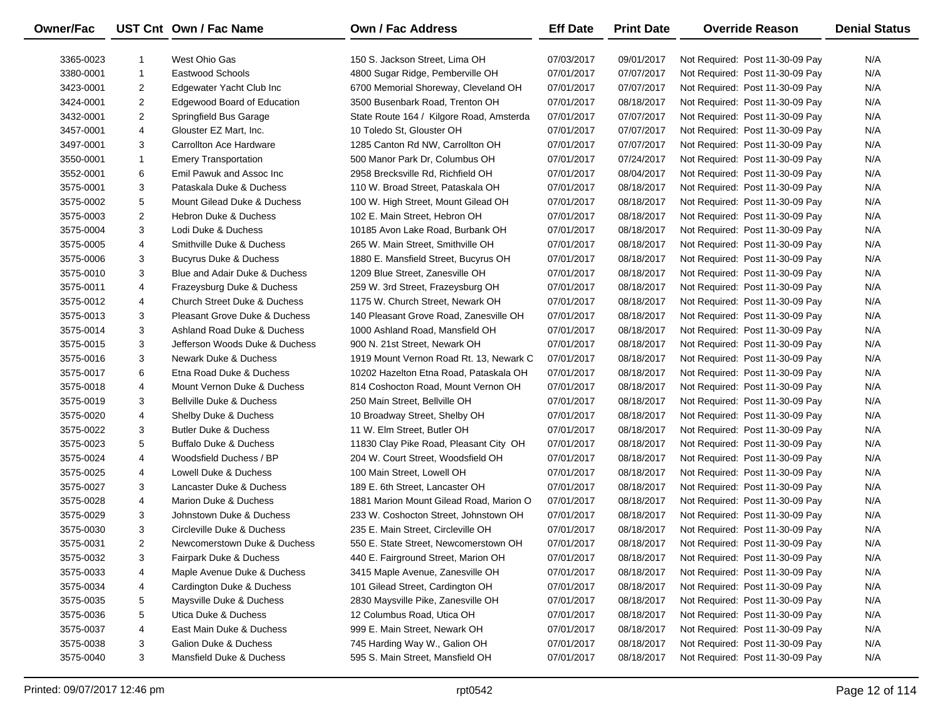| <b>Owner/Fac</b> |                | UST Cnt Own / Fac Name                  | <b>Own / Fac Address</b>                 | <b>Eff Date</b> | <b>Print Date</b> | <b>Override Reason</b>          | <b>Denial Status</b> |
|------------------|----------------|-----------------------------------------|------------------------------------------|-----------------|-------------------|---------------------------------|----------------------|
| 3365-0023        | $\mathbf{1}$   | West Ohio Gas                           | 150 S. Jackson Street, Lima OH           | 07/03/2017      | 09/01/2017        | Not Required: Post 11-30-09 Pay | N/A                  |
| 3380-0001        | $\mathbf{1}$   | <b>Eastwood Schools</b>                 | 4800 Sugar Ridge, Pemberville OH         | 07/01/2017      | 07/07/2017        | Not Required: Post 11-30-09 Pay | N/A                  |
| 3423-0001        | 2              | Edgewater Yacht Club Inc                | 6700 Memorial Shoreway, Cleveland OH     | 07/01/2017      | 07/07/2017        | Not Required: Post 11-30-09 Pay | N/A                  |
| 3424-0001        | $\overline{2}$ | Edgewood Board of Education             | 3500 Busenbark Road, Trenton OH          | 07/01/2017      | 08/18/2017        | Not Required: Post 11-30-09 Pay | N/A                  |
| 3432-0001        | 2              | Springfield Bus Garage                  | State Route 164 / Kilgore Road, Amsterda | 07/01/2017      | 07/07/2017        | Not Required: Post 11-30-09 Pay | N/A                  |
| 3457-0001        | 4              | Glouster EZ Mart, Inc.                  | 10 Toledo St, Glouster OH                | 07/01/2017      | 07/07/2017        | Not Required: Post 11-30-09 Pay | N/A                  |
| 3497-0001        | 3              | Carrollton Ace Hardware                 | 1285 Canton Rd NW, Carrollton OH         | 07/01/2017      | 07/07/2017        | Not Required: Post 11-30-09 Pay | N/A                  |
| 3550-0001        | $\mathbf{1}$   | <b>Emery Transportation</b>             | 500 Manor Park Dr, Columbus OH           | 07/01/2017      | 07/24/2017        | Not Required: Post 11-30-09 Pay | N/A                  |
| 3552-0001        | 6              | Emil Pawuk and Assoc Inc.               | 2958 Brecksville Rd, Richfield OH        | 07/01/2017      | 08/04/2017        | Not Required: Post 11-30-09 Pay | N/A                  |
| 3575-0001        | 3              | Pataskala Duke & Duchess                | 110 W. Broad Street, Pataskala OH        | 07/01/2017      | 08/18/2017        | Not Required: Post 11-30-09 Pay | N/A                  |
| 3575-0002        | 5              | Mount Gilead Duke & Duchess             | 100 W. High Street, Mount Gilead OH      | 07/01/2017      | 08/18/2017        | Not Required: Post 11-30-09 Pay | N/A                  |
| 3575-0003        | $\overline{2}$ | <b>Hebron Duke &amp; Duchess</b>        | 102 E. Main Street, Hebron OH            | 07/01/2017      | 08/18/2017        | Not Required: Post 11-30-09 Pay | N/A                  |
| 3575-0004        | 3              | Lodi Duke & Duchess                     | 10185 Avon Lake Road, Burbank OH         | 07/01/2017      | 08/18/2017        | Not Required: Post 11-30-09 Pay | N/A                  |
| 3575-0005        | 4              | Smithville Duke & Duchess               | 265 W. Main Street, Smithville OH        | 07/01/2017      | 08/18/2017        | Not Required: Post 11-30-09 Pay | N/A                  |
| 3575-0006        | 3              | <b>Bucyrus Duke &amp; Duchess</b>       | 1880 E. Mansfield Street, Bucyrus OH     | 07/01/2017      | 08/18/2017        | Not Required: Post 11-30-09 Pay | N/A                  |
| 3575-0010        | 3              | Blue and Adair Duke & Duchess           | 1209 Blue Street, Zanesville OH          | 07/01/2017      | 08/18/2017        | Not Required: Post 11-30-09 Pay | N/A                  |
| 3575-0011        | 4              | Frazeysburg Duke & Duchess              | 259 W. 3rd Street, Frazeysburg OH        | 07/01/2017      | 08/18/2017        | Not Required: Post 11-30-09 Pay | N/A                  |
| 3575-0012        | 4              | <b>Church Street Duke &amp; Duchess</b> | 1175 W. Church Street, Newark OH         | 07/01/2017      | 08/18/2017        | Not Required: Post 11-30-09 Pay | N/A                  |
| 3575-0013        | 3              | Pleasant Grove Duke & Duchess           | 140 Pleasant Grove Road, Zanesville OH   | 07/01/2017      | 08/18/2017        | Not Required: Post 11-30-09 Pay | N/A                  |
| 3575-0014        | 3              | Ashland Road Duke & Duchess             | 1000 Ashland Road, Mansfield OH          | 07/01/2017      | 08/18/2017        | Not Required: Post 11-30-09 Pay | N/A                  |
| 3575-0015        | 3              | Jefferson Woods Duke & Duchess          | 900 N. 21st Street, Newark OH            | 07/01/2017      | 08/18/2017        | Not Required: Post 11-30-09 Pay | N/A                  |
| 3575-0016        | 3              | Newark Duke & Duchess                   | 1919 Mount Vernon Road Rt. 13, Newark C  | 07/01/2017      | 08/18/2017        | Not Required: Post 11-30-09 Pay | N/A                  |
| 3575-0017        | 6              | Etna Road Duke & Duchess                | 10202 Hazelton Etna Road, Pataskala OH   | 07/01/2017      | 08/18/2017        | Not Required: Post 11-30-09 Pay | N/A                  |
| 3575-0018        | 4              | Mount Vernon Duke & Duchess             | 814 Coshocton Road, Mount Vernon OH      | 07/01/2017      | 08/18/2017        | Not Required: Post 11-30-09 Pay | N/A                  |
| 3575-0019        | 3              | Bellville Duke & Duchess                | 250 Main Street, Bellville OH            | 07/01/2017      | 08/18/2017        | Not Required: Post 11-30-09 Pay | N/A                  |
| 3575-0020        | 4              | Shelby Duke & Duchess                   | 10 Broadway Street, Shelby OH            | 07/01/2017      | 08/18/2017        | Not Required: Post 11-30-09 Pay | N/A                  |
| 3575-0022        | 3              | Butler Duke & Duchess                   | 11 W. Elm Street, Butler OH              | 07/01/2017      | 08/18/2017        | Not Required: Post 11-30-09 Pay | N/A                  |
| 3575-0023        | 5              | <b>Buffalo Duke &amp; Duchess</b>       | 11830 Clay Pike Road, Pleasant City OH   | 07/01/2017      | 08/18/2017        | Not Required: Post 11-30-09 Pay | N/A                  |
| 3575-0024        | 4              | Woodsfield Duchess / BP                 | 204 W. Court Street, Woodsfield OH       | 07/01/2017      | 08/18/2017        | Not Required: Post 11-30-09 Pay | N/A                  |
| 3575-0025        | 4              | Lowell Duke & Duchess                   | 100 Main Street, Lowell OH               | 07/01/2017      | 08/18/2017        | Not Required: Post 11-30-09 Pay | N/A                  |
| 3575-0027        | 3              | Lancaster Duke & Duchess                | 189 E. 6th Street, Lancaster OH          | 07/01/2017      | 08/18/2017        | Not Required: Post 11-30-09 Pay | N/A                  |
| 3575-0028        | 4              | Marion Duke & Duchess                   | 1881 Marion Mount Gilead Road, Marion O  | 07/01/2017      | 08/18/2017        | Not Required: Post 11-30-09 Pay | N/A                  |
| 3575-0029        | 3              | Johnstown Duke & Duchess                | 233 W. Coshocton Street, Johnstown OH    | 07/01/2017      | 08/18/2017        | Not Required: Post 11-30-09 Pay | N/A                  |
| 3575-0030        | 3              | Circleville Duke & Duchess              | 235 E. Main Street, Circleville OH       | 07/01/2017      | 08/18/2017        | Not Required: Post 11-30-09 Pay | N/A                  |
| 3575-0031        | $\overline{2}$ | Newcomerstown Duke & Duchess            | 550 E. State Street. Newcomerstown OH    | 07/01/2017      | 08/18/2017        | Not Required: Post 11-30-09 Pay | N/A                  |
| 3575-0032        | 3              | Fairpark Duke & Duchess                 | 440 E. Fairground Street, Marion OH      | 07/01/2017      | 08/18/2017        | Not Required: Post 11-30-09 Pay | N/A                  |
| 3575-0033        | 4              | Maple Avenue Duke & Duchess             | 3415 Maple Avenue, Zanesville OH         | 07/01/2017      | 08/18/2017        | Not Required: Post 11-30-09 Pay | N/A                  |
| 3575-0034        | 4              | Cardington Duke & Duchess               | 101 Gilead Street, Cardington OH         | 07/01/2017      | 08/18/2017        | Not Required: Post 11-30-09 Pay | N/A                  |
| 3575-0035        | 5              | Maysville Duke & Duchess                | 2830 Maysville Pike, Zanesville OH       | 07/01/2017      | 08/18/2017        | Not Required: Post 11-30-09 Pay | N/A                  |
| 3575-0036        | 5              | Utica Duke & Duchess                    | 12 Columbus Road, Utica OH               | 07/01/2017      | 08/18/2017        | Not Required: Post 11-30-09 Pay | N/A                  |
| 3575-0037        | 4              | East Main Duke & Duchess                | 999 E. Main Street, Newark OH            | 07/01/2017      | 08/18/2017        | Not Required: Post 11-30-09 Pay | N/A                  |
| 3575-0038        | 3              | Galion Duke & Duchess                   | 745 Harding Way W., Galion OH            | 07/01/2017      | 08/18/2017        | Not Required: Post 11-30-09 Pay | N/A                  |
| 3575-0040        | 3              | Mansfield Duke & Duchess                | 595 S. Main Street, Mansfield OH         | 07/01/2017      | 08/18/2017        | Not Required: Post 11-30-09 Pay | N/A                  |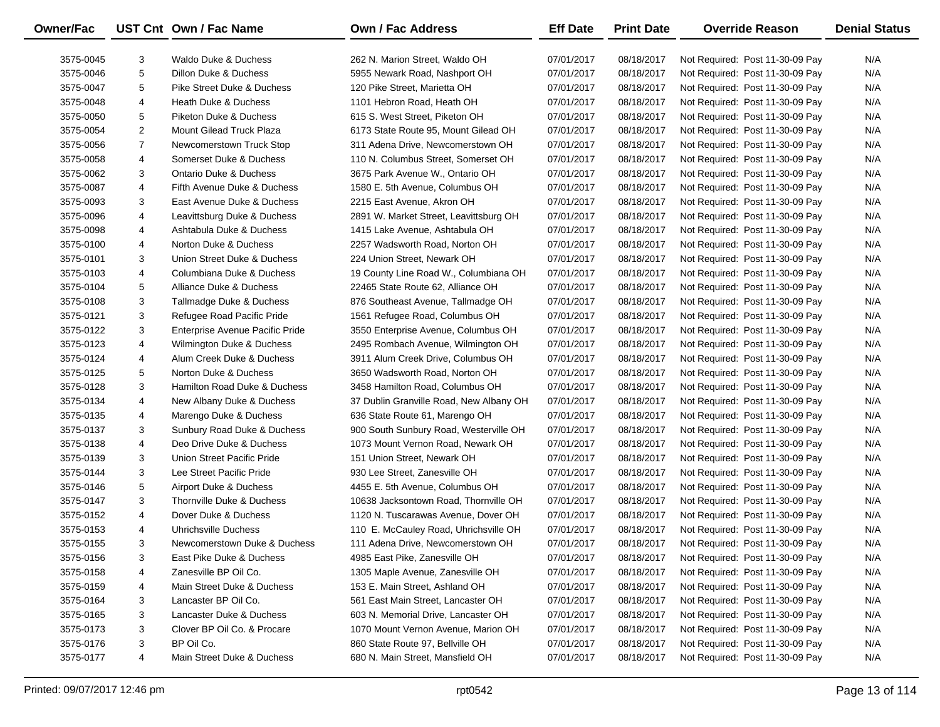| Owner/Fac |                | UST Cnt Own / Fac Name          | <b>Own / Fac Address</b>                | <b>Eff Date</b> | <b>Print Date</b> | <b>Override Reason</b>          | <b>Denial Status</b> |
|-----------|----------------|---------------------------------|-----------------------------------------|-----------------|-------------------|---------------------------------|----------------------|
| 3575-0045 | 3              | Waldo Duke & Duchess            | 262 N. Marion Street, Waldo OH          | 07/01/2017      | 08/18/2017        | Not Required: Post 11-30-09 Pay | N/A                  |
| 3575-0046 | 5              | Dillon Duke & Duchess           | 5955 Newark Road, Nashport OH           | 07/01/2017      | 08/18/2017        | Not Required: Post 11-30-09 Pay | N/A                  |
| 3575-0047 | 5              | Pike Street Duke & Duchess      | 120 Pike Street, Marietta OH            | 07/01/2017      | 08/18/2017        | Not Required: Post 11-30-09 Pay | N/A                  |
| 3575-0048 | 4              | Heath Duke & Duchess            | 1101 Hebron Road, Heath OH              | 07/01/2017      | 08/18/2017        | Not Required: Post 11-30-09 Pay | N/A                  |
| 3575-0050 | 5              | Piketon Duke & Duchess          | 615 S. West Street, Piketon OH          | 07/01/2017      | 08/18/2017        | Not Required: Post 11-30-09 Pay | N/A                  |
| 3575-0054 | $\overline{2}$ | Mount Gilead Truck Plaza        | 6173 State Route 95, Mount Gilead OH    | 07/01/2017      | 08/18/2017        | Not Required: Post 11-30-09 Pay | N/A                  |
| 3575-0056 | $\overline{7}$ | Newcomerstown Truck Stop        | 311 Adena Drive, Newcomerstown OH       | 07/01/2017      | 08/18/2017        | Not Required: Post 11-30-09 Pay | N/A                  |
| 3575-0058 | 4              | Somerset Duke & Duchess         | 110 N. Columbus Street, Somerset OH     | 07/01/2017      | 08/18/2017        | Not Required: Post 11-30-09 Pay | N/A                  |
| 3575-0062 | 3              | Ontario Duke & Duchess          | 3675 Park Avenue W., Ontario OH         | 07/01/2017      | 08/18/2017        | Not Required: Post 11-30-09 Pay | N/A                  |
| 3575-0087 | 4              | Fifth Avenue Duke & Duchess     | 1580 E. 5th Avenue, Columbus OH         | 07/01/2017      | 08/18/2017        | Not Required: Post 11-30-09 Pay | N/A                  |
| 3575-0093 | 3              | East Avenue Duke & Duchess      | 2215 East Avenue, Akron OH              | 07/01/2017      | 08/18/2017        | Not Required: Post 11-30-09 Pay | N/A                  |
| 3575-0096 | 4              | Leavittsburg Duke & Duchess     | 2891 W. Market Street, Leavittsburg OH  | 07/01/2017      | 08/18/2017        | Not Required: Post 11-30-09 Pay | N/A                  |
| 3575-0098 | 4              | Ashtabula Duke & Duchess        | 1415 Lake Avenue, Ashtabula OH          | 07/01/2017      | 08/18/2017        | Not Required: Post 11-30-09 Pay | N/A                  |
| 3575-0100 | 4              | Norton Duke & Duchess           | 2257 Wadsworth Road, Norton OH          | 07/01/2017      | 08/18/2017        | Not Required: Post 11-30-09 Pay | N/A                  |
| 3575-0101 | 3              | Union Street Duke & Duchess     | 224 Union Street, Newark OH             | 07/01/2017      | 08/18/2017        | Not Required: Post 11-30-09 Pay | N/A                  |
| 3575-0103 | 4              | Columbiana Duke & Duchess       | 19 County Line Road W., Columbiana OH   | 07/01/2017      | 08/18/2017        | Not Required: Post 11-30-09 Pay | N/A                  |
| 3575-0104 | 5              | Alliance Duke & Duchess         | 22465 State Route 62, Alliance OH       | 07/01/2017      | 08/18/2017        | Not Required: Post 11-30-09 Pay | N/A                  |
| 3575-0108 | 3              | Tallmadge Duke & Duchess        | 876 Southeast Avenue, Tallmadge OH      | 07/01/2017      | 08/18/2017        | Not Required: Post 11-30-09 Pay | N/A                  |
| 3575-0121 | 3              | Refugee Road Pacific Pride      | 1561 Refugee Road, Columbus OH          | 07/01/2017      | 08/18/2017        | Not Required: Post 11-30-09 Pay | N/A                  |
| 3575-0122 | 3              | Enterprise Avenue Pacific Pride | 3550 Enterprise Avenue, Columbus OH     | 07/01/2017      | 08/18/2017        | Not Required: Post 11-30-09 Pay | N/A                  |
| 3575-0123 | 4              | Wilmington Duke & Duchess       | 2495 Rombach Avenue, Wilmington OH      | 07/01/2017      | 08/18/2017        | Not Required: Post 11-30-09 Pay | N/A                  |
| 3575-0124 | 4              | Alum Creek Duke & Duchess       | 3911 Alum Creek Drive, Columbus OH      | 07/01/2017      | 08/18/2017        | Not Required: Post 11-30-09 Pay | N/A                  |
| 3575-0125 | 5              | Norton Duke & Duchess           | 3650 Wadsworth Road, Norton OH          | 07/01/2017      | 08/18/2017        | Not Required: Post 11-30-09 Pay | N/A                  |
| 3575-0128 | 3              | Hamilton Road Duke & Duchess    | 3458 Hamilton Road, Columbus OH         | 07/01/2017      | 08/18/2017        | Not Required: Post 11-30-09 Pay | N/A                  |
| 3575-0134 | 4              | New Albany Duke & Duchess       | 37 Dublin Granville Road, New Albany OH | 07/01/2017      | 08/18/2017        | Not Required: Post 11-30-09 Pay | N/A                  |
| 3575-0135 | 4              | Marengo Duke & Duchess          | 636 State Route 61, Marengo OH          | 07/01/2017      | 08/18/2017        | Not Required: Post 11-30-09 Pay | N/A                  |
| 3575-0137 | 3              | Sunbury Road Duke & Duchess     | 900 South Sunbury Road, Westerville OH  | 07/01/2017      | 08/18/2017        | Not Required: Post 11-30-09 Pay | N/A                  |
| 3575-0138 | 4              | Deo Drive Duke & Duchess        | 1073 Mount Vernon Road, Newark OH       | 07/01/2017      | 08/18/2017        | Not Required: Post 11-30-09 Pay | N/A                  |
| 3575-0139 | 3              | Union Street Pacific Pride      | 151 Union Street, Newark OH             | 07/01/2017      | 08/18/2017        | Not Required: Post 11-30-09 Pay | N/A                  |
| 3575-0144 | 3              | Lee Street Pacific Pride        | 930 Lee Street, Zanesville OH           | 07/01/2017      | 08/18/2017        | Not Required: Post 11-30-09 Pay | N/A                  |
| 3575-0146 | 5              | Airport Duke & Duchess          | 4455 E. 5th Avenue, Columbus OH         | 07/01/2017      | 08/18/2017        | Not Required: Post 11-30-09 Pay | N/A                  |
| 3575-0147 | 3              | Thornville Duke & Duchess       | 10638 Jacksontown Road, Thornville OH   | 07/01/2017      | 08/18/2017        | Not Required: Post 11-30-09 Pay | N/A                  |
| 3575-0152 | 4              | Dover Duke & Duchess            | 1120 N. Tuscarawas Avenue, Dover OH     | 07/01/2017      | 08/18/2017        | Not Required: Post 11-30-09 Pay | N/A                  |
| 3575-0153 | 4              | Uhrichsville Duchess            | 110 E. McCauley Road, Uhrichsville OH   | 07/01/2017      | 08/18/2017        | Not Required: Post 11-30-09 Pay | N/A                  |
| 3575-0155 | 3              | Newcomerstown Duke & Duchess    | 111 Adena Drive, Newcomerstown OH       | 07/01/2017      | 08/18/2017        | Not Required: Post 11-30-09 Pay | N/A                  |
| 3575-0156 | 3              | East Pike Duke & Duchess        | 4985 East Pike, Zanesville OH           | 07/01/2017      | 08/18/2017        | Not Required: Post 11-30-09 Pay | N/A                  |
| 3575-0158 | 4              | Zanesville BP Oil Co.           | 1305 Maple Avenue, Zanesville OH        | 07/01/2017      | 08/18/2017        | Not Required: Post 11-30-09 Pay | N/A                  |
| 3575-0159 | 4              | Main Street Duke & Duchess      | 153 E. Main Street, Ashland OH          | 07/01/2017      | 08/18/2017        | Not Required: Post 11-30-09 Pay | N/A                  |
| 3575-0164 | 3              | Lancaster BP Oil Co.            | 561 East Main Street, Lancaster OH      | 07/01/2017      | 08/18/2017        | Not Required: Post 11-30-09 Pay | N/A                  |
| 3575-0165 | 3              | Lancaster Duke & Duchess        | 603 N. Memorial Drive, Lancaster OH     | 07/01/2017      | 08/18/2017        | Not Required: Post 11-30-09 Pay | N/A                  |
| 3575-0173 | 3              | Clover BP Oil Co. & Procare     | 1070 Mount Vernon Avenue, Marion OH     | 07/01/2017      | 08/18/2017        | Not Required: Post 11-30-09 Pay | N/A                  |
| 3575-0176 | 3              | BP Oil Co.                      | 860 State Route 97, Bellville OH        | 07/01/2017      | 08/18/2017        | Not Required: Post 11-30-09 Pay | N/A                  |
| 3575-0177 | 4              | Main Street Duke & Duchess      | 680 N. Main Street, Mansfield OH        | 07/01/2017      | 08/18/2017        | Not Required: Post 11-30-09 Pay | N/A                  |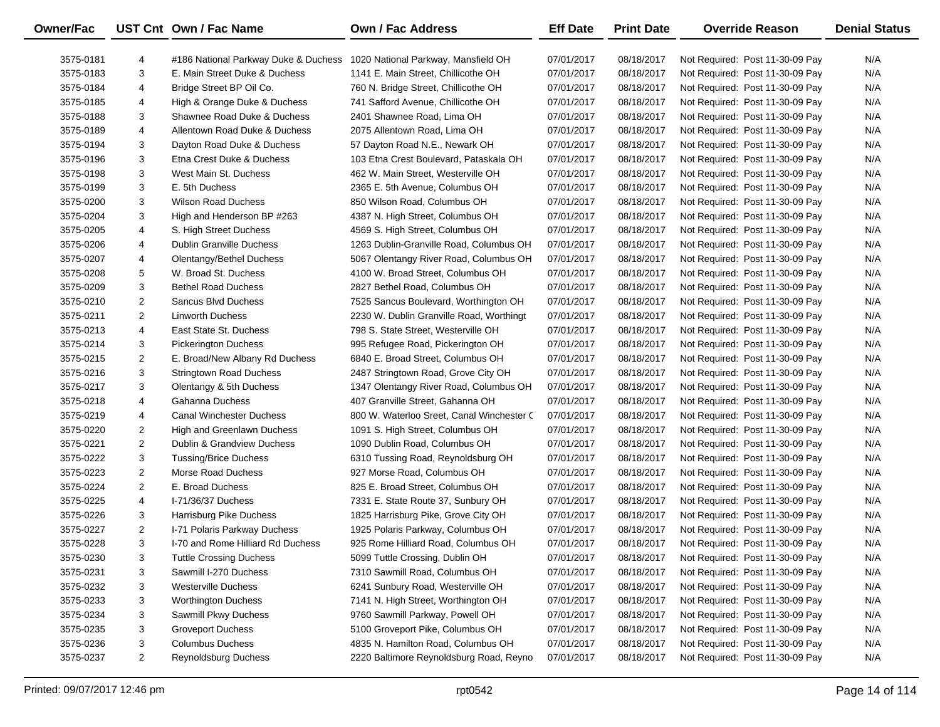| Owner/Fac |                | UST Cnt Own / Fac Name                                                   | <b>Own / Fac Address</b>                  | <b>Eff Date</b> | <b>Print Date</b> | <b>Override Reason</b>          | <b>Denial Status</b> |
|-----------|----------------|--------------------------------------------------------------------------|-------------------------------------------|-----------------|-------------------|---------------------------------|----------------------|
| 3575-0181 | 4              | #186 National Parkway Duke & Duchess 1020 National Parkway, Mansfield OH |                                           | 07/01/2017      | 08/18/2017        | Not Required: Post 11-30-09 Pay | N/A                  |
| 3575-0183 | 3              | E. Main Street Duke & Duchess                                            | 1141 E. Main Street, Chillicothe OH       | 07/01/2017      | 08/18/2017        | Not Required: Post 11-30-09 Pay | N/A                  |
| 3575-0184 | 4              | Bridge Street BP Oil Co.                                                 | 760 N. Bridge Street, Chillicothe OH      | 07/01/2017      | 08/18/2017        | Not Required: Post 11-30-09 Pay | N/A                  |
| 3575-0185 | 4              | High & Orange Duke & Duchess                                             | 741 Safford Avenue, Chillicothe OH        | 07/01/2017      | 08/18/2017        | Not Required: Post 11-30-09 Pay | N/A                  |
| 3575-0188 | 3              | Shawnee Road Duke & Duchess                                              | 2401 Shawnee Road, Lima OH                | 07/01/2017      | 08/18/2017        | Not Required: Post 11-30-09 Pay | N/A                  |
| 3575-0189 | 4              | Allentown Road Duke & Duchess                                            | 2075 Allentown Road, Lima OH              | 07/01/2017      | 08/18/2017        | Not Required: Post 11-30-09 Pay | N/A                  |
| 3575-0194 | 3              | Dayton Road Duke & Duchess                                               | 57 Dayton Road N.E., Newark OH            | 07/01/2017      | 08/18/2017        | Not Required: Post 11-30-09 Pay | N/A                  |
| 3575-0196 | 3              | Etna Crest Duke & Duchess                                                | 103 Etna Crest Boulevard, Pataskala OH    | 07/01/2017      | 08/18/2017        | Not Required: Post 11-30-09 Pay | N/A                  |
| 3575-0198 | 3              | West Main St. Duchess                                                    | 462 W. Main Street, Westerville OH        | 07/01/2017      | 08/18/2017        | Not Required: Post 11-30-09 Pay | N/A                  |
| 3575-0199 | 3              | E. 5th Duchess                                                           | 2365 E. 5th Avenue, Columbus OH           | 07/01/2017      | 08/18/2017        | Not Required: Post 11-30-09 Pay | N/A                  |
| 3575-0200 | 3              | <b>Wilson Road Duchess</b>                                               | 850 Wilson Road, Columbus OH              | 07/01/2017      | 08/18/2017        | Not Required: Post 11-30-09 Pay | N/A                  |
| 3575-0204 | 3              | High and Henderson BP #263                                               | 4387 N. High Street, Columbus OH          | 07/01/2017      | 08/18/2017        | Not Required: Post 11-30-09 Pay | N/A                  |
| 3575-0205 | 4              | S. High Street Duchess                                                   | 4569 S. High Street, Columbus OH          | 07/01/2017      | 08/18/2017        | Not Required: Post 11-30-09 Pay | N/A                  |
| 3575-0206 | 4              | <b>Dublin Granville Duchess</b>                                          | 1263 Dublin-Granville Road, Columbus OH   | 07/01/2017      | 08/18/2017        | Not Required: Post 11-30-09 Pay | N/A                  |
| 3575-0207 | 4              | Olentangy/Bethel Duchess                                                 | 5067 Olentangy River Road, Columbus OH    | 07/01/2017      | 08/18/2017        | Not Required: Post 11-30-09 Pay | N/A                  |
| 3575-0208 | 5              | W. Broad St. Duchess                                                     | 4100 W. Broad Street, Columbus OH         | 07/01/2017      | 08/18/2017        | Not Required: Post 11-30-09 Pay | N/A                  |
| 3575-0209 | 3              | <b>Bethel Road Duchess</b>                                               | 2827 Bethel Road, Columbus OH             | 07/01/2017      | 08/18/2017        | Not Required: Post 11-30-09 Pay | N/A                  |
| 3575-0210 | 2              | Sancus Blvd Duchess                                                      | 7525 Sancus Boulevard, Worthington OH     | 07/01/2017      | 08/18/2017        | Not Required: Post 11-30-09 Pay | N/A                  |
| 3575-0211 | $\overline{c}$ | <b>Linworth Duchess</b>                                                  | 2230 W. Dublin Granville Road, Worthingt  | 07/01/2017      | 08/18/2017        | Not Required: Post 11-30-09 Pay | N/A                  |
| 3575-0213 | 4              | East State St. Duchess                                                   | 798 S. State Street, Westerville OH       | 07/01/2017      | 08/18/2017        | Not Required: Post 11-30-09 Pay | N/A                  |
| 3575-0214 | 3              | <b>Pickerington Duchess</b>                                              | 995 Refugee Road, Pickerington OH         | 07/01/2017      | 08/18/2017        | Not Required: Post 11-30-09 Pay | N/A                  |
| 3575-0215 | $\overline{2}$ | E. Broad/New Albany Rd Duchess                                           | 6840 E. Broad Street, Columbus OH         | 07/01/2017      | 08/18/2017        | Not Required: Post 11-30-09 Pay | N/A                  |
| 3575-0216 | 3              | <b>Stringtown Road Duchess</b>                                           | 2487 Stringtown Road, Grove City OH       | 07/01/2017      | 08/18/2017        | Not Required: Post 11-30-09 Pay | N/A                  |
| 3575-0217 | 3              | Olentangy & 5th Duchess                                                  | 1347 Olentangy River Road, Columbus OH    | 07/01/2017      | 08/18/2017        | Not Required: Post 11-30-09 Pay | N/A                  |
| 3575-0218 | 4              | Gahanna Duchess                                                          | 407 Granville Street, Gahanna OH          | 07/01/2017      | 08/18/2017        | Not Required: Post 11-30-09 Pay | N/A                  |
| 3575-0219 | 4              | <b>Canal Winchester Duchess</b>                                          | 800 W. Waterloo Sreet, Canal Winchester C | 07/01/2017      | 08/18/2017        | Not Required: Post 11-30-09 Pay | N/A                  |
| 3575-0220 | $\overline{2}$ | High and Greenlawn Duchess                                               | 1091 S. High Street, Columbus OH          | 07/01/2017      | 08/18/2017        | Not Required: Post 11-30-09 Pay | N/A                  |
| 3575-0221 | $\overline{2}$ | Dublin & Grandview Duchess                                               | 1090 Dublin Road, Columbus OH             | 07/01/2017      | 08/18/2017        | Not Required: Post 11-30-09 Pay | N/A                  |
| 3575-0222 | 3              | <b>Tussing/Brice Duchess</b>                                             | 6310 Tussing Road, Reynoldsburg OH        | 07/01/2017      | 08/18/2017        | Not Required: Post 11-30-09 Pay | N/A                  |
| 3575-0223 | $\overline{2}$ | Morse Road Duchess                                                       | 927 Morse Road, Columbus OH               | 07/01/2017      | 08/18/2017        | Not Required: Post 11-30-09 Pay | N/A                  |
| 3575-0224 | 2              | E. Broad Duchess                                                         | 825 E. Broad Street, Columbus OH          | 07/01/2017      | 08/18/2017        | Not Required: Post 11-30-09 Pay | N/A                  |
| 3575-0225 | 4              | I-71/36/37 Duchess                                                       | 7331 E. State Route 37, Sunbury OH        | 07/01/2017      | 08/18/2017        | Not Required: Post 11-30-09 Pay | N/A                  |
| 3575-0226 | 3              | Harrisburg Pike Duchess                                                  | 1825 Harrisburg Pike, Grove City OH       | 07/01/2017      | 08/18/2017        | Not Required: Post 11-30-09 Pay | N/A                  |
| 3575-0227 | $\overline{2}$ | I-71 Polaris Parkway Duchess                                             | 1925 Polaris Parkway, Columbus OH         | 07/01/2017      | 08/18/2017        | Not Required: Post 11-30-09 Pay | N/A                  |
| 3575-0228 | 3              | 1-70 and Rome Hilliard Rd Duchess                                        | 925 Rome Hilliard Road, Columbus OH       | 07/01/2017      | 08/18/2017        | Not Required: Post 11-30-09 Pay | N/A                  |
| 3575-0230 | 3              | <b>Tuttle Crossing Duchess</b>                                           | 5099 Tuttle Crossing, Dublin OH           | 07/01/2017      | 08/18/2017        | Not Required: Post 11-30-09 Pay | N/A                  |
| 3575-0231 | 3              | Sawmill I-270 Duchess                                                    | 7310 Sawmill Road, Columbus OH            | 07/01/2017      | 08/18/2017        | Not Required: Post 11-30-09 Pay | N/A                  |
| 3575-0232 | 3              | <b>Westerville Duchess</b>                                               | 6241 Sunbury Road, Westerville OH         | 07/01/2017      | 08/18/2017        | Not Required: Post 11-30-09 Pay | N/A                  |
| 3575-0233 | 3              | <b>Worthington Duchess</b>                                               | 7141 N. High Street, Worthington OH       | 07/01/2017      | 08/18/2017        | Not Required: Post 11-30-09 Pay | N/A                  |
| 3575-0234 | 3              | Sawmill Pkwy Duchess                                                     | 9760 Sawmill Parkway, Powell OH           | 07/01/2017      | 08/18/2017        | Not Required: Post 11-30-09 Pay | N/A                  |
| 3575-0235 | 3              | <b>Groveport Duchess</b>                                                 | 5100 Groveport Pike, Columbus OH          | 07/01/2017      | 08/18/2017        | Not Required: Post 11-30-09 Pay | N/A                  |
| 3575-0236 | 3              | <b>Columbus Duchess</b>                                                  | 4835 N. Hamilton Road, Columbus OH        | 07/01/2017      | 08/18/2017        | Not Required: Post 11-30-09 Pay | N/A                  |
| 3575-0237 | $\overline{2}$ | Reynoldsburg Duchess                                                     | 2220 Baltimore Reynoldsburg Road, Reyno   | 07/01/2017      | 08/18/2017        | Not Required: Post 11-30-09 Pay | N/A                  |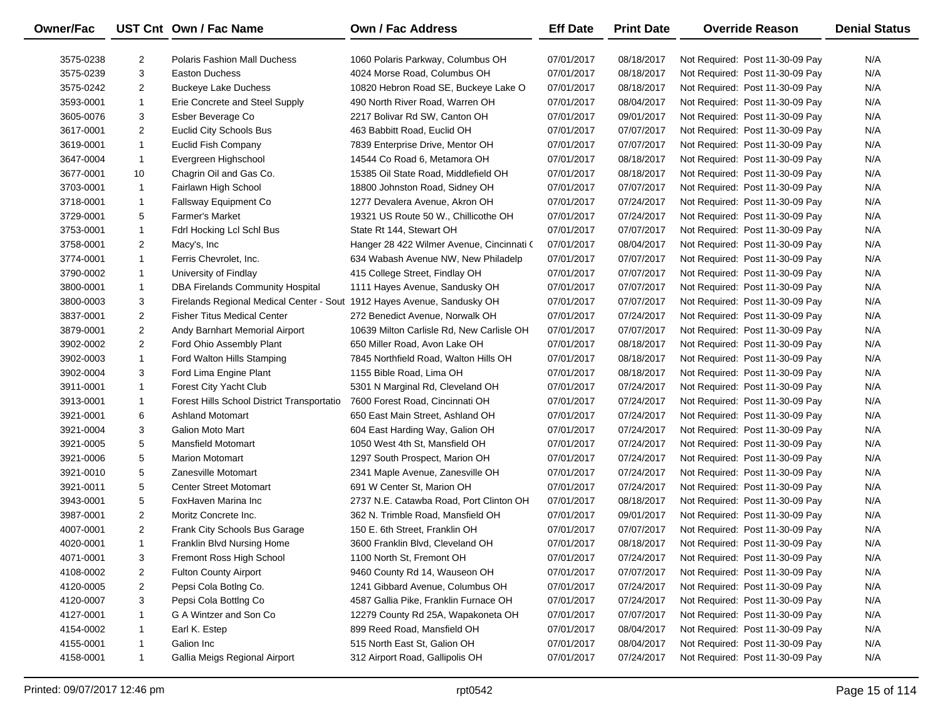| Owner/Fac |                | UST Cnt Own / Fac Name                                                  | <b>Own / Fac Address</b>                  | <b>Eff Date</b> | <b>Print Date</b> | <b>Override Reason</b>          | <b>Denial Status</b> |
|-----------|----------------|-------------------------------------------------------------------------|-------------------------------------------|-----------------|-------------------|---------------------------------|----------------------|
| 3575-0238 | $\overline{2}$ | <b>Polaris Fashion Mall Duchess</b>                                     | 1060 Polaris Parkway, Columbus OH         | 07/01/2017      | 08/18/2017        | Not Required: Post 11-30-09 Pay | N/A                  |
| 3575-0239 | 3              | <b>Easton Duchess</b>                                                   | 4024 Morse Road, Columbus OH              | 07/01/2017      | 08/18/2017        | Not Required: Post 11-30-09 Pay | N/A                  |
| 3575-0242 | $\overline{2}$ | <b>Buckeye Lake Duchess</b>                                             | 10820 Hebron Road SE, Buckeye Lake O      | 07/01/2017      | 08/18/2017        | Not Required: Post 11-30-09 Pay | N/A                  |
| 3593-0001 | $\mathbf{1}$   | Erie Concrete and Steel Supply                                          | 490 North River Road, Warren OH           | 07/01/2017      | 08/04/2017        | Not Required: Post 11-30-09 Pay | N/A                  |
| 3605-0076 | 3              | Esber Beverage Co                                                       | 2217 Bolivar Rd SW, Canton OH             | 07/01/2017      | 09/01/2017        | Not Required: Post 11-30-09 Pay | N/A                  |
| 3617-0001 | $\overline{2}$ | <b>Euclid City Schools Bus</b>                                          | 463 Babbitt Road, Euclid OH               | 07/01/2017      | 07/07/2017        | Not Required: Post 11-30-09 Pay | N/A                  |
| 3619-0001 | $\mathbf{1}$   | <b>Euclid Fish Company</b>                                              | 7839 Enterprise Drive, Mentor OH          | 07/01/2017      | 07/07/2017        | Not Required: Post 11-30-09 Pay | N/A                  |
| 3647-0004 | 1              | Evergreen Highschool                                                    | 14544 Co Road 6, Metamora OH              | 07/01/2017      | 08/18/2017        | Not Required: Post 11-30-09 Pay | N/A                  |
| 3677-0001 | 10             | Chagrin Oil and Gas Co.                                                 | 15385 Oil State Road, Middlefield OH      | 07/01/2017      | 08/18/2017        | Not Required: Post 11-30-09 Pay | N/A                  |
| 3703-0001 | $\mathbf{1}$   | Fairlawn High School                                                    | 18800 Johnston Road, Sidney OH            | 07/01/2017      | 07/07/2017        | Not Required: Post 11-30-09 Pay | N/A                  |
| 3718-0001 | 1              | Fallsway Equipment Co                                                   | 1277 Devalera Avenue, Akron OH            | 07/01/2017      | 07/24/2017        | Not Required: Post 11-30-09 Pay | N/A                  |
| 3729-0001 | 5              | <b>Farmer's Market</b>                                                  | 19321 US Route 50 W., Chillicothe OH      | 07/01/2017      | 07/24/2017        | Not Required: Post 11-30-09 Pay | N/A                  |
| 3753-0001 | $\mathbf{1}$   | Fdrl Hocking Lcl Schl Bus                                               | State Rt 144, Stewart OH                  | 07/01/2017      | 07/07/2017        | Not Required: Post 11-30-09 Pay | N/A                  |
| 3758-0001 | $\overline{2}$ | Macy's, Inc                                                             | Hanger 28 422 Wilmer Avenue, Cincinnati ( | 07/01/2017      | 08/04/2017        | Not Required: Post 11-30-09 Pay | N/A                  |
| 3774-0001 | $\mathbf{1}$   | Ferris Chevrolet, Inc.                                                  | 634 Wabash Avenue NW, New Philadelp       | 07/01/2017      | 07/07/2017        | Not Required: Post 11-30-09 Pay | N/A                  |
| 3790-0002 | $\mathbf{1}$   | University of Findlay                                                   | 415 College Street, Findlay OH            | 07/01/2017      | 07/07/2017        | Not Required: Post 11-30-09 Pay | N/A                  |
| 3800-0001 | $\mathbf{1}$   | <b>DBA Firelands Community Hospital</b>                                 | 1111 Hayes Avenue, Sandusky OH            | 07/01/2017      | 07/07/2017        | Not Required: Post 11-30-09 Pay | N/A                  |
| 3800-0003 | 3              | Firelands Regional Medical Center - Sout 1912 Hayes Avenue, Sandusky OH |                                           | 07/01/2017      | 07/07/2017        | Not Required: Post 11-30-09 Pay | N/A                  |
| 3837-0001 | $\overline{2}$ | <b>Fisher Titus Medical Center</b>                                      | 272 Benedict Avenue, Norwalk OH           | 07/01/2017      | 07/24/2017        | Not Required: Post 11-30-09 Pay | N/A                  |
| 3879-0001 | $\overline{2}$ | Andy Barnhart Memorial Airport                                          | 10639 Milton Carlisle Rd, New Carlisle OH | 07/01/2017      | 07/07/2017        | Not Required: Post 11-30-09 Pay | N/A                  |
| 3902-0002 | $\overline{2}$ | Ford Ohio Assembly Plant                                                | 650 Miller Road, Avon Lake OH             | 07/01/2017      | 08/18/2017        | Not Required: Post 11-30-09 Pay | N/A                  |
| 3902-0003 | $\mathbf{1}$   | Ford Walton Hills Stamping                                              | 7845 Northfield Road, Walton Hills OH     | 07/01/2017      | 08/18/2017        | Not Required: Post 11-30-09 Pay | N/A                  |
| 3902-0004 | 3              | Ford Lima Engine Plant                                                  | 1155 Bible Road, Lima OH                  | 07/01/2017      | 08/18/2017        | Not Required: Post 11-30-09 Pay | N/A                  |
| 3911-0001 | $\mathbf{1}$   | Forest City Yacht Club                                                  | 5301 N Marginal Rd, Cleveland OH          | 07/01/2017      | 07/24/2017        | Not Required: Post 11-30-09 Pay | N/A                  |
| 3913-0001 | 1              | Forest Hills School District Transportatio                              | 7600 Forest Road, Cincinnati OH           | 07/01/2017      | 07/24/2017        | Not Required: Post 11-30-09 Pay | N/A                  |
| 3921-0001 | 6              | <b>Ashland Motomart</b>                                                 | 650 East Main Street, Ashland OH          | 07/01/2017      | 07/24/2017        | Not Required: Post 11-30-09 Pay | N/A                  |
| 3921-0004 | 3              | Galion Moto Mart                                                        | 604 East Harding Way, Galion OH           | 07/01/2017      | 07/24/2017        | Not Required: Post 11-30-09 Pay | N/A                  |
| 3921-0005 | 5              | <b>Mansfield Motomart</b>                                               | 1050 West 4th St, Mansfield OH            | 07/01/2017      | 07/24/2017        | Not Required: Post 11-30-09 Pay | N/A                  |
| 3921-0006 | 5              | <b>Marion Motomart</b>                                                  | 1297 South Prospect, Marion OH            | 07/01/2017      | 07/24/2017        | Not Required: Post 11-30-09 Pay | N/A                  |
| 3921-0010 | 5              | Zanesville Motomart                                                     | 2341 Maple Avenue, Zanesville OH          | 07/01/2017      | 07/24/2017        | Not Required: Post 11-30-09 Pay | N/A                  |
| 3921-0011 | 5              | <b>Center Street Motomart</b>                                           | 691 W Center St, Marion OH                | 07/01/2017      | 07/24/2017        | Not Required: Post 11-30-09 Pay | N/A                  |
| 3943-0001 | 5              | FoxHaven Marina Inc                                                     | 2737 N.E. Catawba Road, Port Clinton OH   | 07/01/2017      | 08/18/2017        | Not Required: Post 11-30-09 Pay | N/A                  |
| 3987-0001 | $\overline{2}$ | Moritz Concrete Inc.                                                    | 362 N. Trimble Road, Mansfield OH         | 07/01/2017      | 09/01/2017        | Not Required: Post 11-30-09 Pay | N/A                  |
| 4007-0001 | $\overline{2}$ | Frank City Schools Bus Garage                                           | 150 E. 6th Street, Franklin OH            | 07/01/2017      | 07/07/2017        | Not Required: Post 11-30-09 Pay | N/A                  |
| 4020-0001 | $\mathbf{1}$   | Franklin Blvd Nursing Home                                              | 3600 Franklin Blvd, Cleveland OH          | 07/01/2017      | 08/18/2017        | Not Required: Post 11-30-09 Pay | N/A                  |
| 4071-0001 | 3              | Fremont Ross High School                                                | 1100 North St, Fremont OH                 | 07/01/2017      | 07/24/2017        | Not Required: Post 11-30-09 Pay | N/A                  |
| 4108-0002 | 2              | <b>Fulton County Airport</b>                                            | 9460 County Rd 14, Wauseon OH             | 07/01/2017      | 07/07/2017        | Not Required: Post 11-30-09 Pay | N/A                  |
| 4120-0005 | $\overline{2}$ | Pepsi Cola BotIng Co.                                                   | 1241 Gibbard Avenue, Columbus OH          | 07/01/2017      | 07/24/2017        | Not Required: Post 11-30-09 Pay | N/A                  |
| 4120-0007 | 3              | Pepsi Cola Botting Co                                                   | 4587 Gallia Pike, Franklin Furnace OH     | 07/01/2017      | 07/24/2017        | Not Required: Post 11-30-09 Pay | N/A                  |
| 4127-0001 | 1              | G A Wintzer and Son Co                                                  | 12279 County Rd 25A, Wapakoneta OH        | 07/01/2017      | 07/07/2017        | Not Required: Post 11-30-09 Pay | N/A                  |
| 4154-0002 | -1             | Earl K. Estep                                                           | 899 Reed Road, Mansfield OH               | 07/01/2017      | 08/04/2017        | Not Required: Post 11-30-09 Pay | N/A                  |
| 4155-0001 | 1              | Galion Inc                                                              | 515 North East St, Galion OH              | 07/01/2017      | 08/04/2017        | Not Required: Post 11-30-09 Pay | N/A                  |
| 4158-0001 | $\mathbf{1}$   | Gallia Meigs Regional Airport                                           | 312 Airport Road, Gallipolis OH           | 07/01/2017      | 07/24/2017        | Not Required: Post 11-30-09 Pay | N/A                  |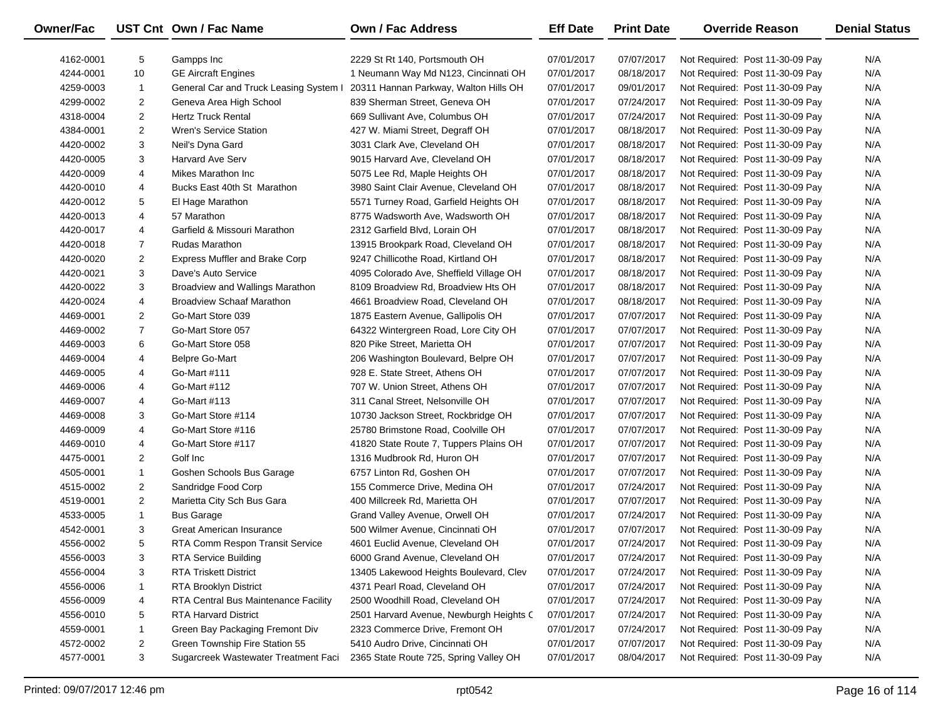| Owner/Fac |                | UST Cnt Own / Fac Name                 | <b>Own / Fac Address</b>                | <b>Eff Date</b> | <b>Print Date</b> | <b>Override Reason</b>          | <b>Denial Status</b> |
|-----------|----------------|----------------------------------------|-----------------------------------------|-----------------|-------------------|---------------------------------|----------------------|
| 4162-0001 | 5              | Gampps Inc                             | 2229 St Rt 140, Portsmouth OH           | 07/01/2017      | 07/07/2017        | Not Required: Post 11-30-09 Pay | N/A                  |
| 4244-0001 | 10             | <b>GE Aircraft Engines</b>             | 1 Neumann Way Md N123, Cincinnati OH    | 07/01/2017      | 08/18/2017        | Not Required: Post 11-30-09 Pay | N/A                  |
| 4259-0003 | 1              | General Car and Truck Leasing System I | 20311 Hannan Parkway, Walton Hills OH   | 07/01/2017      | 09/01/2017        | Not Required: Post 11-30-09 Pay | N/A                  |
| 4299-0002 | $\overline{2}$ | Geneva Area High School                | 839 Sherman Street, Geneva OH           | 07/01/2017      | 07/24/2017        | Not Required: Post 11-30-09 Pay | N/A                  |
| 4318-0004 | $\overline{2}$ | <b>Hertz Truck Rental</b>              | 669 Sullivant Ave, Columbus OH          | 07/01/2017      | 07/24/2017        | Not Required: Post 11-30-09 Pay | N/A                  |
| 4384-0001 | $\overline{2}$ | <b>Wren's Service Station</b>          | 427 W. Miami Street, Degraff OH         | 07/01/2017      | 08/18/2017        | Not Required: Post 11-30-09 Pay | N/A                  |
| 4420-0002 | 3              | Neil's Dyna Gard                       | 3031 Clark Ave, Cleveland OH            | 07/01/2017      | 08/18/2017        | Not Required: Post 11-30-09 Pay | N/A                  |
| 4420-0005 | 3              | <b>Harvard Ave Serv</b>                | 9015 Harvard Ave, Cleveland OH          | 07/01/2017      | 08/18/2017        | Not Required: Post 11-30-09 Pay | N/A                  |
| 4420-0009 | 4              | Mikes Marathon Inc                     | 5075 Lee Rd, Maple Heights OH           | 07/01/2017      | 08/18/2017        | Not Required: Post 11-30-09 Pay | N/A                  |
| 4420-0010 | 4              | Bucks East 40th St Marathon            | 3980 Saint Clair Avenue, Cleveland OH   | 07/01/2017      | 08/18/2017        | Not Required: Post 11-30-09 Pay | N/A                  |
| 4420-0012 | 5              | El Hage Marathon                       | 5571 Turney Road, Garfield Heights OH   | 07/01/2017      | 08/18/2017        | Not Required: Post 11-30-09 Pay | N/A                  |
| 4420-0013 | 4              | 57 Marathon                            | 8775 Wadsworth Ave, Wadsworth OH        | 07/01/2017      | 08/18/2017        | Not Required: Post 11-30-09 Pay | N/A                  |
| 4420-0017 | 4              | Garfield & Missouri Marathon           | 2312 Garfield Blvd, Lorain OH           | 07/01/2017      | 08/18/2017        | Not Required: Post 11-30-09 Pay | N/A                  |
| 4420-0018 | $\overline{7}$ | Rudas Marathon                         | 13915 Brookpark Road, Cleveland OH      | 07/01/2017      | 08/18/2017        | Not Required: Post 11-30-09 Pay | N/A                  |
| 4420-0020 | $\overline{2}$ | <b>Express Muffler and Brake Corp</b>  | 9247 Chillicothe Road, Kirtland OH      | 07/01/2017      | 08/18/2017        | Not Required: Post 11-30-09 Pay | N/A                  |
| 4420-0021 | 3              | Dave's Auto Service                    | 4095 Colorado Ave, Sheffield Village OH | 07/01/2017      | 08/18/2017        | Not Required: Post 11-30-09 Pay | N/A                  |
| 4420-0022 | 3              | Broadview and Wallings Marathon        | 8109 Broadview Rd, Broadview Hts OH     | 07/01/2017      | 08/18/2017        | Not Required: Post 11-30-09 Pay | N/A                  |
| 4420-0024 | 4              | <b>Broadview Schaaf Marathon</b>       | 4661 Broadview Road, Cleveland OH       | 07/01/2017      | 08/18/2017        | Not Required: Post 11-30-09 Pay | N/A                  |
| 4469-0001 | $\overline{2}$ | Go-Mart Store 039                      | 1875 Eastern Avenue, Gallipolis OH      | 07/01/2017      | 07/07/2017        | Not Required: Post 11-30-09 Pay | N/A                  |
| 4469-0002 | $\overline{7}$ | Go-Mart Store 057                      | 64322 Wintergreen Road, Lore City OH    | 07/01/2017      | 07/07/2017        | Not Required: Post 11-30-09 Pay | N/A                  |
| 4469-0003 | 6              | Go-Mart Store 058                      | 820 Pike Street, Marietta OH            | 07/01/2017      | 07/07/2017        | Not Required: Post 11-30-09 Pay | N/A                  |
| 4469-0004 | 4              | <b>Belpre Go-Mart</b>                  | 206 Washington Boulevard, Belpre OH     | 07/01/2017      | 07/07/2017        | Not Required: Post 11-30-09 Pay | N/A                  |
| 4469-0005 | 4              | Go-Mart #111                           | 928 E. State Street, Athens OH          | 07/01/2017      | 07/07/2017        | Not Required: Post 11-30-09 Pay | N/A                  |
| 4469-0006 | 4              | Go-Mart #112                           | 707 W. Union Street, Athens OH          | 07/01/2017      | 07/07/2017        | Not Required: Post 11-30-09 Pay | N/A                  |
| 4469-0007 | 4              | Go-Mart #113                           | 311 Canal Street, Nelsonville OH        | 07/01/2017      | 07/07/2017        | Not Required: Post 11-30-09 Pay | N/A                  |
| 4469-0008 | 3              | Go-Mart Store #114                     | 10730 Jackson Street, Rockbridge OH     | 07/01/2017      | 07/07/2017        | Not Required: Post 11-30-09 Pay | N/A                  |
| 4469-0009 | 4              | Go-Mart Store #116                     | 25780 Brimstone Road, Coolville OH      | 07/01/2017      | 07/07/2017        | Not Required: Post 11-30-09 Pay | N/A                  |
| 4469-0010 | 4              | Go-Mart Store #117                     | 41820 State Route 7, Tuppers Plains OH  | 07/01/2017      | 07/07/2017        | Not Required: Post 11-30-09 Pay | N/A                  |
| 4475-0001 | $\overline{2}$ | Golf Inc                               | 1316 Mudbrook Rd, Huron OH              | 07/01/2017      | 07/07/2017        | Not Required: Post 11-30-09 Pay | N/A                  |
| 4505-0001 | $\mathbf{1}$   | Goshen Schools Bus Garage              | 6757 Linton Rd, Goshen OH               | 07/01/2017      | 07/07/2017        | Not Required: Post 11-30-09 Pay | N/A                  |
| 4515-0002 | $\overline{2}$ | Sandridge Food Corp                    | 155 Commerce Drive, Medina OH           | 07/01/2017      | 07/24/2017        | Not Required: Post 11-30-09 Pay | N/A                  |
| 4519-0001 | $\overline{2}$ | Marietta City Sch Bus Gara             | 400 Millcreek Rd, Marietta OH           | 07/01/2017      | 07/07/2017        | Not Required: Post 11-30-09 Pay | N/A                  |
| 4533-0005 | $\mathbf{1}$   | <b>Bus Garage</b>                      | Grand Valley Avenue, Orwell OH          | 07/01/2017      | 07/24/2017        | Not Required: Post 11-30-09 Pay | N/A                  |
| 4542-0001 | 3              | <b>Great American Insurance</b>        | 500 Wilmer Avenue, Cincinnati OH        | 07/01/2017      | 07/07/2017        | Not Required: Post 11-30-09 Pay | N/A                  |
| 4556-0002 | 5              | RTA Comm Respon Transit Service        | 4601 Euclid Avenue, Cleveland OH        | 07/01/2017      | 07/24/2017        | Not Required: Post 11-30-09 Pay | N/A                  |
| 4556-0003 | 3              | RTA Service Building                   | 6000 Grand Avenue, Cleveland OH         | 07/01/2017      | 07/24/2017        | Not Required: Post 11-30-09 Pay | N/A                  |
| 4556-0004 | 3              | <b>RTA Triskett District</b>           | 13405 Lakewood Heights Boulevard, Clev  | 07/01/2017      | 07/24/2017        | Not Required: Post 11-30-09 Pay | N/A                  |
| 4556-0006 | 1              | RTA Brooklyn District                  | 4371 Pearl Road, Cleveland OH           | 07/01/2017      | 07/24/2017        | Not Required: Post 11-30-09 Pay | N/A                  |
| 4556-0009 | 4              | RTA Central Bus Maintenance Facility   | 2500 Woodhill Road, Cleveland OH        | 07/01/2017      | 07/24/2017        | Not Required: Post 11-30-09 Pay | N/A                  |
| 4556-0010 | 5              | <b>RTA Harvard District</b>            | 2501 Harvard Avenue, Newburgh Heights C | 07/01/2017      | 07/24/2017        | Not Required: Post 11-30-09 Pay | N/A                  |
| 4559-0001 | 1              | Green Bay Packaging Fremont Div        | 2323 Commerce Drive, Fremont OH         | 07/01/2017      | 07/24/2017        | Not Required: Post 11-30-09 Pay | N/A                  |
| 4572-0002 | $\overline{a}$ | Green Township Fire Station 55         | 5410 Audro Drive, Cincinnati OH         | 07/01/2017      | 07/07/2017        | Not Required: Post 11-30-09 Pay | N/A                  |
| 4577-0001 | 3              | Sugarcreek Wastewater Treatment Faci   | 2365 State Route 725, Spring Valley OH  | 07/01/2017      | 08/04/2017        | Not Required: Post 11-30-09 Pay | N/A                  |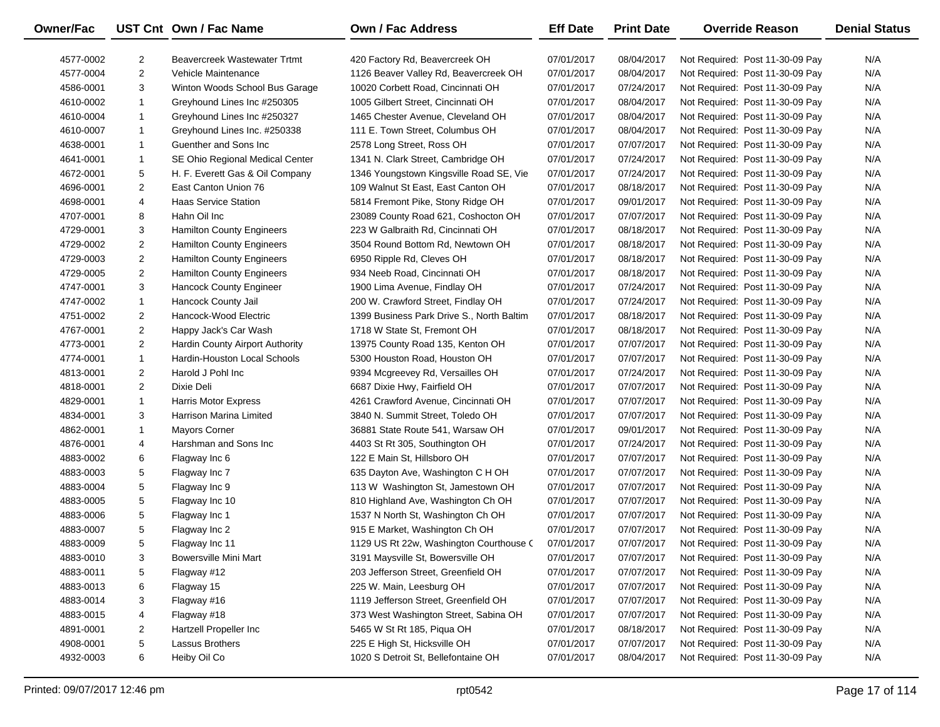| Owner/Fac |                | UST Cnt Own / Fac Name           | <b>Own / Fac Address</b>                  | <b>Eff Date</b> | <b>Print Date</b> | <b>Override Reason</b>          | <b>Denial Status</b> |
|-----------|----------------|----------------------------------|-------------------------------------------|-----------------|-------------------|---------------------------------|----------------------|
| 4577-0002 | $\overline{2}$ | Beavercreek Wastewater Trtmt     | 420 Factory Rd, Beavercreek OH            | 07/01/2017      | 08/04/2017        | Not Required: Post 11-30-09 Pay | N/A                  |
| 4577-0004 | $\overline{c}$ | Vehicle Maintenance              | 1126 Beaver Valley Rd, Beavercreek OH     | 07/01/2017      | 08/04/2017        | Not Required: Post 11-30-09 Pay | N/A                  |
| 4586-0001 | 3              | Winton Woods School Bus Garage   | 10020 Corbett Road, Cincinnati OH         | 07/01/2017      | 07/24/2017        | Not Required: Post 11-30-09 Pay | N/A                  |
| 4610-0002 | 1              | Greyhound Lines Inc #250305      | 1005 Gilbert Street, Cincinnati OH        | 07/01/2017      | 08/04/2017        | Not Required: Post 11-30-09 Pay | N/A                  |
| 4610-0004 | $\mathbf{1}$   | Greyhound Lines Inc #250327      | 1465 Chester Avenue, Cleveland OH         | 07/01/2017      | 08/04/2017        | Not Required: Post 11-30-09 Pay | N/A                  |
| 4610-0007 | $\mathbf{1}$   | Greyhound Lines Inc. #250338     | 111 E. Town Street, Columbus OH           | 07/01/2017      | 08/04/2017        | Not Required: Post 11-30-09 Pay | N/A                  |
| 4638-0001 | $\mathbf{1}$   | Guenther and Sons Inc            | 2578 Long Street, Ross OH                 | 07/01/2017      | 07/07/2017        | Not Required: Post 11-30-09 Pay | N/A                  |
| 4641-0001 | 1              | SE Ohio Regional Medical Center  | 1341 N. Clark Street, Cambridge OH        | 07/01/2017      | 07/24/2017        | Not Required: Post 11-30-09 Pay | N/A                  |
| 4672-0001 | 5              | H. F. Everett Gas & Oil Company  | 1346 Youngstown Kingsville Road SE, Vie   | 07/01/2017      | 07/24/2017        | Not Required: Post 11-30-09 Pay | N/A                  |
| 4696-0001 | $\overline{2}$ | East Canton Union 76             | 109 Walnut St East, East Canton OH        | 07/01/2017      | 08/18/2017        | Not Required: Post 11-30-09 Pay | N/A                  |
| 4698-0001 | 4              | <b>Haas Service Station</b>      | 5814 Fremont Pike, Stony Ridge OH         | 07/01/2017      | 09/01/2017        | Not Required: Post 11-30-09 Pay | N/A                  |
| 4707-0001 | 8              | Hahn Oil Inc                     | 23089 County Road 621, Coshocton OH       | 07/01/2017      | 07/07/2017        | Not Required: Post 11-30-09 Pay | N/A                  |
| 4729-0001 | 3              | Hamilton County Engineers        | 223 W Galbraith Rd, Cincinnati OH         | 07/01/2017      | 08/18/2017        | Not Required: Post 11-30-09 Pay | N/A                  |
| 4729-0002 | $\overline{2}$ | <b>Hamilton County Engineers</b> | 3504 Round Bottom Rd, Newtown OH          | 07/01/2017      | 08/18/2017        | Not Required: Post 11-30-09 Pay | N/A                  |
| 4729-0003 | $\overline{2}$ | <b>Hamilton County Engineers</b> | 6950 Ripple Rd, Cleves OH                 | 07/01/2017      | 08/18/2017        | Not Required: Post 11-30-09 Pay | N/A                  |
| 4729-0005 | $\overline{2}$ | Hamilton County Engineers        | 934 Neeb Road, Cincinnati OH              | 07/01/2017      | 08/18/2017        | Not Required: Post 11-30-09 Pay | N/A                  |
| 4747-0001 | 3              | Hancock County Engineer          | 1900 Lima Avenue, Findlay OH              | 07/01/2017      | 07/24/2017        | Not Required: Post 11-30-09 Pay | N/A                  |
| 4747-0002 | $\mathbf{1}$   | Hancock County Jail              | 200 W. Crawford Street, Findlay OH        | 07/01/2017      | 07/24/2017        | Not Required: Post 11-30-09 Pay | N/A                  |
| 4751-0002 | $\overline{2}$ | Hancock-Wood Electric            | 1399 Business Park Drive S., North Baltim | 07/01/2017      | 08/18/2017        | Not Required: Post 11-30-09 Pay | N/A                  |
| 4767-0001 | $\overline{2}$ | Happy Jack's Car Wash            | 1718 W State St, Fremont OH               | 07/01/2017      | 08/18/2017        | Not Required: Post 11-30-09 Pay | N/A                  |
| 4773-0001 | $\overline{2}$ | Hardin County Airport Authority  | 13975 County Road 135, Kenton OH          | 07/01/2017      | 07/07/2017        | Not Required: Post 11-30-09 Pay | N/A                  |
| 4774-0001 | $\mathbf{1}$   | Hardin-Houston Local Schools     | 5300 Houston Road, Houston OH             | 07/01/2017      | 07/07/2017        | Not Required: Post 11-30-09 Pay | N/A                  |
| 4813-0001 | $\overline{2}$ | Harold J Pohl Inc                | 9394 Mcgreevey Rd, Versailles OH          | 07/01/2017      | 07/24/2017        | Not Required: Post 11-30-09 Pay | N/A                  |
| 4818-0001 | $\overline{2}$ | Dixie Deli                       | 6687 Dixie Hwy, Fairfield OH              | 07/01/2017      | 07/07/2017        | Not Required: Post 11-30-09 Pay | N/A                  |
| 4829-0001 | $\mathbf{1}$   | <b>Harris Motor Express</b>      | 4261 Crawford Avenue, Cincinnati OH       | 07/01/2017      | 07/07/2017        | Not Required: Post 11-30-09 Pay | N/A                  |
| 4834-0001 | 3              | Harrison Marina Limited          | 3840 N. Summit Street, Toledo OH          | 07/01/2017      | 07/07/2017        | Not Required: Post 11-30-09 Pay | N/A                  |
| 4862-0001 | $\mathbf{1}$   | <b>Mayors Corner</b>             | 36881 State Route 541, Warsaw OH          | 07/01/2017      | 09/01/2017        | Not Required: Post 11-30-09 Pay | N/A                  |
| 4876-0001 | 4              | Harshman and Sons Inc            | 4403 St Rt 305, Southington OH            | 07/01/2017      | 07/24/2017        | Not Required: Post 11-30-09 Pay | N/A                  |
| 4883-0002 | 6              | Flagway Inc 6                    | 122 E Main St, Hillsboro OH               | 07/01/2017      | 07/07/2017        | Not Required: Post 11-30-09 Pay | N/A                  |
| 4883-0003 | 5              | Flagway Inc 7                    | 635 Dayton Ave, Washington C H OH         | 07/01/2017      | 07/07/2017        | Not Required: Post 11-30-09 Pay | N/A                  |
| 4883-0004 | 5              | Flagway Inc 9                    | 113 W Washington St, Jamestown OH         | 07/01/2017      | 07/07/2017        | Not Required: Post 11-30-09 Pay | N/A                  |
| 4883-0005 | 5              | Flagway Inc 10                   | 810 Highland Ave, Washington Ch OH        | 07/01/2017      | 07/07/2017        | Not Required: Post 11-30-09 Pay | N/A                  |
| 4883-0006 | 5              | Flagway Inc 1                    | 1537 N North St, Washington Ch OH         | 07/01/2017      | 07/07/2017        | Not Required: Post 11-30-09 Pay | N/A                  |
| 4883-0007 | 5              | Flagway Inc 2                    | 915 E Market, Washington Ch OH            | 07/01/2017      | 07/07/2017        | Not Required: Post 11-30-09 Pay | N/A                  |
| 4883-0009 | 5              | Flagway Inc 11                   | 1129 US Rt 22w, Washington Courthouse C   | 07/01/2017      | 07/07/2017        | Not Required: Post 11-30-09 Pay | N/A                  |
| 4883-0010 | 3              | <b>Bowersville Mini Mart</b>     | 3191 Maysville St, Bowersville OH         | 07/01/2017      | 07/07/2017        | Not Required: Post 11-30-09 Pay | N/A                  |
| 4883-0011 | 5              | Flagway #12                      | 203 Jefferson Street, Greenfield OH       | 07/01/2017      | 07/07/2017        | Not Required: Post 11-30-09 Pay | N/A                  |
| 4883-0013 | 6              | Flagway 15                       | 225 W. Main, Leesburg OH                  | 07/01/2017      | 07/07/2017        | Not Required: Post 11-30-09 Pay | N/A                  |
| 4883-0014 | 3              | Flagway #16                      | 1119 Jefferson Street, Greenfield OH      | 07/01/2017      | 07/07/2017        | Not Required: Post 11-30-09 Pay | N/A                  |
| 4883-0015 | 4              | Flagway #18                      | 373 West Washington Street, Sabina OH     | 07/01/2017      | 07/07/2017        | Not Required: Post 11-30-09 Pay | N/A                  |
| 4891-0001 | $\overline{2}$ | Hartzell Propeller Inc           | 5465 W St Rt 185, Piqua OH                | 07/01/2017      | 08/18/2017        | Not Required: Post 11-30-09 Pay | N/A                  |
| 4908-0001 | 5              | Lassus Brothers                  | 225 E High St, Hicksville OH              | 07/01/2017      | 07/07/2017        | Not Required: Post 11-30-09 Pay | N/A                  |
| 4932-0003 | 6              | Heiby Oil Co                     | 1020 S Detroit St, Bellefontaine OH       | 07/01/2017      | 08/04/2017        | Not Required: Post 11-30-09 Pay | N/A                  |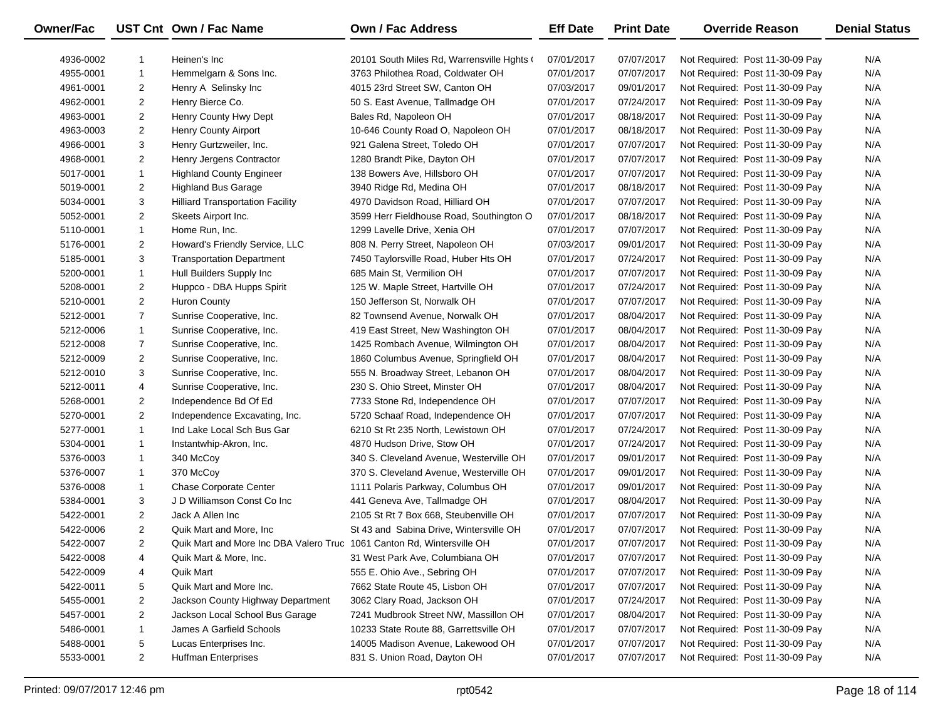| Owner/Fac |                | UST Cnt Own / Fac Name                                                 | Own / Fac Address                          | <b>Eff Date</b> | <b>Print Date</b> | <b>Override Reason</b>          | <b>Denial Status</b> |
|-----------|----------------|------------------------------------------------------------------------|--------------------------------------------|-----------------|-------------------|---------------------------------|----------------------|
| 4936-0002 | 1              | Heinen's Inc                                                           | 20101 South Miles Rd, Warrensville Hghts ( | 07/01/2017      | 07/07/2017        | Not Required: Post 11-30-09 Pay | N/A                  |
| 4955-0001 | $\mathbf{1}$   | Hemmelgarn & Sons Inc.                                                 | 3763 Philothea Road, Coldwater OH          | 07/01/2017      | 07/07/2017        | Not Required: Post 11-30-09 Pay | N/A                  |
| 4961-0001 | $\overline{2}$ | Henry A Selinsky Inc                                                   | 4015 23rd Street SW, Canton OH             | 07/03/2017      | 09/01/2017        | Not Required: Post 11-30-09 Pay | N/A                  |
| 4962-0001 | $\overline{2}$ | Henry Bierce Co.                                                       | 50 S. East Avenue, Tallmadge OH            | 07/01/2017      | 07/24/2017        | Not Required: Post 11-30-09 Pay | N/A                  |
| 4963-0001 | $\overline{2}$ | Henry County Hwy Dept                                                  | Bales Rd, Napoleon OH                      | 07/01/2017      | 08/18/2017        | Not Required: Post 11-30-09 Pay | N/A                  |
| 4963-0003 | $\overline{2}$ | <b>Henry County Airport</b>                                            | 10-646 County Road O, Napoleon OH          | 07/01/2017      | 08/18/2017        | Not Required: Post 11-30-09 Pay | N/A                  |
| 4966-0001 | 3              | Henry Gurtzweiler, Inc.                                                | 921 Galena Street, Toledo OH               | 07/01/2017      | 07/07/2017        | Not Required: Post 11-30-09 Pay | N/A                  |
| 4968-0001 | $\overline{2}$ | Henry Jergens Contractor                                               | 1280 Brandt Pike, Dayton OH                | 07/01/2017      | 07/07/2017        | Not Required: Post 11-30-09 Pay | N/A                  |
| 5017-0001 | $\mathbf{1}$   | <b>Highland County Engineer</b>                                        | 138 Bowers Ave, Hillsboro OH               | 07/01/2017      | 07/07/2017        | Not Required: Post 11-30-09 Pay | N/A                  |
| 5019-0001 | $\overline{2}$ | <b>Highland Bus Garage</b>                                             | 3940 Ridge Rd, Medina OH                   | 07/01/2017      | 08/18/2017        | Not Required: Post 11-30-09 Pay | N/A                  |
| 5034-0001 | 3              | <b>Hilliard Transportation Facility</b>                                | 4970 Davidson Road, Hilliard OH            | 07/01/2017      | 07/07/2017        | Not Required: Post 11-30-09 Pay | N/A                  |
| 5052-0001 | $\overline{2}$ | Skeets Airport Inc.                                                    | 3599 Herr Fieldhouse Road, Southington O   | 07/01/2017      | 08/18/2017        | Not Required: Post 11-30-09 Pay | N/A                  |
| 5110-0001 | $\mathbf{1}$   | Home Run, Inc.                                                         | 1299 Lavelle Drive, Xenia OH               | 07/01/2017      | 07/07/2017        | Not Required: Post 11-30-09 Pay | N/A                  |
| 5176-0001 | $\overline{2}$ | Howard's Friendly Service, LLC                                         | 808 N. Perry Street, Napoleon OH           | 07/03/2017      | 09/01/2017        | Not Required: Post 11-30-09 Pay | N/A                  |
| 5185-0001 | 3              | <b>Transportation Department</b>                                       | 7450 Taylorsville Road, Huber Hts OH       | 07/01/2017      | 07/24/2017        | Not Required: Post 11-30-09 Pay | N/A                  |
| 5200-0001 | $\mathbf{1}$   | Hull Builders Supply Inc                                               | 685 Main St, Vermilion OH                  | 07/01/2017      | 07/07/2017        | Not Required: Post 11-30-09 Pay | N/A                  |
| 5208-0001 | $\overline{2}$ | Huppco - DBA Hupps Spirit                                              | 125 W. Maple Street, Hartville OH          | 07/01/2017      | 07/24/2017        | Not Required: Post 11-30-09 Pay | N/A                  |
| 5210-0001 | $\overline{2}$ | <b>Huron County</b>                                                    | 150 Jefferson St, Norwalk OH               | 07/01/2017      | 07/07/2017        | Not Required: Post 11-30-09 Pay | N/A                  |
| 5212-0001 | $\overline{7}$ | Sunrise Cooperative, Inc.                                              | 82 Townsend Avenue, Norwalk OH             | 07/01/2017      | 08/04/2017        | Not Required: Post 11-30-09 Pay | N/A                  |
| 5212-0006 | $\mathbf{1}$   | Sunrise Cooperative, Inc.                                              | 419 East Street, New Washington OH         | 07/01/2017      | 08/04/2017        | Not Required: Post 11-30-09 Pay | N/A                  |
| 5212-0008 | $\overline{7}$ | Sunrise Cooperative, Inc.                                              | 1425 Rombach Avenue, Wilmington OH         | 07/01/2017      | 08/04/2017        | Not Required: Post 11-30-09 Pay | N/A                  |
| 5212-0009 | $\overline{2}$ | Sunrise Cooperative, Inc.                                              | 1860 Columbus Avenue, Springfield OH       | 07/01/2017      | 08/04/2017        | Not Required: Post 11-30-09 Pay | N/A                  |
| 5212-0010 | 3              | Sunrise Cooperative, Inc.                                              | 555 N. Broadway Street, Lebanon OH         | 07/01/2017      | 08/04/2017        | Not Required: Post 11-30-09 Pay | N/A                  |
| 5212-0011 | 4              | Sunrise Cooperative, Inc.                                              | 230 S. Ohio Street, Minster OH             | 07/01/2017      | 08/04/2017        | Not Required: Post 11-30-09 Pay | N/A                  |
| 5268-0001 | $\overline{2}$ | Independence Bd Of Ed                                                  | 7733 Stone Rd, Independence OH             | 07/01/2017      | 07/07/2017        | Not Required: Post 11-30-09 Pay | N/A                  |
| 5270-0001 | $\overline{2}$ | Independence Excavating, Inc.                                          | 5720 Schaaf Road, Independence OH          | 07/01/2017      | 07/07/2017        | Not Required: Post 11-30-09 Pay | N/A                  |
| 5277-0001 | $\mathbf{1}$   | Ind Lake Local Sch Bus Gar                                             | 6210 St Rt 235 North, Lewistown OH         | 07/01/2017      | 07/24/2017        | Not Required: Post 11-30-09 Pay | N/A                  |
| 5304-0001 | $\mathbf{1}$   | Instantwhip-Akron, Inc.                                                | 4870 Hudson Drive, Stow OH                 | 07/01/2017      | 07/24/2017        | Not Required: Post 11-30-09 Pay | N/A                  |
| 5376-0003 | $\mathbf{1}$   | 340 McCoy                                                              | 340 S. Cleveland Avenue, Westerville OH    | 07/01/2017      | 09/01/2017        | Not Required: Post 11-30-09 Pay | N/A                  |
| 5376-0007 | $\mathbf{1}$   | 370 McCoy                                                              | 370 S. Cleveland Avenue, Westerville OH    | 07/01/2017      | 09/01/2017        | Not Required: Post 11-30-09 Pay | N/A                  |
| 5376-0008 | $\mathbf{1}$   | <b>Chase Corporate Center</b>                                          | 1111 Polaris Parkway, Columbus OH          | 07/01/2017      | 09/01/2017        | Not Required: Post 11-30-09 Pay | N/A                  |
| 5384-0001 | 3              | J D Williamson Const Co Inc                                            | 441 Geneva Ave, Tallmadge OH               | 07/01/2017      | 08/04/2017        | Not Required: Post 11-30-09 Pay | N/A                  |
| 5422-0001 | $\overline{2}$ | Jack A Allen Inc                                                       | 2105 St Rt 7 Box 668, Steubenville OH      | 07/01/2017      | 07/07/2017        | Not Required: Post 11-30-09 Pay | N/A                  |
| 5422-0006 | $\overline{2}$ | Quik Mart and More, Inc                                                | St 43 and Sabina Drive, Wintersville OH    | 07/01/2017      | 07/07/2017        | Not Required: Post 11-30-09 Pay | N/A                  |
| 5422-0007 | $\overline{2}$ | Quik Mart and More Inc DBA Valero Truc 1061 Canton Rd, Wintersville OH |                                            | 07/01/2017      | 07/07/2017        | Not Required: Post 11-30-09 Pay | N/A                  |
| 5422-0008 | 4              | Quik Mart & More, Inc.                                                 | 31 West Park Ave, Columbiana OH            | 07/01/2017      | 07/07/2017        | Not Required: Post 11-30-09 Pay | N/A                  |
| 5422-0009 | 4              | <b>Quik Mart</b>                                                       | 555 E. Ohio Ave., Sebring OH               | 07/01/2017      | 07/07/2017        | Not Required: Post 11-30-09 Pay | N/A                  |
| 5422-0011 | 5              | Quik Mart and More Inc.                                                | 7662 State Route 45, Lisbon OH             | 07/01/2017      | 07/07/2017        | Not Required: Post 11-30-09 Pay | N/A                  |
| 5455-0001 | $\overline{a}$ | Jackson County Highway Department                                      | 3062 Clary Road, Jackson OH                | 07/01/2017      | 07/24/2017        | Not Required: Post 11-30-09 Pay | N/A                  |
| 5457-0001 | $\overline{2}$ | Jackson Local School Bus Garage                                        | 7241 Mudbrook Street NW, Massillon OH      | 07/01/2017      | 08/04/2017        | Not Required: Post 11-30-09 Pay | N/A                  |
| 5486-0001 | $\mathbf{1}$   | James A Garfield Schools                                               | 10233 State Route 88, Garrettsville OH     | 07/01/2017      | 07/07/2017        | Not Required: Post 11-30-09 Pay | N/A                  |
| 5488-0001 | 5              | Lucas Enterprises Inc.                                                 | 14005 Madison Avenue, Lakewood OH          | 07/01/2017      | 07/07/2017        | Not Required: Post 11-30-09 Pay | N/A                  |
| 5533-0001 | $\overline{a}$ | <b>Huffman Enterprises</b>                                             | 831 S. Union Road, Dayton OH               | 07/01/2017      | 07/07/2017        | Not Required: Post 11-30-09 Pay | N/A                  |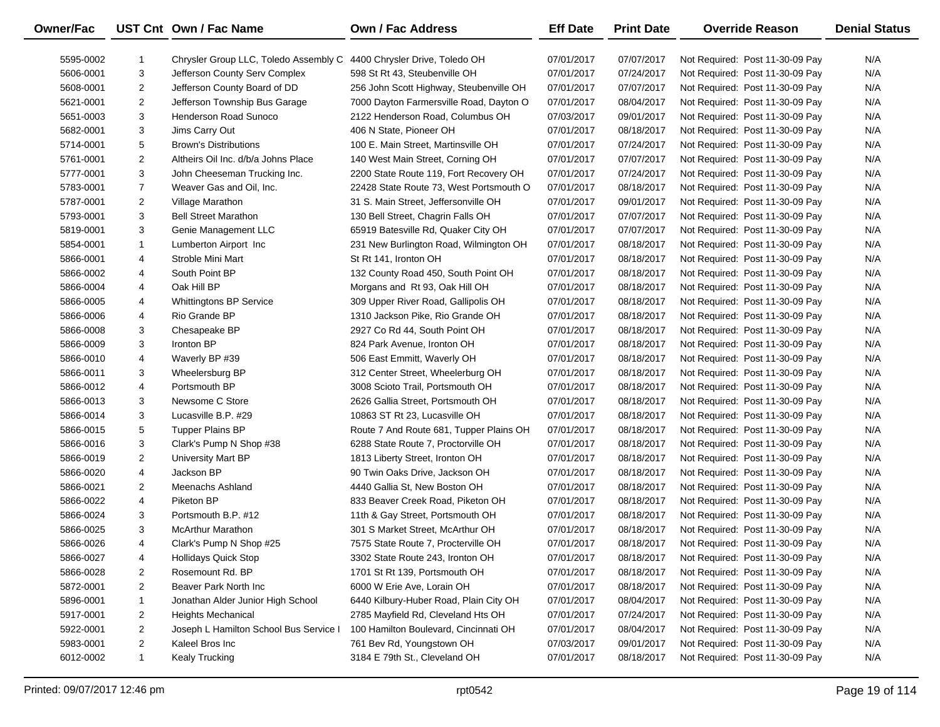| <b>Owner/Fac</b> |                | UST Cnt Own / Fac Name                                               | <b>Own / Fac Address</b>                | <b>Eff Date</b> | <b>Print Date</b> | <b>Override Reason</b>          | <b>Denial Status</b> |
|------------------|----------------|----------------------------------------------------------------------|-----------------------------------------|-----------------|-------------------|---------------------------------|----------------------|
| 5595-0002        | 1              | Chrysler Group LLC, Toledo Assembly C 4400 Chrysler Drive, Toledo OH |                                         | 07/01/2017      | 07/07/2017        | Not Required: Post 11-30-09 Pay | N/A                  |
| 5606-0001        | 3              | Jefferson County Serv Complex                                        | 598 St Rt 43, Steubenville OH           | 07/01/2017      | 07/24/2017        | Not Required: Post 11-30-09 Pay | N/A                  |
| 5608-0001        | 2              | Jefferson County Board of DD                                         | 256 John Scott Highway, Steubenville OH | 07/01/2017      | 07/07/2017        | Not Required: Post 11-30-09 Pay | N/A                  |
| 5621-0001        | $\overline{2}$ | Jefferson Township Bus Garage                                        | 7000 Dayton Farmersville Road, Dayton O | 07/01/2017      | 08/04/2017        | Not Required: Post 11-30-09 Pay | N/A                  |
| 5651-0003        | 3              | Henderson Road Sunoco                                                | 2122 Henderson Road, Columbus OH        | 07/03/2017      | 09/01/2017        | Not Required: Post 11-30-09 Pay | N/A                  |
| 5682-0001        | 3              | Jims Carry Out                                                       | 406 N State, Pioneer OH                 | 07/01/2017      | 08/18/2017        | Not Required: Post 11-30-09 Pay | N/A                  |
| 5714-0001        | 5              | <b>Brown's Distributions</b>                                         | 100 E. Main Street, Martinsville OH     | 07/01/2017      | 07/24/2017        | Not Required: Post 11-30-09 Pay | N/A                  |
| 5761-0001        | $\overline{2}$ | Altheirs Oil Inc. d/b/a Johns Place                                  | 140 West Main Street, Corning OH        | 07/01/2017      | 07/07/2017        | Not Required: Post 11-30-09 Pay | N/A                  |
| 5777-0001        | 3              | John Cheeseman Trucking Inc.                                         | 2200 State Route 119, Fort Recovery OH  | 07/01/2017      | 07/24/2017        | Not Required: Post 11-30-09 Pay | N/A                  |
| 5783-0001        | $\overline{7}$ | Weaver Gas and Oil, Inc.                                             | 22428 State Route 73, West Portsmouth O | 07/01/2017      | 08/18/2017        | Not Required: Post 11-30-09 Pay | N/A                  |
| 5787-0001        | 2              | Village Marathon                                                     | 31 S. Main Street, Jeffersonville OH    | 07/01/2017      | 09/01/2017        | Not Required: Post 11-30-09 Pay | N/A                  |
| 5793-0001        | 3              | <b>Bell Street Marathon</b>                                          | 130 Bell Street, Chagrin Falls OH       | 07/01/2017      | 07/07/2017        | Not Required: Post 11-30-09 Pay | N/A                  |
| 5819-0001        | 3              | Genie Management LLC                                                 | 65919 Batesville Rd, Quaker City OH     | 07/01/2017      | 07/07/2017        | Not Required: Post 11-30-09 Pay | N/A                  |
| 5854-0001        | 1              | Lumberton Airport Inc                                                | 231 New Burlington Road, Wilmington OH  | 07/01/2017      | 08/18/2017        | Not Required: Post 11-30-09 Pay | N/A                  |
| 5866-0001        | 4              | Stroble Mini Mart                                                    | St Rt 141, Ironton OH                   | 07/01/2017      | 08/18/2017        | Not Required: Post 11-30-09 Pay | N/A                  |
| 5866-0002        | 4              | South Point BP                                                       | 132 County Road 450, South Point OH     | 07/01/2017      | 08/18/2017        | Not Required: Post 11-30-09 Pay | N/A                  |
| 5866-0004        | 4              | Oak Hill BP                                                          | Morgans and Rt 93, Oak Hill OH          | 07/01/2017      | 08/18/2017        | Not Required: Post 11-30-09 Pay | N/A                  |
| 5866-0005        | 4              | <b>Whittingtons BP Service</b>                                       | 309 Upper River Road, Gallipolis OH     | 07/01/2017      | 08/18/2017        | Not Required: Post 11-30-09 Pay | N/A                  |
| 5866-0006        | 4              | Rio Grande BP                                                        | 1310 Jackson Pike, Rio Grande OH        | 07/01/2017      | 08/18/2017        | Not Required: Post 11-30-09 Pay | N/A                  |
| 5866-0008        | 3              | Chesapeake BP                                                        | 2927 Co Rd 44, South Point OH           | 07/01/2017      | 08/18/2017        | Not Required: Post 11-30-09 Pay | N/A                  |
| 5866-0009        | 3              | Ironton BP                                                           | 824 Park Avenue, Ironton OH             | 07/01/2017      | 08/18/2017        | Not Required: Post 11-30-09 Pay | N/A                  |
| 5866-0010        | 4              | Waverly BP #39                                                       | 506 East Emmitt, Waverly OH             | 07/01/2017      | 08/18/2017        | Not Required: Post 11-30-09 Pay | N/A                  |
| 5866-0011        | 3              | Wheelersburg BP                                                      | 312 Center Street, Wheelerburg OH       | 07/01/2017      | 08/18/2017        | Not Required: Post 11-30-09 Pay | N/A                  |
| 5866-0012        | 4              | Portsmouth BP                                                        | 3008 Scioto Trail, Portsmouth OH        | 07/01/2017      | 08/18/2017        | Not Required: Post 11-30-09 Pay | N/A                  |
| 5866-0013        | 3              | Newsome C Store                                                      | 2626 Gallia Street, Portsmouth OH       | 07/01/2017      | 08/18/2017        | Not Required: Post 11-30-09 Pay | N/A                  |
| 5866-0014        | 3              | Lucasville B.P. #29                                                  | 10863 ST Rt 23, Lucasville OH           | 07/01/2017      | 08/18/2017        | Not Required: Post 11-30-09 Pay | N/A                  |
| 5866-0015        | 5              | <b>Tupper Plains BP</b>                                              | Route 7 And Route 681, Tupper Plains OH | 07/01/2017      | 08/18/2017        | Not Required: Post 11-30-09 Pay | N/A                  |
| 5866-0016        | 3              | Clark's Pump N Shop #38                                              | 6288 State Route 7, Proctorville OH     | 07/01/2017      | 08/18/2017        | Not Required: Post 11-30-09 Pay | N/A                  |
| 5866-0019        | 2              | University Mart BP                                                   | 1813 Liberty Street, Ironton OH         | 07/01/2017      | 08/18/2017        | Not Required: Post 11-30-09 Pay | N/A                  |
| 5866-0020        | 4              | Jackson BP                                                           | 90 Twin Oaks Drive, Jackson OH          | 07/01/2017      | 08/18/2017        | Not Required: Post 11-30-09 Pay | N/A                  |
| 5866-0021        | 2              | Meenachs Ashland                                                     | 4440 Gallia St, New Boston OH           | 07/01/2017      | 08/18/2017        | Not Required: Post 11-30-09 Pay | N/A                  |
| 5866-0022        | 4              | Piketon BP                                                           | 833 Beaver Creek Road, Piketon OH       | 07/01/2017      | 08/18/2017        | Not Required: Post 11-30-09 Pay | N/A                  |
| 5866-0024        | 3              | Portsmouth B.P. #12                                                  | 11th & Gay Street, Portsmouth OH        | 07/01/2017      | 08/18/2017        | Not Required: Post 11-30-09 Pay | N/A                  |
| 5866-0025        | 3              | <b>McArthur Marathon</b>                                             | 301 S Market Street, McArthur OH        | 07/01/2017      | 08/18/2017        | Not Required: Post 11-30-09 Pay | N/A                  |
| 5866-0026        | 4              | Clark's Pump N Shop #25                                              | 7575 State Route 7, Procterville OH     | 07/01/2017      | 08/18/2017        | Not Required: Post 11-30-09 Pay | N/A                  |
| 5866-0027        | 4              | <b>Hollidays Quick Stop</b>                                          | 3302 State Route 243, Ironton OH        | 07/01/2017      | 08/18/2017        | Not Required: Post 11-30-09 Pay | N/A                  |
| 5866-0028        | 2              | Rosemount Rd. BP                                                     | 1701 St Rt 139, Portsmouth OH           | 07/01/2017      | 08/18/2017        | Not Required: Post 11-30-09 Pay | N/A                  |
| 5872-0001        | $\overline{2}$ | Beaver Park North Inc                                                | 6000 W Erie Ave, Lorain OH              | 07/01/2017      | 08/18/2017        | Not Required: Post 11-30-09 Pay | N/A                  |
| 5896-0001        | 1              | Jonathan Alder Junior High School                                    | 6440 Kilbury-Huber Road, Plain City OH  | 07/01/2017      | 08/04/2017        | Not Required: Post 11-30-09 Pay | N/A                  |
| 5917-0001        | 2              | <b>Heights Mechanical</b>                                            | 2785 Mayfield Rd, Cleveland Hts OH      | 07/01/2017      | 07/24/2017        | Not Required: Post 11-30-09 Pay | N/A                  |
| 5922-0001        | $\overline{2}$ | Joseph L Hamilton School Bus Service I                               | 100 Hamilton Boulevard, Cincinnati OH   | 07/01/2017      | 08/04/2017        | Not Required: Post 11-30-09 Pay | N/A                  |
| 5983-0001        | $\overline{2}$ | Kaleel Bros Inc                                                      | 761 Bev Rd, Youngstown OH               | 07/03/2017      | 09/01/2017        | Not Required: Post 11-30-09 Pay | N/A                  |
| 6012-0002        | $\mathbf{1}$   | Kealy Trucking                                                       | 3184 E 79th St., Cleveland OH           | 07/01/2017      | 08/18/2017        | Not Required: Post 11-30-09 Pay | N/A                  |
|                  |                |                                                                      |                                         |                 |                   |                                 |                      |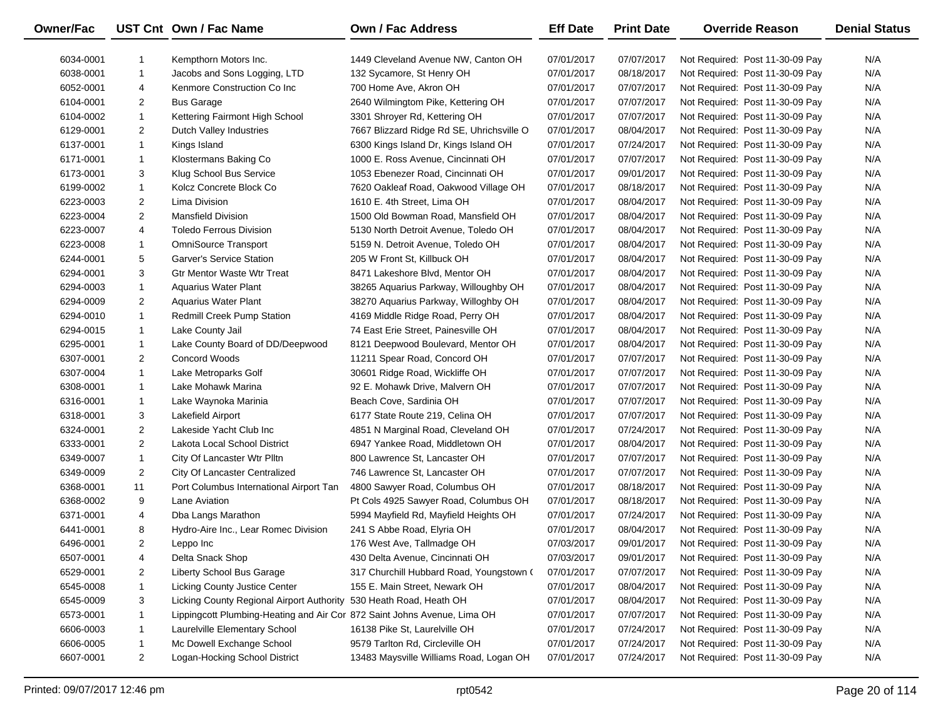| Owner/Fac |                | UST Cnt Own / Fac Name                                                   | Own / Fac Address                         | <b>Eff Date</b> | <b>Print Date</b> | <b>Override Reason</b>          | <b>Denial Status</b> |
|-----------|----------------|--------------------------------------------------------------------------|-------------------------------------------|-----------------|-------------------|---------------------------------|----------------------|
| 6034-0001 | -1             | Kempthorn Motors Inc.                                                    | 1449 Cleveland Avenue NW, Canton OH       | 07/01/2017      | 07/07/2017        | Not Required: Post 11-30-09 Pay | N/A                  |
| 6038-0001 | $\mathbf{1}$   | Jacobs and Sons Logging, LTD                                             | 132 Sycamore, St Henry OH                 | 07/01/2017      | 08/18/2017        | Not Required: Post 11-30-09 Pay | N/A                  |
| 6052-0001 | 4              | Kenmore Construction Co Inc                                              | 700 Home Ave, Akron OH                    | 07/01/2017      | 07/07/2017        | Not Required: Post 11-30-09 Pay | N/A                  |
| 6104-0001 | $\overline{2}$ | <b>Bus Garage</b>                                                        | 2640 Wilmingtom Pike, Kettering OH        | 07/01/2017      | 07/07/2017        | Not Required: Post 11-30-09 Pay | N/A                  |
| 6104-0002 | $\mathbf{1}$   | Kettering Fairmont High School                                           | 3301 Shroyer Rd, Kettering OH             | 07/01/2017      | 07/07/2017        | Not Required: Post 11-30-09 Pay | N/A                  |
| 6129-0001 | $\overline{2}$ | Dutch Valley Industries                                                  | 7667 Blizzard Ridge Rd SE, Uhrichsville O | 07/01/2017      | 08/04/2017        | Not Required: Post 11-30-09 Pay | N/A                  |
| 6137-0001 | $\mathbf{1}$   | Kings Island                                                             | 6300 Kings Island Dr, Kings Island OH     | 07/01/2017      | 07/24/2017        | Not Required: Post 11-30-09 Pay | N/A                  |
| 6171-0001 | $\mathbf{1}$   | Klostermans Baking Co                                                    | 1000 E. Ross Avenue, Cincinnati OH        | 07/01/2017      | 07/07/2017        | Not Required: Post 11-30-09 Pay | N/A                  |
| 6173-0001 | 3              | Klug School Bus Service                                                  | 1053 Ebenezer Road, Cincinnati OH         | 07/01/2017      | 09/01/2017        | Not Required: Post 11-30-09 Pay | N/A                  |
| 6199-0002 | $\mathbf{1}$   | Kolcz Concrete Block Co                                                  | 7620 Oakleaf Road, Oakwood Village OH     | 07/01/2017      | 08/18/2017        | Not Required: Post 11-30-09 Pay | N/A                  |
| 6223-0003 | $\overline{2}$ | Lima Division                                                            | 1610 E. 4th Street, Lima OH               | 07/01/2017      | 08/04/2017        | Not Required: Post 11-30-09 Pay | N/A                  |
| 6223-0004 | $\overline{2}$ | <b>Mansfield Division</b>                                                | 1500 Old Bowman Road, Mansfield OH        | 07/01/2017      | 08/04/2017        | Not Required: Post 11-30-09 Pay | N/A                  |
| 6223-0007 | 4              | <b>Toledo Ferrous Division</b>                                           | 5130 North Detroit Avenue, Toledo OH      | 07/01/2017      | 08/04/2017        | Not Required: Post 11-30-09 Pay | N/A                  |
| 6223-0008 | $\mathbf{1}$   | <b>OmniSource Transport</b>                                              | 5159 N. Detroit Avenue, Toledo OH         | 07/01/2017      | 08/04/2017        | Not Required: Post 11-30-09 Pay | N/A                  |
| 6244-0001 | 5              | Garver's Service Station                                                 | 205 W Front St, Killbuck OH               | 07/01/2017      | 08/04/2017        | Not Required: Post 11-30-09 Pay | N/A                  |
| 6294-0001 | 3              | <b>Gtr Mentor Waste Wtr Treat</b>                                        | 8471 Lakeshore Blvd, Mentor OH            | 07/01/2017      | 08/04/2017        | Not Required: Post 11-30-09 Pay | N/A                  |
| 6294-0003 | $\mathbf{1}$   | <b>Aquarius Water Plant</b>                                              | 38265 Aquarius Parkway, Willoughby OH     | 07/01/2017      | 08/04/2017        | Not Required: Post 11-30-09 Pay | N/A                  |
| 6294-0009 | $\overline{2}$ | <b>Aquarius Water Plant</b>                                              | 38270 Aquarius Parkway, Willoghby OH      | 07/01/2017      | 08/04/2017        | Not Required: Post 11-30-09 Pay | N/A                  |
| 6294-0010 | $\mathbf{1}$   | Redmill Creek Pump Station                                               | 4169 Middle Ridge Road, Perry OH          | 07/01/2017      | 08/04/2017        | Not Required: Post 11-30-09 Pay | N/A                  |
| 6294-0015 | $\mathbf{1}$   | Lake County Jail                                                         | 74 East Erie Street, Painesville OH       | 07/01/2017      | 08/04/2017        | Not Required: Post 11-30-09 Pay | N/A                  |
| 6295-0001 | $\mathbf{1}$   | Lake County Board of DD/Deepwood                                         | 8121 Deepwood Boulevard, Mentor OH        | 07/01/2017      | 08/04/2017        | Not Required: Post 11-30-09 Pay | N/A                  |
| 6307-0001 | $\overline{2}$ | Concord Woods                                                            | 11211 Spear Road, Concord OH              | 07/01/2017      | 07/07/2017        | Not Required: Post 11-30-09 Pay | N/A                  |
| 6307-0004 | $\mathbf{1}$   | Lake Metroparks Golf                                                     | 30601 Ridge Road, Wickliffe OH            | 07/01/2017      | 07/07/2017        | Not Required: Post 11-30-09 Pay | N/A                  |
| 6308-0001 | $\mathbf{1}$   | Lake Mohawk Marina                                                       | 92 E. Mohawk Drive, Malvern OH            | 07/01/2017      | 07/07/2017        | Not Required: Post 11-30-09 Pay | N/A                  |
| 6316-0001 | $\mathbf{1}$   | Lake Waynoka Marinia                                                     | Beach Cove, Sardinia OH                   | 07/01/2017      | 07/07/2017        | Not Required: Post 11-30-09 Pay | N/A                  |
| 6318-0001 | 3              | Lakefield Airport                                                        | 6177 State Route 219, Celina OH           | 07/01/2017      | 07/07/2017        | Not Required: Post 11-30-09 Pay | N/A                  |
| 6324-0001 | $\overline{2}$ | Lakeside Yacht Club Inc                                                  | 4851 N Marginal Road, Cleveland OH        | 07/01/2017      | 07/24/2017        | Not Required: Post 11-30-09 Pay | N/A                  |
| 6333-0001 | $\overline{2}$ | Lakota Local School District                                             | 6947 Yankee Road, Middletown OH           | 07/01/2017      | 08/04/2017        | Not Required: Post 11-30-09 Pay | N/A                  |
| 6349-0007 | $\mathbf{1}$   | City Of Lancaster Wtr Plltn                                              | 800 Lawrence St, Lancaster OH             | 07/01/2017      | 07/07/2017        | Not Required: Post 11-30-09 Pay | N/A                  |
| 6349-0009 | $\overline{2}$ | <b>City Of Lancaster Centralized</b>                                     | 746 Lawrence St, Lancaster OH             | 07/01/2017      | 07/07/2017        | Not Required: Post 11-30-09 Pay | N/A                  |
| 6368-0001 | 11             | Port Columbus International Airport Tan                                  | 4800 Sawyer Road, Columbus OH             | 07/01/2017      | 08/18/2017        | Not Required: Post 11-30-09 Pay | N/A                  |
| 6368-0002 | 9              | Lane Aviation                                                            | Pt Cols 4925 Sawyer Road, Columbus OH     | 07/01/2017      | 08/18/2017        | Not Required: Post 11-30-09 Pay | N/A                  |
| 6371-0001 | 4              | Dba Langs Marathon                                                       | 5994 Mayfield Rd, Mayfield Heights OH     | 07/01/2017      | 07/24/2017        | Not Required: Post 11-30-09 Pay | N/A                  |
| 6441-0001 | 8              | Hydro-Aire Inc., Lear Romec Division                                     | 241 S Abbe Road, Elyria OH                | 07/01/2017      | 08/04/2017        | Not Required: Post 11-30-09 Pay | N/A                  |
| 6496-0001 | $\overline{2}$ | Leppo Inc                                                                | 176 West Ave, Tallmadge OH                | 07/03/2017      | 09/01/2017        | Not Required: Post 11-30-09 Pay | N/A                  |
| 6507-0001 | 4              | Delta Snack Shop                                                         | 430 Delta Avenue, Cincinnati OH           | 07/03/2017      | 09/01/2017        | Not Required: Post 11-30-09 Pay | N/A                  |
| 6529-0001 | $\overline{2}$ | Liberty School Bus Garage                                                | 317 Churchill Hubbard Road, Youngstown (  | 07/01/2017      | 07/07/2017        | Not Required: Post 11-30-09 Pay | N/A                  |
| 6545-0008 | 1              | Licking County Justice Center                                            | 155 E. Main Street, Newark OH             | 07/01/2017      | 08/04/2017        | Not Required: Post 11-30-09 Pay | N/A                  |
| 6545-0009 | 3              | Licking County Regional Airport Authority 530 Heath Road, Heath OH       |                                           | 07/01/2017      | 08/04/2017        | Not Required: Post 11-30-09 Pay | N/A                  |
| 6573-0001 |                | Lippingcott Plumbing-Heating and Air Cor 872 Saint Johns Avenue, Lima OH |                                           | 07/01/2017      | 07/07/2017        | Not Required: Post 11-30-09 Pay | N/A                  |
| 6606-0003 | -1             | Laurelville Elementary School                                            | 16138 Pike St, Laurelville OH             | 07/01/2017      | 07/24/2017        | Not Required: Post 11-30-09 Pay | N/A                  |
| 6606-0005 | -1             | Mc Dowell Exchange School                                                | 9579 Tarlton Rd, Circleville OH           | 07/01/2017      | 07/24/2017        | Not Required: Post 11-30-09 Pay | N/A                  |
| 6607-0001 | $\overline{2}$ | Logan-Hocking School District                                            | 13483 Maysville Williams Road, Logan OH   | 07/01/2017      | 07/24/2017        | Not Required: Post 11-30-09 Pay | N/A                  |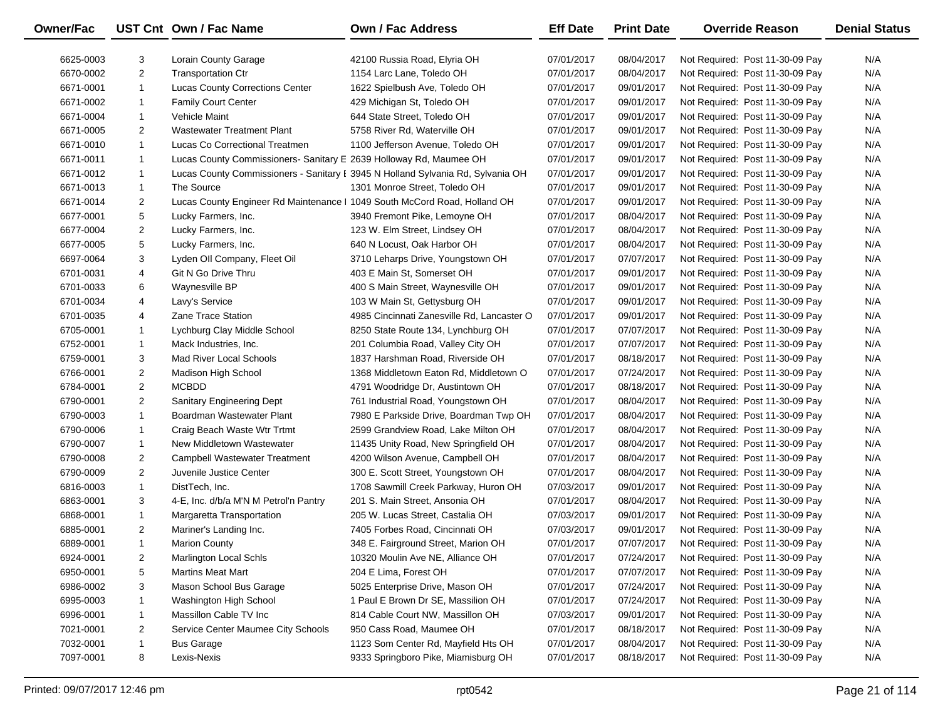| <b>Owner/Fac</b> |                | UST Cnt Own / Fac Name                                                    | Own / Fac Address                                                               | <b>Eff Date</b> | <b>Print Date</b> | <b>Override Reason</b>          | <b>Denial Status</b> |
|------------------|----------------|---------------------------------------------------------------------------|---------------------------------------------------------------------------------|-----------------|-------------------|---------------------------------|----------------------|
| 6625-0003        | 3              | <b>Lorain County Garage</b>                                               | 42100 Russia Road, Elyria OH                                                    | 07/01/2017      | 08/04/2017        | Not Required: Post 11-30-09 Pay | N/A                  |
| 6670-0002        | $\overline{2}$ | <b>Transportation Ctr</b>                                                 | 1154 Larc Lane, Toledo OH                                                       | 07/01/2017      | 08/04/2017        | Not Required: Post 11-30-09 Pay | N/A                  |
| 6671-0001        | $\mathbf{1}$   | <b>Lucas County Corrections Center</b>                                    | 1622 Spielbush Ave, Toledo OH                                                   | 07/01/2017      | 09/01/2017        | Not Required: Post 11-30-09 Pay | N/A                  |
| 6671-0002        | $\mathbf{1}$   | <b>Family Court Center</b>                                                | 429 Michigan St, Toledo OH                                                      | 07/01/2017      | 09/01/2017        | Not Required: Post 11-30-09 Pay | N/A                  |
| 6671-0004        | $\mathbf{1}$   | Vehicle Maint                                                             | 644 State Street, Toledo OH                                                     | 07/01/2017      | 09/01/2017        | Not Required: Post 11-30-09 Pay | N/A                  |
| 6671-0005        | $\overline{2}$ | <b>Wastewater Treatment Plant</b>                                         | 5758 River Rd, Waterville OH                                                    | 07/01/2017      | 09/01/2017        | Not Required: Post 11-30-09 Pay | N/A                  |
| 6671-0010        | $\mathbf{1}$   | Lucas Co Correctional Treatmen                                            | 1100 Jefferson Avenue, Toledo OH                                                | 07/01/2017      | 09/01/2017        | Not Required: Post 11-30-09 Pay | N/A                  |
| 6671-0011        | $\mathbf{1}$   | Lucas County Commissioners- Sanitary E 2639 Holloway Rd, Maumee OH        |                                                                                 | 07/01/2017      | 09/01/2017        | Not Required: Post 11-30-09 Pay | N/A                  |
| 6671-0012        | $\mathbf{1}$   |                                                                           | Lucas County Commissioners - Sanitary I 3945 N Holland Sylvania Rd, Sylvania OH | 07/01/2017      | 09/01/2017        | Not Required: Post 11-30-09 Pay | N/A                  |
| 6671-0013        | $\mathbf{1}$   | The Source                                                                | 1301 Monroe Street, Toledo OH                                                   | 07/01/2017      | 09/01/2017        | Not Required: Post 11-30-09 Pay | N/A                  |
| 6671-0014        | $\overline{2}$ | Lucas County Engineer Rd Maintenance   1049 South McCord Road, Holland OH |                                                                                 | 07/01/2017      | 09/01/2017        | Not Required: Post 11-30-09 Pay | N/A                  |
| 6677-0001        | 5              | Lucky Farmers, Inc.                                                       | 3940 Fremont Pike, Lemoyne OH                                                   | 07/01/2017      | 08/04/2017        | Not Required: Post 11-30-09 Pay | N/A                  |
| 6677-0004        | $\overline{2}$ | Lucky Farmers, Inc.                                                       | 123 W. Elm Street, Lindsey OH                                                   | 07/01/2017      | 08/04/2017        | Not Required: Post 11-30-09 Pay | N/A                  |
| 6677-0005        | 5              | Lucky Farmers, Inc.                                                       | 640 N Locust, Oak Harbor OH                                                     | 07/01/2017      | 08/04/2017        | Not Required: Post 11-30-09 Pay | N/A                  |
| 6697-0064        | 3              | Lyden Oll Company, Fleet Oil                                              | 3710 Leharps Drive, Youngstown OH                                               | 07/01/2017      | 07/07/2017        | Not Required: Post 11-30-09 Pay | N/A                  |
| 6701-0031        | 4              | Git N Go Drive Thru                                                       | 403 E Main St, Somerset OH                                                      | 07/01/2017      | 09/01/2017        | Not Required: Post 11-30-09 Pay | N/A                  |
| 6701-0033        | 6              | Waynesville BP                                                            | 400 S Main Street, Waynesville OH                                               | 07/01/2017      | 09/01/2017        | Not Required: Post 11-30-09 Pay | N/A                  |
| 6701-0034        | 4              | Lavy's Service                                                            | 103 W Main St, Gettysburg OH                                                    | 07/01/2017      | 09/01/2017        | Not Required: Post 11-30-09 Pay | N/A                  |
| 6701-0035        | 4              | <b>Zane Trace Station</b>                                                 | 4985 Cincinnati Zanesville Rd, Lancaster O                                      | 07/01/2017      | 09/01/2017        | Not Required: Post 11-30-09 Pay | N/A                  |
| 6705-0001        | $\mathbf{1}$   | Lychburg Clay Middle School                                               | 8250 State Route 134, Lynchburg OH                                              | 07/01/2017      | 07/07/2017        | Not Required: Post 11-30-09 Pay | N/A                  |
| 6752-0001        | $\mathbf{1}$   | Mack Industries, Inc.                                                     | 201 Columbia Road, Valley City OH                                               | 07/01/2017      | 07/07/2017        | Not Required: Post 11-30-09 Pay | N/A                  |
| 6759-0001        | 3              | Mad River Local Schools                                                   | 1837 Harshman Road, Riverside OH                                                | 07/01/2017      | 08/18/2017        | Not Required: Post 11-30-09 Pay | N/A                  |
| 6766-0001        | $\overline{2}$ | Madison High School                                                       | 1368 Middletown Eaton Rd, Middletown O                                          | 07/01/2017      | 07/24/2017        | Not Required: Post 11-30-09 Pay | N/A                  |
| 6784-0001        | $\overline{2}$ | <b>MCBDD</b>                                                              | 4791 Woodridge Dr, Austintown OH                                                | 07/01/2017      | 08/18/2017        | Not Required: Post 11-30-09 Pay | N/A                  |
| 6790-0001        | $\overline{2}$ | <b>Sanitary Engineering Dept</b>                                          | 761 Industrial Road, Youngstown OH                                              | 07/01/2017      | 08/04/2017        | Not Required: Post 11-30-09 Pay | N/A                  |
| 6790-0003        | $\mathbf{1}$   | Boardman Wastewater Plant                                                 | 7980 E Parkside Drive, Boardman Twp OH                                          | 07/01/2017      | 08/04/2017        | Not Required: Post 11-30-09 Pay | N/A                  |
| 6790-0006        | $\mathbf{1}$   | Craig Beach Waste Wtr Trtmt                                               | 2599 Grandview Road, Lake Milton OH                                             | 07/01/2017      | 08/04/2017        | Not Required: Post 11-30-09 Pay | N/A                  |
| 6790-0007        | $\mathbf{1}$   | New Middletown Wastewater                                                 | 11435 Unity Road, New Springfield OH                                            | 07/01/2017      | 08/04/2017        | Not Required: Post 11-30-09 Pay | N/A                  |
| 6790-0008        | $\overline{2}$ | Campbell Wastewater Treatment                                             | 4200 Wilson Avenue, Campbell OH                                                 | 07/01/2017      | 08/04/2017        | Not Required: Post 11-30-09 Pay | N/A                  |
| 6790-0009        | $\overline{2}$ | Juvenile Justice Center                                                   | 300 E. Scott Street, Youngstown OH                                              | 07/01/2017      | 08/04/2017        | Not Required: Post 11-30-09 Pay | N/A                  |
| 6816-0003        | $\mathbf{1}$   | DistTech, Inc.                                                            | 1708 Sawmill Creek Parkway, Huron OH                                            | 07/03/2017      | 09/01/2017        | Not Required: Post 11-30-09 Pay | N/A                  |
| 6863-0001        | 3              | 4-E, Inc. d/b/a M'N M Petrol'n Pantry                                     | 201 S. Main Street, Ansonia OH                                                  | 07/01/2017      | 08/04/2017        | Not Required: Post 11-30-09 Pay | N/A                  |
| 6868-0001        | $\mathbf{1}$   | Margaretta Transportation                                                 | 205 W. Lucas Street, Castalia OH                                                | 07/03/2017      | 09/01/2017        | Not Required: Post 11-30-09 Pay | N/A                  |
| 6885-0001        | $\overline{2}$ | Mariner's Landing Inc.                                                    | 7405 Forbes Road, Cincinnati OH                                                 | 07/03/2017      | 09/01/2017        | Not Required: Post 11-30-09 Pay | N/A                  |
| 6889-0001        | $\mathbf{1}$   | <b>Marion County</b>                                                      | 348 E. Fairground Street, Marion OH                                             | 07/01/2017      | 07/07/2017        | Not Required: Post 11-30-09 Pay | N/A                  |
| 6924-0001        | $\overline{2}$ | Marlington Local Schls                                                    | 10320 Moulin Ave NE, Alliance OH                                                | 07/01/2017      | 07/24/2017        | Not Required: Post 11-30-09 Pay | N/A                  |
| 6950-0001        | 5              | <b>Martins Meat Mart</b>                                                  | 204 E Lima, Forest OH                                                           | 07/01/2017      | 07/07/2017        | Not Required: Post 11-30-09 Pay | N/A                  |
| 6986-0002        | 3              | Mason School Bus Garage                                                   | 5025 Enterprise Drive, Mason OH                                                 | 07/01/2017      | 07/24/2017        | Not Required: Post 11-30-09 Pay | N/A                  |
| 6995-0003        | 1              | Washington High School                                                    | 1 Paul E Brown Dr SE, Massilion OH                                              | 07/01/2017      | 07/24/2017        | Not Required: Post 11-30-09 Pay | N/A                  |
| 6996-0001        | 1              | Massillon Cable TV Inc                                                    | 814 Cable Court NW, Massillon OH                                                | 07/03/2017      | 09/01/2017        | Not Required: Post 11-30-09 Pay | N/A                  |
| 7021-0001        | 2              | Service Center Maumee City Schools                                        | 950 Cass Road, Maumee OH                                                        | 07/01/2017      | 08/18/2017        | Not Required: Post 11-30-09 Pay | N/A                  |
| 7032-0001        | -1             | <b>Bus Garage</b>                                                         | 1123 Som Center Rd, Mayfield Hts OH                                             | 07/01/2017      | 08/04/2017        | Not Required: Post 11-30-09 Pay | N/A                  |
| 7097-0001        | 8              | Lexis-Nexis                                                               | 9333 Springboro Pike, Miamisburg OH                                             | 07/01/2017      | 08/18/2017        | Not Required: Post 11-30-09 Pay | N/A                  |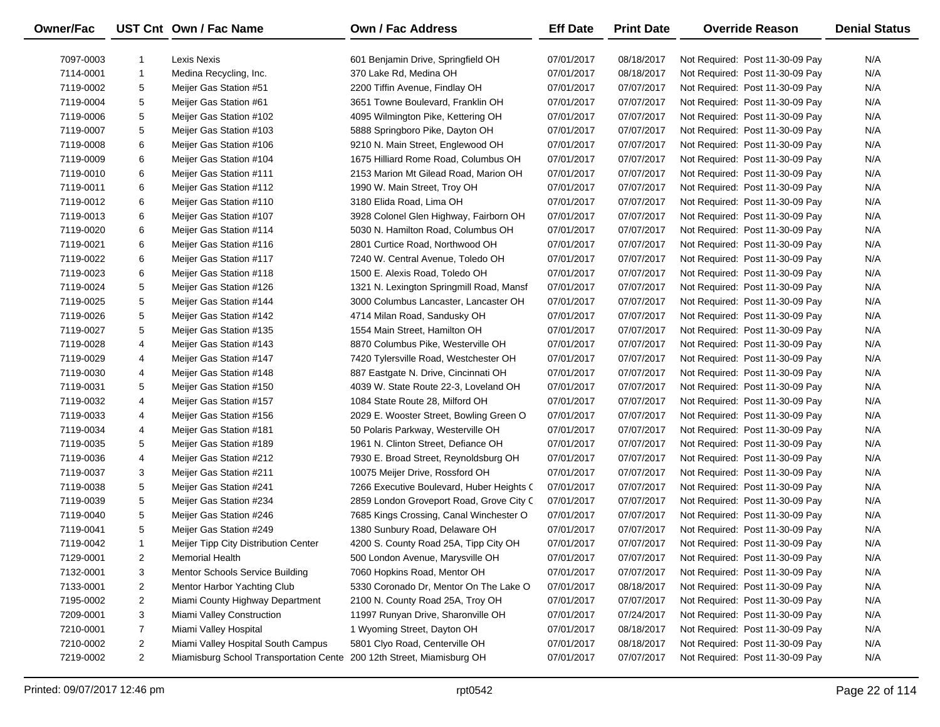| Owner/Fac |                | UST Cnt Own / Fac Name                                                | <b>Own / Fac Address</b>                  | <b>Eff Date</b> | <b>Print Date</b> | <b>Override Reason</b>          | <b>Denial Status</b> |
|-----------|----------------|-----------------------------------------------------------------------|-------------------------------------------|-----------------|-------------------|---------------------------------|----------------------|
| 7097-0003 | 1              | Lexis Nexis                                                           | 601 Benjamin Drive, Springfield OH        | 07/01/2017      | 08/18/2017        | Not Required: Post 11-30-09 Pay | N/A                  |
| 7114-0001 | $\mathbf{1}$   | Medina Recycling, Inc.                                                | 370 Lake Rd, Medina OH                    | 07/01/2017      | 08/18/2017        | Not Required: Post 11-30-09 Pay | N/A                  |
| 7119-0002 | 5              | Meijer Gas Station #51                                                | 2200 Tiffin Avenue, Findlay OH            | 07/01/2017      | 07/07/2017        | Not Required: Post 11-30-09 Pay | N/A                  |
| 7119-0004 | 5              | Meijer Gas Station #61                                                | 3651 Towne Boulevard, Franklin OH         | 07/01/2017      | 07/07/2017        | Not Required: Post 11-30-09 Pay | N/A                  |
| 7119-0006 | 5              | Meijer Gas Station #102                                               | 4095 Wilmington Pike, Kettering OH        | 07/01/2017      | 07/07/2017        | Not Required: Post 11-30-09 Pay | N/A                  |
| 7119-0007 | 5              | Meijer Gas Station #103                                               | 5888 Springboro Pike, Dayton OH           | 07/01/2017      | 07/07/2017        | Not Required: Post 11-30-09 Pay | N/A                  |
| 7119-0008 | 6              | Meijer Gas Station #106                                               | 9210 N. Main Street, Englewood OH         | 07/01/2017      | 07/07/2017        | Not Required: Post 11-30-09 Pay | N/A                  |
| 7119-0009 | 6              | Meijer Gas Station #104                                               | 1675 Hilliard Rome Road, Columbus OH      | 07/01/2017      | 07/07/2017        | Not Required: Post 11-30-09 Pay | N/A                  |
| 7119-0010 | 6              | Meijer Gas Station #111                                               | 2153 Marion Mt Gilead Road, Marion OH     | 07/01/2017      | 07/07/2017        | Not Required: Post 11-30-09 Pay | N/A                  |
| 7119-0011 | 6              | Meijer Gas Station #112                                               | 1990 W. Main Street, Troy OH              | 07/01/2017      | 07/07/2017        | Not Required: Post 11-30-09 Pay | N/A                  |
| 7119-0012 | 6              | Meijer Gas Station #110                                               | 3180 Elida Road, Lima OH                  | 07/01/2017      | 07/07/2017        | Not Required: Post 11-30-09 Pay | N/A                  |
| 7119-0013 | 6              | Meijer Gas Station #107                                               | 3928 Colonel Glen Highway, Fairborn OH    | 07/01/2017      | 07/07/2017        | Not Required: Post 11-30-09 Pay | N/A                  |
| 7119-0020 | 6              | Meijer Gas Station #114                                               | 5030 N. Hamilton Road, Columbus OH        | 07/01/2017      | 07/07/2017        | Not Required: Post 11-30-09 Pay | N/A                  |
| 7119-0021 | 6              | Meijer Gas Station #116                                               | 2801 Curtice Road, Northwood OH           | 07/01/2017      | 07/07/2017        | Not Required: Post 11-30-09 Pay | N/A                  |
| 7119-0022 | 6              | Meijer Gas Station #117                                               | 7240 W. Central Avenue, Toledo OH         | 07/01/2017      | 07/07/2017        | Not Required: Post 11-30-09 Pay | N/A                  |
| 7119-0023 | 6              | Meijer Gas Station #118                                               | 1500 E. Alexis Road, Toledo OH            | 07/01/2017      | 07/07/2017        | Not Required: Post 11-30-09 Pay | N/A                  |
| 7119-0024 | 5              | Meijer Gas Station #126                                               | 1321 N. Lexington Springmill Road, Mansf  | 07/01/2017      | 07/07/2017        | Not Required: Post 11-30-09 Pay | N/A                  |
| 7119-0025 | 5              | Meijer Gas Station #144                                               | 3000 Columbus Lancaster, Lancaster OH     | 07/01/2017      | 07/07/2017        | Not Required: Post 11-30-09 Pay | N/A                  |
| 7119-0026 | 5              | Meijer Gas Station #142                                               | 4714 Milan Road, Sandusky OH              | 07/01/2017      | 07/07/2017        | Not Required: Post 11-30-09 Pay | N/A                  |
| 7119-0027 | 5              | Meijer Gas Station #135                                               | 1554 Main Street, Hamilton OH             | 07/01/2017      | 07/07/2017        | Not Required: Post 11-30-09 Pay | N/A                  |
| 7119-0028 | 4              | Meijer Gas Station #143                                               | 8870 Columbus Pike, Westerville OH        | 07/01/2017      | 07/07/2017        | Not Required: Post 11-30-09 Pay | N/A                  |
| 7119-0029 | 4              | Meijer Gas Station #147                                               | 7420 Tylersville Road, Westchester OH     | 07/01/2017      | 07/07/2017        | Not Required: Post 11-30-09 Pay | N/A                  |
| 7119-0030 | 4              | Meijer Gas Station #148                                               | 887 Eastgate N. Drive, Cincinnati OH      | 07/01/2017      | 07/07/2017        | Not Required: Post 11-30-09 Pay | N/A                  |
| 7119-0031 | 5              | Meijer Gas Station #150                                               | 4039 W. State Route 22-3, Loveland OH     | 07/01/2017      | 07/07/2017        | Not Required: Post 11-30-09 Pay | N/A                  |
| 7119-0032 | 4              | Meijer Gas Station #157                                               | 1084 State Route 28, Milford OH           | 07/01/2017      | 07/07/2017        | Not Required: Post 11-30-09 Pay | N/A                  |
| 7119-0033 | 4              | Meijer Gas Station #156                                               | 2029 E. Wooster Street, Bowling Green O   | 07/01/2017      | 07/07/2017        | Not Required: Post 11-30-09 Pay | N/A                  |
| 7119-0034 | 4              | Meijer Gas Station #181                                               | 50 Polaris Parkway, Westerville OH        | 07/01/2017      | 07/07/2017        | Not Required: Post 11-30-09 Pay | N/A                  |
| 7119-0035 | 5              | Meijer Gas Station #189                                               | 1961 N. Clinton Street, Defiance OH       | 07/01/2017      | 07/07/2017        | Not Required: Post 11-30-09 Pay | N/A                  |
| 7119-0036 | 4              | Meijer Gas Station #212                                               | 7930 E. Broad Street, Reynoldsburg OH     | 07/01/2017      | 07/07/2017        | Not Required: Post 11-30-09 Pay | N/A                  |
| 7119-0037 | 3              | Meijer Gas Station #211                                               | 10075 Meijer Drive, Rossford OH           | 07/01/2017      | 07/07/2017        | Not Required: Post 11-30-09 Pay | N/A                  |
| 7119-0038 | 5              | Meijer Gas Station #241                                               | 7266 Executive Boulevard, Huber Heights C | 07/01/2017      | 07/07/2017        | Not Required: Post 11-30-09 Pay | N/A                  |
| 7119-0039 | 5              | Meijer Gas Station #234                                               | 2859 London Groveport Road, Grove City C  | 07/01/2017      | 07/07/2017        | Not Required: Post 11-30-09 Pay | N/A                  |
| 7119-0040 | 5              | Meijer Gas Station #246                                               | 7685 Kings Crossing, Canal Winchester O   | 07/01/2017      | 07/07/2017        | Not Required: Post 11-30-09 Pay | N/A                  |
| 7119-0041 | 5              | Meijer Gas Station #249                                               | 1380 Sunbury Road, Delaware OH            | 07/01/2017      | 07/07/2017        | Not Required: Post 11-30-09 Pay | N/A                  |
| 7119-0042 | $\mathbf{1}$   | Meijer Tipp City Distribution Center                                  | 4200 S. County Road 25A, Tipp City OH     | 07/01/2017      | 07/07/2017        | Not Required: Post 11-30-09 Pay | N/A                  |
| 7129-0001 | 2              | Memorial Health                                                       | 500 London Avenue, Marysville OH          | 07/01/2017      | 07/07/2017        | Not Required: Post 11-30-09 Pay | N/A                  |
| 7132-0001 | 3              | Mentor Schools Service Building                                       | 7060 Hopkins Road, Mentor OH              | 07/01/2017      | 07/07/2017        | Not Required: Post 11-30-09 Pay | N/A                  |
| 7133-0001 | 2              | Mentor Harbor Yachting Club                                           | 5330 Coronado Dr, Mentor On The Lake O    | 07/01/2017      | 08/18/2017        | Not Required: Post 11-30-09 Pay | N/A                  |
| 7195-0002 | $\overline{2}$ | Miami County Highway Department                                       | 2100 N. County Road 25A, Troy OH          | 07/01/2017      | 07/07/2017        | Not Required: Post 11-30-09 Pay | N/A                  |
| 7209-0001 | 3              | Miami Valley Construction                                             | 11997 Runyan Drive, Sharonville OH        | 07/01/2017      | 07/24/2017        | Not Required: Post 11-30-09 Pay | N/A                  |
| 7210-0001 | $\overline{7}$ | Miami Valley Hospital                                                 | 1 Wyoming Street, Dayton OH               | 07/01/2017      | 08/18/2017        | Not Required: Post 11-30-09 Pay | N/A                  |
| 7210-0002 | 2              | Miami Valley Hospital South Campus                                    | 5801 Clyo Road, Centerville OH            | 07/01/2017      | 08/18/2017        | Not Required: Post 11-30-09 Pay | N/A                  |
| 7219-0002 | $\overline{2}$ | Miamisburg School Transportation Cente 200 12th Street, Miamisburg OH |                                           | 07/01/2017      | 07/07/2017        | Not Required: Post 11-30-09 Pay | N/A                  |
|           |                |                                                                       |                                           |                 |                   |                                 |                      |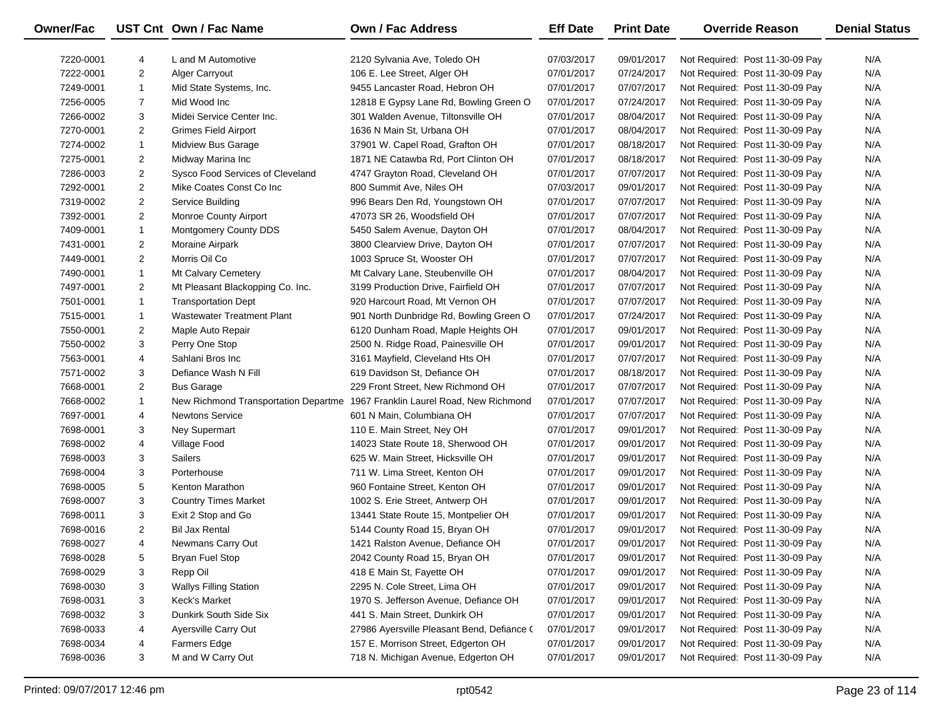| <b>Owner/Fac</b> |                | UST Cnt Own / Fac Name               | <b>Own / Fac Address</b>                   | <b>Eff Date</b> | <b>Print Date</b> | <b>Override Reason</b>          | <b>Denial Status</b> |
|------------------|----------------|--------------------------------------|--------------------------------------------|-----------------|-------------------|---------------------------------|----------------------|
| 7220-0001        | 4              | L and M Automotive                   | 2120 Sylvania Ave, Toledo OH               | 07/03/2017      | 09/01/2017        | Not Required: Post 11-30-09 Pay | N/A                  |
| 7222-0001        | $\overline{2}$ | <b>Alger Carryout</b>                | 106 E. Lee Street, Alger OH                | 07/01/2017      | 07/24/2017        | Not Required: Post 11-30-09 Pay | N/A                  |
| 7249-0001        | $\mathbf{1}$   | Mid State Systems, Inc.              | 9455 Lancaster Road, Hebron OH             | 07/01/2017      | 07/07/2017        | Not Required: Post 11-30-09 Pay | N/A                  |
| 7256-0005        | $\overline{7}$ | Mid Wood Inc                         | 12818 E Gypsy Lane Rd, Bowling Green O     | 07/01/2017      | 07/24/2017        | Not Required: Post 11-30-09 Pay | N/A                  |
| 7266-0002        | 3              | Midei Service Center Inc.            | 301 Walden Avenue, Tiltonsville OH         | 07/01/2017      | 08/04/2017        | Not Required: Post 11-30-09 Pay | N/A                  |
| 7270-0001        | $\overline{2}$ | Grimes Field Airport                 | 1636 N Main St, Urbana OH                  | 07/01/2017      | 08/04/2017        | Not Required: Post 11-30-09 Pay | N/A                  |
| 7274-0002        | $\mathbf{1}$   | Midview Bus Garage                   | 37901 W. Capel Road, Grafton OH            | 07/01/2017      | 08/18/2017        | Not Required: Post 11-30-09 Pay | N/A                  |
| 7275-0001        | $\overline{2}$ | Midway Marina Inc                    | 1871 NE Catawba Rd, Port Clinton OH        | 07/01/2017      | 08/18/2017        | Not Required: Post 11-30-09 Pay | N/A                  |
| 7286-0003        | $\overline{2}$ | Sysco Food Services of Cleveland     | 4747 Grayton Road, Cleveland OH            | 07/01/2017      | 07/07/2017        | Not Required: Post 11-30-09 Pay | N/A                  |
| 7292-0001        | $\overline{2}$ | Mike Coates Const Co Inc             | 800 Summit Ave, Niles OH                   | 07/03/2017      | 09/01/2017        | Not Required: Post 11-30-09 Pay | N/A                  |
| 7319-0002        | $\overline{2}$ | Service Building                     | 996 Bears Den Rd, Youngstown OH            | 07/01/2017      | 07/07/2017        | Not Required: Post 11-30-09 Pay | N/A                  |
| 7392-0001        | $\overline{2}$ | <b>Monroe County Airport</b>         | 47073 SR 26, Woodsfield OH                 | 07/01/2017      | 07/07/2017        | Not Required: Post 11-30-09 Pay | N/A                  |
| 7409-0001        | $\mathbf{1}$   | Montgomery County DDS                | 5450 Salem Avenue, Dayton OH               | 07/01/2017      | 08/04/2017        | Not Required: Post 11-30-09 Pay | N/A                  |
| 7431-0001        | $\overline{2}$ | Moraine Airpark                      | 3800 Clearview Drive, Dayton OH            | 07/01/2017      | 07/07/2017        | Not Required: Post 11-30-09 Pay | N/A                  |
| 7449-0001        | $\overline{2}$ | Morris Oil Co                        | 1003 Spruce St, Wooster OH                 | 07/01/2017      | 07/07/2017        | Not Required: Post 11-30-09 Pay | N/A                  |
| 7490-0001        | $\mathbf{1}$   | Mt Calvary Cemetery                  | Mt Calvary Lane, Steubenville OH           | 07/01/2017      | 08/04/2017        | Not Required: Post 11-30-09 Pay | N/A                  |
| 7497-0001        | $\overline{2}$ | Mt Pleasant Blackopping Co. Inc.     | 3199 Production Drive, Fairfield OH        | 07/01/2017      | 07/07/2017        | Not Required: Post 11-30-09 Pay | N/A                  |
| 7501-0001        | $\mathbf{1}$   | <b>Transportation Dept</b>           | 920 Harcourt Road, Mt Vernon OH            | 07/01/2017      | 07/07/2017        | Not Required: Post 11-30-09 Pay | N/A                  |
| 7515-0001        | $\mathbf{1}$   | <b>Wastewater Treatment Plant</b>    | 901 North Dunbridge Rd, Bowling Green O    | 07/01/2017      | 07/24/2017        | Not Required: Post 11-30-09 Pay | N/A                  |
| 7550-0001        | $\overline{2}$ | Maple Auto Repair                    | 6120 Dunham Road, Maple Heights OH         | 07/01/2017      | 09/01/2017        | Not Required: Post 11-30-09 Pay | N/A                  |
| 7550-0002        | 3              | Perry One Stop                       | 2500 N. Ridge Road, Painesville OH         | 07/01/2017      | 09/01/2017        | Not Required: Post 11-30-09 Pay | N/A                  |
| 7563-0001        | 4              | Sahlani Bros Inc                     | 3161 Mayfield, Cleveland Hts OH            | 07/01/2017      | 07/07/2017        | Not Required: Post 11-30-09 Pay | N/A                  |
| 7571-0002        | 3              | Defiance Wash N Fill                 | 619 Davidson St, Defiance OH               | 07/01/2017      | 08/18/2017        | Not Required: Post 11-30-09 Pay | N/A                  |
| 7668-0001        | $\overline{2}$ | <b>Bus Garage</b>                    | 229 Front Street, New Richmond OH          | 07/01/2017      | 07/07/2017        | Not Required: Post 11-30-09 Pay | N/A                  |
| 7668-0002        | $\mathbf{1}$   | New Richmond Transportation Departme | 1967 Franklin Laurel Road, New Richmond    | 07/01/2017      | 07/07/2017        | Not Required: Post 11-30-09 Pay | N/A                  |
| 7697-0001        | 4              | <b>Newtons Service</b>               | 601 N Main, Columbiana OH                  | 07/01/2017      | 07/07/2017        | Not Required: Post 11-30-09 Pay | N/A                  |
| 7698-0001        | 3              | <b>Ney Supermart</b>                 | 110 E. Main Street, Ney OH                 | 07/01/2017      | 09/01/2017        | Not Required: Post 11-30-09 Pay | N/A                  |
| 7698-0002        | 4              | Village Food                         | 14023 State Route 18, Sherwood OH          | 07/01/2017      | 09/01/2017        | Not Required: Post 11-30-09 Pay | N/A                  |
| 7698-0003        | 3              | <b>Sailers</b>                       | 625 W. Main Street, Hicksville OH          | 07/01/2017      | 09/01/2017        | Not Required: Post 11-30-09 Pay | N/A                  |
| 7698-0004        | 3              | Porterhouse                          | 711 W. Lima Street, Kenton OH              | 07/01/2017      | 09/01/2017        | Not Required: Post 11-30-09 Pay | N/A                  |
| 7698-0005        | 5              | Kenton Marathon                      | 960 Fontaine Street, Kenton OH             | 07/01/2017      | 09/01/2017        | Not Required: Post 11-30-09 Pay | N/A                  |
| 7698-0007        | 3              | <b>Country Times Market</b>          | 1002 S. Erie Street, Antwerp OH            | 07/01/2017      | 09/01/2017        | Not Required: Post 11-30-09 Pay | N/A                  |
| 7698-0011        | 3              | Exit 2 Stop and Go                   | 13441 State Route 15, Montpelier OH        | 07/01/2017      | 09/01/2017        | Not Required: Post 11-30-09 Pay | N/A                  |
| 7698-0016        | $\overline{2}$ | <b>Bil Jax Rental</b>                | 5144 County Road 15, Bryan OH              | 07/01/2017      | 09/01/2017        | Not Required: Post 11-30-09 Pay | N/A                  |
| 7698-0027        | 4              | Newmans Carry Out                    | 1421 Ralston Avenue, Defiance OH           | 07/01/2017      | 09/01/2017        | Not Required: Post 11-30-09 Pay | N/A                  |
| 7698-0028        | 5              | <b>Bryan Fuel Stop</b>               | 2042 County Road 15, Bryan OH              | 07/01/2017      | 09/01/2017        | Not Required: Post 11-30-09 Pay | N/A                  |
| 7698-0029        | 3              | Repp Oil                             | 418 E Main St, Fayette OH                  | 07/01/2017      | 09/01/2017        | Not Required: Post 11-30-09 Pay | N/A                  |
| 7698-0030        | 3              | <b>Wallys Filling Station</b>        | 2295 N. Cole Street, Lima OH               | 07/01/2017      | 09/01/2017        | Not Required: Post 11-30-09 Pay | N/A                  |
| 7698-0031        | 3              | Keck's Market                        | 1970 S. Jefferson Avenue, Defiance OH      | 07/01/2017      | 09/01/2017        | Not Required: Post 11-30-09 Pay | N/A                  |
| 7698-0032        | 3              | Dunkirk South Side Six               | 441 S. Main Street, Dunkirk OH             | 07/01/2017      | 09/01/2017        | Not Required: Post 11-30-09 Pay | N/A                  |
| 7698-0033        | 4              | Ayersville Carry Out                 | 27986 Ayersville Pleasant Bend, Defiance ( | 07/01/2017      | 09/01/2017        | Not Required: Post 11-30-09 Pay | N/A                  |
| 7698-0034        | 4              | <b>Farmers Edge</b>                  | 157 E. Morrison Street, Edgerton OH        | 07/01/2017      | 09/01/2017        | Not Required: Post 11-30-09 Pay | N/A                  |
| 7698-0036        | 3              | M and W Carry Out                    | 718 N. Michigan Avenue, Edgerton OH        | 07/01/2017      | 09/01/2017        | Not Required: Post 11-30-09 Pay | N/A                  |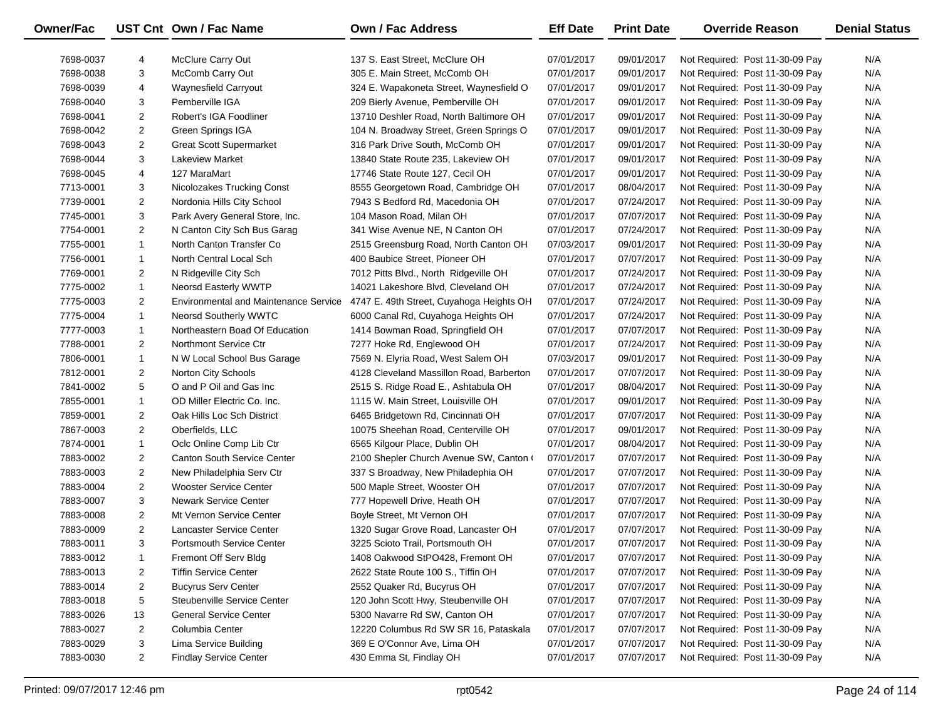| Owner/Fac |                | UST Cnt Own / Fac Name                       | Own / Fac Address                        | <b>Eff Date</b> | <b>Print Date</b> | <b>Override Reason</b>          | <b>Denial Status</b> |
|-----------|----------------|----------------------------------------------|------------------------------------------|-----------------|-------------------|---------------------------------|----------------------|
| 7698-0037 | 4              | McClure Carry Out                            | 137 S. East Street, McClure OH           | 07/01/2017      | 09/01/2017        | Not Required: Post 11-30-09 Pay | N/A                  |
| 7698-0038 | 3              | McComb Carry Out                             | 305 E. Main Street, McComb OH            | 07/01/2017      | 09/01/2017        | Not Required: Post 11-30-09 Pay | N/A                  |
| 7698-0039 | 4              | Waynesfield Carryout                         | 324 E. Wapakoneta Street, Waynesfield O  | 07/01/2017      | 09/01/2017        | Not Required: Post 11-30-09 Pay | N/A                  |
| 7698-0040 | 3              | Pemberville IGA                              | 209 Bierly Avenue, Pemberville OH        | 07/01/2017      | 09/01/2017        | Not Required: Post 11-30-09 Pay | N/A                  |
| 7698-0041 | $\overline{2}$ | Robert's IGA Foodliner                       | 13710 Deshler Road, North Baltimore OH   | 07/01/2017      | 09/01/2017        | Not Required: Post 11-30-09 Pay | N/A                  |
| 7698-0042 | $\overline{2}$ | Green Springs IGA                            | 104 N. Broadway Street, Green Springs O  | 07/01/2017      | 09/01/2017        | Not Required: Post 11-30-09 Pay | N/A                  |
| 7698-0043 | $\overline{2}$ | <b>Great Scott Supermarket</b>               | 316 Park Drive South, McComb OH          | 07/01/2017      | 09/01/2017        | Not Required: Post 11-30-09 Pay | N/A                  |
| 7698-0044 | 3              | Lakeview Market                              | 13840 State Route 235, Lakeview OH       | 07/01/2017      | 09/01/2017        | Not Required: Post 11-30-09 Pay | N/A                  |
| 7698-0045 | 4              | 127 MaraMart                                 | 17746 State Route 127, Cecil OH          | 07/01/2017      | 09/01/2017        | Not Required: Post 11-30-09 Pay | N/A                  |
| 7713-0001 | 3              | <b>Nicolozakes Trucking Const</b>            | 8555 Georgetown Road, Cambridge OH       | 07/01/2017      | 08/04/2017        | Not Required: Post 11-30-09 Pay | N/A                  |
| 7739-0001 | $\overline{2}$ | Nordonia Hills City School                   | 7943 S Bedford Rd, Macedonia OH          | 07/01/2017      | 07/24/2017        | Not Required: Post 11-30-09 Pay | N/A                  |
| 7745-0001 | 3              | Park Avery General Store, Inc.               | 104 Mason Road, Milan OH                 | 07/01/2017      | 07/07/2017        | Not Required: Post 11-30-09 Pay | N/A                  |
| 7754-0001 | $\overline{2}$ | N Canton City Sch Bus Garag                  | 341 Wise Avenue NE, N Canton OH          | 07/01/2017      | 07/24/2017        | Not Required: Post 11-30-09 Pay | N/A                  |
| 7755-0001 | $\mathbf{1}$   | North Canton Transfer Co                     | 2515 Greensburg Road, North Canton OH    | 07/03/2017      | 09/01/2017        | Not Required: Post 11-30-09 Pay | N/A                  |
| 7756-0001 | $\mathbf{1}$   | North Central Local Sch                      | 400 Baubice Street, Pioneer OH           | 07/01/2017      | 07/07/2017        | Not Required: Post 11-30-09 Pay | N/A                  |
| 7769-0001 | $\overline{2}$ | N Ridgeville City Sch                        | 7012 Pitts Blvd., North Ridgeville OH    | 07/01/2017      | 07/24/2017        | Not Required: Post 11-30-09 Pay | N/A                  |
| 7775-0002 | $\mathbf{1}$   | <b>Neorsd Easterly WWTP</b>                  | 14021 Lakeshore Blvd, Cleveland OH       | 07/01/2017      | 07/24/2017        | Not Required: Post 11-30-09 Pay | N/A                  |
| 7775-0003 | $\overline{2}$ | <b>Environmental and Maintenance Service</b> | 4747 E. 49th Street, Cuyahoga Heights OH | 07/01/2017      | 07/24/2017        | Not Required: Post 11-30-09 Pay | N/A                  |
| 7775-0004 | $\mathbf{1}$   | <b>Neorsd Southerly WWTC</b>                 | 6000 Canal Rd, Cuyahoga Heights OH       | 07/01/2017      | 07/24/2017        | Not Required: Post 11-30-09 Pay | N/A                  |
| 7777-0003 | $\mathbf{1}$   | Northeastern Boad Of Education               | 1414 Bowman Road, Springfield OH         | 07/01/2017      | 07/07/2017        | Not Required: Post 11-30-09 Pay | N/A                  |
| 7788-0001 | $\overline{2}$ | Northmont Service Ctr                        | 7277 Hoke Rd, Englewood OH               | 07/01/2017      | 07/24/2017        | Not Required: Post 11-30-09 Pay | N/A                  |
| 7806-0001 | $\mathbf{1}$   | N W Local School Bus Garage                  | 7569 N. Elyria Road, West Salem OH       | 07/03/2017      | 09/01/2017        | Not Required: Post 11-30-09 Pay | N/A                  |
| 7812-0001 | $\overline{2}$ | Norton City Schools                          | 4128 Cleveland Massillon Road, Barberton | 07/01/2017      | 07/07/2017        | Not Required: Post 11-30-09 Pay | N/A                  |
| 7841-0002 | 5              | O and P Oil and Gas Inc                      | 2515 S. Ridge Road E., Ashtabula OH      | 07/01/2017      | 08/04/2017        | Not Required: Post 11-30-09 Pay | N/A                  |
| 7855-0001 | $\mathbf{1}$   | OD Miller Electric Co. Inc.                  | 1115 W. Main Street, Louisville OH       | 07/01/2017      | 09/01/2017        | Not Required: Post 11-30-09 Pay | N/A                  |
| 7859-0001 | $\overline{2}$ | Oak Hills Loc Sch District                   | 6465 Bridgetown Rd, Cincinnati OH        | 07/01/2017      | 07/07/2017        | Not Required: Post 11-30-09 Pay | N/A                  |
| 7867-0003 | $\overline{2}$ | Oberfields, LLC                              | 10075 Sheehan Road, Centerville OH       | 07/01/2017      | 09/01/2017        | Not Required: Post 11-30-09 Pay | N/A                  |
| 7874-0001 | $\mathbf{1}$   | Oclc Online Comp Lib Ctr                     | 6565 Kilgour Place, Dublin OH            | 07/01/2017      | 08/04/2017        | Not Required: Post 11-30-09 Pay | N/A                  |
| 7883-0002 | $\overline{2}$ | <b>Canton South Service Center</b>           | 2100 Shepler Church Avenue SW, Canton (  | 07/01/2017      | 07/07/2017        | Not Required: Post 11-30-09 Pay | N/A                  |
| 7883-0003 | $\overline{2}$ | New Philadelphia Serv Ctr                    | 337 S Broadway, New Philadephia OH       | 07/01/2017      | 07/07/2017        | Not Required: Post 11-30-09 Pay | N/A                  |
| 7883-0004 | $\overline{2}$ | <b>Wooster Service Center</b>                | 500 Maple Street, Wooster OH             | 07/01/2017      | 07/07/2017        | Not Required: Post 11-30-09 Pay | N/A                  |
| 7883-0007 | 3              | <b>Newark Service Center</b>                 | 777 Hopewell Drive, Heath OH             | 07/01/2017      | 07/07/2017        | Not Required: Post 11-30-09 Pay | N/A                  |
| 7883-0008 | $\overline{2}$ | Mt Vernon Service Center                     | Boyle Street, Mt Vernon OH               | 07/01/2017      | 07/07/2017        | Not Required: Post 11-30-09 Pay | N/A                  |
| 7883-0009 | $\overline{2}$ | Lancaster Service Center                     | 1320 Sugar Grove Road, Lancaster OH      | 07/01/2017      | 07/07/2017        | Not Required: Post 11-30-09 Pay | N/A                  |
| 7883-0011 | 3              | <b>Portsmouth Service Center</b>             | 3225 Scioto Trail, Portsmouth OH         | 07/01/2017      | 07/07/2017        | Not Required: Post 11-30-09 Pay | N/A                  |
| 7883-0012 | 1              | Fremont Off Serv Bldg                        | 1408 Oakwood StPO428, Fremont OH         | 07/01/2017      | 07/07/2017        | Not Required: Post 11-30-09 Pay | N/A                  |
| 7883-0013 | 2              | <b>Tiffin Service Center</b>                 | 2622 State Route 100 S., Tiffin OH       | 07/01/2017      | 07/07/2017        | Not Required: Post 11-30-09 Pay | N/A                  |
| 7883-0014 | $\overline{2}$ | <b>Bucyrus Serv Center</b>                   | 2552 Quaker Rd, Bucyrus OH               | 07/01/2017      | 07/07/2017        | Not Required: Post 11-30-09 Pay | N/A                  |
| 7883-0018 | 5              | Steubenville Service Center                  | 120 John Scott Hwy, Steubenville OH      | 07/01/2017      | 07/07/2017        | Not Required: Post 11-30-09 Pay | N/A                  |
| 7883-0026 | 13             | <b>General Service Center</b>                | 5300 Navarre Rd SW, Canton OH            | 07/01/2017      | 07/07/2017        | Not Required: Post 11-30-09 Pay | N/A                  |
| 7883-0027 | $\overline{2}$ | Columbia Center                              | 12220 Columbus Rd SW SR 16, Pataskala    | 07/01/2017      | 07/07/2017        | Not Required: Post 11-30-09 Pay | N/A                  |
| 7883-0029 | 3              | Lima Service Building                        | 369 E O'Connor Ave, Lima OH              | 07/01/2017      | 07/07/2017        | Not Required: Post 11-30-09 Pay | N/A                  |
| 7883-0030 | $\overline{2}$ | <b>Findlay Service Center</b>                | 430 Emma St, Findlay OH                  | 07/01/2017      | 07/07/2017        | Not Required: Post 11-30-09 Pay | N/A                  |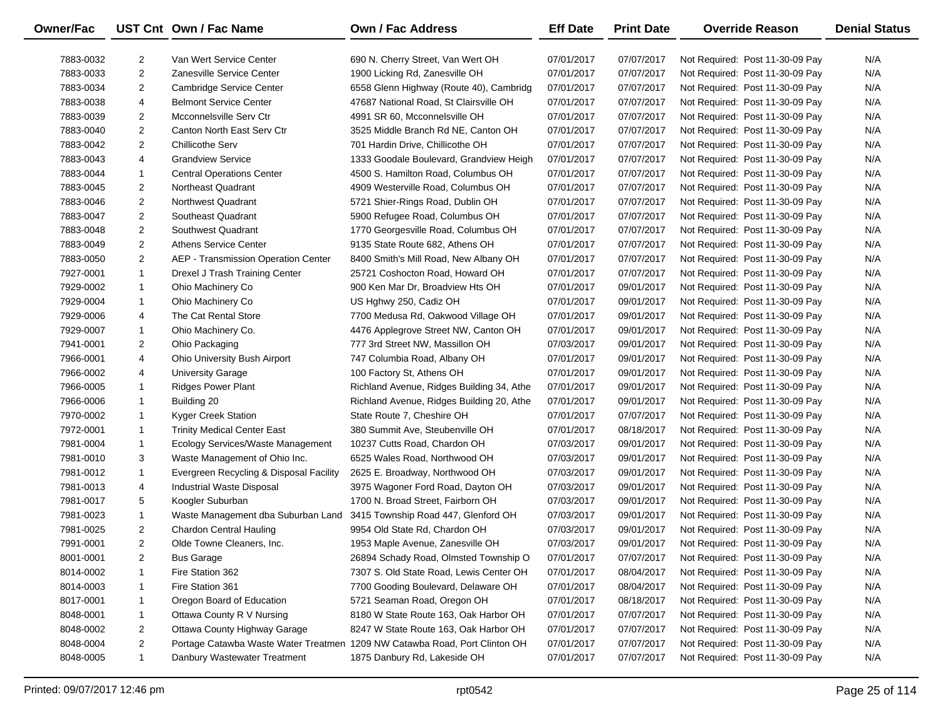| <b>Owner/Fac</b> |                | UST Cnt Own / Fac Name                  | Own / Fac Address                                                          | <b>Eff Date</b> | <b>Print Date</b> | <b>Override Reason</b>          | <b>Denial Status</b> |
|------------------|----------------|-----------------------------------------|----------------------------------------------------------------------------|-----------------|-------------------|---------------------------------|----------------------|
| 7883-0032        | $\overline{2}$ | Van Wert Service Center                 | 690 N. Cherry Street, Van Wert OH                                          | 07/01/2017      | 07/07/2017        | Not Required: Post 11-30-09 Pay | N/A                  |
| 7883-0033        | $\overline{c}$ | Zanesville Service Center               | 1900 Licking Rd, Zanesville OH                                             | 07/01/2017      | 07/07/2017        | Not Required: Post 11-30-09 Pay | N/A                  |
| 7883-0034        | $\overline{2}$ | Cambridge Service Center                | 6558 Glenn Highway (Route 40), Cambridg                                    | 07/01/2017      | 07/07/2017        | Not Required: Post 11-30-09 Pay | N/A                  |
| 7883-0038        | 4              | <b>Belmont Service Center</b>           | 47687 National Road, St Clairsville OH                                     | 07/01/2017      | 07/07/2017        | Not Required: Post 11-30-09 Pay | N/A                  |
| 7883-0039        | $\overline{2}$ | Mcconnelsville Serv Ctr                 | 4991 SR 60, Mcconnelsville OH                                              | 07/01/2017      | 07/07/2017        | Not Required: Post 11-30-09 Pay | N/A                  |
| 7883-0040        | $\overline{2}$ | Canton North East Serv Ctr              | 3525 Middle Branch Rd NE, Canton OH                                        | 07/01/2017      | 07/07/2017        | Not Required: Post 11-30-09 Pay | N/A                  |
| 7883-0042        | $\overline{2}$ | <b>Chillicothe Serv</b>                 | 701 Hardin Drive, Chillicothe OH                                           | 07/01/2017      | 07/07/2017        | Not Required: Post 11-30-09 Pay | N/A                  |
| 7883-0043        | 4              | <b>Grandview Service</b>                | 1333 Goodale Boulevard, Grandview Heigh                                    | 07/01/2017      | 07/07/2017        | Not Required: Post 11-30-09 Pay | N/A                  |
| 7883-0044        | $\mathbf{1}$   | <b>Central Operations Center</b>        | 4500 S. Hamilton Road, Columbus OH                                         | 07/01/2017      | 07/07/2017        | Not Required: Post 11-30-09 Pay | N/A                  |
| 7883-0045        | $\overline{2}$ | Northeast Quadrant                      | 4909 Westerville Road, Columbus OH                                         | 07/01/2017      | 07/07/2017        | Not Required: Post 11-30-09 Pay | N/A                  |
| 7883-0046        | $\overline{2}$ | Northwest Quadrant                      | 5721 Shier-Rings Road, Dublin OH                                           | 07/01/2017      | 07/07/2017        | Not Required: Post 11-30-09 Pay | N/A                  |
| 7883-0047        | $\overline{2}$ | Southeast Quadrant                      | 5900 Refugee Road, Columbus OH                                             | 07/01/2017      | 07/07/2017        | Not Required: Post 11-30-09 Pay | N/A                  |
| 7883-0048        | $\overline{2}$ | Southwest Quadrant                      | 1770 Georgesville Road, Columbus OH                                        | 07/01/2017      | 07/07/2017        | Not Required: Post 11-30-09 Pay | N/A                  |
| 7883-0049        | $\overline{2}$ | <b>Athens Service Center</b>            | 9135 State Route 682, Athens OH                                            | 07/01/2017      | 07/07/2017        | Not Required: Post 11-30-09 Pay | N/A                  |
| 7883-0050        | $\overline{2}$ | AEP - Transmission Operation Center     | 8400 Smith's Mill Road, New Albany OH                                      | 07/01/2017      | 07/07/2017        | Not Required: Post 11-30-09 Pay | N/A                  |
| 7927-0001        | $\mathbf{1}$   | Drexel J Trash Training Center          | 25721 Coshocton Road, Howard OH                                            | 07/01/2017      | 07/07/2017        | Not Required: Post 11-30-09 Pay | N/A                  |
| 7929-0002        | $\mathbf{1}$   | Ohio Machinery Co                       | 900 Ken Mar Dr, Broadview Hts OH                                           | 07/01/2017      | 09/01/2017        | Not Required: Post 11-30-09 Pay | N/A                  |
| 7929-0004        | $\mathbf{1}$   | Ohio Machinery Co                       | US Hghwy 250, Cadiz OH                                                     | 07/01/2017      | 09/01/2017        | Not Required: Post 11-30-09 Pay | N/A                  |
| 7929-0006        | 4              | The Cat Rental Store                    | 7700 Medusa Rd, Oakwood Village OH                                         | 07/01/2017      | 09/01/2017        | Not Required: Post 11-30-09 Pay | N/A                  |
| 7929-0007        | $\mathbf{1}$   | Ohio Machinery Co.                      | 4476 Applegrove Street NW, Canton OH                                       | 07/01/2017      | 09/01/2017        | Not Required: Post 11-30-09 Pay | N/A                  |
| 7941-0001        | $\overline{2}$ | Ohio Packaging                          | 777 3rd Street NW, Massillon OH                                            | 07/03/2017      | 09/01/2017        | Not Required: Post 11-30-09 Pay | N/A                  |
| 7966-0001        | 4              | Ohio University Bush Airport            | 747 Columbia Road, Albany OH                                               | 07/01/2017      | 09/01/2017        | Not Required: Post 11-30-09 Pay | N/A                  |
| 7966-0002        | 4              | <b>University Garage</b>                | 100 Factory St, Athens OH                                                  | 07/01/2017      | 09/01/2017        | Not Required: Post 11-30-09 Pay | N/A                  |
| 7966-0005        | $\mathbf{1}$   | <b>Ridges Power Plant</b>               | Richland Avenue, Ridges Building 34, Athe                                  | 07/01/2017      | 09/01/2017        | Not Required: Post 11-30-09 Pay | N/A                  |
| 7966-0006        | $\mathbf{1}$   | Building 20                             | Richland Avenue, Ridges Building 20, Athe                                  | 07/01/2017      | 09/01/2017        | Not Required: Post 11-30-09 Pay | N/A                  |
| 7970-0002        | $\mathbf{1}$   | Kyger Creek Station                     | State Route 7, Cheshire OH                                                 | 07/01/2017      | 07/07/2017        | Not Required: Post 11-30-09 Pay | N/A                  |
| 7972-0001        | $\mathbf{1}$   | <b>Trinity Medical Center East</b>      | 380 Summit Ave, Steubenville OH                                            | 07/01/2017      | 08/18/2017        | Not Required: Post 11-30-09 Pay | N/A                  |
| 7981-0004        | $\mathbf{1}$   | Ecology Services/Waste Management       | 10237 Cutts Road, Chardon OH                                               | 07/03/2017      | 09/01/2017        | Not Required: Post 11-30-09 Pay | N/A                  |
| 7981-0010        | 3              | Waste Management of Ohio Inc.           | 6525 Wales Road, Northwood OH                                              | 07/03/2017      | 09/01/2017        | Not Required: Post 11-30-09 Pay | N/A                  |
| 7981-0012        | $\mathbf{1}$   | Evergreen Recycling & Disposal Facility | 2625 E. Broadway, Northwood OH                                             | 07/03/2017      | 09/01/2017        | Not Required: Post 11-30-09 Pay | N/A                  |
| 7981-0013        | 4              | Industrial Waste Disposal               | 3975 Wagoner Ford Road, Dayton OH                                          | 07/03/2017      | 09/01/2017        | Not Required: Post 11-30-09 Pay | N/A                  |
| 7981-0017        | 5              | Koogler Suburban                        | 1700 N. Broad Street, Fairborn OH                                          | 07/03/2017      | 09/01/2017        | Not Required: Post 11-30-09 Pay | N/A                  |
| 7981-0023        | $\mathbf{1}$   | Waste Management dba Suburban Land      | 3415 Township Road 447, Glenford OH                                        | 07/03/2017      | 09/01/2017        | Not Required: Post 11-30-09 Pay | N/A                  |
| 7981-0025        | $\overline{2}$ | <b>Chardon Central Hauling</b>          | 9954 Old State Rd, Chardon OH                                              | 07/03/2017      | 09/01/2017        | Not Required: Post 11-30-09 Pay | N/A                  |
| 7991-0001        | $\overline{2}$ | Olde Towne Cleaners, Inc.               | 1953 Maple Avenue, Zanesville OH                                           | 07/03/2017      | 09/01/2017        | Not Required: Post 11-30-09 Pay | N/A                  |
| 8001-0001        | $\overline{2}$ | <b>Bus Garage</b>                       | 26894 Schady Road, Olmsted Township O                                      | 07/01/2017      | 07/07/2017        | Not Required: Post 11-30-09 Pay | N/A                  |
| 8014-0002        | 1              | Fire Station 362                        | 7307 S. Old State Road, Lewis Center OH                                    | 07/01/2017      | 08/04/2017        | Not Required: Post 11-30-09 Pay | N/A                  |
| 8014-0003        | -1             | Fire Station 361                        | 7700 Gooding Boulevard, Delaware OH                                        | 07/01/2017      | 08/04/2017        | Not Required: Post 11-30-09 Pay | N/A                  |
| 8017-0001        | -1             | Oregon Board of Education               | 5721 Seaman Road, Oregon OH                                                | 07/01/2017      | 08/18/2017        | Not Required: Post 11-30-09 Pay | N/A                  |
| 8048-0001        | 1              | Ottawa County R V Nursing               | 8180 W State Route 163, Oak Harbor OH                                      | 07/01/2017      | 07/07/2017        | Not Required: Post 11-30-09 Pay | N/A                  |
| 8048-0002        | $\overline{2}$ | Ottawa County Highway Garage            | 8247 W State Route 163, Oak Harbor OH                                      | 07/01/2017      | 07/07/2017        | Not Required: Post 11-30-09 Pay | N/A                  |
| 8048-0004        | $\overline{a}$ |                                         | Portage Catawba Waste Water Treatmen 1209 NW Catawba Road, Port Clinton OH | 07/01/2017      | 07/07/2017        | Not Required: Post 11-30-09 Pay | N/A                  |
| 8048-0005        | 1              | Danbury Wastewater Treatment            | 1875 Danbury Rd, Lakeside OH                                               | 07/01/2017      | 07/07/2017        | Not Required: Post 11-30-09 Pay | N/A                  |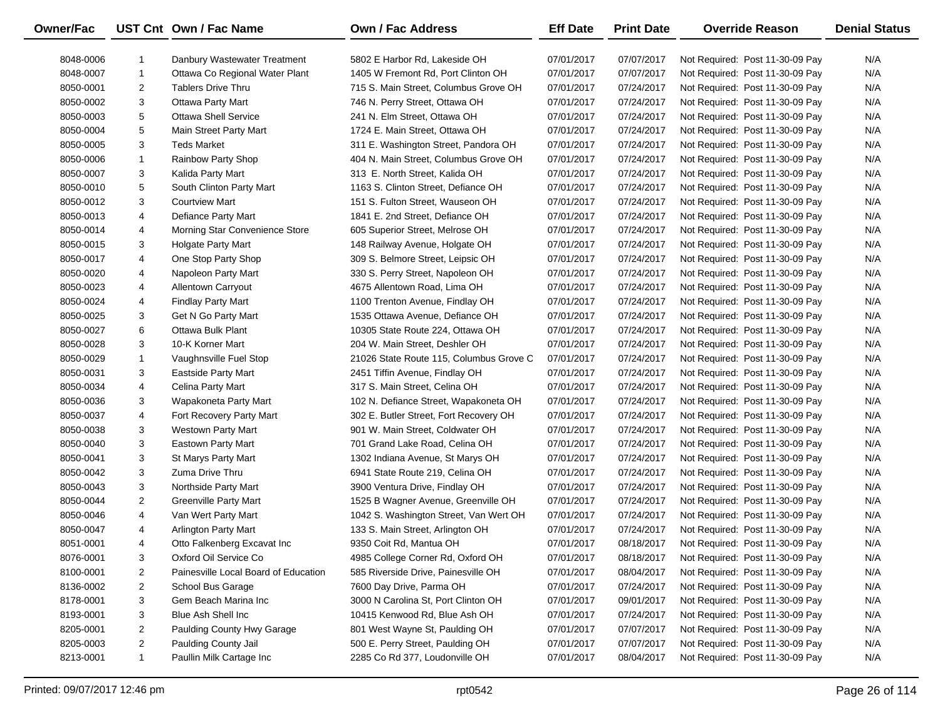| Owner/Fac |                | UST Cnt Own / Fac Name               | <b>Own / Fac Address</b>                | <b>Eff Date</b> | <b>Print Date</b> | <b>Override Reason</b>          | <b>Denial Status</b> |
|-----------|----------------|--------------------------------------|-----------------------------------------|-----------------|-------------------|---------------------------------|----------------------|
| 8048-0006 | 1              | Danbury Wastewater Treatment         | 5802 E Harbor Rd, Lakeside OH           | 07/01/2017      | 07/07/2017        | Not Required: Post 11-30-09 Pay | N/A                  |
| 8048-0007 | $\mathbf{1}$   | Ottawa Co Regional Water Plant       | 1405 W Fremont Rd, Port Clinton OH      | 07/01/2017      | 07/07/2017        | Not Required: Post 11-30-09 Pay | N/A                  |
| 8050-0001 | $\overline{2}$ | <b>Tablers Drive Thru</b>            | 715 S. Main Street, Columbus Grove OH   | 07/01/2017      | 07/24/2017        | Not Required: Post 11-30-09 Pay | N/A                  |
| 8050-0002 | 3              | <b>Ottawa Party Mart</b>             | 746 N. Perry Street, Ottawa OH          | 07/01/2017      | 07/24/2017        | Not Required: Post 11-30-09 Pay | N/A                  |
| 8050-0003 | 5              | <b>Ottawa Shell Service</b>          | 241 N. Elm Street, Ottawa OH            | 07/01/2017      | 07/24/2017        | Not Required: Post 11-30-09 Pay | N/A                  |
| 8050-0004 | 5              | Main Street Party Mart               | 1724 E. Main Street, Ottawa OH          | 07/01/2017      | 07/24/2017        | Not Required: Post 11-30-09 Pay | N/A                  |
| 8050-0005 | 3              | <b>Teds Market</b>                   | 311 E. Washington Street, Pandora OH    | 07/01/2017      | 07/24/2017        | Not Required: Post 11-30-09 Pay | N/A                  |
| 8050-0006 | $\mathbf{1}$   | Rainbow Party Shop                   | 404 N. Main Street, Columbus Grove OH   | 07/01/2017      | 07/24/2017        | Not Required: Post 11-30-09 Pay | N/A                  |
| 8050-0007 | 3              | Kalida Party Mart                    | 313 E. North Street, Kalida OH          | 07/01/2017      | 07/24/2017        | Not Required: Post 11-30-09 Pay | N/A                  |
| 8050-0010 | 5              | South Clinton Party Mart             | 1163 S. Clinton Street, Defiance OH     | 07/01/2017      | 07/24/2017        | Not Required: Post 11-30-09 Pay | N/A                  |
| 8050-0012 | 3              | <b>Courtview Mart</b>                | 151 S. Fulton Street, Wauseon OH        | 07/01/2017      | 07/24/2017        | Not Required: Post 11-30-09 Pay | N/A                  |
| 8050-0013 | 4              | Defiance Party Mart                  | 1841 E. 2nd Street, Defiance OH         | 07/01/2017      | 07/24/2017        | Not Required: Post 11-30-09 Pay | N/A                  |
| 8050-0014 | 4              | Morning Star Convenience Store       | 605 Superior Street, Melrose OH         | 07/01/2017      | 07/24/2017        | Not Required: Post 11-30-09 Pay | N/A                  |
| 8050-0015 | 3              | Holgate Party Mart                   | 148 Railway Avenue, Holgate OH          | 07/01/2017      | 07/24/2017        | Not Required: Post 11-30-09 Pay | N/A                  |
| 8050-0017 | 4              | One Stop Party Shop                  | 309 S. Belmore Street, Leipsic OH       | 07/01/2017      | 07/24/2017        | Not Required: Post 11-30-09 Pay | N/A                  |
| 8050-0020 | 4              | Napoleon Party Mart                  | 330 S. Perry Street, Napoleon OH        | 07/01/2017      | 07/24/2017        | Not Required: Post 11-30-09 Pay | N/A                  |
| 8050-0023 | 4              | Allentown Carryout                   | 4675 Allentown Road, Lima OH            | 07/01/2017      | 07/24/2017        | Not Required: Post 11-30-09 Pay | N/A                  |
| 8050-0024 | 4              | <b>Findlay Party Mart</b>            | 1100 Trenton Avenue, Findlay OH         | 07/01/2017      | 07/24/2017        | Not Required: Post 11-30-09 Pay | N/A                  |
| 8050-0025 | 3              | Get N Go Party Mart                  | 1535 Ottawa Avenue, Defiance OH         | 07/01/2017      | 07/24/2017        | Not Required: Post 11-30-09 Pay | N/A                  |
| 8050-0027 | 6              | Ottawa Bulk Plant                    | 10305 State Route 224, Ottawa OH        | 07/01/2017      | 07/24/2017        | Not Required: Post 11-30-09 Pay | N/A                  |
| 8050-0028 | 3              | 10-K Korner Mart                     | 204 W. Main Street, Deshler OH          | 07/01/2017      | 07/24/2017        | Not Required: Post 11-30-09 Pay | N/A                  |
| 8050-0029 | $\mathbf{1}$   | Vaughnsville Fuel Stop               | 21026 State Route 115, Columbus Grove C | 07/01/2017      | 07/24/2017        | Not Required: Post 11-30-09 Pay | N/A                  |
| 8050-0031 | 3              | <b>Eastside Party Mart</b>           | 2451 Tiffin Avenue, Findlay OH          | 07/01/2017      | 07/24/2017        | Not Required: Post 11-30-09 Pay | N/A                  |
| 8050-0034 | 4              | Celina Party Mart                    | 317 S. Main Street, Celina OH           | 07/01/2017      | 07/24/2017        | Not Required: Post 11-30-09 Pay | N/A                  |
| 8050-0036 | 3              | Wapakoneta Party Mart                | 102 N. Defiance Street, Wapakoneta OH   | 07/01/2017      | 07/24/2017        | Not Required: Post 11-30-09 Pay | N/A                  |
| 8050-0037 | 4              | Fort Recovery Party Mart             | 302 E. Butler Street, Fort Recovery OH  | 07/01/2017      | 07/24/2017        | Not Required: Post 11-30-09 Pay | N/A                  |
| 8050-0038 | 3              | Westown Party Mart                   | 901 W. Main Street, Coldwater OH        | 07/01/2017      | 07/24/2017        | Not Required: Post 11-30-09 Pay | N/A                  |
| 8050-0040 | 3              | Eastown Party Mart                   | 701 Grand Lake Road, Celina OH          | 07/01/2017      | 07/24/2017        | Not Required: Post 11-30-09 Pay | N/A                  |
| 8050-0041 | 3              | St Marys Party Mart                  | 1302 Indiana Avenue, St Marys OH        | 07/01/2017      | 07/24/2017        | Not Required: Post 11-30-09 Pay | N/A                  |
| 8050-0042 | 3              | Zuma Drive Thru                      | 6941 State Route 219, Celina OH         | 07/01/2017      | 07/24/2017        | Not Required: Post 11-30-09 Pay | N/A                  |
| 8050-0043 | 3              | Northside Party Mart                 | 3900 Ventura Drive, Findlay OH          | 07/01/2017      | 07/24/2017        | Not Required: Post 11-30-09 Pay | N/A                  |
| 8050-0044 | $\overline{2}$ | Greenville Party Mart                | 1525 B Wagner Avenue, Greenville OH     | 07/01/2017      | 07/24/2017        | Not Required: Post 11-30-09 Pay | N/A                  |
| 8050-0046 | 4              | Van Wert Party Mart                  | 1042 S. Washington Street, Van Wert OH  | 07/01/2017      | 07/24/2017        | Not Required: Post 11-30-09 Pay | N/A                  |
| 8050-0047 | 4              | <b>Arlington Party Mart</b>          | 133 S. Main Street, Arlington OH        | 07/01/2017      | 07/24/2017        | Not Required: Post 11-30-09 Pay | N/A                  |
| 8051-0001 | 4              | Otto Falkenberg Excavat Inc          | 9350 Coit Rd, Mantua OH                 | 07/01/2017      | 08/18/2017        | Not Required: Post 11-30-09 Pay | N/A                  |
| 8076-0001 | 3              | Oxford Oil Service Co                | 4985 College Corner Rd, Oxford OH       | 07/01/2017      | 08/18/2017        | Not Required: Post 11-30-09 Pay | N/A                  |
| 8100-0001 | 2              | Painesville Local Board of Education | 585 Riverside Drive, Painesville OH     | 07/01/2017      | 08/04/2017        | Not Required: Post 11-30-09 Pay | N/A                  |
| 8136-0002 | $\overline{2}$ | School Bus Garage                    | 7600 Day Drive, Parma OH                | 07/01/2017      | 07/24/2017        | Not Required: Post 11-30-09 Pay | N/A                  |
| 8178-0001 | 3              | Gem Beach Marina Inc                 | 3000 N Carolina St, Port Clinton OH     | 07/01/2017      | 09/01/2017        | Not Required: Post 11-30-09 Pay | N/A                  |
| 8193-0001 | 3              | Blue Ash Shell Inc                   | 10415 Kenwood Rd, Blue Ash OH           | 07/01/2017      | 07/24/2017        | Not Required: Post 11-30-09 Pay | N/A                  |
| 8205-0001 | $\overline{2}$ | Paulding County Hwy Garage           | 801 West Wayne St, Paulding OH          | 07/01/2017      | 07/07/2017        | Not Required: Post 11-30-09 Pay | N/A                  |
| 8205-0003 | $\overline{2}$ | Paulding County Jail                 | 500 E. Perry Street, Paulding OH        | 07/01/2017      | 07/07/2017        | Not Required: Post 11-30-09 Pay | N/A                  |
| 8213-0001 | $\mathbf{1}$   | Paullin Milk Cartage Inc             | 2285 Co Rd 377, Loudonville OH          | 07/01/2017      | 08/04/2017        | Not Required: Post 11-30-09 Pay | N/A                  |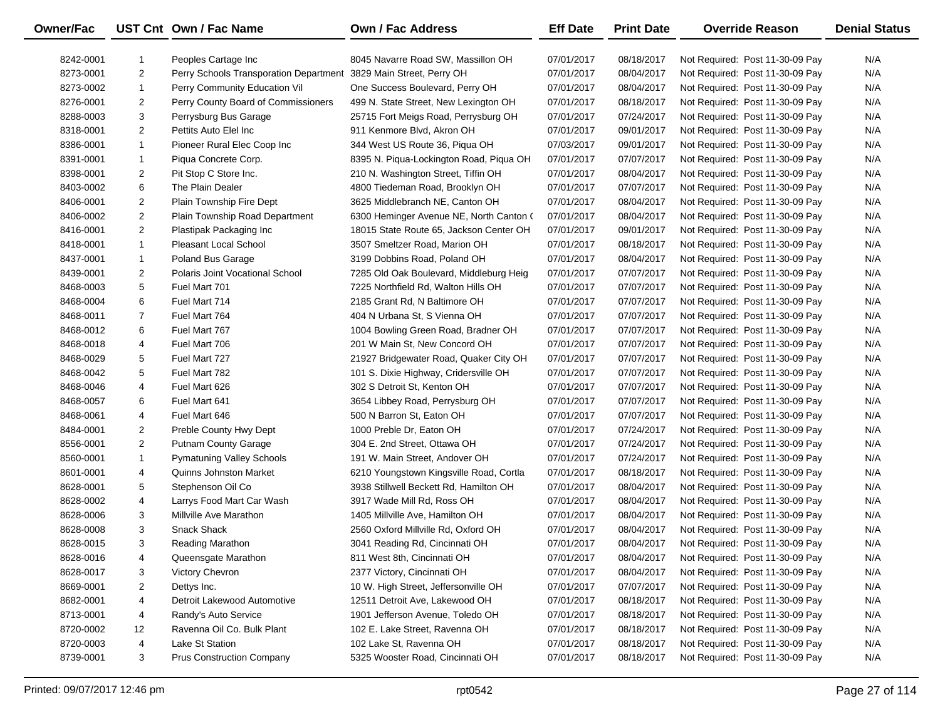| Owner/Fac |                | UST Cnt Own / Fac Name                 | Own / Fac Address                       | <b>Eff Date</b> | <b>Print Date</b> | <b>Override Reason</b>          | <b>Denial Status</b> |
|-----------|----------------|----------------------------------------|-----------------------------------------|-----------------|-------------------|---------------------------------|----------------------|
| 8242-0001 | 1              | Peoples Cartage Inc.                   | 8045 Navarre Road SW. Massillon OH      | 07/01/2017      | 08/18/2017        | Not Required: Post 11-30-09 Pay | N/A                  |
| 8273-0001 | $\overline{2}$ | Perry Schools Transporation Department | 3829 Main Street, Perry OH              | 07/01/2017      | 08/04/2017        | Not Required: Post 11-30-09 Pay | N/A                  |
| 8273-0002 | $\mathbf{1}$   | Perry Community Education Vil          | One Success Boulevard, Perry OH         | 07/01/2017      | 08/04/2017        | Not Required: Post 11-30-09 Pay | N/A                  |
| 8276-0001 | $\overline{2}$ | Perry County Board of Commissioners    | 499 N. State Street, New Lexington OH   | 07/01/2017      | 08/18/2017        | Not Required: Post 11-30-09 Pay | N/A                  |
| 8288-0003 | 3              | Perrysburg Bus Garage                  | 25715 Fort Meigs Road, Perrysburg OH    | 07/01/2017      | 07/24/2017        | Not Required: Post 11-30-09 Pay | N/A                  |
| 8318-0001 | $\overline{2}$ | Pettits Auto Elel Inc                  | 911 Kenmore Blvd, Akron OH              | 07/01/2017      | 09/01/2017        | Not Required: Post 11-30-09 Pay | N/A                  |
| 8386-0001 | $\mathbf{1}$   | Pioneer Rural Elec Coop Inc            | 344 West US Route 36, Piqua OH          | 07/03/2017      | 09/01/2017        | Not Required: Post 11-30-09 Pay | N/A                  |
| 8391-0001 | 1              | Piqua Concrete Corp.                   | 8395 N. Piqua-Lockington Road, Piqua OH | 07/01/2017      | 07/07/2017        | Not Required: Post 11-30-09 Pay | N/A                  |
| 8398-0001 | $\overline{2}$ | Pit Stop C Store Inc.                  | 210 N. Washington Street, Tiffin OH     | 07/01/2017      | 08/04/2017        | Not Required: Post 11-30-09 Pay | N/A                  |
| 8403-0002 | 6              | The Plain Dealer                       | 4800 Tiedeman Road, Brooklyn OH         | 07/01/2017      | 07/07/2017        | Not Required: Post 11-30-09 Pay | N/A                  |
| 8406-0001 | $\overline{2}$ | Plain Township Fire Dept               | 3625 Middlebranch NE, Canton OH         | 07/01/2017      | 08/04/2017        | Not Required: Post 11-30-09 Pay | N/A                  |
| 8406-0002 | $\overline{2}$ | Plain Township Road Department         | 6300 Heminger Avenue NE, North Canton ( | 07/01/2017      | 08/04/2017        | Not Required: Post 11-30-09 Pay | N/A                  |
| 8416-0001 | $\overline{2}$ | Plastipak Packaging Inc                | 18015 State Route 65, Jackson Center OH | 07/01/2017      | 09/01/2017        | Not Required: Post 11-30-09 Pay | N/A                  |
| 8418-0001 | $\mathbf{1}$   | Pleasant Local School                  | 3507 Smeltzer Road, Marion OH           | 07/01/2017      | 08/18/2017        | Not Required: Post 11-30-09 Pay | N/A                  |
| 8437-0001 | 1              | Poland Bus Garage                      | 3199 Dobbins Road, Poland OH            | 07/01/2017      | 08/04/2017        | Not Required: Post 11-30-09 Pay | N/A                  |
| 8439-0001 | $\overline{2}$ | Polaris Joint Vocational School        | 7285 Old Oak Boulevard, Middleburg Heig | 07/01/2017      | 07/07/2017        | Not Required: Post 11-30-09 Pay | N/A                  |
| 8468-0003 | 5              | Fuel Mart 701                          | 7225 Northfield Rd, Walton Hills OH     | 07/01/2017      | 07/07/2017        | Not Required: Post 11-30-09 Pay | N/A                  |
| 8468-0004 | 6              | Fuel Mart 714                          | 2185 Grant Rd, N Baltimore OH           | 07/01/2017      | 07/07/2017        | Not Required: Post 11-30-09 Pay | N/A                  |
| 8468-0011 | $\overline{7}$ | Fuel Mart 764                          | 404 N Urbana St, S Vienna OH            | 07/01/2017      | 07/07/2017        | Not Required: Post 11-30-09 Pay | N/A                  |
| 8468-0012 | 6              | Fuel Mart 767                          | 1004 Bowling Green Road, Bradner OH     | 07/01/2017      | 07/07/2017        | Not Required: Post 11-30-09 Pay | N/A                  |
| 8468-0018 | 4              | Fuel Mart 706                          | 201 W Main St, New Concord OH           | 07/01/2017      | 07/07/2017        | Not Required: Post 11-30-09 Pay | N/A                  |
| 8468-0029 | 5              | Fuel Mart 727                          | 21927 Bridgewater Road, Quaker City OH  | 07/01/2017      | 07/07/2017        | Not Required: Post 11-30-09 Pay | N/A                  |
| 8468-0042 | 5              | Fuel Mart 782                          | 101 S. Dixie Highway, Cridersville OH   | 07/01/2017      | 07/07/2017        | Not Required: Post 11-30-09 Pay | N/A                  |
| 8468-0046 | 4              | Fuel Mart 626                          | 302 S Detroit St, Kenton OH             | 07/01/2017      | 07/07/2017        | Not Required: Post 11-30-09 Pay | N/A                  |
| 8468-0057 | 6              | Fuel Mart 641                          | 3654 Libbey Road, Perrysburg OH         | 07/01/2017      | 07/07/2017        | Not Required: Post 11-30-09 Pay | N/A                  |
| 8468-0061 | 4              | Fuel Mart 646                          | 500 N Barron St, Eaton OH               | 07/01/2017      | 07/07/2017        | Not Required: Post 11-30-09 Pay | N/A                  |
| 8484-0001 | $\overline{2}$ | Preble County Hwy Dept                 | 1000 Preble Dr, Eaton OH                | 07/01/2017      | 07/24/2017        | Not Required: Post 11-30-09 Pay | N/A                  |
| 8556-0001 | $\overline{2}$ | <b>Putnam County Garage</b>            | 304 E. 2nd Street, Ottawa OH            | 07/01/2017      | 07/24/2017        | Not Required: Post 11-30-09 Pay | N/A                  |
| 8560-0001 | $\mathbf{1}$   | <b>Pymatuning Valley Schools</b>       | 191 W. Main Street, Andover OH          | 07/01/2017      | 07/24/2017        | Not Required: Post 11-30-09 Pay | N/A                  |
| 8601-0001 | 4              | <b>Quinns Johnston Market</b>          | 6210 Youngstown Kingsville Road, Cortla | 07/01/2017      | 08/18/2017        | Not Required: Post 11-30-09 Pay | N/A                  |
| 8628-0001 | 5              | Stephenson Oil Co                      | 3938 Stillwell Beckett Rd, Hamilton OH  | 07/01/2017      | 08/04/2017        | Not Required: Post 11-30-09 Pay | N/A                  |
| 8628-0002 | 4              | Larrys Food Mart Car Wash              | 3917 Wade Mill Rd, Ross OH              | 07/01/2017      | 08/04/2017        | Not Required: Post 11-30-09 Pay | N/A                  |
| 8628-0006 | 3              | Millville Ave Marathon                 | 1405 Millville Ave, Hamilton OH         | 07/01/2017      | 08/04/2017        | Not Required: Post 11-30-09 Pay | N/A                  |
| 8628-0008 | 3              | <b>Snack Shack</b>                     | 2560 Oxford Millville Rd, Oxford OH     | 07/01/2017      | 08/04/2017        | Not Required: Post 11-30-09 Pay | N/A                  |
| 8628-0015 | 3              | <b>Reading Marathon</b>                | 3041 Reading Rd, Cincinnati OH          | 07/01/2017      | 08/04/2017        | Not Required: Post 11-30-09 Pay | N/A                  |
| 8628-0016 | 4              | Queensgate Marathon                    | 811 West 8th, Cincinnati OH             | 07/01/2017      | 08/04/2017        | Not Required: Post 11-30-09 Pay | N/A                  |
| 8628-0017 | 3              | Victory Chevron                        | 2377 Victory, Cincinnati OH             | 07/01/2017      | 08/04/2017        | Not Required: Post 11-30-09 Pay | N/A                  |
| 8669-0001 | 2              | Dettys Inc.                            | 10 W. High Street, Jeffersonville OH    | 07/01/2017      | 07/07/2017        | Not Required: Post 11-30-09 Pay | N/A                  |
| 8682-0001 | 4              | Detroit Lakewood Automotive            | 12511 Detroit Ave, Lakewood OH          | 07/01/2017      | 08/18/2017        | Not Required: Post 11-30-09 Pay | N/A                  |
| 8713-0001 | 4              | Randy's Auto Service                   | 1901 Jefferson Avenue, Toledo OH        | 07/01/2017      | 08/18/2017        | Not Required: Post 11-30-09 Pay | N/A                  |
| 8720-0002 | 12             | Ravenna Oil Co. Bulk Plant             | 102 E. Lake Street, Ravenna OH          | 07/01/2017      | 08/18/2017        | Not Required: Post 11-30-09 Pay | N/A                  |
| 8720-0003 | 4              | Lake St Station                        | 102 Lake St, Ravenna OH                 | 07/01/2017      | 08/18/2017        | Not Required: Post 11-30-09 Pay | N/A                  |
| 8739-0001 | 3              | <b>Prus Construction Company</b>       | 5325 Wooster Road, Cincinnati OH        | 07/01/2017      | 08/18/2017        | Not Required: Post 11-30-09 Pay | N/A                  |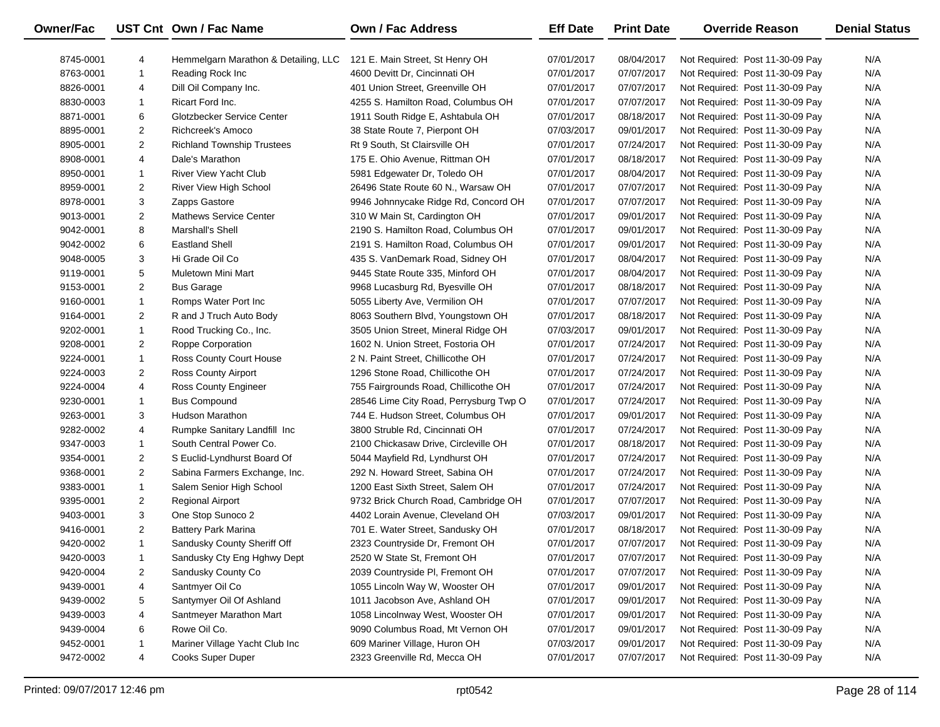| Owner/Fac |                | UST Cnt Own / Fac Name               | <b>Own / Fac Address</b>               | <b>Eff Date</b> | <b>Print Date</b> | <b>Override Reason</b>          | <b>Denial Status</b> |
|-----------|----------------|--------------------------------------|----------------------------------------|-----------------|-------------------|---------------------------------|----------------------|
| 8745-0001 | 4              | Hemmelgarn Marathon & Detailing, LLC | 121 E. Main Street, St Henry OH        | 07/01/2017      | 08/04/2017        | Not Required: Post 11-30-09 Pay | N/A                  |
| 8763-0001 | 1              | Reading Rock Inc                     | 4600 Devitt Dr, Cincinnati OH          | 07/01/2017      | 07/07/2017        | Not Required: Post 11-30-09 Pay | N/A                  |
| 8826-0001 | 4              | Dill Oil Company Inc.                | 401 Union Street, Greenville OH        | 07/01/2017      | 07/07/2017        | Not Required: Post 11-30-09 Pay | N/A                  |
| 8830-0003 | $\mathbf{1}$   | Ricart Ford Inc.                     | 4255 S. Hamilton Road, Columbus OH     | 07/01/2017      | 07/07/2017        | Not Required: Post 11-30-09 Pay | N/A                  |
| 8871-0001 | 6              | Glotzbecker Service Center           | 1911 South Ridge E, Ashtabula OH       | 07/01/2017      | 08/18/2017        | Not Required: Post 11-30-09 Pay | N/A                  |
| 8895-0001 | $\overline{c}$ | Richcreek's Amoco                    | 38 State Route 7, Pierpont OH          | 07/03/2017      | 09/01/2017        | Not Required: Post 11-30-09 Pay | N/A                  |
| 8905-0001 | $\overline{2}$ | <b>Richland Township Trustees</b>    | Rt 9 South, St Clairsville OH          | 07/01/2017      | 07/24/2017        | Not Required: Post 11-30-09 Pay | N/A                  |
| 8908-0001 | 4              | Dale's Marathon                      | 175 E. Ohio Avenue, Rittman OH         | 07/01/2017      | 08/18/2017        | Not Required: Post 11-30-09 Pay | N/A                  |
| 8950-0001 | $\mathbf{1}$   | <b>River View Yacht Club</b>         | 5981 Edgewater Dr, Toledo OH           | 07/01/2017      | 08/04/2017        | Not Required: Post 11-30-09 Pay | N/A                  |
| 8959-0001 | $\overline{c}$ | River View High School               | 26496 State Route 60 N., Warsaw OH     | 07/01/2017      | 07/07/2017        | Not Required: Post 11-30-09 Pay | N/A                  |
| 8978-0001 | 3              | Zapps Gastore                        | 9946 Johnnycake Ridge Rd, Concord OH   | 07/01/2017      | 07/07/2017        | Not Required: Post 11-30-09 Pay | N/A                  |
| 9013-0001 | $\overline{c}$ | <b>Mathews Service Center</b>        | 310 W Main St, Cardington OH           | 07/01/2017      | 09/01/2017        | Not Required: Post 11-30-09 Pay | N/A                  |
| 9042-0001 | 8              | Marshall's Shell                     | 2190 S. Hamilton Road, Columbus OH     | 07/01/2017      | 09/01/2017        | Not Required: Post 11-30-09 Pay | N/A                  |
| 9042-0002 | 6              | <b>Eastland Shell</b>                | 2191 S. Hamilton Road, Columbus OH     | 07/01/2017      | 09/01/2017        | Not Required: Post 11-30-09 Pay | N/A                  |
| 9048-0005 | 3              | Hi Grade Oil Co                      | 435 S. VanDemark Road, Sidney OH       | 07/01/2017      | 08/04/2017        | Not Required: Post 11-30-09 Pay | N/A                  |
| 9119-0001 | 5              | Muletown Mini Mart                   | 9445 State Route 335, Minford OH       | 07/01/2017      | 08/04/2017        | Not Required: Post 11-30-09 Pay | N/A                  |
| 9153-0001 | $\overline{2}$ | <b>Bus Garage</b>                    | 9968 Lucasburg Rd, Byesville OH        | 07/01/2017      | 08/18/2017        | Not Required: Post 11-30-09 Pay | N/A                  |
| 9160-0001 | $\mathbf{1}$   | Romps Water Port Inc                 | 5055 Liberty Ave, Vermilion OH         | 07/01/2017      | 07/07/2017        | Not Required: Post 11-30-09 Pay | N/A                  |
| 9164-0001 | $\overline{c}$ | R and J Truch Auto Body              | 8063 Southern Blvd, Youngstown OH      | 07/01/2017      | 08/18/2017        | Not Required: Post 11-30-09 Pay | N/A                  |
| 9202-0001 | $\mathbf{1}$   | Rood Trucking Co., Inc.              | 3505 Union Street, Mineral Ridge OH    | 07/03/2017      | 09/01/2017        | Not Required: Post 11-30-09 Pay | N/A                  |
| 9208-0001 | $\overline{c}$ | Roppe Corporation                    | 1602 N. Union Street, Fostoria OH      | 07/01/2017      | 07/24/2017        | Not Required: Post 11-30-09 Pay | N/A                  |
| 9224-0001 | $\mathbf{1}$   | Ross County Court House              | 2 N. Paint Street, Chillicothe OH      | 07/01/2017      | 07/24/2017        | Not Required: Post 11-30-09 Pay | N/A                  |
| 9224-0003 | $\overline{c}$ | Ross County Airport                  | 1296 Stone Road, Chillicothe OH        | 07/01/2017      | 07/24/2017        | Not Required: Post 11-30-09 Pay | N/A                  |
| 9224-0004 | 4              | Ross County Engineer                 | 755 Fairgrounds Road, Chillicothe OH   | 07/01/2017      | 07/24/2017        | Not Required: Post 11-30-09 Pay | N/A                  |
| 9230-0001 | $\mathbf{1}$   | <b>Bus Compound</b>                  | 28546 Lime City Road, Perrysburg Twp O | 07/01/2017      | 07/24/2017        | Not Required: Post 11-30-09 Pay | N/A                  |
| 9263-0001 | 3              | Hudson Marathon                      | 744 E. Hudson Street, Columbus OH      | 07/01/2017      | 09/01/2017        | Not Required: Post 11-30-09 Pay | N/A                  |
| 9282-0002 | 4              | Rumpke Sanitary Landfill Inc         | 3800 Struble Rd, Cincinnati OH         | 07/01/2017      | 07/24/2017        | Not Required: Post 11-30-09 Pay | N/A                  |
| 9347-0003 | $\mathbf{1}$   | South Central Power Co.              | 2100 Chickasaw Drive, Circleville OH   | 07/01/2017      | 08/18/2017        | Not Required: Post 11-30-09 Pay | N/A                  |
| 9354-0001 | $\overline{c}$ | S Euclid-Lyndhurst Board Of          | 5044 Mayfield Rd, Lyndhurst OH         | 07/01/2017      | 07/24/2017        | Not Required: Post 11-30-09 Pay | N/A                  |
| 9368-0001 | $\overline{c}$ | Sabina Farmers Exchange, Inc.        | 292 N. Howard Street, Sabina OH        | 07/01/2017      | 07/24/2017        | Not Required: Post 11-30-09 Pay | N/A                  |
| 9383-0001 | $\mathbf{1}$   | Salem Senior High School             | 1200 East Sixth Street, Salem OH       | 07/01/2017      | 07/24/2017        | Not Required: Post 11-30-09 Pay | N/A                  |
| 9395-0001 | $\overline{2}$ | <b>Regional Airport</b>              | 9732 Brick Church Road, Cambridge OH   | 07/01/2017      | 07/07/2017        | Not Required: Post 11-30-09 Pay | N/A                  |
| 9403-0001 | 3              | One Stop Sunoco 2                    | 4402 Lorain Avenue, Cleveland OH       | 07/03/2017      | 09/01/2017        | Not Required: Post 11-30-09 Pay | N/A                  |
| 9416-0001 | $\overline{2}$ | <b>Battery Park Marina</b>           | 701 E. Water Street, Sandusky OH       | 07/01/2017      | 08/18/2017        | Not Required: Post 11-30-09 Pay | N/A                  |
| 9420-0002 | $\mathbf{1}$   | Sandusky County Sheriff Off          | 2323 Countryside Dr, Fremont OH        | 07/01/2017      | 07/07/2017        | Not Required: Post 11-30-09 Pay | N/A                  |
| 9420-0003 | $\mathbf{1}$   | Sandusky Cty Eng Hghwy Dept          | 2520 W State St, Fremont OH            | 07/01/2017      | 07/07/2017        | Not Required: Post 11-30-09 Pay | N/A                  |
| 9420-0004 | 2              | Sandusky County Co                   | 2039 Countryside PI, Fremont OH        | 07/01/2017      | 07/07/2017        | Not Required: Post 11-30-09 Pay | N/A                  |
| 9439-0001 | 4              | Santmyer Oil Co                      | 1055 Lincoln Way W, Wooster OH         | 07/01/2017      | 09/01/2017        | Not Required: Post 11-30-09 Pay | N/A                  |
| 9439-0002 | 5              | Santymyer Oil Of Ashland             | 1011 Jacobson Ave, Ashland OH          | 07/01/2017      | 09/01/2017        | Not Required: Post 11-30-09 Pay | N/A                  |
| 9439-0003 | 4              | Santmeyer Marathon Mart              | 1058 Lincolnway West, Wooster OH       | 07/01/2017      | 09/01/2017        | Not Required: Post 11-30-09 Pay | N/A                  |
| 9439-0004 | 6              | Rowe Oil Co.                         | 9090 Columbus Road, Mt Vernon OH       | 07/01/2017      | 09/01/2017        | Not Required: Post 11-30-09 Pay | N/A                  |
| 9452-0001 | 1              | Mariner Village Yacht Club Inc       | 609 Mariner Village, Huron OH          | 07/03/2017      | 09/01/2017        | Not Required: Post 11-30-09 Pay | N/A                  |
| 9472-0002 | 4              | Cooks Super Duper                    | 2323 Greenville Rd, Mecca OH           | 07/01/2017      | 07/07/2017        | Not Required: Post 11-30-09 Pay | N/A                  |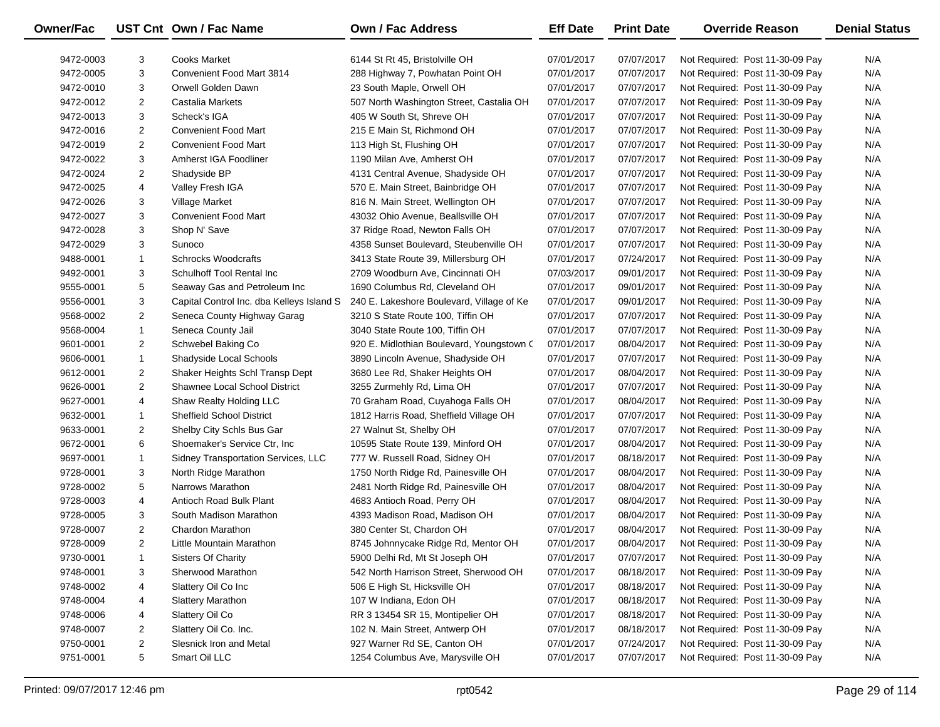| <b>Owner/Fac</b> |                | UST Cnt Own / Fac Name                    | <b>Own / Fac Address</b>                  | <b>Eff Date</b> | <b>Print Date</b> | <b>Override Reason</b>          | <b>Denial Status</b> |
|------------------|----------------|-------------------------------------------|-------------------------------------------|-----------------|-------------------|---------------------------------|----------------------|
| 9472-0003        | 3              | <b>Cooks Market</b>                       | 6144 St Rt 45, Bristolville OH            | 07/01/2017      | 07/07/2017        | Not Required: Post 11-30-09 Pay | N/A                  |
| 9472-0005        | 3              | Convenient Food Mart 3814                 | 288 Highway 7, Powhatan Point OH          | 07/01/2017      | 07/07/2017        | Not Required: Post 11-30-09 Pay | N/A                  |
| 9472-0010        | 3              | Orwell Golden Dawn                        | 23 South Maple, Orwell OH                 | 07/01/2017      | 07/07/2017        | Not Required: Post 11-30-09 Pay | N/A                  |
| 9472-0012        | $\overline{2}$ | Castalia Markets                          | 507 North Washington Street, Castalia OH  | 07/01/2017      | 07/07/2017        | Not Required: Post 11-30-09 Pay | N/A                  |
| 9472-0013        | 3              | Scheck's IGA                              | 405 W South St, Shreve OH                 | 07/01/2017      | 07/07/2017        | Not Required: Post 11-30-09 Pay | N/A                  |
| 9472-0016        | $\overline{2}$ | <b>Convenient Food Mart</b>               | 215 E Main St, Richmond OH                | 07/01/2017      | 07/07/2017        | Not Required: Post 11-30-09 Pay | N/A                  |
| 9472-0019        | $\overline{2}$ | <b>Convenient Food Mart</b>               | 113 High St, Flushing OH                  | 07/01/2017      | 07/07/2017        | Not Required: Post 11-30-09 Pay | N/A                  |
| 9472-0022        | 3              | Amherst IGA Foodliner                     | 1190 Milan Ave, Amherst OH                | 07/01/2017      | 07/07/2017        | Not Required: Post 11-30-09 Pay | N/A                  |
| 9472-0024        | $\overline{2}$ | Shadyside BP                              | 4131 Central Avenue, Shadyside OH         | 07/01/2017      | 07/07/2017        | Not Required: Post 11-30-09 Pay | N/A                  |
| 9472-0025        | 4              | Valley Fresh IGA                          | 570 E. Main Street, Bainbridge OH         | 07/01/2017      | 07/07/2017        | Not Required: Post 11-30-09 Pay | N/A                  |
| 9472-0026        | 3              | Village Market                            | 816 N. Main Street, Wellington OH         | 07/01/2017      | 07/07/2017        | Not Required: Post 11-30-09 Pay | N/A                  |
| 9472-0027        | 3              | <b>Convenient Food Mart</b>               | 43032 Ohio Avenue, Beallsville OH         | 07/01/2017      | 07/07/2017        | Not Required: Post 11-30-09 Pay | N/A                  |
| 9472-0028        | 3              | Shop N' Save                              | 37 Ridge Road, Newton Falls OH            | 07/01/2017      | 07/07/2017        | Not Required: Post 11-30-09 Pay | N/A                  |
| 9472-0029        | 3              | Sunoco                                    | 4358 Sunset Boulevard, Steubenville OH    | 07/01/2017      | 07/07/2017        | Not Required: Post 11-30-09 Pay | N/A                  |
| 9488-0001        | $\mathbf{1}$   | <b>Schrocks Woodcrafts</b>                | 3413 State Route 39, Millersburg OH       | 07/01/2017      | 07/24/2017        | Not Required: Post 11-30-09 Pay | N/A                  |
| 9492-0001        | 3              | Schulhoff Tool Rental Inc                 | 2709 Woodburn Ave, Cincinnati OH          | 07/03/2017      | 09/01/2017        | Not Required: Post 11-30-09 Pay | N/A                  |
| 9555-0001        | 5              | Seaway Gas and Petroleum Inc              | 1690 Columbus Rd, Cleveland OH            | 07/01/2017      | 09/01/2017        | Not Required: Post 11-30-09 Pay | N/A                  |
| 9556-0001        | 3              | Capital Control Inc. dba Kelleys Island S | 240 E. Lakeshore Boulevard, Village of Ke | 07/01/2017      | 09/01/2017        | Not Required: Post 11-30-09 Pay | N/A                  |
| 9568-0002        | $\overline{2}$ | Seneca County Highway Garag               | 3210 S State Route 100, Tiffin OH         | 07/01/2017      | 07/07/2017        | Not Required: Post 11-30-09 Pay | N/A                  |
| 9568-0004        | $\mathbf{1}$   | Seneca County Jail                        | 3040 State Route 100, Tiffin OH           | 07/01/2017      | 07/07/2017        | Not Required: Post 11-30-09 Pay | N/A                  |
| 9601-0001        | $\overline{2}$ | Schwebel Baking Co                        | 920 E. Midlothian Boulevard, Youngstown ( | 07/01/2017      | 08/04/2017        | Not Required: Post 11-30-09 Pay | N/A                  |
| 9606-0001        | $\mathbf{1}$   | Shadyside Local Schools                   | 3890 Lincoln Avenue, Shadyside OH         | 07/01/2017      | 07/07/2017        | Not Required: Post 11-30-09 Pay | N/A                  |
| 9612-0001        | $\overline{2}$ | Shaker Heights Schl Transp Dept           | 3680 Lee Rd, Shaker Heights OH            | 07/01/2017      | 08/04/2017        | Not Required: Post 11-30-09 Pay | N/A                  |
| 9626-0001        | $\overline{2}$ | <b>Shawnee Local School District</b>      | 3255 Zurmehly Rd, Lima OH                 | 07/01/2017      | 07/07/2017        | Not Required: Post 11-30-09 Pay | N/A                  |
| 9627-0001        | 4              | Shaw Realty Holding LLC                   | 70 Graham Road, Cuyahoga Falls OH         | 07/01/2017      | 08/04/2017        | Not Required: Post 11-30-09 Pay | N/A                  |
| 9632-0001        | $\mathbf{1}$   | <b>Sheffield School District</b>          | 1812 Harris Road, Sheffield Village OH    | 07/01/2017      | 07/07/2017        | Not Required: Post 11-30-09 Pay | N/A                  |
| 9633-0001        | $\overline{2}$ | Shelby City Schls Bus Gar                 | 27 Walnut St, Shelby OH                   | 07/01/2017      | 07/07/2017        | Not Required: Post 11-30-09 Pay | N/A                  |
| 9672-0001        | 6              | Shoemaker's Service Ctr, Inc.             | 10595 State Route 139, Minford OH         | 07/01/2017      | 08/04/2017        | Not Required: Post 11-30-09 Pay | N/A                  |
| 9697-0001        | $\mathbf{1}$   | Sidney Transportation Services, LLC       | 777 W. Russell Road, Sidney OH            | 07/01/2017      | 08/18/2017        | Not Required: Post 11-30-09 Pay | N/A                  |
| 9728-0001        | 3              | North Ridge Marathon                      | 1750 North Ridge Rd, Painesville OH       | 07/01/2017      | 08/04/2017        | Not Required: Post 11-30-09 Pay | N/A                  |
| 9728-0002        | 5              | Narrows Marathon                          | 2481 North Ridge Rd, Painesville OH       | 07/01/2017      | 08/04/2017        | Not Required: Post 11-30-09 Pay | N/A                  |
| 9728-0003        | 4              | Antioch Road Bulk Plant                   | 4683 Antioch Road, Perry OH               | 07/01/2017      | 08/04/2017        | Not Required: Post 11-30-09 Pay | N/A                  |
| 9728-0005        | 3              | South Madison Marathon                    | 4393 Madison Road, Madison OH             | 07/01/2017      | 08/04/2017        | Not Required: Post 11-30-09 Pay | N/A                  |
| 9728-0007        | $\overline{2}$ | Chardon Marathon                          | 380 Center St, Chardon OH                 | 07/01/2017      | 08/04/2017        | Not Required: Post 11-30-09 Pay | N/A                  |
| 9728-0009        | $\overline{2}$ | Little Mountain Marathon                  | 8745 Johnnycake Ridge Rd, Mentor OH       | 07/01/2017      | 08/04/2017        | Not Required: Post 11-30-09 Pay | N/A                  |
| 9730-0001        | 1              | <b>Sisters Of Charity</b>                 | 5900 Delhi Rd, Mt St Joseph OH            | 07/01/2017      | 07/07/2017        | Not Required: Post 11-30-09 Pay | N/A                  |
| 9748-0001        | 3              | Sherwood Marathon                         | 542 North Harrison Street, Sherwood OH    | 07/01/2017      | 08/18/2017        | Not Required: Post 11-30-09 Pay | N/A                  |
| 9748-0002        | 4              | Slattery Oil Co Inc                       | 506 E High St, Hicksville OH              | 07/01/2017      | 08/18/2017        | Not Required: Post 11-30-09 Pay | N/A                  |
| 9748-0004        | 4              | Slattery Marathon                         | 107 W Indiana, Edon OH                    | 07/01/2017      | 08/18/2017        | Not Required: Post 11-30-09 Pay | N/A                  |
| 9748-0006        | 4              | Slattery Oil Co                           | RR 3 13454 SR 15, Montipelier OH          | 07/01/2017      | 08/18/2017        | Not Required: Post 11-30-09 Pay | N/A                  |
| 9748-0007        | 2              | Slattery Oil Co. Inc.                     | 102 N. Main Street, Antwerp OH            | 07/01/2017      | 08/18/2017        | Not Required: Post 11-30-09 Pay | N/A                  |
| 9750-0001        | $\overline{2}$ | Slesnick Iron and Metal                   | 927 Warner Rd SE, Canton OH               | 07/01/2017      | 07/24/2017        | Not Required: Post 11-30-09 Pay | N/A                  |
| 9751-0001        | 5              | Smart Oil LLC                             | 1254 Columbus Ave, Marysville OH          | 07/01/2017      | 07/07/2017        | Not Required: Post 11-30-09 Pay | N/A                  |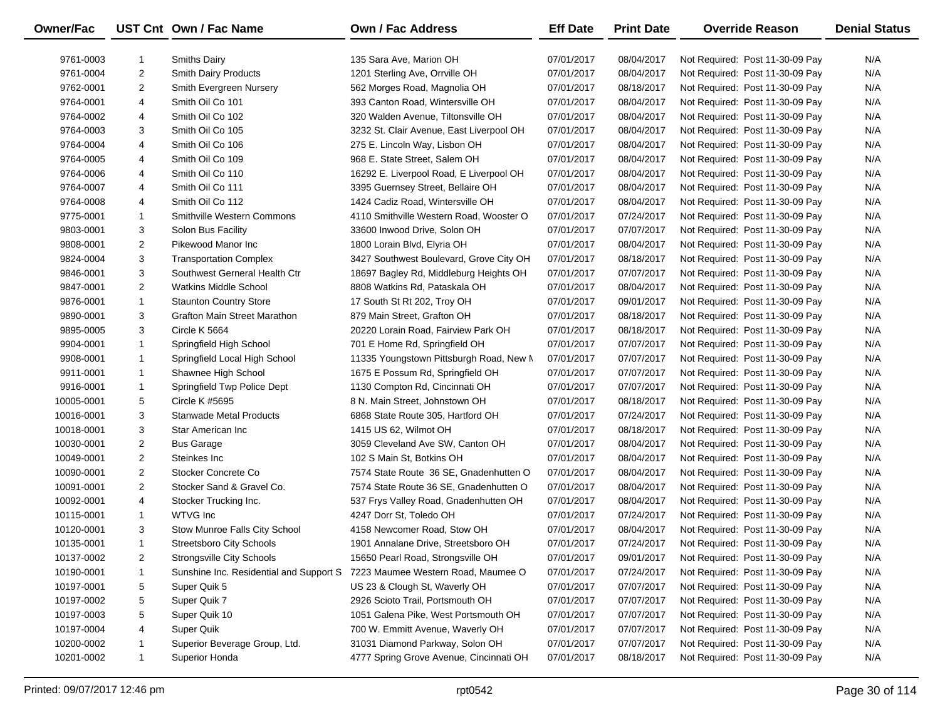| Owner/Fac  |                | UST Cnt Own / Fac Name                  | <b>Own / Fac Address</b>                 | <b>Eff Date</b> | <b>Print Date</b> | <b>Override Reason</b>          | <b>Denial Status</b> |
|------------|----------------|-----------------------------------------|------------------------------------------|-----------------|-------------------|---------------------------------|----------------------|
| 9761-0003  | 1              | <b>Smiths Dairy</b>                     | 135 Sara Ave, Marion OH                  | 07/01/2017      | 08/04/2017        | Not Required: Post 11-30-09 Pay | N/A                  |
| 9761-0004  | $\overline{2}$ | <b>Smith Dairy Products</b>             | 1201 Sterling Ave, Orrville OH           | 07/01/2017      | 08/04/2017        | Not Required: Post 11-30-09 Pay | N/A                  |
| 9762-0001  | 2              | Smith Evergreen Nursery                 | 562 Morges Road, Magnolia OH             | 07/01/2017      | 08/18/2017        | Not Required: Post 11-30-09 Pay | N/A                  |
| 9764-0001  | 4              | Smith Oil Co 101                        | 393 Canton Road, Wintersville OH         | 07/01/2017      | 08/04/2017        | Not Required: Post 11-30-09 Pay | N/A                  |
| 9764-0002  | 4              | Smith Oil Co 102                        | 320 Walden Avenue, Tiltonsville OH       | 07/01/2017      | 08/04/2017        | Not Required: Post 11-30-09 Pay | N/A                  |
| 9764-0003  | 3              | Smith Oil Co 105                        | 3232 St. Clair Avenue, East Liverpool OH | 07/01/2017      | 08/04/2017        | Not Required: Post 11-30-09 Pay | N/A                  |
| 9764-0004  | 4              | Smith Oil Co 106                        | 275 E. Lincoln Way, Lisbon OH            | 07/01/2017      | 08/04/2017        | Not Required: Post 11-30-09 Pay | N/A                  |
| 9764-0005  | 4              | Smith Oil Co 109                        | 968 E. State Street, Salem OH            | 07/01/2017      | 08/04/2017        | Not Required: Post 11-30-09 Pay | N/A                  |
| 9764-0006  | 4              | Smith Oil Co 110                        | 16292 E. Liverpool Road, E Liverpool OH  | 07/01/2017      | 08/04/2017        | Not Required: Post 11-30-09 Pay | N/A                  |
| 9764-0007  | 4              | Smith Oil Co 111                        | 3395 Guernsey Street, Bellaire OH        | 07/01/2017      | 08/04/2017        | Not Required: Post 11-30-09 Pay | N/A                  |
| 9764-0008  | 4              | Smith Oil Co 112                        | 1424 Cadiz Road, Wintersville OH         | 07/01/2017      | 08/04/2017        | Not Required: Post 11-30-09 Pay | N/A                  |
| 9775-0001  | $\mathbf{1}$   | <b>Smithville Western Commons</b>       | 4110 Smithville Western Road, Wooster O  | 07/01/2017      | 07/24/2017        | Not Required: Post 11-30-09 Pay | N/A                  |
| 9803-0001  | 3              | Solon Bus Facility                      | 33600 Inwood Drive, Solon OH             | 07/01/2017      | 07/07/2017        | Not Required: Post 11-30-09 Pay | N/A                  |
| 9808-0001  | 2              | Pikewood Manor Inc                      | 1800 Lorain Blvd, Elyria OH              | 07/01/2017      | 08/04/2017        | Not Required: Post 11-30-09 Pay | N/A                  |
| 9824-0004  | 3              | <b>Transportation Complex</b>           | 3427 Southwest Boulevard, Grove City OH  | 07/01/2017      | 08/18/2017        | Not Required: Post 11-30-09 Pay | N/A                  |
| 9846-0001  | 3              | Southwest Gerneral Health Ctr           | 18697 Bagley Rd, Middleburg Heights OH   | 07/01/2017      | 07/07/2017        | Not Required: Post 11-30-09 Pay | N/A                  |
| 9847-0001  | $\overline{2}$ | <b>Watkins Middle School</b>            | 8808 Watkins Rd, Pataskala OH            | 07/01/2017      | 08/04/2017        | Not Required: Post 11-30-09 Pay | N/A                  |
| 9876-0001  | $\mathbf{1}$   | <b>Staunton Country Store</b>           | 17 South St Rt 202, Troy OH              | 07/01/2017      | 09/01/2017        | Not Required: Post 11-30-09 Pay | N/A                  |
| 9890-0001  | 3              | Grafton Main Street Marathon            | 879 Main Street, Grafton OH              | 07/01/2017      | 08/18/2017        | Not Required: Post 11-30-09 Pay | N/A                  |
| 9895-0005  | 3              | Circle K 5664                           | 20220 Lorain Road, Fairview Park OH      | 07/01/2017      | 08/18/2017        | Not Required: Post 11-30-09 Pay | N/A                  |
| 9904-0001  | $\mathbf{1}$   | Springfield High School                 | 701 E Home Rd, Springfield OH            | 07/01/2017      | 07/07/2017        | Not Required: Post 11-30-09 Pay | N/A                  |
| 9908-0001  | $\mathbf{1}$   | Springfield Local High School           | 11335 Youngstown Pittsburgh Road, New M  | 07/01/2017      | 07/07/2017        | Not Required: Post 11-30-09 Pay | N/A                  |
| 9911-0001  | 1              | Shawnee High School                     | 1675 E Possum Rd, Springfield OH         | 07/01/2017      | 07/07/2017        | Not Required: Post 11-30-09 Pay | N/A                  |
| 9916-0001  | $\mathbf{1}$   | Springfield Twp Police Dept             | 1130 Compton Rd, Cincinnati OH           | 07/01/2017      | 07/07/2017        | Not Required: Post 11-30-09 Pay | N/A                  |
| 10005-0001 | 5              | Circle K #5695                          | 8 N. Main Street, Johnstown OH           | 07/01/2017      | 08/18/2017        | Not Required: Post 11-30-09 Pay | N/A                  |
| 10016-0001 | 3              | <b>Stanwade Metal Products</b>          | 6868 State Route 305, Hartford OH        | 07/01/2017      | 07/24/2017        | Not Required: Post 11-30-09 Pay | N/A                  |
| 10018-0001 | 3              | Star American Inc                       | 1415 US 62, Wilmot OH                    | 07/01/2017      | 08/18/2017        | Not Required: Post 11-30-09 Pay | N/A                  |
| 10030-0001 | 2              | <b>Bus Garage</b>                       | 3059 Cleveland Ave SW, Canton OH         | 07/01/2017      | 08/04/2017        | Not Required: Post 11-30-09 Pay | N/A                  |
| 10049-0001 | $\overline{2}$ | Steinkes Inc                            | 102 S Main St, Botkins OH                | 07/01/2017      | 08/04/2017        | Not Required: Post 11-30-09 Pay | N/A                  |
| 10090-0001 | $\overline{2}$ | Stocker Concrete Co                     | 7574 State Route 36 SE, Gnadenhutten O   | 07/01/2017      | 08/04/2017        | Not Required: Post 11-30-09 Pay | N/A                  |
| 10091-0001 | $\overline{2}$ | Stocker Sand & Gravel Co.               | 7574 State Route 36 SE, Gnadenhutten O   | 07/01/2017      | 08/04/2017        | Not Required: Post 11-30-09 Pay | N/A                  |
| 10092-0001 | 4              | Stocker Trucking Inc.                   | 537 Frys Valley Road, Gnadenhutten OH    | 07/01/2017      | 08/04/2017        | Not Required: Post 11-30-09 Pay | N/A                  |
| 10115-0001 | $\mathbf{1}$   | WTVG Inc                                | 4247 Dorr St, Toledo OH                  | 07/01/2017      | 07/24/2017        | Not Required: Post 11-30-09 Pay | N/A                  |
| 10120-0001 | 3              | Stow Munroe Falls City School           | 4158 Newcomer Road, Stow OH              | 07/01/2017      | 08/04/2017        | Not Required: Post 11-30-09 Pay | N/A                  |
| 10135-0001 | $\mathbf{1}$   | <b>Streetsboro City Schools</b>         | 1901 Annalane Drive, Streetsboro OH      | 07/01/2017      | 07/24/2017        | Not Required: Post 11-30-09 Pay | N/A                  |
| 10137-0002 | 2              | <b>Strongsville City Schools</b>        | 15650 Pearl Road, Strongsville OH        | 07/01/2017      | 09/01/2017        | Not Required: Post 11-30-09 Pay | N/A                  |
| 10190-0001 | 1              | Sunshine Inc. Residential and Support S | 7223 Maumee Western Road, Maumee O       | 07/01/2017      | 07/24/2017        | Not Required: Post 11-30-09 Pay | N/A                  |
| 10197-0001 | 5              | Super Quik 5                            | US 23 & Clough St, Waverly OH            | 07/01/2017      | 07/07/2017        | Not Required: Post 11-30-09 Pay | N/A                  |
| 10197-0002 | 5              | Super Quik 7                            | 2926 Scioto Trail, Portsmouth OH         | 07/01/2017      | 07/07/2017        | Not Required: Post 11-30-09 Pay | N/A                  |
| 10197-0003 | 5              | Super Quik 10                           | 1051 Galena Pike, West Portsmouth OH     | 07/01/2017      | 07/07/2017        | Not Required: Post 11-30-09 Pay | N/A                  |
| 10197-0004 | 4              | Super Quik                              | 700 W. Emmitt Avenue, Waverly OH         | 07/01/2017      | 07/07/2017        | Not Required: Post 11-30-09 Pay | N/A                  |
| 10200-0002 | 1              | Superior Beverage Group, Ltd.           | 31031 Diamond Parkway, Solon OH          | 07/01/2017      | 07/07/2017        | Not Required: Post 11-30-09 Pay | N/A                  |
| 10201-0002 | $\mathbf{1}$   | Superior Honda                          | 4777 Spring Grove Avenue, Cincinnati OH  | 07/01/2017      | 08/18/2017        | Not Required: Post 11-30-09 Pay | N/A                  |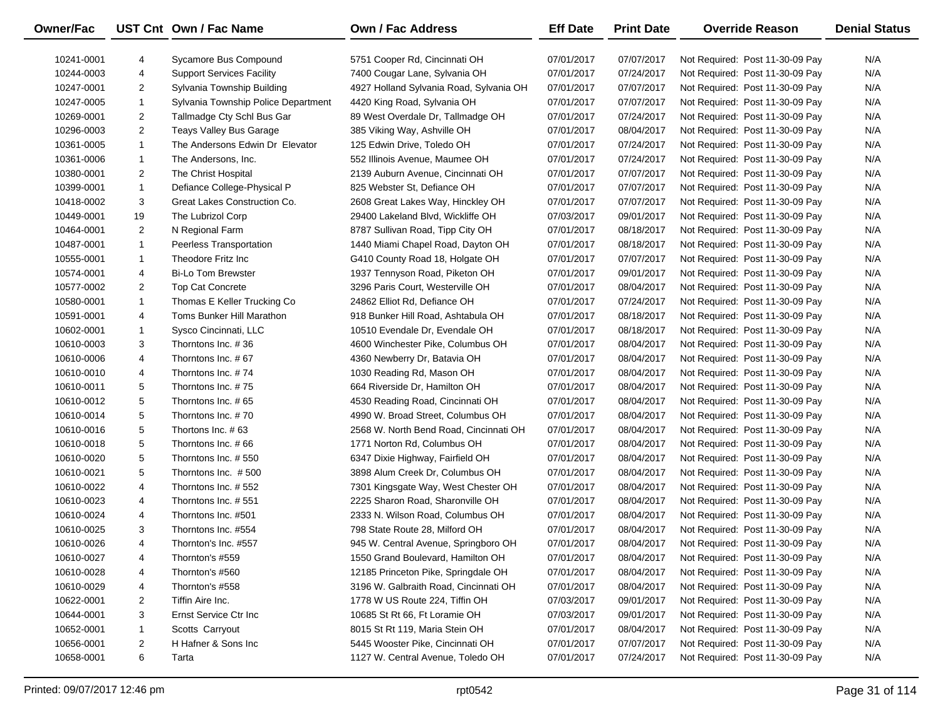| Owner/Fac  |                | UST Cnt Own / Fac Name              | <b>Own / Fac Address</b>                | <b>Eff Date</b> | <b>Print Date</b> | <b>Override Reason</b>          | <b>Denial Status</b> |
|------------|----------------|-------------------------------------|-----------------------------------------|-----------------|-------------------|---------------------------------|----------------------|
| 10241-0001 | 4              | Sycamore Bus Compound               | 5751 Cooper Rd, Cincinnati OH           | 07/01/2017      | 07/07/2017        | Not Required: Post 11-30-09 Pay | N/A                  |
| 10244-0003 | 4              | <b>Support Services Facility</b>    | 7400 Cougar Lane, Sylvania OH           | 07/01/2017      | 07/24/2017        | Not Required: Post 11-30-09 Pay | N/A                  |
| 10247-0001 | $\overline{2}$ | Sylvania Township Building          | 4927 Holland Sylvania Road, Sylvania OH | 07/01/2017      | 07/07/2017        | Not Required: Post 11-30-09 Pay | N/A                  |
| 10247-0005 | 1              | Sylvania Township Police Department | 4420 King Road, Sylvania OH             | 07/01/2017      | 07/07/2017        | Not Required: Post 11-30-09 Pay | N/A                  |
| 10269-0001 | $\overline{2}$ | Tallmadge Cty Schl Bus Gar          | 89 West Overdale Dr, Tallmadge OH       | 07/01/2017      | 07/24/2017        | Not Required: Post 11-30-09 Pay | N/A                  |
| 10296-0003 | $\overline{2}$ | Teays Valley Bus Garage             | 385 Viking Way, Ashville OH             | 07/01/2017      | 08/04/2017        | Not Required: Post 11-30-09 Pay | N/A                  |
| 10361-0005 | $\mathbf{1}$   | The Andersons Edwin Dr Elevator     | 125 Edwin Drive, Toledo OH              | 07/01/2017      | 07/24/2017        | Not Required: Post 11-30-09 Pay | N/A                  |
| 10361-0006 | $\mathbf{1}$   | The Andersons, Inc.                 | 552 Illinois Avenue, Maumee OH          | 07/01/2017      | 07/24/2017        | Not Required: Post 11-30-09 Pay | N/A                  |
| 10380-0001 | $\overline{2}$ | The Christ Hospital                 | 2139 Auburn Avenue, Cincinnati OH       | 07/01/2017      | 07/07/2017        | Not Required: Post 11-30-09 Pay | N/A                  |
| 10399-0001 | $\mathbf{1}$   | Defiance College-Physical P         | 825 Webster St, Defiance OH             | 07/01/2017      | 07/07/2017        | Not Required: Post 11-30-09 Pay | N/A                  |
| 10418-0002 | 3              | Great Lakes Construction Co.        | 2608 Great Lakes Way, Hinckley OH       | 07/01/2017      | 07/07/2017        | Not Required: Post 11-30-09 Pay | N/A                  |
| 10449-0001 | 19             | The Lubrizol Corp                   | 29400 Lakeland Blvd, Wickliffe OH       | 07/03/2017      | 09/01/2017        | Not Required: Post 11-30-09 Pay | N/A                  |
| 10464-0001 | 2              | N Regional Farm                     | 8787 Sullivan Road, Tipp City OH        | 07/01/2017      | 08/18/2017        | Not Required: Post 11-30-09 Pay | N/A                  |
| 10487-0001 | $\mathbf{1}$   | Peerless Transportation             | 1440 Miami Chapel Road, Dayton OH       | 07/01/2017      | 08/18/2017        | Not Required: Post 11-30-09 Pay | N/A                  |
| 10555-0001 | $\mathbf{1}$   | Theodore Fritz Inc                  | G410 County Road 18, Holgate OH         | 07/01/2017      | 07/07/2017        | Not Required: Post 11-30-09 Pay | N/A                  |
| 10574-0001 | 4              | <b>Bi-Lo Tom Brewster</b>           | 1937 Tennyson Road, Piketon OH          | 07/01/2017      | 09/01/2017        | Not Required: Post 11-30-09 Pay | N/A                  |
| 10577-0002 | 2              | <b>Top Cat Concrete</b>             | 3296 Paris Court, Westerville OH        | 07/01/2017      | 08/04/2017        | Not Required: Post 11-30-09 Pay | N/A                  |
| 10580-0001 | $\mathbf{1}$   | Thomas E Keller Trucking Co         | 24862 Elliot Rd, Defiance OH            | 07/01/2017      | 07/24/2017        | Not Required: Post 11-30-09 Pay | N/A                  |
| 10591-0001 | 4              | Toms Bunker Hill Marathon           | 918 Bunker Hill Road, Ashtabula OH      | 07/01/2017      | 08/18/2017        | Not Required: Post 11-30-09 Pay | N/A                  |
| 10602-0001 | 1              | Sysco Cincinnati, LLC               | 10510 Evendale Dr, Evendale OH          | 07/01/2017      | 08/18/2017        | Not Required: Post 11-30-09 Pay | N/A                  |
| 10610-0003 | 3              | Thorntons Inc. #36                  | 4600 Winchester Pike, Columbus OH       | 07/01/2017      | 08/04/2017        | Not Required: Post 11-30-09 Pay | N/A                  |
| 10610-0006 | 4              | Thorntons Inc. #67                  | 4360 Newberry Dr, Batavia OH            | 07/01/2017      | 08/04/2017        | Not Required: Post 11-30-09 Pay | N/A                  |
| 10610-0010 | 4              | Thorntons Inc. #74                  | 1030 Reading Rd, Mason OH               | 07/01/2017      | 08/04/2017        | Not Required: Post 11-30-09 Pay | N/A                  |
| 10610-0011 | 5              | Thorntons Inc. #75                  | 664 Riverside Dr, Hamilton OH           | 07/01/2017      | 08/04/2017        | Not Required: Post 11-30-09 Pay | N/A                  |
| 10610-0012 | 5              | Thorntons Inc. #65                  | 4530 Reading Road, Cincinnati OH        | 07/01/2017      | 08/04/2017        | Not Required: Post 11-30-09 Pay | N/A                  |
| 10610-0014 | 5              | Thorntons Inc. #70                  | 4990 W. Broad Street, Columbus OH       | 07/01/2017      | 08/04/2017        | Not Required: Post 11-30-09 Pay | N/A                  |
| 10610-0016 | 5              | Thortons Inc. #63                   | 2568 W. North Bend Road, Cincinnati OH  | 07/01/2017      | 08/04/2017        | Not Required: Post 11-30-09 Pay | N/A                  |
| 10610-0018 | 5              | Thorntons Inc. #66                  | 1771 Norton Rd, Columbus OH             | 07/01/2017      | 08/04/2017        | Not Required: Post 11-30-09 Pay | N/A                  |
| 10610-0020 | 5              | Thorntons Inc. #550                 | 6347 Dixie Highway, Fairfield OH        | 07/01/2017      | 08/04/2017        | Not Required: Post 11-30-09 Pay | N/A                  |
| 10610-0021 | 5              | Thorntons Inc. #500                 | 3898 Alum Creek Dr, Columbus OH         | 07/01/2017      | 08/04/2017        | Not Required: Post 11-30-09 Pay | N/A                  |
| 10610-0022 | 4              | Thorntons Inc. #552                 | 7301 Kingsgate Way, West Chester OH     | 07/01/2017      | 08/04/2017        | Not Required: Post 11-30-09 Pay | N/A                  |
| 10610-0023 | 4              | Thorntons Inc. #551                 | 2225 Sharon Road, Sharonville OH        | 07/01/2017      | 08/04/2017        | Not Required: Post 11-30-09 Pay | N/A                  |
| 10610-0024 | 4              | Thorntons Inc. #501                 | 2333 N. Wilson Road, Columbus OH        | 07/01/2017      | 08/04/2017        | Not Required: Post 11-30-09 Pay | N/A                  |
| 10610-0025 | 3              | Thorntons Inc. #554                 | 798 State Route 28, Milford OH          | 07/01/2017      | 08/04/2017        | Not Required: Post 11-30-09 Pay | N/A                  |
| 10610-0026 | $\overline{4}$ | Thornton's Inc. #557                | 945 W. Central Avenue, Springboro OH    | 07/01/2017      | 08/04/2017        | Not Required: Post 11-30-09 Pay | N/A                  |
| 10610-0027 | 4              | Thornton's #559                     | 1550 Grand Boulevard, Hamilton OH       | 07/01/2017      | 08/04/2017        | Not Required: Post 11-30-09 Pay | N/A                  |
| 10610-0028 | 4              | Thornton's #560                     | 12185 Princeton Pike, Springdale OH     | 07/01/2017      | 08/04/2017        | Not Required: Post 11-30-09 Pay | N/A                  |
| 10610-0029 | 4              | Thornton's #558                     | 3196 W. Galbraith Road, Cincinnati OH   | 07/01/2017      | 08/04/2017        | Not Required: Post 11-30-09 Pay | N/A                  |
| 10622-0001 | $\overline{2}$ | Tiffin Aire Inc.                    | 1778 W US Route 224, Tiffin OH          | 07/03/2017      | 09/01/2017        | Not Required: Post 11-30-09 Pay | N/A                  |
| 10644-0001 | 3              | Ernst Service Ctr Inc               | 10685 St Rt 66, Ft Loramie OH           | 07/03/2017      | 09/01/2017        | Not Required: Post 11-30-09 Pay | N/A                  |
| 10652-0001 | 1              | Scotts Carryout                     | 8015 St Rt 119, Maria Stein OH          | 07/01/2017      | 08/04/2017        | Not Required: Post 11-30-09 Pay | N/A                  |
| 10656-0001 | $\overline{2}$ | H Hafner & Sons Inc                 | 5445 Wooster Pike, Cincinnati OH        | 07/01/2017      | 07/07/2017        | Not Required: Post 11-30-09 Pay | N/A                  |
| 10658-0001 | 6              | Tarta                               | 1127 W. Central Avenue, Toledo OH       | 07/01/2017      | 07/24/2017        | Not Required: Post 11-30-09 Pay | N/A                  |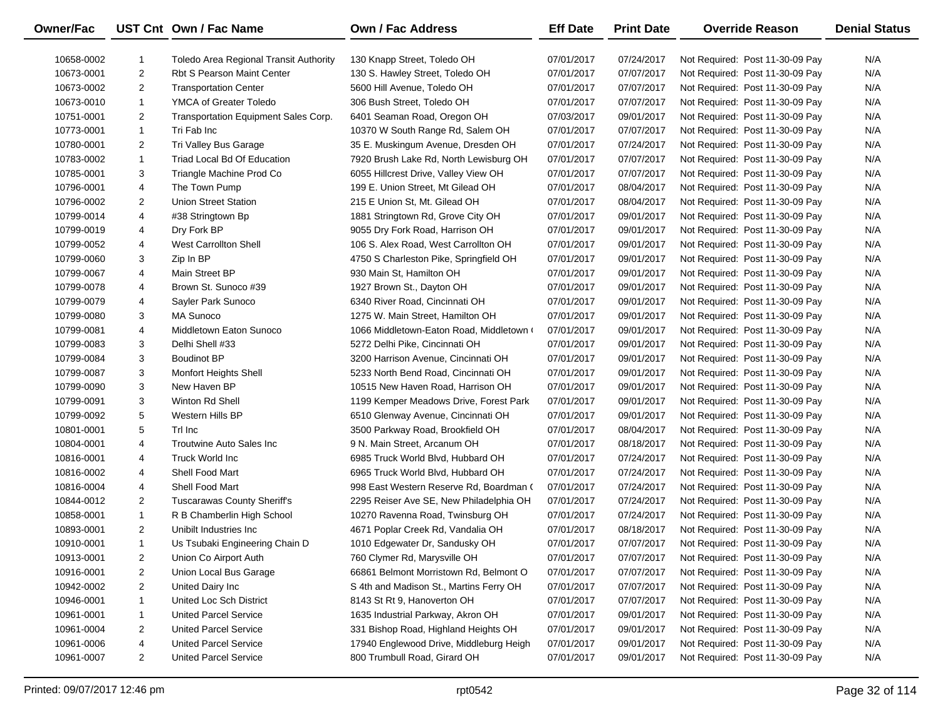| Owner/Fac  |                         | UST Cnt Own / Fac Name                 | <b>Own / Fac Address</b>                 | <b>Eff Date</b> | <b>Print Date</b> | <b>Override Reason</b>          | <b>Denial Status</b> |
|------------|-------------------------|----------------------------------------|------------------------------------------|-----------------|-------------------|---------------------------------|----------------------|
| 10658-0002 | 1                       | Toledo Area Regional Transit Authority | 130 Knapp Street, Toledo OH              | 07/01/2017      | 07/24/2017        | Not Required: Post 11-30-09 Pay | N/A                  |
| 10673-0001 | $\overline{2}$          | <b>Rbt S Pearson Maint Center</b>      | 130 S. Hawley Street, Toledo OH          | 07/01/2017      | 07/07/2017        | Not Required: Post 11-30-09 Pay | N/A                  |
| 10673-0002 | $\overline{c}$          | <b>Transportation Center</b>           | 5600 Hill Avenue, Toledo OH              | 07/01/2017      | 07/07/2017        | Not Required: Post 11-30-09 Pay | N/A                  |
| 10673-0010 | $\mathbf{1}$            | YMCA of Greater Toledo                 | 306 Bush Street, Toledo OH               | 07/01/2017      | 07/07/2017        | Not Required: Post 11-30-09 Pay | N/A                  |
| 10751-0001 | $\overline{c}$          | Transportation Equipment Sales Corp.   | 6401 Seaman Road, Oregon OH              | 07/03/2017      | 09/01/2017        | Not Required: Post 11-30-09 Pay | N/A                  |
| 10773-0001 | $\mathbf{1}$            | Tri Fab Inc                            | 10370 W South Range Rd, Salem OH         | 07/01/2017      | 07/07/2017        | Not Required: Post 11-30-09 Pay | N/A                  |
| 10780-0001 | $\overline{2}$          | Tri Valley Bus Garage                  | 35 E. Muskingum Avenue, Dresden OH       | 07/01/2017      | 07/24/2017        | Not Required: Post 11-30-09 Pay | N/A                  |
| 10783-0002 | $\mathbf{1}$            | Triad Local Bd Of Education            | 7920 Brush Lake Rd, North Lewisburg OH   | 07/01/2017      | 07/07/2017        | Not Required: Post 11-30-09 Pay | N/A                  |
| 10785-0001 | 3                       | Triangle Machine Prod Co               | 6055 Hillcrest Drive, Valley View OH     | 07/01/2017      | 07/07/2017        | Not Required: Post 11-30-09 Pay | N/A                  |
| 10796-0001 | 4                       | The Town Pump                          | 199 E. Union Street, Mt Gilead OH        | 07/01/2017      | 08/04/2017        | Not Required: Post 11-30-09 Pay | N/A                  |
| 10796-0002 | $\overline{2}$          | <b>Union Street Station</b>            | 215 E Union St, Mt. Gilead OH            | 07/01/2017      | 08/04/2017        | Not Required: Post 11-30-09 Pay | N/A                  |
| 10799-0014 | 4                       | #38 Stringtown Bp                      | 1881 Stringtown Rd, Grove City OH        | 07/01/2017      | 09/01/2017        | Not Required: Post 11-30-09 Pay | N/A                  |
| 10799-0019 | 4                       | Dry Fork BP                            | 9055 Dry Fork Road, Harrison OH          | 07/01/2017      | 09/01/2017        | Not Required: Post 11-30-09 Pay | N/A                  |
| 10799-0052 | 4                       | <b>West Carrollton Shell</b>           | 106 S. Alex Road, West Carrollton OH     | 07/01/2017      | 09/01/2017        | Not Required: Post 11-30-09 Pay | N/A                  |
| 10799-0060 | 3                       | Zip In BP                              | 4750 S Charleston Pike, Springfield OH   | 07/01/2017      | 09/01/2017        | Not Required: Post 11-30-09 Pay | N/A                  |
| 10799-0067 | 4                       | Main Street BP                         | 930 Main St, Hamilton OH                 | 07/01/2017      | 09/01/2017        | Not Required: Post 11-30-09 Pay | N/A                  |
| 10799-0078 | 4                       | Brown St. Sunoco #39                   | 1927 Brown St., Dayton OH                | 07/01/2017      | 09/01/2017        | Not Required: Post 11-30-09 Pay | N/A                  |
| 10799-0079 | 4                       | Sayler Park Sunoco                     | 6340 River Road, Cincinnati OH           | 07/01/2017      | 09/01/2017        | Not Required: Post 11-30-09 Pay | N/A                  |
| 10799-0080 | 3                       | <b>MA Sunoco</b>                       | 1275 W. Main Street, Hamilton OH         | 07/01/2017      | 09/01/2017        | Not Required: Post 11-30-09 Pay | N/A                  |
| 10799-0081 | 4                       | Middletown Eaton Sunoco                | 1066 Middletown-Eaton Road, Middletown ( | 07/01/2017      | 09/01/2017        | Not Required: Post 11-30-09 Pay | N/A                  |
| 10799-0083 | 3                       | Delhi Shell #33                        | 5272 Delhi Pike, Cincinnati OH           | 07/01/2017      | 09/01/2017        | Not Required: Post 11-30-09 Pay | N/A                  |
| 10799-0084 | 3                       | <b>Boudinot BP</b>                     | 3200 Harrison Avenue, Cincinnati OH      | 07/01/2017      | 09/01/2017        | Not Required: Post 11-30-09 Pay | N/A                  |
| 10799-0087 | 3                       | Monfort Heights Shell                  | 5233 North Bend Road, Cincinnati OH      | 07/01/2017      | 09/01/2017        | Not Required: Post 11-30-09 Pay | N/A                  |
| 10799-0090 | 3                       | New Haven BP                           | 10515 New Haven Road, Harrison OH        | 07/01/2017      | 09/01/2017        | Not Required: Post 11-30-09 Pay | N/A                  |
| 10799-0091 | 3                       | Winton Rd Shell                        | 1199 Kemper Meadows Drive, Forest Park   | 07/01/2017      | 09/01/2017        | Not Required: Post 11-30-09 Pay | N/A                  |
| 10799-0092 | 5                       | Western Hills BP                       | 6510 Glenway Avenue, Cincinnati OH       | 07/01/2017      | 09/01/2017        | Not Required: Post 11-30-09 Pay | N/A                  |
| 10801-0001 | 5                       | Trl Inc                                | 3500 Parkway Road, Brookfield OH         | 07/01/2017      | 08/04/2017        | Not Required: Post 11-30-09 Pay | N/A                  |
| 10804-0001 | 4                       | Troutwine Auto Sales Inc               | 9 N. Main Street, Arcanum OH             | 07/01/2017      | 08/18/2017        | Not Required: Post 11-30-09 Pay | N/A                  |
| 10816-0001 | 4                       | Truck World Inc                        | 6985 Truck World Blvd, Hubbard OH        | 07/01/2017      | 07/24/2017        | Not Required: Post 11-30-09 Pay | N/A                  |
| 10816-0002 | 4                       | Shell Food Mart                        | 6965 Truck World Blvd, Hubbard OH        | 07/01/2017      | 07/24/2017        | Not Required: Post 11-30-09 Pay | N/A                  |
| 10816-0004 | 4                       | Shell Food Mart                        | 998 East Western Reserve Rd, Boardman (  | 07/01/2017      | 07/24/2017        | Not Required: Post 11-30-09 Pay | N/A                  |
| 10844-0012 | $\overline{2}$          | <b>Tuscarawas County Sheriff's</b>     | 2295 Reiser Ave SE, New Philadelphia OH  | 07/01/2017      | 07/24/2017        | Not Required: Post 11-30-09 Pay | N/A                  |
| 10858-0001 | $\mathbf{1}$            | R B Chamberlin High School             | 10270 Ravenna Road, Twinsburg OH         | 07/01/2017      | 07/24/2017        | Not Required: Post 11-30-09 Pay | N/A                  |
| 10893-0001 | $\overline{2}$          | Unibilt Industries Inc.                | 4671 Poplar Creek Rd, Vandalia OH        | 07/01/2017      | 08/18/2017        | Not Required: Post 11-30-09 Pay | N/A                  |
| 10910-0001 | $\mathbf{1}$            | Us Tsubaki Engineering Chain D         | 1010 Edgewater Dr, Sandusky OH           | 07/01/2017      | 07/07/2017        | Not Required: Post 11-30-09 Pay | N/A                  |
| 10913-0001 | $\overline{\mathbf{c}}$ | Union Co Airport Auth                  | 760 Clymer Rd, Marysville OH             | 07/01/2017      | 07/07/2017        | Not Required: Post 11-30-09 Pay | N/A                  |
| 10916-0001 | $\overline{2}$          | Union Local Bus Garage                 | 66861 Belmont Morristown Rd, Belmont O   | 07/01/2017      | 07/07/2017        | Not Required: Post 11-30-09 Pay | N/A                  |
| 10942-0002 | $\overline{2}$          | United Dairy Inc                       | S 4th and Madison St., Martins Ferry OH  | 07/01/2017      | 07/07/2017        | Not Required: Post 11-30-09 Pay | N/A                  |
| 10946-0001 | 1                       | United Loc Sch District                | 8143 St Rt 9, Hanoverton OH              | 07/01/2017      | 07/07/2017        | Not Required: Post 11-30-09 Pay | N/A                  |
| 10961-0001 | 1                       | <b>United Parcel Service</b>           | 1635 Industrial Parkway, Akron OH        | 07/01/2017      | 09/01/2017        | Not Required: Post 11-30-09 Pay | N/A                  |
| 10961-0004 | 2                       | <b>United Parcel Service</b>           | 331 Bishop Road, Highland Heights OH     | 07/01/2017      | 09/01/2017        | Not Required: Post 11-30-09 Pay | N/A                  |
| 10961-0006 | 4                       | <b>United Parcel Service</b>           | 17940 Englewood Drive, Middleburg Heigh  | 07/01/2017      | 09/01/2017        | Not Required: Post 11-30-09 Pay | N/A                  |
| 10961-0007 | $\overline{2}$          | <b>United Parcel Service</b>           | 800 Trumbull Road, Girard OH             | 07/01/2017      | 09/01/2017        | Not Required: Post 11-30-09 Pay | N/A                  |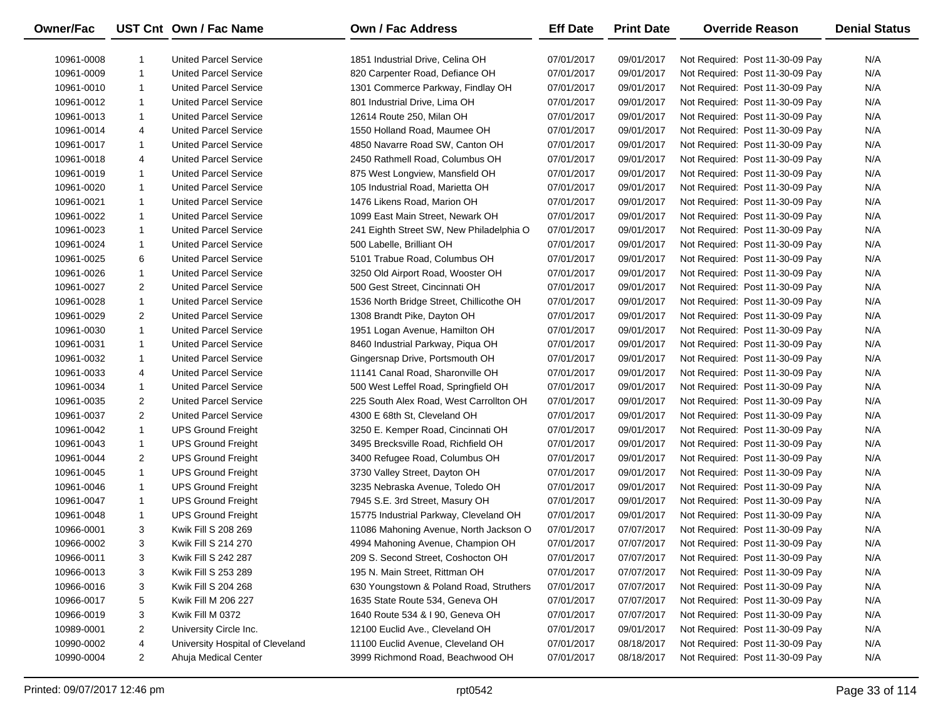| Owner/Fac  |                | UST Cnt Own / Fac Name           | <b>Own / Fac Address</b>                 | <b>Eff Date</b> | <b>Print Date</b> | <b>Override Reason</b>          | <b>Denial Status</b> |
|------------|----------------|----------------------------------|------------------------------------------|-----------------|-------------------|---------------------------------|----------------------|
| 10961-0008 | 1              | <b>United Parcel Service</b>     | 1851 Industrial Drive, Celina OH         | 07/01/2017      | 09/01/2017        | Not Required: Post 11-30-09 Pay | N/A                  |
| 10961-0009 | $\mathbf{1}$   | <b>United Parcel Service</b>     | 820 Carpenter Road, Defiance OH          | 07/01/2017      | 09/01/2017        | Not Required: Post 11-30-09 Pay | N/A                  |
| 10961-0010 | $\mathbf{1}$   | <b>United Parcel Service</b>     | 1301 Commerce Parkway, Findlay OH        | 07/01/2017      | 09/01/2017        | Not Required: Post 11-30-09 Pay | N/A                  |
| 10961-0012 | $\mathbf{1}$   | <b>United Parcel Service</b>     | 801 Industrial Drive, Lima OH            | 07/01/2017      | 09/01/2017        | Not Required: Post 11-30-09 Pay | N/A                  |
| 10961-0013 | $\mathbf{1}$   | <b>United Parcel Service</b>     | 12614 Route 250, Milan OH                | 07/01/2017      | 09/01/2017        | Not Required: Post 11-30-09 Pay | N/A                  |
| 10961-0014 | 4              | <b>United Parcel Service</b>     | 1550 Holland Road, Maumee OH             | 07/01/2017      | 09/01/2017        | Not Required: Post 11-30-09 Pay | N/A                  |
| 10961-0017 | $\mathbf{1}$   | <b>United Parcel Service</b>     | 4850 Navarre Road SW, Canton OH          | 07/01/2017      | 09/01/2017        | Not Required: Post 11-30-09 Pay | N/A                  |
| 10961-0018 | 4              | <b>United Parcel Service</b>     | 2450 Rathmell Road, Columbus OH          | 07/01/2017      | 09/01/2017        | Not Required: Post 11-30-09 Pay | N/A                  |
| 10961-0019 | $\mathbf{1}$   | <b>United Parcel Service</b>     | 875 West Longview, Mansfield OH          | 07/01/2017      | 09/01/2017        | Not Required: Post 11-30-09 Pay | N/A                  |
| 10961-0020 | $\mathbf{1}$   | <b>United Parcel Service</b>     | 105 Industrial Road, Marietta OH         | 07/01/2017      | 09/01/2017        | Not Required: Post 11-30-09 Pay | N/A                  |
| 10961-0021 | $\mathbf{1}$   | <b>United Parcel Service</b>     | 1476 Likens Road, Marion OH              | 07/01/2017      | 09/01/2017        | Not Required: Post 11-30-09 Pay | N/A                  |
| 10961-0022 | $\mathbf{1}$   | <b>United Parcel Service</b>     | 1099 East Main Street, Newark OH         | 07/01/2017      | 09/01/2017        | Not Required: Post 11-30-09 Pay | N/A                  |
| 10961-0023 | $\mathbf{1}$   | <b>United Parcel Service</b>     | 241 Eighth Street SW, New Philadelphia O | 07/01/2017      | 09/01/2017        | Not Required: Post 11-30-09 Pay | N/A                  |
| 10961-0024 | $\mathbf{1}$   | <b>United Parcel Service</b>     | 500 Labelle, Brilliant OH                | 07/01/2017      | 09/01/2017        | Not Required: Post 11-30-09 Pay | N/A                  |
| 10961-0025 | 6              | <b>United Parcel Service</b>     | 5101 Trabue Road, Columbus OH            | 07/01/2017      | 09/01/2017        | Not Required: Post 11-30-09 Pay | N/A                  |
| 10961-0026 | $\mathbf{1}$   | <b>United Parcel Service</b>     | 3250 Old Airport Road, Wooster OH        | 07/01/2017      | 09/01/2017        | Not Required: Post 11-30-09 Pay | N/A                  |
| 10961-0027 | 2              | <b>United Parcel Service</b>     | 500 Gest Street, Cincinnati OH           | 07/01/2017      | 09/01/2017        | Not Required: Post 11-30-09 Pay | N/A                  |
| 10961-0028 | $\mathbf{1}$   | <b>United Parcel Service</b>     | 1536 North Bridge Street, Chillicothe OH | 07/01/2017      | 09/01/2017        | Not Required: Post 11-30-09 Pay | N/A                  |
| 10961-0029 | 2              | <b>United Parcel Service</b>     | 1308 Brandt Pike, Dayton OH              | 07/01/2017      | 09/01/2017        | Not Required: Post 11-30-09 Pay | N/A                  |
| 10961-0030 | $\mathbf{1}$   | <b>United Parcel Service</b>     | 1951 Logan Avenue, Hamilton OH           | 07/01/2017      | 09/01/2017        | Not Required: Post 11-30-09 Pay | N/A                  |
| 10961-0031 | $\mathbf{1}$   | <b>United Parcel Service</b>     | 8460 Industrial Parkway, Piqua OH        | 07/01/2017      | 09/01/2017        | Not Required: Post 11-30-09 Pay | N/A                  |
| 10961-0032 | 1              | <b>United Parcel Service</b>     | Gingersnap Drive, Portsmouth OH          | 07/01/2017      | 09/01/2017        | Not Required: Post 11-30-09 Pay | N/A                  |
| 10961-0033 | 4              | <b>United Parcel Service</b>     | 11141 Canal Road, Sharonville OH         | 07/01/2017      | 09/01/2017        | Not Required: Post 11-30-09 Pay | N/A                  |
| 10961-0034 | 1              | <b>United Parcel Service</b>     | 500 West Leffel Road, Springfield OH     | 07/01/2017      | 09/01/2017        | Not Required: Post 11-30-09 Pay | N/A                  |
| 10961-0035 | 2              | <b>United Parcel Service</b>     | 225 South Alex Road, West Carrollton OH  | 07/01/2017      | 09/01/2017        | Not Required: Post 11-30-09 Pay | N/A                  |
| 10961-0037 | 2              | <b>United Parcel Service</b>     | 4300 E 68th St, Cleveland OH             | 07/01/2017      | 09/01/2017        | Not Required: Post 11-30-09 Pay | N/A                  |
| 10961-0042 | $\mathbf{1}$   | <b>UPS Ground Freight</b>        | 3250 E. Kemper Road, Cincinnati OH       | 07/01/2017      | 09/01/2017        | Not Required: Post 11-30-09 Pay | N/A                  |
| 10961-0043 | 1              | <b>UPS Ground Freight</b>        | 3495 Brecksville Road, Richfield OH      | 07/01/2017      | 09/01/2017        | Not Required: Post 11-30-09 Pay | N/A                  |
| 10961-0044 | 2              | <b>UPS Ground Freight</b>        | 3400 Refugee Road, Columbus OH           | 07/01/2017      | 09/01/2017        | Not Required: Post 11-30-09 Pay | N/A                  |
| 10961-0045 | $\mathbf{1}$   | <b>UPS Ground Freight</b>        | 3730 Valley Street, Dayton OH            | 07/01/2017      | 09/01/2017        | Not Required: Post 11-30-09 Pay | N/A                  |
| 10961-0046 | $\mathbf{1}$   | <b>UPS Ground Freight</b>        | 3235 Nebraska Avenue, Toledo OH          | 07/01/2017      | 09/01/2017        | Not Required: Post 11-30-09 Pay | N/A                  |
| 10961-0047 | 1              | <b>UPS Ground Freight</b>        | 7945 S.E. 3rd Street, Masury OH          | 07/01/2017      | 09/01/2017        | Not Required: Post 11-30-09 Pay | N/A                  |
| 10961-0048 | 1              | <b>UPS Ground Freight</b>        | 15775 Industrial Parkway, Cleveland OH   | 07/01/2017      | 09/01/2017        | Not Required: Post 11-30-09 Pay | N/A                  |
| 10966-0001 | 3              | Kwik Fill S 208 269              | 11086 Mahoning Avenue, North Jackson O   | 07/01/2017      | 07/07/2017        | Not Required: Post 11-30-09 Pay | N/A                  |
| 10966-0002 | 3              | Kwik Fill S 214 270              | 4994 Mahoning Avenue, Champion OH        | 07/01/2017      | 07/07/2017        | Not Required: Post 11-30-09 Pay | N/A                  |
| 10966-0011 | 3              | Kwik Fill S 242 287              | 209 S. Second Street, Coshocton OH       | 07/01/2017      | 07/07/2017        | Not Required: Post 11-30-09 Pay | N/A                  |
| 10966-0013 | 3              | Kwik Fill S 253 289              | 195 N. Main Street, Rittman OH           | 07/01/2017      | 07/07/2017        | Not Required: Post 11-30-09 Pay | N/A                  |
| 10966-0016 | 3              | Kwik Fill S 204 268              | 630 Youngstown & Poland Road, Struthers  | 07/01/2017      | 07/07/2017        | Not Required: Post 11-30-09 Pay | N/A                  |
| 10966-0017 | 5              | Kwik Fill M 206 227              | 1635 State Route 534, Geneva OH          | 07/01/2017      | 07/07/2017        | Not Required: Post 11-30-09 Pay | N/A                  |
| 10966-0019 | 3              | Kwik Fill M 0372                 | 1640 Route 534 & I 90, Geneva OH         | 07/01/2017      | 07/07/2017        | Not Required: Post 11-30-09 Pay | N/A                  |
| 10989-0001 | 2              | University Circle Inc.           | 12100 Euclid Ave., Cleveland OH          | 07/01/2017      | 09/01/2017        | Not Required: Post 11-30-09 Pay | N/A                  |
| 10990-0002 | 4              | University Hospital of Cleveland | 11100 Euclid Avenue, Cleveland OH        | 07/01/2017      | 08/18/2017        | Not Required: Post 11-30-09 Pay | N/A                  |
| 10990-0004 | $\overline{2}$ | Ahuja Medical Center             | 3999 Richmond Road, Beachwood OH         | 07/01/2017      | 08/18/2017        | Not Required: Post 11-30-09 Pay | N/A                  |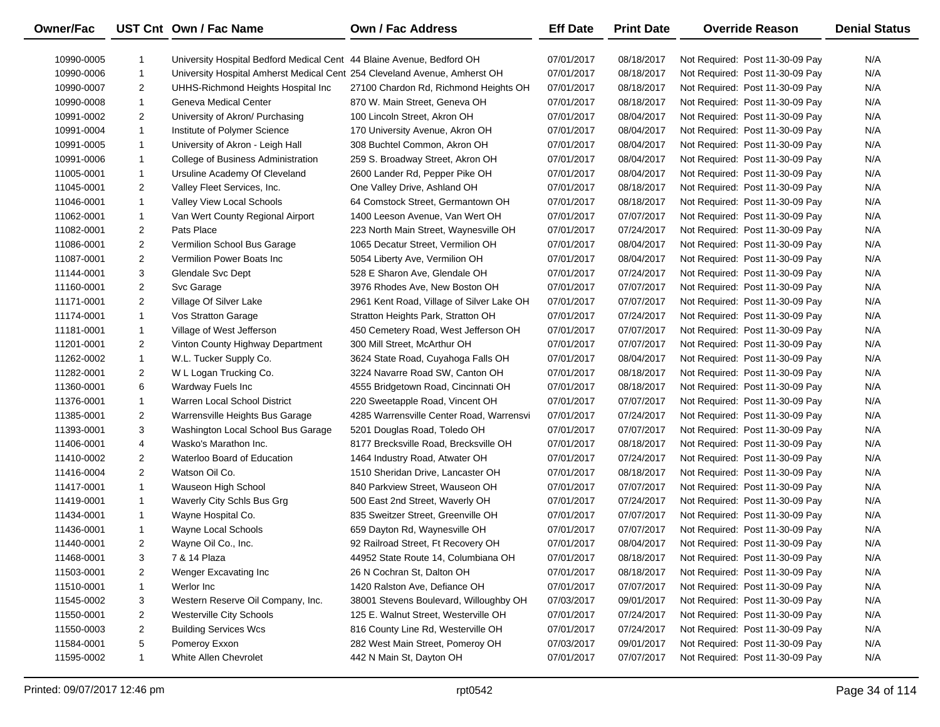| <b>Owner/Fac</b> |                | UST Cnt Own / Fac Name                                                    | <b>Own / Fac Address</b>                  | <b>Eff Date</b> | <b>Print Date</b> | <b>Override Reason</b>          | <b>Denial Status</b> |
|------------------|----------------|---------------------------------------------------------------------------|-------------------------------------------|-----------------|-------------------|---------------------------------|----------------------|
| 10990-0005       | $\mathbf{1}$   | University Hospital Bedford Medical Cent 44 Blaine Avenue, Bedford OH     |                                           | 07/01/2017      | 08/18/2017        | Not Required: Post 11-30-09 Pay | N/A                  |
| 10990-0006       | $\mathbf{1}$   | University Hospital Amherst Medical Cent 254 Cleveland Avenue, Amherst OH |                                           | 07/01/2017      | 08/18/2017        | Not Required: Post 11-30-09 Pay | N/A                  |
| 10990-0007       | 2              | UHHS-Richmond Heights Hospital Inc                                        | 27100 Chardon Rd, Richmond Heights OH     | 07/01/2017      | 08/18/2017        | Not Required: Post 11-30-09 Pay | N/A                  |
| 10990-0008       | $\mathbf{1}$   | Geneva Medical Center                                                     | 870 W. Main Street, Geneva OH             | 07/01/2017      | 08/18/2017        | Not Required: Post 11-30-09 Pay | N/A                  |
| 10991-0002       | $\overline{2}$ | University of Akron/ Purchasing                                           | 100 Lincoln Street, Akron OH              | 07/01/2017      | 08/04/2017        | Not Required: Post 11-30-09 Pay | N/A                  |
| 10991-0004       | $\mathbf{1}$   | Institute of Polymer Science                                              | 170 University Avenue, Akron OH           | 07/01/2017      | 08/04/2017        | Not Required: Post 11-30-09 Pay | N/A                  |
| 10991-0005       | 1              | University of Akron - Leigh Hall                                          | 308 Buchtel Common, Akron OH              | 07/01/2017      | 08/04/2017        | Not Required: Post 11-30-09 Pay | N/A                  |
| 10991-0006       | 1              | College of Business Administration                                        | 259 S. Broadway Street, Akron OH          | 07/01/2017      | 08/04/2017        | Not Required: Post 11-30-09 Pay | N/A                  |
| 11005-0001       | $\mathbf{1}$   | Ursuline Academy Of Cleveland                                             | 2600 Lander Rd, Pepper Pike OH            | 07/01/2017      | 08/04/2017        | Not Required: Post 11-30-09 Pay | N/A                  |
| 11045-0001       | $\overline{2}$ | Valley Fleet Services, Inc.                                               | One Valley Drive, Ashland OH              | 07/01/2017      | 08/18/2017        | Not Required: Post 11-30-09 Pay | N/A                  |
| 11046-0001       | $\mathbf{1}$   | Valley View Local Schools                                                 | 64 Comstock Street, Germantown OH         | 07/01/2017      | 08/18/2017        | Not Required: Post 11-30-09 Pay | N/A                  |
| 11062-0001       | $\mathbf{1}$   | Van Wert County Regional Airport                                          | 1400 Leeson Avenue, Van Wert OH           | 07/01/2017      | 07/07/2017        | Not Required: Post 11-30-09 Pay | N/A                  |
| 11082-0001       | $\overline{2}$ | Pats Place                                                                | 223 North Main Street, Waynesville OH     | 07/01/2017      | 07/24/2017        | Not Required: Post 11-30-09 Pay | N/A                  |
| 11086-0001       | $\overline{2}$ | Vermilion School Bus Garage                                               | 1065 Decatur Street, Vermilion OH         | 07/01/2017      | 08/04/2017        | Not Required: Post 11-30-09 Pay | N/A                  |
| 11087-0001       | $\overline{2}$ | Vermilion Power Boats Inc                                                 | 5054 Liberty Ave, Vermilion OH            | 07/01/2017      | 08/04/2017        | Not Required: Post 11-30-09 Pay | N/A                  |
| 11144-0001       | 3              | Glendale Svc Dept                                                         | 528 E Sharon Ave, Glendale OH             | 07/01/2017      | 07/24/2017        | Not Required: Post 11-30-09 Pay | N/A                  |
| 11160-0001       | $\overline{c}$ | Svc Garage                                                                | 3976 Rhodes Ave, New Boston OH            | 07/01/2017      | 07/07/2017        | Not Required: Post 11-30-09 Pay | N/A                  |
| 11171-0001       | $\overline{c}$ | Village Of Silver Lake                                                    | 2961 Kent Road, Village of Silver Lake OH | 07/01/2017      | 07/07/2017        | Not Required: Post 11-30-09 Pay | N/A                  |
| 11174-0001       | $\mathbf{1}$   | Vos Stratton Garage                                                       | Stratton Heights Park, Stratton OH        | 07/01/2017      | 07/24/2017        | Not Required: Post 11-30-09 Pay | N/A                  |
| 11181-0001       | $\mathbf{1}$   | Village of West Jefferson                                                 | 450 Cemetery Road, West Jefferson OH      | 07/01/2017      | 07/07/2017        | Not Required: Post 11-30-09 Pay | N/A                  |
| 11201-0001       | $\overline{2}$ | Vinton County Highway Department                                          | 300 Mill Street, McArthur OH              | 07/01/2017      | 07/07/2017        | Not Required: Post 11-30-09 Pay | N/A                  |
| 11262-0002       | $\mathbf{1}$   | W.L. Tucker Supply Co.                                                    | 3624 State Road, Cuyahoga Falls OH        | 07/01/2017      | 08/04/2017        | Not Required: Post 11-30-09 Pay | N/A                  |
| 11282-0001       | 2              | W L Logan Trucking Co.                                                    | 3224 Navarre Road SW, Canton OH           | 07/01/2017      | 08/18/2017        | Not Required: Post 11-30-09 Pay | N/A                  |
| 11360-0001       | 6              | Wardway Fuels Inc                                                         | 4555 Bridgetown Road, Cincinnati OH       | 07/01/2017      | 08/18/2017        | Not Required: Post 11-30-09 Pay | N/A                  |
| 11376-0001       | $\mathbf{1}$   | Warren Local School District                                              | 220 Sweetapple Road, Vincent OH           | 07/01/2017      | 07/07/2017        | Not Required: Post 11-30-09 Pay | N/A                  |
| 11385-0001       | $\overline{c}$ | Warrensville Heights Bus Garage                                           | 4285 Warrensville Center Road, Warrensvi  | 07/01/2017      | 07/24/2017        | Not Required: Post 11-30-09 Pay | N/A                  |
| 11393-0001       | 3              | Washington Local School Bus Garage                                        | 5201 Douglas Road, Toledo OH              | 07/01/2017      | 07/07/2017        | Not Required: Post 11-30-09 Pay | N/A                  |
| 11406-0001       | 4              | Wasko's Marathon Inc.                                                     | 8177 Brecksville Road, Brecksville OH     | 07/01/2017      | 08/18/2017        | Not Required: Post 11-30-09 Pay | N/A                  |
| 11410-0002       | $\overline{2}$ | Waterloo Board of Education                                               | 1464 Industry Road, Atwater OH            | 07/01/2017      | 07/24/2017        | Not Required: Post 11-30-09 Pay | N/A                  |
| 11416-0004       | $\overline{c}$ | Watson Oil Co.                                                            | 1510 Sheridan Drive, Lancaster OH         | 07/01/2017      | 08/18/2017        | Not Required: Post 11-30-09 Pay | N/A                  |
| 11417-0001       | $\mathbf{1}$   | Wauseon High School                                                       | 840 Parkview Street, Wauseon OH           | 07/01/2017      | 07/07/2017        | Not Required: Post 11-30-09 Pay | N/A                  |
| 11419-0001       | $\mathbf{1}$   | Waverly City Schls Bus Grg                                                | 500 East 2nd Street, Waverly OH           | 07/01/2017      | 07/24/2017        | Not Required: Post 11-30-09 Pay | N/A                  |
| 11434-0001       | $\mathbf{1}$   | Wayne Hospital Co.                                                        | 835 Sweitzer Street, Greenville OH        | 07/01/2017      | 07/07/2017        | Not Required: Post 11-30-09 Pay | N/A                  |
| 11436-0001       | $\mathbf{1}$   | Wayne Local Schools                                                       | 659 Dayton Rd, Waynesville OH             | 07/01/2017      | 07/07/2017        | Not Required: Post 11-30-09 Pay | N/A                  |
| 11440-0001       | $\overline{2}$ | Wayne Oil Co., Inc.                                                       | 92 Railroad Street, Ft Recovery OH        | 07/01/2017      | 08/04/2017        | Not Required: Post 11-30-09 Pay | N/A                  |
| 11468-0001       | 3              | 7 & 14 Plaza                                                              | 44952 State Route 14, Columbiana OH       | 07/01/2017      | 08/18/2017        | Not Required: Post 11-30-09 Pay | N/A                  |
| 11503-0001       | 2              | Wenger Excavating Inc                                                     | 26 N Cochran St, Dalton OH                | 07/01/2017      | 08/18/2017        | Not Required: Post 11-30-09 Pay | N/A                  |
| 11510-0001       | $\mathbf{1}$   | Werlor Inc                                                                | 1420 Ralston Ave, Defiance OH             | 07/01/2017      | 07/07/2017        | Not Required: Post 11-30-09 Pay | N/A                  |
| 11545-0002       | 3              | Western Reserve Oil Company, Inc.                                         | 38001 Stevens Boulevard, Willoughby OH    | 07/03/2017      | 09/01/2017        | Not Required: Post 11-30-09 Pay | N/A                  |
| 11550-0001       | 2              | Westerville City Schools                                                  | 125 E. Walnut Street, Westerville OH      | 07/01/2017      | 07/24/2017        | Not Required: Post 11-30-09 Pay | N/A                  |
| 11550-0003       | $\overline{2}$ | <b>Building Services Wcs</b>                                              | 816 County Line Rd, Westerville OH        | 07/01/2017      | 07/24/2017        | Not Required: Post 11-30-09 Pay | N/A                  |
| 11584-0001       | 5              | Pomeroy Exxon                                                             | 282 West Main Street, Pomeroy OH          | 07/03/2017      | 09/01/2017        | Not Required: Post 11-30-09 Pay | N/A                  |
| 11595-0002       | 1              | White Allen Chevrolet                                                     | 442 N Main St, Dayton OH                  | 07/01/2017      | 07/07/2017        | Not Required: Post 11-30-09 Pay | N/A                  |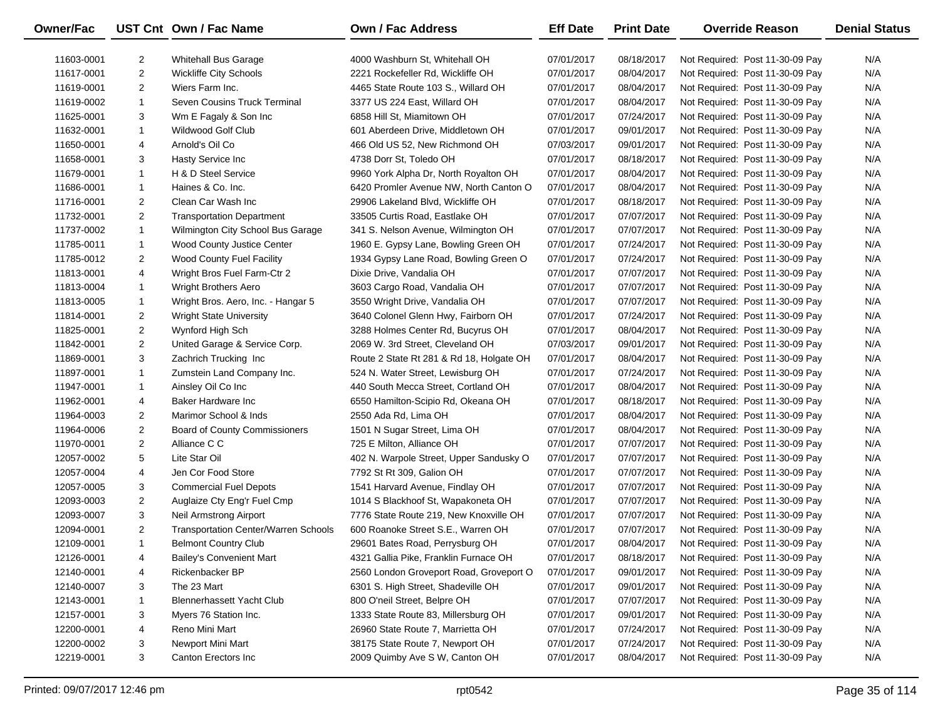| <b>Owner/Fac</b> |                | UST Cnt Own / Fac Name                      | <b>Own / Fac Address</b>                 | <b>Eff Date</b> | <b>Print Date</b> | <b>Override Reason</b>          | <b>Denial Status</b> |
|------------------|----------------|---------------------------------------------|------------------------------------------|-----------------|-------------------|---------------------------------|----------------------|
| 11603-0001       | 2              | <b>Whitehall Bus Garage</b>                 | 4000 Washburn St, Whitehall OH           | 07/01/2017      | 08/18/2017        | Not Required: Post 11-30-09 Pay | N/A                  |
| 11617-0001       | $\overline{2}$ | <b>Wickliffe City Schools</b>               | 2221 Rockefeller Rd, Wickliffe OH        | 07/01/2017      | 08/04/2017        | Not Required: Post 11-30-09 Pay | N/A                  |
| 11619-0001       | $\overline{2}$ | Wiers Farm Inc.                             | 4465 State Route 103 S., Willard OH      | 07/01/2017      | 08/04/2017        | Not Required: Post 11-30-09 Pay | N/A                  |
| 11619-0002       | 1              | Seven Cousins Truck Terminal                | 3377 US 224 East, Willard OH             | 07/01/2017      | 08/04/2017        | Not Required: Post 11-30-09 Pay | N/A                  |
| 11625-0001       | 3              | Wm E Fagaly & Son Inc                       | 6858 Hill St, Miamitown OH               | 07/01/2017      | 07/24/2017        | Not Required: Post 11-30-09 Pay | N/A                  |
| 11632-0001       | $\mathbf{1}$   | Wildwood Golf Club                          | 601 Aberdeen Drive, Middletown OH        | 07/01/2017      | 09/01/2017        | Not Required: Post 11-30-09 Pay | N/A                  |
| 11650-0001       | 4              | Arnold's Oil Co                             | 466 Old US 52, New Richmond OH           | 07/03/2017      | 09/01/2017        | Not Required: Post 11-30-09 Pay | N/A                  |
| 11658-0001       | 3              | Hasty Service Inc                           | 4738 Dorr St, Toledo OH                  | 07/01/2017      | 08/18/2017        | Not Required: Post 11-30-09 Pay | N/A                  |
| 11679-0001       | $\mathbf{1}$   | H & D Steel Service                         | 9960 York Alpha Dr, North Royalton OH    | 07/01/2017      | 08/04/2017        | Not Required: Post 11-30-09 Pay | N/A                  |
| 11686-0001       | $\mathbf{1}$   | Haines & Co. Inc.                           | 6420 Promler Avenue NW, North Canton O   | 07/01/2017      | 08/04/2017        | Not Required: Post 11-30-09 Pay | N/A                  |
| 11716-0001       | $\overline{a}$ | Clean Car Wash Inc                          | 29906 Lakeland Blvd, Wickliffe OH        | 07/01/2017      | 08/18/2017        | Not Required: Post 11-30-09 Pay | N/A                  |
| 11732-0001       | $\overline{2}$ | <b>Transportation Department</b>            | 33505 Curtis Road, Eastlake OH           | 07/01/2017      | 07/07/2017        | Not Required: Post 11-30-09 Pay | N/A                  |
| 11737-0002       | $\mathbf{1}$   | Wilmington City School Bus Garage           | 341 S. Nelson Avenue, Wilmington OH      | 07/01/2017      | 07/07/2017        | Not Required: Post 11-30-09 Pay | N/A                  |
| 11785-0011       | 1              | Wood County Justice Center                  | 1960 E. Gypsy Lane, Bowling Green OH     | 07/01/2017      | 07/24/2017        | Not Required: Post 11-30-09 Pay | N/A                  |
| 11785-0012       | $\overline{2}$ | Wood County Fuel Facility                   | 1934 Gypsy Lane Road, Bowling Green O    | 07/01/2017      | 07/24/2017        | Not Required: Post 11-30-09 Pay | N/A                  |
| 11813-0001       | 4              | Wright Bros Fuel Farm-Ctr 2                 | Dixie Drive, Vandalia OH                 | 07/01/2017      | 07/07/2017        | Not Required: Post 11-30-09 Pay | N/A                  |
| 11813-0004       | 1              | <b>Wright Brothers Aero</b>                 | 3603 Cargo Road, Vandalia OH             | 07/01/2017      | 07/07/2017        | Not Required: Post 11-30-09 Pay | N/A                  |
| 11813-0005       | 1              | Wright Bros. Aero, Inc. - Hangar 5          | 3550 Wright Drive, Vandalia OH           | 07/01/2017      | 07/07/2017        | Not Required: Post 11-30-09 Pay | N/A                  |
| 11814-0001       | 2              | <b>Wright State University</b>              | 3640 Colonel Glenn Hwy, Fairborn OH      | 07/01/2017      | 07/24/2017        | Not Required: Post 11-30-09 Pay | N/A                  |
| 11825-0001       | $\overline{2}$ | Wynford High Sch                            | 3288 Holmes Center Rd, Bucyrus OH        | 07/01/2017      | 08/04/2017        | Not Required: Post 11-30-09 Pay | N/A                  |
| 11842-0001       | $\overline{2}$ | United Garage & Service Corp.               | 2069 W. 3rd Street, Cleveland OH         | 07/03/2017      | 09/01/2017        | Not Required: Post 11-30-09 Pay | N/A                  |
| 11869-0001       | 3              | Zachrich Trucking Inc                       | Route 2 State Rt 281 & Rd 18, Holgate OH | 07/01/2017      | 08/04/2017        | Not Required: Post 11-30-09 Pay | N/A                  |
| 11897-0001       | 1              | Zumstein Land Company Inc.                  | 524 N. Water Street, Lewisburg OH        | 07/01/2017      | 07/24/2017        | Not Required: Post 11-30-09 Pay | N/A                  |
| 11947-0001       | $\mathbf{1}$   | Ainsley Oil Co Inc                          | 440 South Mecca Street, Cortland OH      | 07/01/2017      | 08/04/2017        | Not Required: Post 11-30-09 Pay | N/A                  |
| 11962-0001       | 4              | Baker Hardware Inc                          | 6550 Hamilton-Scipio Rd, Okeana OH       | 07/01/2017      | 08/18/2017        | Not Required: Post 11-30-09 Pay | N/A                  |
| 11964-0003       | 2              | Marimor School & Inds                       | 2550 Ada Rd, Lima OH                     | 07/01/2017      | 08/04/2017        | Not Required: Post 11-30-09 Pay | N/A                  |
| 11964-0006       | $\overline{2}$ | <b>Board of County Commissioners</b>        | 1501 N Sugar Street, Lima OH             | 07/01/2017      | 08/04/2017        | Not Required: Post 11-30-09 Pay | N/A                  |
| 11970-0001       | $\overline{2}$ | Alliance C C                                | 725 E Milton, Alliance OH                | 07/01/2017      | 07/07/2017        | Not Required: Post 11-30-09 Pay | N/A                  |
| 12057-0002       | 5              | Lite Star Oil                               | 402 N. Warpole Street, Upper Sandusky O  | 07/01/2017      | 07/07/2017        | Not Required: Post 11-30-09 Pay | N/A                  |
| 12057-0004       | 4              | Jen Cor Food Store                          | 7792 St Rt 309, Galion OH                | 07/01/2017      | 07/07/2017        | Not Required: Post 11-30-09 Pay | N/A                  |
| 12057-0005       | 3              | <b>Commercial Fuel Depots</b>               | 1541 Harvard Avenue, Findlay OH          | 07/01/2017      | 07/07/2017        | Not Required: Post 11-30-09 Pay | N/A                  |
| 12093-0003       | $\overline{2}$ | Auglaize Cty Eng'r Fuel Cmp                 | 1014 S Blackhoof St, Wapakoneta OH       | 07/01/2017      | 07/07/2017        | Not Required: Post 11-30-09 Pay | N/A                  |
| 12093-0007       | 3              | Neil Armstrong Airport                      | 7776 State Route 219, New Knoxville OH   | 07/01/2017      | 07/07/2017        | Not Required: Post 11-30-09 Pay | N/A                  |
| 12094-0001       | $\overline{2}$ | <b>Transportation Center/Warren Schools</b> | 600 Roanoke Street S.E., Warren OH       | 07/01/2017      | 07/07/2017        | Not Required: Post 11-30-09 Pay | N/A                  |
| 12109-0001       | $\mathbf{1}$   | <b>Belmont Country Club</b>                 | 29601 Bates Road, Perrysburg OH          | 07/01/2017      | 08/04/2017        | Not Required: Post 11-30-09 Pay | N/A                  |
| 12126-0001       | 4              | <b>Bailey's Convenient Mart</b>             | 4321 Gallia Pike, Franklin Furnace OH    | 07/01/2017      | 08/18/2017        | Not Required: Post 11-30-09 Pay | N/A                  |
| 12140-0001       | 4              | Rickenbacker BP                             | 2560 London Groveport Road, Groveport O  | 07/01/2017      | 09/01/2017        | Not Required: Post 11-30-09 Pay | N/A                  |
| 12140-0007       | 3              | The 23 Mart                                 | 6301 S. High Street, Shadeville OH       | 07/01/2017      | 09/01/2017        | Not Required: Post 11-30-09 Pay | N/A                  |
| 12143-0001       | 1              | <b>Blennerhassett Yacht Club</b>            | 800 O'neil Street, Belpre OH             | 07/01/2017      | 07/07/2017        | Not Required: Post 11-30-09 Pay | N/A                  |
| 12157-0001       | 3              | Myers 76 Station Inc.                       | 1333 State Route 83, Millersburg OH      | 07/01/2017      | 09/01/2017        | Not Required: Post 11-30-09 Pay | N/A                  |
| 12200-0001       | 4              | Reno Mini Mart                              | 26960 State Route 7, Marrietta OH        | 07/01/2017      | 07/24/2017        | Not Required: Post 11-30-09 Pay | N/A                  |
| 12200-0002       | 3              | Newport Mini Mart                           | 38175 State Route 7, Newport OH          | 07/01/2017      | 07/24/2017        | Not Required: Post 11-30-09 Pay | N/A                  |
| 12219-0001       | 3              | Canton Erectors Inc                         | 2009 Quimby Ave S W, Canton OH           | 07/01/2017      | 08/04/2017        | Not Required: Post 11-30-09 Pay | N/A                  |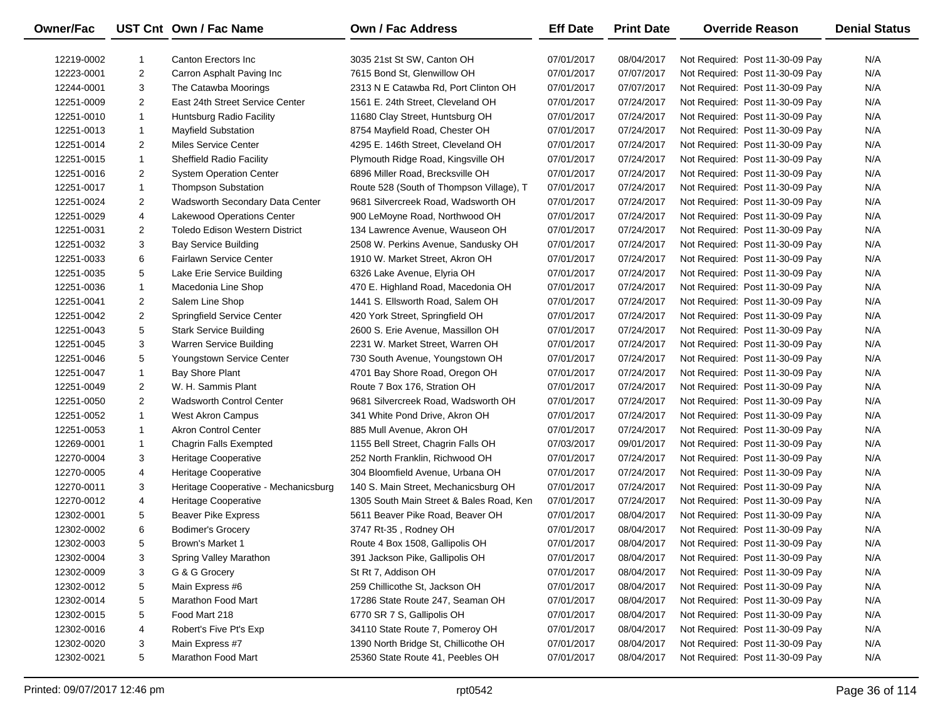| Owner/Fac  |                | UST Cnt Own / Fac Name                | <b>Own / Fac Address</b>                 | <b>Eff Date</b> | <b>Print Date</b> | <b>Override Reason</b>          | <b>Denial Status</b> |
|------------|----------------|---------------------------------------|------------------------------------------|-----------------|-------------------|---------------------------------|----------------------|
| 12219-0002 | -1             | Canton Erectors Inc.                  | 3035 21st St SW, Canton OH               | 07/01/2017      | 08/04/2017        | Not Required: Post 11-30-09 Pay | N/A                  |
| 12223-0001 | $\overline{2}$ | Carron Asphalt Paving Inc             | 7615 Bond St, Glenwillow OH              | 07/01/2017      | 07/07/2017        | Not Required: Post 11-30-09 Pay | N/A                  |
| 12244-0001 | 3              | The Catawba Moorings                  | 2313 N E Catawba Rd, Port Clinton OH     | 07/01/2017      | 07/07/2017        | Not Required: Post 11-30-09 Pay | N/A                  |
| 12251-0009 | $\overline{2}$ | East 24th Street Service Center       | 1561 E. 24th Street, Cleveland OH        | 07/01/2017      | 07/24/2017        | Not Required: Post 11-30-09 Pay | N/A                  |
| 12251-0010 | $\mathbf{1}$   | Huntsburg Radio Facility              | 11680 Clay Street, Huntsburg OH          | 07/01/2017      | 07/24/2017        | Not Required: Post 11-30-09 Pay | N/A                  |
| 12251-0013 | $\mathbf{1}$   | Mayfield Substation                   | 8754 Mayfield Road, Chester OH           | 07/01/2017      | 07/24/2017        | Not Required: Post 11-30-09 Pay | N/A                  |
| 12251-0014 | $\overline{2}$ | Miles Service Center                  | 4295 E. 146th Street, Cleveland OH       | 07/01/2017      | 07/24/2017        | Not Required: Post 11-30-09 Pay | N/A                  |
| 12251-0015 | 1              | <b>Sheffield Radio Facility</b>       | Plymouth Ridge Road, Kingsville OH       | 07/01/2017      | 07/24/2017        | Not Required: Post 11-30-09 Pay | N/A                  |
| 12251-0016 | $\overline{2}$ | <b>System Operation Center</b>        | 6896 Miller Road, Brecksville OH         | 07/01/2017      | 07/24/2017        | Not Required: Post 11-30-09 Pay | N/A                  |
| 12251-0017 | $\mathbf{1}$   | <b>Thompson Substation</b>            | Route 528 (South of Thompson Village), T | 07/01/2017      | 07/24/2017        | Not Required: Post 11-30-09 Pay | N/A                  |
| 12251-0024 | 2              | Wadsworth Secondary Data Center       | 9681 Silvercreek Road, Wadsworth OH      | 07/01/2017      | 07/24/2017        | Not Required: Post 11-30-09 Pay | N/A                  |
| 12251-0029 | 4              | Lakewood Operations Center            | 900 LeMoyne Road, Northwood OH           | 07/01/2017      | 07/24/2017        | Not Required: Post 11-30-09 Pay | N/A                  |
| 12251-0031 | $\overline{2}$ | <b>Toledo Edison Western District</b> | 134 Lawrence Avenue, Wauseon OH          | 07/01/2017      | 07/24/2017        | Not Required: Post 11-30-09 Pay | N/A                  |
| 12251-0032 | 3              | <b>Bay Service Building</b>           | 2508 W. Perkins Avenue, Sandusky OH      | 07/01/2017      | 07/24/2017        | Not Required: Post 11-30-09 Pay | N/A                  |
| 12251-0033 | 6              | Fairlawn Service Center               | 1910 W. Market Street, Akron OH          | 07/01/2017      | 07/24/2017        | Not Required: Post 11-30-09 Pay | N/A                  |
| 12251-0035 | 5              | Lake Erie Service Building            | 6326 Lake Avenue, Elyria OH              | 07/01/2017      | 07/24/2017        | Not Required: Post 11-30-09 Pay | N/A                  |
| 12251-0036 | $\mathbf{1}$   | Macedonia Line Shop                   | 470 E. Highland Road, Macedonia OH       | 07/01/2017      | 07/24/2017        | Not Required: Post 11-30-09 Pay | N/A                  |
| 12251-0041 | 2              | Salem Line Shop                       | 1441 S. Ellsworth Road, Salem OH         | 07/01/2017      | 07/24/2017        | Not Required: Post 11-30-09 Pay | N/A                  |
| 12251-0042 | 2              | Springfield Service Center            | 420 York Street, Springfield OH          | 07/01/2017      | 07/24/2017        | Not Required: Post 11-30-09 Pay | N/A                  |
| 12251-0043 | 5              | <b>Stark Service Building</b>         | 2600 S. Erie Avenue, Massillon OH        | 07/01/2017      | 07/24/2017        | Not Required: Post 11-30-09 Pay | N/A                  |
| 12251-0045 | 3              | Warren Service Building               | 2231 W. Market Street, Warren OH         | 07/01/2017      | 07/24/2017        | Not Required: Post 11-30-09 Pay | N/A                  |
| 12251-0046 | 5              | Youngstown Service Center             | 730 South Avenue, Youngstown OH          | 07/01/2017      | 07/24/2017        | Not Required: Post 11-30-09 Pay | N/A                  |
| 12251-0047 | $\mathbf{1}$   | <b>Bay Shore Plant</b>                | 4701 Bay Shore Road, Oregon OH           | 07/01/2017      | 07/24/2017        | Not Required: Post 11-30-09 Pay | N/A                  |
| 12251-0049 | $\overline{2}$ | W. H. Sammis Plant                    | Route 7 Box 176, Stration OH             | 07/01/2017      | 07/24/2017        | Not Required: Post 11-30-09 Pay | N/A                  |
| 12251-0050 | $\overline{2}$ | <b>Wadsworth Control Center</b>       | 9681 Silvercreek Road, Wadsworth OH      | 07/01/2017      | 07/24/2017        | Not Required: Post 11-30-09 Pay | N/A                  |
| 12251-0052 | 1              | West Akron Campus                     | 341 White Pond Drive, Akron OH           | 07/01/2017      | 07/24/2017        | Not Required: Post 11-30-09 Pay | N/A                  |
| 12251-0053 | 1              | <b>Akron Control Center</b>           | 885 Mull Avenue, Akron OH                | 07/01/2017      | 07/24/2017        | Not Required: Post 11-30-09 Pay | N/A                  |
| 12269-0001 | 1              | Chagrin Falls Exempted                | 1155 Bell Street, Chagrin Falls OH       | 07/03/2017      | 09/01/2017        | Not Required: Post 11-30-09 Pay | N/A                  |
| 12270-0004 | 3              | Heritage Cooperative                  | 252 North Franklin, Richwood OH          | 07/01/2017      | 07/24/2017        | Not Required: Post 11-30-09 Pay | N/A                  |
| 12270-0005 | 4              | Heritage Cooperative                  | 304 Bloomfield Avenue, Urbana OH         | 07/01/2017      | 07/24/2017        | Not Required: Post 11-30-09 Pay | N/A                  |
| 12270-0011 | 3              | Heritage Cooperative - Mechanicsburg  | 140 S. Main Street, Mechanicsburg OH     | 07/01/2017      | 07/24/2017        | Not Required: Post 11-30-09 Pay | N/A                  |
| 12270-0012 | 4              | Heritage Cooperative                  | 1305 South Main Street & Bales Road, Ken | 07/01/2017      | 07/24/2017        | Not Required: Post 11-30-09 Pay | N/A                  |
| 12302-0001 | 5              | <b>Beaver Pike Express</b>            | 5611 Beaver Pike Road, Beaver OH         | 07/01/2017      | 08/04/2017        | Not Required: Post 11-30-09 Pay | N/A                  |
| 12302-0002 | 6              | <b>Bodimer's Grocery</b>              | 3747 Rt-35, Rodney OH                    | 07/01/2017      | 08/04/2017        | Not Required: Post 11-30-09 Pay | N/A                  |
| 12302-0003 | 5              | Brown's Market 1                      | Route 4 Box 1508, Gallipolis OH          | 07/01/2017      | 08/04/2017        | Not Required: Post 11-30-09 Pay | N/A                  |
| 12302-0004 | 3              | Spring Valley Marathon                | 391 Jackson Pike, Gallipolis OH          | 07/01/2017      | 08/04/2017        | Not Required: Post 11-30-09 Pay | N/A                  |
| 12302-0009 | 3              | G & G Grocery                         | St Rt 7, Addison OH                      | 07/01/2017      | 08/04/2017        | Not Required: Post 11-30-09 Pay | N/A                  |
| 12302-0012 | 5              | Main Express #6                       | 259 Chillicothe St, Jackson OH           | 07/01/2017      | 08/04/2017        | Not Required: Post 11-30-09 Pay | N/A                  |
| 12302-0014 | 5              | Marathon Food Mart                    | 17286 State Route 247, Seaman OH         | 07/01/2017      | 08/04/2017        | Not Required: Post 11-30-09 Pay | N/A                  |
| 12302-0015 | 5              | Food Mart 218                         | 6770 SR 7 S, Gallipolis OH               | 07/01/2017      | 08/04/2017        | Not Required: Post 11-30-09 Pay | N/A                  |
| 12302-0016 | 4              | Robert's Five Pt's Exp                | 34110 State Route 7, Pomeroy OH          | 07/01/2017      | 08/04/2017        | Not Required: Post 11-30-09 Pay | N/A                  |
| 12302-0020 | 3              | Main Express #7                       | 1390 North Bridge St, Chillicothe OH     | 07/01/2017      | 08/04/2017        | Not Required: Post 11-30-09 Pay | N/A                  |
| 12302-0021 | 5              | Marathon Food Mart                    | 25360 State Route 41, Peebles OH         | 07/01/2017      | 08/04/2017        | Not Required: Post 11-30-09 Pay | N/A                  |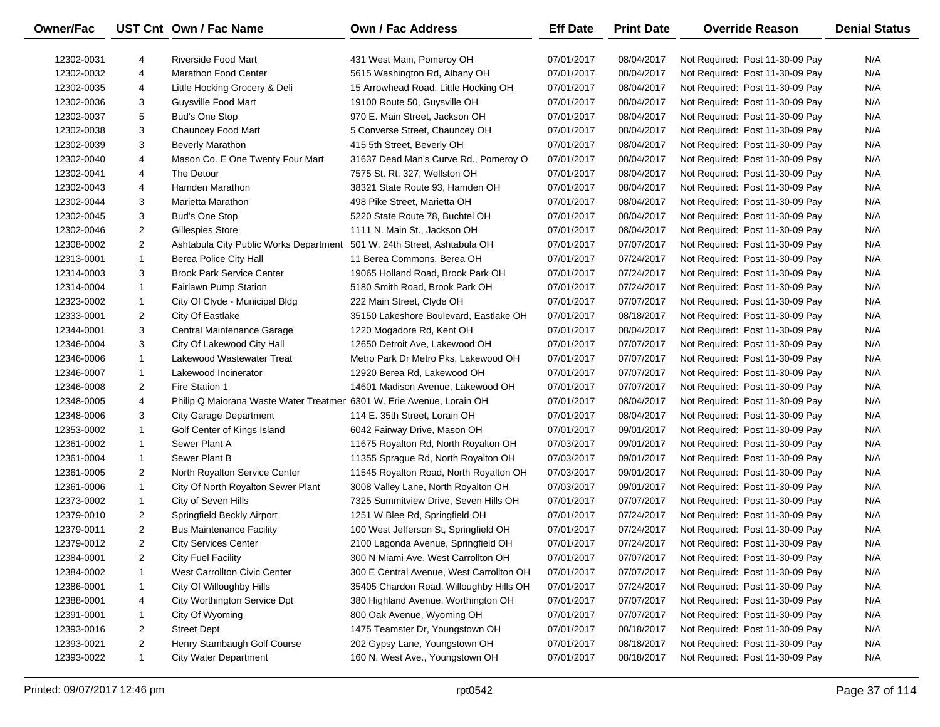| <b>Owner/Fac</b> |                | UST Cnt Own / Fac Name                                                | <b>Own / Fac Address</b>                 | <b>Eff Date</b> | <b>Print Date</b> | <b>Override Reason</b>          | <b>Denial Status</b> |
|------------------|----------------|-----------------------------------------------------------------------|------------------------------------------|-----------------|-------------------|---------------------------------|----------------------|
| 12302-0031       | 4              | Riverside Food Mart                                                   | 431 West Main, Pomeroy OH                | 07/01/2017      | 08/04/2017        | Not Required: Post 11-30-09 Pay | N/A                  |
| 12302-0032       | 4              | <b>Marathon Food Center</b>                                           | 5615 Washington Rd, Albany OH            | 07/01/2017      | 08/04/2017        | Not Required: Post 11-30-09 Pay | N/A                  |
| 12302-0035       | 4              | Little Hocking Grocery & Deli                                         | 15 Arrowhead Road, Little Hocking OH     | 07/01/2017      | 08/04/2017        | Not Required: Post 11-30-09 Pay | N/A                  |
| 12302-0036       | 3              | Guysville Food Mart                                                   | 19100 Route 50, Guysville OH             | 07/01/2017      | 08/04/2017        | Not Required: Post 11-30-09 Pay | N/A                  |
| 12302-0037       | 5              | <b>Bud's One Stop</b>                                                 | 970 E. Main Street, Jackson OH           | 07/01/2017      | 08/04/2017        | Not Required: Post 11-30-09 Pay | N/A                  |
| 12302-0038       | 3              | Chauncey Food Mart                                                    | 5 Converse Street, Chauncey OH           | 07/01/2017      | 08/04/2017        | Not Required: Post 11-30-09 Pay | N/A                  |
| 12302-0039       | 3              | <b>Beverly Marathon</b>                                               | 415 5th Street, Beverly OH               | 07/01/2017      | 08/04/2017        | Not Required: Post 11-30-09 Pay | N/A                  |
| 12302-0040       | 4              | Mason Co. E One Twenty Four Mart                                      | 31637 Dead Man's Curve Rd., Pomeroy O    | 07/01/2017      | 08/04/2017        | Not Required: Post 11-30-09 Pay | N/A                  |
| 12302-0041       | 4              | The Detour                                                            | 7575 St. Rt. 327, Wellston OH            | 07/01/2017      | 08/04/2017        | Not Required: Post 11-30-09 Pay | N/A                  |
| 12302-0043       | 4              | Hamden Marathon                                                       | 38321 State Route 93, Hamden OH          | 07/01/2017      | 08/04/2017        | Not Required: Post 11-30-09 Pay | N/A                  |
| 12302-0044       | 3              | Marietta Marathon                                                     | 498 Pike Street, Marietta OH             | 07/01/2017      | 08/04/2017        | Not Required: Post 11-30-09 Pay | N/A                  |
| 12302-0045       | 3              | <b>Bud's One Stop</b>                                                 | 5220 State Route 78, Buchtel OH          | 07/01/2017      | 08/04/2017        | Not Required: Post 11-30-09 Pay | N/A                  |
| 12302-0046       | $\overline{2}$ | Gillespies Store                                                      | 1111 N. Main St., Jackson OH             | 07/01/2017      | 08/04/2017        | Not Required: Post 11-30-09 Pay | N/A                  |
| 12308-0002       | $\overline{2}$ | Ashtabula City Public Works Department                                | 501 W. 24th Street, Ashtabula OH         | 07/01/2017      | 07/07/2017        | Not Required: Post 11-30-09 Pay | N/A                  |
| 12313-0001       | $\mathbf{1}$   | <b>Berea Police City Hall</b>                                         | 11 Berea Commons, Berea OH               | 07/01/2017      | 07/24/2017        | Not Required: Post 11-30-09 Pay | N/A                  |
| 12314-0003       | 3              | <b>Brook Park Service Center</b>                                      | 19065 Holland Road, Brook Park OH        | 07/01/2017      | 07/24/2017        | Not Required: Post 11-30-09 Pay | N/A                  |
| 12314-0004       | $\mathbf{1}$   | Fairlawn Pump Station                                                 | 5180 Smith Road, Brook Park OH           | 07/01/2017      | 07/24/2017        | Not Required: Post 11-30-09 Pay | N/A                  |
| 12323-0002       | $\mathbf{1}$   | City Of Clyde - Municipal Bldg                                        | 222 Main Street, Clyde OH                | 07/01/2017      | 07/07/2017        | Not Required: Post 11-30-09 Pay | N/A                  |
| 12333-0001       | $\overline{2}$ | City Of Eastlake                                                      | 35150 Lakeshore Boulevard, Eastlake OH   | 07/01/2017      | 08/18/2017        | Not Required: Post 11-30-09 Pay | N/A                  |
| 12344-0001       | 3              | Central Maintenance Garage                                            | 1220 Mogadore Rd, Kent OH                | 07/01/2017      | 08/04/2017        | Not Required: Post 11-30-09 Pay | N/A                  |
| 12346-0004       | 3              | City Of Lakewood City Hall                                            | 12650 Detroit Ave, Lakewood OH           | 07/01/2017      | 07/07/2017        | Not Required: Post 11-30-09 Pay | N/A                  |
| 12346-0006       | $\mathbf{1}$   | Lakewood Wastewater Treat                                             | Metro Park Dr Metro Pks, Lakewood OH     | 07/01/2017      | 07/07/2017        | Not Required: Post 11-30-09 Pay | N/A                  |
| 12346-0007       | $\mathbf{1}$   | Lakewood Incinerator                                                  | 12920 Berea Rd, Lakewood OH              | 07/01/2017      | 07/07/2017        | Not Required: Post 11-30-09 Pay | N/A                  |
| 12346-0008       | $\overline{2}$ | Fire Station 1                                                        | 14601 Madison Avenue, Lakewood OH        | 07/01/2017      | 07/07/2017        | Not Required: Post 11-30-09 Pay | N/A                  |
| 12348-0005       | 4              | Philip Q Maiorana Waste Water Treatmer 6301 W. Erie Avenue, Lorain OH |                                          | 07/01/2017      | 08/04/2017        | Not Required: Post 11-30-09 Pay | N/A                  |
| 12348-0006       | 3              | <b>City Garage Department</b>                                         | 114 E. 35th Street, Lorain OH            | 07/01/2017      | 08/04/2017        | Not Required: Post 11-30-09 Pay | N/A                  |
| 12353-0002       | $\mathbf{1}$   | Golf Center of Kings Island                                           | 6042 Fairway Drive, Mason OH             | 07/01/2017      | 09/01/2017        | Not Required: Post 11-30-09 Pay | N/A                  |
| 12361-0002       | 1              | Sewer Plant A                                                         | 11675 Royalton Rd, North Royalton OH     | 07/03/2017      | 09/01/2017        | Not Required: Post 11-30-09 Pay | N/A                  |
| 12361-0004       | $\mathbf{1}$   | Sewer Plant B                                                         | 11355 Sprague Rd, North Royalton OH      | 07/03/2017      | 09/01/2017        | Not Required: Post 11-30-09 Pay | N/A                  |
| 12361-0005       | $\overline{2}$ | North Royalton Service Center                                         | 11545 Royalton Road, North Royalton OH   | 07/03/2017      | 09/01/2017        | Not Required: Post 11-30-09 Pay | N/A                  |
| 12361-0006       | $\mathbf{1}$   | City Of North Royalton Sewer Plant                                    | 3008 Valley Lane, North Royalton OH      | 07/03/2017      | 09/01/2017        | Not Required: Post 11-30-09 Pay | N/A                  |
| 12373-0002       | $\mathbf{1}$   | City of Seven Hills                                                   | 7325 Summitview Drive, Seven Hills OH    | 07/01/2017      | 07/07/2017        | Not Required: Post 11-30-09 Pay | N/A                  |
| 12379-0010       | $\overline{2}$ | Springfield Beckly Airport                                            | 1251 W Blee Rd, Springfield OH           | 07/01/2017      | 07/24/2017        | Not Required: Post 11-30-09 Pay | N/A                  |
| 12379-0011       | $\overline{2}$ | <b>Bus Maintenance Facility</b>                                       | 100 West Jefferson St, Springfield OH    | 07/01/2017      | 07/24/2017        | Not Required: Post 11-30-09 Pay | N/A                  |
| 12379-0012       | $\overline{2}$ | <b>City Services Center</b>                                           | 2100 Lagonda Avenue, Springfield OH      | 07/01/2017      | 07/24/2017        | Not Required: Post 11-30-09 Pay | N/A                  |
| 12384-0001       | $\overline{2}$ | <b>City Fuel Facility</b>                                             | 300 N Miami Ave, West Carrollton OH      | 07/01/2017      | 07/07/2017        | Not Required: Post 11-30-09 Pay | N/A                  |
| 12384-0002       | -1             | West Carrollton Civic Center                                          | 300 E Central Avenue, West Carrollton OH | 07/01/2017      | 07/07/2017        | Not Required: Post 11-30-09 Pay | N/A                  |
| 12386-0001       | -1             | City Of Willoughby Hills                                              | 35405 Chardon Road, Willoughby Hills OH  | 07/01/2017      | 07/24/2017        | Not Required: Post 11-30-09 Pay | N/A                  |
| 12388-0001       | 4              | City Worthington Service Dpt                                          | 380 Highland Avenue, Worthington OH      | 07/01/2017      | 07/07/2017        | Not Required: Post 11-30-09 Pay | N/A                  |
| 12391-0001       | 1              | City Of Wyoming                                                       | 800 Oak Avenue, Wyoming OH               | 07/01/2017      | 07/07/2017        | Not Required: Post 11-30-09 Pay | N/A                  |
| 12393-0016       | 2              | <b>Street Dept</b>                                                    | 1475 Teamster Dr, Youngstown OH          | 07/01/2017      | 08/18/2017        | Not Required: Post 11-30-09 Pay | N/A                  |
| 12393-0021       | 2              | Henry Stambaugh Golf Course                                           | 202 Gypsy Lane, Youngstown OH            | 07/01/2017      | 08/18/2017        | Not Required: Post 11-30-09 Pay | N/A                  |
| 12393-0022       | $\mathbf{1}$   | <b>City Water Department</b>                                          | 160 N. West Ave., Youngstown OH          | 07/01/2017      | 08/18/2017        | Not Required: Post 11-30-09 Pay | N/A                  |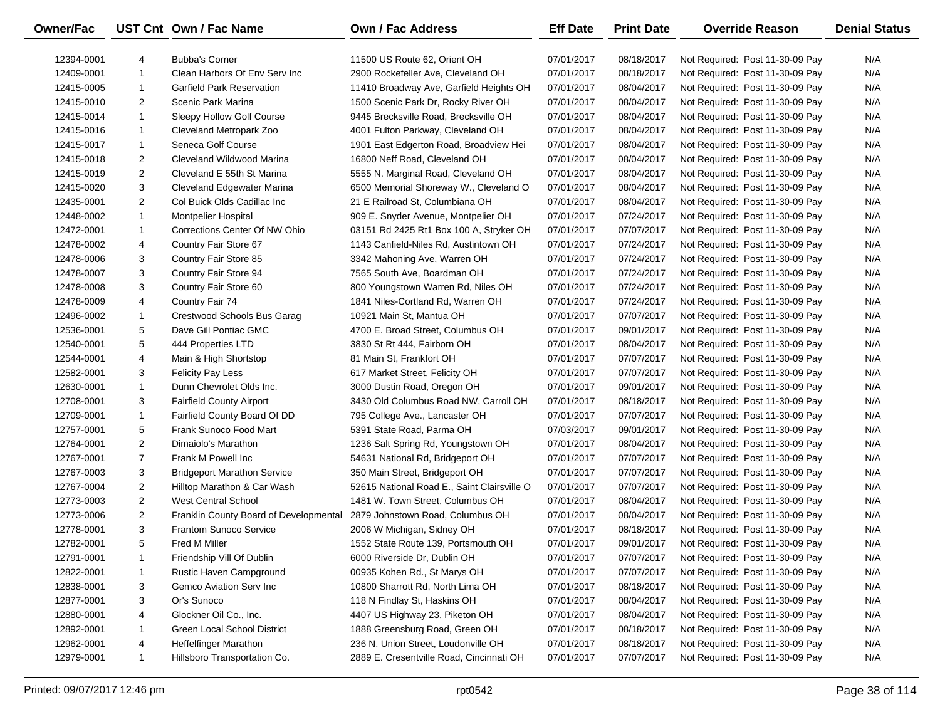| <b>Owner/Fac</b> |                | UST Cnt Own / Fac Name                 | <b>Own / Fac Address</b>                    | <b>Eff Date</b> | <b>Print Date</b> | <b>Override Reason</b>          | <b>Denial Status</b> |
|------------------|----------------|----------------------------------------|---------------------------------------------|-----------------|-------------------|---------------------------------|----------------------|
| 12394-0001       | 4              | <b>Bubba's Corner</b>                  | 11500 US Route 62, Orient OH                | 07/01/2017      | 08/18/2017        | Not Required: Post 11-30-09 Pay | N/A                  |
| 12409-0001       | $\mathbf{1}$   | Clean Harbors Of Env Serv Inc          | 2900 Rockefeller Ave, Cleveland OH          | 07/01/2017      | 08/18/2017        | Not Required: Post 11-30-09 Pay | N/A                  |
| 12415-0005       | $\mathbf{1}$   | <b>Garfield Park Reservation</b>       | 11410 Broadway Ave, Garfield Heights OH     | 07/01/2017      | 08/04/2017        | Not Required: Post 11-30-09 Pay | N/A                  |
| 12415-0010       | $\overline{2}$ | Scenic Park Marina                     | 1500 Scenic Park Dr, Rocky River OH         | 07/01/2017      | 08/04/2017        | Not Required: Post 11-30-09 Pay | N/A                  |
| 12415-0014       | $\mathbf{1}$   | Sleepy Hollow Golf Course              | 9445 Brecksville Road, Brecksville OH       | 07/01/2017      | 08/04/2017        | Not Required: Post 11-30-09 Pay | N/A                  |
| 12415-0016       | $\mathbf{1}$   | Cleveland Metropark Zoo                | 4001 Fulton Parkway, Cleveland OH           | 07/01/2017      | 08/04/2017        | Not Required: Post 11-30-09 Pay | N/A                  |
| 12415-0017       | $\mathbf{1}$   | Seneca Golf Course                     | 1901 East Edgerton Road, Broadview Hei      | 07/01/2017      | 08/04/2017        | Not Required: Post 11-30-09 Pay | N/A                  |
| 12415-0018       | $\overline{2}$ | Cleveland Wildwood Marina              | 16800 Neff Road, Cleveland OH               | 07/01/2017      | 08/04/2017        | Not Required: Post 11-30-09 Pay | N/A                  |
| 12415-0019       | $\overline{2}$ | Cleveland E 55th St Marina             | 5555 N. Marginal Road, Cleveland OH         | 07/01/2017      | 08/04/2017        | Not Required: Post 11-30-09 Pay | N/A                  |
| 12415-0020       | 3              | Cleveland Edgewater Marina             | 6500 Memorial Shoreway W., Cleveland O      | 07/01/2017      | 08/04/2017        | Not Required: Post 11-30-09 Pay | N/A                  |
| 12435-0001       | $\overline{2}$ | Col Buick Olds Cadillac Inc            | 21 E Railroad St, Columbiana OH             | 07/01/2017      | 08/04/2017        | Not Required: Post 11-30-09 Pay | N/A                  |
| 12448-0002       | $\mathbf{1}$   | <b>Montpelier Hospital</b>             | 909 E. Snyder Avenue, Montpelier OH         | 07/01/2017      | 07/24/2017        | Not Required: Post 11-30-09 Pay | N/A                  |
| 12472-0001       | $\mathbf{1}$   | Corrections Center Of NW Ohio          | 03151 Rd 2425 Rt1 Box 100 A, Stryker OH     | 07/01/2017      | 07/07/2017        | Not Required: Post 11-30-09 Pay | N/A                  |
| 12478-0002       | 4              | Country Fair Store 67                  | 1143 Canfield-Niles Rd, Austintown OH       | 07/01/2017      | 07/24/2017        | Not Required: Post 11-30-09 Pay | N/A                  |
| 12478-0006       | 3              | Country Fair Store 85                  | 3342 Mahoning Ave, Warren OH                | 07/01/2017      | 07/24/2017        | Not Required: Post 11-30-09 Pay | N/A                  |
| 12478-0007       | 3              | Country Fair Store 94                  | 7565 South Ave, Boardman OH                 | 07/01/2017      | 07/24/2017        | Not Required: Post 11-30-09 Pay | N/A                  |
| 12478-0008       | 3              | Country Fair Store 60                  | 800 Youngstown Warren Rd, Niles OH          | 07/01/2017      | 07/24/2017        | Not Required: Post 11-30-09 Pay | N/A                  |
| 12478-0009       | 4              | Country Fair 74                        | 1841 Niles-Cortland Rd, Warren OH           | 07/01/2017      | 07/24/2017        | Not Required: Post 11-30-09 Pay | N/A                  |
| 12496-0002       | $\mathbf{1}$   | Crestwood Schools Bus Garag            | 10921 Main St, Mantua OH                    | 07/01/2017      | 07/07/2017        | Not Required: Post 11-30-09 Pay | N/A                  |
| 12536-0001       | 5              | Dave Gill Pontiac GMC                  | 4700 E. Broad Street, Columbus OH           | 07/01/2017      | 09/01/2017        | Not Required: Post 11-30-09 Pay | N/A                  |
| 12540-0001       | 5              | 444 Properties LTD                     | 3830 St Rt 444, Fairborn OH                 | 07/01/2017      | 08/04/2017        | Not Required: Post 11-30-09 Pay | N/A                  |
| 12544-0001       | 4              | Main & High Shortstop                  | 81 Main St, Frankfort OH                    | 07/01/2017      | 07/07/2017        | Not Required: Post 11-30-09 Pay | N/A                  |
| 12582-0001       | 3              | <b>Felicity Pay Less</b>               | 617 Market Street, Felicity OH              | 07/01/2017      | 07/07/2017        | Not Required: Post 11-30-09 Pay | N/A                  |
| 12630-0001       | $\mathbf{1}$   | Dunn Chevrolet Olds Inc.               | 3000 Dustin Road, Oregon OH                 | 07/01/2017      | 09/01/2017        | Not Required: Post 11-30-09 Pay | N/A                  |
| 12708-0001       | 3              | <b>Fairfield County Airport</b>        | 3430 Old Columbus Road NW, Carroll OH       | 07/01/2017      | 08/18/2017        | Not Required: Post 11-30-09 Pay | N/A                  |
| 12709-0001       | $\mathbf{1}$   | Fairfield County Board Of DD           | 795 College Ave., Lancaster OH              | 07/01/2017      | 07/07/2017        | Not Required: Post 11-30-09 Pay | N/A                  |
| 12757-0001       | 5              | Frank Sunoco Food Mart                 | 5391 State Road, Parma OH                   | 07/03/2017      | 09/01/2017        | Not Required: Post 11-30-09 Pay | N/A                  |
| 12764-0001       | $\overline{a}$ | Dimaiolo's Marathon                    | 1236 Salt Spring Rd, Youngstown OH          | 07/01/2017      | 08/04/2017        | Not Required: Post 11-30-09 Pay | N/A                  |
| 12767-0001       | $\overline{7}$ | Frank M Powell Inc                     | 54631 National Rd, Bridgeport OH            | 07/01/2017      | 07/07/2017        | Not Required: Post 11-30-09 Pay | N/A                  |
| 12767-0003       | 3              | <b>Bridgeport Marathon Service</b>     | 350 Main Street, Bridgeport OH              | 07/01/2017      | 07/07/2017        | Not Required: Post 11-30-09 Pay | N/A                  |
| 12767-0004       | $\overline{2}$ | Hilltop Marathon & Car Wash            | 52615 National Road E., Saint Clairsville O | 07/01/2017      | 07/07/2017        | Not Required: Post 11-30-09 Pay | N/A                  |
| 12773-0003       | $\overline{a}$ | <b>West Central School</b>             | 1481 W. Town Street, Columbus OH            | 07/01/2017      | 08/04/2017        | Not Required: Post 11-30-09 Pay | N/A                  |
| 12773-0006       | $\overline{2}$ | Franklin County Board of Developmental | 2879 Johnstown Road, Columbus OH            | 07/01/2017      | 08/04/2017        | Not Required: Post 11-30-09 Pay | N/A                  |
| 12778-0001       | 3              | <b>Frantom Sunoco Service</b>          | 2006 W Michigan, Sidney OH                  | 07/01/2017      | 08/18/2017        | Not Required: Post 11-30-09 Pay | N/A                  |
| 12782-0001       | 5              | Fred M Miller                          | 1552 State Route 139, Portsmouth OH         | 07/01/2017      | 09/01/2017        | Not Required: Post 11-30-09 Pay | N/A                  |
| 12791-0001       | 1              | Friendship Vill Of Dublin              | 6000 Riverside Dr, Dublin OH                | 07/01/2017      | 07/07/2017        | Not Required: Post 11-30-09 Pay | N/A                  |
| 12822-0001       | $\mathbf{1}$   | Rustic Haven Campground                | 00935 Kohen Rd., St Marys OH                | 07/01/2017      | 07/07/2017        | Not Required: Post 11-30-09 Pay | N/A                  |
| 12838-0001       | 3              | Gemco Aviation Serv Inc                | 10800 Sharrott Rd, North Lima OH            | 07/01/2017      | 08/18/2017        | Not Required: Post 11-30-09 Pay | N/A                  |
| 12877-0001       | 3              | Or's Sunoco                            | 118 N Findlay St, Haskins OH                | 07/01/2017      | 08/04/2017        | Not Required: Post 11-30-09 Pay | N/A                  |
| 12880-0001       | 4              | Glockner Oil Co., Inc.                 | 4407 US Highway 23, Piketon OH              | 07/01/2017      | 08/04/2017        | Not Required: Post 11-30-09 Pay | N/A                  |
| 12892-0001       | $\mathbf{1}$   | Green Local School District            | 1888 Greensburg Road, Green OH              | 07/01/2017      | 08/18/2017        | Not Required: Post 11-30-09 Pay | N/A                  |
| 12962-0001       | 4              | Heffelfinger Marathon                  | 236 N. Union Street, Loudonville OH         | 07/01/2017      | 08/18/2017        | Not Required: Post 11-30-09 Pay | N/A                  |
| 12979-0001       | $\mathbf{1}$   | Hillsboro Transportation Co.           | 2889 E. Cresentville Road, Cincinnati OH    | 07/01/2017      | 07/07/2017        | Not Required: Post 11-30-09 Pay | N/A                  |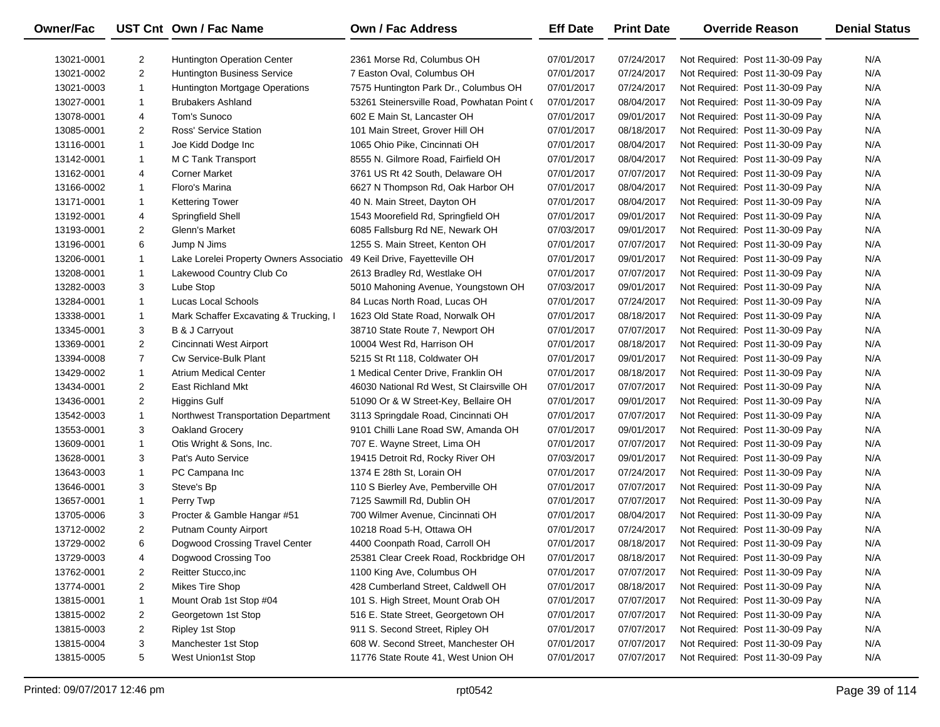| Owner/Fac  |                | UST Cnt Own / Fac Name                  | <b>Own / Fac Address</b>                   | <b>Eff Date</b> | <b>Print Date</b> | <b>Override Reason</b>          | <b>Denial Status</b> |
|------------|----------------|-----------------------------------------|--------------------------------------------|-----------------|-------------------|---------------------------------|----------------------|
| 13021-0001 | 2              | Huntington Operation Center             | 2361 Morse Rd, Columbus OH                 | 07/01/2017      | 07/24/2017        | Not Required: Post 11-30-09 Pay | N/A                  |
| 13021-0002 | $\overline{2}$ | <b>Huntington Business Service</b>      | 7 Easton Oval, Columbus OH                 | 07/01/2017      | 07/24/2017        | Not Required: Post 11-30-09 Pay | N/A                  |
| 13021-0003 | $\mathbf{1}$   | Huntington Mortgage Operations          | 7575 Huntington Park Dr., Columbus OH      | 07/01/2017      | 07/24/2017        | Not Required: Post 11-30-09 Pay | N/A                  |
| 13027-0001 | 1              | <b>Brubakers Ashland</b>                | 53261 Steinersville Road, Powhatan Point ( | 07/01/2017      | 08/04/2017        | Not Required: Post 11-30-09 Pay | N/A                  |
| 13078-0001 | 4              | Tom's Sunoco                            | 602 E Main St, Lancaster OH                | 07/01/2017      | 09/01/2017        | Not Required: Post 11-30-09 Pay | N/A                  |
| 13085-0001 | $\overline{2}$ | Ross' Service Station                   | 101 Main Street, Grover Hill OH            | 07/01/2017      | 08/18/2017        | Not Required: Post 11-30-09 Pay | N/A                  |
| 13116-0001 | $\mathbf{1}$   | Joe Kidd Dodge Inc                      | 1065 Ohio Pike, Cincinnati OH              | 07/01/2017      | 08/04/2017        | Not Required: Post 11-30-09 Pay | N/A                  |
| 13142-0001 | $\mathbf{1}$   | M C Tank Transport                      | 8555 N. Gilmore Road, Fairfield OH         | 07/01/2017      | 08/04/2017        | Not Required: Post 11-30-09 Pay | N/A                  |
| 13162-0001 | 4              | <b>Corner Market</b>                    | 3761 US Rt 42 South, Delaware OH           | 07/01/2017      | 07/07/2017        | Not Required: Post 11-30-09 Pay | N/A                  |
| 13166-0002 | $\mathbf{1}$   | Floro's Marina                          | 6627 N Thompson Rd, Oak Harbor OH          | 07/01/2017      | 08/04/2017        | Not Required: Post 11-30-09 Pay | N/A                  |
| 13171-0001 | $\mathbf{1}$   | <b>Kettering Tower</b>                  | 40 N. Main Street, Dayton OH               | 07/01/2017      | 08/04/2017        | Not Required: Post 11-30-09 Pay | N/A                  |
| 13192-0001 | 4              | Springfield Shell                       | 1543 Moorefield Rd, Springfield OH         | 07/01/2017      | 09/01/2017        | Not Required: Post 11-30-09 Pay | N/A                  |
| 13193-0001 | $\overline{2}$ | Glenn's Market                          | 6085 Fallsburg Rd NE, Newark OH            | 07/03/2017      | 09/01/2017        | Not Required: Post 11-30-09 Pay | N/A                  |
| 13196-0001 | 6              | Jump N Jims                             | 1255 S. Main Street, Kenton OH             | 07/01/2017      | 07/07/2017        | Not Required: Post 11-30-09 Pay | N/A                  |
| 13206-0001 | $\mathbf{1}$   | Lake Lorelei Property Owners Associatio | 49 Keil Drive, Fayetteville OH             | 07/01/2017      | 09/01/2017        | Not Required: Post 11-30-09 Pay | N/A                  |
| 13208-0001 | $\mathbf{1}$   | Lakewood Country Club Co                | 2613 Bradley Rd, Westlake OH               | 07/01/2017      | 07/07/2017        | Not Required: Post 11-30-09 Pay | N/A                  |
| 13282-0003 | 3              | Lube Stop                               | 5010 Mahoning Avenue, Youngstown OH        | 07/03/2017      | 09/01/2017        | Not Required: Post 11-30-09 Pay | N/A                  |
| 13284-0001 | $\mathbf{1}$   | Lucas Local Schools                     | 84 Lucas North Road, Lucas OH              | 07/01/2017      | 07/24/2017        | Not Required: Post 11-30-09 Pay | N/A                  |
| 13338-0001 | $\mathbf{1}$   | Mark Schaffer Excavating & Trucking, I  | 1623 Old State Road, Norwalk OH            | 07/01/2017      | 08/18/2017        | Not Required: Post 11-30-09 Pay | N/A                  |
| 13345-0001 | 3              | B & J Carryout                          | 38710 State Route 7, Newport OH            | 07/01/2017      | 07/07/2017        | Not Required: Post 11-30-09 Pay | N/A                  |
| 13369-0001 | $\overline{2}$ | Cincinnati West Airport                 | 10004 West Rd, Harrison OH                 | 07/01/2017      | 08/18/2017        | Not Required: Post 11-30-09 Pay | N/A                  |
| 13394-0008 | $\overline{7}$ | Cw Service-Bulk Plant                   | 5215 St Rt 118, Coldwater OH               | 07/01/2017      | 09/01/2017        | Not Required: Post 11-30-09 Pay | N/A                  |
| 13429-0002 | $\mathbf{1}$   | <b>Atrium Medical Center</b>            | 1 Medical Center Drive, Franklin OH        | 07/01/2017      | 08/18/2017        | Not Required: Post 11-30-09 Pay | N/A                  |
| 13434-0001 | $\overline{2}$ | <b>East Richland Mkt</b>                | 46030 National Rd West, St Clairsville OH  | 07/01/2017      | 07/07/2017        | Not Required: Post 11-30-09 Pay | N/A                  |
| 13436-0001 | $\overline{2}$ | Higgins Gulf                            | 51090 Or & W Street-Key, Bellaire OH       | 07/01/2017      | 09/01/2017        | Not Required: Post 11-30-09 Pay | N/A                  |
| 13542-0003 | $\mathbf{1}$   | Northwest Transportation Department     | 3113 Springdale Road, Cincinnati OH        | 07/01/2017      | 07/07/2017        | Not Required: Post 11-30-09 Pay | N/A                  |
| 13553-0001 | 3              | Oakland Grocery                         | 9101 Chilli Lane Road SW, Amanda OH        | 07/01/2017      | 09/01/2017        | Not Required: Post 11-30-09 Pay | N/A                  |
| 13609-0001 | $\mathbf{1}$   | Otis Wright & Sons, Inc.                | 707 E. Wayne Street, Lima OH               | 07/01/2017      | 07/07/2017        | Not Required: Post 11-30-09 Pay | N/A                  |
| 13628-0001 | 3              | Pat's Auto Service                      | 19415 Detroit Rd, Rocky River OH           | 07/03/2017      | 09/01/2017        | Not Required: Post 11-30-09 Pay | N/A                  |
| 13643-0003 | $\mathbf{1}$   | PC Campana Inc                          | 1374 E 28th St, Lorain OH                  | 07/01/2017      | 07/24/2017        | Not Required: Post 11-30-09 Pay | N/A                  |
| 13646-0001 | 3              | Steve's Bp                              | 110 S Bierley Ave, Pemberville OH          | 07/01/2017      | 07/07/2017        | Not Required: Post 11-30-09 Pay | N/A                  |
| 13657-0001 | $\mathbf{1}$   | Perry Twp                               | 7125 Sawmill Rd, Dublin OH                 | 07/01/2017      | 07/07/2017        | Not Required: Post 11-30-09 Pay | N/A                  |
| 13705-0006 | 3              | Procter & Gamble Hangar #51             | 700 Wilmer Avenue, Cincinnati OH           | 07/01/2017      | 08/04/2017        | Not Required: Post 11-30-09 Pay | N/A                  |
| 13712-0002 | $\overline{2}$ | <b>Putnam County Airport</b>            | 10218 Road 5-H, Ottawa OH                  | 07/01/2017      | 07/24/2017        | Not Required: Post 11-30-09 Pay | N/A                  |
| 13729-0002 | 6              | Dogwood Crossing Travel Center          | 4400 Coonpath Road, Carroll OH             | 07/01/2017      | 08/18/2017        | Not Required: Post 11-30-09 Pay | N/A                  |
| 13729-0003 | 4              | Dogwood Crossing Too                    | 25381 Clear Creek Road, Rockbridge OH      | 07/01/2017      | 08/18/2017        | Not Required: Post 11-30-09 Pay | N/A                  |
| 13762-0001 | 2              | Reitter Stucco, inc                     | 1100 King Ave, Columbus OH                 | 07/01/2017      | 07/07/2017        | Not Required: Post 11-30-09 Pay | N/A                  |
| 13774-0001 | 2              | Mikes Tire Shop                         | 428 Cumberland Street, Caldwell OH         | 07/01/2017      | 08/18/2017        | Not Required: Post 11-30-09 Pay | N/A                  |
| 13815-0001 | $\mathbf{1}$   | Mount Orab 1st Stop #04                 | 101 S. High Street, Mount Orab OH          | 07/01/2017      | 07/07/2017        | Not Required: Post 11-30-09 Pay | N/A                  |
| 13815-0002 | 2              | Georgetown 1st Stop                     | 516 E. State Street, Georgetown OH         | 07/01/2017      | 07/07/2017        | Not Required: Post 11-30-09 Pay | N/A                  |
| 13815-0003 | 2              | Ripley 1st Stop                         | 911 S. Second Street, Ripley OH            | 07/01/2017      | 07/07/2017        | Not Required: Post 11-30-09 Pay | N/A                  |
| 13815-0004 | 3              | Manchester 1st Stop                     | 608 W. Second Street, Manchester OH        | 07/01/2017      | 07/07/2017        | Not Required: Post 11-30-09 Pay | N/A                  |
| 13815-0005 | 5              | West Union1st Stop                      | 11776 State Route 41, West Union OH        | 07/01/2017      | 07/07/2017        | Not Required: Post 11-30-09 Pay | N/A                  |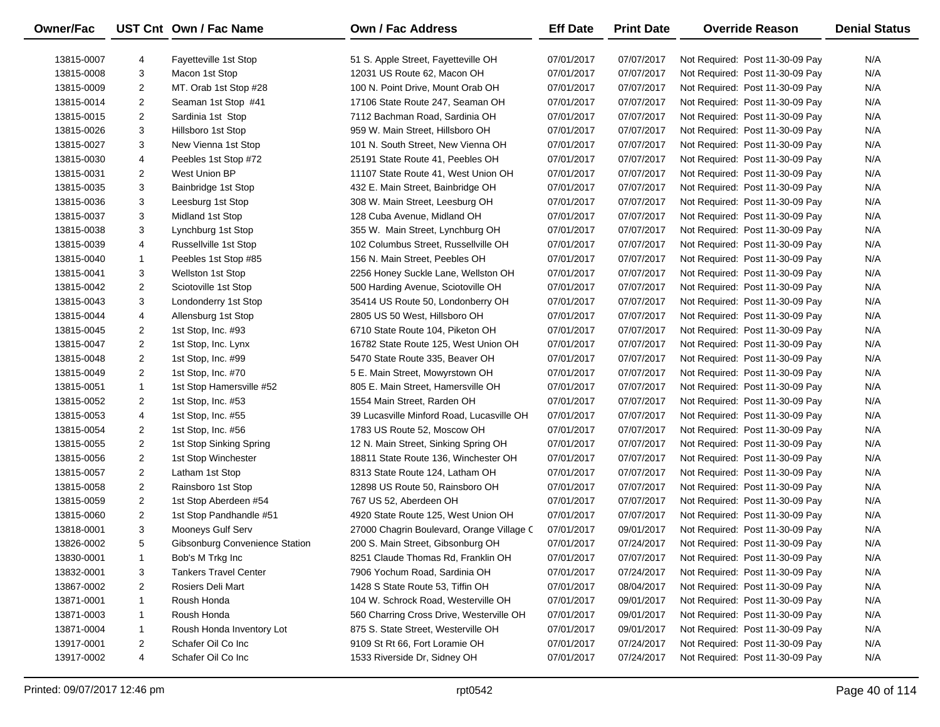| <b>Owner/Fac</b> |                | UST Cnt Own / Fac Name         | <b>Own / Fac Address</b>                  | <b>Eff Date</b> | <b>Print Date</b> | <b>Override Reason</b>          | <b>Denial Status</b> |
|------------------|----------------|--------------------------------|-------------------------------------------|-----------------|-------------------|---------------------------------|----------------------|
| 13815-0007       | 4              | Fayetteville 1st Stop          | 51 S. Apple Street, Fayetteville OH       | 07/01/2017      | 07/07/2017        | Not Required: Post 11-30-09 Pay | N/A                  |
| 13815-0008       | 3              | Macon 1st Stop                 | 12031 US Route 62, Macon OH               | 07/01/2017      | 07/07/2017        | Not Required: Post 11-30-09 Pay | N/A                  |
| 13815-0009       | 2              | MT. Orab 1st Stop #28          | 100 N. Point Drive, Mount Orab OH         | 07/01/2017      | 07/07/2017        | Not Required: Post 11-30-09 Pay | N/A                  |
| 13815-0014       | 2              | Seaman 1st Stop #41            | 17106 State Route 247, Seaman OH          | 07/01/2017      | 07/07/2017        | Not Required: Post 11-30-09 Pay | N/A                  |
| 13815-0015       | 2              | Sardinia 1st Stop              | 7112 Bachman Road, Sardinia OH            | 07/01/2017      | 07/07/2017        | Not Required: Post 11-30-09 Pay | N/A                  |
| 13815-0026       | 3              | Hillsboro 1st Stop             | 959 W. Main Street, Hillsboro OH          | 07/01/2017      | 07/07/2017        | Not Required: Post 11-30-09 Pay | N/A                  |
| 13815-0027       | 3              | New Vienna 1st Stop            | 101 N. South Street, New Vienna OH        | 07/01/2017      | 07/07/2017        | Not Required: Post 11-30-09 Pay | N/A                  |
| 13815-0030       | 4              | Peebles 1st Stop #72           | 25191 State Route 41, Peebles OH          | 07/01/2017      | 07/07/2017        | Not Required: Post 11-30-09 Pay | N/A                  |
| 13815-0031       | 2              | West Union BP                  | 11107 State Route 41, West Union OH       | 07/01/2017      | 07/07/2017        | Not Required: Post 11-30-09 Pay | N/A                  |
| 13815-0035       | 3              | Bainbridge 1st Stop            | 432 E. Main Street, Bainbridge OH         | 07/01/2017      | 07/07/2017        | Not Required: Post 11-30-09 Pay | N/A                  |
| 13815-0036       | 3              | Leesburg 1st Stop              | 308 W. Main Street, Leesburg OH           | 07/01/2017      | 07/07/2017        | Not Required: Post 11-30-09 Pay | N/A                  |
| 13815-0037       | 3              | Midland 1st Stop               | 128 Cuba Avenue, Midland OH               | 07/01/2017      | 07/07/2017        | Not Required: Post 11-30-09 Pay | N/A                  |
| 13815-0038       | 3              | Lynchburg 1st Stop             | 355 W. Main Street, Lynchburg OH          | 07/01/2017      | 07/07/2017        | Not Required: Post 11-30-09 Pay | N/A                  |
| 13815-0039       | 4              | Russellville 1st Stop          | 102 Columbus Street, Russellville OH      | 07/01/2017      | 07/07/2017        | Not Required: Post 11-30-09 Pay | N/A                  |
| 13815-0040       | $\mathbf 1$    | Peebles 1st Stop #85           | 156 N. Main Street, Peebles OH            | 07/01/2017      | 07/07/2017        | Not Required: Post 11-30-09 Pay | N/A                  |
| 13815-0041       | 3              | <b>Wellston 1st Stop</b>       | 2256 Honey Suckle Lane, Wellston OH       | 07/01/2017      | 07/07/2017        | Not Required: Post 11-30-09 Pay | N/A                  |
| 13815-0042       | 2              | Sciotoville 1st Stop           | 500 Harding Avenue, Sciotoville OH        | 07/01/2017      | 07/07/2017        | Not Required: Post 11-30-09 Pay | N/A                  |
| 13815-0043       | 3              | Londonderry 1st Stop           | 35414 US Route 50, Londonberry OH         | 07/01/2017      | 07/07/2017        | Not Required: Post 11-30-09 Pay | N/A                  |
| 13815-0044       | 4              | Allensburg 1st Stop            | 2805 US 50 West, Hillsboro OH             | 07/01/2017      | 07/07/2017        | Not Required: Post 11-30-09 Pay | N/A                  |
| 13815-0045       | 2              | 1st Stop, Inc. #93             | 6710 State Route 104, Piketon OH          | 07/01/2017      | 07/07/2017        | Not Required: Post 11-30-09 Pay | N/A                  |
| 13815-0047       | $\overline{2}$ | 1st Stop, Inc. Lynx            | 16782 State Route 125, West Union OH      | 07/01/2017      | 07/07/2017        | Not Required: Post 11-30-09 Pay | N/A                  |
| 13815-0048       | $\overline{2}$ | 1st Stop, Inc. #99             | 5470 State Route 335, Beaver OH           | 07/01/2017      | 07/07/2017        | Not Required: Post 11-30-09 Pay | N/A                  |
| 13815-0049       | 2              | 1st Stop, Inc. #70             | 5 E. Main Street, Mowyrstown OH           | 07/01/2017      | 07/07/2017        | Not Required: Post 11-30-09 Pay | N/A                  |
| 13815-0051       | $\mathbf{1}$   | 1st Stop Hamersville #52       | 805 E. Main Street, Hamersville OH        | 07/01/2017      | 07/07/2017        | Not Required: Post 11-30-09 Pay | N/A                  |
| 13815-0052       | 2              | 1st Stop, Inc. #53             | 1554 Main Street, Rarden OH               | 07/01/2017      | 07/07/2017        | Not Required: Post 11-30-09 Pay | N/A                  |
| 13815-0053       | 4              | 1st Stop, Inc. #55             | 39 Lucasville Minford Road, Lucasville OH | 07/01/2017      | 07/07/2017        | Not Required: Post 11-30-09 Pay | N/A                  |
| 13815-0054       | $\overline{2}$ | 1st Stop, Inc. #56             | 1783 US Route 52, Moscow OH               | 07/01/2017      | 07/07/2017        | Not Required: Post 11-30-09 Pay | N/A                  |
| 13815-0055       | $\overline{2}$ | 1st Stop Sinking Spring        | 12 N. Main Street, Sinking Spring OH      | 07/01/2017      | 07/07/2017        | Not Required: Post 11-30-09 Pay | N/A                  |
| 13815-0056       | $\overline{2}$ | 1st Stop Winchester            | 18811 State Route 136, Winchester OH      | 07/01/2017      | 07/07/2017        | Not Required: Post 11-30-09 Pay | N/A                  |
| 13815-0057       | $\overline{2}$ | Latham 1st Stop                | 8313 State Route 124, Latham OH           | 07/01/2017      | 07/07/2017        | Not Required: Post 11-30-09 Pay | N/A                  |
| 13815-0058       | $\overline{2}$ | Rainsboro 1st Stop             | 12898 US Route 50, Rainsboro OH           | 07/01/2017      | 07/07/2017        | Not Required: Post 11-30-09 Pay | N/A                  |
| 13815-0059       | 2              | 1st Stop Aberdeen #54          | 767 US 52, Aberdeen OH                    | 07/01/2017      | 07/07/2017        | Not Required: Post 11-30-09 Pay | N/A                  |
| 13815-0060       | $\overline{2}$ | 1st Stop Pandhandle #51        | 4920 State Route 125, West Union OH       | 07/01/2017      | 07/07/2017        | Not Required: Post 11-30-09 Pay | N/A                  |
| 13818-0001       | 3              | Mooneys Gulf Serv              | 27000 Chagrin Boulevard, Orange Village C | 07/01/2017      | 09/01/2017        | Not Required: Post 11-30-09 Pay | N/A                  |
| 13826-0002       | 5              | Gibsonburg Convenience Station | 200 S. Main Street, Gibsonburg OH         | 07/01/2017      | 07/24/2017        | Not Required: Post 11-30-09 Pay | N/A                  |
| 13830-0001       | 1              | Bob's M Trkg Inc               | 8251 Claude Thomas Rd, Franklin OH        | 07/01/2017      | 07/07/2017        | Not Required: Post 11-30-09 Pay | N/A                  |
| 13832-0001       | 3              | <b>Tankers Travel Center</b>   | 7906 Yochum Road, Sardinia OH             | 07/01/2017      | 07/24/2017        | Not Required: Post 11-30-09 Pay | N/A                  |
| 13867-0002       | 2              | Rosiers Deli Mart              | 1428 S State Route 53, Tiffin OH          | 07/01/2017      | 08/04/2017        | Not Required: Post 11-30-09 Pay | N/A                  |
| 13871-0001       | 1              | Roush Honda                    | 104 W. Schrock Road, Westerville OH       | 07/01/2017      | 09/01/2017        | Not Required: Post 11-30-09 Pay | N/A                  |
| 13871-0003       | 1              | Roush Honda                    | 560 Charring Cross Drive, Westerville OH  | 07/01/2017      | 09/01/2017        | Not Required: Post 11-30-09 Pay | N/A                  |
| 13871-0004       | 1              | Roush Honda Inventory Lot      | 875 S. State Street, Westerville OH       | 07/01/2017      | 09/01/2017        | Not Required: Post 11-30-09 Pay | N/A                  |
| 13917-0001       | 2              | Schafer Oil Co Inc             | 9109 St Rt 66, Fort Loramie OH            | 07/01/2017      | 07/24/2017        | Not Required: Post 11-30-09 Pay | N/A                  |
| 13917-0002       | 4              | Schafer Oil Co Inc             | 1533 Riverside Dr, Sidney OH              | 07/01/2017      | 07/24/2017        | Not Required: Post 11-30-09 Pay | N/A                  |
|                  |                |                                |                                           |                 |                   |                                 |                      |

-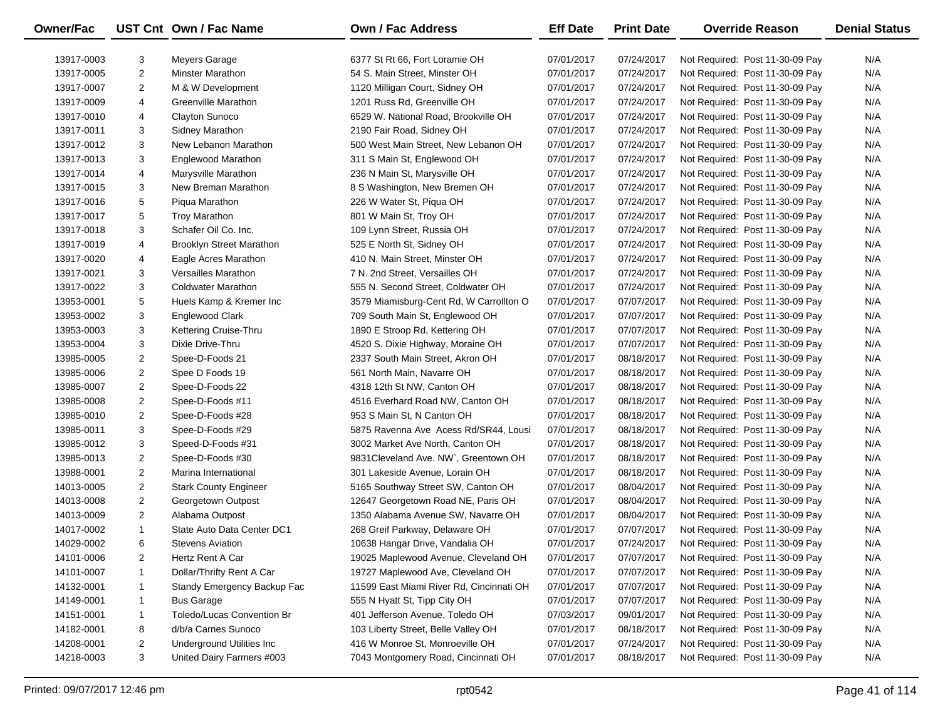| Owner/Fac  |                | UST Cnt Own / Fac Name          | <b>Own / Fac Address</b>                 | <b>Eff Date</b> | <b>Print Date</b> | <b>Override Reason</b>          | <b>Denial Status</b> |
|------------|----------------|---------------------------------|------------------------------------------|-----------------|-------------------|---------------------------------|----------------------|
| 13917-0003 | 3              | Meyers Garage                   | 6377 St Rt 66, Fort Loramie OH           | 07/01/2017      | 07/24/2017        | Not Required: Post 11-30-09 Pay | N/A                  |
| 13917-0005 | $\overline{2}$ | <b>Minster Marathon</b>         | 54 S. Main Street, Minster OH            | 07/01/2017      | 07/24/2017        | Not Required: Post 11-30-09 Pay | N/A                  |
| 13917-0007 | $\overline{2}$ | M & W Development               | 1120 Milligan Court, Sidney OH           | 07/01/2017      | 07/24/2017        | Not Required: Post 11-30-09 Pay | N/A                  |
| 13917-0009 | 4              | Greenville Marathon             | 1201 Russ Rd, Greenville OH              | 07/01/2017      | 07/24/2017        | Not Required: Post 11-30-09 Pay | N/A                  |
| 13917-0010 | 4              | Clayton Sunoco                  | 6529 W. National Road, Brookville OH     | 07/01/2017      | 07/24/2017        | Not Required: Post 11-30-09 Pay | N/A                  |
| 13917-0011 | 3              | Sidney Marathon                 | 2190 Fair Road, Sidney OH                | 07/01/2017      | 07/24/2017        | Not Required: Post 11-30-09 Pay | N/A                  |
| 13917-0012 | 3              | New Lebanon Marathon            | 500 West Main Street, New Lebanon OH     | 07/01/2017      | 07/24/2017        | Not Required: Post 11-30-09 Pay | N/A                  |
| 13917-0013 | 3              | Englewood Marathon              | 311 S Main St, Englewood OH              | 07/01/2017      | 07/24/2017        | Not Required: Post 11-30-09 Pay | N/A                  |
| 13917-0014 | 4              | Marysville Marathon             | 236 N Main St, Marysville OH             | 07/01/2017      | 07/24/2017        | Not Required: Post 11-30-09 Pay | N/A                  |
| 13917-0015 | 3              | New Breman Marathon             | 8 S Washington, New Bremen OH            | 07/01/2017      | 07/24/2017        | Not Required: Post 11-30-09 Pay | N/A                  |
| 13917-0016 | 5              | Piqua Marathon                  | 226 W Water St, Piqua OH                 | 07/01/2017      | 07/24/2017        | Not Required: Post 11-30-09 Pay | N/A                  |
| 13917-0017 | 5              | <b>Troy Marathon</b>            | 801 W Main St, Troy OH                   | 07/01/2017      | 07/24/2017        | Not Required: Post 11-30-09 Pay | N/A                  |
| 13917-0018 | 3              | Schafer Oil Co. Inc.            | 109 Lynn Street, Russia OH               | 07/01/2017      | 07/24/2017        | Not Required: Post 11-30-09 Pay | N/A                  |
| 13917-0019 | 4              | <b>Brooklyn Street Marathon</b> | 525 E North St, Sidney OH                | 07/01/2017      | 07/24/2017        | Not Required: Post 11-30-09 Pay | N/A                  |
| 13917-0020 | 4              | Eagle Acres Marathon            | 410 N. Main Street, Minster OH           | 07/01/2017      | 07/24/2017        | Not Required: Post 11-30-09 Pay | N/A                  |
| 13917-0021 | 3              | Versailles Marathon             | 7 N. 2nd Street, Versailles OH           | 07/01/2017      | 07/24/2017        | Not Required: Post 11-30-09 Pay | N/A                  |
| 13917-0022 | 3              | <b>Coldwater Marathon</b>       | 555 N. Second Street, Coldwater OH       | 07/01/2017      | 07/24/2017        | Not Required: Post 11-30-09 Pay | N/A                  |
| 13953-0001 | 5              | Huels Kamp & Kremer Inc         | 3579 Miamisburg-Cent Rd, W Carrollton O  | 07/01/2017      | 07/07/2017        | Not Required: Post 11-30-09 Pay | N/A                  |
| 13953-0002 | 3              | Englewood Clark                 | 709 South Main St, Englewood OH          | 07/01/2017      | 07/07/2017        | Not Required: Post 11-30-09 Pay | N/A                  |
| 13953-0003 | 3              | Kettering Cruise-Thru           | 1890 E Stroop Rd, Kettering OH           | 07/01/2017      | 07/07/2017        | Not Required: Post 11-30-09 Pay | N/A                  |
| 13953-0004 | 3              | Dixie Drive-Thru                | 4520 S. Dixie Highway, Moraine OH        | 07/01/2017      | 07/07/2017        | Not Required: Post 11-30-09 Pay | N/A                  |
| 13985-0005 | $\overline{2}$ | Spee-D-Foods 21                 | 2337 South Main Street, Akron OH         | 07/01/2017      | 08/18/2017        | Not Required: Post 11-30-09 Pay | N/A                  |
| 13985-0006 | $\overline{2}$ | Spee D Foods 19                 | 561 North Main, Navarre OH               | 07/01/2017      | 08/18/2017        | Not Required: Post 11-30-09 Pay | N/A                  |
| 13985-0007 | $\overline{2}$ | Spee-D-Foods 22                 | 4318 12th St NW, Canton OH               | 07/01/2017      | 08/18/2017        | Not Required: Post 11-30-09 Pay | N/A                  |
| 13985-0008 | $\overline{2}$ | Spee-D-Foods #11                | 4516 Everhard Road NW, Canton OH         | 07/01/2017      | 08/18/2017        | Not Required: Post 11-30-09 Pay | N/A                  |
| 13985-0010 | $\overline{2}$ | Spee-D-Foods #28                | 953 S Main St, N Canton OH               | 07/01/2017      | 08/18/2017        | Not Required: Post 11-30-09 Pay | N/A                  |
| 13985-0011 | 3              | Spee-D-Foods #29                | 5875 Ravenna Ave Acess Rd/SR44, Lousi    | 07/01/2017      | 08/18/2017        | Not Required: Post 11-30-09 Pay | N/A                  |
| 13985-0012 | 3              | Speed-D-Foods #31               | 3002 Market Ave North, Canton OH         | 07/01/2017      | 08/18/2017        | Not Required: Post 11-30-09 Pay | N/A                  |
| 13985-0013 | $\overline{2}$ | Spee-D-Foods #30                | 9831 Cleveland Ave. NW , Greentown OH    | 07/01/2017      | 08/18/2017        | Not Required: Post 11-30-09 Pay | N/A                  |
| 13988-0001 | $\overline{2}$ | Marina International            | 301 Lakeside Avenue, Lorain OH           | 07/01/2017      | 08/18/2017        | Not Required: Post 11-30-09 Pay | N/A                  |
| 14013-0005 | $\overline{2}$ | <b>Stark County Engineer</b>    | 5165 Southway Street SW, Canton OH       | 07/01/2017      | 08/04/2017        | Not Required: Post 11-30-09 Pay | N/A                  |
| 14013-0008 | $\overline{2}$ | Georgetown Outpost              | 12647 Georgetown Road NE, Paris OH       | 07/01/2017      | 08/04/2017        | Not Required: Post 11-30-09 Pay | N/A                  |
| 14013-0009 | $\overline{2}$ | Alabama Outpost                 | 1350 Alabama Avenue SW, Navarre OH       | 07/01/2017      | 08/04/2017        | Not Required: Post 11-30-09 Pay | N/A                  |
| 14017-0002 | $\mathbf{1}$   | State Auto Data Center DC1      | 268 Greif Parkway, Delaware OH           | 07/01/2017      | 07/07/2017        | Not Required: Post 11-30-09 Pay | N/A                  |
| 14029-0002 | 6              | <b>Stevens Aviation</b>         | 10638 Hangar Drive, Vandalia OH          | 07/01/2017      | 07/24/2017        | Not Required: Post 11-30-09 Pay | N/A                  |
| 14101-0006 | 2              | Hertz Rent A Car                | 19025 Maplewood Avenue, Cleveland OH     | 07/01/2017      | 07/07/2017        | Not Required: Post 11-30-09 Pay | N/A                  |
| 14101-0007 | 1              | Dollar/Thrifty Rent A Car       | 19727 Maplewood Ave, Cleveland OH        | 07/01/2017      | 07/07/2017        | Not Required: Post 11-30-09 Pay | N/A                  |
| 14132-0001 | 1              | Standy Emergency Backup Fac     | 11599 East Miami River Rd, Cincinnati OH | 07/01/2017      | 07/07/2017        | Not Required: Post 11-30-09 Pay | N/A                  |
| 14149-0001 | 1              | <b>Bus Garage</b>               | 555 N Hyatt St, Tipp City OH             | 07/01/2017      | 07/07/2017        | Not Required: Post 11-30-09 Pay | N/A                  |
| 14151-0001 | 1              | Toledo/Lucas Convention Br      | 401 Jefferson Avenue, Toledo OH          | 07/03/2017      | 09/01/2017        | Not Required: Post 11-30-09 Pay | N/A                  |
| 14182-0001 | 8              | d/b/a Carnes Sunoco             | 103 Liberty Street, Belle Valley OH      | 07/01/2017      | 08/18/2017        | Not Required: Post 11-30-09 Pay | N/A                  |
| 14208-0001 | $\overline{2}$ | Underground Utilities Inc       | 416 W Monroe St, Monroeville OH          | 07/01/2017      | 07/24/2017        | Not Required: Post 11-30-09 Pay | N/A                  |
| 14218-0003 | 3              | United Dairy Farmers #003       | 7043 Montgomery Road, Cincinnati OH      | 07/01/2017      | 08/18/2017        | Not Required: Post 11-30-09 Pay | N/A                  |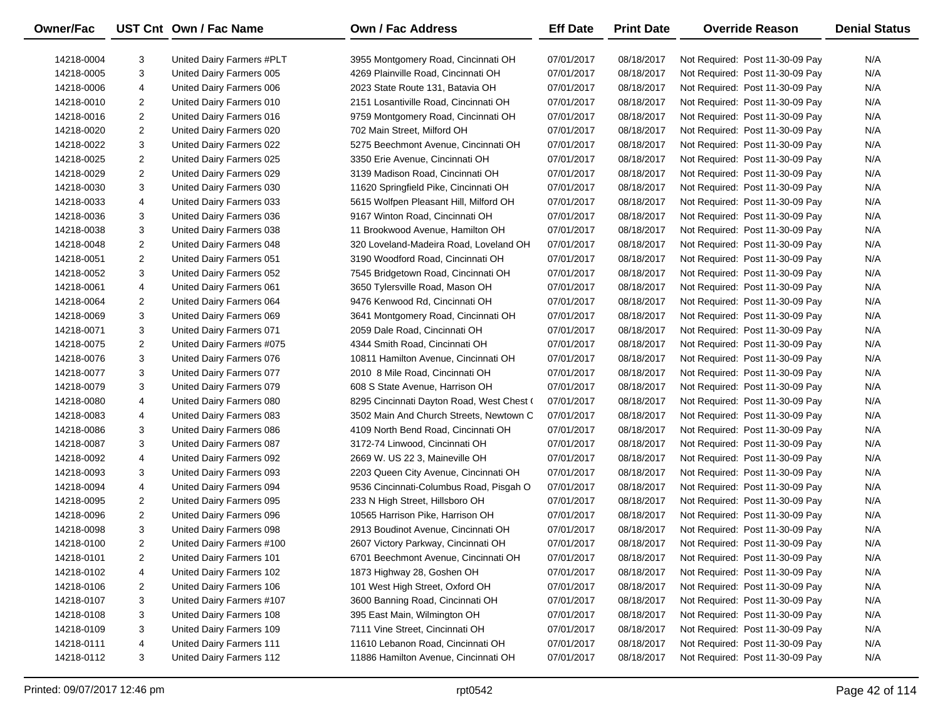| Owner/Fac  |                | UST Cnt Own / Fac Name    | <b>Own / Fac Address</b>                  | <b>Eff Date</b> | <b>Print Date</b> | <b>Override Reason</b>          | <b>Denial Status</b> |
|------------|----------------|---------------------------|-------------------------------------------|-----------------|-------------------|---------------------------------|----------------------|
| 14218-0004 | 3              | United Dairy Farmers #PLT | 3955 Montgomery Road, Cincinnati OH       | 07/01/2017      | 08/18/2017        | Not Required: Post 11-30-09 Pay | N/A                  |
| 14218-0005 | 3              | United Dairy Farmers 005  | 4269 Plainville Road, Cincinnati OH       | 07/01/2017      | 08/18/2017        | Not Required: Post 11-30-09 Pay | N/A                  |
| 14218-0006 | 4              | United Dairy Farmers 006  | 2023 State Route 131, Batavia OH          | 07/01/2017      | 08/18/2017        | Not Required: Post 11-30-09 Pay | N/A                  |
| 14218-0010 | 2              | United Dairy Farmers 010  | 2151 Losantiville Road, Cincinnati OH     | 07/01/2017      | 08/18/2017        | Not Required: Post 11-30-09 Pay | N/A                  |
| 14218-0016 | $\overline{2}$ | United Dairy Farmers 016  | 9759 Montgomery Road, Cincinnati OH       | 07/01/2017      | 08/18/2017        | Not Required: Post 11-30-09 Pay | N/A                  |
| 14218-0020 | $\overline{c}$ | United Dairy Farmers 020  | 702 Main Street, Milford OH               | 07/01/2017      | 08/18/2017        | Not Required: Post 11-30-09 Pay | N/A                  |
| 14218-0022 | 3              | United Dairy Farmers 022  | 5275 Beechmont Avenue, Cincinnati OH      | 07/01/2017      | 08/18/2017        | Not Required: Post 11-30-09 Pay | N/A                  |
| 14218-0025 | $\overline{2}$ | United Dairy Farmers 025  | 3350 Erie Avenue, Cincinnati OH           | 07/01/2017      | 08/18/2017        | Not Required: Post 11-30-09 Pay | N/A                  |
| 14218-0029 | $\overline{2}$ | United Dairy Farmers 029  | 3139 Madison Road, Cincinnati OH          | 07/01/2017      | 08/18/2017        | Not Required: Post 11-30-09 Pay | N/A                  |
| 14218-0030 | 3              | United Dairy Farmers 030  | 11620 Springfield Pike, Cincinnati OH     | 07/01/2017      | 08/18/2017        | Not Required: Post 11-30-09 Pay | N/A                  |
| 14218-0033 | 4              | United Dairy Farmers 033  | 5615 Wolfpen Pleasant Hill, Milford OH    | 07/01/2017      | 08/18/2017        | Not Required: Post 11-30-09 Pay | N/A                  |
| 14218-0036 | 3              | United Dairy Farmers 036  | 9167 Winton Road, Cincinnati OH           | 07/01/2017      | 08/18/2017        | Not Required: Post 11-30-09 Pay | N/A                  |
| 14218-0038 | 3              | United Dairy Farmers 038  | 11 Brookwood Avenue, Hamilton OH          | 07/01/2017      | 08/18/2017        | Not Required: Post 11-30-09 Pay | N/A                  |
| 14218-0048 | $\overline{2}$ | United Dairy Farmers 048  | 320 Loveland-Madeira Road, Loveland OH    | 07/01/2017      | 08/18/2017        | Not Required: Post 11-30-09 Pay | N/A                  |
| 14218-0051 | $\overline{2}$ | United Dairy Farmers 051  | 3190 Woodford Road, Cincinnati OH         | 07/01/2017      | 08/18/2017        | Not Required: Post 11-30-09 Pay | N/A                  |
| 14218-0052 | 3              | United Dairy Farmers 052  | 7545 Bridgetown Road, Cincinnati OH       | 07/01/2017      | 08/18/2017        | Not Required: Post 11-30-09 Pay | N/A                  |
| 14218-0061 | 4              | United Dairy Farmers 061  | 3650 Tylersville Road, Mason OH           | 07/01/2017      | 08/18/2017        | Not Required: Post 11-30-09 Pay | N/A                  |
| 14218-0064 | $\overline{2}$ | United Dairy Farmers 064  | 9476 Kenwood Rd, Cincinnati OH            | 07/01/2017      | 08/18/2017        | Not Required: Post 11-30-09 Pay | N/A                  |
| 14218-0069 | 3              | United Dairy Farmers 069  | 3641 Montgomery Road, Cincinnati OH       | 07/01/2017      | 08/18/2017        | Not Required: Post 11-30-09 Pay | N/A                  |
| 14218-0071 | 3              | United Dairy Farmers 071  | 2059 Dale Road, Cincinnati OH             | 07/01/2017      | 08/18/2017        | Not Required: Post 11-30-09 Pay | N/A                  |
| 14218-0075 | $\overline{2}$ | United Dairy Farmers #075 | 4344 Smith Road, Cincinnati OH            | 07/01/2017      | 08/18/2017        | Not Required: Post 11-30-09 Pay | N/A                  |
| 14218-0076 | 3              | United Dairy Farmers 076  | 10811 Hamilton Avenue, Cincinnati OH      | 07/01/2017      | 08/18/2017        | Not Required: Post 11-30-09 Pay | N/A                  |
| 14218-0077 | 3              | United Dairy Farmers 077  | 2010 8 Mile Road, Cincinnati OH           | 07/01/2017      | 08/18/2017        | Not Required: Post 11-30-09 Pay | N/A                  |
| 14218-0079 | 3              | United Dairy Farmers 079  | 608 S State Avenue, Harrison OH           | 07/01/2017      | 08/18/2017        | Not Required: Post 11-30-09 Pay | N/A                  |
| 14218-0080 | 4              | United Dairy Farmers 080  | 8295 Cincinnati Dayton Road, West Chest ( | 07/01/2017      | 08/18/2017        | Not Required: Post 11-30-09 Pay | N/A                  |
| 14218-0083 | 4              | United Dairy Farmers 083  | 3502 Main And Church Streets, Newtown C   | 07/01/2017      | 08/18/2017        | Not Required: Post 11-30-09 Pay | N/A                  |
| 14218-0086 | 3              | United Dairy Farmers 086  | 4109 North Bend Road, Cincinnati OH       | 07/01/2017      | 08/18/2017        | Not Required: Post 11-30-09 Pay | N/A                  |
| 14218-0087 | 3              | United Dairy Farmers 087  | 3172-74 Linwood, Cincinnati OH            | 07/01/2017      | 08/18/2017        | Not Required: Post 11-30-09 Pay | N/A                  |
| 14218-0092 | 4              | United Dairy Farmers 092  | 2669 W. US 22 3, Maineville OH            | 07/01/2017      | 08/18/2017        | Not Required: Post 11-30-09 Pay | N/A                  |
| 14218-0093 | 3              | United Dairy Farmers 093  | 2203 Queen City Avenue, Cincinnati OH     | 07/01/2017      | 08/18/2017        | Not Required: Post 11-30-09 Pay | N/A                  |
| 14218-0094 | 4              | United Dairy Farmers 094  | 9536 Cincinnati-Columbus Road, Pisgah O   | 07/01/2017      | 08/18/2017        | Not Required: Post 11-30-09 Pay | N/A                  |
| 14218-0095 | $\overline{2}$ | United Dairy Farmers 095  | 233 N High Street, Hillsboro OH           | 07/01/2017      | 08/18/2017        | Not Required: Post 11-30-09 Pay | N/A                  |
| 14218-0096 | $\overline{2}$ | United Dairy Farmers 096  | 10565 Harrison Pike, Harrison OH          | 07/01/2017      | 08/18/2017        | Not Required: Post 11-30-09 Pay | N/A                  |
| 14218-0098 | 3              | United Dairy Farmers 098  | 2913 Boudinot Avenue, Cincinnati OH       | 07/01/2017      | 08/18/2017        | Not Required: Post 11-30-09 Pay | N/A                  |
| 14218-0100 | 2              | United Dairy Farmers #100 | 2607 Victory Parkway, Cincinnati OH       | 07/01/2017      | 08/18/2017        | Not Required: Post 11-30-09 Pay | N/A                  |
| 14218-0101 | 2              | United Dairy Farmers 101  | 6701 Beechmont Avenue, Cincinnati OH      | 07/01/2017      | 08/18/2017        | Not Required: Post 11-30-09 Pay | N/A                  |
| 14218-0102 | 4              | United Dairy Farmers 102  | 1873 Highway 28, Goshen OH                | 07/01/2017      | 08/18/2017        | Not Required: Post 11-30-09 Pay | N/A                  |
| 14218-0106 | 2              | United Dairy Farmers 106  | 101 West High Street, Oxford OH           | 07/01/2017      | 08/18/2017        | Not Required: Post 11-30-09 Pay | N/A                  |
| 14218-0107 | 3              | United Dairy Farmers #107 | 3600 Banning Road, Cincinnati OH          | 07/01/2017      | 08/18/2017        | Not Required: Post 11-30-09 Pay | N/A                  |
| 14218-0108 | 3              | United Dairy Farmers 108  | 395 East Main, Wilmington OH              | 07/01/2017      | 08/18/2017        | Not Required: Post 11-30-09 Pay | N/A                  |
| 14218-0109 | 3              | United Dairy Farmers 109  | 7111 Vine Street, Cincinnati OH           | 07/01/2017      | 08/18/2017        | Not Required: Post 11-30-09 Pay | N/A                  |
| 14218-0111 | 4              | United Dairy Farmers 111  | 11610 Lebanon Road, Cincinnati OH         | 07/01/2017      | 08/18/2017        | Not Required: Post 11-30-09 Pay | N/A                  |
| 14218-0112 | 3              | United Dairy Farmers 112  | 11886 Hamilton Avenue, Cincinnati OH      | 07/01/2017      | 08/18/2017        | Not Required: Post 11-30-09 Pay | N/A                  |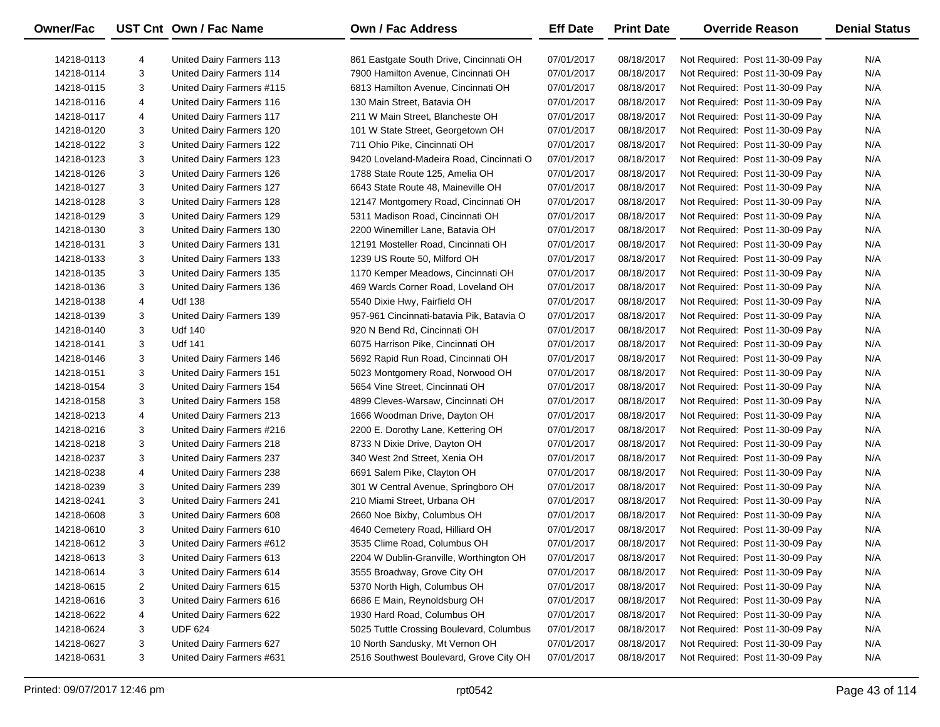| <b>Owner/Fac</b> |   | UST Cnt Own / Fac Name    | <b>Own / Fac Address</b>                  | <b>Eff Date</b> | <b>Print Date</b> | <b>Override Reason</b>          | <b>Denial Status</b> |
|------------------|---|---------------------------|-------------------------------------------|-----------------|-------------------|---------------------------------|----------------------|
| 14218-0113       | 4 | United Dairy Farmers 113  | 861 Eastgate South Drive, Cincinnati OH   | 07/01/2017      | 08/18/2017        | Not Required: Post 11-30-09 Pay | N/A                  |
| 14218-0114       | 3 | United Dairy Farmers 114  | 7900 Hamilton Avenue, Cincinnati OH       | 07/01/2017      | 08/18/2017        | Not Required: Post 11-30-09 Pay | N/A                  |
| 14218-0115       | 3 | United Dairy Farmers #115 | 6813 Hamilton Avenue, Cincinnati OH       | 07/01/2017      | 08/18/2017        | Not Required: Post 11-30-09 Pay | N/A                  |
| 14218-0116       | 4 | United Dairy Farmers 116  | 130 Main Street, Batavia OH               | 07/01/2017      | 08/18/2017        | Not Required: Post 11-30-09 Pay | N/A                  |
| 14218-0117       | 4 | United Dairy Farmers 117  | 211 W Main Street, Blancheste OH          | 07/01/2017      | 08/18/2017        | Not Required: Post 11-30-09 Pay | N/A                  |
| 14218-0120       | 3 | United Dairy Farmers 120  | 101 W State Street, Georgetown OH         | 07/01/2017      | 08/18/2017        | Not Required: Post 11-30-09 Pay | N/A                  |
| 14218-0122       | 3 | United Dairy Farmers 122  | 711 Ohio Pike, Cincinnati OH              | 07/01/2017      | 08/18/2017        | Not Required: Post 11-30-09 Pay | N/A                  |
| 14218-0123       | 3 | United Dairy Farmers 123  | 9420 Loveland-Madeira Road, Cincinnati O  | 07/01/2017      | 08/18/2017        | Not Required: Post 11-30-09 Pay | N/A                  |
| 14218-0126       | 3 | United Dairy Farmers 126  | 1788 State Route 125, Amelia OH           | 07/01/2017      | 08/18/2017        | Not Required: Post 11-30-09 Pay | N/A                  |
| 14218-0127       | 3 | United Dairy Farmers 127  | 6643 State Route 48, Maineville OH        | 07/01/2017      | 08/18/2017        | Not Required: Post 11-30-09 Pay | N/A                  |
| 14218-0128       | 3 | United Dairy Farmers 128  | 12147 Montgomery Road, Cincinnati OH      | 07/01/2017      | 08/18/2017        | Not Required: Post 11-30-09 Pay | N/A                  |
| 14218-0129       | 3 | United Dairy Farmers 129  | 5311 Madison Road, Cincinnati OH          | 07/01/2017      | 08/18/2017        | Not Required: Post 11-30-09 Pay | N/A                  |
| 14218-0130       | 3 | United Dairy Farmers 130  | 2200 Winemiller Lane, Batavia OH          | 07/01/2017      | 08/18/2017        | Not Required: Post 11-30-09 Pay | N/A                  |
| 14218-0131       | 3 | United Dairy Farmers 131  | 12191 Mosteller Road, Cincinnati OH       | 07/01/2017      | 08/18/2017        | Not Required: Post 11-30-09 Pay | N/A                  |
| 14218-0133       | 3 | United Dairy Farmers 133  | 1239 US Route 50, Milford OH              | 07/01/2017      | 08/18/2017        | Not Required: Post 11-30-09 Pay | N/A                  |
| 14218-0135       | 3 | United Dairy Farmers 135  | 1170 Kemper Meadows, Cincinnati OH        | 07/01/2017      | 08/18/2017        | Not Required: Post 11-30-09 Pay | N/A                  |
| 14218-0136       | 3 | United Dairy Farmers 136  | 469 Wards Corner Road, Loveland OH        | 07/01/2017      | 08/18/2017        | Not Required: Post 11-30-09 Pay | N/A                  |
| 14218-0138       | 4 | <b>Udf 138</b>            | 5540 Dixie Hwy, Fairfield OH              | 07/01/2017      | 08/18/2017        | Not Required: Post 11-30-09 Pay | N/A                  |
| 14218-0139       | 3 | United Dairy Farmers 139  | 957-961 Cincinnati-batavia Pik, Batavia O | 07/01/2017      | 08/18/2017        | Not Required: Post 11-30-09 Pay | N/A                  |
| 14218-0140       | 3 | <b>Udf 140</b>            | 920 N Bend Rd, Cincinnati OH              | 07/01/2017      | 08/18/2017        | Not Required: Post 11-30-09 Pay | N/A                  |
| 14218-0141       | 3 | <b>Udf 141</b>            | 6075 Harrison Pike, Cincinnati OH         | 07/01/2017      | 08/18/2017        | Not Required: Post 11-30-09 Pay | N/A                  |
| 14218-0146       | 3 | United Dairy Farmers 146  | 5692 Rapid Run Road, Cincinnati OH        | 07/01/2017      | 08/18/2017        | Not Required: Post 11-30-09 Pay | N/A                  |
| 14218-0151       | 3 | United Dairy Farmers 151  | 5023 Montgomery Road, Norwood OH          | 07/01/2017      | 08/18/2017        | Not Required: Post 11-30-09 Pay | N/A                  |
| 14218-0154       | 3 | United Dairy Farmers 154  | 5654 Vine Street, Cincinnati OH           | 07/01/2017      | 08/18/2017        | Not Required: Post 11-30-09 Pay | N/A                  |
| 14218-0158       | 3 | United Dairy Farmers 158  | 4899 Cleves-Warsaw, Cincinnati OH         | 07/01/2017      | 08/18/2017        | Not Required: Post 11-30-09 Pay | N/A                  |
| 14218-0213       | 4 | United Dairy Farmers 213  | 1666 Woodman Drive, Dayton OH             | 07/01/2017      | 08/18/2017        | Not Required: Post 11-30-09 Pay | N/A                  |
| 14218-0216       | 3 | United Dairy Farmers #216 | 2200 E. Dorothy Lane, Kettering OH        | 07/01/2017      | 08/18/2017        | Not Required: Post 11-30-09 Pay | N/A                  |
| 14218-0218       | 3 | United Dairy Farmers 218  | 8733 N Dixie Drive, Dayton OH             | 07/01/2017      | 08/18/2017        | Not Required: Post 11-30-09 Pay | N/A                  |
| 14218-0237       | 3 | United Dairy Farmers 237  | 340 West 2nd Street, Xenia OH             | 07/01/2017      | 08/18/2017        | Not Required: Post 11-30-09 Pay | N/A                  |
| 14218-0238       | 4 | United Dairy Farmers 238  | 6691 Salem Pike, Clayton OH               | 07/01/2017      | 08/18/2017        | Not Required: Post 11-30-09 Pay | N/A                  |
| 14218-0239       | 3 | United Dairy Farmers 239  | 301 W Central Avenue, Springboro OH       | 07/01/2017      | 08/18/2017        | Not Required: Post 11-30-09 Pay | N/A                  |
| 14218-0241       | 3 | United Dairy Farmers 241  | 210 Miami Street, Urbana OH               | 07/01/2017      | 08/18/2017        | Not Required: Post 11-30-09 Pay | N/A                  |
| 14218-0608       | 3 | United Dairy Farmers 608  | 2660 Noe Bixby, Columbus OH               | 07/01/2017      | 08/18/2017        | Not Required: Post 11-30-09 Pay | N/A                  |
| 14218-0610       | 3 | United Dairy Farmers 610  | 4640 Cemetery Road, Hilliard OH           | 07/01/2017      | 08/18/2017        | Not Required: Post 11-30-09 Pay | N/A                  |
| 14218-0612       | 3 | United Dairy Farmers #612 | 3535 Clime Road, Columbus OH              | 07/01/2017      | 08/18/2017        | Not Required: Post 11-30-09 Pay | N/A                  |
| 14218-0613       | 3 | United Dairy Farmers 613  | 2204 W Dublin-Granville, Worthington OH   | 07/01/2017      | 08/18/2017        | Not Required: Post 11-30-09 Pay | N/A                  |
| 14218-0614       | 3 | United Dairy Farmers 614  | 3555 Broadway, Grove City OH              | 07/01/2017      | 08/18/2017        | Not Required: Post 11-30-09 Pay | N/A                  |
| 14218-0615       | 2 | United Dairy Farmers 615  | 5370 North High, Columbus OH              | 07/01/2017      | 08/18/2017        | Not Required: Post 11-30-09 Pay | N/A                  |
| 14218-0616       | 3 | United Dairy Farmers 616  | 6686 E Main, Reynoldsburg OH              | 07/01/2017      | 08/18/2017        | Not Required: Post 11-30-09 Pay | N/A                  |
| 14218-0622       | 4 | United Dairy Farmers 622  | 1930 Hard Road, Columbus OH               | 07/01/2017      | 08/18/2017        | Not Required: Post 11-30-09 Pay | N/A                  |
| 14218-0624       | 3 | <b>UDF 624</b>            | 5025 Tuttle Crossing Boulevard, Columbus  | 07/01/2017      | 08/18/2017        | Not Required: Post 11-30-09 Pay | N/A                  |
| 14218-0627       | 3 | United Dairy Farmers 627  | 10 North Sandusky, Mt Vernon OH           | 07/01/2017      | 08/18/2017        | Not Required: Post 11-30-09 Pay | N/A                  |
| 14218-0631       | 3 | United Dairy Farmers #631 | 2516 Southwest Boulevard, Grove City OH   | 07/01/2017      | 08/18/2017        | Not Required: Post 11-30-09 Pay | N/A                  |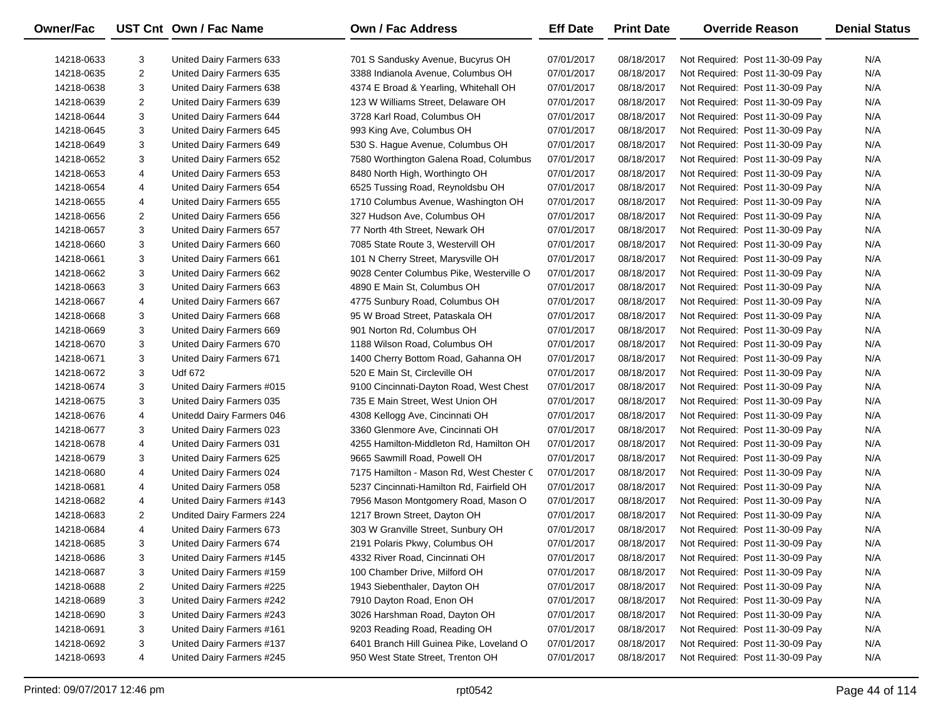| Owner/Fac  |                | UST Cnt Own / Fac Name    | <b>Own / Fac Address</b>                  | <b>Eff Date</b> | <b>Print Date</b> | <b>Override Reason</b>          | <b>Denial Status</b> |
|------------|----------------|---------------------------|-------------------------------------------|-----------------|-------------------|---------------------------------|----------------------|
| 14218-0633 | 3              | United Dairy Farmers 633  | 701 S Sandusky Avenue, Bucyrus OH         | 07/01/2017      | 08/18/2017        | Not Required: Post 11-30-09 Pay | N/A                  |
| 14218-0635 | 2              | United Dairy Farmers 635  | 3388 Indianola Avenue, Columbus OH        | 07/01/2017      | 08/18/2017        | Not Required: Post 11-30-09 Pay | N/A                  |
| 14218-0638 | 3              | United Dairy Farmers 638  | 4374 E Broad & Yearling, Whitehall OH     | 07/01/2017      | 08/18/2017        | Not Required: Post 11-30-09 Pay | N/A                  |
| 14218-0639 | 2              | United Dairy Farmers 639  | 123 W Williams Street, Delaware OH        | 07/01/2017      | 08/18/2017        | Not Required: Post 11-30-09 Pay | N/A                  |
| 14218-0644 | 3              | United Dairy Farmers 644  | 3728 Karl Road, Columbus OH               | 07/01/2017      | 08/18/2017        | Not Required: Post 11-30-09 Pay | N/A                  |
| 14218-0645 | 3              | United Dairy Farmers 645  | 993 King Ave, Columbus OH                 | 07/01/2017      | 08/18/2017        | Not Required: Post 11-30-09 Pay | N/A                  |
| 14218-0649 | 3              | United Dairy Farmers 649  | 530 S. Hague Avenue, Columbus OH          | 07/01/2017      | 08/18/2017        | Not Required: Post 11-30-09 Pay | N/A                  |
| 14218-0652 | 3              | United Dairy Farmers 652  | 7580 Worthington Galena Road, Columbus    | 07/01/2017      | 08/18/2017        | Not Required: Post 11-30-09 Pay | N/A                  |
| 14218-0653 | 4              | United Dairy Farmers 653  | 8480 North High, Worthingto OH            | 07/01/2017      | 08/18/2017        | Not Required: Post 11-30-09 Pay | N/A                  |
| 14218-0654 | 4              | United Dairy Farmers 654  | 6525 Tussing Road, Reynoldsbu OH          | 07/01/2017      | 08/18/2017        | Not Required: Post 11-30-09 Pay | N/A                  |
| 14218-0655 | 4              | United Dairy Farmers 655  | 1710 Columbus Avenue, Washington OH       | 07/01/2017      | 08/18/2017        | Not Required: Post 11-30-09 Pay | N/A                  |
| 14218-0656 | $\overline{2}$ | United Dairy Farmers 656  | 327 Hudson Ave, Columbus OH               | 07/01/2017      | 08/18/2017        | Not Required: Post 11-30-09 Pay | N/A                  |
| 14218-0657 | 3              | United Dairy Farmers 657  | 77 North 4th Street, Newark OH            | 07/01/2017      | 08/18/2017        | Not Required: Post 11-30-09 Pay | N/A                  |
| 14218-0660 | 3              | United Dairy Farmers 660  | 7085 State Route 3, Westervill OH         | 07/01/2017      | 08/18/2017        | Not Required: Post 11-30-09 Pay | N/A                  |
| 14218-0661 | 3              | United Dairy Farmers 661  | 101 N Cherry Street, Marysville OH        | 07/01/2017      | 08/18/2017        | Not Required: Post 11-30-09 Pay | N/A                  |
| 14218-0662 | 3              | United Dairy Farmers 662  | 9028 Center Columbus Pike, Westerville O  | 07/01/2017      | 08/18/2017        | Not Required: Post 11-30-09 Pay | N/A                  |
| 14218-0663 | 3              | United Dairy Farmers 663  | 4890 E Main St, Columbus OH               | 07/01/2017      | 08/18/2017        | Not Required: Post 11-30-09 Pay | N/A                  |
| 14218-0667 | 4              | United Dairy Farmers 667  | 4775 Sunbury Road, Columbus OH            | 07/01/2017      | 08/18/2017        | Not Required: Post 11-30-09 Pay | N/A                  |
| 14218-0668 | 3              | United Dairy Farmers 668  | 95 W Broad Street, Pataskala OH           | 07/01/2017      | 08/18/2017        | Not Required: Post 11-30-09 Pay | N/A                  |
| 14218-0669 | 3              | United Dairy Farmers 669  | 901 Norton Rd, Columbus OH                | 07/01/2017      | 08/18/2017        | Not Required: Post 11-30-09 Pay | N/A                  |
| 14218-0670 | 3              | United Dairy Farmers 670  | 1188 Wilson Road, Columbus OH             | 07/01/2017      | 08/18/2017        | Not Required: Post 11-30-09 Pay | N/A                  |
| 14218-0671 | 3              | United Dairy Farmers 671  | 1400 Cherry Bottom Road, Gahanna OH       | 07/01/2017      | 08/18/2017        | Not Required: Post 11-30-09 Pay | N/A                  |
| 14218-0672 | 3              | <b>Udf 672</b>            | 520 E Main St, Circleville OH             | 07/01/2017      | 08/18/2017        | Not Required: Post 11-30-09 Pay | N/A                  |
| 14218-0674 | 3              | United Dairy Farmers #015 | 9100 Cincinnati-Dayton Road, West Chest   | 07/01/2017      | 08/18/2017        | Not Required: Post 11-30-09 Pay | N/A                  |
| 14218-0675 | 3              | United Dairy Farmers 035  | 735 E Main Street, West Union OH          | 07/01/2017      | 08/18/2017        | Not Required: Post 11-30-09 Pay | N/A                  |
| 14218-0676 | 4              | Unitedd Dairy Farmers 046 | 4308 Kellogg Ave, Cincinnati OH           | 07/01/2017      | 08/18/2017        | Not Required: Post 11-30-09 Pay | N/A                  |
| 14218-0677 | 3              | United Dairy Farmers 023  | 3360 Glenmore Ave, Cincinnati OH          | 07/01/2017      | 08/18/2017        | Not Required: Post 11-30-09 Pay | N/A                  |
| 14218-0678 | 4              | United Dairy Farmers 031  | 4255 Hamilton-Middleton Rd, Hamilton OH   | 07/01/2017      | 08/18/2017        | Not Required: Post 11-30-09 Pay | N/A                  |
| 14218-0679 | 3              | United Dairy Farmers 625  | 9665 Sawmill Road, Powell OH              | 07/01/2017      | 08/18/2017        | Not Required: Post 11-30-09 Pay | N/A                  |
| 14218-0680 | 4              | United Dairy Farmers 024  | 7175 Hamilton - Mason Rd, West Chester C  | 07/01/2017      | 08/18/2017        | Not Required: Post 11-30-09 Pay | N/A                  |
| 14218-0681 | 4              | United Dairy Farmers 058  | 5237 Cincinnati-Hamilton Rd, Fairfield OH | 07/01/2017      | 08/18/2017        | Not Required: Post 11-30-09 Pay | N/A                  |
| 14218-0682 | 4              | United Dairy Farmers #143 | 7956 Mason Montgomery Road, Mason O       | 07/01/2017      | 08/18/2017        | Not Required: Post 11-30-09 Pay | N/A                  |
| 14218-0683 | $\overline{2}$ | Undited Dairy Farmers 224 | 1217 Brown Street, Dayton OH              | 07/01/2017      | 08/18/2017        | Not Required: Post 11-30-09 Pay | N/A                  |
| 14218-0684 | 4              | United Dairy Farmers 673  | 303 W Granville Street, Sunbury OH        | 07/01/2017      | 08/18/2017        | Not Required: Post 11-30-09 Pay | N/A                  |
| 14218-0685 | 3              | United Dairy Farmers 674  | 2191 Polaris Pkwy, Columbus OH            | 07/01/2017      | 08/18/2017        | Not Required: Post 11-30-09 Pay | N/A                  |
| 14218-0686 | 3              | United Dairy Farmers #145 | 4332 River Road, Cincinnati OH            | 07/01/2017      | 08/18/2017        | Not Required: Post 11-30-09 Pay | N/A                  |
| 14218-0687 | 3              | United Dairy Farmers #159 | 100 Chamber Drive, Milford OH             | 07/01/2017      | 08/18/2017        | Not Required: Post 11-30-09 Pay | N/A                  |
| 14218-0688 | $\overline{c}$ | United Dairy Farmers #225 | 1943 Siebenthaler, Dayton OH              | 07/01/2017      | 08/18/2017        | Not Required: Post 11-30-09 Pay | N/A                  |
| 14218-0689 | 3              | United Dairy Farmers #242 | 7910 Dayton Road, Enon OH                 | 07/01/2017      | 08/18/2017        | Not Required: Post 11-30-09 Pay | N/A                  |
| 14218-0690 | 3              | United Dairy Farmers #243 | 3026 Harshman Road, Dayton OH             | 07/01/2017      | 08/18/2017        | Not Required: Post 11-30-09 Pay | N/A                  |
| 14218-0691 | 3              | United Dairy Farmers #161 | 9203 Reading Road, Reading OH             | 07/01/2017      | 08/18/2017        | Not Required: Post 11-30-09 Pay | N/A                  |
| 14218-0692 | 3              | United Dairy Farmers #137 | 6401 Branch Hill Guinea Pike, Loveland O  | 07/01/2017      | 08/18/2017        | Not Required: Post 11-30-09 Pay | N/A                  |
| 14218-0693 | 4              | United Dairy Farmers #245 | 950 West State Street, Trenton OH         | 07/01/2017      | 08/18/2017        | Not Required: Post 11-30-09 Pay | N/A                  |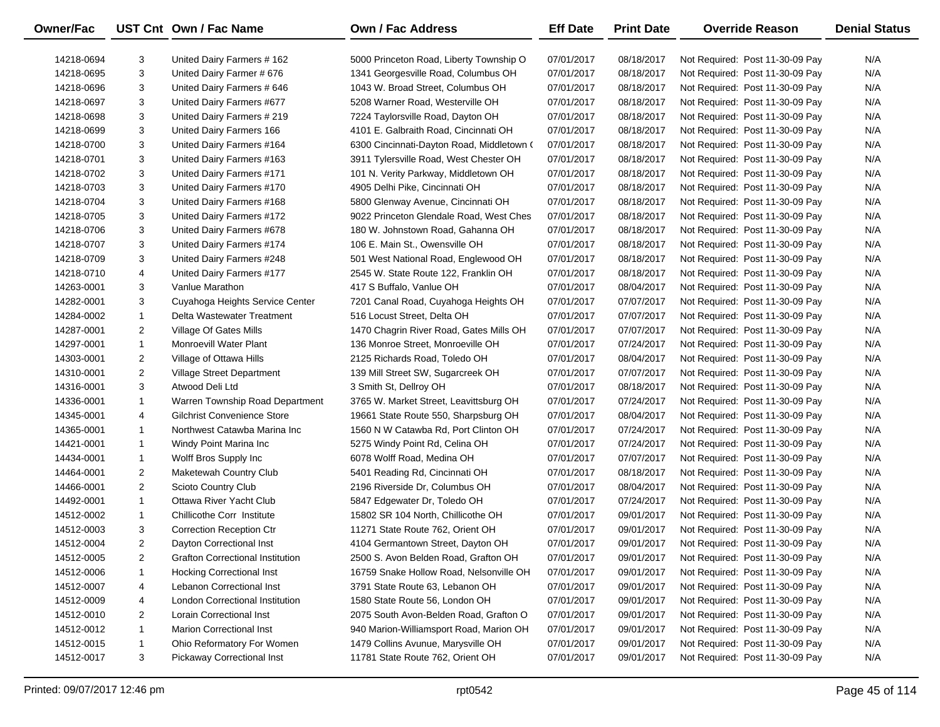| Owner/Fac  |                | UST Cnt Own / Fac Name                  | Own / Fac Address                         | <b>Eff Date</b> | <b>Print Date</b> | <b>Override Reason</b>          | <b>Denial Status</b> |
|------------|----------------|-----------------------------------------|-------------------------------------------|-----------------|-------------------|---------------------------------|----------------------|
| 14218-0694 | 3              | United Dairy Farmers # 162              | 5000 Princeton Road, Liberty Township O   | 07/01/2017      | 08/18/2017        | Not Required: Post 11-30-09 Pay | N/A                  |
| 14218-0695 | 3              | United Dairy Farmer # 676               | 1341 Georgesville Road, Columbus OH       | 07/01/2017      | 08/18/2017        | Not Required: Post 11-30-09 Pay | N/A                  |
| 14218-0696 | 3              | United Dairy Farmers # 646              | 1043 W. Broad Street, Columbus OH         | 07/01/2017      | 08/18/2017        | Not Required: Post 11-30-09 Pay | N/A                  |
| 14218-0697 | 3              | United Dairy Farmers #677               | 5208 Warner Road, Westerville OH          | 07/01/2017      | 08/18/2017        | Not Required: Post 11-30-09 Pay | N/A                  |
| 14218-0698 | 3              | United Dairy Farmers # 219              | 7224 Taylorsville Road, Dayton OH         | 07/01/2017      | 08/18/2017        | Not Required: Post 11-30-09 Pay | N/A                  |
| 14218-0699 | 3              | United Dairy Farmers 166                | 4101 E. Galbraith Road, Cincinnati OH     | 07/01/2017      | 08/18/2017        | Not Required: Post 11-30-09 Pay | N/A                  |
| 14218-0700 | 3              | United Dairy Farmers #164               | 6300 Cincinnati-Dayton Road, Middletown ( | 07/01/2017      | 08/18/2017        | Not Required: Post 11-30-09 Pay | N/A                  |
| 14218-0701 | 3              | United Dairy Farmers #163               | 3911 Tylersville Road, West Chester OH    | 07/01/2017      | 08/18/2017        | Not Required: Post 11-30-09 Pay | N/A                  |
| 14218-0702 | 3              | United Dairy Farmers #171               | 101 N. Verity Parkway, Middletown OH      | 07/01/2017      | 08/18/2017        | Not Required: Post 11-30-09 Pay | N/A                  |
| 14218-0703 | 3              | United Dairy Farmers #170               | 4905 Delhi Pike, Cincinnati OH            | 07/01/2017      | 08/18/2017        | Not Required: Post 11-30-09 Pay | N/A                  |
| 14218-0704 | 3              | United Dairy Farmers #168               | 5800 Glenway Avenue, Cincinnati OH        | 07/01/2017      | 08/18/2017        | Not Required: Post 11-30-09 Pay | N/A                  |
| 14218-0705 | 3              | United Dairy Farmers #172               | 9022 Princeton Glendale Road, West Ches   | 07/01/2017      | 08/18/2017        | Not Required: Post 11-30-09 Pay | N/A                  |
| 14218-0706 | 3              | United Dairy Farmers #678               | 180 W. Johnstown Road, Gahanna OH         | 07/01/2017      | 08/18/2017        | Not Required: Post 11-30-09 Pay | N/A                  |
| 14218-0707 | 3              | United Dairy Farmers #174               | 106 E. Main St., Owensville OH            | 07/01/2017      | 08/18/2017        | Not Required: Post 11-30-09 Pay | N/A                  |
| 14218-0709 | 3              | United Dairy Farmers #248               | 501 West National Road, Englewood OH      | 07/01/2017      | 08/18/2017        | Not Required: Post 11-30-09 Pay | N/A                  |
| 14218-0710 | 4              | United Dairy Farmers #177               | 2545 W. State Route 122, Franklin OH      | 07/01/2017      | 08/18/2017        | Not Required: Post 11-30-09 Pay | N/A                  |
| 14263-0001 | 3              | Vanlue Marathon                         | 417 S Buffalo, Vanlue OH                  | 07/01/2017      | 08/04/2017        | Not Required: Post 11-30-09 Pay | N/A                  |
| 14282-0001 | 3              | Cuyahoga Heights Service Center         | 7201 Canal Road, Cuyahoga Heights OH      | 07/01/2017      | 07/07/2017        | Not Required: Post 11-30-09 Pay | N/A                  |
| 14284-0002 | $\mathbf{1}$   | Delta Wastewater Treatment              | 516 Locust Street, Delta OH               | 07/01/2017      | 07/07/2017        | Not Required: Post 11-30-09 Pay | N/A                  |
| 14287-0001 | $\overline{2}$ | Village Of Gates Mills                  | 1470 Chagrin River Road, Gates Mills OH   | 07/01/2017      | 07/07/2017        | Not Required: Post 11-30-09 Pay | N/A                  |
| 14297-0001 | $\mathbf{1}$   | <b>Monroevill Water Plant</b>           | 136 Monroe Street, Monroeville OH         | 07/01/2017      | 07/24/2017        | Not Required: Post 11-30-09 Pay | N/A                  |
| 14303-0001 | $\overline{2}$ | Village of Ottawa Hills                 | 2125 Richards Road, Toledo OH             | 07/01/2017      | 08/04/2017        | Not Required: Post 11-30-09 Pay | N/A                  |
| 14310-0001 | $\overline{2}$ | Village Street Department               | 139 Mill Street SW, Sugarcreek OH         | 07/01/2017      | 07/07/2017        | Not Required: Post 11-30-09 Pay | N/A                  |
| 14316-0001 | 3              | Atwood Deli Ltd                         | 3 Smith St, Dellroy OH                    | 07/01/2017      | 08/18/2017        | Not Required: Post 11-30-09 Pay | N/A                  |
| 14336-0001 | $\mathbf{1}$   | Warren Township Road Department         | 3765 W. Market Street, Leavittsburg OH    | 07/01/2017      | 07/24/2017        | Not Required: Post 11-30-09 Pay | N/A                  |
| 14345-0001 | 4              | <b>Gilchrist Convenience Store</b>      | 19661 State Route 550, Sharpsburg OH      | 07/01/2017      | 08/04/2017        | Not Required: Post 11-30-09 Pay | N/A                  |
| 14365-0001 | $\mathbf{1}$   | Northwest Catawba Marina Inc            | 1560 N W Catawba Rd, Port Clinton OH      | 07/01/2017      | 07/24/2017        | Not Required: Post 11-30-09 Pay | N/A                  |
| 14421-0001 | $\mathbf{1}$   | Windy Point Marina Inc                  | 5275 Windy Point Rd, Celina OH            | 07/01/2017      | 07/24/2017        | Not Required: Post 11-30-09 Pay | N/A                  |
| 14434-0001 | $\mathbf{1}$   | Wolff Bros Supply Inc                   | 6078 Wolff Road, Medina OH                | 07/01/2017      | 07/07/2017        | Not Required: Post 11-30-09 Pay | N/A                  |
| 14464-0001 | $\overline{2}$ | Maketewah Country Club                  | 5401 Reading Rd, Cincinnati OH            | 07/01/2017      | 08/18/2017        | Not Required: Post 11-30-09 Pay | N/A                  |
| 14466-0001 | $\overline{2}$ | Scioto Country Club                     | 2196 Riverside Dr, Columbus OH            | 07/01/2017      | 08/04/2017        | Not Required: Post 11-30-09 Pay | N/A                  |
| 14492-0001 | $\mathbf{1}$   | Ottawa River Yacht Club                 | 5847 Edgewater Dr, Toledo OH              | 07/01/2017      | 07/24/2017        | Not Required: Post 11-30-09 Pay | N/A                  |
| 14512-0002 | $\mathbf{1}$   | Chillicothe Corr Institute              | 15802 SR 104 North, Chillicothe OH        | 07/01/2017      | 09/01/2017        | Not Required: Post 11-30-09 Pay | N/A                  |
| 14512-0003 | 3              | <b>Correction Reception Ctr</b>         | 11271 State Route 762, Orient OH          | 07/01/2017      | 09/01/2017        | Not Required: Post 11-30-09 Pay | N/A                  |
| 14512-0004 | $\overline{2}$ | Dayton Correctional Inst                | 4104 Germantown Street, Dayton OH         | 07/01/2017      | 09/01/2017        | Not Required: Post 11-30-09 Pay | N/A                  |
| 14512-0005 | 2              | <b>Grafton Correctional Institution</b> | 2500 S. Avon Belden Road, Grafton OH      | 07/01/2017      | 09/01/2017        | Not Required: Post 11-30-09 Pay | N/A                  |
| 14512-0006 | 1              | <b>Hocking Correctional Inst</b>        | 16759 Snake Hollow Road, Nelsonville OH   | 07/01/2017      | 09/01/2017        | Not Required: Post 11-30-09 Pay | N/A                  |
| 14512-0007 | 4              | Lebanon Correctional Inst               | 3791 State Route 63, Lebanon OH           | 07/01/2017      | 09/01/2017        | Not Required: Post 11-30-09 Pay | N/A                  |
| 14512-0009 | 4              | <b>London Correctional Institution</b>  | 1580 State Route 56, London OH            | 07/01/2017      | 09/01/2017        | Not Required: Post 11-30-09 Pay | N/A                  |
| 14512-0010 | 2              | Lorain Correctional Inst                | 2075 South Avon-Belden Road, Grafton O    | 07/01/2017      | 09/01/2017        | Not Required: Post 11-30-09 Pay | N/A                  |
| 14512-0012 | $\mathbf{1}$   | <b>Marion Correctional Inst</b>         | 940 Marion-Williamsport Road, Marion OH   | 07/01/2017      | 09/01/2017        | Not Required: Post 11-30-09 Pay | N/A                  |
| 14512-0015 | $\mathbf{1}$   | Ohio Reformatory For Women              | 1479 Collins Avunue, Marysville OH        | 07/01/2017      | 09/01/2017        | Not Required: Post 11-30-09 Pay | N/A                  |
| 14512-0017 | 3              | <b>Pickaway Correctional Inst</b>       | 11781 State Route 762, Orient OH          | 07/01/2017      | 09/01/2017        | Not Required: Post 11-30-09 Pay | N/A                  |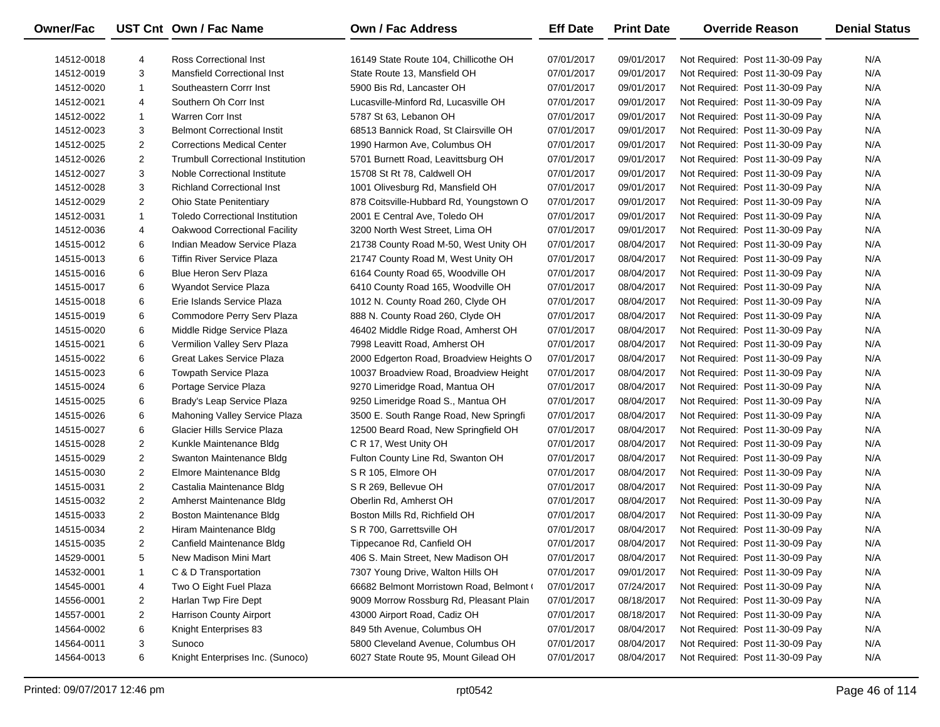| <b>Owner/Fac</b> |                | UST Cnt Own / Fac Name                   | <b>Own / Fac Address</b>                | <b>Eff Date</b> | <b>Print Date</b> | <b>Override Reason</b>          | <b>Denial Status</b> |
|------------------|----------------|------------------------------------------|-----------------------------------------|-----------------|-------------------|---------------------------------|----------------------|
| 14512-0018       | 4              | Ross Correctional Inst                   | 16149 State Route 104, Chillicothe OH   | 07/01/2017      | 09/01/2017        | Not Required: Post 11-30-09 Pay | N/A                  |
| 14512-0019       | 3              | <b>Mansfield Correctional Inst</b>       | State Route 13, Mansfield OH            | 07/01/2017      | 09/01/2017        | Not Required: Post 11-30-09 Pay | N/A                  |
| 14512-0020       | $\mathbf{1}$   | Southeastern Corrr Inst                  | 5900 Bis Rd, Lancaster OH               | 07/01/2017      | 09/01/2017        | Not Required: Post 11-30-09 Pay | N/A                  |
| 14512-0021       | 4              | Southern Oh Corr Inst                    | Lucasville-Minford Rd, Lucasville OH    | 07/01/2017      | 09/01/2017        | Not Required: Post 11-30-09 Pay | N/A                  |
| 14512-0022       | $\mathbf{1}$   | <b>Warren Corr Inst</b>                  | 5787 St 63, Lebanon OH                  | 07/01/2017      | 09/01/2017        | Not Required: Post 11-30-09 Pay | N/A                  |
| 14512-0023       | 3              | <b>Belmont Correctional Instit</b>       | 68513 Bannick Road, St Clairsville OH   | 07/01/2017      | 09/01/2017        | Not Required: Post 11-30-09 Pay | N/A                  |
| 14512-0025       | $\overline{2}$ | <b>Corrections Medical Center</b>        | 1990 Harmon Ave, Columbus OH            | 07/01/2017      | 09/01/2017        | Not Required: Post 11-30-09 Pay | N/A                  |
| 14512-0026       | $\overline{2}$ | <b>Trumbull Correctional Institution</b> | 5701 Burnett Road, Leavittsburg OH      | 07/01/2017      | 09/01/2017        | Not Required: Post 11-30-09 Pay | N/A                  |
| 14512-0027       | 3              | Noble Correctional Institute             | 15708 St Rt 78, Caldwell OH             | 07/01/2017      | 09/01/2017        | Not Required: Post 11-30-09 Pay | N/A                  |
| 14512-0028       | 3              | <b>Richland Correctional Inst</b>        | 1001 Olivesburg Rd, Mansfield OH        | 07/01/2017      | 09/01/2017        | Not Required: Post 11-30-09 Pay | N/A                  |
| 14512-0029       | $\overline{2}$ | <b>Ohio State Penitentiary</b>           | 878 Coitsville-Hubbard Rd, Youngstown O | 07/01/2017      | 09/01/2017        | Not Required: Post 11-30-09 Pay | N/A                  |
| 14512-0031       | $\mathbf{1}$   | <b>Toledo Correctional Institution</b>   | 2001 E Central Ave, Toledo OH           | 07/01/2017      | 09/01/2017        | Not Required: Post 11-30-09 Pay | N/A                  |
| 14512-0036       | 4              | Oakwood Correctional Facility            | 3200 North West Street, Lima OH         | 07/01/2017      | 09/01/2017        | Not Required: Post 11-30-09 Pay | N/A                  |
| 14515-0012       | 6              | Indian Meadow Service Plaza              | 21738 County Road M-50, West Unity OH   | 07/01/2017      | 08/04/2017        | Not Required: Post 11-30-09 Pay | N/A                  |
| 14515-0013       | 6              | <b>Tiffin River Service Plaza</b>        | 21747 County Road M, West Unity OH      | 07/01/2017      | 08/04/2017        | Not Required: Post 11-30-09 Pay | N/A                  |
| 14515-0016       | 6              | <b>Blue Heron Serv Plaza</b>             | 6164 County Road 65, Woodville OH       | 07/01/2017      | 08/04/2017        | Not Required: Post 11-30-09 Pay | N/A                  |
| 14515-0017       | 6              | Wyandot Service Plaza                    | 6410 County Road 165, Woodville OH      | 07/01/2017      | 08/04/2017        | Not Required: Post 11-30-09 Pay | N/A                  |
| 14515-0018       | 6              | Erie Islands Service Plaza               | 1012 N. County Road 260, Clyde OH       | 07/01/2017      | 08/04/2017        | Not Required: Post 11-30-09 Pay | N/A                  |
| 14515-0019       | 6              | Commodore Perry Serv Plaza               | 888 N. County Road 260, Clyde OH        | 07/01/2017      | 08/04/2017        | Not Required: Post 11-30-09 Pay | N/A                  |
| 14515-0020       | 6              | Middle Ridge Service Plaza               | 46402 Middle Ridge Road, Amherst OH     | 07/01/2017      | 08/04/2017        | Not Required: Post 11-30-09 Pay | N/A                  |
| 14515-0021       | 6              | Vermilion Valley Serv Plaza              | 7998 Leavitt Road, Amherst OH           | 07/01/2017      | 08/04/2017        | Not Required: Post 11-30-09 Pay | N/A                  |
| 14515-0022       | 6              | Great Lakes Service Plaza                | 2000 Edgerton Road, Broadview Heights O | 07/01/2017      | 08/04/2017        | Not Required: Post 11-30-09 Pay | N/A                  |
| 14515-0023       | 6              | <b>Towpath Service Plaza</b>             | 10037 Broadview Road, Broadview Height  | 07/01/2017      | 08/04/2017        | Not Required: Post 11-30-09 Pay | N/A                  |
| 14515-0024       | 6              | Portage Service Plaza                    | 9270 Limeridge Road, Mantua OH          | 07/01/2017      | 08/04/2017        | Not Required: Post 11-30-09 Pay | N/A                  |
| 14515-0025       | 6              | Brady's Leap Service Plaza               | 9250 Limeridge Road S., Mantua OH       | 07/01/2017      | 08/04/2017        | Not Required: Post 11-30-09 Pay | N/A                  |
| 14515-0026       | 6              | Mahoning Valley Service Plaza            | 3500 E. South Range Road, New Springfi  | 07/01/2017      | 08/04/2017        | Not Required: Post 11-30-09 Pay | N/A                  |
| 14515-0027       | 6              | Glacier Hills Service Plaza              | 12500 Beard Road, New Springfield OH    | 07/01/2017      | 08/04/2017        | Not Required: Post 11-30-09 Pay | N/A                  |
| 14515-0028       | $\overline{2}$ | Kunkle Maintenance Bldg                  | C R 17, West Unity OH                   | 07/01/2017      | 08/04/2017        | Not Required: Post 11-30-09 Pay | N/A                  |
| 14515-0029       | $\overline{2}$ | Swanton Maintenance Bldg                 | Fulton County Line Rd, Swanton OH       | 07/01/2017      | 08/04/2017        | Not Required: Post 11-30-09 Pay | N/A                  |
| 14515-0030       | $\overline{2}$ | Elmore Maintenance Bldg                  | S R 105, Elmore OH                      | 07/01/2017      | 08/04/2017        | Not Required: Post 11-30-09 Pay | N/A                  |
| 14515-0031       | $\overline{2}$ | Castalia Maintenance Bldg                | S R 269, Bellevue OH                    | 07/01/2017      | 08/04/2017        | Not Required: Post 11-30-09 Pay | N/A                  |
| 14515-0032       | $\overline{2}$ | Amherst Maintenance Bldg                 | Oberlin Rd, Amherst OH                  | 07/01/2017      | 08/04/2017        | Not Required: Post 11-30-09 Pay | N/A                  |
| 14515-0033       | $\overline{2}$ | <b>Boston Maintenance Bldg</b>           | Boston Mills Rd, Richfield OH           | 07/01/2017      | 08/04/2017        | Not Required: Post 11-30-09 Pay | N/A                  |
| 14515-0034       | $\overline{2}$ | Hiram Maintenance Bldg                   | S R 700, Garrettsville OH               | 07/01/2017      | 08/04/2017        | Not Required: Post 11-30-09 Pay | N/A                  |
| 14515-0035       | $\overline{2}$ | Canfield Maintenance Bldg                | Tippecanoe Rd, Canfield OH              | 07/01/2017      | 08/04/2017        | Not Required: Post 11-30-09 Pay | N/A                  |
| 14529-0001       | 5              | New Madison Mini Mart                    | 406 S. Main Street, New Madison OH      | 07/01/2017      | 08/04/2017        | Not Required: Post 11-30-09 Pay | N/A                  |
| 14532-0001       | $\mathbf{1}$   | C & D Transportation                     | 7307 Young Drive, Walton Hills OH       | 07/01/2017      | 09/01/2017        | Not Required: Post 11-30-09 Pay | N/A                  |
| 14545-0001       | 4              | Two O Eight Fuel Plaza                   | 66682 Belmont Morristown Road, Belmont  | 07/01/2017      | 07/24/2017        | Not Required: Post 11-30-09 Pay | N/A                  |
| 14556-0001       | 2              | Harlan Twp Fire Dept                     | 9009 Morrow Rossburg Rd, Pleasant Plain | 07/01/2017      | 08/18/2017        | Not Required: Post 11-30-09 Pay | N/A                  |
| 14557-0001       | 2              | Harrison County Airport                  | 43000 Airport Road, Cadiz OH            | 07/01/2017      | 08/18/2017        | Not Required: Post 11-30-09 Pay | N/A                  |
| 14564-0002       | 6              | Knight Enterprises 83                    | 849 5th Avenue, Columbus OH             | 07/01/2017      | 08/04/2017        | Not Required: Post 11-30-09 Pay | N/A                  |
| 14564-0011       | 3              | Sunoco                                   | 5800 Cleveland Avenue, Columbus OH      | 07/01/2017      | 08/04/2017        | Not Required: Post 11-30-09 Pay | N/A                  |
| 14564-0013       | 6              | Knight Enterprises Inc. (Sunoco)         | 6027 State Route 95, Mount Gilead OH    | 07/01/2017      | 08/04/2017        | Not Required: Post 11-30-09 Pay | N/A                  |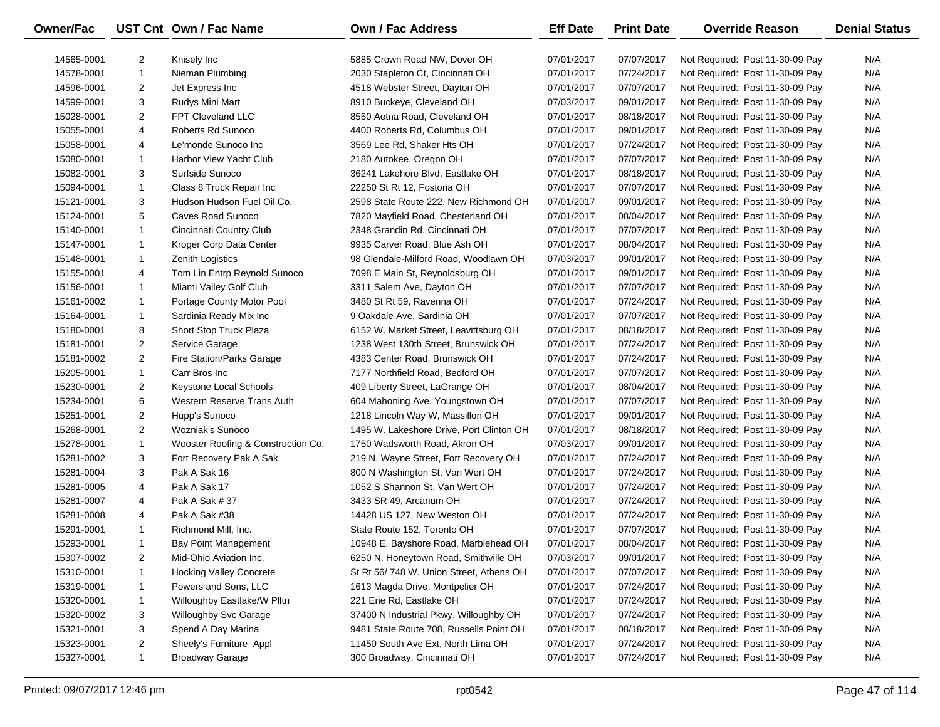| Owner/Fac  |                | UST Cnt Own / Fac Name             | <b>Own / Fac Address</b>                 | <b>Eff Date</b> | <b>Print Date</b> | <b>Override Reason</b>          | <b>Denial Status</b> |
|------------|----------------|------------------------------------|------------------------------------------|-----------------|-------------------|---------------------------------|----------------------|
| 14565-0001 | 2              | Knisely Inc                        | 5885 Crown Road NW, Dover OH             | 07/01/2017      | 07/07/2017        | Not Required: Post 11-30-09 Pay | N/A                  |
| 14578-0001 | $\mathbf{1}$   | Nieman Plumbing                    | 2030 Stapleton Ct, Cincinnati OH         | 07/01/2017      | 07/24/2017        | Not Required: Post 11-30-09 Pay | N/A                  |
| 14596-0001 | 2              | Jet Express Inc                    | 4518 Webster Street, Dayton OH           | 07/01/2017      | 07/07/2017        | Not Required: Post 11-30-09 Pay | N/A                  |
| 14599-0001 | 3              | Rudys Mini Mart                    | 8910 Buckeye, Cleveland OH               | 07/03/2017      | 09/01/2017        | Not Required: Post 11-30-09 Pay | N/A                  |
| 15028-0001 | 2              | FPT Cleveland LLC                  | 8550 Aetna Road, Cleveland OH            | 07/01/2017      | 08/18/2017        | Not Required: Post 11-30-09 Pay | N/A                  |
| 15055-0001 | 4              | Roberts Rd Sunoco                  | 4400 Roberts Rd, Columbus OH             | 07/01/2017      | 09/01/2017        | Not Required: Post 11-30-09 Pay | N/A                  |
| 15058-0001 | 4              | Le'monde Sunoco Inc                | 3569 Lee Rd, Shaker Hts OH               | 07/01/2017      | 07/24/2017        | Not Required: Post 11-30-09 Pay | N/A                  |
| 15080-0001 | $\mathbf{1}$   | Harbor View Yacht Club             | 2180 Autokee, Oregon OH                  | 07/01/2017      | 07/07/2017        | Not Required: Post 11-30-09 Pay | N/A                  |
| 15082-0001 | 3              | Surfside Sunoco                    | 36241 Lakehore Blvd, Eastlake OH         | 07/01/2017      | 08/18/2017        | Not Required: Post 11-30-09 Pay | N/A                  |
| 15094-0001 | $\mathbf{1}$   | Class 8 Truck Repair Inc           | 22250 St Rt 12, Fostoria OH              | 07/01/2017      | 07/07/2017        | Not Required: Post 11-30-09 Pay | N/A                  |
| 15121-0001 | 3              | Hudson Hudson Fuel Oil Co.         | 2598 State Route 222, New Richmond OH    | 07/01/2017      | 09/01/2017        | Not Required: Post 11-30-09 Pay | N/A                  |
| 15124-0001 | 5              | Caves Road Sunoco                  | 7820 Mayfield Road, Chesterland OH       | 07/01/2017      | 08/04/2017        | Not Required: Post 11-30-09 Pay | N/A                  |
| 15140-0001 | $\mathbf{1}$   | Cincinnati Country Club            | 2348 Grandin Rd, Cincinnati OH           | 07/01/2017      | 07/07/2017        | Not Required: Post 11-30-09 Pay | N/A                  |
| 15147-0001 | $\mathbf{1}$   | Kroger Corp Data Center            | 9935 Carver Road, Blue Ash OH            | 07/01/2017      | 08/04/2017        | Not Required: Post 11-30-09 Pay | N/A                  |
| 15148-0001 | $\mathbf{1}$   | Zenith Logistics                   | 98 Glendale-Milford Road, Woodlawn OH    | 07/03/2017      | 09/01/2017        | Not Required: Post 11-30-09 Pay | N/A                  |
| 15155-0001 | 4              | Tom Lin Entrp Reynold Sunoco       | 7098 E Main St, Reynoldsburg OH          | 07/01/2017      | 09/01/2017        | Not Required: Post 11-30-09 Pay | N/A                  |
| 15156-0001 | $\mathbf{1}$   | Miami Valley Golf Club             | 3311 Salem Ave, Dayton OH                | 07/01/2017      | 07/07/2017        | Not Required: Post 11-30-09 Pay | N/A                  |
| 15161-0002 | $\mathbf{1}$   | Portage County Motor Pool          | 3480 St Rt 59, Ravenna OH                | 07/01/2017      | 07/24/2017        | Not Required: Post 11-30-09 Pay | N/A                  |
| 15164-0001 | $\mathbf{1}$   | Sardinia Ready Mix Inc             | 9 Oakdale Ave, Sardinia OH               | 07/01/2017      | 07/07/2017        | Not Required: Post 11-30-09 Pay | N/A                  |
| 15180-0001 | 8              | Short Stop Truck Plaza             | 6152 W. Market Street, Leavittsburg OH   | 07/01/2017      | 08/18/2017        | Not Required: Post 11-30-09 Pay | N/A                  |
| 15181-0001 | $\overline{2}$ | Service Garage                     | 1238 West 130th Street, Brunswick OH     | 07/01/2017      | 07/24/2017        | Not Required: Post 11-30-09 Pay | N/A                  |
| 15181-0002 | 2              | Fire Station/Parks Garage          | 4383 Center Road, Brunswick OH           | 07/01/2017      | 07/24/2017        | Not Required: Post 11-30-09 Pay | N/A                  |
| 15205-0001 | $\mathbf{1}$   | Carr Bros Inc                      | 7177 Northfield Road, Bedford OH         | 07/01/2017      | 07/07/2017        | Not Required: Post 11-30-09 Pay | N/A                  |
| 15230-0001 | 2              | Keystone Local Schools             | 409 Liberty Street, LaGrange OH          | 07/01/2017      | 08/04/2017        | Not Required: Post 11-30-09 Pay | N/A                  |
| 15234-0001 | 6              | Western Reserve Trans Auth         | 604 Mahoning Ave, Youngstown OH          | 07/01/2017      | 07/07/2017        | Not Required: Post 11-30-09 Pay | N/A                  |
| 15251-0001 | 2              | Hupp's Sunoco                      | 1218 Lincoln Way W, Massillon OH         | 07/01/2017      | 09/01/2017        | Not Required: Post 11-30-09 Pay | N/A                  |
| 15268-0001 | $\overline{2}$ | Wozniak's Sunoco                   | 1495 W. Lakeshore Drive, Port Clinton OH | 07/01/2017      | 08/18/2017        | Not Required: Post 11-30-09 Pay | N/A                  |
| 15278-0001 | $\mathbf{1}$   | Wooster Roofing & Construction Co. | 1750 Wadsworth Road, Akron OH            | 07/03/2017      | 09/01/2017        | Not Required: Post 11-30-09 Pay | N/A                  |
| 15281-0002 | 3              | Fort Recovery Pak A Sak            | 219 N. Wayne Street, Fort Recovery OH    | 07/01/2017      | 07/24/2017        | Not Required: Post 11-30-09 Pay | N/A                  |
| 15281-0004 | 3              | Pak A Sak 16                       | 800 N Washington St, Van Wert OH         | 07/01/2017      | 07/24/2017        | Not Required: Post 11-30-09 Pay | N/A                  |
| 15281-0005 | 4              | Pak A Sak 17                       | 1052 S Shannon St, Van Wert OH           | 07/01/2017      | 07/24/2017        | Not Required: Post 11-30-09 Pay | N/A                  |
| 15281-0007 | 4              | Pak A Sak # 37                     | 3433 SR 49, Arcanum OH                   | 07/01/2017      | 07/24/2017        | Not Required: Post 11-30-09 Pay | N/A                  |
| 15281-0008 | 4              | Pak A Sak #38                      | 14428 US 127, New Weston OH              | 07/01/2017      | 07/24/2017        | Not Required: Post 11-30-09 Pay | N/A                  |
| 15291-0001 | $\mathbf{1}$   | Richmond Mill, Inc.                | State Route 152, Toronto OH              | 07/01/2017      | 07/07/2017        | Not Required: Post 11-30-09 Pay | N/A                  |
| 15293-0001 | $\mathbf{1}$   | Bay Point Management               | 10948 E. Bayshore Road, Marblehead OH    | 07/01/2017      | 08/04/2017        | Not Required: Post 11-30-09 Pay | N/A                  |
| 15307-0002 | 2              | Mid-Ohio Aviation Inc.             | 6250 N. Honeytown Road, Smithville OH    | 07/03/2017      | 09/01/2017        | Not Required: Post 11-30-09 Pay | N/A                  |
| 15310-0001 | 1              | <b>Hocking Valley Concrete</b>     | St Rt 56/748 W. Union Street, Athens OH  | 07/01/2017      | 07/07/2017        | Not Required: Post 11-30-09 Pay | N/A                  |
| 15319-0001 | 1              | Powers and Sons, LLC               | 1613 Magda Drive, Montpelier OH          | 07/01/2017      | 07/24/2017        | Not Required: Post 11-30-09 Pay | N/A                  |
| 15320-0001 | $\mathbf{1}$   | Willoughby Eastlake/W Plltn        | 221 Erie Rd, Eastlake OH                 | 07/01/2017      | 07/24/2017        | Not Required: Post 11-30-09 Pay | N/A                  |
| 15320-0002 | 3              | Willoughby Svc Garage              | 37400 N Industrial Pkwy, Willoughby OH   | 07/01/2017      | 07/24/2017        | Not Required: Post 11-30-09 Pay | N/A                  |
| 15321-0001 | 3              | Spend A Day Marina                 | 9481 State Route 708, Russells Point OH  | 07/01/2017      | 08/18/2017        | Not Required: Post 11-30-09 Pay | N/A                  |
| 15323-0001 | $\overline{2}$ | Sheely's Furniture Appl            | 11450 South Ave Ext, North Lima OH       | 07/01/2017      | 07/24/2017        | Not Required: Post 11-30-09 Pay | N/A                  |
| 15327-0001 | $\mathbf{1}$   | <b>Broadway Garage</b>             | 300 Broadway, Cincinnati OH              | 07/01/2017      | 07/24/2017        | Not Required: Post 11-30-09 Pay | N/A                  |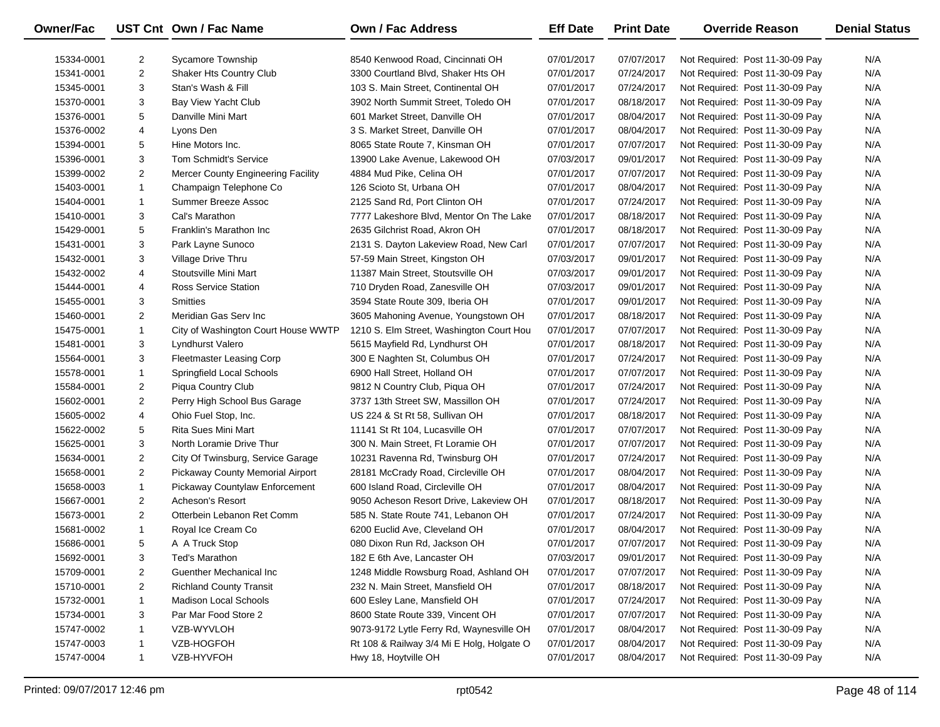| Owner/Fac  |                | UST Cnt Own / Fac Name                    | <b>Own / Fac Address</b>                  | <b>Eff Date</b> | <b>Print Date</b> | <b>Override Reason</b>          | <b>Denial Status</b> |
|------------|----------------|-------------------------------------------|-------------------------------------------|-----------------|-------------------|---------------------------------|----------------------|
| 15334-0001 | 2              | Sycamore Township                         | 8540 Kenwood Road, Cincinnati OH          | 07/01/2017      | 07/07/2017        | Not Required: Post 11-30-09 Pay | N/A                  |
| 15341-0001 | $\overline{2}$ | Shaker Hts Country Club                   | 3300 Courtland Blvd, Shaker Hts OH        | 07/01/2017      | 07/24/2017        | Not Required: Post 11-30-09 Pay | N/A                  |
| 15345-0001 | 3              | Stan's Wash & Fill                        | 103 S. Main Street, Continental OH        | 07/01/2017      | 07/24/2017        | Not Required: Post 11-30-09 Pay | N/A                  |
| 15370-0001 | 3              | Bay View Yacht Club                       | 3902 North Summit Street, Toledo OH       | 07/01/2017      | 08/18/2017        | Not Required: Post 11-30-09 Pay | N/A                  |
| 15376-0001 | 5              | Danville Mini Mart                        | 601 Market Street, Danville OH            | 07/01/2017      | 08/04/2017        | Not Required: Post 11-30-09 Pay | N/A                  |
| 15376-0002 | 4              | Lyons Den                                 | 3 S. Market Street, Danville OH           | 07/01/2017      | 08/04/2017        | Not Required: Post 11-30-09 Pay | N/A                  |
| 15394-0001 | 5              | Hine Motors Inc.                          | 8065 State Route 7, Kinsman OH            | 07/01/2017      | 07/07/2017        | Not Required: Post 11-30-09 Pay | N/A                  |
| 15396-0001 | 3              | <b>Tom Schmidt's Service</b>              | 13900 Lake Avenue, Lakewood OH            | 07/03/2017      | 09/01/2017        | Not Required: Post 11-30-09 Pay | N/A                  |
| 15399-0002 | $\overline{2}$ | <b>Mercer County Engineering Facility</b> | 4884 Mud Pike, Celina OH                  | 07/01/2017      | 07/07/2017        | Not Required: Post 11-30-09 Pay | N/A                  |
| 15403-0001 | $\mathbf{1}$   | Champaign Telephone Co                    | 126 Scioto St, Urbana OH                  | 07/01/2017      | 08/04/2017        | Not Required: Post 11-30-09 Pay | N/A                  |
| 15404-0001 | $\mathbf{1}$   | Summer Breeze Assoc                       | 2125 Sand Rd, Port Clinton OH             | 07/01/2017      | 07/24/2017        | Not Required: Post 11-30-09 Pay | N/A                  |
| 15410-0001 | 3              | Cal's Marathon                            | 7777 Lakeshore Blvd, Mentor On The Lake   | 07/01/2017      | 08/18/2017        | Not Required: Post 11-30-09 Pay | N/A                  |
| 15429-0001 | 5              | Franklin's Marathon Inc                   | 2635 Gilchrist Road, Akron OH             | 07/01/2017      | 08/18/2017        | Not Required: Post 11-30-09 Pay | N/A                  |
| 15431-0001 | 3              | Park Layne Sunoco                         | 2131 S. Dayton Lakeview Road, New Carl    | 07/01/2017      | 07/07/2017        | Not Required: Post 11-30-09 Pay | N/A                  |
| 15432-0001 | 3              | Village Drive Thru                        | 57-59 Main Street, Kingston OH            | 07/03/2017      | 09/01/2017        | Not Required: Post 11-30-09 Pay | N/A                  |
| 15432-0002 | 4              | Stoutsville Mini Mart                     | 11387 Main Street, Stoutsville OH         | 07/03/2017      | 09/01/2017        | Not Required: Post 11-30-09 Pay | N/A                  |
| 15444-0001 | 4              | <b>Ross Service Station</b>               | 710 Dryden Road, Zanesville OH            | 07/03/2017      | 09/01/2017        | Not Required: Post 11-30-09 Pay | N/A                  |
| 15455-0001 | 3              | <b>Smitties</b>                           | 3594 State Route 309, Iberia OH           | 07/01/2017      | 09/01/2017        | Not Required: Post 11-30-09 Pay | N/A                  |
| 15460-0001 | $\overline{2}$ | Meridian Gas Serv Inc                     | 3605 Mahoning Avenue, Youngstown OH       | 07/01/2017      | 08/18/2017        | Not Required: Post 11-30-09 Pay | N/A                  |
| 15475-0001 | 1              | City of Washington Court House WWTP       | 1210 S. Elm Street, Washington Court Hou  | 07/01/2017      | 07/07/2017        | Not Required: Post 11-30-09 Pay | N/A                  |
| 15481-0001 | 3              | Lyndhurst Valero                          | 5615 Mayfield Rd, Lyndhurst OH            | 07/01/2017      | 08/18/2017        | Not Required: Post 11-30-09 Pay | N/A                  |
| 15564-0001 | 3              | <b>Fleetmaster Leasing Corp</b>           | 300 E Naghten St, Columbus OH             | 07/01/2017      | 07/24/2017        | Not Required: Post 11-30-09 Pay | N/A                  |
| 15578-0001 | 1              | Springfield Local Schools                 | 6900 Hall Street, Holland OH              | 07/01/2017      | 07/07/2017        | Not Required: Post 11-30-09 Pay | N/A                  |
| 15584-0001 | 2              | <b>Piqua Country Club</b>                 | 9812 N Country Club, Piqua OH             | 07/01/2017      | 07/24/2017        | Not Required: Post 11-30-09 Pay | N/A                  |
| 15602-0001 | $\overline{2}$ | Perry High School Bus Garage              | 3737 13th Street SW, Massillon OH         | 07/01/2017      | 07/24/2017        | Not Required: Post 11-30-09 Pay | N/A                  |
| 15605-0002 | 4              | Ohio Fuel Stop, Inc.                      | US 224 & St Rt 58, Sullivan OH            | 07/01/2017      | 08/18/2017        | Not Required: Post 11-30-09 Pay | N/A                  |
| 15622-0002 | 5              | Rita Sues Mini Mart                       | 11141 St Rt 104, Lucasville OH            | 07/01/2017      | 07/07/2017        | Not Required: Post 11-30-09 Pay | N/A                  |
| 15625-0001 | 3              | North Loramie Drive Thur                  | 300 N. Main Street, Ft Loramie OH         | 07/01/2017      | 07/07/2017        | Not Required: Post 11-30-09 Pay | N/A                  |
| 15634-0001 | $\overline{2}$ | City Of Twinsburg, Service Garage         | 10231 Ravenna Rd, Twinsburg OH            | 07/01/2017      | 07/24/2017        | Not Required: Post 11-30-09 Pay | N/A                  |
| 15658-0001 | $\overline{2}$ | Pickaway County Memorial Airport          | 28181 McCrady Road, Circleville OH        | 07/01/2017      | 08/04/2017        | Not Required: Post 11-30-09 Pay | N/A                  |
| 15658-0003 | 1              | Pickaway Countylaw Enforcement            | 600 Island Road, Circleville OH           | 07/01/2017      | 08/04/2017        | Not Required: Post 11-30-09 Pay | N/A                  |
| 15667-0001 | $\overline{2}$ | Acheson's Resort                          | 9050 Acheson Resort Drive, Lakeview OH    | 07/01/2017      | 08/18/2017        | Not Required: Post 11-30-09 Pay | N/A                  |
| 15673-0001 | $\overline{2}$ | Otterbein Lebanon Ret Comm                | 585 N. State Route 741, Lebanon OH        | 07/01/2017      | 07/24/2017        | Not Required: Post 11-30-09 Pay | N/A                  |
| 15681-0002 | 1              | Royal Ice Cream Co                        | 6200 Euclid Ave, Cleveland OH             | 07/01/2017      | 08/04/2017        | Not Required: Post 11-30-09 Pay | N/A                  |
| 15686-0001 | 5              | A A Truck Stop                            | 080 Dixon Run Rd, Jackson OH              | 07/01/2017      | 07/07/2017        | Not Required: Post 11-30-09 Pay | N/A                  |
| 15692-0001 | 3              | Ted's Marathon                            | 182 E 6th Ave, Lancaster OH               | 07/03/2017      | 09/01/2017        | Not Required: Post 11-30-09 Pay | N/A                  |
| 15709-0001 | 2              | Guenther Mechanical Inc                   | 1248 Middle Rowsburg Road, Ashland OH     | 07/01/2017      | 07/07/2017        | Not Required: Post 11-30-09 Pay | N/A                  |
| 15710-0001 | 2              | <b>Richland County Transit</b>            | 232 N. Main Street, Mansfield OH          | 07/01/2017      | 08/18/2017        | Not Required: Post 11-30-09 Pay | N/A                  |
| 15732-0001 | 1              | Madison Local Schools                     | 600 Esley Lane, Mansfield OH              | 07/01/2017      | 07/24/2017        | Not Required: Post 11-30-09 Pay | N/A                  |
| 15734-0001 | 3              | Par Mar Food Store 2                      | 8600 State Route 339, Vincent OH          | 07/01/2017      | 07/07/2017        | Not Required: Post 11-30-09 Pay | N/A                  |
| 15747-0002 | 1              | VZB-WYVLOH                                | 9073-9172 Lytle Ferry Rd, Waynesville OH  | 07/01/2017      | 08/04/2017        | Not Required: Post 11-30-09 Pay | N/A                  |
| 15747-0003 | 1              | VZB-HOGFOH                                | Rt 108 & Railway 3/4 Mi E Holg, Holgate O | 07/01/2017      | 08/04/2017        | Not Required: Post 11-30-09 Pay | N/A                  |
| 15747-0004 | $\mathbf{1}$   | VZB-HYVFOH                                | Hwy 18, Hoytville OH                      | 07/01/2017      | 08/04/2017        | Not Required: Post 11-30-09 Pay | N/A                  |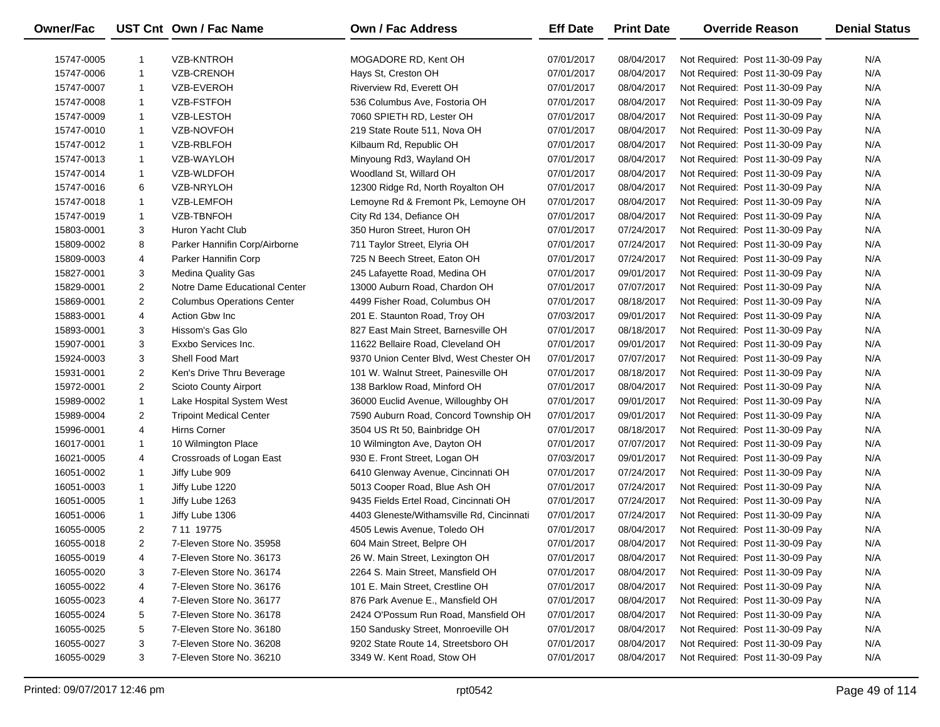| Owner/Fac  |                | UST Cnt Own / Fac Name            | <b>Own / Fac Address</b>                  | <b>Eff Date</b> | <b>Print Date</b> | <b>Override Reason</b>          | <b>Denial Status</b> |
|------------|----------------|-----------------------------------|-------------------------------------------|-----------------|-------------------|---------------------------------|----------------------|
| 15747-0005 | -1             | VZB-KNTROH                        | MOGADORE RD, Kent OH                      | 07/01/2017      | 08/04/2017        | Not Required: Post 11-30-09 Pay | N/A                  |
| 15747-0006 | -1             | VZB-CRENOH                        | Hays St, Creston OH                       | 07/01/2017      | 08/04/2017        | Not Required: Post 11-30-09 Pay | N/A                  |
| 15747-0007 | -1             | VZB-EVEROH                        | Riverview Rd, Everett OH                  | 07/01/2017      | 08/04/2017        | Not Required: Post 11-30-09 Pay | N/A                  |
| 15747-0008 | -1             | VZB-FSTFOH                        | 536 Columbus Ave, Fostoria OH             | 07/01/2017      | 08/04/2017        | Not Required: Post 11-30-09 Pay | N/A                  |
| 15747-0009 | -1             | <b>VZB-LESTOH</b>                 | 7060 SPIETH RD, Lester OH                 | 07/01/2017      | 08/04/2017        | Not Required: Post 11-30-09 Pay | N/A                  |
| 15747-0010 | -1             | VZB-NOVFOH                        | 219 State Route 511, Nova OH              | 07/01/2017      | 08/04/2017        | Not Required: Post 11-30-09 Pay | N/A                  |
| 15747-0012 | -1             | VZB-RBLFOH                        | Kilbaum Rd, Republic OH                   | 07/01/2017      | 08/04/2017        | Not Required: Post 11-30-09 Pay | N/A                  |
| 15747-0013 | -1             | VZB-WAYLOH                        | Minyoung Rd3, Wayland OH                  | 07/01/2017      | 08/04/2017        | Not Required: Post 11-30-09 Pay | N/A                  |
| 15747-0014 | -1             | VZB-WLDFOH                        | Woodland St, Willard OH                   | 07/01/2017      | 08/04/2017        | Not Required: Post 11-30-09 Pay | N/A                  |
| 15747-0016 | 6              | VZB-NRYLOH                        | 12300 Ridge Rd, North Royalton OH         | 07/01/2017      | 08/04/2017        | Not Required: Post 11-30-09 Pay | N/A                  |
| 15747-0018 | -1             | VZB-LEMFOH                        | Lemoyne Rd & Fremont Pk, Lemoyne OH       | 07/01/2017      | 08/04/2017        | Not Required: Post 11-30-09 Pay | N/A                  |
| 15747-0019 | $\mathbf{1}$   | VZB-TBNFOH                        | City Rd 134, Defiance OH                  | 07/01/2017      | 08/04/2017        | Not Required: Post 11-30-09 Pay | N/A                  |
| 15803-0001 | 3              | Huron Yacht Club                  | 350 Huron Street, Huron OH                | 07/01/2017      | 07/24/2017        | Not Required: Post 11-30-09 Pay | N/A                  |
| 15809-0002 | 8              | Parker Hannifin Corp/Airborne     | 711 Taylor Street, Elyria OH              | 07/01/2017      | 07/24/2017        | Not Required: Post 11-30-09 Pay | N/A                  |
| 15809-0003 | 4              | Parker Hannifin Corp              | 725 N Beech Street, Eaton OH              | 07/01/2017      | 07/24/2017        | Not Required: Post 11-30-09 Pay | N/A                  |
| 15827-0001 | 3              | <b>Medina Quality Gas</b>         | 245 Lafayette Road, Medina OH             | 07/01/2017      | 09/01/2017        | Not Required: Post 11-30-09 Pay | N/A                  |
| 15829-0001 | $\overline{2}$ | Notre Dame Educational Center     | 13000 Auburn Road, Chardon OH             | 07/01/2017      | 07/07/2017        | Not Required: Post 11-30-09 Pay | N/A                  |
| 15869-0001 | $\overline{2}$ | <b>Columbus Operations Center</b> | 4499 Fisher Road, Columbus OH             | 07/01/2017      | 08/18/2017        | Not Required: Post 11-30-09 Pay | N/A                  |
| 15883-0001 | 4              | Action Gbw Inc                    | 201 E. Staunton Road, Troy OH             | 07/03/2017      | 09/01/2017        | Not Required: Post 11-30-09 Pay | N/A                  |
| 15893-0001 | 3              | Hissom's Gas Glo                  | 827 East Main Street, Barnesville OH      | 07/01/2017      | 08/18/2017        | Not Required: Post 11-30-09 Pay | N/A                  |
| 15907-0001 | 3              | Exxbo Services Inc.               | 11622 Bellaire Road, Cleveland OH         | 07/01/2017      | 09/01/2017        | Not Required: Post 11-30-09 Pay | N/A                  |
| 15924-0003 | 3              | Shell Food Mart                   | 9370 Union Center Blvd, West Chester OH   | 07/01/2017      | 07/07/2017        | Not Required: Post 11-30-09 Pay | N/A                  |
| 15931-0001 | $\overline{2}$ | Ken's Drive Thru Beverage         | 101 W. Walnut Street, Painesville OH      | 07/01/2017      | 08/18/2017        | Not Required: Post 11-30-09 Pay | N/A                  |
| 15972-0001 | $\overline{2}$ | <b>Scioto County Airport</b>      | 138 Barklow Road, Minford OH              | 07/01/2017      | 08/04/2017        | Not Required: Post 11-30-09 Pay | N/A                  |
| 15989-0002 | $\mathbf{1}$   | Lake Hospital System West         | 36000 Euclid Avenue, Willoughby OH        | 07/01/2017      | 09/01/2017        | Not Required: Post 11-30-09 Pay | N/A                  |
| 15989-0004 | 2              | <b>Tripoint Medical Center</b>    | 7590 Auburn Road, Concord Township OH     | 07/01/2017      | 09/01/2017        | Not Required: Post 11-30-09 Pay | N/A                  |
| 15996-0001 | 4              | Hirns Corner                      | 3504 US Rt 50, Bainbridge OH              | 07/01/2017      | 08/18/2017        | Not Required: Post 11-30-09 Pay | N/A                  |
| 16017-0001 | 1              | 10 Wilmington Place               | 10 Wilmington Ave, Dayton OH              | 07/01/2017      | 07/07/2017        | Not Required: Post 11-30-09 Pay | N/A                  |
| 16021-0005 | 4              | Crossroads of Logan East          | 930 E. Front Street, Logan OH             | 07/03/2017      | 09/01/2017        | Not Required: Post 11-30-09 Pay | N/A                  |
| 16051-0002 | $\mathbf{1}$   | Jiffy Lube 909                    | 6410 Glenway Avenue, Cincinnati OH        | 07/01/2017      | 07/24/2017        | Not Required: Post 11-30-09 Pay | N/A                  |
| 16051-0003 | $\mathbf{1}$   | Jiffy Lube 1220                   | 5013 Cooper Road, Blue Ash OH             | 07/01/2017      | 07/24/2017        | Not Required: Post 11-30-09 Pay | N/A                  |
| 16051-0005 | $\mathbf{1}$   | Jiffy Lube 1263                   | 9435 Fields Ertel Road, Cincinnati OH     | 07/01/2017      | 07/24/2017        | Not Required: Post 11-30-09 Pay | N/A                  |
| 16051-0006 | $\mathbf{1}$   | Jiffy Lube 1306                   | 4403 Gleneste/Withamsville Rd, Cincinnati | 07/01/2017      | 07/24/2017        | Not Required: Post 11-30-09 Pay | N/A                  |
| 16055-0005 | 2              | 7 11 19775                        | 4505 Lewis Avenue, Toledo OH              | 07/01/2017      | 08/04/2017        | Not Required: Post 11-30-09 Pay | N/A                  |
| 16055-0018 | 2              | 7-Eleven Store No. 35958          | 604 Main Street, Belpre OH                | 07/01/2017      | 08/04/2017        | Not Required: Post 11-30-09 Pay | N/A                  |
| 16055-0019 | 4              | 7-Eleven Store No. 36173          | 26 W. Main Street, Lexington OH           | 07/01/2017      | 08/04/2017        | Not Required: Post 11-30-09 Pay | N/A                  |
| 16055-0020 | 3              | 7-Eleven Store No. 36174          | 2264 S. Main Street, Mansfield OH         | 07/01/2017      | 08/04/2017        | Not Required: Post 11-30-09 Pay | N/A                  |
| 16055-0022 | 4              | 7-Eleven Store No. 36176          | 101 E. Main Street, Crestline OH          | 07/01/2017      | 08/04/2017        | Not Required: Post 11-30-09 Pay | N/A                  |
| 16055-0023 | 4              | 7-Eleven Store No. 36177          | 876 Park Avenue E., Mansfield OH          | 07/01/2017      | 08/04/2017        | Not Required: Post 11-30-09 Pay | N/A                  |
| 16055-0024 | 5              | 7-Eleven Store No. 36178          | 2424 O'Possum Run Road, Mansfield OH      | 07/01/2017      | 08/04/2017        | Not Required: Post 11-30-09 Pay | N/A                  |
| 16055-0025 | 5              | 7-Eleven Store No. 36180          | 150 Sandusky Street, Monroeville OH       | 07/01/2017      | 08/04/2017        | Not Required: Post 11-30-09 Pay | N/A                  |
| 16055-0027 | 3              | 7-Eleven Store No. 36208          | 9202 State Route 14, Streetsboro OH       | 07/01/2017      | 08/04/2017        | Not Required: Post 11-30-09 Pay | N/A                  |
| 16055-0029 | 3              | 7-Eleven Store No. 36210          | 3349 W. Kent Road, Stow OH                | 07/01/2017      | 08/04/2017        | Not Required: Post 11-30-09 Pay | N/A                  |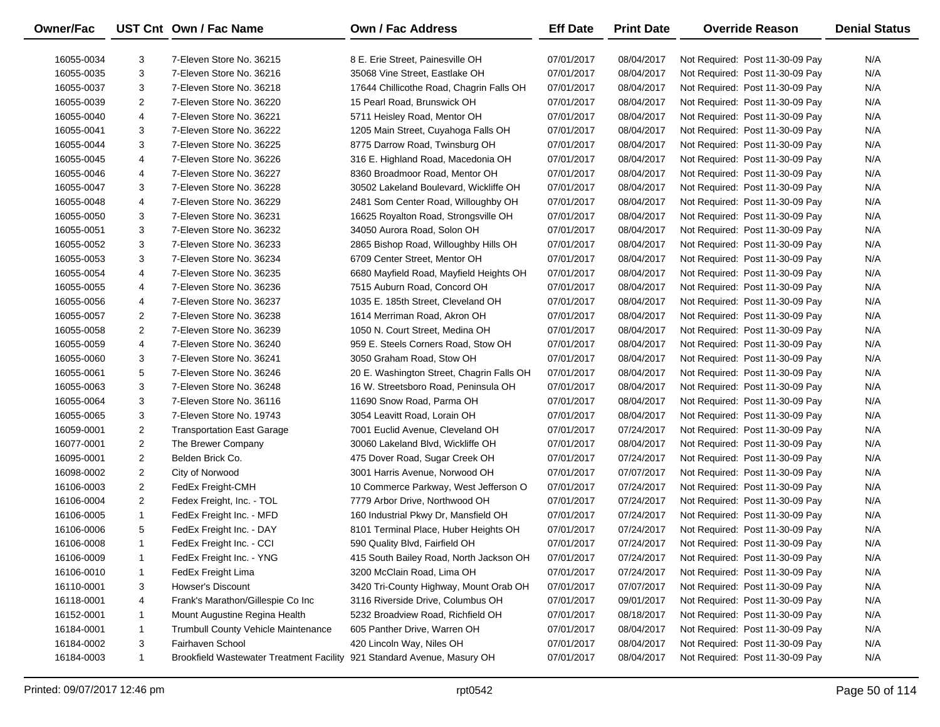| Owner/Fac  |                | UST Cnt Own / Fac Name                                                  | <b>Own / Fac Address</b>                  | <b>Eff Date</b> | <b>Print Date</b> | <b>Override Reason</b>          | <b>Denial Status</b> |
|------------|----------------|-------------------------------------------------------------------------|-------------------------------------------|-----------------|-------------------|---------------------------------|----------------------|
| 16055-0034 | 3              | 7-Eleven Store No. 36215                                                | 8 E. Erie Street, Painesville OH          | 07/01/2017      | 08/04/2017        | Not Required: Post 11-30-09 Pay | N/A                  |
| 16055-0035 | 3              | 7-Eleven Store No. 36216                                                | 35068 Vine Street, Eastlake OH            | 07/01/2017      | 08/04/2017        | Not Required: Post 11-30-09 Pay | N/A                  |
| 16055-0037 | 3              | 7-Eleven Store No. 36218                                                | 17644 Chillicothe Road, Chagrin Falls OH  | 07/01/2017      | 08/04/2017        | Not Required: Post 11-30-09 Pay | N/A                  |
| 16055-0039 | 2              | 7-Eleven Store No. 36220                                                | 15 Pearl Road, Brunswick OH               | 07/01/2017      | 08/04/2017        | Not Required: Post 11-30-09 Pay | N/A                  |
| 16055-0040 | 4              | 7-Eleven Store No. 36221                                                | 5711 Heisley Road, Mentor OH              | 07/01/2017      | 08/04/2017        | Not Required: Post 11-30-09 Pay | N/A                  |
| 16055-0041 | 3              | 7-Eleven Store No. 36222                                                | 1205 Main Street, Cuyahoga Falls OH       | 07/01/2017      | 08/04/2017        | Not Required: Post 11-30-09 Pay | N/A                  |
| 16055-0044 | 3              | 7-Eleven Store No. 36225                                                | 8775 Darrow Road, Twinsburg OH            | 07/01/2017      | 08/04/2017        | Not Required: Post 11-30-09 Pay | N/A                  |
| 16055-0045 | 4              | 7-Eleven Store No. 36226                                                | 316 E. Highland Road, Macedonia OH        | 07/01/2017      | 08/04/2017        | Not Required: Post 11-30-09 Pay | N/A                  |
| 16055-0046 | 4              | 7-Eleven Store No. 36227                                                | 8360 Broadmoor Road, Mentor OH            | 07/01/2017      | 08/04/2017        | Not Required: Post 11-30-09 Pay | N/A                  |
| 16055-0047 | 3              | 7-Eleven Store No. 36228                                                | 30502 Lakeland Boulevard, Wickliffe OH    | 07/01/2017      | 08/04/2017        | Not Required: Post 11-30-09 Pay | N/A                  |
| 16055-0048 | 4              | 7-Eleven Store No. 36229                                                | 2481 Som Center Road, Willoughby OH       | 07/01/2017      | 08/04/2017        | Not Required: Post 11-30-09 Pay | N/A                  |
| 16055-0050 | 3              | 7-Eleven Store No. 36231                                                | 16625 Royalton Road, Strongsville OH      | 07/01/2017      | 08/04/2017        | Not Required: Post 11-30-09 Pay | N/A                  |
| 16055-0051 | 3              | 7-Eleven Store No. 36232                                                | 34050 Aurora Road, Solon OH               | 07/01/2017      | 08/04/2017        | Not Required: Post 11-30-09 Pay | N/A                  |
| 16055-0052 | 3              | 7-Eleven Store No. 36233                                                | 2865 Bishop Road, Willoughby Hills OH     | 07/01/2017      | 08/04/2017        | Not Required: Post 11-30-09 Pay | N/A                  |
| 16055-0053 | 3              | 7-Eleven Store No. 36234                                                | 6709 Center Street, Mentor OH             | 07/01/2017      | 08/04/2017        | Not Required: Post 11-30-09 Pay | N/A                  |
| 16055-0054 | 4              | 7-Eleven Store No. 36235                                                | 6680 Mayfield Road, Mayfield Heights OH   | 07/01/2017      | 08/04/2017        | Not Required: Post 11-30-09 Pay | N/A                  |
| 16055-0055 | 4              | 7-Eleven Store No. 36236                                                | 7515 Auburn Road, Concord OH              | 07/01/2017      | 08/04/2017        | Not Required: Post 11-30-09 Pay | N/A                  |
| 16055-0056 | 4              | 7-Eleven Store No. 36237                                                | 1035 E. 185th Street, Cleveland OH        | 07/01/2017      | 08/04/2017        | Not Required: Post 11-30-09 Pay | N/A                  |
| 16055-0057 | $\overline{2}$ | 7-Eleven Store No. 36238                                                | 1614 Merriman Road, Akron OH              | 07/01/2017      | 08/04/2017        | Not Required: Post 11-30-09 Pay | N/A                  |
| 16055-0058 | 2              | 7-Eleven Store No. 36239                                                | 1050 N. Court Street, Medina OH           | 07/01/2017      | 08/04/2017        | Not Required: Post 11-30-09 Pay | N/A                  |
| 16055-0059 | 4              | 7-Eleven Store No. 36240                                                | 959 E. Steels Corners Road, Stow OH       | 07/01/2017      | 08/04/2017        | Not Required: Post 11-30-09 Pay | N/A                  |
| 16055-0060 | 3              | 7-Eleven Store No. 36241                                                | 3050 Graham Road, Stow OH                 | 07/01/2017      | 08/04/2017        | Not Required: Post 11-30-09 Pay | N/A                  |
| 16055-0061 | 5              | 7-Eleven Store No. 36246                                                | 20 E. Washington Street, Chagrin Falls OH | 07/01/2017      | 08/04/2017        | Not Required: Post 11-30-09 Pay | N/A                  |
| 16055-0063 | 3              | 7-Eleven Store No. 36248                                                | 16 W. Streetsboro Road, Peninsula OH      | 07/01/2017      | 08/04/2017        | Not Required: Post 11-30-09 Pay | N/A                  |
| 16055-0064 | 3              | 7-Eleven Store No. 36116                                                | 11690 Snow Road, Parma OH                 | 07/01/2017      | 08/04/2017        | Not Required: Post 11-30-09 Pay | N/A                  |
| 16055-0065 | 3              | 7-Eleven Store No. 19743                                                | 3054 Leavitt Road, Lorain OH              | 07/01/2017      | 08/04/2017        | Not Required: Post 11-30-09 Pay | N/A                  |
| 16059-0001 | $\overline{2}$ | <b>Transportation East Garage</b>                                       | 7001 Euclid Avenue, Cleveland OH          | 07/01/2017      | 07/24/2017        | Not Required: Post 11-30-09 Pay | N/A                  |
| 16077-0001 | $\overline{2}$ | The Brewer Company                                                      | 30060 Lakeland Blvd, Wickliffe OH         | 07/01/2017      | 08/04/2017        | Not Required: Post 11-30-09 Pay | N/A                  |
| 16095-0001 | $\overline{2}$ | Belden Brick Co.                                                        | 475 Dover Road, Sugar Creek OH            | 07/01/2017      | 07/24/2017        | Not Required: Post 11-30-09 Pay | N/A                  |
| 16098-0002 | $\overline{2}$ | City of Norwood                                                         | 3001 Harris Avenue, Norwood OH            | 07/01/2017      | 07/07/2017        | Not Required: Post 11-30-09 Pay | N/A                  |
| 16106-0003 | $\overline{2}$ | FedEx Freight-CMH                                                       | 10 Commerce Parkway, West Jefferson O     | 07/01/2017      | 07/24/2017        | Not Required: Post 11-30-09 Pay | N/A                  |
| 16106-0004 | $\overline{2}$ | Fedex Freight, Inc. - TOL                                               | 7779 Arbor Drive, Northwood OH            | 07/01/2017      | 07/24/2017        | Not Required: Post 11-30-09 Pay | N/A                  |
| 16106-0005 | $\mathbf{1}$   | FedEx Freight Inc. - MFD                                                | 160 Industrial Pkwy Dr, Mansfield OH      | 07/01/2017      | 07/24/2017        | Not Required: Post 11-30-09 Pay | N/A                  |
| 16106-0006 | 5              | FedEx Freight Inc. - DAY                                                | 8101 Terminal Place, Huber Heights OH     | 07/01/2017      | 07/24/2017        | Not Required: Post 11-30-09 Pay | N/A                  |
| 16106-0008 | $\mathbf{1}$   | FedEx Freight Inc. - CCI                                                | 590 Quality Blvd, Fairfield OH            | 07/01/2017      | 07/24/2017        | Not Required: Post 11-30-09 Pay | N/A                  |
| 16106-0009 | -1             | FedEx Freight Inc. - YNG                                                | 415 South Bailey Road, North Jackson OH   | 07/01/2017      | 07/24/2017        | Not Required: Post 11-30-09 Pay | N/A                  |
| 16106-0010 | -1             | FedEx Freight Lima                                                      | 3200 McClain Road, Lima OH                | 07/01/2017      | 07/24/2017        | Not Required: Post 11-30-09 Pay | N/A                  |
| 16110-0001 | 3              | Howser's Discount                                                       | 3420 Tri-County Highway, Mount Orab OH    | 07/01/2017      | 07/07/2017        | Not Required: Post 11-30-09 Pay | N/A                  |
| 16118-0001 | 4              | Frank's Marathon/Gillespie Co Inc                                       | 3116 Riverside Drive, Columbus OH         | 07/01/2017      | 09/01/2017        | Not Required: Post 11-30-09 Pay | N/A                  |
| 16152-0001 | 1              | Mount Augustine Regina Health                                           | 5232 Broadview Road, Richfield OH         | 07/01/2017      | 08/18/2017        | Not Required: Post 11-30-09 Pay | N/A                  |
| 16184-0001 | 1              | Trumbull County Vehicle Maintenance                                     | 605 Panther Drive, Warren OH              | 07/01/2017      | 08/04/2017        | Not Required: Post 11-30-09 Pay | N/A                  |
| 16184-0002 | 3              | Fairhaven School                                                        | 420 Lincoln Way, Niles OH                 | 07/01/2017      | 08/04/2017        | Not Required: Post 11-30-09 Pay | N/A                  |
| 16184-0003 | $\mathbf{1}$   | Brookfield Wastewater Treatment Facility 921 Standard Avenue, Masury OH |                                           | 07/01/2017      | 08/04/2017        | Not Required: Post 11-30-09 Pay | N/A                  |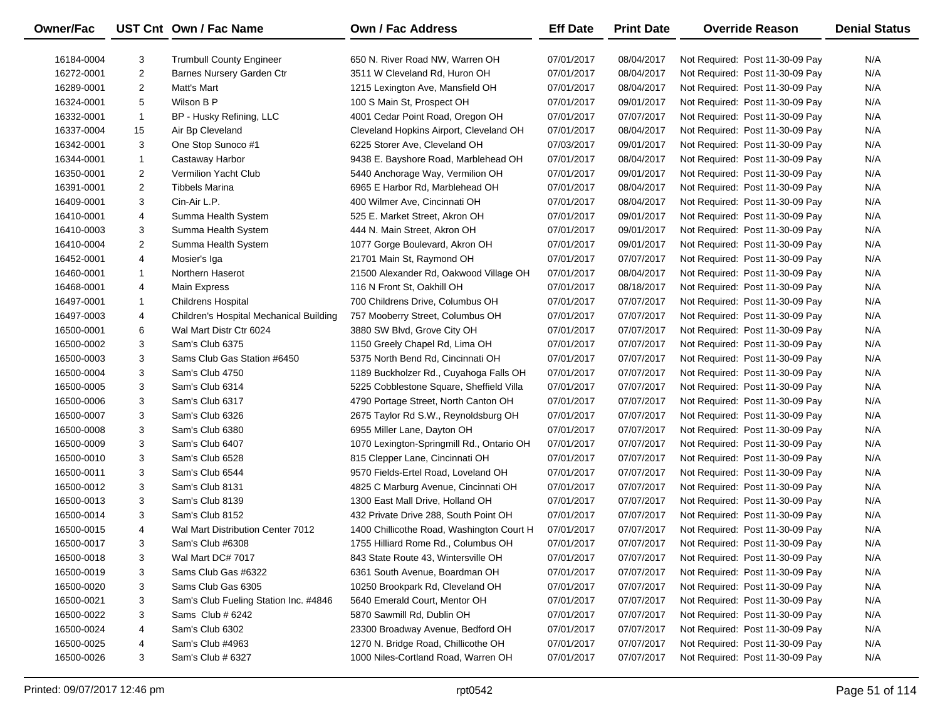| Owner/Fac  |                | UST Cnt Own / Fac Name                  | Own / Fac Address                         | <b>Eff Date</b> | <b>Print Date</b> | <b>Override Reason</b>          | <b>Denial Status</b> |
|------------|----------------|-----------------------------------------|-------------------------------------------|-----------------|-------------------|---------------------------------|----------------------|
| 16184-0004 | 3              | <b>Trumbull County Engineer</b>         | 650 N. River Road NW, Warren OH           | 07/01/2017      | 08/04/2017        | Not Required: Post 11-30-09 Pay | N/A                  |
| 16272-0001 | $\overline{2}$ | Barnes Nursery Garden Ctr               | 3511 W Cleveland Rd, Huron OH             | 07/01/2017      | 08/04/2017        | Not Required: Post 11-30-09 Pay | N/A                  |
| 16289-0001 | $\overline{2}$ | Matt's Mart                             | 1215 Lexington Ave, Mansfield OH          | 07/01/2017      | 08/04/2017        | Not Required: Post 11-30-09 Pay | N/A                  |
| 16324-0001 | 5              | Wilson B P                              | 100 S Main St, Prospect OH                | 07/01/2017      | 09/01/2017        | Not Required: Post 11-30-09 Pay | N/A                  |
| 16332-0001 | $\mathbf{1}$   | BP - Husky Refining, LLC                | 4001 Cedar Point Road, Oregon OH          | 07/01/2017      | 07/07/2017        | Not Required: Post 11-30-09 Pay | N/A                  |
| 16337-0004 | 15             | Air Bp Cleveland                        | Cleveland Hopkins Airport, Cleveland OH   | 07/01/2017      | 08/04/2017        | Not Required: Post 11-30-09 Pay | N/A                  |
| 16342-0001 | 3              | One Stop Sunoco #1                      | 6225 Storer Ave, Cleveland OH             | 07/03/2017      | 09/01/2017        | Not Required: Post 11-30-09 Pay | N/A                  |
| 16344-0001 | $\mathbf{1}$   | Castaway Harbor                         | 9438 E. Bayshore Road, Marblehead OH      | 07/01/2017      | 08/04/2017        | Not Required: Post 11-30-09 Pay | N/A                  |
| 16350-0001 | $\overline{2}$ | <b>Vermilion Yacht Club</b>             | 5440 Anchorage Way, Vermilion OH          | 07/01/2017      | 09/01/2017        | Not Required: Post 11-30-09 Pay | N/A                  |
| 16391-0001 | $\overline{2}$ | Tibbels Marina                          | 6965 E Harbor Rd, Marblehead OH           | 07/01/2017      | 08/04/2017        | Not Required: Post 11-30-09 Pay | N/A                  |
| 16409-0001 | 3              | Cin-Air L.P.                            | 400 Wilmer Ave, Cincinnati OH             | 07/01/2017      | 08/04/2017        | Not Required: Post 11-30-09 Pay | N/A                  |
| 16410-0001 | 4              | Summa Health System                     | 525 E. Market Street, Akron OH            | 07/01/2017      | 09/01/2017        | Not Required: Post 11-30-09 Pay | N/A                  |
| 16410-0003 | 3              | Summa Health System                     | 444 N. Main Street, Akron OH              | 07/01/2017      | 09/01/2017        | Not Required: Post 11-30-09 Pay | N/A                  |
| 16410-0004 | $\overline{2}$ | Summa Health System                     | 1077 Gorge Boulevard, Akron OH            | 07/01/2017      | 09/01/2017        | Not Required: Post 11-30-09 Pay | N/A                  |
| 16452-0001 | 4              | Mosier's Iga                            | 21701 Main St, Raymond OH                 | 07/01/2017      | 07/07/2017        | Not Required: Post 11-30-09 Pay | N/A                  |
| 16460-0001 | $\mathbf{1}$   | Northern Haserot                        | 21500 Alexander Rd, Oakwood Village OH    | 07/01/2017      | 08/04/2017        | Not Required: Post 11-30-09 Pay | N/A                  |
| 16468-0001 | 4              | <b>Main Express</b>                     | 116 N Front St, Oakhill OH                | 07/01/2017      | 08/18/2017        | Not Required: Post 11-30-09 Pay | N/A                  |
| 16497-0001 | $\mathbf{1}$   | <b>Childrens Hospital</b>               | 700 Childrens Drive, Columbus OH          | 07/01/2017      | 07/07/2017        | Not Required: Post 11-30-09 Pay | N/A                  |
| 16497-0003 | 4              | Children's Hospital Mechanical Building | 757 Mooberry Street, Columbus OH          | 07/01/2017      | 07/07/2017        | Not Required: Post 11-30-09 Pay | N/A                  |
| 16500-0001 | 6              | Wal Mart Distr Ctr 6024                 | 3880 SW Blvd, Grove City OH               | 07/01/2017      | 07/07/2017        | Not Required: Post 11-30-09 Pay | N/A                  |
| 16500-0002 | 3              | Sam's Club 6375                         | 1150 Greely Chapel Rd, Lima OH            | 07/01/2017      | 07/07/2017        | Not Required: Post 11-30-09 Pay | N/A                  |
| 16500-0003 | 3              | Sams Club Gas Station #6450             | 5375 North Bend Rd, Cincinnati OH         | 07/01/2017      | 07/07/2017        | Not Required: Post 11-30-09 Pay | N/A                  |
| 16500-0004 | 3              | Sam's Club 4750                         | 1189 Buckholzer Rd., Cuyahoga Falls OH    | 07/01/2017      | 07/07/2017        | Not Required: Post 11-30-09 Pay | N/A                  |
| 16500-0005 | 3              | Sam's Club 6314                         | 5225 Cobblestone Square, Sheffield Villa  | 07/01/2017      | 07/07/2017        | Not Required: Post 11-30-09 Pay | N/A                  |
| 16500-0006 | 3              | Sam's Club 6317                         | 4790 Portage Street, North Canton OH      | 07/01/2017      | 07/07/2017        | Not Required: Post 11-30-09 Pay | N/A                  |
| 16500-0007 | 3              | Sam's Club 6326                         | 2675 Taylor Rd S.W., Reynoldsburg OH      | 07/01/2017      | 07/07/2017        | Not Required: Post 11-30-09 Pay | N/A                  |
| 16500-0008 | 3              | Sam's Club 6380                         | 6955 Miller Lane, Dayton OH               | 07/01/2017      | 07/07/2017        | Not Required: Post 11-30-09 Pay | N/A                  |
| 16500-0009 | 3              | Sam's Club 6407                         | 1070 Lexington-Springmill Rd., Ontario OH | 07/01/2017      | 07/07/2017        | Not Required: Post 11-30-09 Pay | N/A                  |
| 16500-0010 | 3              | Sam's Club 6528                         | 815 Clepper Lane, Cincinnati OH           | 07/01/2017      | 07/07/2017        | Not Required: Post 11-30-09 Pay | N/A                  |
| 16500-0011 | 3              | Sam's Club 6544                         | 9570 Fields-Ertel Road, Loveland OH       | 07/01/2017      | 07/07/2017        | Not Required: Post 11-30-09 Pay | N/A                  |
| 16500-0012 | 3              | Sam's Club 8131                         | 4825 C Marburg Avenue, Cincinnati OH      | 07/01/2017      | 07/07/2017        | Not Required: Post 11-30-09 Pay | N/A                  |
| 16500-0013 | 3              | Sam's Club 8139                         | 1300 East Mall Drive, Holland OH          | 07/01/2017      | 07/07/2017        | Not Required: Post 11-30-09 Pay | N/A                  |
| 16500-0014 | 3              | Sam's Club 8152                         | 432 Private Drive 288, South Point OH     | 07/01/2017      | 07/07/2017        | Not Required: Post 11-30-09 Pay | N/A                  |
| 16500-0015 | 4              | Wal Mart Distribution Center 7012       | 1400 Chillicothe Road, Washington Court H | 07/01/2017      | 07/07/2017        | Not Required: Post 11-30-09 Pay | N/A                  |
| 16500-0017 | 3              | Sam's Club #6308                        | 1755 Hilliard Rome Rd., Columbus OH       | 07/01/2017      | 07/07/2017        | Not Required: Post 11-30-09 Pay | N/A                  |
| 16500-0018 | 3              | Wal Mart DC# 7017                       | 843 State Route 43, Wintersville OH       | 07/01/2017      | 07/07/2017        | Not Required: Post 11-30-09 Pay | N/A                  |
| 16500-0019 | 3              | Sams Club Gas #6322                     | 6361 South Avenue, Boardman OH            | 07/01/2017      | 07/07/2017        | Not Required: Post 11-30-09 Pay | N/A                  |
| 16500-0020 | 3              | Sams Club Gas 6305                      | 10250 Brookpark Rd, Cleveland OH          | 07/01/2017      | 07/07/2017        | Not Required: Post 11-30-09 Pay | N/A                  |
| 16500-0021 | 3              | Sam's Club Fueling Station Inc. #4846   | 5640 Emerald Court, Mentor OH             | 07/01/2017      | 07/07/2017        | Not Required: Post 11-30-09 Pay | N/A                  |
| 16500-0022 | 3              | Sams Club # 6242                        | 5870 Sawmill Rd, Dublin OH                | 07/01/2017      | 07/07/2017        | Not Required: Post 11-30-09 Pay | N/A                  |
| 16500-0024 | 4              | Sam's Club 6302                         | 23300 Broadway Avenue, Bedford OH         | 07/01/2017      | 07/07/2017        | Not Required: Post 11-30-09 Pay | N/A                  |
| 16500-0025 | 4              | Sam's Club #4963                        | 1270 N. Bridge Road, Chillicothe OH       | 07/01/2017      | 07/07/2017        | Not Required: Post 11-30-09 Pay | N/A                  |
| 16500-0026 | 3              | Sam's Club # 6327                       | 1000 Niles-Cortland Road, Warren OH       | 07/01/2017      | 07/07/2017        | Not Required: Post 11-30-09 Pay | N/A                  |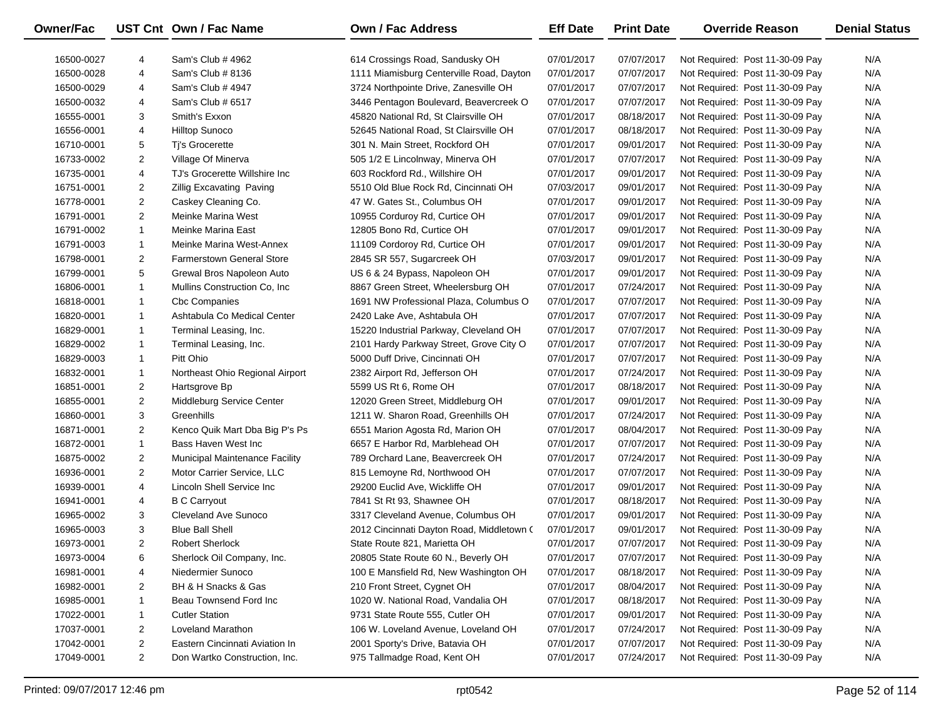| Owner/Fac  |                | UST Cnt Own / Fac Name           | <b>Own / Fac Address</b>                  | <b>Eff Date</b> | <b>Print Date</b> | <b>Override Reason</b>          | <b>Denial Status</b> |
|------------|----------------|----------------------------------|-------------------------------------------|-----------------|-------------------|---------------------------------|----------------------|
| 16500-0027 | 4              | Sam's Club # 4962                | 614 Crossings Road, Sandusky OH           | 07/01/2017      | 07/07/2017        | Not Required: Post 11-30-09 Pay | N/A                  |
| 16500-0028 | 4              | Sam's Club # 8136                | 1111 Miamisburg Centerville Road, Dayton  | 07/01/2017      | 07/07/2017        | Not Required: Post 11-30-09 Pay | N/A                  |
| 16500-0029 | 4              | Sam's Club # 4947                | 3724 Northpointe Drive, Zanesville OH     | 07/01/2017      | 07/07/2017        | Not Required: Post 11-30-09 Pay | N/A                  |
| 16500-0032 | 4              | Sam's Club # 6517                | 3446 Pentagon Boulevard, Beavercreek O    | 07/01/2017      | 07/07/2017        | Not Required: Post 11-30-09 Pay | N/A                  |
| 16555-0001 | 3              | Smith's Exxon                    | 45820 National Rd, St Clairsville OH      | 07/01/2017      | 08/18/2017        | Not Required: Post 11-30-09 Pay | N/A                  |
| 16556-0001 | 4              | <b>Hilltop Sunoco</b>            | 52645 National Road, St Clairsville OH    | 07/01/2017      | 08/18/2017        | Not Required: Post 11-30-09 Pay | N/A                  |
| 16710-0001 | 5              | Ti's Grocerette                  | 301 N. Main Street, Rockford OH           | 07/01/2017      | 09/01/2017        | Not Required: Post 11-30-09 Pay | N/A                  |
| 16733-0002 | $\overline{2}$ | Village Of Minerva               | 505 1/2 E Lincolnway, Minerva OH          | 07/01/2017      | 07/07/2017        | Not Required: Post 11-30-09 Pay | N/A                  |
| 16735-0001 | 4              | TJ's Grocerette Willshire Inc    | 603 Rockford Rd., Willshire OH            | 07/01/2017      | 09/01/2017        | Not Required: Post 11-30-09 Pay | N/A                  |
| 16751-0001 | $\overline{2}$ | <b>Zillig Excavating Paving</b>  | 5510 Old Blue Rock Rd, Cincinnati OH      | 07/03/2017      | 09/01/2017        | Not Required: Post 11-30-09 Pay | N/A                  |
| 16778-0001 | $\overline{2}$ | Caskey Cleaning Co.              | 47 W. Gates St., Columbus OH              | 07/01/2017      | 09/01/2017        | Not Required: Post 11-30-09 Pay | N/A                  |
| 16791-0001 | 2              | Meinke Marina West               | 10955 Corduroy Rd, Curtice OH             | 07/01/2017      | 09/01/2017        | Not Required: Post 11-30-09 Pay | N/A                  |
| 16791-0002 | $\mathbf{1}$   | Meinke Marina East               | 12805 Bono Rd, Curtice OH                 | 07/01/2017      | 09/01/2017        | Not Required: Post 11-30-09 Pay | N/A                  |
| 16791-0003 | $\mathbf{1}$   | Meinke Marina West-Annex         | 11109 Cordoroy Rd, Curtice OH             | 07/01/2017      | 09/01/2017        | Not Required: Post 11-30-09 Pay | N/A                  |
| 16798-0001 | $\overline{c}$ | <b>Farmerstown General Store</b> | 2845 SR 557, Sugarcreek OH                | 07/03/2017      | 09/01/2017        | Not Required: Post 11-30-09 Pay | N/A                  |
| 16799-0001 | 5              | Grewal Bros Napoleon Auto        | US 6 & 24 Bypass, Napoleon OH             | 07/01/2017      | 09/01/2017        | Not Required: Post 11-30-09 Pay | N/A                  |
| 16806-0001 | $\mathbf{1}$   | Mullins Construction Co, Inc.    | 8867 Green Street, Wheelersburg OH        | 07/01/2017      | 07/24/2017        | Not Required: Post 11-30-09 Pay | N/A                  |
| 16818-0001 | $\mathbf{1}$   | <b>Cbc Companies</b>             | 1691 NW Professional Plaza, Columbus O    | 07/01/2017      | 07/07/2017        | Not Required: Post 11-30-09 Pay | N/A                  |
| 16820-0001 | 1              | Ashtabula Co Medical Center      | 2420 Lake Ave, Ashtabula OH               | 07/01/2017      | 07/07/2017        | Not Required: Post 11-30-09 Pay | N/A                  |
| 16829-0001 | 1              | Terminal Leasing, Inc.           | 15220 Industrial Parkway, Cleveland OH    | 07/01/2017      | 07/07/2017        | Not Required: Post 11-30-09 Pay | N/A                  |
| 16829-0002 | $\mathbf{1}$   | Terminal Leasing, Inc.           | 2101 Hardy Parkway Street, Grove City O   | 07/01/2017      | 07/07/2017        | Not Required: Post 11-30-09 Pay | N/A                  |
| 16829-0003 | $\mathbf{1}$   | Pitt Ohio                        | 5000 Duff Drive, Cincinnati OH            | 07/01/2017      | 07/07/2017        | Not Required: Post 11-30-09 Pay | N/A                  |
| 16832-0001 | $\mathbf{1}$   | Northeast Ohio Regional Airport  | 2382 Airport Rd, Jefferson OH             | 07/01/2017      | 07/24/2017        | Not Required: Post 11-30-09 Pay | N/A                  |
| 16851-0001 | $\overline{2}$ | Hartsgrove Bp                    | 5599 US Rt 6, Rome OH                     | 07/01/2017      | 08/18/2017        | Not Required: Post 11-30-09 Pay | N/A                  |
| 16855-0001 | $\overline{2}$ | Middleburg Service Center        | 12020 Green Street, Middleburg OH         | 07/01/2017      | 09/01/2017        | Not Required: Post 11-30-09 Pay | N/A                  |
| 16860-0001 | 3              | Greenhills                       | 1211 W. Sharon Road, Greenhills OH        | 07/01/2017      | 07/24/2017        | Not Required: Post 11-30-09 Pay | N/A                  |
| 16871-0001 | $\overline{2}$ | Kenco Quik Mart Dba Big P's Ps   | 6551 Marion Agosta Rd, Marion OH          | 07/01/2017      | 08/04/2017        | Not Required: Post 11-30-09 Pay | N/A                  |
| 16872-0001 | $\mathbf{1}$   | Bass Haven West Inc              | 6657 E Harbor Rd, Marblehead OH           | 07/01/2017      | 07/07/2017        | Not Required: Post 11-30-09 Pay | N/A                  |
| 16875-0002 | $\overline{2}$ | Municipal Maintenance Facility   | 789 Orchard Lane, Beavercreek OH          | 07/01/2017      | 07/24/2017        | Not Required: Post 11-30-09 Pay | N/A                  |
| 16936-0001 | $\overline{c}$ | Motor Carrier Service, LLC       | 815 Lemoyne Rd, Northwood OH              | 07/01/2017      | 07/07/2017        | Not Required: Post 11-30-09 Pay | N/A                  |
| 16939-0001 | 4              | Lincoln Shell Service Inc        | 29200 Euclid Ave, Wickliffe OH            | 07/01/2017      | 09/01/2017        | Not Required: Post 11-30-09 Pay | N/A                  |
| 16941-0001 | 4              | <b>B C Carryout</b>              | 7841 St Rt 93, Shawnee OH                 | 07/01/2017      | 08/18/2017        | Not Required: Post 11-30-09 Pay | N/A                  |
| 16965-0002 | 3              | Cleveland Ave Sunoco             | 3317 Cleveland Avenue, Columbus OH        | 07/01/2017      | 09/01/2017        | Not Required: Post 11-30-09 Pay | N/A                  |
| 16965-0003 | 3              | <b>Blue Ball Shell</b>           | 2012 Cincinnati Dayton Road, Middletown ( | 07/01/2017      | 09/01/2017        | Not Required: Post 11-30-09 Pay | N/A                  |
| 16973-0001 | 2              | <b>Robert Sherlock</b>           | State Route 821, Marietta OH              | 07/01/2017      | 07/07/2017        | Not Required: Post 11-30-09 Pay | N/A                  |
| 16973-0004 | 6              | Sherlock Oil Company, Inc.       | 20805 State Route 60 N., Beverly OH       | 07/01/2017      | 07/07/2017        | Not Required: Post 11-30-09 Pay | N/A                  |
| 16981-0001 | 4              | Niedermier Sunoco                | 100 E Mansfield Rd, New Washington OH     | 07/01/2017      | 08/18/2017        | Not Required: Post 11-30-09 Pay | N/A                  |
| 16982-0001 | 2              | BH & H Snacks & Gas              | 210 Front Street, Cygnet OH               | 07/01/2017      | 08/04/2017        | Not Required: Post 11-30-09 Pay | N/A                  |
| 16985-0001 | $\mathbf{1}$   | Beau Townsend Ford Inc           | 1020 W. National Road, Vandalia OH        | 07/01/2017      | 08/18/2017        | Not Required: Post 11-30-09 Pay | N/A                  |
| 17022-0001 | $\mathbf{1}$   | <b>Cutler Station</b>            | 9731 State Route 555, Cutler OH           | 07/01/2017      | 09/01/2017        | Not Required: Post 11-30-09 Pay | N/A                  |
| 17037-0001 | 2              | Loveland Marathon                | 106 W. Loveland Avenue, Loveland OH       | 07/01/2017      | 07/24/2017        | Not Required: Post 11-30-09 Pay | N/A                  |
| 17042-0001 | 2              | Eastern Cincinnati Aviation In   | 2001 Sporty's Drive, Batavia OH           | 07/01/2017      | 07/07/2017        | Not Required: Post 11-30-09 Pay | N/A                  |
| 17049-0001 | $\overline{2}$ | Don Wartko Construction, Inc.    | 975 Tallmadge Road, Kent OH               | 07/01/2017      | 07/24/2017        | Not Required: Post 11-30-09 Pay | N/A                  |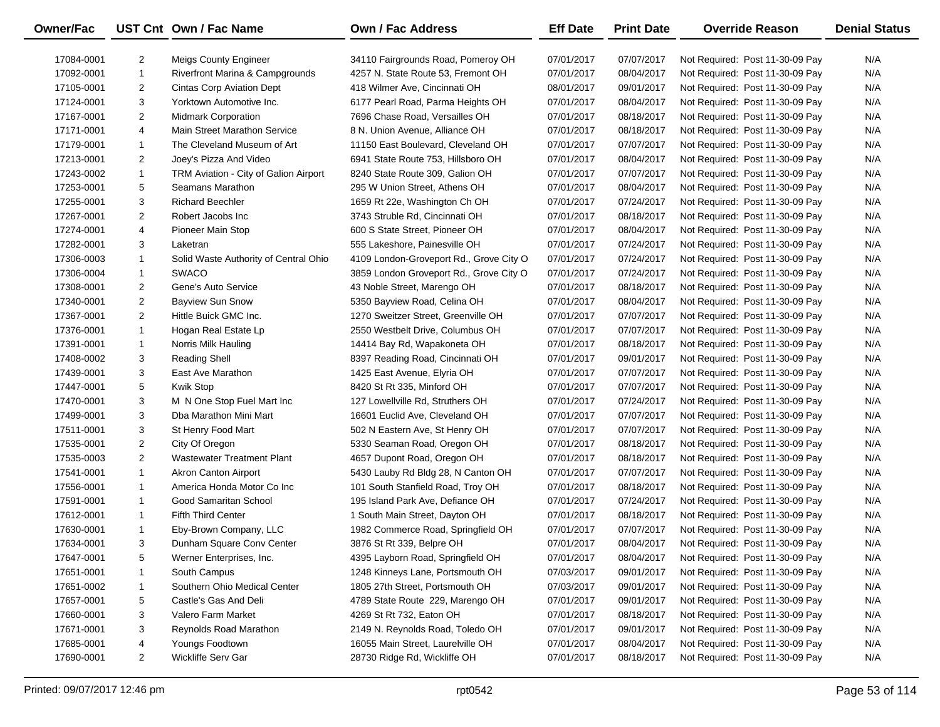| Owner/Fac  |                | UST Cnt Own / Fac Name                     | <b>Own / Fac Address</b>                | <b>Eff Date</b> | <b>Print Date</b> | <b>Override Reason</b>          | <b>Denial Status</b> |
|------------|----------------|--------------------------------------------|-----------------------------------------|-----------------|-------------------|---------------------------------|----------------------|
| 17084-0001 | $\overline{2}$ | <b>Meigs County Engineer</b>               | 34110 Fairgrounds Road, Pomeroy OH      | 07/01/2017      | 07/07/2017        | Not Required: Post 11-30-09 Pay | N/A                  |
| 17092-0001 | $\mathbf{1}$   | <b>Riverfront Marina &amp; Campgrounds</b> | 4257 N. State Route 53, Fremont OH      | 07/01/2017      | 08/04/2017        | Not Required: Post 11-30-09 Pay | N/A                  |
| 17105-0001 | $\overline{2}$ | <b>Cintas Corp Aviation Dept</b>           | 418 Wilmer Ave, Cincinnati OH           | 08/01/2017      | 09/01/2017        | Not Required: Post 11-30-09 Pay | N/A                  |
| 17124-0001 | 3              | Yorktown Automotive Inc.                   | 6177 Pearl Road, Parma Heights OH       | 07/01/2017      | 08/04/2017        | Not Required: Post 11-30-09 Pay | N/A                  |
| 17167-0001 | $\overline{2}$ | <b>Midmark Corporation</b>                 | 7696 Chase Road, Versailles OH          | 07/01/2017      | 08/18/2017        | Not Required: Post 11-30-09 Pay | N/A                  |
| 17171-0001 | 4              | Main Street Marathon Service               | 8 N. Union Avenue, Alliance OH          | 07/01/2017      | 08/18/2017        | Not Required: Post 11-30-09 Pay | N/A                  |
| 17179-0001 | $\mathbf{1}$   | The Cleveland Museum of Art                | 11150 East Boulevard, Cleveland OH      | 07/01/2017      | 07/07/2017        | Not Required: Post 11-30-09 Pay | N/A                  |
| 17213-0001 | $\overline{2}$ | Joey's Pizza And Video                     | 6941 State Route 753, Hillsboro OH      | 07/01/2017      | 08/04/2017        | Not Required: Post 11-30-09 Pay | N/A                  |
| 17243-0002 | $\mathbf{1}$   | TRM Aviation - City of Galion Airport      | 8240 State Route 309, Galion OH         | 07/01/2017      | 07/07/2017        | Not Required: Post 11-30-09 Pay | N/A                  |
| 17253-0001 | 5              | Seamans Marathon                           | 295 W Union Street, Athens OH           | 07/01/2017      | 08/04/2017        | Not Required: Post 11-30-09 Pay | N/A                  |
| 17255-0001 | 3              | <b>Richard Beechler</b>                    | 1659 Rt 22e, Washington Ch OH           | 07/01/2017      | 07/24/2017        | Not Required: Post 11-30-09 Pay | N/A                  |
| 17267-0001 | $\overline{2}$ | Robert Jacobs Inc                          | 3743 Struble Rd, Cincinnati OH          | 07/01/2017      | 08/18/2017        | Not Required: Post 11-30-09 Pay | N/A                  |
| 17274-0001 | 4              | Pioneer Main Stop                          | 600 S State Street, Pioneer OH          | 07/01/2017      | 08/04/2017        | Not Required: Post 11-30-09 Pay | N/A                  |
| 17282-0001 | 3              | Laketran                                   | 555 Lakeshore, Painesville OH           | 07/01/2017      | 07/24/2017        | Not Required: Post 11-30-09 Pay | N/A                  |
| 17306-0003 | 1              | Solid Waste Authority of Central Ohio      | 4109 London-Groveport Rd., Grove City O | 07/01/2017      | 07/24/2017        | Not Required: Post 11-30-09 Pay | N/A                  |
| 17306-0004 | 1              | <b>SWACO</b>                               | 3859 London Groveport Rd., Grove City O | 07/01/2017      | 07/24/2017        | Not Required: Post 11-30-09 Pay | N/A                  |
| 17308-0001 | $\overline{2}$ | Gene's Auto Service                        | 43 Noble Street, Marengo OH             | 07/01/2017      | 08/18/2017        | Not Required: Post 11-30-09 Pay | N/A                  |
| 17340-0001 | $\overline{2}$ | <b>Bayview Sun Snow</b>                    | 5350 Bayview Road, Celina OH            | 07/01/2017      | 08/04/2017        | Not Required: Post 11-30-09 Pay | N/A                  |
| 17367-0001 | $\overline{2}$ | Hittle Buick GMC Inc.                      | 1270 Sweitzer Street, Greenville OH     | 07/01/2017      | 07/07/2017        | Not Required: Post 11-30-09 Pay | N/A                  |
| 17376-0001 | $\mathbf{1}$   | Hogan Real Estate Lp                       | 2550 Westbelt Drive, Columbus OH        | 07/01/2017      | 07/07/2017        | Not Required: Post 11-30-09 Pay | N/A                  |
| 17391-0001 | 1              | Norris Milk Hauling                        | 14414 Bay Rd, Wapakoneta OH             | 07/01/2017      | 08/18/2017        | Not Required: Post 11-30-09 Pay | N/A                  |
| 17408-0002 | 3              | <b>Reading Shell</b>                       | 8397 Reading Road, Cincinnati OH        | 07/01/2017      | 09/01/2017        | Not Required: Post 11-30-09 Pay | N/A                  |
| 17439-0001 | 3              | East Ave Marathon                          | 1425 East Avenue, Elyria OH             | 07/01/2017      | 07/07/2017        | Not Required: Post 11-30-09 Pay | N/A                  |
| 17447-0001 | 5              | Kwik Stop                                  | 8420 St Rt 335, Minford OH              | 07/01/2017      | 07/07/2017        | Not Required: Post 11-30-09 Pay | N/A                  |
| 17470-0001 | 3              | M N One Stop Fuel Mart Inc                 | 127 Lowellville Rd, Struthers OH        | 07/01/2017      | 07/24/2017        | Not Required: Post 11-30-09 Pay | N/A                  |
| 17499-0001 | 3              | Dba Marathon Mini Mart                     | 16601 Euclid Ave, Cleveland OH          | 07/01/2017      | 07/07/2017        | Not Required: Post 11-30-09 Pay | N/A                  |
| 17511-0001 | 3              | St Henry Food Mart                         | 502 N Eastern Ave, St Henry OH          | 07/01/2017      | 07/07/2017        | Not Required: Post 11-30-09 Pay | N/A                  |
| 17535-0001 | $\overline{2}$ | City Of Oregon                             | 5330 Seaman Road, Oregon OH             | 07/01/2017      | 08/18/2017        | Not Required: Post 11-30-09 Pay | N/A                  |
| 17535-0003 | $\overline{2}$ | <b>Wastewater Treatment Plant</b>          | 4657 Dupont Road, Oregon OH             | 07/01/2017      | 08/18/2017        | Not Required: Post 11-30-09 Pay | N/A                  |
| 17541-0001 | $\mathbf{1}$   | <b>Akron Canton Airport</b>                | 5430 Lauby Rd Bldg 28, N Canton OH      | 07/01/2017      | 07/07/2017        | Not Required: Post 11-30-09 Pay | N/A                  |
| 17556-0001 | $\mathbf{1}$   | America Honda Motor Co Inc                 | 101 South Stanfield Road, Troy OH       | 07/01/2017      | 08/18/2017        | Not Required: Post 11-30-09 Pay | N/A                  |
| 17591-0001 | $\mathbf{1}$   | Good Samaritan School                      | 195 Island Park Ave, Defiance OH        | 07/01/2017      | 07/24/2017        | Not Required: Post 11-30-09 Pay | N/A                  |
| 17612-0001 | 1              | <b>Fifth Third Center</b>                  | 1 South Main Street, Dayton OH          | 07/01/2017      | 08/18/2017        | Not Required: Post 11-30-09 Pay | N/A                  |
| 17630-0001 | $\mathbf{1}$   | Eby-Brown Company, LLC                     | 1982 Commerce Road, Springfield OH      | 07/01/2017      | 07/07/2017        | Not Required: Post 11-30-09 Pay | N/A                  |
| 17634-0001 | 3              | Dunham Square Conv Center                  | 3876 St Rt 339, Belpre OH               | 07/01/2017      | 08/04/2017        | Not Required: Post 11-30-09 Pay | N/A                  |
| 17647-0001 | 5              | Werner Enterprises, Inc.                   | 4395 Layborn Road, Springfield OH       | 07/01/2017      | 08/04/2017        | Not Required: Post 11-30-09 Pay | N/A                  |
| 17651-0001 | -1             | South Campus                               | 1248 Kinneys Lane, Portsmouth OH        | 07/03/2017      | 09/01/2017        | Not Required: Post 11-30-09 Pay | N/A                  |
| 17651-0002 | 1              | Southern Ohio Medical Center               | 1805 27th Street, Portsmouth OH         | 07/03/2017      | 09/01/2017        | Not Required: Post 11-30-09 Pay | N/A                  |
| 17657-0001 | 5              | Castle's Gas And Deli                      | 4789 State Route 229, Marengo OH        | 07/01/2017      | 09/01/2017        | Not Required: Post 11-30-09 Pay | N/A                  |
| 17660-0001 | 3              | Valero Farm Market                         | 4269 St Rt 732, Eaton OH                | 07/01/2017      | 08/18/2017        | Not Required: Post 11-30-09 Pay | N/A                  |
| 17671-0001 | 3              | Reynolds Road Marathon                     | 2149 N. Reynolds Road, Toledo OH        | 07/01/2017      | 09/01/2017        | Not Required: Post 11-30-09 Pay | N/A                  |
| 17685-0001 | 4              | Youngs Foodtown                            | 16055 Main Street, Laurelville OH       | 07/01/2017      | 08/04/2017        | Not Required: Post 11-30-09 Pay | N/A                  |
| 17690-0001 | $\overline{a}$ | Wickliffe Serv Gar                         | 28730 Ridge Rd, Wickliffe OH            | 07/01/2017      | 08/18/2017        | Not Required: Post 11-30-09 Pay | N/A                  |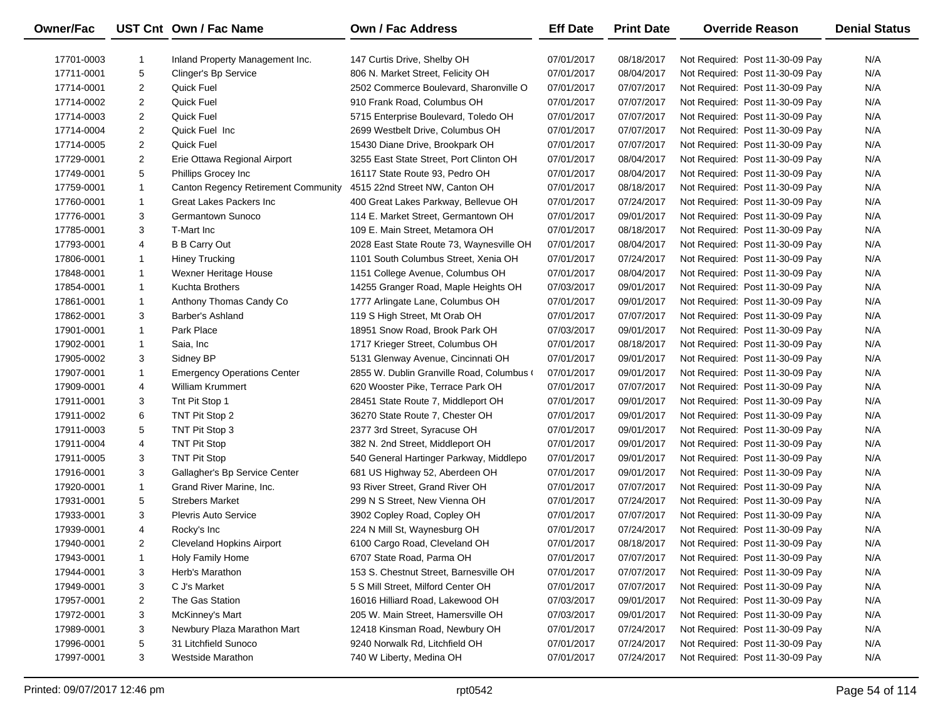| Owner/Fac  |                | UST Cnt Own / Fac Name              | <b>Own / Fac Address</b>                  | <b>Eff Date</b> | <b>Print Date</b> | <b>Override Reason</b>          | <b>Denial Status</b> |
|------------|----------------|-------------------------------------|-------------------------------------------|-----------------|-------------------|---------------------------------|----------------------|
| 17701-0003 | -1             | Inland Property Management Inc.     | 147 Curtis Drive, Shelby OH               | 07/01/2017      | 08/18/2017        | Not Required: Post 11-30-09 Pay | N/A                  |
| 17711-0001 | 5              | Clinger's Bp Service                | 806 N. Market Street, Felicity OH         | 07/01/2017      | 08/04/2017        | Not Required: Post 11-30-09 Pay | N/A                  |
| 17714-0001 | $\overline{2}$ | Quick Fuel                          | 2502 Commerce Boulevard, Sharonville O    | 07/01/2017      | 07/07/2017        | Not Required: Post 11-30-09 Pay | N/A                  |
| 17714-0002 | $\overline{2}$ | Quick Fuel                          | 910 Frank Road, Columbus OH               | 07/01/2017      | 07/07/2017        | Not Required: Post 11-30-09 Pay | N/A                  |
| 17714-0003 | $\overline{2}$ | Quick Fuel                          | 5715 Enterprise Boulevard, Toledo OH      | 07/01/2017      | 07/07/2017        | Not Required: Post 11-30-09 Pay | N/A                  |
| 17714-0004 | $\overline{2}$ | Quick Fuel Inc                      | 2699 Westbelt Drive, Columbus OH          | 07/01/2017      | 07/07/2017        | Not Required: Post 11-30-09 Pay | N/A                  |
| 17714-0005 | $\overline{a}$ | Quick Fuel                          | 15430 Diane Drive, Brookpark OH           | 07/01/2017      | 07/07/2017        | Not Required: Post 11-30-09 Pay | N/A                  |
| 17729-0001 | $\overline{a}$ | Erie Ottawa Regional Airport        | 3255 East State Street, Port Clinton OH   | 07/01/2017      | 08/04/2017        | Not Required: Post 11-30-09 Pay | N/A                  |
| 17749-0001 | 5              | Phillips Grocey Inc                 | 16117 State Route 93, Pedro OH            | 07/01/2017      | 08/04/2017        | Not Required: Post 11-30-09 Pay | N/A                  |
| 17759-0001 | 1              | Canton Regency Retirement Community | 4515 22nd Street NW, Canton OH            | 07/01/2017      | 08/18/2017        | Not Required: Post 11-30-09 Pay | N/A                  |
| 17760-0001 | 1              | Great Lakes Packers Inc             | 400 Great Lakes Parkway, Bellevue OH      | 07/01/2017      | 07/24/2017        | Not Required: Post 11-30-09 Pay | N/A                  |
| 17776-0001 | 3              | Germantown Sunoco                   | 114 E. Market Street, Germantown OH       | 07/01/2017      | 09/01/2017        | Not Required: Post 11-30-09 Pay | N/A                  |
| 17785-0001 | 3              | T-Mart Inc                          | 109 E. Main Street, Metamora OH           | 07/01/2017      | 08/18/2017        | Not Required: Post 11-30-09 Pay | N/A                  |
| 17793-0001 | 4              | <b>B B Carry Out</b>                | 2028 East State Route 73, Waynesville OH  | 07/01/2017      | 08/04/2017        | Not Required: Post 11-30-09 Pay | N/A                  |
| 17806-0001 | 1              | <b>Hiney Trucking</b>               | 1101 South Columbus Street, Xenia OH      | 07/01/2017      | 07/24/2017        | Not Required: Post 11-30-09 Pay | N/A                  |
| 17848-0001 | 1              | Wexner Heritage House               | 1151 College Avenue, Columbus OH          | 07/01/2017      | 08/04/2017        | Not Required: Post 11-30-09 Pay | N/A                  |
| 17854-0001 | 1              | Kuchta Brothers                     | 14255 Granger Road, Maple Heights OH      | 07/03/2017      | 09/01/2017        | Not Required: Post 11-30-09 Pay | N/A                  |
| 17861-0001 | $\mathbf{1}$   | Anthony Thomas Candy Co             | 1777 Arlingate Lane, Columbus OH          | 07/01/2017      | 09/01/2017        | Not Required: Post 11-30-09 Pay | N/A                  |
| 17862-0001 | 3              | Barber's Ashland                    | 119 S High Street, Mt Orab OH             | 07/01/2017      | 07/07/2017        | Not Required: Post 11-30-09 Pay | N/A                  |
| 17901-0001 | 1              | Park Place                          | 18951 Snow Road, Brook Park OH            | 07/03/2017      | 09/01/2017        | Not Required: Post 11-30-09 Pay | N/A                  |
| 17902-0001 | $\mathbf{1}$   | Saia, Inc                           | 1717 Krieger Street, Columbus OH          | 07/01/2017      | 08/18/2017        | Not Required: Post 11-30-09 Pay | N/A                  |
| 17905-0002 | 3              | Sidney BP                           | 5131 Glenway Avenue, Cincinnati OH        | 07/01/2017      | 09/01/2017        | Not Required: Post 11-30-09 Pay | N/A                  |
| 17907-0001 | 1              | <b>Emergency Operations Center</b>  | 2855 W. Dublin Granville Road, Columbus ( | 07/01/2017      | 09/01/2017        | Not Required: Post 11-30-09 Pay | N/A                  |
| 17909-0001 | 4              | <b>William Krummert</b>             | 620 Wooster Pike, Terrace Park OH         | 07/01/2017      | 07/07/2017        | Not Required: Post 11-30-09 Pay | N/A                  |
| 17911-0001 | 3              | Tnt Pit Stop 1                      | 28451 State Route 7, Middleport OH        | 07/01/2017      | 09/01/2017        | Not Required: Post 11-30-09 Pay | N/A                  |
| 17911-0002 | 6              | TNT Pit Stop 2                      | 36270 State Route 7, Chester OH           | 07/01/2017      | 09/01/2017        | Not Required: Post 11-30-09 Pay | N/A                  |
| 17911-0003 | 5              | TNT Pit Stop 3                      | 2377 3rd Street, Syracuse OH              | 07/01/2017      | 09/01/2017        | Not Required: Post 11-30-09 Pay | N/A                  |
| 17911-0004 | 4              | TNT Pit Stop                        | 382 N. 2nd Street, Middleport OH          | 07/01/2017      | 09/01/2017        | Not Required: Post 11-30-09 Pay | N/A                  |
| 17911-0005 | 3              | TNT Pit Stop                        | 540 General Hartinger Parkway, Middlepo   | 07/01/2017      | 09/01/2017        | Not Required: Post 11-30-09 Pay | N/A                  |
| 17916-0001 | 3              | Gallagher's Bp Service Center       | 681 US Highway 52, Aberdeen OH            | 07/01/2017      | 09/01/2017        | Not Required: Post 11-30-09 Pay | N/A                  |
| 17920-0001 | 1              | Grand River Marine, Inc.            | 93 River Street, Grand River OH           | 07/01/2017      | 07/07/2017        | Not Required: Post 11-30-09 Pay | N/A                  |
| 17931-0001 | 5              | <b>Strebers Market</b>              | 299 N S Street, New Vienna OH             | 07/01/2017      | 07/24/2017        | Not Required: Post 11-30-09 Pay | N/A                  |
| 17933-0001 | 3              | <b>Plevris Auto Service</b>         | 3902 Copley Road, Copley OH               | 07/01/2017      | 07/07/2017        | Not Required: Post 11-30-09 Pay | N/A                  |
| 17939-0001 | 4              | Rocky's Inc                         | 224 N Mill St, Waynesburg OH              | 07/01/2017      | 07/24/2017        | Not Required: Post 11-30-09 Pay | N/A                  |
| 17940-0001 | $\overline{2}$ | <b>Cleveland Hopkins Airport</b>    | 6100 Cargo Road, Cleveland OH             | 07/01/2017      | 08/18/2017        | Not Required: Post 11-30-09 Pay | N/A                  |
| 17943-0001 | 1              | Holy Family Home                    | 6707 State Road, Parma OH                 | 07/01/2017      | 07/07/2017        | Not Required: Post 11-30-09 Pay | N/A                  |
| 17944-0001 | 3              | Herb's Marathon                     | 153 S. Chestnut Street, Barnesville OH    | 07/01/2017      | 07/07/2017        | Not Required: Post 11-30-09 Pay | N/A                  |
| 17949-0001 | 3              | C J's Market                        | 5 S Mill Street, Milford Center OH        | 07/01/2017      | 07/07/2017        | Not Required: Post 11-30-09 Pay | N/A                  |
| 17957-0001 | 2              | The Gas Station                     | 16016 Hilliard Road, Lakewood OH          | 07/03/2017      | 09/01/2017        | Not Required: Post 11-30-09 Pay | N/A                  |
| 17972-0001 | 3              | McKinney's Mart                     | 205 W. Main Street, Hamersville OH        | 07/03/2017      | 09/01/2017        | Not Required: Post 11-30-09 Pay | N/A                  |
| 17989-0001 | 3              | Newbury Plaza Marathon Mart         | 12418 Kinsman Road, Newbury OH            | 07/01/2017      | 07/24/2017        | Not Required: Post 11-30-09 Pay | N/A                  |
| 17996-0001 | 5              | 31 Litchfield Sunoco                | 9240 Norwalk Rd, Litchfield OH            | 07/01/2017      | 07/24/2017        | Not Required: Post 11-30-09 Pay | N/A                  |
| 17997-0001 | 3              | <b>Westside Marathon</b>            | 740 W Liberty, Medina OH                  | 07/01/2017      | 07/24/2017        | Not Required: Post 11-30-09 Pay | N/A                  |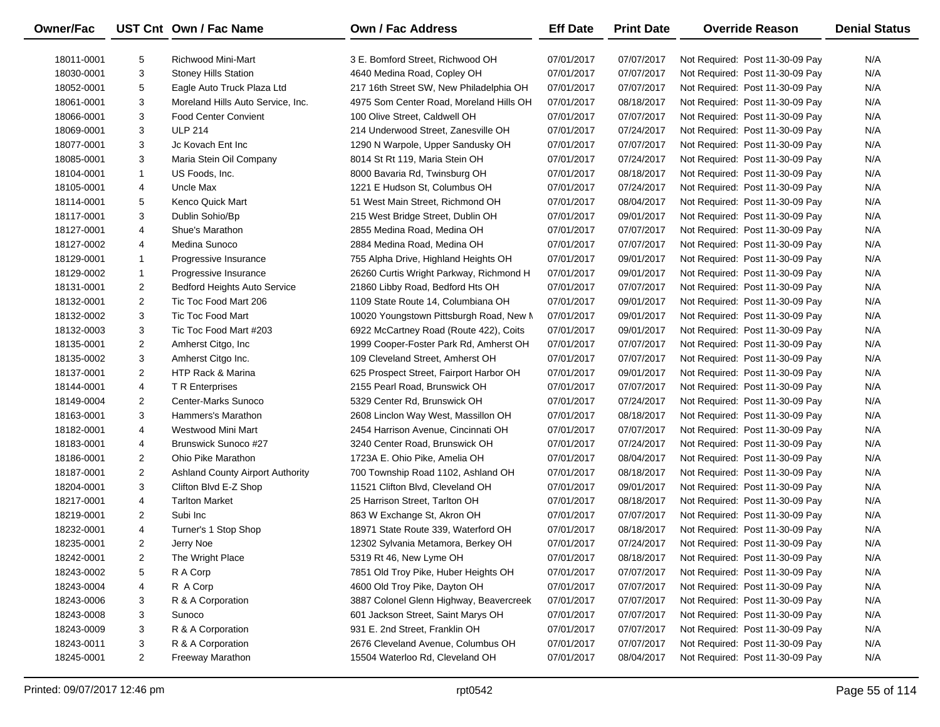| <b>Owner/Fac</b> |                | UST Cnt Own / Fac Name                  | <b>Own / Fac Address</b>                | <b>Eff Date</b> | <b>Print Date</b> | <b>Override Reason</b>          | <b>Denial Status</b> |
|------------------|----------------|-----------------------------------------|-----------------------------------------|-----------------|-------------------|---------------------------------|----------------------|
| 18011-0001       | 5              | Richwood Mini-Mart                      | 3 E. Bomford Street, Richwood OH        | 07/01/2017      | 07/07/2017        | Not Required: Post 11-30-09 Pay | N/A                  |
| 18030-0001       | 3              | <b>Stoney Hills Station</b>             | 4640 Medina Road, Copley OH             | 07/01/2017      | 07/07/2017        | Not Required: Post 11-30-09 Pay | N/A                  |
| 18052-0001       | 5              | Eagle Auto Truck Plaza Ltd              | 217 16th Street SW, New Philadelphia OH | 07/01/2017      | 07/07/2017        | Not Required: Post 11-30-09 Pay | N/A                  |
| 18061-0001       | 3              | Moreland Hills Auto Service, Inc.       | 4975 Som Center Road, Moreland Hills OH | 07/01/2017      | 08/18/2017        | Not Required: Post 11-30-09 Pay | N/A                  |
| 18066-0001       | 3              | <b>Food Center Convient</b>             | 100 Olive Street, Caldwell OH           | 07/01/2017      | 07/07/2017        | Not Required: Post 11-30-09 Pay | N/A                  |
| 18069-0001       | 3              | <b>ULP 214</b>                          | 214 Underwood Street, Zanesville OH     | 07/01/2017      | 07/24/2017        | Not Required: Post 11-30-09 Pay | N/A                  |
| 18077-0001       | 3              | Jc Kovach Ent Inc                       | 1290 N Warpole, Upper Sandusky OH       | 07/01/2017      | 07/07/2017        | Not Required: Post 11-30-09 Pay | N/A                  |
| 18085-0001       | 3              | Maria Stein Oil Company                 | 8014 St Rt 119, Maria Stein OH          | 07/01/2017      | 07/24/2017        | Not Required: Post 11-30-09 Pay | N/A                  |
| 18104-0001       | 1              | US Foods, Inc.                          | 8000 Bavaria Rd, Twinsburg OH           | 07/01/2017      | 08/18/2017        | Not Required: Post 11-30-09 Pay | N/A                  |
| 18105-0001       | 4              | Uncle Max                               | 1221 E Hudson St, Columbus OH           | 07/01/2017      | 07/24/2017        | Not Required: Post 11-30-09 Pay | N/A                  |
| 18114-0001       | 5              | Kenco Quick Mart                        | 51 West Main Street, Richmond OH        | 07/01/2017      | 08/04/2017        | Not Required: Post 11-30-09 Pay | N/A                  |
| 18117-0001       | 3              | Dublin Sohio/Bp                         | 215 West Bridge Street, Dublin OH       | 07/01/2017      | 09/01/2017        | Not Required: Post 11-30-09 Pay | N/A                  |
| 18127-0001       | 4              | Shue's Marathon                         | 2855 Medina Road, Medina OH             | 07/01/2017      | 07/07/2017        | Not Required: Post 11-30-09 Pay | N/A                  |
| 18127-0002       | 4              | Medina Sunoco                           | 2884 Medina Road, Medina OH             | 07/01/2017      | 07/07/2017        | Not Required: Post 11-30-09 Pay | N/A                  |
| 18129-0001       | 1              | Progressive Insurance                   | 755 Alpha Drive, Highland Heights OH    | 07/01/2017      | 09/01/2017        | Not Required: Post 11-30-09 Pay | N/A                  |
| 18129-0002       | 1              | Progressive Insurance                   | 26260 Curtis Wright Parkway, Richmond H | 07/01/2017      | 09/01/2017        | Not Required: Post 11-30-09 Pay | N/A                  |
| 18131-0001       | $\overline{2}$ | <b>Bedford Heights Auto Service</b>     | 21860 Libby Road, Bedford Hts OH        | 07/01/2017      | 07/07/2017        | Not Required: Post 11-30-09 Pay | N/A                  |
| 18132-0001       | $\overline{2}$ | Tic Toc Food Mart 206                   | 1109 State Route 14, Columbiana OH      | 07/01/2017      | 09/01/2017        | Not Required: Post 11-30-09 Pay | N/A                  |
| 18132-0002       | 3              | <b>Tic Toc Food Mart</b>                | 10020 Youngstown Pittsburgh Road, New M | 07/01/2017      | 09/01/2017        | Not Required: Post 11-30-09 Pay | N/A                  |
| 18132-0003       | 3              | Tic Toc Food Mart #203                  | 6922 McCartney Road (Route 422), Coits  | 07/01/2017      | 09/01/2017        | Not Required: Post 11-30-09 Pay | N/A                  |
| 18135-0001       | $\overline{2}$ | Amherst Citgo, Inc.                     | 1999 Cooper-Foster Park Rd, Amherst OH  | 07/01/2017      | 07/07/2017        | Not Required: Post 11-30-09 Pay | N/A                  |
| 18135-0002       | 3              | Amherst Citgo Inc.                      | 109 Cleveland Street, Amherst OH        | 07/01/2017      | 07/07/2017        | Not Required: Post 11-30-09 Pay | N/A                  |
| 18137-0001       | $\overline{2}$ | HTP Rack & Marina                       | 625 Prospect Street, Fairport Harbor OH | 07/01/2017      | 09/01/2017        | Not Required: Post 11-30-09 Pay | N/A                  |
| 18144-0001       | 4              | T R Enterprises                         | 2155 Pearl Road, Brunswick OH           | 07/01/2017      | 07/07/2017        | Not Required: Post 11-30-09 Pay | N/A                  |
| 18149-0004       | $\overline{2}$ | Center-Marks Sunoco                     | 5329 Center Rd, Brunswick OH            | 07/01/2017      | 07/24/2017        | Not Required: Post 11-30-09 Pay | N/A                  |
| 18163-0001       | 3              | Hammers's Marathon                      | 2608 Linclon Way West, Massillon OH     | 07/01/2017      | 08/18/2017        | Not Required: Post 11-30-09 Pay | N/A                  |
| 18182-0001       | 4              | Westwood Mini Mart                      | 2454 Harrison Avenue, Cincinnati OH     | 07/01/2017      | 07/07/2017        | Not Required: Post 11-30-09 Pay | N/A                  |
| 18183-0001       | 4              | Brunswick Sunoco #27                    | 3240 Center Road, Brunswick OH          | 07/01/2017      | 07/24/2017        | Not Required: Post 11-30-09 Pay | N/A                  |
| 18186-0001       | $\overline{2}$ | Ohio Pike Marathon                      | 1723A E. Ohio Pike, Amelia OH           | 07/01/2017      | 08/04/2017        | Not Required: Post 11-30-09 Pay | N/A                  |
| 18187-0001       | $\overline{2}$ | <b>Ashland County Airport Authority</b> | 700 Township Road 1102, Ashland OH      | 07/01/2017      | 08/18/2017        | Not Required: Post 11-30-09 Pay | N/A                  |
| 18204-0001       | 3              | Clifton Blvd E-Z Shop                   | 11521 Clifton Blvd, Cleveland OH        | 07/01/2017      | 09/01/2017        | Not Required: Post 11-30-09 Pay | N/A                  |
| 18217-0001       | 4              | <b>Tarlton Market</b>                   | 25 Harrison Street, Tarlton OH          | 07/01/2017      | 08/18/2017        | Not Required: Post 11-30-09 Pay | N/A                  |
| 18219-0001       | $\overline{2}$ | Subi Inc                                | 863 W Exchange St, Akron OH             | 07/01/2017      | 07/07/2017        | Not Required: Post 11-30-09 Pay | N/A                  |
| 18232-0001       | 4              | Turner's 1 Stop Shop                    | 18971 State Route 339, Waterford OH     | 07/01/2017      | 08/18/2017        | Not Required: Post 11-30-09 Pay | N/A                  |
| 18235-0001       | $\overline{2}$ | Jerry Noe                               | 12302 Sylvania Metamora, Berkey OH      | 07/01/2017      | 07/24/2017        | Not Required: Post 11-30-09 Pay | N/A                  |
| 18242-0001       | $\overline{2}$ | The Wright Place                        | 5319 Rt 46, New Lyme OH                 | 07/01/2017      | 08/18/2017        | Not Required: Post 11-30-09 Pay | N/A                  |
| 18243-0002       | 5              | R A Corp                                | 7851 Old Troy Pike, Huber Heights OH    | 07/01/2017      | 07/07/2017        | Not Required: Post 11-30-09 Pay | N/A                  |
| 18243-0004       | 4              | R A Corp                                | 4600 Old Troy Pike, Dayton OH           | 07/01/2017      | 07/07/2017        | Not Required: Post 11-30-09 Pay | N/A                  |
| 18243-0006       | 3              | R & A Corporation                       | 3887 Colonel Glenn Highway, Beavercreek | 07/01/2017      | 07/07/2017        | Not Required: Post 11-30-09 Pay | N/A                  |
| 18243-0008       | 3              | Sunoco                                  | 601 Jackson Street, Saint Marys OH      | 07/01/2017      | 07/07/2017        | Not Required: Post 11-30-09 Pay | N/A                  |
| 18243-0009       | 3              | R & A Corporation                       | 931 E. 2nd Street, Franklin OH          | 07/01/2017      | 07/07/2017        | Not Required: Post 11-30-09 Pay | N/A                  |
| 18243-0011       | 3              | R & A Corporation                       | 2676 Cleveland Avenue, Columbus OH      | 07/01/2017      | 07/07/2017        | Not Required: Post 11-30-09 Pay | N/A                  |
| 18245-0001       | $\overline{2}$ | Freeway Marathon                        | 15504 Waterloo Rd, Cleveland OH         | 07/01/2017      | 08/04/2017        | Not Required: Post 11-30-09 Pay | N/A                  |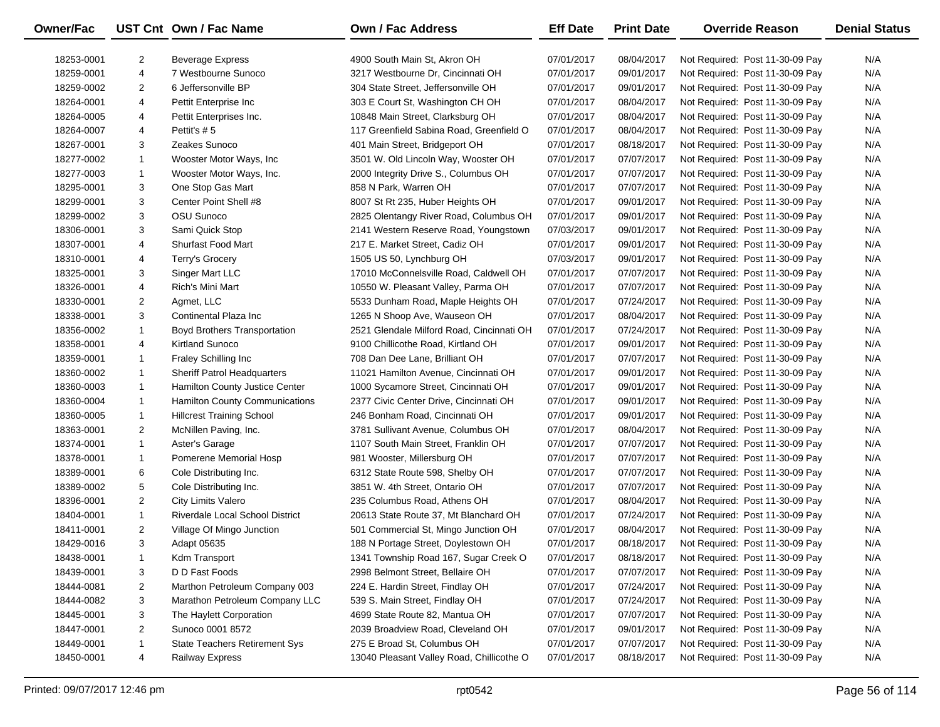| Owner/Fac  |                | UST Cnt Own / Fac Name                 | <b>Own / Fac Address</b>                  | <b>Eff Date</b> | <b>Print Date</b> | <b>Override Reason</b>          | <b>Denial Status</b> |
|------------|----------------|----------------------------------------|-------------------------------------------|-----------------|-------------------|---------------------------------|----------------------|
| 18253-0001 | $\overline{2}$ | <b>Beverage Express</b>                | 4900 South Main St, Akron OH              | 07/01/2017      | 08/04/2017        | Not Required: Post 11-30-09 Pay | N/A                  |
| 18259-0001 | 4              | 7 Westbourne Sunoco                    | 3217 Westbourne Dr, Cincinnati OH         | 07/01/2017      | 09/01/2017        | Not Required: Post 11-30-09 Pay | N/A                  |
| 18259-0002 | $\overline{2}$ | 6 Jeffersonville BP                    | 304 State Street, Jeffersonville OH       | 07/01/2017      | 09/01/2017        | Not Required: Post 11-30-09 Pay | N/A                  |
|            | 4              |                                        | 303 E Court St, Washington CH OH          | 07/01/2017      |                   |                                 | N/A                  |
| 18264-0001 |                | Pettit Enterprise Inc                  |                                           |                 | 08/04/2017        | Not Required: Post 11-30-09 Pay | N/A                  |
| 18264-0005 | 4              | Pettit Enterprises Inc.                | 10848 Main Street, Clarksburg OH          | 07/01/2017      | 08/04/2017        | Not Required: Post 11-30-09 Pay |                      |
| 18264-0007 | 4              | Pettit's #5                            | 117 Greenfield Sabina Road, Greenfield O  | 07/01/2017      | 08/04/2017        | Not Required: Post 11-30-09 Pay | N/A                  |
| 18267-0001 | 3              | Zeakes Sunoco                          | 401 Main Street, Bridgeport OH            | 07/01/2017      | 08/18/2017        | Not Required: Post 11-30-09 Pay | N/A                  |
| 18277-0002 | $\mathbf{1}$   | Wooster Motor Ways, Inc.               | 3501 W. Old Lincoln Way, Wooster OH       | 07/01/2017      | 07/07/2017        | Not Required: Post 11-30-09 Pay | N/A                  |
| 18277-0003 | $\mathbf{1}$   | Wooster Motor Ways, Inc.               | 2000 Integrity Drive S., Columbus OH      | 07/01/2017      | 07/07/2017        | Not Required: Post 11-30-09 Pay | N/A                  |
| 18295-0001 | 3              | One Stop Gas Mart                      | 858 N Park, Warren OH                     | 07/01/2017      | 07/07/2017        | Not Required: Post 11-30-09 Pay | N/A                  |
| 18299-0001 | 3              | Center Point Shell #8                  | 8007 St Rt 235, Huber Heights OH          | 07/01/2017      | 09/01/2017        | Not Required: Post 11-30-09 Pay | N/A                  |
| 18299-0002 | 3              | OSU Sunoco                             | 2825 Olentangy River Road, Columbus OH    | 07/01/2017      | 09/01/2017        | Not Required: Post 11-30-09 Pay | N/A                  |
| 18306-0001 | 3              | Sami Quick Stop                        | 2141 Western Reserve Road, Youngstown     | 07/03/2017      | 09/01/2017        | Not Required: Post 11-30-09 Pay | N/A                  |
| 18307-0001 | 4              | <b>Shurfast Food Mart</b>              | 217 E. Market Street, Cadiz OH            | 07/01/2017      | 09/01/2017        | Not Required: Post 11-30-09 Pay | N/A                  |
| 18310-0001 | 4              | Terry's Grocery                        | 1505 US 50, Lynchburg OH                  | 07/03/2017      | 09/01/2017        | Not Required: Post 11-30-09 Pay | N/A                  |
| 18325-0001 | 3              | Singer Mart LLC                        | 17010 McConnelsville Road, Caldwell OH    | 07/01/2017      | 07/07/2017        | Not Required: Post 11-30-09 Pay | N/A                  |
| 18326-0001 | 4              | Rich's Mini Mart                       | 10550 W. Pleasant Valley, Parma OH        | 07/01/2017      | 07/07/2017        | Not Required: Post 11-30-09 Pay | N/A                  |
| 18330-0001 | $\overline{2}$ | Agmet, LLC                             | 5533 Dunham Road, Maple Heights OH        | 07/01/2017      | 07/24/2017        | Not Required: Post 11-30-09 Pay | N/A                  |
| 18338-0001 | 3              | Continental Plaza Inc                  | 1265 N Shoop Ave, Wauseon OH              | 07/01/2017      | 08/04/2017        | Not Required: Post 11-30-09 Pay | N/A                  |
| 18356-0002 | $\mathbf{1}$   | <b>Boyd Brothers Transportation</b>    | 2521 Glendale Milford Road, Cincinnati OH | 07/01/2017      | 07/24/2017        | Not Required: Post 11-30-09 Pay | N/A                  |
| 18358-0001 | 4              | Kirtland Sunoco                        | 9100 Chillicothe Road, Kirtland OH        | 07/01/2017      | 09/01/2017        | Not Required: Post 11-30-09 Pay | N/A                  |
| 18359-0001 | 1              | <b>Fraley Schilling Inc</b>            | 708 Dan Dee Lane, Brilliant OH            | 07/01/2017      | 07/07/2017        | Not Required: Post 11-30-09 Pay | N/A                  |
| 18360-0002 | $\mathbf{1}$   | Sheriff Patrol Headquarters            | 11021 Hamilton Avenue, Cincinnati OH      | 07/01/2017      | 09/01/2017        | Not Required: Post 11-30-09 Pay | N/A                  |
| 18360-0003 | $\mathbf{1}$   | Hamilton County Justice Center         | 1000 Sycamore Street, Cincinnati OH       | 07/01/2017      | 09/01/2017        | Not Required: Post 11-30-09 Pay | N/A                  |
| 18360-0004 | $\mathbf{1}$   | Hamilton County Communications         | 2377 Civic Center Drive, Cincinnati OH    | 07/01/2017      | 09/01/2017        | Not Required: Post 11-30-09 Pay | N/A                  |
| 18360-0005 | $\mathbf{1}$   | <b>Hillcrest Training School</b>       | 246 Bonham Road, Cincinnati OH            | 07/01/2017      | 09/01/2017        | Not Required: Post 11-30-09 Pay | N/A                  |
| 18363-0001 | $\overline{2}$ | McNillen Paving, Inc.                  | 3781 Sullivant Avenue, Columbus OH        | 07/01/2017      | 08/04/2017        | Not Required: Post 11-30-09 Pay | N/A                  |
| 18374-0001 | $\mathbf{1}$   | Aster's Garage                         | 1107 South Main Street, Franklin OH       | 07/01/2017      | 07/07/2017        | Not Required: Post 11-30-09 Pay | N/A                  |
| 18378-0001 | $\mathbf{1}$   | Pomerene Memorial Hosp                 | 981 Wooster, Millersburg OH               | 07/01/2017      | 07/07/2017        | Not Required: Post 11-30-09 Pay | N/A                  |
| 18389-0001 | 6              | Cole Distributing Inc.                 | 6312 State Route 598, Shelby OH           | 07/01/2017      | 07/07/2017        | Not Required: Post 11-30-09 Pay | N/A                  |
| 18389-0002 | 5              | Cole Distributing Inc.                 | 3851 W. 4th Street, Ontario OH            | 07/01/2017      | 07/07/2017        | Not Required: Post 11-30-09 Pay | N/A                  |
| 18396-0001 | $\overline{2}$ | <b>City Limits Valero</b>              | 235 Columbus Road, Athens OH              | 07/01/2017      | 08/04/2017        | Not Required: Post 11-30-09 Pay | N/A                  |
| 18404-0001 | $\mathbf{1}$   | <b>Riverdale Local School District</b> | 20613 State Route 37, Mt Blanchard OH     | 07/01/2017      | 07/24/2017        | Not Required: Post 11-30-09 Pay | N/A                  |
| 18411-0001 | $\overline{2}$ | Village Of Mingo Junction              | 501 Commercial St, Mingo Junction OH      | 07/01/2017      | 08/04/2017        | Not Required: Post 11-30-09 Pay | N/A                  |
| 18429-0016 | 3              | Adapt 05635                            | 188 N Portage Street, Doylestown OH       | 07/01/2017      | 08/18/2017        | Not Required: Post 11-30-09 Pay | N/A                  |
| 18438-0001 | -1             | Kdm Transport                          | 1341 Township Road 167, Sugar Creek O     | 07/01/2017      | 08/18/2017        | Not Required: Post 11-30-09 Pay | N/A                  |
| 18439-0001 | 3              | D D Fast Foods                         | 2998 Belmont Street, Bellaire OH          | 07/01/2017      | 07/07/2017        | Not Required: Post 11-30-09 Pay | N/A                  |
| 18444-0081 | 2              | Marthon Petroleum Company 003          | 224 E. Hardin Street, Findlay OH          | 07/01/2017      | 07/24/2017        | Not Required: Post 11-30-09 Pay | N/A                  |
| 18444-0082 | 3              | Marathon Petroleum Company LLC         | 539 S. Main Street, Findlay OH            | 07/01/2017      | 07/24/2017        | Not Required: Post 11-30-09 Pay | N/A                  |
| 18445-0001 | 3              | The Haylett Corporation                | 4699 State Route 82, Mantua OH            | 07/01/2017      | 07/07/2017        | Not Required: Post 11-30-09 Pay | N/A                  |
| 18447-0001 | $\overline{2}$ | Sunoco 0001 8572                       | 2039 Broadview Road, Cleveland OH         | 07/01/2017      | 09/01/2017        | Not Required: Post 11-30-09 Pay | N/A                  |
| 18449-0001 | 1              | <b>State Teachers Retirement Sys</b>   | 275 E Broad St, Columbus OH               | 07/01/2017      | 07/07/2017        | Not Required: Post 11-30-09 Pay | N/A                  |
| 18450-0001 | 4              | Railway Express                        | 13040 Pleasant Valley Road, Chillicothe O | 07/01/2017      | 08/18/2017        | Not Required: Post 11-30-09 Pay | N/A                  |
|            |                |                                        |                                           |                 |                   |                                 |                      |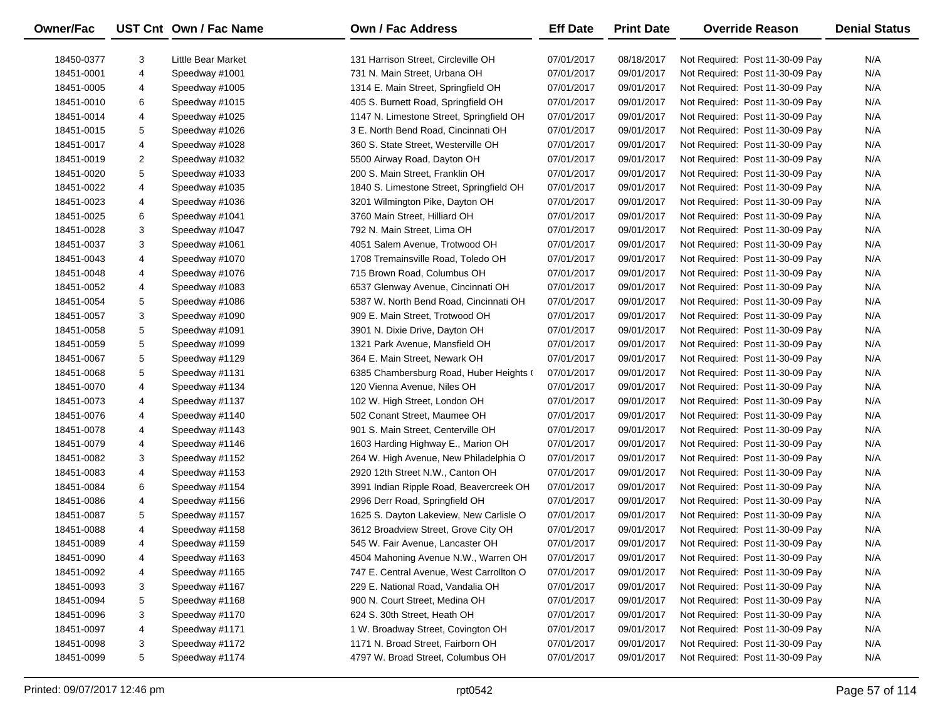| Owner/Fac                |   | UST Cnt Own / Fac Name               | Own / Fac Address                        | <b>Eff Date</b>          | <b>Print Date</b>        | <b>Override Reason</b>                                             | <b>Denial Status</b> |
|--------------------------|---|--------------------------------------|------------------------------------------|--------------------------|--------------------------|--------------------------------------------------------------------|----------------------|
|                          | 3 |                                      | 131 Harrison Street, Circleville OH      |                          |                          |                                                                    | N/A                  |
| 18450-0377<br>18451-0001 | 4 | Little Bear Market<br>Speedway #1001 | 731 N. Main Street, Urbana OH            | 07/01/2017<br>07/01/2017 | 08/18/2017<br>09/01/2017 | Not Required: Post 11-30-09 Pay<br>Not Required: Post 11-30-09 Pay | N/A                  |
|                          |   | Speedway #1005                       | 1314 E. Main Street, Springfield OH      |                          |                          |                                                                    | N/A                  |
| 18451-0005               | 4 |                                      |                                          | 07/01/2017               | 09/01/2017               | Not Required: Post 11-30-09 Pay                                    |                      |
| 18451-0010               | 6 | Speedway #1015                       | 405 S. Burnett Road, Springfield OH      | 07/01/2017               | 09/01/2017               | Not Required: Post 11-30-09 Pay                                    | N/A                  |
| 18451-0014               | 4 | Speedway #1025                       | 1147 N. Limestone Street, Springfield OH | 07/01/2017               | 09/01/2017               | Not Required: Post 11-30-09 Pay                                    | N/A                  |
| 18451-0015               | 5 | Speedway #1026                       | 3 E. North Bend Road, Cincinnati OH      | 07/01/2017               | 09/01/2017               | Not Required: Post 11-30-09 Pay                                    | N/A                  |
| 18451-0017               | 4 | Speedway #1028                       | 360 S. State Street, Westerville OH      | 07/01/2017               | 09/01/2017               | Not Required: Post 11-30-09 Pay                                    | N/A                  |
| 18451-0019               | 2 | Speedway #1032                       | 5500 Airway Road, Dayton OH              | 07/01/2017               | 09/01/2017               | Not Required: Post 11-30-09 Pay                                    | N/A                  |
| 18451-0020               | 5 | Speedway #1033                       | 200 S. Main Street, Franklin OH          | 07/01/2017               | 09/01/2017               | Not Required: Post 11-30-09 Pay                                    | N/A                  |
| 18451-0022               | 4 | Speedway #1035                       | 1840 S. Limestone Street, Springfield OH | 07/01/2017               | 09/01/2017               | Not Required: Post 11-30-09 Pay                                    | N/A                  |
| 18451-0023               | 4 | Speedway #1036                       | 3201 Wilmington Pike, Dayton OH          | 07/01/2017               | 09/01/2017               | Not Required: Post 11-30-09 Pay                                    | N/A                  |
| 18451-0025               | 6 | Speedway #1041                       | 3760 Main Street, Hilliard OH            | 07/01/2017               | 09/01/2017               | Not Required: Post 11-30-09 Pay                                    | N/A                  |
| 18451-0028               | 3 | Speedway #1047                       | 792 N. Main Street, Lima OH              | 07/01/2017               | 09/01/2017               | Not Required: Post 11-30-09 Pay                                    | N/A                  |
| 18451-0037               | 3 | Speedway #1061                       | 4051 Salem Avenue, Trotwood OH           | 07/01/2017               | 09/01/2017               | Not Required: Post 11-30-09 Pay                                    | N/A                  |
| 18451-0043               | 4 | Speedway #1070                       | 1708 Tremainsville Road, Toledo OH       | 07/01/2017               | 09/01/2017               | Not Required: Post 11-30-09 Pay                                    | N/A                  |
| 18451-0048               | 4 | Speedway #1076                       | 715 Brown Road, Columbus OH              | 07/01/2017               | 09/01/2017               | Not Required: Post 11-30-09 Pay                                    | N/A                  |
| 18451-0052               | 4 | Speedway #1083                       | 6537 Glenway Avenue, Cincinnati OH       | 07/01/2017               | 09/01/2017               | Not Required: Post 11-30-09 Pay                                    | N/A                  |
| 18451-0054               | 5 | Speedway #1086                       | 5387 W. North Bend Road, Cincinnati OH   | 07/01/2017               | 09/01/2017               | Not Required: Post 11-30-09 Pay                                    | N/A                  |
| 18451-0057               | 3 | Speedway #1090                       | 909 E. Main Street, Trotwood OH          | 07/01/2017               | 09/01/2017               | Not Required: Post 11-30-09 Pay                                    | N/A                  |
| 18451-0058               | 5 | Speedway #1091                       | 3901 N. Dixie Drive, Dayton OH           | 07/01/2017               | 09/01/2017               | Not Required: Post 11-30-09 Pay                                    | N/A                  |
| 18451-0059               | 5 | Speedway #1099                       | 1321 Park Avenue, Mansfield OH           | 07/01/2017               | 09/01/2017               | Not Required: Post 11-30-09 Pay                                    | N/A                  |
| 18451-0067               | 5 | Speedway #1129                       | 364 E. Main Street, Newark OH            | 07/01/2017               | 09/01/2017               | Not Required: Post 11-30-09 Pay                                    | N/A                  |
| 18451-0068               | 5 | Speedway #1131                       | 6385 Chambersburg Road, Huber Heights (  | 07/01/2017               | 09/01/2017               | Not Required: Post 11-30-09 Pay                                    | N/A                  |
| 18451-0070               | 4 | Speedway #1134                       | 120 Vienna Avenue, Niles OH              | 07/01/2017               | 09/01/2017               | Not Required: Post 11-30-09 Pay                                    | N/A                  |
| 18451-0073               | 4 | Speedway #1137                       | 102 W. High Street, London OH            | 07/01/2017               | 09/01/2017               | Not Required: Post 11-30-09 Pay                                    | N/A                  |
| 18451-0076               | 4 | Speedway #1140                       | 502 Conant Street, Maumee OH             | 07/01/2017               | 09/01/2017               | Not Required: Post 11-30-09 Pay                                    | N/A                  |
| 18451-0078               | 4 | Speedway #1143                       | 901 S. Main Street, Centerville OH       | 07/01/2017               | 09/01/2017               | Not Required: Post 11-30-09 Pay                                    | N/A                  |
| 18451-0079               | 4 | Speedway #1146                       | 1603 Harding Highway E., Marion OH       | 07/01/2017               | 09/01/2017               | Not Required: Post 11-30-09 Pay                                    | N/A                  |
| 18451-0082               | 3 | Speedway #1152                       | 264 W. High Avenue, New Philadelphia O   | 07/01/2017               | 09/01/2017               | Not Required: Post 11-30-09 Pay                                    | N/A                  |
| 18451-0083               | 4 | Speedway #1153                       | 2920 12th Street N.W., Canton OH         | 07/01/2017               | 09/01/2017               | Not Required: Post 11-30-09 Pay                                    | N/A                  |
| 18451-0084               | 6 | Speedway #1154                       | 3991 Indian Ripple Road, Beavercreek OH  | 07/01/2017               | 09/01/2017               | Not Required: Post 11-30-09 Pay                                    | N/A                  |
| 18451-0086               | 4 | Speedway #1156                       | 2996 Derr Road, Springfield OH           | 07/01/2017               | 09/01/2017               | Not Required: Post 11-30-09 Pay                                    | N/A                  |
| 18451-0087               | 5 | Speedway #1157                       | 1625 S. Dayton Lakeview, New Carlisle O  | 07/01/2017               | 09/01/2017               | Not Required: Post 11-30-09 Pay                                    | N/A                  |
| 18451-0088               | 4 | Speedway #1158                       | 3612 Broadview Street, Grove City OH     | 07/01/2017               | 09/01/2017               | Not Required: Post 11-30-09 Pay                                    | N/A                  |
| 18451-0089               | 4 | Speedway #1159                       | 545 W. Fair Avenue, Lancaster OH         | 07/01/2017               | 09/01/2017               | Not Required: Post 11-30-09 Pay                                    | N/A                  |
| 18451-0090               | 4 | Speedway #1163                       | 4504 Mahoning Avenue N.W., Warren OH     | 07/01/2017               | 09/01/2017               | Not Required: Post 11-30-09 Pay                                    | N/A                  |
| 18451-0092               | 4 | Speedway #1165                       | 747 E. Central Avenue, West Carrollton O | 07/01/2017               | 09/01/2017               | Not Required: Post 11-30-09 Pay                                    | N/A                  |
| 18451-0093               | 3 | Speedway #1167                       | 229 E. National Road, Vandalia OH        | 07/01/2017               | 09/01/2017               | Not Required: Post 11-30-09 Pay                                    | N/A                  |
| 18451-0094               | 5 | Speedway #1168                       | 900 N. Court Street, Medina OH           | 07/01/2017               | 09/01/2017               | Not Required: Post 11-30-09 Pay                                    | N/A                  |
| 18451-0096               | 3 | Speedway #1170                       | 624 S. 30th Street, Heath OH             | 07/01/2017               | 09/01/2017               | Not Required: Post 11-30-09 Pay                                    | N/A                  |
| 18451-0097               | 4 | Speedway #1171                       | 1 W. Broadway Street, Covington OH       | 07/01/2017               | 09/01/2017               | Not Required: Post 11-30-09 Pay                                    | N/A                  |
| 18451-0098               | 3 | Speedway #1172                       | 1171 N. Broad Street, Fairborn OH        | 07/01/2017               | 09/01/2017               | Not Required: Post 11-30-09 Pay                                    | N/A                  |
| 18451-0099               | 5 | Speedway #1174                       | 4797 W. Broad Street, Columbus OH        | 07/01/2017               | 09/01/2017               | Not Required: Post 11-30-09 Pay                                    | N/A                  |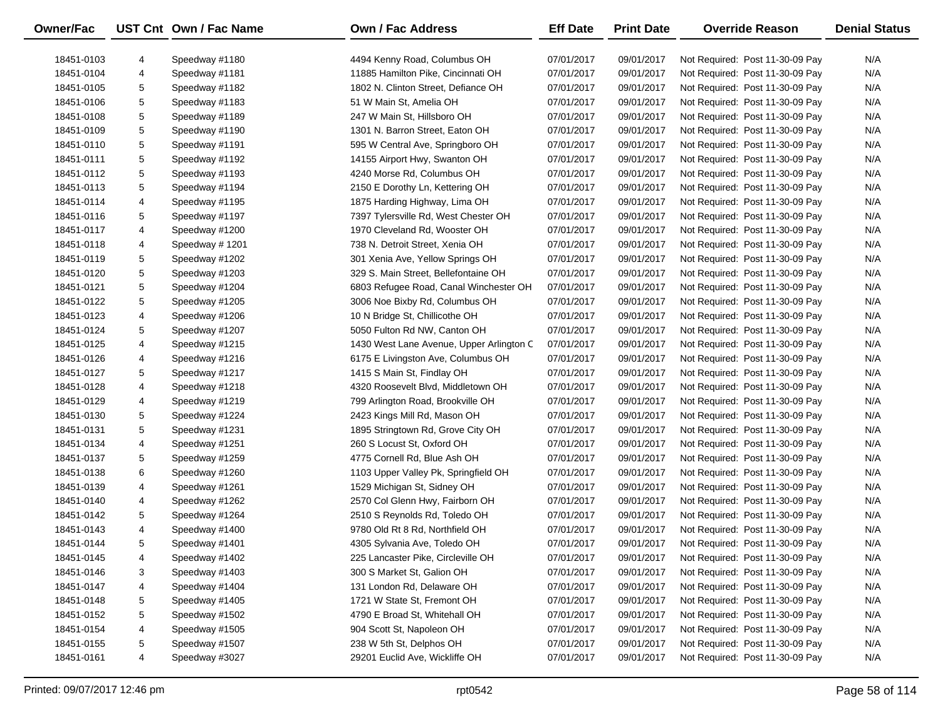| Owner/Fac  |   | UST Cnt Own / Fac Name | <b>Own / Fac Address</b>                 | <b>Eff Date</b>          | <b>Print Date</b> | <b>Override Reason</b>          | <b>Denial Status</b> |
|------------|---|------------------------|------------------------------------------|--------------------------|-------------------|---------------------------------|----------------------|
| 18451-0103 | 4 | Speedway #1180         | 4494 Kenny Road, Columbus OH             | 07/01/2017               | 09/01/2017        | Not Required: Post 11-30-09 Pay | N/A                  |
| 18451-0104 | 4 | Speedway #1181         | 11885 Hamilton Pike, Cincinnati OH       | 07/01/2017               | 09/01/2017        | Not Required: Post 11-30-09 Pay | N/A                  |
| 18451-0105 | 5 | Speedway #1182         | 1802 N. Clinton Street, Defiance OH      | 07/01/2017               | 09/01/2017        | Not Required: Post 11-30-09 Pay | N/A                  |
| 18451-0106 | 5 | Speedway #1183         | 51 W Main St, Amelia OH                  | 07/01/2017               | 09/01/2017        | Not Required: Post 11-30-09 Pay | N/A                  |
| 18451-0108 | 5 | Speedway #1189         | 247 W Main St, Hillsboro OH              | 07/01/2017               | 09/01/2017        | Not Required: Post 11-30-09 Pay | N/A                  |
|            | 5 |                        | 1301 N. Barron Street, Eaton OH          |                          |                   |                                 | N/A                  |
| 18451-0109 | 5 | Speedway #1190         |                                          | 07/01/2017<br>07/01/2017 | 09/01/2017        | Not Required: Post 11-30-09 Pay |                      |
| 18451-0110 |   | Speedway #1191         | 595 W Central Ave, Springboro OH         |                          | 09/01/2017        | Not Required: Post 11-30-09 Pay | N/A<br>N/A           |
| 18451-0111 | 5 | Speedway #1192         | 14155 Airport Hwy, Swanton OH            | 07/01/2017               | 09/01/2017        | Not Required: Post 11-30-09 Pay | N/A                  |
| 18451-0112 | 5 | Speedway #1193         | 4240 Morse Rd, Columbus OH               | 07/01/2017               | 09/01/2017        | Not Required: Post 11-30-09 Pay |                      |
| 18451-0113 | 5 | Speedway #1194         | 2150 E Dorothy Ln, Kettering OH          | 07/01/2017               | 09/01/2017        | Not Required: Post 11-30-09 Pay | N/A                  |
| 18451-0114 | 4 | Speedway #1195         | 1875 Harding Highway, Lima OH            | 07/01/2017               | 09/01/2017        | Not Required: Post 11-30-09 Pay | N/A                  |
| 18451-0116 | 5 | Speedway #1197         | 7397 Tylersville Rd, West Chester OH     | 07/01/2017               | 09/01/2017        | Not Required: Post 11-30-09 Pay | N/A                  |
| 18451-0117 | 4 | Speedway #1200         | 1970 Cleveland Rd, Wooster OH            | 07/01/2017               | 09/01/2017        | Not Required: Post 11-30-09 Pay | N/A                  |
| 18451-0118 | 4 | Speedway #1201         | 738 N. Detroit Street, Xenia OH          | 07/01/2017               | 09/01/2017        | Not Required: Post 11-30-09 Pay | N/A                  |
| 18451-0119 | 5 | Speedway #1202         | 301 Xenia Ave, Yellow Springs OH         | 07/01/2017               | 09/01/2017        | Not Required: Post 11-30-09 Pay | N/A                  |
| 18451-0120 | 5 | Speedway #1203         | 329 S. Main Street, Bellefontaine OH     | 07/01/2017               | 09/01/2017        | Not Required: Post 11-30-09 Pay | N/A                  |
| 18451-0121 | 5 | Speedway #1204         | 6803 Refugee Road, Canal Winchester OH   | 07/01/2017               | 09/01/2017        | Not Required: Post 11-30-09 Pay | N/A                  |
| 18451-0122 | 5 | Speedway #1205         | 3006 Noe Bixby Rd, Columbus OH           | 07/01/2017               | 09/01/2017        | Not Required: Post 11-30-09 Pay | N/A                  |
| 18451-0123 | 4 | Speedway #1206         | 10 N Bridge St, Chillicothe OH           | 07/01/2017               | 09/01/2017        | Not Required: Post 11-30-09 Pay | N/A                  |
| 18451-0124 | 5 | Speedway #1207         | 5050 Fulton Rd NW, Canton OH             | 07/01/2017               | 09/01/2017        | Not Required: Post 11-30-09 Pay | N/A                  |
| 18451-0125 | 4 | Speedway #1215         | 1430 West Lane Avenue, Upper Arlington C | 07/01/2017               | 09/01/2017        | Not Required: Post 11-30-09 Pay | N/A                  |
| 18451-0126 | 4 | Speedway #1216         | 6175 E Livingston Ave, Columbus OH       | 07/01/2017               | 09/01/2017        | Not Required: Post 11-30-09 Pay | N/A                  |
| 18451-0127 | 5 | Speedway #1217         | 1415 S Main St, Findlay OH               | 07/01/2017               | 09/01/2017        | Not Required: Post 11-30-09 Pay | N/A                  |
| 18451-0128 | 4 | Speedway #1218         | 4320 Roosevelt Blvd, Middletown OH       | 07/01/2017               | 09/01/2017        | Not Required: Post 11-30-09 Pay | N/A                  |
| 18451-0129 | 4 | Speedway #1219         | 799 Arlington Road, Brookville OH        | 07/01/2017               | 09/01/2017        | Not Required: Post 11-30-09 Pay | N/A                  |
| 18451-0130 | 5 | Speedway #1224         | 2423 Kings Mill Rd, Mason OH             | 07/01/2017               | 09/01/2017        | Not Required: Post 11-30-09 Pay | N/A                  |
| 18451-0131 | 5 | Speedway #1231         | 1895 Stringtown Rd, Grove City OH        | 07/01/2017               | 09/01/2017        | Not Required: Post 11-30-09 Pay | N/A                  |
| 18451-0134 | 4 | Speedway #1251         | 260 S Locust St, Oxford OH               | 07/01/2017               | 09/01/2017        | Not Required: Post 11-30-09 Pay | N/A                  |
| 18451-0137 | 5 | Speedway #1259         | 4775 Cornell Rd, Blue Ash OH             | 07/01/2017               | 09/01/2017        | Not Required: Post 11-30-09 Pay | N/A                  |
| 18451-0138 | 6 | Speedway #1260         | 1103 Upper Valley Pk, Springfield OH     | 07/01/2017               | 09/01/2017        | Not Required: Post 11-30-09 Pay | N/A                  |
| 18451-0139 | 4 | Speedway #1261         | 1529 Michigan St, Sidney OH              | 07/01/2017               | 09/01/2017        | Not Required: Post 11-30-09 Pay | N/A                  |
| 18451-0140 | 4 | Speedway #1262         | 2570 Col Glenn Hwy, Fairborn OH          | 07/01/2017               | 09/01/2017        | Not Required: Post 11-30-09 Pay | N/A                  |
| 18451-0142 | 5 | Speedway #1264         | 2510 S Reynolds Rd, Toledo OH            | 07/01/2017               | 09/01/2017        | Not Required: Post 11-30-09 Pay | N/A                  |
| 18451-0143 | 4 | Speedway #1400         | 9780 Old Rt 8 Rd, Northfield OH          | 07/01/2017               | 09/01/2017        | Not Required: Post 11-30-09 Pay | N/A                  |
| 18451-0144 | 5 | Speedway #1401         | 4305 Sylvania Ave, Toledo OH             | 07/01/2017               | 09/01/2017        | Not Required: Post 11-30-09 Pay | N/A                  |
| 18451-0145 | 4 | Speedway #1402         | 225 Lancaster Pike, Circleville OH       | 07/01/2017               | 09/01/2017        | Not Required: Post 11-30-09 Pay | N/A                  |
| 18451-0146 | 3 | Speedway #1403         | 300 S Market St, Galion OH               | 07/01/2017               | 09/01/2017        | Not Required: Post 11-30-09 Pay | N/A                  |
| 18451-0147 | 4 | Speedway #1404         | 131 London Rd, Delaware OH               | 07/01/2017               | 09/01/2017        | Not Required: Post 11-30-09 Pay | N/A                  |
| 18451-0148 | 5 | Speedway #1405         | 1721 W State St, Fremont OH              | 07/01/2017               | 09/01/2017        | Not Required: Post 11-30-09 Pay | N/A                  |
| 18451-0152 | 5 | Speedway #1502         | 4790 E Broad St, Whitehall OH            | 07/01/2017               | 09/01/2017        | Not Required: Post 11-30-09 Pay | N/A                  |
| 18451-0154 | 4 | Speedway #1505         | 904 Scott St, Napoleon OH                | 07/01/2017               | 09/01/2017        | Not Required: Post 11-30-09 Pay | N/A                  |
| 18451-0155 | 5 | Speedway #1507         | 238 W 5th St, Delphos OH                 | 07/01/2017               | 09/01/2017        | Not Required: Post 11-30-09 Pay | N/A                  |
| 18451-0161 | 4 | Speedway #3027         | 29201 Euclid Ave, Wickliffe OH           | 07/01/2017               | 09/01/2017        | Not Required: Post 11-30-09 Pay | N/A                  |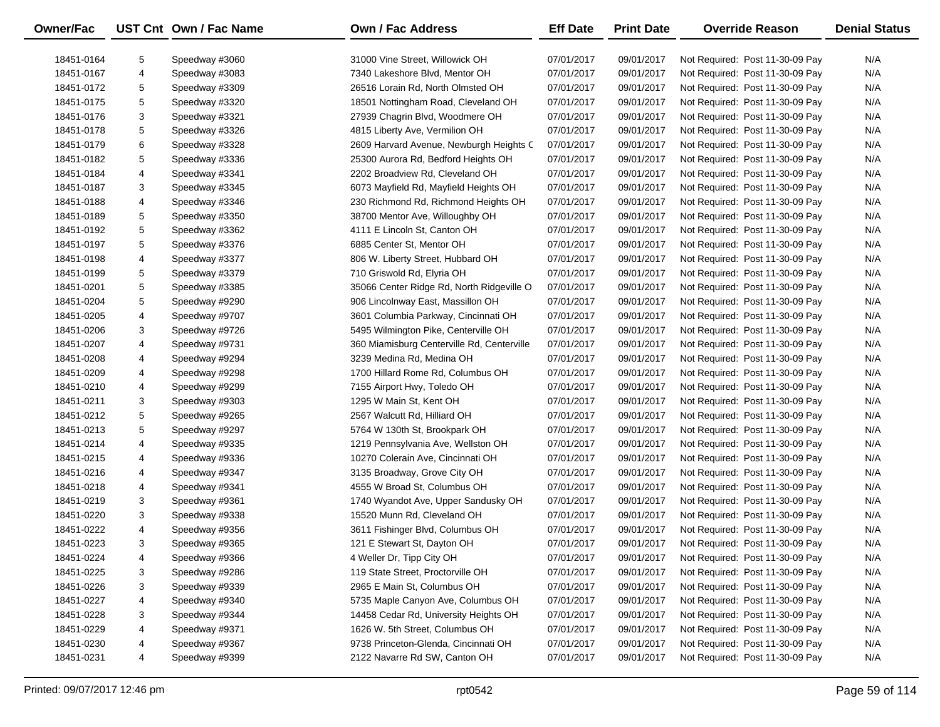| Owner/Fac  |   | UST Cnt Own / Fac Name | <b>Own / Fac Address</b>                   | <b>Eff Date</b> | <b>Print Date</b> | <b>Override Reason</b>          | <b>Denial Status</b> |
|------------|---|------------------------|--------------------------------------------|-----------------|-------------------|---------------------------------|----------------------|
| 18451-0164 | 5 | Speedway #3060         | 31000 Vine Street, Willowick OH            | 07/01/2017      | 09/01/2017        | Not Required: Post 11-30-09 Pay | N/A                  |
| 18451-0167 | 4 | Speedway #3083         | 7340 Lakeshore Blvd, Mentor OH             | 07/01/2017      | 09/01/2017        | Not Required: Post 11-30-09 Pay | N/A                  |
| 18451-0172 | 5 | Speedway #3309         | 26516 Lorain Rd, North Olmsted OH          | 07/01/2017      | 09/01/2017        | Not Required: Post 11-30-09 Pay | N/A                  |
| 18451-0175 | 5 | Speedway #3320         | 18501 Nottingham Road, Cleveland OH        | 07/01/2017      | 09/01/2017        | Not Required: Post 11-30-09 Pay | N/A                  |
| 18451-0176 | 3 | Speedway #3321         | 27939 Chagrin Blvd, Woodmere OH            | 07/01/2017      | 09/01/2017        | Not Required: Post 11-30-09 Pay | N/A                  |
| 18451-0178 | 5 | Speedway #3326         | 4815 Liberty Ave, Vermilion OH             | 07/01/2017      | 09/01/2017        | Not Required: Post 11-30-09 Pay | N/A                  |
| 18451-0179 | 6 | Speedway #3328         | 2609 Harvard Avenue, Newburgh Heights C    | 07/01/2017      | 09/01/2017        | Not Required: Post 11-30-09 Pay | N/A                  |
| 18451-0182 | 5 | Speedway #3336         | 25300 Aurora Rd, Bedford Heights OH        | 07/01/2017      | 09/01/2017        | Not Required: Post 11-30-09 Pay | N/A                  |
| 18451-0184 | 4 | Speedway #3341         | 2202 Broadview Rd, Cleveland OH            | 07/01/2017      | 09/01/2017        | Not Required: Post 11-30-09 Pay | N/A                  |
| 18451-0187 | 3 | Speedway #3345         | 6073 Mayfield Rd, Mayfield Heights OH      | 07/01/2017      | 09/01/2017        | Not Required: Post 11-30-09 Pay | N/A                  |
| 18451-0188 | 4 | Speedway #3346         | 230 Richmond Rd, Richmond Heights OH       | 07/01/2017      | 09/01/2017        | Not Required: Post 11-30-09 Pay | N/A                  |
| 18451-0189 | 5 | Speedway #3350         | 38700 Mentor Ave, Willoughby OH            | 07/01/2017      | 09/01/2017        | Not Required: Post 11-30-09 Pay | N/A                  |
| 18451-0192 | 5 | Speedway #3362         | 4111 E Lincoln St, Canton OH               | 07/01/2017      | 09/01/2017        | Not Required: Post 11-30-09 Pay | N/A                  |
| 18451-0197 | 5 | Speedway #3376         | 6885 Center St, Mentor OH                  | 07/01/2017      | 09/01/2017        | Not Required: Post 11-30-09 Pay | N/A                  |
| 18451-0198 | 4 | Speedway #3377         | 806 W. Liberty Street, Hubbard OH          | 07/01/2017      | 09/01/2017        | Not Required: Post 11-30-09 Pay | N/A                  |
| 18451-0199 | 5 | Speedway #3379         | 710 Griswold Rd, Elyria OH                 | 07/01/2017      | 09/01/2017        | Not Required: Post 11-30-09 Pay | N/A                  |
| 18451-0201 | 5 | Speedway #3385         | 35066 Center Ridge Rd, North Ridgeville O  | 07/01/2017      | 09/01/2017        | Not Required: Post 11-30-09 Pay | N/A                  |
| 18451-0204 | 5 | Speedway #9290         | 906 Lincolnway East, Massillon OH          | 07/01/2017      | 09/01/2017        | Not Required: Post 11-30-09 Pay | N/A                  |
| 18451-0205 | 4 | Speedway #9707         | 3601 Columbia Parkway, Cincinnati OH       | 07/01/2017      | 09/01/2017        | Not Required: Post 11-30-09 Pay | N/A                  |
| 18451-0206 | 3 | Speedway #9726         | 5495 Wilmington Pike, Centerville OH       | 07/01/2017      | 09/01/2017        | Not Required: Post 11-30-09 Pay | N/A                  |
| 18451-0207 | 4 | Speedway #9731         | 360 Miamisburg Centerville Rd, Centerville | 07/01/2017      | 09/01/2017        | Not Required: Post 11-30-09 Pay | N/A                  |
| 18451-0208 | 4 | Speedway #9294         | 3239 Medina Rd, Medina OH                  | 07/01/2017      | 09/01/2017        | Not Required: Post 11-30-09 Pay | N/A                  |
| 18451-0209 | 4 | Speedway #9298         | 1700 Hillard Rome Rd, Columbus OH          | 07/01/2017      | 09/01/2017        | Not Required: Post 11-30-09 Pay | N/A                  |
| 18451-0210 | 4 | Speedway #9299         | 7155 Airport Hwy, Toledo OH                | 07/01/2017      | 09/01/2017        | Not Required: Post 11-30-09 Pay | N/A                  |
| 18451-0211 | 3 | Speedway #9303         | 1295 W Main St, Kent OH                    | 07/01/2017      | 09/01/2017        | Not Required: Post 11-30-09 Pay | N/A                  |
| 18451-0212 | 5 | Speedway #9265         | 2567 Walcutt Rd, Hilliard OH               | 07/01/2017      | 09/01/2017        | Not Required: Post 11-30-09 Pay | N/A                  |
| 18451-0213 | 5 | Speedway #9297         | 5764 W 130th St, Brookpark OH              | 07/01/2017      | 09/01/2017        | Not Required: Post 11-30-09 Pay | N/A                  |
| 18451-0214 | 4 | Speedway #9335         | 1219 Pennsylvania Ave, Wellston OH         | 07/01/2017      | 09/01/2017        | Not Required: Post 11-30-09 Pay | N/A                  |
| 18451-0215 | 4 | Speedway #9336         | 10270 Colerain Ave, Cincinnati OH          | 07/01/2017      | 09/01/2017        | Not Required: Post 11-30-09 Pay | N/A                  |
| 18451-0216 | 4 | Speedway #9347         | 3135 Broadway, Grove City OH               | 07/01/2017      | 09/01/2017        | Not Required: Post 11-30-09 Pay | N/A                  |
| 18451-0218 | 4 | Speedway #9341         | 4555 W Broad St, Columbus OH               | 07/01/2017      | 09/01/2017        | Not Required: Post 11-30-09 Pay | N/A                  |
| 18451-0219 | 3 | Speedway #9361         | 1740 Wyandot Ave, Upper Sandusky OH        | 07/01/2017      | 09/01/2017        | Not Required: Post 11-30-09 Pay | N/A                  |
| 18451-0220 | 3 | Speedway #9338         | 15520 Munn Rd, Cleveland OH                | 07/01/2017      | 09/01/2017        | Not Required: Post 11-30-09 Pay | N/A                  |
| 18451-0222 | 4 | Speedway #9356         | 3611 Fishinger Blvd, Columbus OH           | 07/01/2017      | 09/01/2017        | Not Required: Post 11-30-09 Pay | N/A                  |
| 18451-0223 | 3 | Speedway #9365         | 121 E Stewart St, Dayton OH                | 07/01/2017      | 09/01/2017        | Not Required: Post 11-30-09 Pay | N/A                  |
| 18451-0224 | 4 | Speedway #9366         | 4 Weller Dr, Tipp City OH                  | 07/01/2017      | 09/01/2017        | Not Required: Post 11-30-09 Pay | N/A                  |
| 18451-0225 | 3 | Speedway #9286         | 119 State Street, Proctorville OH          | 07/01/2017      | 09/01/2017        | Not Required: Post 11-30-09 Pay | N/A                  |
| 18451-0226 | 3 | Speedway #9339         | 2965 E Main St, Columbus OH                | 07/01/2017      | 09/01/2017        | Not Required: Post 11-30-09 Pay | N/A                  |
| 18451-0227 | 4 | Speedway #9340         | 5735 Maple Canyon Ave, Columbus OH         | 07/01/2017      | 09/01/2017        | Not Required: Post 11-30-09 Pay | N/A                  |
| 18451-0228 | 3 | Speedway #9344         | 14458 Cedar Rd, University Heights OH      | 07/01/2017      | 09/01/2017        | Not Required: Post 11-30-09 Pay | N/A                  |
| 18451-0229 | 4 | Speedway #9371         | 1626 W. 5th Street, Columbus OH            | 07/01/2017      | 09/01/2017        | Not Required: Post 11-30-09 Pay | N/A                  |
| 18451-0230 | 4 | Speedway #9367         | 9738 Princeton-Glenda, Cincinnati OH       | 07/01/2017      | 09/01/2017        | Not Required: Post 11-30-09 Pay | N/A                  |
| 18451-0231 | 4 | Speedway #9399         | 2122 Navarre Rd SW, Canton OH              | 07/01/2017      | 09/01/2017        | Not Required: Post 11-30-09 Pay | N/A                  |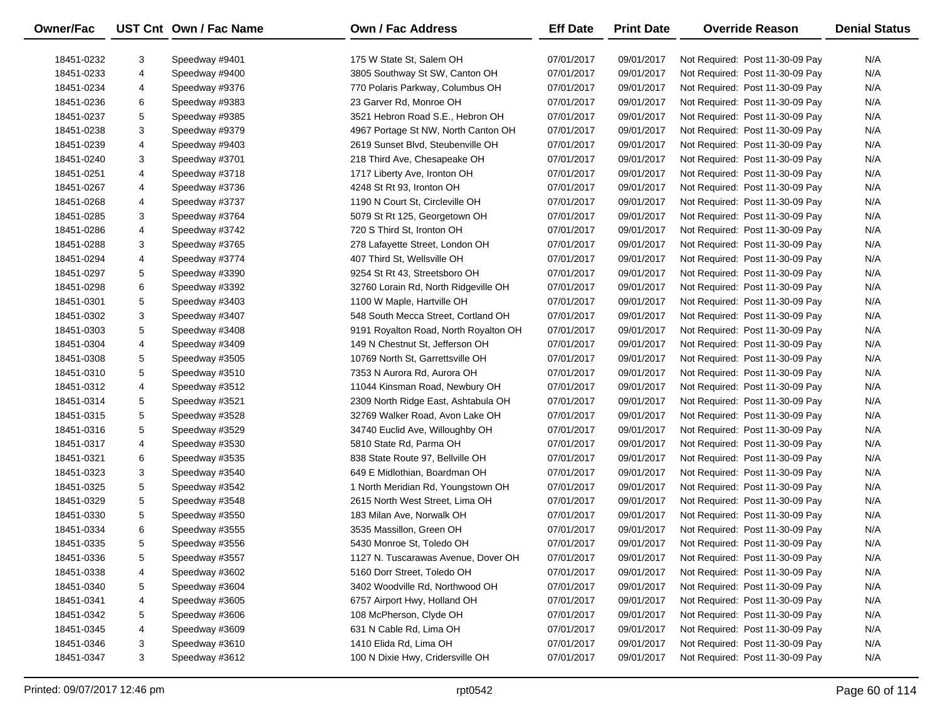| Owner/Fac  |   | UST Cnt Own / Fac Name | Own / Fac Address                     | <b>Eff Date</b> | <b>Print Date</b> | <b>Override Reason</b>          | <b>Denial Status</b> |
|------------|---|------------------------|---------------------------------------|-----------------|-------------------|---------------------------------|----------------------|
|            |   |                        |                                       |                 |                   |                                 |                      |
| 18451-0232 | 3 | Speedway #9401         | 175 W State St, Salem OH              | 07/01/2017      | 09/01/2017        | Not Required: Post 11-30-09 Pay | N/A                  |
| 18451-0233 | 4 | Speedway #9400         | 3805 Southway St SW, Canton OH        | 07/01/2017      | 09/01/2017        | Not Required: Post 11-30-09 Pay | N/A                  |
| 18451-0234 | 4 | Speedway #9376         | 770 Polaris Parkway, Columbus OH      | 07/01/2017      | 09/01/2017        | Not Required: Post 11-30-09 Pay | N/A                  |
| 18451-0236 | 6 | Speedway #9383         | 23 Garver Rd, Monroe OH               | 07/01/2017      | 09/01/2017        | Not Required: Post 11-30-09 Pay | N/A                  |
| 18451-0237 | 5 | Speedway #9385         | 3521 Hebron Road S.E., Hebron OH      | 07/01/2017      | 09/01/2017        | Not Required: Post 11-30-09 Pay | N/A                  |
| 18451-0238 | 3 | Speedway #9379         | 4967 Portage St NW, North Canton OH   | 07/01/2017      | 09/01/2017        | Not Required: Post 11-30-09 Pay | N/A                  |
| 18451-0239 | 4 | Speedway #9403         | 2619 Sunset Blvd, Steubenville OH     | 07/01/2017      | 09/01/2017        | Not Required: Post 11-30-09 Pay | N/A                  |
| 18451-0240 | 3 | Speedway #3701         | 218 Third Ave, Chesapeake OH          | 07/01/2017      | 09/01/2017        | Not Required: Post 11-30-09 Pay | N/A                  |
| 18451-0251 | 4 | Speedway #3718         | 1717 Liberty Ave, Ironton OH          | 07/01/2017      | 09/01/2017        | Not Required: Post 11-30-09 Pay | N/A                  |
| 18451-0267 | 4 | Speedway #3736         | 4248 St Rt 93, Ironton OH             | 07/01/2017      | 09/01/2017        | Not Required: Post 11-30-09 Pay | N/A                  |
| 18451-0268 | 4 | Speedway #3737         | 1190 N Court St, Circleville OH       | 07/01/2017      | 09/01/2017        | Not Required: Post 11-30-09 Pay | N/A                  |
| 18451-0285 | 3 | Speedway #3764         | 5079 St Rt 125, Georgetown OH         | 07/01/2017      | 09/01/2017        | Not Required: Post 11-30-09 Pay | N/A                  |
| 18451-0286 | 4 | Speedway #3742         | 720 S Third St, Ironton OH            | 07/01/2017      | 09/01/2017        | Not Required: Post 11-30-09 Pay | N/A                  |
| 18451-0288 | 3 | Speedway #3765         | 278 Lafayette Street, London OH       | 07/01/2017      | 09/01/2017        | Not Required: Post 11-30-09 Pay | N/A                  |
| 18451-0294 | 4 | Speedway #3774         | 407 Third St, Wellsville OH           | 07/01/2017      | 09/01/2017        | Not Required: Post 11-30-09 Pay | N/A                  |
| 18451-0297 | 5 | Speedway #3390         | 9254 St Rt 43, Streetsboro OH         | 07/01/2017      | 09/01/2017        | Not Required: Post 11-30-09 Pay | N/A                  |
| 18451-0298 | 6 | Speedway #3392         | 32760 Lorain Rd, North Ridgeville OH  | 07/01/2017      | 09/01/2017        | Not Required: Post 11-30-09 Pay | N/A                  |
| 18451-0301 | 5 | Speedway #3403         | 1100 W Maple, Hartville OH            | 07/01/2017      | 09/01/2017        | Not Required: Post 11-30-09 Pay | N/A                  |
| 18451-0302 | 3 | Speedway #3407         | 548 South Mecca Street, Cortland OH   | 07/01/2017      | 09/01/2017        | Not Required: Post 11-30-09 Pay | N/A                  |
| 18451-0303 | 5 | Speedway #3408         | 9191 Royalton Road, North Royalton OH | 07/01/2017      | 09/01/2017        | Not Required: Post 11-30-09 Pay | N/A                  |
| 18451-0304 | 4 | Speedway #3409         | 149 N Chestnut St, Jefferson OH       | 07/01/2017      | 09/01/2017        | Not Required: Post 11-30-09 Pay | N/A                  |
| 18451-0308 | 5 | Speedway #3505         | 10769 North St, Garrettsville OH      | 07/01/2017      | 09/01/2017        | Not Required: Post 11-30-09 Pay | N/A                  |
| 18451-0310 | 5 | Speedway #3510         | 7353 N Aurora Rd, Aurora OH           | 07/01/2017      | 09/01/2017        | Not Required: Post 11-30-09 Pay | N/A                  |
| 18451-0312 | 4 | Speedway #3512         | 11044 Kinsman Road, Newbury OH        | 07/01/2017      | 09/01/2017        | Not Required: Post 11-30-09 Pay | N/A                  |
| 18451-0314 | 5 | Speedway #3521         | 2309 North Ridge East, Ashtabula OH   | 07/01/2017      | 09/01/2017        | Not Required: Post 11-30-09 Pay | N/A                  |
| 18451-0315 | 5 | Speedway #3528         | 32769 Walker Road, Avon Lake OH       | 07/01/2017      | 09/01/2017        | Not Required: Post 11-30-09 Pay | N/A                  |
| 18451-0316 | 5 | Speedway #3529         | 34740 Euclid Ave, Willoughby OH       | 07/01/2017      | 09/01/2017        | Not Required: Post 11-30-09 Pay | N/A                  |
| 18451-0317 | 4 | Speedway #3530         | 5810 State Rd, Parma OH               | 07/01/2017      | 09/01/2017        | Not Required: Post 11-30-09 Pay | N/A                  |
| 18451-0321 | 6 | Speedway #3535         | 838 State Route 97, Bellville OH      | 07/01/2017      | 09/01/2017        | Not Required: Post 11-30-09 Pay | N/A                  |
| 18451-0323 | 3 | Speedway #3540         | 649 E Midlothian, Boardman OH         | 07/01/2017      | 09/01/2017        | Not Required: Post 11-30-09 Pay | N/A                  |
| 18451-0325 | 5 | Speedway #3542         | 1 North Meridian Rd, Youngstown OH    | 07/01/2017      | 09/01/2017        | Not Required: Post 11-30-09 Pay | N/A                  |
| 18451-0329 | 5 | Speedway #3548         | 2615 North West Street, Lima OH       | 07/01/2017      | 09/01/2017        | Not Required: Post 11-30-09 Pay | N/A                  |
| 18451-0330 | 5 | Speedway #3550         | 183 Milan Ave, Norwalk OH             | 07/01/2017      | 09/01/2017        | Not Required: Post 11-30-09 Pay | N/A                  |
| 18451-0334 | 6 | Speedway #3555         | 3535 Massillon, Green OH              | 07/01/2017      | 09/01/2017        | Not Required: Post 11-30-09 Pay | N/A                  |
| 18451-0335 | 5 | Speedway #3556         | 5430 Monroe St, Toledo OH             | 07/01/2017      | 09/01/2017        | Not Required: Post 11-30-09 Pay | N/A                  |
| 18451-0336 | 5 | Speedway #3557         | 1127 N. Tuscarawas Avenue, Dover OH   | 07/01/2017      | 09/01/2017        | Not Required: Post 11-30-09 Pay | N/A                  |
| 18451-0338 | 4 | Speedway #3602         | 5160 Dorr Street, Toledo OH           | 07/01/2017      | 09/01/2017        | Not Required: Post 11-30-09 Pay | N/A                  |
| 18451-0340 | 5 | Speedway #3604         | 3402 Woodville Rd, Northwood OH       | 07/01/2017      | 09/01/2017        | Not Required: Post 11-30-09 Pay | N/A                  |
| 18451-0341 | 4 | Speedway #3605         | 6757 Airport Hwy, Holland OH          | 07/01/2017      | 09/01/2017        | Not Required: Post 11-30-09 Pay | N/A                  |
| 18451-0342 | 5 | Speedway #3606         | 108 McPherson, Clyde OH               | 07/01/2017      | 09/01/2017        | Not Required: Post 11-30-09 Pay | N/A                  |
| 18451-0345 | 4 | Speedway #3609         | 631 N Cable Rd, Lima OH               | 07/01/2017      | 09/01/2017        | Not Required: Post 11-30-09 Pay | N/A                  |
| 18451-0346 | 3 | Speedway #3610         | 1410 Elida Rd, Lima OH                | 07/01/2017      | 09/01/2017        | Not Required: Post 11-30-09 Pay | N/A                  |
| 18451-0347 | 3 | Speedway #3612         | 100 N Dixie Hwy, Cridersville OH      | 07/01/2017      | 09/01/2017        | Not Required: Post 11-30-09 Pay | N/A                  |
|            |   |                        |                                       |                 |                   |                                 |                      |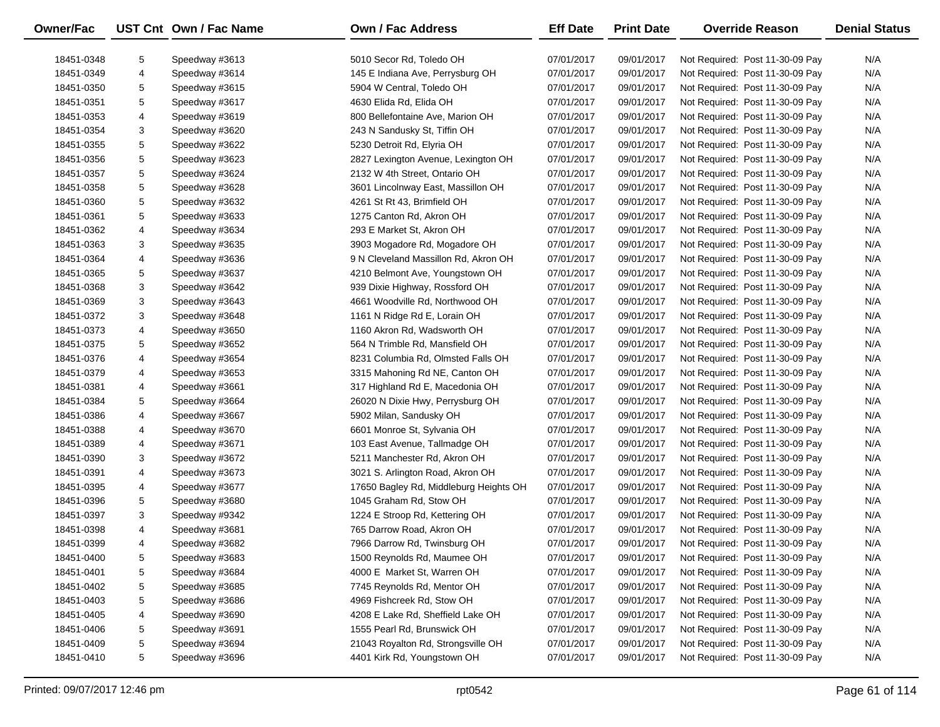| Owner/Fac                |   | UST Cnt Own / Fac Name | <b>Own / Fac Address</b>                                             | <b>Eff Date</b>          | <b>Print Date</b>        | <b>Override Reason</b>          | <b>Denial Status</b> |
|--------------------------|---|------------------------|----------------------------------------------------------------------|--------------------------|--------------------------|---------------------------------|----------------------|
| 18451-0348               | 5 | Speedway #3613         | 5010 Secor Rd, Toledo OH                                             | 07/01/2017               | 09/01/2017               | Not Required: Post 11-30-09 Pay | N/A                  |
| 18451-0349               | 4 | Speedway #3614         | 145 E Indiana Ave, Perrysburg OH                                     | 07/01/2017               | 09/01/2017               | Not Required: Post 11-30-09 Pay | N/A                  |
| 18451-0350               | 5 | Speedway #3615         | 5904 W Central, Toledo OH                                            | 07/01/2017               | 09/01/2017               | Not Required: Post 11-30-09 Pay | N/A                  |
| 18451-0351               | 5 | Speedway #3617         | 4630 Elida Rd, Elida OH                                              | 07/01/2017               | 09/01/2017               | Not Required: Post 11-30-09 Pay | N/A                  |
| 18451-0353               | 4 | Speedway #3619         | 800 Bellefontaine Ave, Marion OH                                     | 07/01/2017               | 09/01/2017               | Not Required: Post 11-30-09 Pay | N/A                  |
| 18451-0354               | 3 | Speedway #3620         | 243 N Sandusky St, Tiffin OH                                         | 07/01/2017               | 09/01/2017               | Not Required: Post 11-30-09 Pay | N/A                  |
| 18451-0355               | 5 | Speedway #3622         | 5230 Detroit Rd, Elyria OH                                           | 07/01/2017               | 09/01/2017               | Not Required: Post 11-30-09 Pay | N/A                  |
| 18451-0356               | 5 | Speedway #3623         | 2827 Lexington Avenue, Lexington OH                                  | 07/01/2017               | 09/01/2017               | Not Required: Post 11-30-09 Pay | N/A                  |
| 18451-0357               | 5 | Speedway #3624         | 2132 W 4th Street, Ontario OH                                        | 07/01/2017               | 09/01/2017               | Not Required: Post 11-30-09 Pay | N/A                  |
| 18451-0358               | 5 | Speedway #3628         | 3601 Lincolnway East, Massillon OH                                   | 07/01/2017               | 09/01/2017               | Not Required: Post 11-30-09 Pay | N/A                  |
|                          | 5 |                        |                                                                      |                          |                          |                                 | N/A                  |
| 18451-0360               | 5 | Speedway #3632         | 4261 St Rt 43, Brimfield OH<br>1275 Canton Rd, Akron OH              | 07/01/2017               | 09/01/2017               | Not Required: Post 11-30-09 Pay |                      |
| 18451-0361               |   | Speedway #3633         | 293 E Market St, Akron OH                                            | 07/01/2017               | 09/01/2017               | Not Required: Post 11-30-09 Pay | N/A<br>N/A           |
| 18451-0362               | 4 | Speedway #3634         |                                                                      | 07/01/2017               | 09/01/2017               | Not Required: Post 11-30-09 Pay | N/A                  |
| 18451-0363               | 3 | Speedway #3635         | 3903 Mogadore Rd, Mogadore OH                                        | 07/01/2017<br>07/01/2017 | 09/01/2017               | Not Required: Post 11-30-09 Pay | N/A                  |
| 18451-0364               | 4 | Speedway #3636         | 9 N Cleveland Massillon Rd, Akron OH                                 |                          | 09/01/2017<br>09/01/2017 | Not Required: Post 11-30-09 Pay |                      |
| 18451-0365               | 5 | Speedway #3637         | 4210 Belmont Ave, Youngstown OH                                      | 07/01/2017               |                          | Not Required: Post 11-30-09 Pay | N/A<br>N/A           |
| 18451-0368<br>18451-0369 | 3 | Speedway #3642         | 939 Dixie Highway, Rossford OH<br>4661 Woodville Rd, Northwood OH    | 07/01/2017               | 09/01/2017               | Not Required: Post 11-30-09 Pay | N/A                  |
|                          | 3 | Speedway #3643         | 1161 N Ridge Rd E, Lorain OH                                         | 07/01/2017<br>07/01/2017 | 09/01/2017               | Not Required: Post 11-30-09 Pay | N/A                  |
| 18451-0372               | 3 | Speedway #3648         | 1160 Akron Rd, Wadsworth OH                                          |                          | 09/01/2017               | Not Required: Post 11-30-09 Pay |                      |
| 18451-0373               | 4 | Speedway #3650         |                                                                      | 07/01/2017               | 09/01/2017               | Not Required: Post 11-30-09 Pay | N/A                  |
| 18451-0375               | 5 | Speedway #3652         | 564 N Trimble Rd, Mansfield OH<br>8231 Columbia Rd, Olmsted Falls OH | 07/01/2017               | 09/01/2017               | Not Required: Post 11-30-09 Pay | N/A                  |
| 18451-0376               | 4 | Speedway #3654         |                                                                      | 07/01/2017               | 09/01/2017               | Not Required: Post 11-30-09 Pay | N/A                  |
| 18451-0379               | 4 | Speedway #3653         | 3315 Mahoning Rd NE, Canton OH                                       | 07/01/2017               | 09/01/2017               | Not Required: Post 11-30-09 Pay | N/A                  |
| 18451-0381               | 4 | Speedway #3661         | 317 Highland Rd E, Macedonia OH                                      | 07/01/2017               | 09/01/2017               | Not Required: Post 11-30-09 Pay | N/A                  |
| 18451-0384               | 5 | Speedway #3664         | 26020 N Dixie Hwy, Perrysburg OH                                     | 07/01/2017               | 09/01/2017               | Not Required: Post 11-30-09 Pay | N/A                  |
| 18451-0386               | 4 | Speedway #3667         | 5902 Milan, Sandusky OH                                              | 07/01/2017               | 09/01/2017               | Not Required: Post 11-30-09 Pay | N/A                  |
| 18451-0388               | 4 | Speedway #3670         | 6601 Monroe St, Sylvania OH                                          | 07/01/2017               | 09/01/2017               | Not Required: Post 11-30-09 Pay | N/A                  |
| 18451-0389               | 4 | Speedway #3671         | 103 East Avenue, Tallmadge OH                                        | 07/01/2017               | 09/01/2017               | Not Required: Post 11-30-09 Pay | N/A                  |
| 18451-0390               | 3 | Speedway #3672         | 5211 Manchester Rd, Akron OH                                         | 07/01/2017               | 09/01/2017               | Not Required: Post 11-30-09 Pay | N/A                  |
| 18451-0391               | 4 | Speedway #3673         | 3021 S. Arlington Road, Akron OH                                     | 07/01/2017               | 09/01/2017               | Not Required: Post 11-30-09 Pay | N/A                  |
| 18451-0395               | 4 | Speedway #3677         | 17650 Bagley Rd, Middleburg Heights OH                               | 07/01/2017               | 09/01/2017               | Not Required: Post 11-30-09 Pay | N/A                  |
| 18451-0396               | 5 | Speedway #3680         | 1045 Graham Rd, Stow OH                                              | 07/01/2017               | 09/01/2017               | Not Required: Post 11-30-09 Pay | N/A                  |
| 18451-0397               | 3 | Speedway #9342         | 1224 E Stroop Rd, Kettering OH                                       | 07/01/2017               | 09/01/2017               | Not Required: Post 11-30-09 Pay | N/A                  |
| 18451-0398               | 4 | Speedway #3681         | 765 Darrow Road, Akron OH                                            | 07/01/2017               | 09/01/2017               | Not Required: Post 11-30-09 Pay | N/A                  |
| 18451-0399               | 4 | Speedway #3682         | 7966 Darrow Rd, Twinsburg OH                                         | 07/01/2017               | 09/01/2017               | Not Required: Post 11-30-09 Pay | N/A                  |
| 18451-0400               | 5 | Speedway #3683         | 1500 Reynolds Rd, Maumee OH                                          | 07/01/2017               | 09/01/2017               | Not Required: Post 11-30-09 Pay | N/A                  |
| 18451-0401               | 5 | Speedway #3684         | 4000 E Market St, Warren OH                                          | 07/01/2017               | 09/01/2017               | Not Required: Post 11-30-09 Pay | N/A                  |
| 18451-0402               | 5 | Speedway #3685         | 7745 Reynolds Rd, Mentor OH                                          | 07/01/2017               | 09/01/2017               | Not Required: Post 11-30-09 Pay | N/A                  |
| 18451-0403               | 5 | Speedway #3686         | 4969 Fishcreek Rd, Stow OH                                           | 07/01/2017               | 09/01/2017               | Not Required: Post 11-30-09 Pay | N/A                  |
| 18451-0405               | 4 | Speedway #3690         | 4208 E Lake Rd, Sheffield Lake OH                                    | 07/01/2017               | 09/01/2017               | Not Required: Post 11-30-09 Pay | N/A                  |
| 18451-0406               | 5 | Speedway #3691         | 1555 Pearl Rd, Brunswick OH                                          | 07/01/2017               | 09/01/2017               | Not Required: Post 11-30-09 Pay | N/A                  |
| 18451-0409               | 5 | Speedway #3694         | 21043 Royalton Rd, Strongsville OH                                   | 07/01/2017               | 09/01/2017               | Not Required: Post 11-30-09 Pay | N/A                  |
| 18451-0410               | 5 | Speedway #3696         | 4401 Kirk Rd, Youngstown OH                                          | 07/01/2017               | 09/01/2017               | Not Required: Post 11-30-09 Pay | N/A                  |

-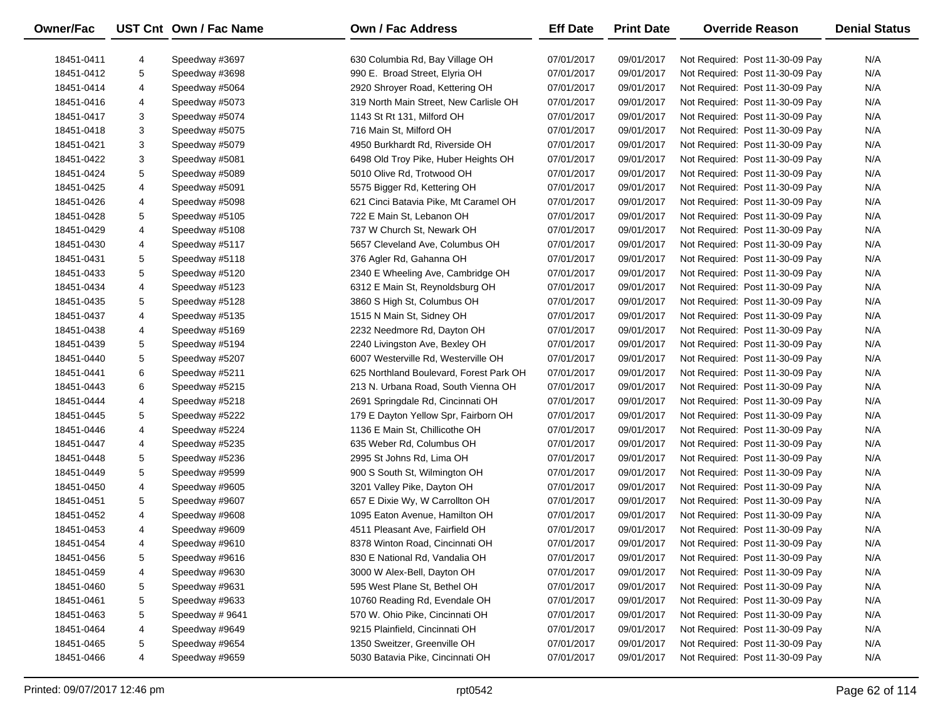| Owner/Fac  |   | UST Cnt Own / Fac Name | Own / Fac Address                       | <b>Eff Date</b> | <b>Print Date</b> | <b>Override Reason</b>          | <b>Denial Status</b> |
|------------|---|------------------------|-----------------------------------------|-----------------|-------------------|---------------------------------|----------------------|
| 18451-0411 | 4 | Speedway #3697         | 630 Columbia Rd, Bay Village OH         | 07/01/2017      | 09/01/2017        | Not Required: Post 11-30-09 Pay | N/A                  |
| 18451-0412 | 5 | Speedway #3698         | 990 E. Broad Street, Elyria OH          | 07/01/2017      | 09/01/2017        | Not Required: Post 11-30-09 Pay | N/A                  |
| 18451-0414 | 4 | Speedway #5064         | 2920 Shroyer Road, Kettering OH         | 07/01/2017      | 09/01/2017        | Not Required: Post 11-30-09 Pay | N/A                  |
|            |   | Speedway #5073         | 319 North Main Street, New Carlisle OH  |                 |                   |                                 | N/A                  |
| 18451-0416 | 4 |                        |                                         | 07/01/2017      | 09/01/2017        | Not Required: Post 11-30-09 Pay | N/A                  |
| 18451-0417 | 3 | Speedway #5074         | 1143 St Rt 131, Milford OH              | 07/01/2017      | 09/01/2017        | Not Required: Post 11-30-09 Pay |                      |
| 18451-0418 | 3 | Speedway #5075         | 716 Main St, Milford OH                 | 07/01/2017      | 09/01/2017        | Not Required: Post 11-30-09 Pay | N/A                  |
| 18451-0421 | 3 | Speedway #5079         | 4950 Burkhardt Rd, Riverside OH         | 07/01/2017      | 09/01/2017        | Not Required: Post 11-30-09 Pay | N/A                  |
| 18451-0422 | 3 | Speedway #5081         | 6498 Old Troy Pike, Huber Heights OH    | 07/01/2017      | 09/01/2017        | Not Required: Post 11-30-09 Pay | N/A                  |
| 18451-0424 | 5 | Speedway #5089         | 5010 Olive Rd, Trotwood OH              | 07/01/2017      | 09/01/2017        | Not Required: Post 11-30-09 Pay | N/A                  |
| 18451-0425 | 4 | Speedway #5091         | 5575 Bigger Rd, Kettering OH            | 07/01/2017      | 09/01/2017        | Not Required: Post 11-30-09 Pay | N/A                  |
| 18451-0426 | 4 | Speedway #5098         | 621 Cinci Batavia Pike, Mt Caramel OH   | 07/01/2017      | 09/01/2017        | Not Required: Post 11-30-09 Pay | N/A                  |
| 18451-0428 | 5 | Speedway #5105         | 722 E Main St, Lebanon OH               | 07/01/2017      | 09/01/2017        | Not Required: Post 11-30-09 Pay | N/A                  |
| 18451-0429 | 4 | Speedway #5108         | 737 W Church St, Newark OH              | 07/01/2017      | 09/01/2017        | Not Required: Post 11-30-09 Pay | N/A                  |
| 18451-0430 | 4 | Speedway #5117         | 5657 Cleveland Ave, Columbus OH         | 07/01/2017      | 09/01/2017        | Not Required: Post 11-30-09 Pay | N/A                  |
| 18451-0431 | 5 | Speedway #5118         | 376 Agler Rd, Gahanna OH                | 07/01/2017      | 09/01/2017        | Not Required: Post 11-30-09 Pay | N/A                  |
| 18451-0433 | 5 | Speedway #5120         | 2340 E Wheeling Ave, Cambridge OH       | 07/01/2017      | 09/01/2017        | Not Required: Post 11-30-09 Pay | N/A                  |
| 18451-0434 | 4 | Speedway #5123         | 6312 E Main St, Reynoldsburg OH         | 07/01/2017      | 09/01/2017        | Not Required: Post 11-30-09 Pay | N/A                  |
| 18451-0435 | 5 | Speedway #5128         | 3860 S High St, Columbus OH             | 07/01/2017      | 09/01/2017        | Not Required: Post 11-30-09 Pay | N/A                  |
| 18451-0437 | 4 | Speedway #5135         | 1515 N Main St, Sidney OH               | 07/01/2017      | 09/01/2017        | Not Required: Post 11-30-09 Pay | N/A                  |
| 18451-0438 | 4 | Speedway #5169         | 2232 Needmore Rd, Dayton OH             | 07/01/2017      | 09/01/2017        | Not Required: Post 11-30-09 Pay | N/A                  |
| 18451-0439 | 5 | Speedway #5194         | 2240 Livingston Ave, Bexley OH          | 07/01/2017      | 09/01/2017        | Not Required: Post 11-30-09 Pay | N/A                  |
| 18451-0440 | 5 | Speedway #5207         | 6007 Westerville Rd, Westerville OH     | 07/01/2017      | 09/01/2017        | Not Required: Post 11-30-09 Pay | N/A                  |
| 18451-0441 | 6 | Speedway #5211         | 625 Northland Boulevard, Forest Park OH | 07/01/2017      | 09/01/2017        | Not Required: Post 11-30-09 Pay | N/A                  |
| 18451-0443 | 6 | Speedway #5215         | 213 N. Urbana Road, South Vienna OH     | 07/01/2017      | 09/01/2017        | Not Required: Post 11-30-09 Pay | N/A                  |
| 18451-0444 | 4 | Speedway #5218         | 2691 Springdale Rd, Cincinnati OH       | 07/01/2017      | 09/01/2017        | Not Required: Post 11-30-09 Pay | N/A                  |
| 18451-0445 | 5 | Speedway #5222         | 179 E Dayton Yellow Spr, Fairborn OH    | 07/01/2017      | 09/01/2017        | Not Required: Post 11-30-09 Pay | N/A                  |
| 18451-0446 | 4 | Speedway #5224         | 1136 E Main St, Chillicothe OH          | 07/01/2017      | 09/01/2017        | Not Required: Post 11-30-09 Pay | N/A                  |
| 18451-0447 | 4 | Speedway #5235         | 635 Weber Rd, Columbus OH               | 07/01/2017      | 09/01/2017        | Not Required: Post 11-30-09 Pay | N/A                  |
| 18451-0448 | 5 | Speedway #5236         | 2995 St Johns Rd, Lima OH               | 07/01/2017      | 09/01/2017        | Not Required: Post 11-30-09 Pay | N/A                  |
| 18451-0449 | 5 | Speedway #9599         | 900 S South St, Wilmington OH           | 07/01/2017      | 09/01/2017        | Not Required: Post 11-30-09 Pay | N/A                  |
| 18451-0450 | 4 | Speedway #9605         | 3201 Valley Pike, Dayton OH             | 07/01/2017      | 09/01/2017        | Not Required: Post 11-30-09 Pay | N/A                  |
| 18451-0451 | 5 | Speedway #9607         | 657 E Dixie Wy, W Carrollton OH         | 07/01/2017      | 09/01/2017        | Not Required: Post 11-30-09 Pay | N/A                  |
| 18451-0452 | 4 | Speedway #9608         | 1095 Eaton Avenue, Hamilton OH          | 07/01/2017      | 09/01/2017        | Not Required: Post 11-30-09 Pay | N/A                  |
| 18451-0453 | 4 | Speedway #9609         | 4511 Pleasant Ave, Fairfield OH         | 07/01/2017      | 09/01/2017        | Not Required: Post 11-30-09 Pay | N/A                  |
| 18451-0454 | 4 | Speedway #9610         | 8378 Winton Road, Cincinnati OH         | 07/01/2017      | 09/01/2017        | Not Required: Post 11-30-09 Pay | N/A                  |
| 18451-0456 | 5 | Speedway #9616         | 830 E National Rd, Vandalia OH          | 07/01/2017      | 09/01/2017        | Not Required: Post 11-30-09 Pay | N/A                  |
| 18451-0459 | 4 | Speedway #9630         | 3000 W Alex-Bell, Dayton OH             | 07/01/2017      | 09/01/2017        | Not Required: Post 11-30-09 Pay | N/A                  |
| 18451-0460 | 5 | Speedway #9631         | 595 West Plane St, Bethel OH            | 07/01/2017      | 09/01/2017        | Not Required: Post 11-30-09 Pay | N/A                  |
| 18451-0461 | 5 | Speedway #9633         | 10760 Reading Rd, Evendale OH           | 07/01/2017      | 09/01/2017        | Not Required: Post 11-30-09 Pay | N/A                  |
| 18451-0463 | 5 | Speedway #9641         | 570 W. Ohio Pike, Cincinnati OH         | 07/01/2017      | 09/01/2017        | Not Required: Post 11-30-09 Pay | N/A                  |
| 18451-0464 | 4 | Speedway #9649         | 9215 Plainfield, Cincinnati OH          | 07/01/2017      | 09/01/2017        | Not Required: Post 11-30-09 Pay | N/A                  |
| 18451-0465 | 5 | Speedway #9654         | 1350 Sweitzer, Greenville OH            | 07/01/2017      | 09/01/2017        | Not Required: Post 11-30-09 Pay | N/A                  |
| 18451-0466 | 4 | Speedway #9659         | 5030 Batavia Pike, Cincinnati OH        | 07/01/2017      | 09/01/2017        | Not Required: Post 11-30-09 Pay | N/A                  |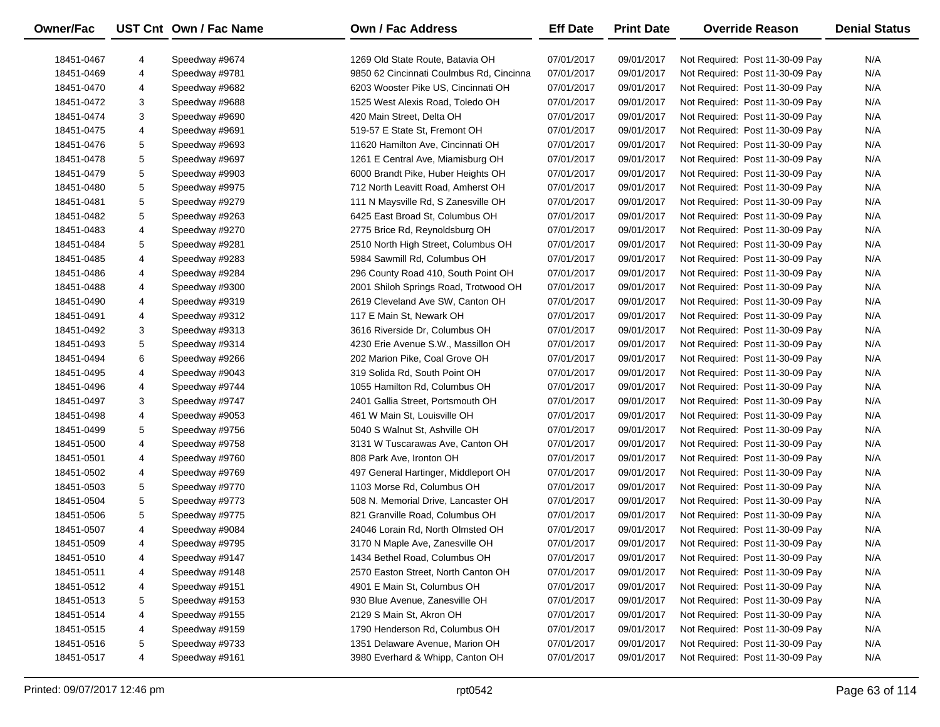| Owner/Fac  |   | UST Cnt Own / Fac Name | <b>Own / Fac Address</b>                 | <b>Eff Date</b> | <b>Print Date</b> | <b>Override Reason</b>          | <b>Denial Status</b> |
|------------|---|------------------------|------------------------------------------|-----------------|-------------------|---------------------------------|----------------------|
| 18451-0467 | 4 | Speedway #9674         | 1269 Old State Route, Batavia OH         | 07/01/2017      | 09/01/2017        | Not Required: Post 11-30-09 Pay | N/A                  |
| 18451-0469 | 4 | Speedway #9781         | 9850 62 Cincinnati Coulmbus Rd, Cincinna | 07/01/2017      | 09/01/2017        | Not Required: Post 11-30-09 Pay | N/A                  |
| 18451-0470 | 4 | Speedway #9682         | 6203 Wooster Pike US, Cincinnati OH      | 07/01/2017      | 09/01/2017        | Not Required: Post 11-30-09 Pay | N/A                  |
| 18451-0472 | 3 | Speedway #9688         | 1525 West Alexis Road, Toledo OH         | 07/01/2017      | 09/01/2017        | Not Required: Post 11-30-09 Pay | N/A                  |
| 18451-0474 | 3 | Speedway #9690         | 420 Main Street, Delta OH                | 07/01/2017      | 09/01/2017        | Not Required: Post 11-30-09 Pay | N/A                  |
| 18451-0475 | 4 | Speedway #9691         | 519-57 E State St, Fremont OH            | 07/01/2017      | 09/01/2017        | Not Required: Post 11-30-09 Pay | N/A                  |
| 18451-0476 | 5 | Speedway #9693         | 11620 Hamilton Ave, Cincinnati OH        | 07/01/2017      | 09/01/2017        | Not Required: Post 11-30-09 Pay | N/A                  |
| 18451-0478 | 5 | Speedway #9697         | 1261 E Central Ave, Miamisburg OH        | 07/01/2017      | 09/01/2017        | Not Required: Post 11-30-09 Pay | N/A                  |
| 18451-0479 | 5 | Speedway #9903         | 6000 Brandt Pike, Huber Heights OH       | 07/01/2017      | 09/01/2017        | Not Required: Post 11-30-09 Pay | N/A                  |
| 18451-0480 | 5 | Speedway #9975         | 712 North Leavitt Road, Amherst OH       | 07/01/2017      | 09/01/2017        | Not Required: Post 11-30-09 Pay | N/A                  |
| 18451-0481 | 5 | Speedway #9279         | 111 N Maysville Rd, S Zanesville OH      | 07/01/2017      | 09/01/2017        | Not Required: Post 11-30-09 Pay | N/A                  |
| 18451-0482 | 5 | Speedway #9263         | 6425 East Broad St, Columbus OH          | 07/01/2017      | 09/01/2017        | Not Required: Post 11-30-09 Pay | N/A                  |
| 18451-0483 | 4 | Speedway #9270         | 2775 Brice Rd, Reynoldsburg OH           | 07/01/2017      | 09/01/2017        | Not Required: Post 11-30-09 Pay | N/A                  |
| 18451-0484 | 5 | Speedway #9281         | 2510 North High Street, Columbus OH      | 07/01/2017      | 09/01/2017        | Not Required: Post 11-30-09 Pay | N/A                  |
| 18451-0485 | 4 | Speedway #9283         | 5984 Sawmill Rd, Columbus OH             | 07/01/2017      | 09/01/2017        | Not Required: Post 11-30-09 Pay | N/A                  |
| 18451-0486 | 4 | Speedway #9284         | 296 County Road 410, South Point OH      | 07/01/2017      | 09/01/2017        | Not Required: Post 11-30-09 Pay | N/A                  |
| 18451-0488 | 4 | Speedway #9300         | 2001 Shiloh Springs Road, Trotwood OH    | 07/01/2017      | 09/01/2017        | Not Required: Post 11-30-09 Pay | N/A                  |
| 18451-0490 | 4 | Speedway #9319         | 2619 Cleveland Ave SW, Canton OH         | 07/01/2017      | 09/01/2017        | Not Required: Post 11-30-09 Pay | N/A                  |
| 18451-0491 | 4 | Speedway #9312         | 117 E Main St, Newark OH                 | 07/01/2017      | 09/01/2017        | Not Required: Post 11-30-09 Pay | N/A                  |
| 18451-0492 | 3 | Speedway #9313         | 3616 Riverside Dr, Columbus OH           | 07/01/2017      | 09/01/2017        | Not Required: Post 11-30-09 Pay | N/A                  |
| 18451-0493 | 5 | Speedway #9314         | 4230 Erie Avenue S.W., Massillon OH      | 07/01/2017      | 09/01/2017        | Not Required: Post 11-30-09 Pay | N/A                  |
| 18451-0494 | 6 | Speedway #9266         | 202 Marion Pike, Coal Grove OH           | 07/01/2017      | 09/01/2017        | Not Required: Post 11-30-09 Pay | N/A                  |
| 18451-0495 | 4 | Speedway #9043         | 319 Solida Rd, South Point OH            | 07/01/2017      | 09/01/2017        | Not Required: Post 11-30-09 Pay | N/A                  |
| 18451-0496 | 4 | Speedway #9744         | 1055 Hamilton Rd, Columbus OH            | 07/01/2017      | 09/01/2017        | Not Required: Post 11-30-09 Pay | N/A                  |
| 18451-0497 | 3 | Speedway #9747         | 2401 Gallia Street, Portsmouth OH        | 07/01/2017      | 09/01/2017        | Not Required: Post 11-30-09 Pay | N/A                  |
| 18451-0498 | 4 | Speedway #9053         | 461 W Main St, Louisville OH             | 07/01/2017      | 09/01/2017        | Not Required: Post 11-30-09 Pay | N/A                  |
| 18451-0499 | 5 | Speedway #9756         | 5040 S Walnut St, Ashville OH            | 07/01/2017      | 09/01/2017        | Not Required: Post 11-30-09 Pay | N/A                  |
| 18451-0500 | 4 | Speedway #9758         | 3131 W Tuscarawas Ave, Canton OH         | 07/01/2017      | 09/01/2017        | Not Required: Post 11-30-09 Pay | N/A                  |
| 18451-0501 | 4 | Speedway #9760         | 808 Park Ave, Ironton OH                 | 07/01/2017      | 09/01/2017        | Not Required: Post 11-30-09 Pay | N/A                  |
| 18451-0502 | 4 | Speedway #9769         | 497 General Hartinger, Middleport OH     | 07/01/2017      | 09/01/2017        | Not Required: Post 11-30-09 Pay | N/A                  |
| 18451-0503 | 5 | Speedway #9770         | 1103 Morse Rd, Columbus OH               | 07/01/2017      | 09/01/2017        | Not Required: Post 11-30-09 Pay | N/A                  |
| 18451-0504 | 5 | Speedway #9773         | 508 N. Memorial Drive, Lancaster OH      | 07/01/2017      | 09/01/2017        | Not Required: Post 11-30-09 Pay | N/A                  |
| 18451-0506 | 5 | Speedway #9775         | 821 Granville Road, Columbus OH          | 07/01/2017      | 09/01/2017        | Not Required: Post 11-30-09 Pay | N/A                  |
| 18451-0507 | 4 | Speedway #9084         | 24046 Lorain Rd, North Olmsted OH        | 07/01/2017      | 09/01/2017        | Not Required: Post 11-30-09 Pay | N/A                  |
| 18451-0509 | 4 | Speedway #9795         | 3170 N Maple Ave, Zanesville OH          | 07/01/2017      | 09/01/2017        | Not Required: Post 11-30-09 Pay | N/A                  |
| 18451-0510 | 4 | Speedway #9147         | 1434 Bethel Road, Columbus OH            | 07/01/2017      | 09/01/2017        | Not Required: Post 11-30-09 Pay | N/A                  |
| 18451-0511 | 4 | Speedway #9148         | 2570 Easton Street, North Canton OH      | 07/01/2017      | 09/01/2017        | Not Required: Post 11-30-09 Pay | N/A                  |
| 18451-0512 | 4 | Speedway #9151         | 4901 E Main St, Columbus OH              | 07/01/2017      | 09/01/2017        | Not Required: Post 11-30-09 Pay | N/A                  |
| 18451-0513 | 5 | Speedway #9153         | 930 Blue Avenue, Zanesville OH           | 07/01/2017      | 09/01/2017        | Not Required: Post 11-30-09 Pay | N/A                  |
| 18451-0514 | 4 | Speedway #9155         | 2129 S Main St, Akron OH                 | 07/01/2017      | 09/01/2017        | Not Required: Post 11-30-09 Pay | N/A                  |
| 18451-0515 | 4 | Speedway #9159         | 1790 Henderson Rd, Columbus OH           | 07/01/2017      | 09/01/2017        | Not Required: Post 11-30-09 Pay | N/A                  |
| 18451-0516 | 5 | Speedway #9733         | 1351 Delaware Avenue, Marion OH          | 07/01/2017      | 09/01/2017        | Not Required: Post 11-30-09 Pay | N/A                  |
| 18451-0517 | 4 | Speedway #9161         | 3980 Everhard & Whipp, Canton OH         | 07/01/2017      | 09/01/2017        | Not Required: Post 11-30-09 Pay | N/A                  |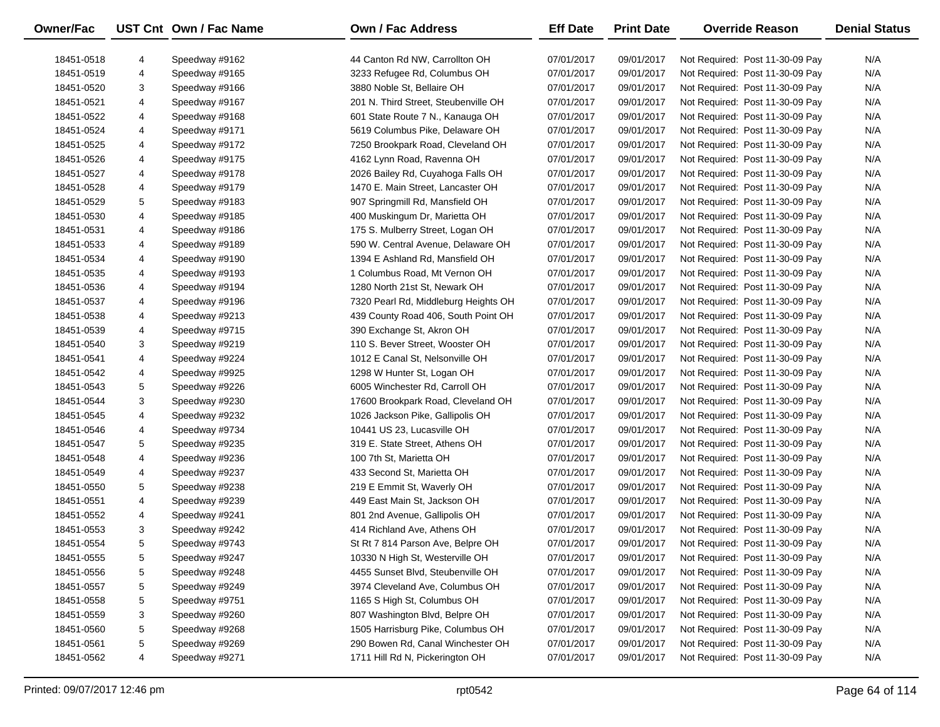| Owner/Fac  |   | UST Cnt Own / Fac Name | <b>Own / Fac Address</b>                                   | <b>Eff Date</b> | <b>Print Date</b> | <b>Override Reason</b>          | <b>Denial Status</b> |
|------------|---|------------------------|------------------------------------------------------------|-----------------|-------------------|---------------------------------|----------------------|
|            |   |                        |                                                            |                 |                   |                                 |                      |
| 18451-0518 | 4 | Speedway #9162         | 44 Canton Rd NW, Carrollton OH                             | 07/01/2017      | 09/01/2017        | Not Required: Post 11-30-09 Pay | N/A                  |
| 18451-0519 | 4 | Speedway #9165         | 3233 Refugee Rd, Columbus OH<br>3880 Noble St, Bellaire OH | 07/01/2017      | 09/01/2017        | Not Required: Post 11-30-09 Pay | N/A                  |
| 18451-0520 | 3 | Speedway #9166         |                                                            | 07/01/2017      | 09/01/2017        | Not Required: Post 11-30-09 Pay | N/A                  |
| 18451-0521 | 4 | Speedway #9167         | 201 N. Third Street, Steubenville OH                       | 07/01/2017      | 09/01/2017        | Not Required: Post 11-30-09 Pay | N/A                  |
| 18451-0522 | 4 | Speedway #9168         | 601 State Route 7 N., Kanauga OH                           | 07/01/2017      | 09/01/2017        | Not Required: Post 11-30-09 Pay | N/A                  |
| 18451-0524 | 4 | Speedway #9171         | 5619 Columbus Pike, Delaware OH                            | 07/01/2017      | 09/01/2017        | Not Required: Post 11-30-09 Pay | N/A                  |
| 18451-0525 | 4 | Speedway #9172         | 7250 Brookpark Road, Cleveland OH                          | 07/01/2017      | 09/01/2017        | Not Required: Post 11-30-09 Pay | N/A                  |
| 18451-0526 | 4 | Speedway #9175         | 4162 Lynn Road, Ravenna OH                                 | 07/01/2017      | 09/01/2017        | Not Required: Post 11-30-09 Pay | N/A                  |
| 18451-0527 | 4 | Speedway #9178         | 2026 Bailey Rd, Cuyahoga Falls OH                          | 07/01/2017      | 09/01/2017        | Not Required: Post 11-30-09 Pay | N/A                  |
| 18451-0528 | 4 | Speedway #9179         | 1470 E. Main Street, Lancaster OH                          | 07/01/2017      | 09/01/2017        | Not Required: Post 11-30-09 Pay | N/A                  |
| 18451-0529 | 5 | Speedway #9183         | 907 Springmill Rd, Mansfield OH                            | 07/01/2017      | 09/01/2017        | Not Required: Post 11-30-09 Pay | N/A                  |
| 18451-0530 | 4 | Speedway #9185         | 400 Muskingum Dr, Marietta OH                              | 07/01/2017      | 09/01/2017        | Not Required: Post 11-30-09 Pay | N/A                  |
| 18451-0531 | 4 | Speedway #9186         | 175 S. Mulberry Street, Logan OH                           | 07/01/2017      | 09/01/2017        | Not Required: Post 11-30-09 Pay | N/A                  |
| 18451-0533 | 4 | Speedway #9189         | 590 W. Central Avenue, Delaware OH                         | 07/01/2017      | 09/01/2017        | Not Required: Post 11-30-09 Pay | N/A                  |
| 18451-0534 | 4 | Speedway #9190         | 1394 E Ashland Rd, Mansfield OH                            | 07/01/2017      | 09/01/2017        | Not Required: Post 11-30-09 Pay | N/A                  |
| 18451-0535 | 4 | Speedway #9193         | 1 Columbus Road, Mt Vernon OH                              | 07/01/2017      | 09/01/2017        | Not Required: Post 11-30-09 Pay | N/A                  |
| 18451-0536 | 4 | Speedway #9194         | 1280 North 21st St, Newark OH                              | 07/01/2017      | 09/01/2017        | Not Required: Post 11-30-09 Pay | N/A                  |
| 18451-0537 | 4 | Speedway #9196         | 7320 Pearl Rd, Middleburg Heights OH                       | 07/01/2017      | 09/01/2017        | Not Required: Post 11-30-09 Pay | N/A                  |
| 18451-0538 | 4 | Speedway #9213         | 439 County Road 406, South Point OH                        | 07/01/2017      | 09/01/2017        | Not Required: Post 11-30-09 Pay | N/A                  |
| 18451-0539 | 4 | Speedway #9715         | 390 Exchange St, Akron OH                                  | 07/01/2017      | 09/01/2017        | Not Required: Post 11-30-09 Pay | N/A                  |
| 18451-0540 | 3 | Speedway #9219         | 110 S. Bever Street, Wooster OH                            | 07/01/2017      | 09/01/2017        | Not Required: Post 11-30-09 Pay | N/A                  |
| 18451-0541 | 4 | Speedway #9224         | 1012 E Canal St, Nelsonville OH                            | 07/01/2017      | 09/01/2017        | Not Required: Post 11-30-09 Pay | N/A                  |
| 18451-0542 | 4 | Speedway #9925         | 1298 W Hunter St, Logan OH                                 | 07/01/2017      | 09/01/2017        | Not Required: Post 11-30-09 Pay | N/A                  |
| 18451-0543 | 5 | Speedway #9226         | 6005 Winchester Rd, Carroll OH                             | 07/01/2017      | 09/01/2017        | Not Required: Post 11-30-09 Pay | N/A                  |
| 18451-0544 | 3 | Speedway #9230         | 17600 Brookpark Road, Cleveland OH                         | 07/01/2017      | 09/01/2017        | Not Required: Post 11-30-09 Pay | N/A                  |
| 18451-0545 | 4 | Speedway #9232         | 1026 Jackson Pike, Gallipolis OH                           | 07/01/2017      | 09/01/2017        | Not Required: Post 11-30-09 Pay | N/A                  |
| 18451-0546 | 4 | Speedway #9734         | 10441 US 23, Lucasville OH                                 | 07/01/2017      | 09/01/2017        | Not Required: Post 11-30-09 Pay | N/A                  |
| 18451-0547 | 5 | Speedway #9235         | 319 E. State Street, Athens OH                             | 07/01/2017      | 09/01/2017        | Not Required: Post 11-30-09 Pay | N/A                  |
| 18451-0548 | 4 | Speedway #9236         | 100 7th St, Marietta OH                                    | 07/01/2017      | 09/01/2017        | Not Required: Post 11-30-09 Pay | N/A                  |
| 18451-0549 | 4 | Speedway #9237         | 433 Second St, Marietta OH                                 | 07/01/2017      | 09/01/2017        | Not Required: Post 11-30-09 Pay | N/A                  |
| 18451-0550 | 5 | Speedway #9238         | 219 E Emmit St, Waverly OH                                 | 07/01/2017      | 09/01/2017        | Not Required: Post 11-30-09 Pay | N/A                  |
| 18451-0551 | 4 | Speedway #9239         | 449 East Main St, Jackson OH                               | 07/01/2017      | 09/01/2017        | Not Required: Post 11-30-09 Pay | N/A                  |
| 18451-0552 | 4 | Speedway #9241         | 801 2nd Avenue, Gallipolis OH                              | 07/01/2017      | 09/01/2017        | Not Required: Post 11-30-09 Pay | N/A                  |
| 18451-0553 | 3 | Speedway #9242         | 414 Richland Ave, Athens OH                                | 07/01/2017      | 09/01/2017        | Not Required: Post 11-30-09 Pay | N/A                  |
| 18451-0554 | 5 | Speedway #9743         | St Rt 7 814 Parson Ave, Belpre OH                          | 07/01/2017      | 09/01/2017        | Not Required: Post 11-30-09 Pay | N/A                  |
| 18451-0555 | 5 | Speedway #9247         | 10330 N High St, Westerville OH                            | 07/01/2017      | 09/01/2017        | Not Required: Post 11-30-09 Pay | N/A                  |
| 18451-0556 | 5 | Speedway #9248         | 4455 Sunset Blvd, Steubenville OH                          | 07/01/2017      | 09/01/2017        | Not Required: Post 11-30-09 Pay | N/A                  |
| 18451-0557 | 5 | Speedway #9249         | 3974 Cleveland Ave, Columbus OH                            | 07/01/2017      | 09/01/2017        | Not Required: Post 11-30-09 Pay | N/A                  |
| 18451-0558 | 5 | Speedway #9751         | 1165 S High St, Columbus OH                                | 07/01/2017      | 09/01/2017        | Not Required: Post 11-30-09 Pay | N/A                  |
| 18451-0559 | 3 | Speedway #9260         | 807 Washington Blvd, Belpre OH                             | 07/01/2017      | 09/01/2017        | Not Required: Post 11-30-09 Pay | N/A                  |
| 18451-0560 | 5 | Speedway #9268         | 1505 Harrisburg Pike, Columbus OH                          | 07/01/2017      | 09/01/2017        | Not Required: Post 11-30-09 Pay | N/A                  |
| 18451-0561 | 5 | Speedway #9269         | 290 Bowen Rd, Canal Winchester OH                          | 07/01/2017      | 09/01/2017        | Not Required: Post 11-30-09 Pay | N/A                  |
| 18451-0562 | 4 | Speedway #9271         | 1711 Hill Rd N, Pickerington OH                            | 07/01/2017      | 09/01/2017        | Not Required: Post 11-30-09 Pay | N/A                  |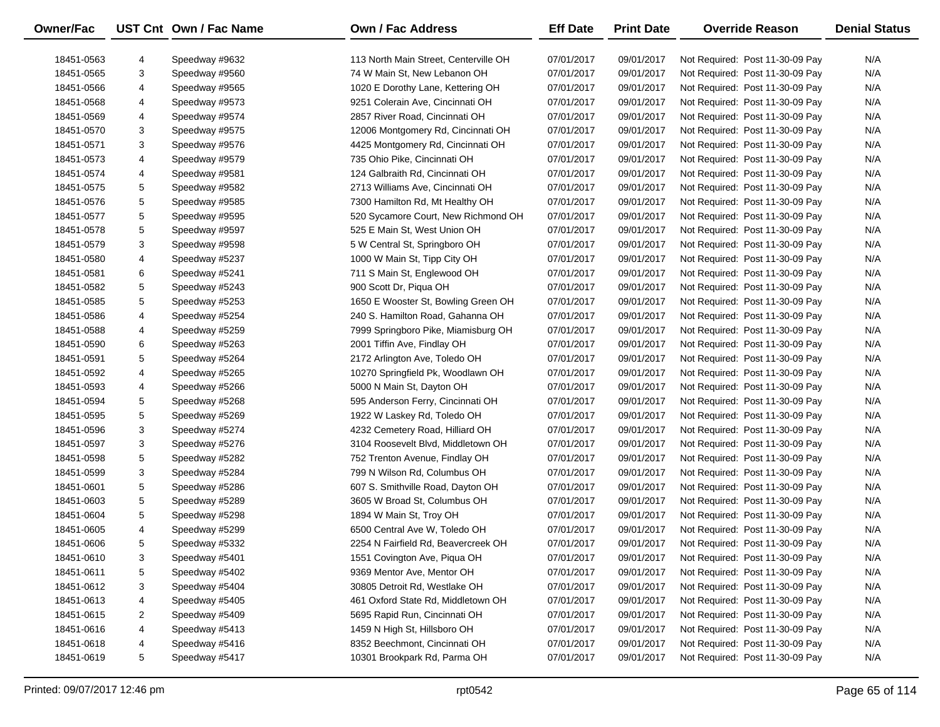| Owner/Fac                |                | UST Cnt Own / Fac Name           | Own / Fac Address                                                       | <b>Eff Date</b>          | <b>Print Date</b>        | <b>Override Reason</b>                                             | <b>Denial Status</b> |
|--------------------------|----------------|----------------------------------|-------------------------------------------------------------------------|--------------------------|--------------------------|--------------------------------------------------------------------|----------------------|
|                          |                |                                  | 113 North Main Street, Centerville OH                                   |                          |                          |                                                                    | N/A                  |
| 18451-0563<br>18451-0565 | 4<br>3         | Speedway #9632<br>Speedway #9560 | 74 W Main St, New Lebanon OH                                            | 07/01/2017<br>07/01/2017 | 09/01/2017<br>09/01/2017 | Not Required: Post 11-30-09 Pay<br>Not Required: Post 11-30-09 Pay | N/A                  |
| 18451-0566               | 4              | Speedway #9565                   | 1020 E Dorothy Lane, Kettering OH                                       | 07/01/2017               | 09/01/2017               | Not Required: Post 11-30-09 Pay                                    | N/A                  |
|                          |                | Speedway #9573                   |                                                                         |                          |                          |                                                                    | N/A                  |
| 18451-0568               | 4              | Speedway #9574                   | 9251 Colerain Ave, Cincinnati OH<br>2857 River Road, Cincinnati OH      | 07/01/2017               | 09/01/2017               | Not Required: Post 11-30-09 Pay                                    | N/A                  |
| 18451-0569               | 4              | Speedway #9575                   |                                                                         | 07/01/2017               | 09/01/2017               | Not Required: Post 11-30-09 Pay                                    |                      |
| 18451-0570               | 3              | Speedway #9576                   | 12006 Montgomery Rd, Cincinnati OH<br>4425 Montgomery Rd, Cincinnati OH | 07/01/2017               | 09/01/2017               | Not Required: Post 11-30-09 Pay                                    | N/A<br>N/A           |
| 18451-0571               | 3              | Speedway #9579                   |                                                                         | 07/01/2017               | 09/01/2017<br>09/01/2017 | Not Required: Post 11-30-09 Pay                                    | N/A                  |
| 18451-0573               | 4              |                                  | 735 Ohio Pike, Cincinnati OH                                            | 07/01/2017               |                          | Not Required: Post 11-30-09 Pay                                    |                      |
| 18451-0574               | 4              | Speedway #9581                   | 124 Galbraith Rd, Cincinnati OH                                         | 07/01/2017               | 09/01/2017               | Not Required: Post 11-30-09 Pay                                    | N/A                  |
| 18451-0575               | 5              | Speedway #9582                   | 2713 Williams Ave, Cincinnati OH                                        | 07/01/2017               | 09/01/2017               | Not Required: Post 11-30-09 Pay                                    | N/A                  |
| 18451-0576               | 5              | Speedway #9585                   | 7300 Hamilton Rd, Mt Healthy OH                                         | 07/01/2017               | 09/01/2017               | Not Required: Post 11-30-09 Pay                                    | N/A                  |
| 18451-0577               | 5              | Speedway #9595                   | 520 Sycamore Court, New Richmond OH                                     | 07/01/2017               | 09/01/2017               | Not Required: Post 11-30-09 Pay                                    | N/A                  |
| 18451-0578               | 5              | Speedway #9597                   | 525 E Main St, West Union OH                                            | 07/01/2017               | 09/01/2017               | Not Required: Post 11-30-09 Pay                                    | N/A                  |
| 18451-0579               | 3              | Speedway #9598                   | 5 W Central St, Springboro OH                                           | 07/01/2017               | 09/01/2017               | Not Required: Post 11-30-09 Pay                                    | N/A                  |
| 18451-0580               | 4              | Speedway #5237                   | 1000 W Main St, Tipp City OH                                            | 07/01/2017               | 09/01/2017               | Not Required: Post 11-30-09 Pay                                    | N/A                  |
| 18451-0581               | 6              | Speedway #5241                   | 711 S Main St, Englewood OH                                             | 07/01/2017               | 09/01/2017               | Not Required: Post 11-30-09 Pay                                    | N/A                  |
| 18451-0582               | 5              | Speedway #5243                   | 900 Scott Dr, Piqua OH                                                  | 07/01/2017               | 09/01/2017               | Not Required: Post 11-30-09 Pay                                    | N/A                  |
| 18451-0585               | 5              | Speedway #5253                   | 1650 E Wooster St, Bowling Green OH                                     | 07/01/2017               | 09/01/2017               | Not Required: Post 11-30-09 Pay                                    | N/A                  |
| 18451-0586               | 4              | Speedway #5254                   | 240 S. Hamilton Road, Gahanna OH                                        | 07/01/2017               | 09/01/2017               | Not Required: Post 11-30-09 Pay                                    | N/A                  |
| 18451-0588               | 4              | Speedway #5259                   | 7999 Springboro Pike, Miamisburg OH                                     | 07/01/2017               | 09/01/2017               | Not Required: Post 11-30-09 Pay                                    | N/A                  |
| 18451-0590               | 6              | Speedway #5263                   | 2001 Tiffin Ave, Findlay OH                                             | 07/01/2017               | 09/01/2017               | Not Required: Post 11-30-09 Pay                                    | N/A                  |
| 18451-0591               | 5              | Speedway #5264                   | 2172 Arlington Ave, Toledo OH                                           | 07/01/2017               | 09/01/2017               | Not Required: Post 11-30-09 Pay                                    | N/A                  |
| 18451-0592               | 4              | Speedway #5265                   | 10270 Springfield Pk, Woodlawn OH                                       | 07/01/2017               | 09/01/2017               | Not Required: Post 11-30-09 Pay                                    | N/A                  |
| 18451-0593               | 4              | Speedway #5266                   | 5000 N Main St, Dayton OH                                               | 07/01/2017               | 09/01/2017               | Not Required: Post 11-30-09 Pay                                    | N/A                  |
| 18451-0594               | 5              | Speedway #5268                   | 595 Anderson Ferry, Cincinnati OH                                       | 07/01/2017               | 09/01/2017               | Not Required: Post 11-30-09 Pay                                    | N/A                  |
| 18451-0595               | 5              | Speedway #5269                   | 1922 W Laskey Rd, Toledo OH                                             | 07/01/2017               | 09/01/2017               | Not Required: Post 11-30-09 Pay                                    | N/A                  |
| 18451-0596               | 3              | Speedway #5274                   | 4232 Cemetery Road, Hilliard OH                                         | 07/01/2017               | 09/01/2017               | Not Required: Post 11-30-09 Pay                                    | N/A                  |
| 18451-0597               | 3              | Speedway #5276                   | 3104 Roosevelt Blvd, Middletown OH                                      | 07/01/2017               | 09/01/2017               | Not Required: Post 11-30-09 Pay                                    | N/A                  |
| 18451-0598               | 5              | Speedway #5282                   | 752 Trenton Avenue, Findlay OH                                          | 07/01/2017               | 09/01/2017               | Not Required: Post 11-30-09 Pay                                    | N/A                  |
| 18451-0599               | 3              | Speedway #5284                   | 799 N Wilson Rd, Columbus OH                                            | 07/01/2017               | 09/01/2017               | Not Required: Post 11-30-09 Pay                                    | N/A                  |
| 18451-0601               | 5              | Speedway #5286                   | 607 S. Smithville Road, Dayton OH                                       | 07/01/2017               | 09/01/2017               | Not Required: Post 11-30-09 Pay                                    | N/A                  |
| 18451-0603               | 5              | Speedway #5289                   | 3605 W Broad St, Columbus OH                                            | 07/01/2017               | 09/01/2017               | Not Required: Post 11-30-09 Pay                                    | N/A                  |
| 18451-0604               | 5              | Speedway #5298                   | 1894 W Main St, Troy OH                                                 | 07/01/2017               | 09/01/2017               | Not Required: Post 11-30-09 Pay                                    | N/A                  |
| 18451-0605               | 4              | Speedway #5299                   | 6500 Central Ave W, Toledo OH                                           | 07/01/2017               | 09/01/2017               | Not Required: Post 11-30-09 Pay                                    | N/A                  |
| 18451-0606               | 5              | Speedway #5332                   | 2254 N Fairfield Rd, Beavercreek OH                                     | 07/01/2017               | 09/01/2017               | Not Required: Post 11-30-09 Pay                                    | N/A                  |
| 18451-0610               | 3              | Speedway #5401                   | 1551 Covington Ave, Piqua OH                                            | 07/01/2017               | 09/01/2017               | Not Required: Post 11-30-09 Pay                                    | N/A                  |
| 18451-0611               | 5              | Speedway #5402                   | 9369 Mentor Ave, Mentor OH                                              | 07/01/2017               | 09/01/2017               | Not Required: Post 11-30-09 Pay                                    | N/A                  |
| 18451-0612               | 3              | Speedway #5404                   | 30805 Detroit Rd, Westlake OH                                           | 07/01/2017               | 09/01/2017               | Not Required: Post 11-30-09 Pay                                    | N/A                  |
| 18451-0613               | 4              | Speedway #5405                   | 461 Oxford State Rd, Middletown OH                                      | 07/01/2017               | 09/01/2017               | Not Required: Post 11-30-09 Pay                                    | N/A                  |
| 18451-0615               | $\overline{2}$ | Speedway #5409                   | 5695 Rapid Run, Cincinnati OH                                           | 07/01/2017               | 09/01/2017               | Not Required: Post 11-30-09 Pay                                    | N/A                  |
| 18451-0616               | 4              | Speedway #5413                   | 1459 N High St, Hillsboro OH                                            | 07/01/2017               | 09/01/2017               | Not Required: Post 11-30-09 Pay                                    | N/A                  |
| 18451-0618               | 4              | Speedway #5416                   | 8352 Beechmont, Cincinnati OH                                           | 07/01/2017               | 09/01/2017               | Not Required: Post 11-30-09 Pay                                    | N/A                  |
| 18451-0619               | 5              | Speedway #5417                   | 10301 Brookpark Rd, Parma OH                                            | 07/01/2017               | 09/01/2017               | Not Required: Post 11-30-09 Pay                                    | N/A                  |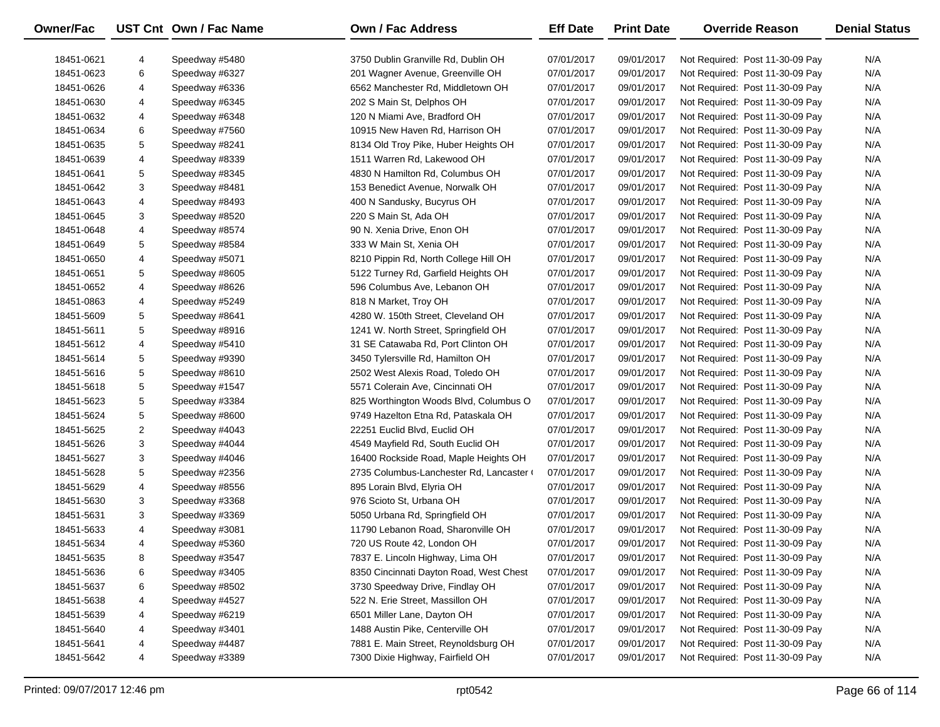| Owner/Fac                |                | UST Cnt Own / Fac Name | <b>Own / Fac Address</b>                 | <b>Eff Date</b>          | <b>Print Date</b>        | <b>Override Reason</b>                                             | <b>Denial Status</b> |
|--------------------------|----------------|------------------------|------------------------------------------|--------------------------|--------------------------|--------------------------------------------------------------------|----------------------|
|                          |                | Speedway #5480         | 3750 Dublin Granville Rd, Dublin OH      |                          |                          |                                                                    | N/A                  |
| 18451-0621<br>18451-0623 | 4<br>6         | Speedway #6327         | 201 Wagner Avenue, Greenville OH         | 07/01/2017<br>07/01/2017 | 09/01/2017<br>09/01/2017 | Not Required: Post 11-30-09 Pay<br>Not Required: Post 11-30-09 Pay | N/A                  |
|                          |                | Speedway #6336         |                                          |                          |                          | Not Required: Post 11-30-09 Pay                                    | N/A                  |
| 18451-0626               | 4              |                        | 6562 Manchester Rd, Middletown OH        | 07/01/2017               | 09/01/2017               |                                                                    |                      |
| 18451-0630               | 4              | Speedway #6345         | 202 S Main St, Delphos OH                | 07/01/2017               | 09/01/2017               | Not Required: Post 11-30-09 Pay                                    | N/A                  |
| 18451-0632               | 4              | Speedway #6348         | 120 N Miami Ave, Bradford OH             | 07/01/2017               | 09/01/2017               | Not Required: Post 11-30-09 Pay                                    | N/A                  |
| 18451-0634               | 6              | Speedway #7560         | 10915 New Haven Rd, Harrison OH          | 07/01/2017               | 09/01/2017               | Not Required: Post 11-30-09 Pay                                    | N/A                  |
| 18451-0635               | 5              | Speedway #8241         | 8134 Old Troy Pike, Huber Heights OH     | 07/01/2017               | 09/01/2017               | Not Required: Post 11-30-09 Pay                                    | N/A                  |
| 18451-0639               | 4              | Speedway #8339         | 1511 Warren Rd, Lakewood OH              | 07/01/2017               | 09/01/2017               | Not Required: Post 11-30-09 Pay                                    | N/A                  |
| 18451-0641               | 5              | Speedway #8345         | 4830 N Hamilton Rd, Columbus OH          | 07/01/2017               | 09/01/2017               | Not Required: Post 11-30-09 Pay                                    | N/A                  |
| 18451-0642               | 3              | Speedway #8481         | 153 Benedict Avenue, Norwalk OH          | 07/01/2017               | 09/01/2017               | Not Required: Post 11-30-09 Pay                                    | N/A                  |
| 18451-0643               | 4              | Speedway #8493         | 400 N Sandusky, Bucyrus OH               | 07/01/2017               | 09/01/2017               | Not Required: Post 11-30-09 Pay                                    | N/A                  |
| 18451-0645               | 3              | Speedway #8520         | 220 S Main St, Ada OH                    | 07/01/2017               | 09/01/2017               | Not Required: Post 11-30-09 Pay                                    | N/A                  |
| 18451-0648               | 4              | Speedway #8574         | 90 N. Xenia Drive, Enon OH               | 07/01/2017               | 09/01/2017               | Not Required: Post 11-30-09 Pay                                    | N/A                  |
| 18451-0649               | 5              | Speedway #8584         | 333 W Main St, Xenia OH                  | 07/01/2017               | 09/01/2017               | Not Required: Post 11-30-09 Pay                                    | N/A                  |
| 18451-0650               | 4              | Speedway #5071         | 8210 Pippin Rd, North College Hill OH    | 07/01/2017               | 09/01/2017               | Not Required: Post 11-30-09 Pay                                    | N/A                  |
| 18451-0651               | 5              | Speedway #8605         | 5122 Turney Rd, Garfield Heights OH      | 07/01/2017               | 09/01/2017               | Not Required: Post 11-30-09 Pay                                    | N/A                  |
| 18451-0652               | 4              | Speedway #8626         | 596 Columbus Ave, Lebanon OH             | 07/01/2017               | 09/01/2017               | Not Required: Post 11-30-09 Pay                                    | N/A                  |
| 18451-0863               | 4              | Speedway #5249         | 818 N Market, Troy OH                    | 07/01/2017               | 09/01/2017               | Not Required: Post 11-30-09 Pay                                    | N/A                  |
| 18451-5609               | 5              | Speedway #8641         | 4280 W. 150th Street, Cleveland OH       | 07/01/2017               | 09/01/2017               | Not Required: Post 11-30-09 Pay                                    | N/A                  |
| 18451-5611               | 5              | Speedway #8916         | 1241 W. North Street, Springfield OH     | 07/01/2017               | 09/01/2017               | Not Required: Post 11-30-09 Pay                                    | N/A                  |
| 18451-5612               | 4              | Speedway #5410         | 31 SE Catawaba Rd, Port Clinton OH       | 07/01/2017               | 09/01/2017               | Not Required: Post 11-30-09 Pay                                    | N/A                  |
| 18451-5614               | 5              | Speedway #9390         | 3450 Tylersville Rd, Hamilton OH         | 07/01/2017               | 09/01/2017               | Not Required: Post 11-30-09 Pay                                    | N/A                  |
| 18451-5616               | 5              | Speedway #8610         | 2502 West Alexis Road, Toledo OH         | 07/01/2017               | 09/01/2017               | Not Required: Post 11-30-09 Pay                                    | N/A                  |
| 18451-5618               | 5              | Speedway #1547         | 5571 Colerain Ave, Cincinnati OH         | 07/01/2017               | 09/01/2017               | Not Required: Post 11-30-09 Pay                                    | N/A                  |
| 18451-5623               | 5              | Speedway #3384         | 825 Worthington Woods Blvd, Columbus O   | 07/01/2017               | 09/01/2017               | Not Required: Post 11-30-09 Pay                                    | N/A                  |
| 18451-5624               | 5              | Speedway #8600         | 9749 Hazelton Etna Rd, Pataskala OH      | 07/01/2017               | 09/01/2017               | Not Required: Post 11-30-09 Pay                                    | N/A                  |
| 18451-5625               | $\overline{c}$ | Speedway #4043         | 22251 Euclid Blvd, Euclid OH             | 07/01/2017               | 09/01/2017               | Not Required: Post 11-30-09 Pay                                    | N/A                  |
| 18451-5626               | 3              | Speedway #4044         | 4549 Mayfield Rd, South Euclid OH        | 07/01/2017               | 09/01/2017               | Not Required: Post 11-30-09 Pay                                    | N/A                  |
| 18451-5627               | 3              | Speedway #4046         | 16400 Rockside Road, Maple Heights OH    | 07/01/2017               | 09/01/2017               | Not Required: Post 11-30-09 Pay                                    | N/A                  |
| 18451-5628               | 5              | Speedway #2356         | 2735 Columbus-Lanchester Rd, Lancaster ( | 07/01/2017               | 09/01/2017               | Not Required: Post 11-30-09 Pay                                    | N/A                  |
| 18451-5629               | 4              | Speedway #8556         | 895 Lorain Blvd, Elyria OH               | 07/01/2017               | 09/01/2017               | Not Required: Post 11-30-09 Pay                                    | N/A                  |
| 18451-5630               | 3              | Speedway #3368         | 976 Scioto St, Urbana OH                 | 07/01/2017               | 09/01/2017               | Not Required: Post 11-30-09 Pay                                    | N/A                  |
| 18451-5631               | 3              | Speedway #3369         | 5050 Urbana Rd, Springfield OH           | 07/01/2017               | 09/01/2017               | Not Required: Post 11-30-09 Pay                                    | N/A                  |
| 18451-5633               | 4              | Speedway #3081         | 11790 Lebanon Road, Sharonville OH       | 07/01/2017               | 09/01/2017               | Not Required: Post 11-30-09 Pay                                    | N/A                  |
| 18451-5634               | 4              | Speedway #5360         | 720 US Route 42, London OH               | 07/01/2017               | 09/01/2017               | Not Required: Post 11-30-09 Pay                                    | N/A                  |
| 18451-5635               | 8              | Speedway #3547         | 7837 E. Lincoln Highway, Lima OH         | 07/01/2017               | 09/01/2017               | Not Required: Post 11-30-09 Pay                                    | N/A                  |
| 18451-5636               | 6              | Speedway #3405         | 8350 Cincinnati Dayton Road, West Chest  | 07/01/2017               | 09/01/2017               | Not Required: Post 11-30-09 Pay                                    | N/A                  |
| 18451-5637               | 6              | Speedway #8502         | 3730 Speedway Drive, Findlay OH          | 07/01/2017               | 09/01/2017               | Not Required: Post 11-30-09 Pay                                    | N/A                  |
| 18451-5638               | 4              | Speedway #4527         | 522 N. Erie Street, Massillon OH         | 07/01/2017               | 09/01/2017               | Not Required: Post 11-30-09 Pay                                    | N/A                  |
| 18451-5639               | 4              | Speedway #6219         | 6501 Miller Lane, Dayton OH              | 07/01/2017               | 09/01/2017               | Not Required: Post 11-30-09 Pay                                    | N/A                  |
| 18451-5640               | 4              | Speedway #3401         | 1488 Austin Pike, Centerville OH         | 07/01/2017               | 09/01/2017               | Not Required: Post 11-30-09 Pay                                    | N/A                  |
| 18451-5641               | 4              | Speedway #4487         | 7881 E. Main Street, Reynoldsburg OH     | 07/01/2017               | 09/01/2017               | Not Required: Post 11-30-09 Pay                                    | N/A                  |
| 18451-5642               | 4              | Speedway #3389         | 7300 Dixie Highway, Fairfield OH         | 07/01/2017               | 09/01/2017               | Not Required: Post 11-30-09 Pay                                    | N/A                  |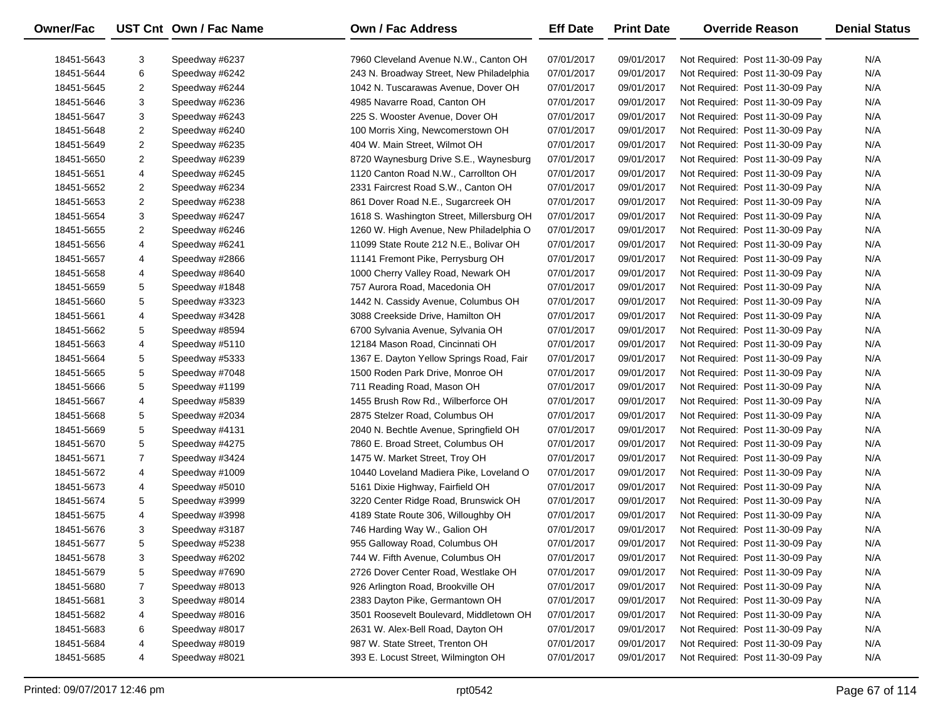| <b>Owner/Fac</b> |                | UST Cnt Own / Fac Name | <b>Own / Fac Address</b>                  | <b>Eff Date</b> | <b>Print Date</b> | <b>Override Reason</b>          | <b>Denial Status</b> |
|------------------|----------------|------------------------|-------------------------------------------|-----------------|-------------------|---------------------------------|----------------------|
| 18451-5643       | 3              | Speedway #6237         | 7960 Cleveland Avenue N.W., Canton OH     | 07/01/2017      | 09/01/2017        | Not Required: Post 11-30-09 Pay | N/A                  |
| 18451-5644       | 6              | Speedway #6242         | 243 N. Broadway Street, New Philadelphia  | 07/01/2017      | 09/01/2017        | Not Required: Post 11-30-09 Pay | N/A                  |
| 18451-5645       | $\overline{2}$ | Speedway #6244         | 1042 N. Tuscarawas Avenue, Dover OH       | 07/01/2017      | 09/01/2017        | Not Required: Post 11-30-09 Pay | N/A                  |
| 18451-5646       | 3              | Speedway #6236         | 4985 Navarre Road, Canton OH              | 07/01/2017      | 09/01/2017        | Not Required: Post 11-30-09 Pay | N/A                  |
| 18451-5647       | 3              | Speedway #6243         | 225 S. Wooster Avenue, Dover OH           | 07/01/2017      | 09/01/2017        | Not Required: Post 11-30-09 Pay | N/A                  |
| 18451-5648       | 2              | Speedway #6240         | 100 Morris Xing, Newcomerstown OH         | 07/01/2017      | 09/01/2017        | Not Required: Post 11-30-09 Pay | N/A                  |
| 18451-5649       | $\overline{a}$ | Speedway #6235         | 404 W. Main Street, Wilmot OH             | 07/01/2017      | 09/01/2017        | Not Required: Post 11-30-09 Pay | N/A                  |
| 18451-5650       | 2              | Speedway #6239         | 8720 Waynesburg Drive S.E., Waynesburg    | 07/01/2017      | 09/01/2017        | Not Required: Post 11-30-09 Pay | N/A                  |
| 18451-5651       | 4              | Speedway #6245         | 1120 Canton Road N.W., Carrollton OH      | 07/01/2017      | 09/01/2017        | Not Required: Post 11-30-09 Pay | N/A                  |
| 18451-5652       | 2              | Speedway #6234         | 2331 Faircrest Road S.W., Canton OH       | 07/01/2017      | 09/01/2017        | Not Required: Post 11-30-09 Pay | N/A                  |
| 18451-5653       | $\overline{a}$ | Speedway #6238         | 861 Dover Road N.E., Sugarcreek OH        | 07/01/2017      | 09/01/2017        | Not Required: Post 11-30-09 Pay | N/A                  |
| 18451-5654       | 3              | Speedway #6247         | 1618 S. Washington Street, Millersburg OH | 07/01/2017      | 09/01/2017        | Not Required: Post 11-30-09 Pay | N/A                  |
| 18451-5655       | 2              | Speedway #6246         | 1260 W. High Avenue, New Philadelphia O   | 07/01/2017      | 09/01/2017        | Not Required: Post 11-30-09 Pay | N/A                  |
| 18451-5656       | 4              | Speedway #6241         | 11099 State Route 212 N.E., Bolivar OH    | 07/01/2017      | 09/01/2017        | Not Required: Post 11-30-09 Pay | N/A                  |
| 18451-5657       | 4              | Speedway #2866         | 11141 Fremont Pike, Perrysburg OH         | 07/01/2017      | 09/01/2017        | Not Required: Post 11-30-09 Pay | N/A                  |
| 18451-5658       | 4              | Speedway #8640         | 1000 Cherry Valley Road, Newark OH        | 07/01/2017      | 09/01/2017        | Not Required: Post 11-30-09 Pay | N/A                  |
| 18451-5659       | 5              | Speedway #1848         | 757 Aurora Road, Macedonia OH             | 07/01/2017      | 09/01/2017        | Not Required: Post 11-30-09 Pay | N/A                  |
| 18451-5660       | 5              | Speedway #3323         | 1442 N. Cassidy Avenue, Columbus OH       | 07/01/2017      | 09/01/2017        | Not Required: Post 11-30-09 Pay | N/A                  |
| 18451-5661       | 4              | Speedway #3428         | 3088 Creekside Drive, Hamilton OH         | 07/01/2017      | 09/01/2017        | Not Required: Post 11-30-09 Pay | N/A                  |
| 18451-5662       | 5              | Speedway #8594         | 6700 Sylvania Avenue, Sylvania OH         | 07/01/2017      | 09/01/2017        | Not Required: Post 11-30-09 Pay | N/A                  |
| 18451-5663       | 4              | Speedway #5110         | 12184 Mason Road, Cincinnati OH           | 07/01/2017      | 09/01/2017        | Not Required: Post 11-30-09 Pay | N/A                  |
| 18451-5664       | 5              | Speedway #5333         | 1367 E. Dayton Yellow Springs Road, Fair  | 07/01/2017      | 09/01/2017        | Not Required: Post 11-30-09 Pay | N/A                  |
| 18451-5665       | 5              | Speedway #7048         | 1500 Roden Park Drive, Monroe OH          | 07/01/2017      | 09/01/2017        | Not Required: Post 11-30-09 Pay | N/A                  |
| 18451-5666       | 5              | Speedway #1199         | 711 Reading Road, Mason OH                | 07/01/2017      | 09/01/2017        | Not Required: Post 11-30-09 Pay | N/A                  |
| 18451-5667       | 4              | Speedway #5839         | 1455 Brush Row Rd., Wilberforce OH        | 07/01/2017      | 09/01/2017        | Not Required: Post 11-30-09 Pay | N/A                  |
| 18451-5668       | 5              | Speedway #2034         | 2875 Stelzer Road, Columbus OH            | 07/01/2017      | 09/01/2017        | Not Required: Post 11-30-09 Pay | N/A                  |
| 18451-5669       | 5              | Speedway #4131         | 2040 N. Bechtle Avenue, Springfield OH    | 07/01/2017      | 09/01/2017        | Not Required: Post 11-30-09 Pay | N/A                  |
| 18451-5670       | 5              | Speedway #4275         | 7860 E. Broad Street, Columbus OH         | 07/01/2017      | 09/01/2017        | Not Required: Post 11-30-09 Pay | N/A                  |
| 18451-5671       | 7              | Speedway #3424         | 1475 W. Market Street, Troy OH            | 07/01/2017      | 09/01/2017        | Not Required: Post 11-30-09 Pay | N/A                  |
| 18451-5672       | 4              | Speedway #1009         | 10440 Loveland Madiera Pike, Loveland O   | 07/01/2017      | 09/01/2017        | Not Required: Post 11-30-09 Pay | N/A                  |
| 18451-5673       | 4              | Speedway #5010         | 5161 Dixie Highway, Fairfield OH          | 07/01/2017      | 09/01/2017        | Not Required: Post 11-30-09 Pay | N/A                  |
| 18451-5674       | 5              | Speedway #3999         | 3220 Center Ridge Road, Brunswick OH      | 07/01/2017      | 09/01/2017        | Not Required: Post 11-30-09 Pay | N/A                  |
| 18451-5675       | 4              | Speedway #3998         | 4189 State Route 306, Willoughby OH       | 07/01/2017      | 09/01/2017        | Not Required: Post 11-30-09 Pay | N/A                  |
| 18451-5676       | 3              | Speedway #3187         | 746 Harding Way W., Galion OH             | 07/01/2017      | 09/01/2017        | Not Required: Post 11-30-09 Pay | N/A                  |
| 18451-5677       | 5              | Speedway #5238         | 955 Galloway Road, Columbus OH            | 07/01/2017      | 09/01/2017        | Not Required: Post 11-30-09 Pay | N/A                  |
| 18451-5678       | 3              | Speedway #6202         | 744 W. Fifth Avenue, Columbus OH          | 07/01/2017      | 09/01/2017        | Not Required: Post 11-30-09 Pay | N/A                  |
| 18451-5679       | 5              | Speedway #7690         | 2726 Dover Center Road, Westlake OH       | 07/01/2017      | 09/01/2017        | Not Required: Post 11-30-09 Pay | N/A                  |
| 18451-5680       | $\overline{7}$ | Speedway #8013         | 926 Arlington Road, Brookville OH         | 07/01/2017      | 09/01/2017        | Not Required: Post 11-30-09 Pay | N/A                  |
| 18451-5681       | 3              | Speedway #8014         | 2383 Dayton Pike, Germantown OH           | 07/01/2017      | 09/01/2017        | Not Required: Post 11-30-09 Pay | N/A                  |
| 18451-5682       | 4              | Speedway #8016         | 3501 Roosevelt Boulevard, Middletown OH   | 07/01/2017      | 09/01/2017        | Not Required: Post 11-30-09 Pay | N/A                  |
| 18451-5683       | 6              | Speedway #8017         | 2631 W. Alex-Bell Road, Dayton OH         | 07/01/2017      | 09/01/2017        | Not Required: Post 11-30-09 Pay | N/A                  |
| 18451-5684       | 4              | Speedway #8019         | 987 W. State Street, Trenton OH           | 07/01/2017      | 09/01/2017        | Not Required: Post 11-30-09 Pay | N/A                  |
| 18451-5685       | 4              | Speedway #8021         | 393 E. Locust Street, Wilmington OH       | 07/01/2017      | 09/01/2017        | Not Required: Post 11-30-09 Pay | N/A                  |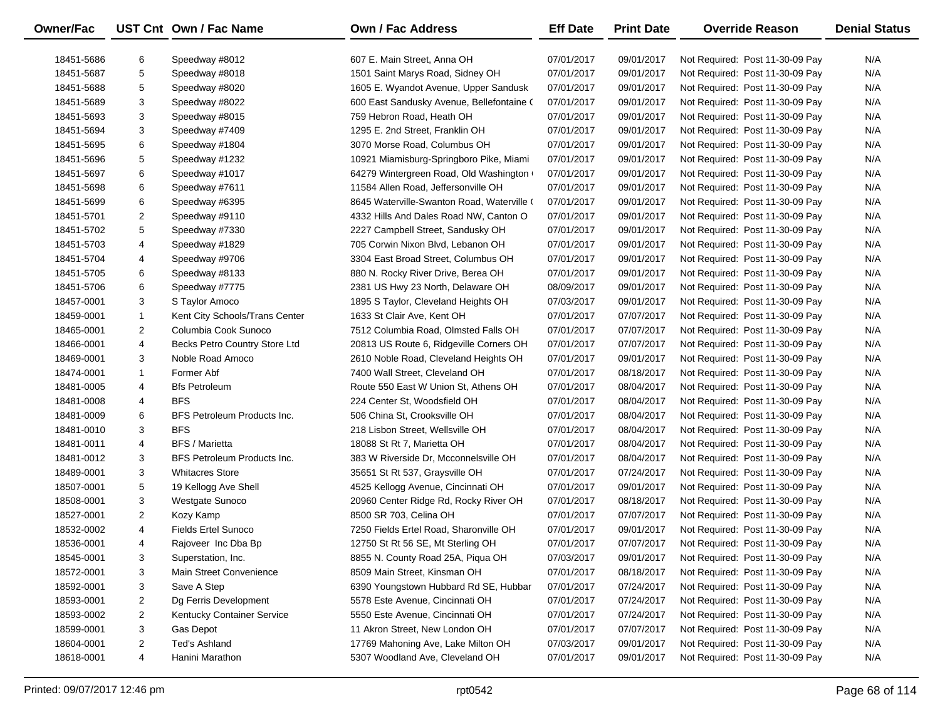| Owner/Fac  |                | UST Cnt Own / Fac Name         | Own / Fac Address                          | <b>Eff Date</b> | <b>Print Date</b> | <b>Override Reason</b>          | <b>Denial Status</b> |
|------------|----------------|--------------------------------|--------------------------------------------|-----------------|-------------------|---------------------------------|----------------------|
| 18451-5686 | 6              | Speedway #8012                 | 607 E. Main Street, Anna OH                | 07/01/2017      | 09/01/2017        | Not Required: Post 11-30-09 Pay | N/A                  |
| 18451-5687 | 5              | Speedway #8018                 | 1501 Saint Marys Road, Sidney OH           | 07/01/2017      | 09/01/2017        | Not Required: Post 11-30-09 Pay | N/A                  |
| 18451-5688 | 5              | Speedway #8020                 | 1605 E. Wyandot Avenue, Upper Sandusk      | 07/01/2017      | 09/01/2017        | Not Required: Post 11-30-09 Pay | N/A                  |
| 18451-5689 | 3              | Speedway #8022                 | 600 East Sandusky Avenue, Bellefontaine (  | 07/01/2017      | 09/01/2017        | Not Required: Post 11-30-09 Pay | N/A                  |
| 18451-5693 | 3              | Speedway #8015                 | 759 Hebron Road, Heath OH                  | 07/01/2017      | 09/01/2017        | Not Required: Post 11-30-09 Pay | N/A                  |
| 18451-5694 | 3              | Speedway #7409                 | 1295 E. 2nd Street, Franklin OH            | 07/01/2017      | 09/01/2017        | Not Required: Post 11-30-09 Pay | N/A                  |
| 18451-5695 | 6              | Speedway #1804                 | 3070 Morse Road, Columbus OH               | 07/01/2017      | 09/01/2017        | Not Required: Post 11-30-09 Pay | N/A                  |
| 18451-5696 | 5              | Speedway #1232                 | 10921 Miamisburg-Springboro Pike, Miami    | 07/01/2017      | 09/01/2017        | Not Required: Post 11-30-09 Pay | N/A                  |
| 18451-5697 | 6              | Speedway #1017                 | 64279 Wintergreen Road, Old Washington     | 07/01/2017      | 09/01/2017        | Not Required: Post 11-30-09 Pay | N/A                  |
| 18451-5698 | 6              | Speedway #7611                 | 11584 Allen Road, Jeffersonville OH        | 07/01/2017      | 09/01/2017        | Not Required: Post 11-30-09 Pay | N/A                  |
| 18451-5699 | 6              | Speedway #6395                 | 8645 Waterville-Swanton Road, Waterville ( | 07/01/2017      | 09/01/2017        | Not Required: Post 11-30-09 Pay | N/A                  |
| 18451-5701 | 2              | Speedway #9110                 | 4332 Hills And Dales Road NW, Canton O     | 07/01/2017      | 09/01/2017        | Not Required: Post 11-30-09 Pay | N/A                  |
| 18451-5702 | 5              | Speedway #7330                 | 2227 Campbell Street, Sandusky OH          | 07/01/2017      | 09/01/2017        | Not Required: Post 11-30-09 Pay | N/A                  |
| 18451-5703 | 4              | Speedway #1829                 | 705 Corwin Nixon Blvd, Lebanon OH          | 07/01/2017      | 09/01/2017        | Not Required: Post 11-30-09 Pay | N/A                  |
| 18451-5704 | 4              | Speedway #9706                 | 3304 East Broad Street, Columbus OH        | 07/01/2017      | 09/01/2017        | Not Required: Post 11-30-09 Pay | N/A                  |
| 18451-5705 | 6              | Speedway #8133                 | 880 N. Rocky River Drive, Berea OH         | 07/01/2017      | 09/01/2017        | Not Required: Post 11-30-09 Pay | N/A                  |
| 18451-5706 | 6              | Speedway #7775                 | 2381 US Hwy 23 North, Delaware OH          | 08/09/2017      | 09/01/2017        | Not Required: Post 11-30-09 Pay | N/A                  |
| 18457-0001 | 3              | S Taylor Amoco                 | 1895 S Taylor, Cleveland Heights OH        | 07/03/2017      | 09/01/2017        | Not Required: Post 11-30-09 Pay | N/A                  |
| 18459-0001 | $\mathbf{1}$   | Kent City Schools/Trans Center | 1633 St Clair Ave, Kent OH                 | 07/01/2017      | 07/07/2017        | Not Required: Post 11-30-09 Pay | N/A                  |
| 18465-0001 | $\overline{2}$ | Columbia Cook Sunoco           | 7512 Columbia Road, Olmsted Falls OH       | 07/01/2017      | 07/07/2017        | Not Required: Post 11-30-09 Pay | N/A                  |
| 18466-0001 | 4              | Becks Petro Country Store Ltd  | 20813 US Route 6, Ridgeville Corners OH    | 07/01/2017      | 07/07/2017        | Not Required: Post 11-30-09 Pay | N/A                  |
| 18469-0001 | 3              | Noble Road Amoco               | 2610 Noble Road, Cleveland Heights OH      | 07/01/2017      | 09/01/2017        | Not Required: Post 11-30-09 Pay | N/A                  |
| 18474-0001 | $\mathbf{1}$   | Former Abf                     | 7400 Wall Street, Cleveland OH             | 07/01/2017      | 08/18/2017        | Not Required: Post 11-30-09 Pay | N/A                  |
| 18481-0005 | 4              | <b>Bfs Petroleum</b>           | Route 550 East W Union St, Athens OH       | 07/01/2017      | 08/04/2017        | Not Required: Post 11-30-09 Pay | N/A                  |
| 18481-0008 | 4              | <b>BFS</b>                     | 224 Center St, Woodsfield OH               | 07/01/2017      | 08/04/2017        | Not Required: Post 11-30-09 Pay | N/A                  |
| 18481-0009 | 6              | BFS Petroleum Products Inc.    | 506 China St, Crooksville OH               | 07/01/2017      | 08/04/2017        | Not Required: Post 11-30-09 Pay | N/A                  |
| 18481-0010 | 3              | <b>BFS</b>                     | 218 Lisbon Street, Wellsville OH           | 07/01/2017      | 08/04/2017        | Not Required: Post 11-30-09 Pay | N/A                  |
| 18481-0011 | 4              | <b>BFS / Marietta</b>          | 18088 St Rt 7, Marietta OH                 | 07/01/2017      | 08/04/2017        | Not Required: Post 11-30-09 Pay | N/A                  |
| 18481-0012 | 3              | BFS Petroleum Products Inc.    | 383 W Riverside Dr, Mcconnelsville OH      | 07/01/2017      | 08/04/2017        | Not Required: Post 11-30-09 Pay | N/A                  |
| 18489-0001 | 3              | <b>Whitacres Store</b>         | 35651 St Rt 537, Graysville OH             | 07/01/2017      | 07/24/2017        | Not Required: Post 11-30-09 Pay | N/A                  |
| 18507-0001 | 5              | 19 Kellogg Ave Shell           | 4525 Kellogg Avenue, Cincinnati OH         | 07/01/2017      | 09/01/2017        | Not Required: Post 11-30-09 Pay | N/A                  |
| 18508-0001 | 3              | <b>Westgate Sunoco</b>         | 20960 Center Ridge Rd, Rocky River OH      | 07/01/2017      | 08/18/2017        | Not Required: Post 11-30-09 Pay | N/A                  |
| 18527-0001 | $\overline{2}$ | Kozy Kamp                      | 8500 SR 703, Celina OH                     | 07/01/2017      | 07/07/2017        | Not Required: Post 11-30-09 Pay | N/A                  |
| 18532-0002 | 4              | <b>Fields Ertel Sunoco</b>     | 7250 Fields Ertel Road, Sharonville OH     | 07/01/2017      | 09/01/2017        | Not Required: Post 11-30-09 Pay | N/A                  |
| 18536-0001 | 4              | Rajoveer Inc Dba Bp            | 12750 St Rt 56 SE, Mt Sterling OH          | 07/01/2017      | 07/07/2017        | Not Required: Post 11-30-09 Pay | N/A                  |
| 18545-0001 | 3              | Superstation, Inc.             | 8855 N. County Road 25A, Piqua OH          | 07/03/2017      | 09/01/2017        | Not Required: Post 11-30-09 Pay | N/A                  |
| 18572-0001 | 3              | Main Street Convenience        | 8509 Main Street, Kinsman OH               | 07/01/2017      | 08/18/2017        | Not Required: Post 11-30-09 Pay | N/A                  |
| 18592-0001 | 3              | Save A Step                    | 6390 Youngstown Hubbard Rd SE, Hubbar      | 07/01/2017      | 07/24/2017        | Not Required: Post 11-30-09 Pay | N/A                  |
| 18593-0001 | 2              | Dg Ferris Development          | 5578 Este Avenue, Cincinnati OH            | 07/01/2017      | 07/24/2017        | Not Required: Post 11-30-09 Pay | N/A                  |
| 18593-0002 | 2              | Kentucky Container Service     | 5550 Este Avenue, Cincinnati OH            | 07/01/2017      | 07/24/2017        | Not Required: Post 11-30-09 Pay | N/A                  |
| 18599-0001 | 3              | Gas Depot                      | 11 Akron Street, New London OH             | 07/01/2017      | 07/07/2017        | Not Required: Post 11-30-09 Pay | N/A                  |
| 18604-0001 | 2              | Ted's Ashland                  | 17769 Mahoning Ave, Lake Milton OH         | 07/03/2017      | 09/01/2017        | Not Required: Post 11-30-09 Pay | N/A                  |
| 18618-0001 | 4              | Hanini Marathon                | 5307 Woodland Ave, Cleveland OH            | 07/01/2017      | 09/01/2017        | Not Required: Post 11-30-09 Pay | N/A                  |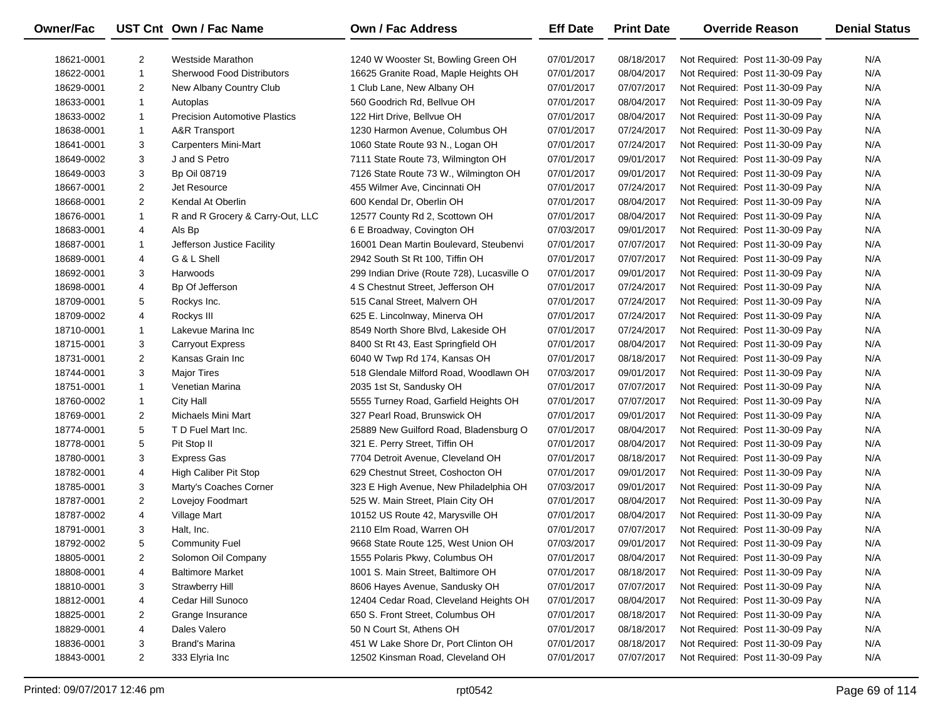| <b>Owner/Fac</b> |                | UST Cnt Own / Fac Name               | <b>Own / Fac Address</b>                   | <b>Eff Date</b> | <b>Print Date</b> | <b>Override Reason</b>          | <b>Denial Status</b> |
|------------------|----------------|--------------------------------------|--------------------------------------------|-----------------|-------------------|---------------------------------|----------------------|
| 18621-0001       | $\overline{2}$ | Westside Marathon                    | 1240 W Wooster St, Bowling Green OH        | 07/01/2017      | 08/18/2017        | Not Required: Post 11-30-09 Pay | N/A                  |
| 18622-0001       | $\mathbf{1}$   | <b>Sherwood Food Distributors</b>    | 16625 Granite Road, Maple Heights OH       | 07/01/2017      | 08/04/2017        | Not Required: Post 11-30-09 Pay | N/A                  |
| 18629-0001       | $\overline{2}$ | New Albany Country Club              | 1 Club Lane, New Albany OH                 | 07/01/2017      | 07/07/2017        | Not Required: Post 11-30-09 Pay | N/A                  |
| 18633-0001       | $\mathbf{1}$   | Autoplas                             | 560 Goodrich Rd, Bellvue OH                | 07/01/2017      | 08/04/2017        | Not Required: Post 11-30-09 Pay | N/A                  |
| 18633-0002       | 1              | <b>Precision Automotive Plastics</b> | 122 Hirt Drive, Bellvue OH                 | 07/01/2017      | 08/04/2017        | Not Required: Post 11-30-09 Pay | N/A                  |
| 18638-0001       | $\mathbf{1}$   | A&R Transport                        | 1230 Harmon Avenue, Columbus OH            | 07/01/2017      | 07/24/2017        | Not Required: Post 11-30-09 Pay | N/A                  |
| 18641-0001       | 3              | Carpenters Mini-Mart                 | 1060 State Route 93 N., Logan OH           | 07/01/2017      | 07/24/2017        | Not Required: Post 11-30-09 Pay | N/A                  |
| 18649-0002       | 3              | J and S Petro                        | 7111 State Route 73, Wilmington OH         | 07/01/2017      | 09/01/2017        | Not Required: Post 11-30-09 Pay | N/A                  |
| 18649-0003       | 3              | <b>Bp Oil 08719</b>                  | 7126 State Route 73 W., Wilmington OH      | 07/01/2017      | 09/01/2017        | Not Required: Post 11-30-09 Pay | N/A                  |
| 18667-0001       | $\overline{2}$ | Jet Resource                         | 455 Wilmer Ave, Cincinnati OH              | 07/01/2017      | 07/24/2017        | Not Required: Post 11-30-09 Pay | N/A                  |
| 18668-0001       | $\overline{2}$ | Kendal At Oberlin                    | 600 Kendal Dr, Oberlin OH                  | 07/01/2017      | 08/04/2017        | Not Required: Post 11-30-09 Pay | N/A                  |
| 18676-0001       | $\mathbf{1}$   | R and R Grocery & Carry-Out, LLC     | 12577 County Rd 2, Scottown OH             | 07/01/2017      | 08/04/2017        | Not Required: Post 11-30-09 Pay | N/A                  |
| 18683-0001       | 4              | Als Bp                               | 6 E Broadway, Covington OH                 | 07/03/2017      | 09/01/2017        | Not Required: Post 11-30-09 Pay | N/A                  |
| 18687-0001       | 1              | Jefferson Justice Facility           | 16001 Dean Martin Boulevard, Steubenvi     | 07/01/2017      | 07/07/2017        | Not Required: Post 11-30-09 Pay | N/A                  |
| 18689-0001       | 4              | G & L Shell                          | 2942 South St Rt 100, Tiffin OH            | 07/01/2017      | 07/07/2017        | Not Required: Post 11-30-09 Pay | N/A                  |
| 18692-0001       | 3              | Harwoods                             | 299 Indian Drive (Route 728), Lucasville O | 07/01/2017      | 09/01/2017        | Not Required: Post 11-30-09 Pay | N/A                  |
| 18698-0001       | 4              | Bp Of Jefferson                      | 4 S Chestnut Street, Jefferson OH          | 07/01/2017      | 07/24/2017        | Not Required: Post 11-30-09 Pay | N/A                  |
| 18709-0001       | 5              | Rockys Inc.                          | 515 Canal Street, Malvern OH               | 07/01/2017      | 07/24/2017        | Not Required: Post 11-30-09 Pay | N/A                  |
| 18709-0002       | 4              | Rockys III                           | 625 E. Lincolnway, Minerva OH              | 07/01/2017      | 07/24/2017        | Not Required: Post 11-30-09 Pay | N/A                  |
| 18710-0001       | 1              | Lakevue Marina Inc                   | 8549 North Shore Blvd, Lakeside OH         | 07/01/2017      | 07/24/2017        | Not Required: Post 11-30-09 Pay | N/A                  |
| 18715-0001       | 3              | <b>Carryout Express</b>              | 8400 St Rt 43, East Springfield OH         | 07/01/2017      | 08/04/2017        | Not Required: Post 11-30-09 Pay | N/A                  |
| 18731-0001       | $\overline{2}$ | Kansas Grain Inc                     | 6040 W Twp Rd 174, Kansas OH               | 07/01/2017      | 08/18/2017        | Not Required: Post 11-30-09 Pay | N/A                  |
| 18744-0001       | 3              | <b>Major Tires</b>                   | 518 Glendale Milford Road, Woodlawn OH     | 07/03/2017      | 09/01/2017        | Not Required: Post 11-30-09 Pay | N/A                  |
| 18751-0001       | 1              | Venetian Marina                      | 2035 1st St, Sandusky OH                   | 07/01/2017      | 07/07/2017        | Not Required: Post 11-30-09 Pay | N/A                  |
| 18760-0002       | $\mathbf{1}$   | <b>City Hall</b>                     | 5555 Turney Road, Garfield Heights OH      | 07/01/2017      | 07/07/2017        | Not Required: Post 11-30-09 Pay | N/A                  |
| 18769-0001       | $\overline{2}$ | Michaels Mini Mart                   | 327 Pearl Road, Brunswick OH               | 07/01/2017      | 09/01/2017        | Not Required: Post 11-30-09 Pay | N/A                  |
| 18774-0001       | 5              | T D Fuel Mart Inc.                   | 25889 New Guilford Road, Bladensburg O     | 07/01/2017      | 08/04/2017        | Not Required: Post 11-30-09 Pay | N/A                  |
| 18778-0001       | 5              | Pit Stop II                          | 321 E. Perry Street, Tiffin OH             | 07/01/2017      | 08/04/2017        | Not Required: Post 11-30-09 Pay | N/A                  |
| 18780-0001       | 3              | <b>Express Gas</b>                   | 7704 Detroit Avenue, Cleveland OH          | 07/01/2017      | 08/18/2017        | Not Required: Post 11-30-09 Pay | N/A                  |
| 18782-0001       | 4              | High Caliber Pit Stop                | 629 Chestnut Street, Coshocton OH          | 07/01/2017      | 09/01/2017        | Not Required: Post 11-30-09 Pay | N/A                  |
| 18785-0001       | 3              | Marty's Coaches Corner               | 323 E High Avenue, New Philadelphia OH     | 07/03/2017      | 09/01/2017        | Not Required: Post 11-30-09 Pay | N/A                  |
| 18787-0001       | $\overline{2}$ | Lovejoy Foodmart                     | 525 W. Main Street, Plain City OH          | 07/01/2017      | 08/04/2017        | Not Required: Post 11-30-09 Pay | N/A                  |
| 18787-0002       | 4              | Village Mart                         | 10152 US Route 42, Marysville OH           | 07/01/2017      | 08/04/2017        | Not Required: Post 11-30-09 Pay | N/A                  |
| 18791-0001       | 3              | Halt, Inc.                           | 2110 Elm Road, Warren OH                   | 07/01/2017      | 07/07/2017        | Not Required: Post 11-30-09 Pay | N/A                  |
| 18792-0002       | 5              | <b>Community Fuel</b>                | 9668 State Route 125, West Union OH        | 07/03/2017      | 09/01/2017        | Not Required: Post 11-30-09 Pay | N/A                  |
| 18805-0001       | 2              | Solomon Oil Company                  | 1555 Polaris Pkwy, Columbus OH             | 07/01/2017      | 08/04/2017        | Not Required: Post 11-30-09 Pay | N/A                  |
| 18808-0001       | 4              | <b>Baltimore Market</b>              | 1001 S. Main Street, Baltimore OH          | 07/01/2017      | 08/18/2017        | Not Required: Post 11-30-09 Pay | N/A                  |
| 18810-0001       | 3              | <b>Strawberry Hill</b>               | 8606 Hayes Avenue, Sandusky OH             | 07/01/2017      | 07/07/2017        | Not Required: Post 11-30-09 Pay | N/A                  |
| 18812-0001       | 4              | Cedar Hill Sunoco                    | 12404 Cedar Road, Cleveland Heights OH     | 07/01/2017      | 08/04/2017        | Not Required: Post 11-30-09 Pay | N/A                  |
| 18825-0001       | 2              | Grange Insurance                     | 650 S. Front Street, Columbus OH           | 07/01/2017      | 08/18/2017        | Not Required: Post 11-30-09 Pay | N/A                  |
| 18829-0001       | 4              | Dales Valero                         | 50 N Court St, Athens OH                   | 07/01/2017      | 08/18/2017        | Not Required: Post 11-30-09 Pay | N/A                  |
| 18836-0001       | 3              | Brand's Marina                       | 451 W Lake Shore Dr, Port Clinton OH       | 07/01/2017      | 08/18/2017        | Not Required: Post 11-30-09 Pay | N/A                  |
| 18843-0001       | $\overline{2}$ | 333 Elyria Inc                       | 12502 Kinsman Road, Cleveland OH           | 07/01/2017      | 07/07/2017        | Not Required: Post 11-30-09 Pay | N/A                  |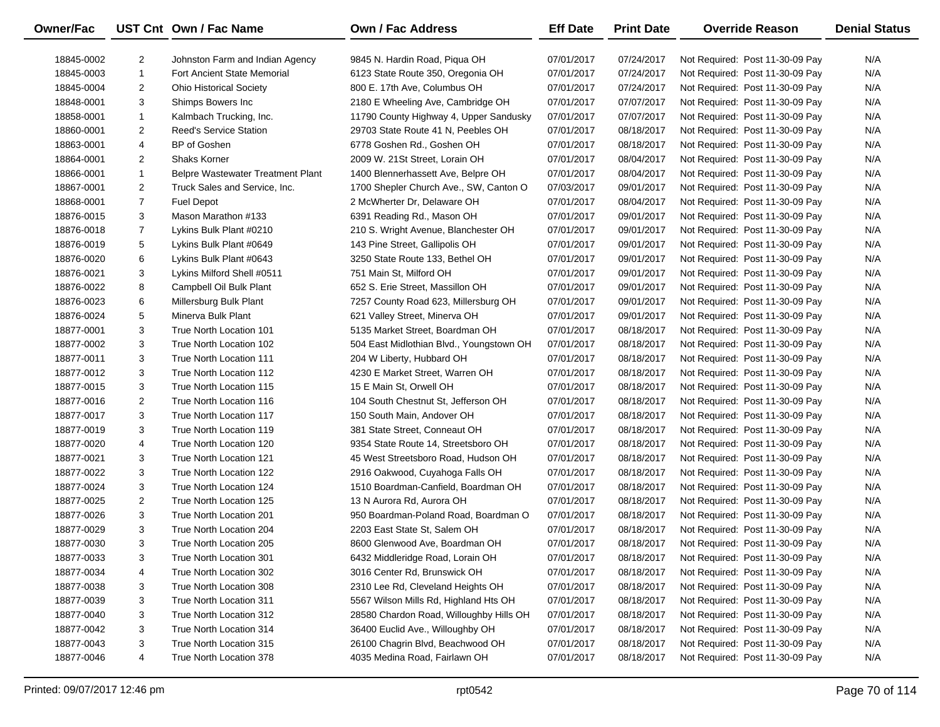| <b>Owner/Fac</b> |                | UST Cnt Own / Fac Name                   | <b>Own / Fac Address</b>                 | <b>Eff Date</b> | <b>Print Date</b> | <b>Override Reason</b>          | <b>Denial Status</b> |
|------------------|----------------|------------------------------------------|------------------------------------------|-----------------|-------------------|---------------------------------|----------------------|
| 18845-0002       | $\overline{2}$ | Johnston Farm and Indian Agency          | 9845 N. Hardin Road, Piqua OH            | 07/01/2017      | 07/24/2017        | Not Required: Post 11-30-09 Pay | N/A                  |
| 18845-0003       | $\mathbf{1}$   | Fort Ancient State Memorial              | 6123 State Route 350, Oregonia OH        | 07/01/2017      | 07/24/2017        | Not Required: Post 11-30-09 Pay | N/A                  |
| 18845-0004       | $\overline{2}$ | <b>Ohio Historical Society</b>           | 800 E. 17th Ave, Columbus OH             | 07/01/2017      | 07/24/2017        | Not Required: Post 11-30-09 Pay | N/A                  |
| 18848-0001       | 3              | Shimps Bowers Inc                        | 2180 E Wheeling Ave, Cambridge OH        | 07/01/2017      | 07/07/2017        | Not Required: Post 11-30-09 Pay | N/A                  |
| 18858-0001       | $\mathbf{1}$   | Kalmbach Trucking, Inc.                  | 11790 County Highway 4, Upper Sandusky   | 07/01/2017      | 07/07/2017        | Not Required: Post 11-30-09 Pay | N/A                  |
| 18860-0001       | $\overline{2}$ | <b>Reed's Service Station</b>            | 29703 State Route 41 N, Peebles OH       | 07/01/2017      | 08/18/2017        | Not Required: Post 11-30-09 Pay | N/A                  |
| 18863-0001       | 4              | BP of Goshen                             | 6778 Goshen Rd., Goshen OH               | 07/01/2017      | 08/18/2017        | Not Required: Post 11-30-09 Pay | N/A                  |
| 18864-0001       | $\overline{2}$ | <b>Shaks Korner</b>                      | 2009 W. 21St Street, Lorain OH           | 07/01/2017      | 08/04/2017        | Not Required: Post 11-30-09 Pay | N/A                  |
| 18866-0001       | $\mathbf{1}$   | <b>Belpre Wastewater Treatment Plant</b> | 1400 Blennerhassett Ave, Belpre OH       | 07/01/2017      | 08/04/2017        | Not Required: Post 11-30-09 Pay | N/A                  |
| 18867-0001       | $\overline{2}$ | Truck Sales and Service, Inc.            | 1700 Shepler Church Ave., SW, Canton O   | 07/03/2017      | 09/01/2017        | Not Required: Post 11-30-09 Pay | N/A                  |
| 18868-0001       | $\overline{7}$ | <b>Fuel Depot</b>                        | 2 McWherter Dr, Delaware OH              | 07/01/2017      | 08/04/2017        | Not Required: Post 11-30-09 Pay | N/A                  |
| 18876-0015       | 3              | Mason Marathon #133                      | 6391 Reading Rd., Mason OH               | 07/01/2017      | 09/01/2017        | Not Required: Post 11-30-09 Pay | N/A                  |
| 18876-0018       | $\overline{7}$ | Lykins Bulk Plant #0210                  | 210 S. Wright Avenue, Blanchester OH     | 07/01/2017      | 09/01/2017        | Not Required: Post 11-30-09 Pay | N/A                  |
| 18876-0019       | 5              | Lykins Bulk Plant #0649                  | 143 Pine Street, Gallipolis OH           | 07/01/2017      | 09/01/2017        | Not Required: Post 11-30-09 Pay | N/A                  |
| 18876-0020       | 6              | Lykins Bulk Plant #0643                  | 3250 State Route 133, Bethel OH          | 07/01/2017      | 09/01/2017        | Not Required: Post 11-30-09 Pay | N/A                  |
| 18876-0021       | 3              | Lykins Milford Shell #0511               | 751 Main St, Milford OH                  | 07/01/2017      | 09/01/2017        | Not Required: Post 11-30-09 Pay | N/A                  |
| 18876-0022       | 8              | Campbell Oil Bulk Plant                  | 652 S. Erie Street, Massillon OH         | 07/01/2017      | 09/01/2017        | Not Required: Post 11-30-09 Pay | N/A                  |
| 18876-0023       | 6              | Millersburg Bulk Plant                   | 7257 County Road 623, Millersburg OH     | 07/01/2017      | 09/01/2017        | Not Required: Post 11-30-09 Pay | N/A                  |
| 18876-0024       | 5              | Minerva Bulk Plant                       | 621 Valley Street, Minerva OH            | 07/01/2017      | 09/01/2017        | Not Required: Post 11-30-09 Pay | N/A                  |
| 18877-0001       | 3              | True North Location 101                  | 5135 Market Street, Boardman OH          | 07/01/2017      | 08/18/2017        | Not Required: Post 11-30-09 Pay | N/A                  |
| 18877-0002       | 3              | True North Location 102                  | 504 East Midlothian Blvd., Youngstown OH | 07/01/2017      | 08/18/2017        | Not Required: Post 11-30-09 Pay | N/A                  |
| 18877-0011       | 3              | True North Location 111                  | 204 W Liberty, Hubbard OH                | 07/01/2017      | 08/18/2017        | Not Required: Post 11-30-09 Pay | N/A                  |
| 18877-0012       | 3              | True North Location 112                  | 4230 E Market Street, Warren OH          | 07/01/2017      | 08/18/2017        | Not Required: Post 11-30-09 Pay | N/A                  |
| 18877-0015       | 3              | True North Location 115                  | 15 E Main St, Orwell OH                  | 07/01/2017      | 08/18/2017        | Not Required: Post 11-30-09 Pay | N/A                  |
| 18877-0016       | $\overline{2}$ | True North Location 116                  | 104 South Chestnut St, Jefferson OH      | 07/01/2017      | 08/18/2017        | Not Required: Post 11-30-09 Pay | N/A                  |
| 18877-0017       | 3              | True North Location 117                  | 150 South Main, Andover OH               | 07/01/2017      | 08/18/2017        | Not Required: Post 11-30-09 Pay | N/A                  |
| 18877-0019       | 3              | True North Location 119                  | 381 State Street, Conneaut OH            | 07/01/2017      | 08/18/2017        | Not Required: Post 11-30-09 Pay | N/A                  |
| 18877-0020       | 4              | True North Location 120                  | 9354 State Route 14, Streetsboro OH      | 07/01/2017      | 08/18/2017        | Not Required: Post 11-30-09 Pay | N/A                  |
| 18877-0021       | 3              | True North Location 121                  | 45 West Streetsboro Road, Hudson OH      | 07/01/2017      | 08/18/2017        | Not Required: Post 11-30-09 Pay | N/A                  |
| 18877-0022       | 3              | True North Location 122                  | 2916 Oakwood, Cuyahoga Falls OH          | 07/01/2017      | 08/18/2017        | Not Required: Post 11-30-09 Pay | N/A                  |
| 18877-0024       | 3              | True North Location 124                  | 1510 Boardman-Canfield, Boardman OH      | 07/01/2017      | 08/18/2017        | Not Required: Post 11-30-09 Pay | N/A                  |
| 18877-0025       | $\overline{c}$ | True North Location 125                  | 13 N Aurora Rd, Aurora OH                | 07/01/2017      | 08/18/2017        | Not Required: Post 11-30-09 Pay | N/A                  |
| 18877-0026       | 3              | True North Location 201                  | 950 Boardman-Poland Road, Boardman O     | 07/01/2017      | 08/18/2017        | Not Required: Post 11-30-09 Pay | N/A                  |
| 18877-0029       | 3              | True North Location 204                  | 2203 East State St, Salem OH             | 07/01/2017      | 08/18/2017        | Not Required: Post 11-30-09 Pay | N/A                  |
| 18877-0030       | 3              | True North Location 205                  | 8600 Glenwood Ave, Boardman OH           | 07/01/2017      | 08/18/2017        | Not Required: Post 11-30-09 Pay | N/A                  |
| 18877-0033       | 3              | True North Location 301                  | 6432 Middleridge Road, Lorain OH         | 07/01/2017      | 08/18/2017        | Not Required: Post 11-30-09 Pay | N/A                  |
| 18877-0034       | 4              | True North Location 302                  | 3016 Center Rd, Brunswick OH             | 07/01/2017      | 08/18/2017        | Not Required: Post 11-30-09 Pay | N/A                  |
| 18877-0038       | 3              | True North Location 308                  | 2310 Lee Rd, Cleveland Heights OH        | 07/01/2017      | 08/18/2017        | Not Required: Post 11-30-09 Pay | N/A                  |
| 18877-0039       | 3              | True North Location 311                  | 5567 Wilson Mills Rd, Highland Hts OH    | 07/01/2017      | 08/18/2017        | Not Required: Post 11-30-09 Pay | N/A                  |
| 18877-0040       | 3              | True North Location 312                  | 28580 Chardon Road, Willoughby Hills OH  | 07/01/2017      | 08/18/2017        | Not Required: Post 11-30-09 Pay | N/A                  |
| 18877-0042       | 3              | True North Location 314                  | 36400 Euclid Ave., Willoughby OH         | 07/01/2017      | 08/18/2017        | Not Required: Post 11-30-09 Pay | N/A                  |
| 18877-0043       | 3              | True North Location 315                  | 26100 Chagrin Blvd, Beachwood OH         | 07/01/2017      | 08/18/2017        | Not Required: Post 11-30-09 Pay | N/A                  |
| 18877-0046       | 4              | True North Location 378                  | 4035 Medina Road, Fairlawn OH            | 07/01/2017      | 08/18/2017        | Not Required: Post 11-30-09 Pay | N/A                  |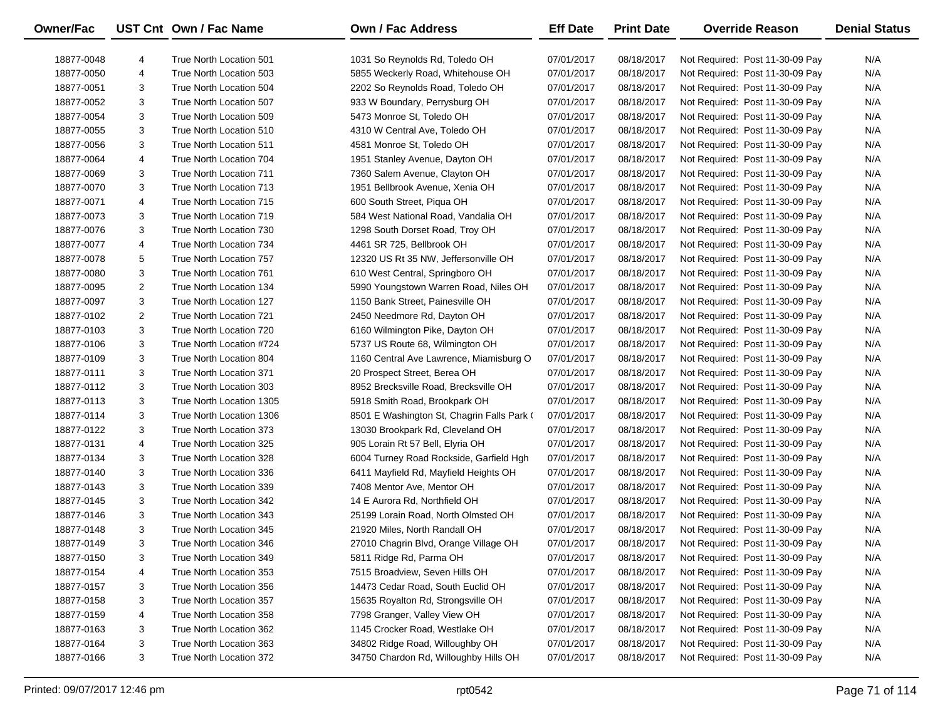| Owner/Fac  |   | UST Cnt Own / Fac Name   | <b>Own / Fac Address</b>                   | <b>Eff Date</b> | <b>Print Date</b> | <b>Override Reason</b>          | <b>Denial Status</b> |
|------------|---|--------------------------|--------------------------------------------|-----------------|-------------------|---------------------------------|----------------------|
| 18877-0048 | 4 | True North Location 501  | 1031 So Reynolds Rd, Toledo OH             | 07/01/2017      | 08/18/2017        | Not Required: Post 11-30-09 Pay | N/A                  |
| 18877-0050 | 4 | True North Location 503  | 5855 Weckerly Road, Whitehouse OH          | 07/01/2017      | 08/18/2017        | Not Required: Post 11-30-09 Pay | N/A                  |
| 18877-0051 | 3 | True North Location 504  | 2202 So Reynolds Road, Toledo OH           | 07/01/2017      | 08/18/2017        | Not Required: Post 11-30-09 Pay | N/A                  |
| 18877-0052 | 3 | True North Location 507  | 933 W Boundary, Perrysburg OH              | 07/01/2017      | 08/18/2017        | Not Required: Post 11-30-09 Pay | N/A                  |
| 18877-0054 | 3 | True North Location 509  | 5473 Monroe St, Toledo OH                  | 07/01/2017      | 08/18/2017        | Not Required: Post 11-30-09 Pay | N/A                  |
| 18877-0055 | 3 | True North Location 510  | 4310 W Central Ave, Toledo OH              | 07/01/2017      | 08/18/2017        | Not Required: Post 11-30-09 Pay | N/A                  |
| 18877-0056 | 3 | True North Location 511  | 4581 Monroe St, Toledo OH                  | 07/01/2017      | 08/18/2017        | Not Required: Post 11-30-09 Pay | N/A                  |
| 18877-0064 | 4 | True North Location 704  | 1951 Stanley Avenue, Dayton OH             | 07/01/2017      | 08/18/2017        | Not Required: Post 11-30-09 Pay | N/A                  |
| 18877-0069 | 3 | True North Location 711  | 7360 Salem Avenue, Clayton OH              | 07/01/2017      | 08/18/2017        | Not Required: Post 11-30-09 Pay | N/A                  |
| 18877-0070 | 3 | True North Location 713  | 1951 Bellbrook Avenue, Xenia OH            | 07/01/2017      | 08/18/2017        | Not Required: Post 11-30-09 Pay | N/A                  |
| 18877-0071 | 4 | True North Location 715  | 600 South Street, Piqua OH                 | 07/01/2017      | 08/18/2017        | Not Required: Post 11-30-09 Pay | N/A                  |
| 18877-0073 | 3 | True North Location 719  | 584 West National Road, Vandalia OH        | 07/01/2017      | 08/18/2017        | Not Required: Post 11-30-09 Pay | N/A                  |
| 18877-0076 | 3 | True North Location 730  | 1298 South Dorset Road, Troy OH            | 07/01/2017      | 08/18/2017        | Not Required: Post 11-30-09 Pay | N/A                  |
| 18877-0077 | 4 | True North Location 734  | 4461 SR 725, Bellbrook OH                  | 07/01/2017      | 08/18/2017        | Not Required: Post 11-30-09 Pay | N/A                  |
| 18877-0078 | 5 | True North Location 757  | 12320 US Rt 35 NW, Jeffersonville OH       | 07/01/2017      | 08/18/2017        | Not Required: Post 11-30-09 Pay | N/A                  |
| 18877-0080 | 3 | True North Location 761  | 610 West Central, Springboro OH            | 07/01/2017      | 08/18/2017        | Not Required: Post 11-30-09 Pay | N/A                  |
| 18877-0095 | 2 | True North Location 134  | 5990 Youngstown Warren Road, Niles OH      | 07/01/2017      | 08/18/2017        | Not Required: Post 11-30-09 Pay | N/A                  |
| 18877-0097 | 3 | True North Location 127  | 1150 Bank Street, Painesville OH           | 07/01/2017      | 08/18/2017        | Not Required: Post 11-30-09 Pay | N/A                  |
| 18877-0102 | 2 | True North Location 721  | 2450 Needmore Rd, Dayton OH                | 07/01/2017      | 08/18/2017        | Not Required: Post 11-30-09 Pay | N/A                  |
| 18877-0103 | 3 | True North Location 720  | 6160 Wilmington Pike, Dayton OH            | 07/01/2017      | 08/18/2017        | Not Required: Post 11-30-09 Pay | N/A                  |
| 18877-0106 | 3 | True North Location #724 | 5737 US Route 68, Wilmington OH            | 07/01/2017      | 08/18/2017        | Not Required: Post 11-30-09 Pay | N/A                  |
| 18877-0109 | 3 | True North Location 804  | 1160 Central Ave Lawrence, Miamisburg O    | 07/01/2017      | 08/18/2017        | Not Required: Post 11-30-09 Pay | N/A                  |
| 18877-0111 | 3 | True North Location 371  | 20 Prospect Street, Berea OH               | 07/01/2017      | 08/18/2017        | Not Required: Post 11-30-09 Pay | N/A                  |
| 18877-0112 | 3 | True North Location 303  | 8952 Brecksville Road, Brecksville OH      | 07/01/2017      | 08/18/2017        | Not Required: Post 11-30-09 Pay | N/A                  |
| 18877-0113 | 3 | True North Location 1305 | 5918 Smith Road, Brookpark OH              | 07/01/2017      | 08/18/2017        | Not Required: Post 11-30-09 Pay | N/A                  |
| 18877-0114 | 3 | True North Location 1306 | 8501 E Washington St, Chagrin Falls Park ( | 07/01/2017      | 08/18/2017        | Not Required: Post 11-30-09 Pay | N/A                  |
| 18877-0122 | 3 | True North Location 373  | 13030 Brookpark Rd, Cleveland OH           | 07/01/2017      | 08/18/2017        | Not Required: Post 11-30-09 Pay | N/A                  |
| 18877-0131 | 4 | True North Location 325  | 905 Lorain Rt 57 Bell, Elyria OH           | 07/01/2017      | 08/18/2017        | Not Required: Post 11-30-09 Pay | N/A                  |
| 18877-0134 | 3 | True North Location 328  | 6004 Turney Road Rockside, Garfield Hgh    | 07/01/2017      | 08/18/2017        | Not Required: Post 11-30-09 Pay | N/A                  |
| 18877-0140 | 3 | True North Location 336  | 6411 Mayfield Rd, Mayfield Heights OH      | 07/01/2017      | 08/18/2017        | Not Required: Post 11-30-09 Pay | N/A                  |
| 18877-0143 | 3 | True North Location 339  | 7408 Mentor Ave, Mentor OH                 | 07/01/2017      | 08/18/2017        | Not Required: Post 11-30-09 Pay | N/A                  |
| 18877-0145 | 3 | True North Location 342  | 14 E Aurora Rd, Northfield OH              | 07/01/2017      | 08/18/2017        | Not Required: Post 11-30-09 Pay | N/A                  |
| 18877-0146 | 3 | True North Location 343  | 25199 Lorain Road, North Olmsted OH        | 07/01/2017      | 08/18/2017        | Not Required: Post 11-30-09 Pay | N/A                  |
| 18877-0148 | 3 | True North Location 345  | 21920 Miles, North Randall OH              | 07/01/2017      | 08/18/2017        | Not Required: Post 11-30-09 Pay | N/A                  |
| 18877-0149 | 3 | True North Location 346  | 27010 Chagrin Blvd, Orange Village OH      | 07/01/2017      | 08/18/2017        | Not Required: Post 11-30-09 Pay | N/A                  |
| 18877-0150 | 3 | True North Location 349  | 5811 Ridge Rd, Parma OH                    | 07/01/2017      | 08/18/2017        | Not Required: Post 11-30-09 Pay | N/A                  |
| 18877-0154 | 4 | True North Location 353  | 7515 Broadview, Seven Hills OH             | 07/01/2017      | 08/18/2017        | Not Required: Post 11-30-09 Pay | N/A                  |
| 18877-0157 | 3 | True North Location 356  | 14473 Cedar Road, South Euclid OH          | 07/01/2017      | 08/18/2017        | Not Required: Post 11-30-09 Pay | N/A                  |
| 18877-0158 | 3 | True North Location 357  | 15635 Royalton Rd, Strongsville OH         | 07/01/2017      | 08/18/2017        | Not Required: Post 11-30-09 Pay | N/A                  |
| 18877-0159 | 4 | True North Location 358  | 7798 Granger, Valley View OH               | 07/01/2017      | 08/18/2017        | Not Required: Post 11-30-09 Pay | N/A                  |
| 18877-0163 | 3 | True North Location 362  | 1145 Crocker Road, Westlake OH             | 07/01/2017      | 08/18/2017        | Not Required: Post 11-30-09 Pay | N/A                  |
| 18877-0164 | 3 | True North Location 363  | 34802 Ridge Road, Willoughby OH            | 07/01/2017      | 08/18/2017        | Not Required: Post 11-30-09 Pay | N/A                  |
| 18877-0166 | 3 | True North Location 372  | 34750 Chardon Rd, Willoughby Hills OH      | 07/01/2017      | 08/18/2017        | Not Required: Post 11-30-09 Pay | N/A                  |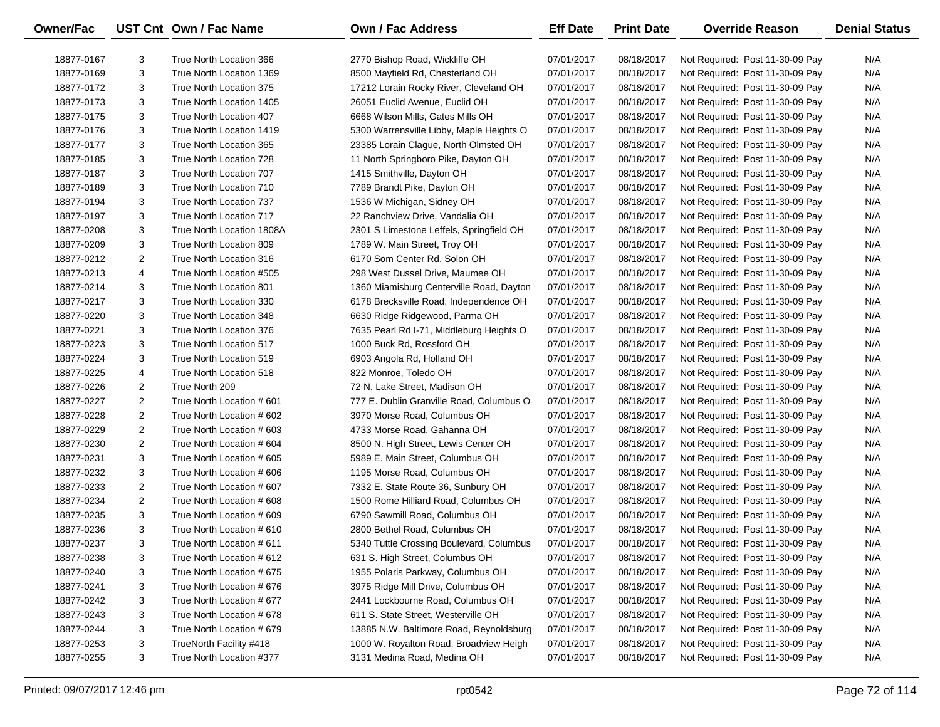| Owner/Fac  |                | UST Cnt Own / Fac Name    | <b>Own / Fac Address</b>                 | <b>Eff Date</b> | <b>Print Date</b> | <b>Override Reason</b>          | <b>Denial Status</b> |
|------------|----------------|---------------------------|------------------------------------------|-----------------|-------------------|---------------------------------|----------------------|
| 18877-0167 | 3              | True North Location 366   | 2770 Bishop Road, Wickliffe OH           | 07/01/2017      | 08/18/2017        | Not Required: Post 11-30-09 Pay | N/A                  |
| 18877-0169 | 3              | True North Location 1369  | 8500 Mayfield Rd, Chesterland OH         | 07/01/2017      | 08/18/2017        | Not Required: Post 11-30-09 Pay | N/A                  |
| 18877-0172 | 3              | True North Location 375   | 17212 Lorain Rocky River, Cleveland OH   | 07/01/2017      | 08/18/2017        | Not Required: Post 11-30-09 Pay | N/A                  |
| 18877-0173 | 3              | True North Location 1405  | 26051 Euclid Avenue, Euclid OH           | 07/01/2017      | 08/18/2017        | Not Required: Post 11-30-09 Pay | N/A                  |
| 18877-0175 | 3              | True North Location 407   | 6668 Wilson Mills, Gates Mills OH        | 07/01/2017      | 08/18/2017        | Not Required: Post 11-30-09 Pay | N/A                  |
| 18877-0176 | 3              | True North Location 1419  | 5300 Warrensville Libby, Maple Heights O | 07/01/2017      | 08/18/2017        | Not Required: Post 11-30-09 Pay | N/A                  |
| 18877-0177 | 3              | True North Location 365   | 23385 Lorain Clague, North Olmsted OH    | 07/01/2017      | 08/18/2017        | Not Required: Post 11-30-09 Pay | N/A                  |
| 18877-0185 | 3              | True North Location 728   | 11 North Springboro Pike, Dayton OH      | 07/01/2017      | 08/18/2017        | Not Required: Post 11-30-09 Pay | N/A                  |
| 18877-0187 | 3              | True North Location 707   | 1415 Smithville, Dayton OH               | 07/01/2017      | 08/18/2017        | Not Required: Post 11-30-09 Pay | N/A                  |
| 18877-0189 | 3              | True North Location 710   | 7789 Brandt Pike, Dayton OH              | 07/01/2017      | 08/18/2017        | Not Required: Post 11-30-09 Pay | N/A                  |
| 18877-0194 | 3              | True North Location 737   | 1536 W Michigan, Sidney OH               | 07/01/2017      | 08/18/2017        | Not Required: Post 11-30-09 Pay | N/A                  |
| 18877-0197 | 3              | True North Location 717   | 22 Ranchview Drive, Vandalia OH          | 07/01/2017      | 08/18/2017        | Not Required: Post 11-30-09 Pay | N/A                  |
| 18877-0208 | 3              | True North Location 1808A | 2301 S Limestone Leffels, Springfield OH | 07/01/2017      | 08/18/2017        | Not Required: Post 11-30-09 Pay | N/A                  |
| 18877-0209 | 3              | True North Location 809   | 1789 W. Main Street, Troy OH             | 07/01/2017      | 08/18/2017        | Not Required: Post 11-30-09 Pay | N/A                  |
| 18877-0212 | 2              | True North Location 316   | 6170 Som Center Rd, Solon OH             | 07/01/2017      | 08/18/2017        | Not Required: Post 11-30-09 Pay | N/A                  |
| 18877-0213 | 4              | True North Location #505  | 298 West Dussel Drive, Maumee OH         | 07/01/2017      | 08/18/2017        | Not Required: Post 11-30-09 Pay | N/A                  |
| 18877-0214 | 3              | True North Location 801   | 1360 Miamisburg Centerville Road, Dayton | 07/01/2017      | 08/18/2017        | Not Required: Post 11-30-09 Pay | N/A                  |
| 18877-0217 | 3              | True North Location 330   | 6178 Brecksville Road, Independence OH   | 07/01/2017      | 08/18/2017        | Not Required: Post 11-30-09 Pay | N/A                  |
| 18877-0220 | 3              | True North Location 348   | 6630 Ridge Ridgewood, Parma OH           | 07/01/2017      | 08/18/2017        | Not Required: Post 11-30-09 Pay | N/A                  |
| 18877-0221 | 3              | True North Location 376   | 7635 Pearl Rd I-71, Middleburg Heights O | 07/01/2017      | 08/18/2017        | Not Required: Post 11-30-09 Pay | N/A                  |
| 18877-0223 | 3              | True North Location 517   | 1000 Buck Rd, Rossford OH                | 07/01/2017      | 08/18/2017        | Not Required: Post 11-30-09 Pay | N/A                  |
| 18877-0224 | 3              | True North Location 519   | 6903 Angola Rd, Holland OH               | 07/01/2017      | 08/18/2017        | Not Required: Post 11-30-09 Pay | N/A                  |
| 18877-0225 | 4              | True North Location 518   | 822 Monroe, Toledo OH                    | 07/01/2017      | 08/18/2017        | Not Required: Post 11-30-09 Pay | N/A                  |
| 18877-0226 | 2              | True North 209            | 72 N. Lake Street, Madison OH            | 07/01/2017      | 08/18/2017        | Not Required: Post 11-30-09 Pay | N/A                  |
| 18877-0227 | 2              | True North Location #601  | 777 E. Dublin Granville Road, Columbus O | 07/01/2017      | 08/18/2017        | Not Required: Post 11-30-09 Pay | N/A                  |
| 18877-0228 | 2              | True North Location # 602 | 3970 Morse Road, Columbus OH             | 07/01/2017      | 08/18/2017        | Not Required: Post 11-30-09 Pay | N/A                  |
| 18877-0229 | $\overline{2}$ | True North Location # 603 | 4733 Morse Road, Gahanna OH              | 07/01/2017      | 08/18/2017        | Not Required: Post 11-30-09 Pay | N/A                  |
| 18877-0230 | 2              | True North Location #604  | 8500 N. High Street, Lewis Center OH     | 07/01/2017      | 08/18/2017        | Not Required: Post 11-30-09 Pay | N/A                  |
| 18877-0231 | 3              | True North Location # 605 | 5989 E. Main Street, Columbus OH         | 07/01/2017      | 08/18/2017        | Not Required: Post 11-30-09 Pay | N/A                  |
| 18877-0232 | 3              | True North Location # 606 | 1195 Morse Road, Columbus OH             | 07/01/2017      | 08/18/2017        | Not Required: Post 11-30-09 Pay | N/A                  |
| 18877-0233 | 2              | True North Location # 607 | 7332 E. State Route 36, Sunbury OH       | 07/01/2017      | 08/18/2017        | Not Required: Post 11-30-09 Pay | N/A                  |
| 18877-0234 | 2              | True North Location #608  | 1500 Rome Hilliard Road, Columbus OH     | 07/01/2017      | 08/18/2017        | Not Required: Post 11-30-09 Pay | N/A                  |
| 18877-0235 | 3              | True North Location # 609 | 6790 Sawmill Road, Columbus OH           | 07/01/2017      | 08/18/2017        | Not Required: Post 11-30-09 Pay | N/A                  |
| 18877-0236 | 3              | True North Location # 610 | 2800 Bethel Road, Columbus OH            | 07/01/2017      | 08/18/2017        | Not Required: Post 11-30-09 Pay | N/A                  |
| 18877-0237 | 3              | True North Location # 611 | 5340 Tuttle Crossing Boulevard, Columbus | 07/01/2017      | 08/18/2017        | Not Required: Post 11-30-09 Pay | N/A                  |
| 18877-0238 | 3              | True North Location # 612 | 631 S. High Street, Columbus OH          | 07/01/2017      | 08/18/2017        | Not Required: Post 11-30-09 Pay | N/A                  |
| 18877-0240 | 3              | True North Location # 675 | 1955 Polaris Parkway, Columbus OH        | 07/01/2017      | 08/18/2017        | Not Required: Post 11-30-09 Pay | N/A                  |
| 18877-0241 | 3              | True North Location #676  | 3975 Ridge Mill Drive, Columbus OH       | 07/01/2017      | 08/18/2017        | Not Required: Post 11-30-09 Pay | N/A                  |
| 18877-0242 | 3              | True North Location #677  | 2441 Lockbourne Road, Columbus OH        | 07/01/2017      | 08/18/2017        | Not Required: Post 11-30-09 Pay | N/A                  |
| 18877-0243 | 3              | True North Location #678  | 611 S. State Street, Westerville OH      | 07/01/2017      | 08/18/2017        | Not Required: Post 11-30-09 Pay | N/A                  |
| 18877-0244 | 3              | True North Location # 679 | 13885 N.W. Baltimore Road, Reynoldsburg  | 07/01/2017      | 08/18/2017        | Not Required: Post 11-30-09 Pay | N/A                  |
| 18877-0253 | 3              | TrueNorth Facility #418   | 1000 W. Royalton Road, Broadview Heigh   | 07/01/2017      | 08/18/2017        | Not Required: Post 11-30-09 Pay | N/A                  |
| 18877-0255 | 3              | True North Location #377  | 3131 Medina Road, Medina OH              | 07/01/2017      | 08/18/2017        | Not Required: Post 11-30-09 Pay | N/A                  |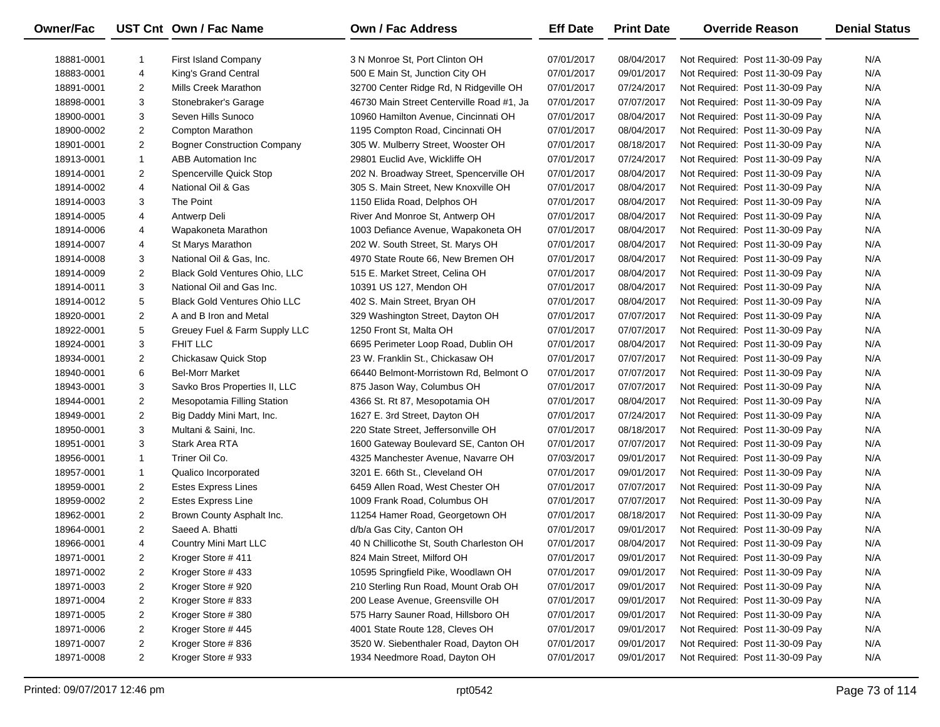| <b>Owner/Fac</b> |                | UST Cnt Own / Fac Name              | <b>Own / Fac Address</b>                  | <b>Eff Date</b> | <b>Print Date</b> | <b>Override Reason</b>          | <b>Denial Status</b> |
|------------------|----------------|-------------------------------------|-------------------------------------------|-----------------|-------------------|---------------------------------|----------------------|
| 18881-0001       | -1             | First Island Company                | 3 N Monroe St, Port Clinton OH            | 07/01/2017      | 08/04/2017        | Not Required: Post 11-30-09 Pay | N/A                  |
| 18883-0001       | 4              | King's Grand Central                | 500 E Main St, Junction City OH           | 07/01/2017      | 09/01/2017        | Not Required: Post 11-30-09 Pay | N/A                  |
| 18891-0001       | $\overline{2}$ | Mills Creek Marathon                | 32700 Center Ridge Rd, N Ridgeville OH    | 07/01/2017      | 07/24/2017        | Not Required: Post 11-30-09 Pay | N/A                  |
| 18898-0001       | 3              | Stonebraker's Garage                | 46730 Main Street Centerville Road #1, Ja | 07/01/2017      | 07/07/2017        | Not Required: Post 11-30-09 Pay | N/A                  |
| 18900-0001       | 3              | Seven Hills Sunoco                  | 10960 Hamilton Avenue, Cincinnati OH      | 07/01/2017      | 08/04/2017        | Not Required: Post 11-30-09 Pay | N/A                  |
| 18900-0002       | $\overline{2}$ | <b>Compton Marathon</b>             | 1195 Compton Road, Cincinnati OH          | 07/01/2017      | 08/04/2017        | Not Required: Post 11-30-09 Pay | N/A                  |
| 18901-0001       | $\overline{2}$ | <b>Bogner Construction Company</b>  | 305 W. Mulberry Street, Wooster OH        | 07/01/2017      | 08/18/2017        | Not Required: Post 11-30-09 Pay | N/A                  |
| 18913-0001       | $\mathbf{1}$   | <b>ABB Automation Inc.</b>          | 29801 Euclid Ave, Wickliffe OH            | 07/01/2017      | 07/24/2017        | Not Required: Post 11-30-09 Pay | N/A                  |
| 18914-0001       | $\overline{2}$ | Spencerville Quick Stop             | 202 N. Broadway Street, Spencerville OH   | 07/01/2017      | 08/04/2017        | Not Required: Post 11-30-09 Pay | N/A                  |
| 18914-0002       | 4              | National Oil & Gas                  | 305 S. Main Street, New Knoxville OH      | 07/01/2017      | 08/04/2017        | Not Required: Post 11-30-09 Pay | N/A                  |
| 18914-0003       | 3              | The Point                           | 1150 Elida Road, Delphos OH               | 07/01/2017      | 08/04/2017        | Not Required: Post 11-30-09 Pay | N/A                  |
| 18914-0005       | 4              | Antwerp Deli                        | River And Monroe St, Antwerp OH           | 07/01/2017      | 08/04/2017        | Not Required: Post 11-30-09 Pay | N/A                  |
| 18914-0006       | 4              | Wapakoneta Marathon                 | 1003 Defiance Avenue, Wapakoneta OH       | 07/01/2017      | 08/04/2017        | Not Required: Post 11-30-09 Pay | N/A                  |
| 18914-0007       | 4              | St Marys Marathon                   | 202 W. South Street, St. Marys OH         | 07/01/2017      | 08/04/2017        | Not Required: Post 11-30-09 Pay | N/A                  |
| 18914-0008       | 3              | National Oil & Gas, Inc.            | 4970 State Route 66, New Bremen OH        | 07/01/2017      | 08/04/2017        | Not Required: Post 11-30-09 Pay | N/A                  |
| 18914-0009       | $\overline{2}$ | Black Gold Ventures Ohio, LLC       | 515 E. Market Street, Celina OH           | 07/01/2017      | 08/04/2017        | Not Required: Post 11-30-09 Pay | N/A                  |
| 18914-0011       | 3              | National Oil and Gas Inc.           | 10391 US 127, Mendon OH                   | 07/01/2017      | 08/04/2017        | Not Required: Post 11-30-09 Pay | N/A                  |
| 18914-0012       | 5              | <b>Black Gold Ventures Ohio LLC</b> | 402 S. Main Street, Bryan OH              | 07/01/2017      | 08/04/2017        | Not Required: Post 11-30-09 Pay | N/A                  |
| 18920-0001       | $\overline{2}$ | A and B Iron and Metal              | 329 Washington Street, Dayton OH          | 07/01/2017      | 07/07/2017        | Not Required: Post 11-30-09 Pay | N/A                  |
| 18922-0001       | 5              | Greuey Fuel & Farm Supply LLC       | 1250 Front St, Malta OH                   | 07/01/2017      | 07/07/2017        | Not Required: Post 11-30-09 Pay | N/A                  |
| 18924-0001       | 3              | <b>FHIT LLC</b>                     | 6695 Perimeter Loop Road, Dublin OH       | 07/01/2017      | 08/04/2017        | Not Required: Post 11-30-09 Pay | N/A                  |
| 18934-0001       | 2              | Chickasaw Quick Stop                | 23 W. Franklin St., Chickasaw OH          | 07/01/2017      | 07/07/2017        | Not Required: Post 11-30-09 Pay | N/A                  |
| 18940-0001       | 6              | <b>Bel-Morr Market</b>              | 66440 Belmont-Morristown Rd, Belmont O    | 07/01/2017      | 07/07/2017        | Not Required: Post 11-30-09 Pay | N/A                  |
| 18943-0001       | 3              | Savko Bros Properties II, LLC       | 875 Jason Way, Columbus OH                | 07/01/2017      | 07/07/2017        | Not Required: Post 11-30-09 Pay | N/A                  |
| 18944-0001       | $\overline{a}$ | Mesopotamia Filling Station         | 4366 St. Rt 87, Mesopotamia OH            | 07/01/2017      | 08/04/2017        | Not Required: Post 11-30-09 Pay | N/A                  |
| 18949-0001       | $\overline{a}$ | Big Daddy Mini Mart, Inc.           | 1627 E. 3rd Street, Dayton OH             | 07/01/2017      | 07/24/2017        | Not Required: Post 11-30-09 Pay | N/A                  |
| 18950-0001       | 3              | Multani & Saini, Inc.               | 220 State Street, Jeffersonville OH       | 07/01/2017      | 08/18/2017        | Not Required: Post 11-30-09 Pay | N/A                  |
| 18951-0001       | 3              | <b>Stark Area RTA</b>               | 1600 Gateway Boulevard SE, Canton OH      | 07/01/2017      | 07/07/2017        | Not Required: Post 11-30-09 Pay | N/A                  |
| 18956-0001       | 1              | Triner Oil Co.                      | 4325 Manchester Avenue, Navarre OH        | 07/03/2017      | 09/01/2017        | Not Required: Post 11-30-09 Pay | N/A                  |
| 18957-0001       | $\mathbf{1}$   | Qualico Incorporated                | 3201 E. 66th St., Cleveland OH            | 07/01/2017      | 09/01/2017        | Not Required: Post 11-30-09 Pay | N/A                  |
| 18959-0001       | $\overline{2}$ | <b>Estes Express Lines</b>          | 6459 Allen Road, West Chester OH          | 07/01/2017      | 07/07/2017        | Not Required: Post 11-30-09 Pay | N/A                  |
| 18959-0002       | $\overline{a}$ | <b>Estes Express Line</b>           | 1009 Frank Road, Columbus OH              | 07/01/2017      | 07/07/2017        | Not Required: Post 11-30-09 Pay | N/A                  |
| 18962-0001       | $\overline{2}$ | Brown County Asphalt Inc.           | 11254 Hamer Road, Georgetown OH           | 07/01/2017      | 08/18/2017        | Not Required: Post 11-30-09 Pay | N/A                  |
| 18964-0001       | $\overline{2}$ | Saeed A. Bhatti                     | d/b/a Gas City, Canton OH                 | 07/01/2017      | 09/01/2017        | Not Required: Post 11-30-09 Pay | N/A                  |
| 18966-0001       | 4              | Country Mini Mart LLC               | 40 N Chillicothe St, South Charleston OH  | 07/01/2017      | 08/04/2017        | Not Required: Post 11-30-09 Pay | N/A                  |
| 18971-0001       | 2              | Kroger Store #411                   | 824 Main Street, Milford OH               | 07/01/2017      | 09/01/2017        | Not Required: Post 11-30-09 Pay | N/A                  |
| 18971-0002       | 2              | Kroger Store #433                   | 10595 Springfield Pike, Woodlawn OH       | 07/01/2017      | 09/01/2017        | Not Required: Post 11-30-09 Pay | N/A                  |
| 18971-0003       | 2              | Kroger Store #920                   | 210 Sterling Run Road, Mount Orab OH      | 07/01/2017      | 09/01/2017        | Not Required: Post 11-30-09 Pay | N/A                  |
| 18971-0004       | 2              | Kroger Store #833                   | 200 Lease Avenue, Greensville OH          | 07/01/2017      | 09/01/2017        | Not Required: Post 11-30-09 Pay | N/A                  |
| 18971-0005       | $\overline{c}$ | Kroger Store #380                   | 575 Harry Sauner Road, Hillsboro OH       | 07/01/2017      | 09/01/2017        | Not Required: Post 11-30-09 Pay | N/A                  |
| 18971-0006       | 2              | Kroger Store #445                   | 4001 State Route 128, Cleves OH           | 07/01/2017      | 09/01/2017        | Not Required: Post 11-30-09 Pay | N/A                  |
| 18971-0007       | 2              | Kroger Store #836                   | 3520 W. Siebenthaler Road, Dayton OH      | 07/01/2017      | 09/01/2017        | Not Required: Post 11-30-09 Pay | N/A                  |
| 18971-0008       | $\overline{2}$ | Kroger Store #933                   | 1934 Needmore Road, Dayton OH             | 07/01/2017      | 09/01/2017        | Not Required: Post 11-30-09 Pay | N/A                  |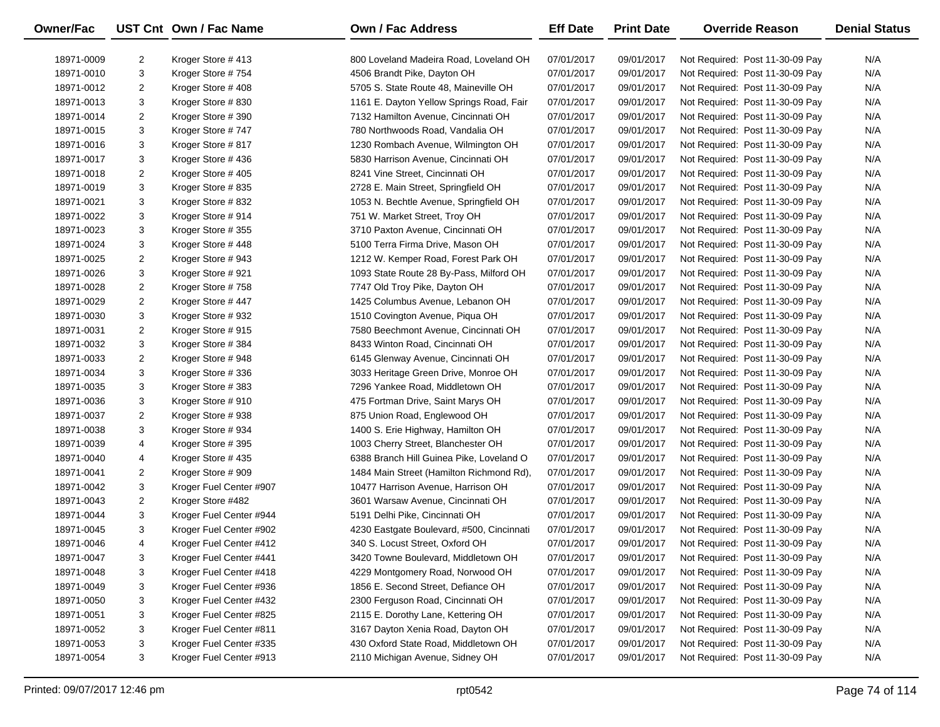| Owner/Fac  |                | UST Cnt Own / Fac Name  | <b>Own / Fac Address</b>                  | <b>Eff Date</b> | <b>Print Date</b> | <b>Override Reason</b>          | <b>Denial Status</b> |
|------------|----------------|-------------------------|-------------------------------------------|-----------------|-------------------|---------------------------------|----------------------|
| 18971-0009 | 2              | Kroger Store #413       | 800 Loveland Madeira Road, Loveland OH    | 07/01/2017      | 09/01/2017        | Not Required: Post 11-30-09 Pay | N/A                  |
| 18971-0010 | 3              | Kroger Store #754       | 4506 Brandt Pike, Dayton OH               | 07/01/2017      | 09/01/2017        | Not Required: Post 11-30-09 Pay | N/A                  |
| 18971-0012 | $\overline{2}$ | Kroger Store #408       | 5705 S. State Route 48, Maineville OH     | 07/01/2017      | 09/01/2017        | Not Required: Post 11-30-09 Pay | N/A                  |
| 18971-0013 | 3              | Kroger Store #830       | 1161 E. Dayton Yellow Springs Road, Fair  | 07/01/2017      | 09/01/2017        | Not Required: Post 11-30-09 Pay | N/A                  |
| 18971-0014 | $\overline{2}$ | Kroger Store #390       | 7132 Hamilton Avenue, Cincinnati OH       | 07/01/2017      | 09/01/2017        | Not Required: Post 11-30-09 Pay | N/A                  |
| 18971-0015 | 3              | Kroger Store #747       | 780 Northwoods Road, Vandalia OH          | 07/01/2017      | 09/01/2017        | Not Required: Post 11-30-09 Pay | N/A                  |
| 18971-0016 | 3              | Kroger Store #817       | 1230 Rombach Avenue, Wilmington OH        | 07/01/2017      | 09/01/2017        | Not Required: Post 11-30-09 Pay | N/A                  |
| 18971-0017 | 3              | Kroger Store #436       | 5830 Harrison Avenue, Cincinnati OH       | 07/01/2017      | 09/01/2017        | Not Required: Post 11-30-09 Pay | N/A                  |
| 18971-0018 | $\overline{2}$ | Kroger Store #405       | 8241 Vine Street, Cincinnati OH           | 07/01/2017      | 09/01/2017        | Not Required: Post 11-30-09 Pay | N/A                  |
| 18971-0019 | 3              | Kroger Store #835       | 2728 E. Main Street, Springfield OH       | 07/01/2017      | 09/01/2017        | Not Required: Post 11-30-09 Pay | N/A                  |
| 18971-0021 | 3              | Kroger Store #832       | 1053 N. Bechtle Avenue, Springfield OH    | 07/01/2017      | 09/01/2017        | Not Required: Post 11-30-09 Pay | N/A                  |
| 18971-0022 | 3              | Kroger Store #914       | 751 W. Market Street, Troy OH             | 07/01/2017      | 09/01/2017        | Not Required: Post 11-30-09 Pay | N/A                  |
| 18971-0023 | 3              | Kroger Store #355       | 3710 Paxton Avenue, Cincinnati OH         | 07/01/2017      | 09/01/2017        | Not Required: Post 11-30-09 Pay | N/A                  |
| 18971-0024 | 3              | Kroger Store #448       | 5100 Terra Firma Drive, Mason OH          | 07/01/2017      | 09/01/2017        | Not Required: Post 11-30-09 Pay | N/A                  |
| 18971-0025 | $\overline{2}$ | Kroger Store #943       | 1212 W. Kemper Road, Forest Park OH       | 07/01/2017      | 09/01/2017        | Not Required: Post 11-30-09 Pay | N/A                  |
| 18971-0026 | 3              | Kroger Store #921       | 1093 State Route 28 By-Pass, Milford OH   | 07/01/2017      | 09/01/2017        | Not Required: Post 11-30-09 Pay | N/A                  |
| 18971-0028 | $\overline{2}$ | Kroger Store #758       | 7747 Old Troy Pike, Dayton OH             | 07/01/2017      | 09/01/2017        | Not Required: Post 11-30-09 Pay | N/A                  |
| 18971-0029 | $\overline{2}$ | Kroger Store #447       | 1425 Columbus Avenue, Lebanon OH          | 07/01/2017      | 09/01/2017        | Not Required: Post 11-30-09 Pay | N/A                  |
| 18971-0030 | 3              | Kroger Store #932       | 1510 Covington Avenue, Piqua OH           | 07/01/2017      | 09/01/2017        | Not Required: Post 11-30-09 Pay | N/A                  |
| 18971-0031 | $\overline{2}$ | Kroger Store #915       | 7580 Beechmont Avenue, Cincinnati OH      | 07/01/2017      | 09/01/2017        | Not Required: Post 11-30-09 Pay | N/A                  |
| 18971-0032 | 3              | Kroger Store #384       | 8433 Winton Road, Cincinnati OH           | 07/01/2017      | 09/01/2017        | Not Required: Post 11-30-09 Pay | N/A                  |
| 18971-0033 | $\overline{2}$ | Kroger Store #948       | 6145 Glenway Avenue, Cincinnati OH        | 07/01/2017      | 09/01/2017        | Not Required: Post 11-30-09 Pay | N/A                  |
| 18971-0034 | 3              | Kroger Store #336       | 3033 Heritage Green Drive, Monroe OH      | 07/01/2017      | 09/01/2017        | Not Required: Post 11-30-09 Pay | N/A                  |
| 18971-0035 | 3              | Kroger Store #383       | 7296 Yankee Road, Middletown OH           | 07/01/2017      | 09/01/2017        | Not Required: Post 11-30-09 Pay | N/A                  |
| 18971-0036 | 3              | Kroger Store #910       | 475 Fortman Drive, Saint Marys OH         | 07/01/2017      | 09/01/2017        | Not Required: Post 11-30-09 Pay | N/A                  |
| 18971-0037 | $\overline{2}$ | Kroger Store #938       | 875 Union Road, Englewood OH              | 07/01/2017      | 09/01/2017        | Not Required: Post 11-30-09 Pay | N/A                  |
| 18971-0038 | 3              | Kroger Store #934       | 1400 S. Erie Highway, Hamilton OH         | 07/01/2017      | 09/01/2017        | Not Required: Post 11-30-09 Pay | N/A                  |
| 18971-0039 | 4              | Kroger Store #395       | 1003 Cherry Street, Blanchester OH        | 07/01/2017      | 09/01/2017        | Not Required: Post 11-30-09 Pay | N/A                  |
| 18971-0040 | 4              | Kroger Store #435       | 6388 Branch Hill Guinea Pike, Loveland O  | 07/01/2017      | 09/01/2017        | Not Required: Post 11-30-09 Pay | N/A                  |
| 18971-0041 | 2              | Kroger Store #909       | 1484 Main Street (Hamilton Richmond Rd),  | 07/01/2017      | 09/01/2017        | Not Required: Post 11-30-09 Pay | N/A                  |
| 18971-0042 | 3              | Kroger Fuel Center #907 | 10477 Harrison Avenue, Harrison OH        | 07/01/2017      | 09/01/2017        | Not Required: Post 11-30-09 Pay | N/A                  |
| 18971-0043 | $\overline{2}$ | Kroger Store #482       | 3601 Warsaw Avenue, Cincinnati OH         | 07/01/2017      | 09/01/2017        | Not Required: Post 11-30-09 Pay | N/A                  |
| 18971-0044 | 3              | Kroger Fuel Center #944 | 5191 Delhi Pike, Cincinnati OH            | 07/01/2017      | 09/01/2017        | Not Required: Post 11-30-09 Pay | N/A                  |
| 18971-0045 | 3              | Kroger Fuel Center #902 | 4230 Eastgate Boulevard, #500, Cincinnati | 07/01/2017      | 09/01/2017        | Not Required: Post 11-30-09 Pay | N/A                  |
| 18971-0046 | 4              | Kroger Fuel Center #412 | 340 S. Locust Street, Oxford OH           | 07/01/2017      | 09/01/2017        | Not Required: Post 11-30-09 Pay | N/A                  |
| 18971-0047 | 3              | Kroger Fuel Center #441 | 3420 Towne Boulevard, Middletown OH       | 07/01/2017      | 09/01/2017        | Not Required: Post 11-30-09 Pay | N/A                  |
| 18971-0048 | 3              | Kroger Fuel Center #418 | 4229 Montgomery Road, Norwood OH          | 07/01/2017      | 09/01/2017        | Not Required: Post 11-30-09 Pay | N/A                  |
| 18971-0049 | 3              | Kroger Fuel Center #936 | 1856 E. Second Street, Defiance OH        | 07/01/2017      | 09/01/2017        | Not Required: Post 11-30-09 Pay | N/A                  |
| 18971-0050 | 3              | Kroger Fuel Center #432 | 2300 Ferguson Road, Cincinnati OH         | 07/01/2017      | 09/01/2017        | Not Required: Post 11-30-09 Pay | N/A                  |
| 18971-0051 | 3              | Kroger Fuel Center #825 | 2115 E. Dorothy Lane, Kettering OH        | 07/01/2017      | 09/01/2017        | Not Required: Post 11-30-09 Pay | N/A                  |
| 18971-0052 | 3              | Kroger Fuel Center #811 | 3167 Dayton Xenia Road, Dayton OH         | 07/01/2017      | 09/01/2017        | Not Required: Post 11-30-09 Pay | N/A                  |
| 18971-0053 | 3              | Kroger Fuel Center #335 | 430 Oxford State Road, Middletown OH      | 07/01/2017      | 09/01/2017        | Not Required: Post 11-30-09 Pay | N/A                  |
| 18971-0054 | 3              | Kroger Fuel Center #913 | 2110 Michigan Avenue, Sidney OH           | 07/01/2017      | 09/01/2017        | Not Required: Post 11-30-09 Pay | N/A                  |
|            |                |                         |                                           |                 |                   |                                 |                      |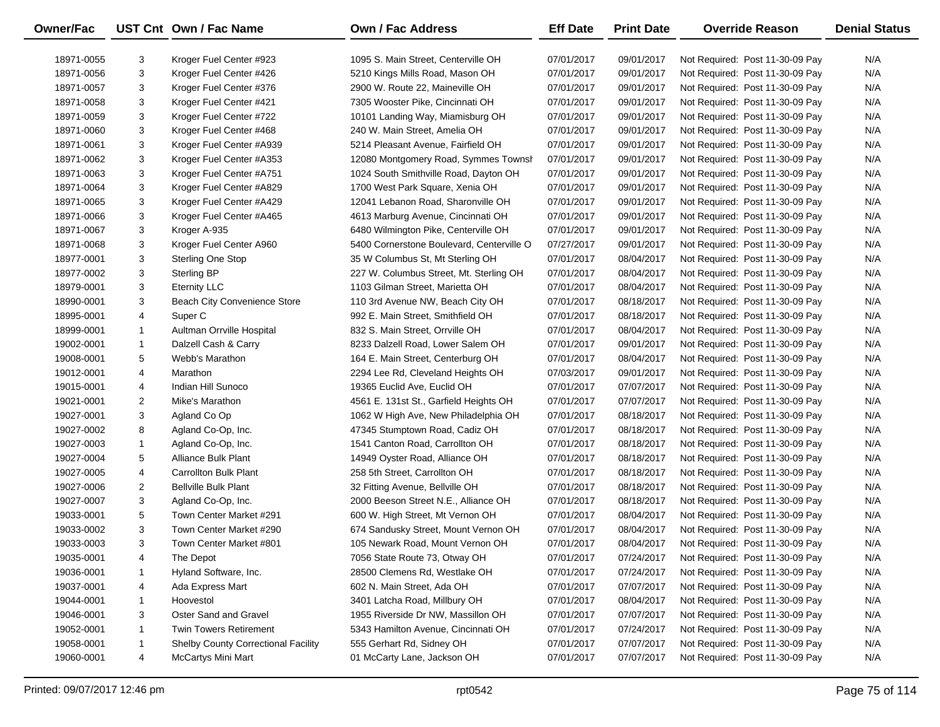| Owner/Fac  |                | UST Cnt Own / Fac Name              | <b>Own / Fac Address</b>                  | <b>Eff Date</b> | <b>Print Date</b> | <b>Override Reason</b>          | <b>Denial Status</b> |
|------------|----------------|-------------------------------------|-------------------------------------------|-----------------|-------------------|---------------------------------|----------------------|
| 18971-0055 | 3              | Kroger Fuel Center #923             | 1095 S. Main Street, Centerville OH       | 07/01/2017      | 09/01/2017        | Not Required: Post 11-30-09 Pay | N/A                  |
| 18971-0056 | 3              | Kroger Fuel Center #426             | 5210 Kings Mills Road, Mason OH           | 07/01/2017      | 09/01/2017        | Not Required: Post 11-30-09 Pay | N/A                  |
| 18971-0057 | 3              | Kroger Fuel Center #376             | 2900 W. Route 22, Maineville OH           | 07/01/2017      | 09/01/2017        | Not Required: Post 11-30-09 Pay | N/A                  |
| 18971-0058 | 3              | Kroger Fuel Center #421             | 7305 Wooster Pike, Cincinnati OH          | 07/01/2017      | 09/01/2017        | Not Required: Post 11-30-09 Pay | N/A                  |
| 18971-0059 | 3              | Kroger Fuel Center #722             | 10101 Landing Way, Miamisburg OH          | 07/01/2017      | 09/01/2017        | Not Required: Post 11-30-09 Pay | N/A                  |
| 18971-0060 | 3              | Kroger Fuel Center #468             | 240 W. Main Street, Amelia OH             | 07/01/2017      | 09/01/2017        | Not Required: Post 11-30-09 Pay | N/A                  |
| 18971-0061 | 3              | Kroger Fuel Center #A939            | 5214 Pleasant Avenue, Fairfield OH        | 07/01/2017      | 09/01/2017        | Not Required: Post 11-30-09 Pay | N/A                  |
| 18971-0062 | 3              | Kroger Fuel Center #A353            | 12080 Montgomery Road, Symmes Townsh      | 07/01/2017      | 09/01/2017        | Not Required: Post 11-30-09 Pay | N/A                  |
| 18971-0063 | 3              | Kroger Fuel Center #A751            | 1024 South Smithville Road, Dayton OH     | 07/01/2017      | 09/01/2017        | Not Required: Post 11-30-09 Pay | N/A                  |
| 18971-0064 | 3              | Kroger Fuel Center #A829            | 1700 West Park Square, Xenia OH           | 07/01/2017      | 09/01/2017        | Not Required: Post 11-30-09 Pay | N/A                  |
| 18971-0065 | 3              | Kroger Fuel Center #A429            | 12041 Lebanon Road, Sharonville OH        | 07/01/2017      | 09/01/2017        | Not Required: Post 11-30-09 Pay | N/A                  |
| 18971-0066 | 3              | Kroger Fuel Center #A465            | 4613 Marburg Avenue, Cincinnati OH        | 07/01/2017      | 09/01/2017        | Not Required: Post 11-30-09 Pay | N/A                  |
| 18971-0067 | 3              | Kroger A-935                        | 6480 Wilmington Pike, Centerville OH      | 07/01/2017      | 09/01/2017        | Not Required: Post 11-30-09 Pay | N/A                  |
| 18971-0068 | 3              | Kroger Fuel Center A960             | 5400 Cornerstone Boulevard, Centerville O | 07/27/2017      | 09/01/2017        | Not Required: Post 11-30-09 Pay | N/A                  |
| 18977-0001 | 3              | <b>Sterling One Stop</b>            | 35 W Columbus St, Mt Sterling OH          | 07/01/2017      | 08/04/2017        | Not Required: Post 11-30-09 Pay | N/A                  |
| 18977-0002 | 3              | <b>Sterling BP</b>                  | 227 W. Columbus Street, Mt. Sterling OH   | 07/01/2017      | 08/04/2017        | Not Required: Post 11-30-09 Pay | N/A                  |
| 18979-0001 | 3              | <b>Eternity LLC</b>                 | 1103 Gilman Street, Marietta OH           | 07/01/2017      | 08/04/2017        | Not Required: Post 11-30-09 Pay | N/A                  |
| 18990-0001 | 3              | Beach City Convenience Store        | 110 3rd Avenue NW, Beach City OH          | 07/01/2017      | 08/18/2017        | Not Required: Post 11-30-09 Pay | N/A                  |
| 18995-0001 | 4              | Super <sub>C</sub>                  | 992 E. Main Street, Smithfield OH         | 07/01/2017      | 08/18/2017        | Not Required: Post 11-30-09 Pay | N/A                  |
| 18999-0001 | $\mathbf{1}$   | Aultman Orrville Hospital           | 832 S. Main Street, Orrville OH           | 07/01/2017      | 08/04/2017        | Not Required: Post 11-30-09 Pay | N/A                  |
| 19002-0001 | $\mathbf{1}$   | Dalzell Cash & Carry                | 8233 Dalzell Road, Lower Salem OH         | 07/01/2017      | 09/01/2017        | Not Required: Post 11-30-09 Pay | N/A                  |
| 19008-0001 | 5              | Webb's Marathon                     | 164 E. Main Street, Centerburg OH         | 07/01/2017      | 08/04/2017        | Not Required: Post 11-30-09 Pay | N/A                  |
| 19012-0001 | 4              | Marathon                            | 2294 Lee Rd, Cleveland Heights OH         | 07/03/2017      | 09/01/2017        | Not Required: Post 11-30-09 Pay | N/A                  |
| 19015-0001 | 4              | Indian Hill Sunoco                  | 19365 Euclid Ave, Euclid OH               | 07/01/2017      | 07/07/2017        | Not Required: Post 11-30-09 Pay | N/A                  |
| 19021-0001 | $\overline{2}$ | Mike's Marathon                     | 4561 E. 131st St., Garfield Heights OH    | 07/01/2017      | 07/07/2017        | Not Required: Post 11-30-09 Pay | N/A                  |
| 19027-0001 | 3              | Agland Co Op                        | 1062 W High Ave, New Philadelphia OH      | 07/01/2017      | 08/18/2017        | Not Required: Post 11-30-09 Pay | N/A                  |
| 19027-0002 | 8              | Agland Co-Op, Inc.                  | 47345 Stumptown Road, Cadiz OH            | 07/01/2017      | 08/18/2017        | Not Required: Post 11-30-09 Pay | N/A                  |
| 19027-0003 | 1              | Agland Co-Op, Inc.                  | 1541 Canton Road, Carrollton OH           | 07/01/2017      | 08/18/2017        | Not Required: Post 11-30-09 Pay | N/A                  |
| 19027-0004 | 5              | Alliance Bulk Plant                 | 14949 Oyster Road, Alliance OH            | 07/01/2017      | 08/18/2017        | Not Required: Post 11-30-09 Pay | N/A                  |
| 19027-0005 | 4              | Carrollton Bulk Plant               | 258 5th Street, Carrollton OH             | 07/01/2017      | 08/18/2017        | Not Required: Post 11-30-09 Pay | N/A                  |
| 19027-0006 | $\overline{2}$ | <b>Bellville Bulk Plant</b>         | 32 Fitting Avenue, Bellville OH           | 07/01/2017      | 08/18/2017        | Not Required: Post 11-30-09 Pay | N/A                  |
| 19027-0007 | 3              | Agland Co-Op, Inc.                  | 2000 Beeson Street N.E., Alliance OH      | 07/01/2017      | 08/18/2017        | Not Required: Post 11-30-09 Pay | N/A                  |
| 19033-0001 | 5              | Town Center Market #291             | 600 W. High Street, Mt Vernon OH          | 07/01/2017      | 08/04/2017        | Not Required: Post 11-30-09 Pay | N/A                  |
| 19033-0002 | 3              | Town Center Market #290             | 674 Sandusky Street, Mount Vernon OH      | 07/01/2017      | 08/04/2017        | Not Required: Post 11-30-09 Pay | N/A                  |
| 19033-0003 | 3              | Town Center Market #801             | 105 Newark Road, Mount Vernon OH          | 07/01/2017      | 08/04/2017        | Not Required: Post 11-30-09 Pay | N/A                  |
| 19035-0001 | 4              | The Depot                           | 7056 State Route 73, Otway OH             | 07/01/2017      | 07/24/2017        | Not Required: Post 11-30-09 Pay | N/A                  |
| 19036-0001 | 1              | Hyland Software, Inc.               | 28500 Clemens Rd, Westlake OH             | 07/01/2017      | 07/24/2017        | Not Required: Post 11-30-09 Pay | N/A                  |
| 19037-0001 | 4              | Ada Express Mart                    | 602 N. Main Street, Ada OH                | 07/01/2017      | 07/07/2017        | Not Required: Post 11-30-09 Pay | N/A                  |
| 19044-0001 | 1              | Hoovestol                           | 3401 Latcha Road, Millbury OH             | 07/01/2017      | 08/04/2017        | Not Required: Post 11-30-09 Pay | N/A                  |
| 19046-0001 | 3              | Oster Sand and Gravel               | 1955 Riverside Dr NW, Massillon OH        | 07/01/2017      | 07/07/2017        | Not Required: Post 11-30-09 Pay | N/A                  |
| 19052-0001 | 1              | <b>Twin Towers Retirement</b>       | 5343 Hamilton Avenue, Cincinnati OH       | 07/01/2017      | 07/24/2017        | Not Required: Post 11-30-09 Pay | N/A                  |
| 19058-0001 | 1              | Shelby County Correctional Facility | 555 Gerhart Rd, Sidney OH                 | 07/01/2017      | 07/07/2017        | Not Required: Post 11-30-09 Pay | N/A                  |
| 19060-0001 | 4              | McCartys Mini Mart                  | 01 McCarty Lane, Jackson OH               | 07/01/2017      | 07/07/2017        | Not Required: Post 11-30-09 Pay | N/A                  |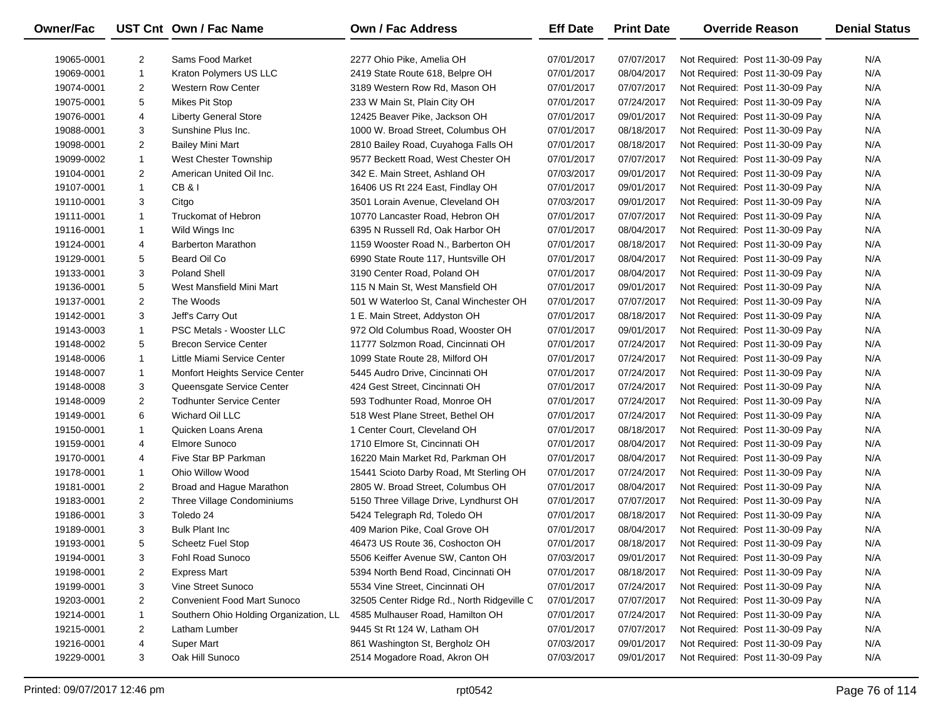| Owner/Fac  |                | UST Cnt Own / Fac Name                 | <b>Own / Fac Address</b>                   | <b>Eff Date</b> | <b>Print Date</b> | <b>Override Reason</b>          | <b>Denial Status</b> |
|------------|----------------|----------------------------------------|--------------------------------------------|-----------------|-------------------|---------------------------------|----------------------|
| 19065-0001 | 2              | Sams Food Market                       | 2277 Ohio Pike, Amelia OH                  | 07/01/2017      | 07/07/2017        | Not Required: Post 11-30-09 Pay | N/A                  |
| 19069-0001 | $\mathbf{1}$   | Kraton Polymers US LLC                 | 2419 State Route 618, Belpre OH            | 07/01/2017      | 08/04/2017        | Not Required: Post 11-30-09 Pay | N/A                  |
| 19074-0001 | $\overline{2}$ | <b>Western Row Center</b>              | 3189 Western Row Rd, Mason OH              | 07/01/2017      | 07/07/2017        | Not Required: Post 11-30-09 Pay | N/A                  |
| 19075-0001 | 5              | Mikes Pit Stop                         | 233 W Main St, Plain City OH               | 07/01/2017      | 07/24/2017        | Not Required: Post 11-30-09 Pay | N/A                  |
| 19076-0001 | 4              | <b>Liberty General Store</b>           | 12425 Beaver Pike, Jackson OH              | 07/01/2017      | 09/01/2017        | Not Required: Post 11-30-09 Pay | N/A                  |
| 19088-0001 | 3              | Sunshine Plus Inc.                     | 1000 W. Broad Street, Columbus OH          | 07/01/2017      | 08/18/2017        | Not Required: Post 11-30-09 Pay | N/A                  |
| 19098-0001 | $\overline{2}$ | <b>Bailey Mini Mart</b>                | 2810 Bailey Road, Cuyahoga Falls OH        | 07/01/2017      | 08/18/2017        | Not Required: Post 11-30-09 Pay | N/A                  |
| 19099-0002 | $\mathbf{1}$   | West Chester Township                  | 9577 Beckett Road, West Chester OH         | 07/01/2017      | 07/07/2017        | Not Required: Post 11-30-09 Pay | N/A                  |
| 19104-0001 | $\overline{2}$ | American United Oil Inc.               | 342 E. Main Street, Ashland OH             | 07/03/2017      | 09/01/2017        | Not Required: Post 11-30-09 Pay | N/A                  |
| 19107-0001 | $\mathbf{1}$   | CB&I                                   | 16406 US Rt 224 East, Findlay OH           | 07/01/2017      | 09/01/2017        | Not Required: Post 11-30-09 Pay | N/A                  |
| 19110-0001 | 3              | Citgo                                  | 3501 Lorain Avenue, Cleveland OH           | 07/03/2017      | 09/01/2017        | Not Required: Post 11-30-09 Pay | N/A                  |
| 19111-0001 | $\mathbf{1}$   | <b>Truckomat of Hebron</b>             | 10770 Lancaster Road, Hebron OH            | 07/01/2017      | 07/07/2017        | Not Required: Post 11-30-09 Pay | N/A                  |
| 19116-0001 | $\mathbf{1}$   | Wild Wings Inc                         | 6395 N Russell Rd, Oak Harbor OH           | 07/01/2017      | 08/04/2017        | Not Required: Post 11-30-09 Pay | N/A                  |
| 19124-0001 | 4              | <b>Barberton Marathon</b>              | 1159 Wooster Road N., Barberton OH         | 07/01/2017      | 08/18/2017        | Not Required: Post 11-30-09 Pay | N/A                  |
| 19129-0001 | 5              | Beard Oil Co                           | 6990 State Route 117, Huntsville OH        | 07/01/2017      | 08/04/2017        | Not Required: Post 11-30-09 Pay | N/A                  |
| 19133-0001 | 3              | <b>Poland Shell</b>                    | 3190 Center Road, Poland OH                | 07/01/2017      | 08/04/2017        | Not Required: Post 11-30-09 Pay | N/A                  |
| 19136-0001 | 5              | West Mansfield Mini Mart               | 115 N Main St, West Mansfield OH           | 07/01/2017      | 09/01/2017        | Not Required: Post 11-30-09 Pay | N/A                  |
| 19137-0001 | $\overline{2}$ | The Woods                              | 501 W Waterloo St, Canal Winchester OH     | 07/01/2017      | 07/07/2017        | Not Required: Post 11-30-09 Pay | N/A                  |
| 19142-0001 | 3              | Jeff's Carry Out                       | 1 E. Main Street, Addyston OH              | 07/01/2017      | 08/18/2017        | Not Required: Post 11-30-09 Pay | N/A                  |
| 19143-0003 | $\mathbf{1}$   | PSC Metals - Wooster LLC               | 972 Old Columbus Road, Wooster OH          | 07/01/2017      | 09/01/2017        | Not Required: Post 11-30-09 Pay | N/A                  |
| 19148-0002 | 5              | <b>Brecon Service Center</b>           | 11777 Solzmon Road, Cincinnati OH          | 07/01/2017      | 07/24/2017        | Not Required: Post 11-30-09 Pay | N/A                  |
| 19148-0006 | $\mathbf{1}$   | Little Miami Service Center            | 1099 State Route 28, Milford OH            | 07/01/2017      | 07/24/2017        | Not Required: Post 11-30-09 Pay | N/A                  |
| 19148-0007 | $\mathbf{1}$   | Monfort Heights Service Center         | 5445 Audro Drive, Cincinnati OH            | 07/01/2017      | 07/24/2017        | Not Required: Post 11-30-09 Pay | N/A                  |
| 19148-0008 | 3              | Queensgate Service Center              | 424 Gest Street, Cincinnati OH             | 07/01/2017      | 07/24/2017        | Not Required: Post 11-30-09 Pay | N/A                  |
| 19148-0009 | $\overline{2}$ | <b>Todhunter Service Center</b>        | 593 Todhunter Road, Monroe OH              | 07/01/2017      | 07/24/2017        | Not Required: Post 11-30-09 Pay | N/A                  |
| 19149-0001 | 6              | Wichard Oil LLC                        | 518 West Plane Street, Bethel OH           | 07/01/2017      | 07/24/2017        | Not Required: Post 11-30-09 Pay | N/A                  |
| 19150-0001 | 1              | Quicken Loans Arena                    | 1 Center Court, Cleveland OH               | 07/01/2017      | 08/18/2017        | Not Required: Post 11-30-09 Pay | N/A                  |
| 19159-0001 | 4              | Elmore Sunoco                          | 1710 Elmore St, Cincinnati OH              | 07/01/2017      | 08/04/2017        | Not Required: Post 11-30-09 Pay | N/A                  |
| 19170-0001 | 4              | Five Star BP Parkman                   | 16220 Main Market Rd, Parkman OH           | 07/01/2017      | 08/04/2017        | Not Required: Post 11-30-09 Pay | N/A                  |
| 19178-0001 | $\mathbf{1}$   | Ohio Willow Wood                       | 15441 Scioto Darby Road, Mt Sterling OH    | 07/01/2017      | 07/24/2017        | Not Required: Post 11-30-09 Pay | N/A                  |
| 19181-0001 | $\overline{2}$ | Broad and Hague Marathon               | 2805 W. Broad Street, Columbus OH          | 07/01/2017      | 08/04/2017        | Not Required: Post 11-30-09 Pay | N/A                  |
| 19183-0001 | $\overline{2}$ | Three Village Condominiums             | 5150 Three Village Drive, Lyndhurst OH     | 07/01/2017      | 07/07/2017        | Not Required: Post 11-30-09 Pay | N/A                  |
| 19186-0001 | 3              | Toledo 24                              | 5424 Telegraph Rd, Toledo OH               | 07/01/2017      | 08/18/2017        | Not Required: Post 11-30-09 Pay | N/A                  |
| 19189-0001 | 3              | <b>Bulk Plant Inc.</b>                 | 409 Marion Pike, Coal Grove OH             | 07/01/2017      | 08/04/2017        | Not Required: Post 11-30-09 Pay | N/A                  |
| 19193-0001 | 5              | Scheetz Fuel Stop                      | 46473 US Route 36, Coshocton OH            | 07/01/2017      | 08/18/2017        | Not Required: Post 11-30-09 Pay | N/A                  |
| 19194-0001 | 3              | Fohl Road Sunoco                       | 5506 Keiffer Avenue SW, Canton OH          | 07/03/2017      | 09/01/2017        | Not Required: Post 11-30-09 Pay | N/A                  |
| 19198-0001 | 2              | <b>Express Mart</b>                    | 5394 North Bend Road, Cincinnati OH        | 07/01/2017      | 08/18/2017        | Not Required: Post 11-30-09 Pay | N/A                  |
| 19199-0001 | 3              | Vine Street Sunoco                     | 5534 Vine Street, Cincinnati OH            | 07/01/2017      | 07/24/2017        | Not Required: Post 11-30-09 Pay | N/A                  |
| 19203-0001 | $\overline{2}$ | <b>Convenient Food Mart Sunoco</b>     | 32505 Center Ridge Rd., North Ridgeville C | 07/01/2017      | 07/07/2017        | Not Required: Post 11-30-09 Pay | N/A                  |
| 19214-0001 | 1              | Southern Ohio Holding Organization, LL | 4585 Mulhauser Road, Hamilton OH           | 07/01/2017      | 07/24/2017        | Not Required: Post 11-30-09 Pay | N/A                  |
| 19215-0001 | $\overline{2}$ | Latham Lumber                          | 9445 St Rt 124 W, Latham OH                | 07/01/2017      | 07/07/2017        | Not Required: Post 11-30-09 Pay | N/A                  |
| 19216-0001 | 4              | Super Mart                             | 861 Washington St, Bergholz OH             | 07/03/2017      | 09/01/2017        | Not Required: Post 11-30-09 Pay | N/A                  |
| 19229-0001 | 3              | Oak Hill Sunoco                        | 2514 Mogadore Road, Akron OH               | 07/03/2017      | 09/01/2017        | Not Required: Post 11-30-09 Pay | N/A                  |
|            |                |                                        |                                            |                 |                   |                                 |                      |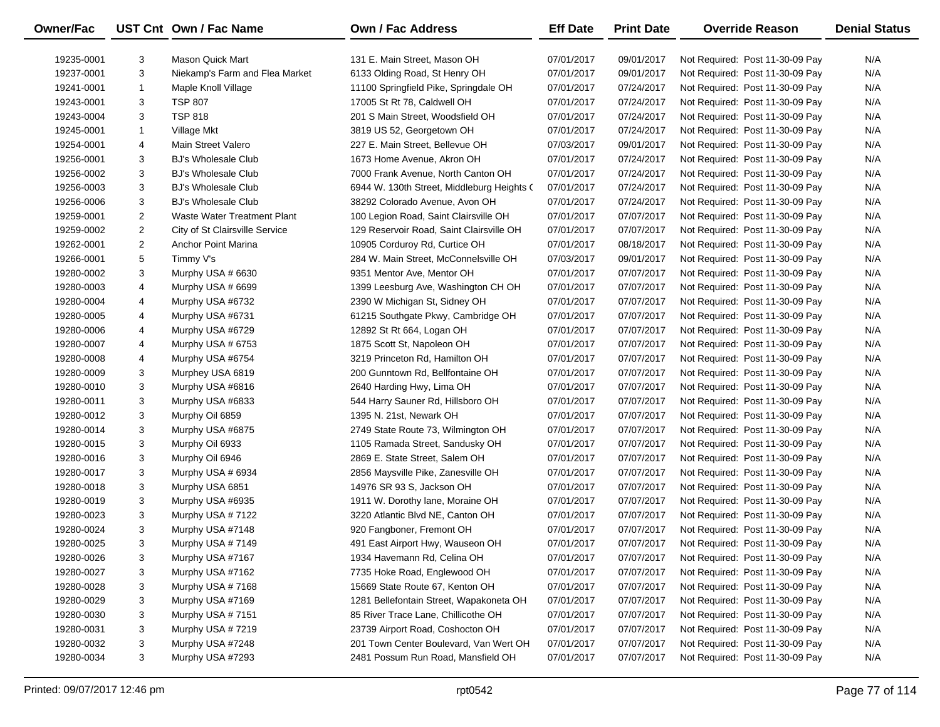| <b>Owner/Fac</b> |                | UST Cnt Own / Fac Name             | <b>Own / Fac Address</b>                   | <b>Eff Date</b> | <b>Print Date</b> | <b>Override Reason</b>          | <b>Denial Status</b> |
|------------------|----------------|------------------------------------|--------------------------------------------|-----------------|-------------------|---------------------------------|----------------------|
| 19235-0001       | 3              | Mason Quick Mart                   | 131 E. Main Street, Mason OH               | 07/01/2017      | 09/01/2017        | Not Required: Post 11-30-09 Pay | N/A                  |
| 19237-0001       | 3              | Niekamp's Farm and Flea Market     | 6133 Olding Road, St Henry OH              | 07/01/2017      | 09/01/2017        | Not Required: Post 11-30-09 Pay | N/A                  |
| 19241-0001       | 1              | Maple Knoll Village                | 11100 Springfield Pike, Springdale OH      | 07/01/2017      | 07/24/2017        | Not Required: Post 11-30-09 Pay | N/A                  |
| 19243-0001       | 3              | <b>TSP 807</b>                     | 17005 St Rt 78, Caldwell OH                | 07/01/2017      | 07/24/2017        | Not Required: Post 11-30-09 Pay | N/A                  |
| 19243-0004       | 3              | <b>TSP 818</b>                     | 201 S Main Street, Woodsfield OH           | 07/01/2017      | 07/24/2017        | Not Required: Post 11-30-09 Pay | N/A                  |
| 19245-0001       | 1              | Village Mkt                        | 3819 US 52, Georgetown OH                  | 07/01/2017      | 07/24/2017        | Not Required: Post 11-30-09 Pay | N/A                  |
| 19254-0001       | 4              | Main Street Valero                 | 227 E. Main Street, Bellevue OH            | 07/03/2017      | 09/01/2017        | Not Required: Post 11-30-09 Pay | N/A                  |
| 19256-0001       | 3              | <b>BJ's Wholesale Club</b>         | 1673 Home Avenue, Akron OH                 | 07/01/2017      | 07/24/2017        | Not Required: Post 11-30-09 Pay | N/A                  |
| 19256-0002       | 3              | <b>BJ's Wholesale Club</b>         | 7000 Frank Avenue, North Canton OH         | 07/01/2017      | 07/24/2017        | Not Required: Post 11-30-09 Pay | N/A                  |
| 19256-0003       | 3              | <b>BJ's Wholesale Club</b>         | 6944 W. 130th Street, Middleburg Heights ( | 07/01/2017      | 07/24/2017        | Not Required: Post 11-30-09 Pay | N/A                  |
| 19256-0006       | 3              | <b>BJ's Wholesale Club</b>         | 38292 Colorado Avenue, Avon OH             | 07/01/2017      | 07/24/2017        | Not Required: Post 11-30-09 Pay | N/A                  |
| 19259-0001       | 2              | <b>Waste Water Treatment Plant</b> | 100 Legion Road, Saint Clairsville OH      | 07/01/2017      | 07/07/2017        | Not Required: Post 11-30-09 Pay | N/A                  |
| 19259-0002       | $\overline{2}$ | City of St Clairsville Service     | 129 Reservoir Road, Saint Clairsville OH   | 07/01/2017      | 07/07/2017        | Not Required: Post 11-30-09 Pay | N/A                  |
| 19262-0001       | $\overline{2}$ | Anchor Point Marina                | 10905 Corduroy Rd, Curtice OH              | 07/01/2017      | 08/18/2017        | Not Required: Post 11-30-09 Pay | N/A                  |
| 19266-0001       | 5              | Timmy V's                          | 284 W. Main Street, McConnelsville OH      | 07/03/2017      | 09/01/2017        | Not Required: Post 11-30-09 Pay | N/A                  |
| 19280-0002       | 3              | Murphy USA # 6630                  | 9351 Mentor Ave, Mentor OH                 | 07/01/2017      | 07/07/2017        | Not Required: Post 11-30-09 Pay | N/A                  |
| 19280-0003       | 4              | Murphy USA # 6699                  | 1399 Leesburg Ave, Washington CH OH        | 07/01/2017      | 07/07/2017        | Not Required: Post 11-30-09 Pay | N/A                  |
| 19280-0004       | 4              | Murphy USA #6732                   | 2390 W Michigan St, Sidney OH              | 07/01/2017      | 07/07/2017        | Not Required: Post 11-30-09 Pay | N/A                  |
| 19280-0005       | 4              | Murphy USA #6731                   | 61215 Southgate Pkwy, Cambridge OH         | 07/01/2017      | 07/07/2017        | Not Required: Post 11-30-09 Pay | N/A                  |
| 19280-0006       | 4              | Murphy USA #6729                   | 12892 St Rt 664, Logan OH                  | 07/01/2017      | 07/07/2017        | Not Required: Post 11-30-09 Pay | N/A                  |
| 19280-0007       | 4              | Murphy USA # 6753                  | 1875 Scott St, Napoleon OH                 | 07/01/2017      | 07/07/2017        | Not Required: Post 11-30-09 Pay | N/A                  |
| 19280-0008       | 4              | Murphy USA #6754                   | 3219 Princeton Rd, Hamilton OH             | 07/01/2017      | 07/07/2017        | Not Required: Post 11-30-09 Pay | N/A                  |
| 19280-0009       | 3              | Murphey USA 6819                   | 200 Gunntown Rd, Bellfontaine OH           | 07/01/2017      | 07/07/2017        | Not Required: Post 11-30-09 Pay | N/A                  |
| 19280-0010       | 3              | Murphy USA #6816                   | 2640 Harding Hwy, Lima OH                  | 07/01/2017      | 07/07/2017        | Not Required: Post 11-30-09 Pay | N/A                  |
| 19280-0011       | 3              | Murphy USA #6833                   | 544 Harry Sauner Rd, Hillsboro OH          | 07/01/2017      | 07/07/2017        | Not Required: Post 11-30-09 Pay | N/A                  |
| 19280-0012       | 3              | Murphy Oil 6859                    | 1395 N. 21st, Newark OH                    | 07/01/2017      | 07/07/2017        | Not Required: Post 11-30-09 Pay | N/A                  |
| 19280-0014       | 3              | Murphy USA #6875                   | 2749 State Route 73, Wilmington OH         | 07/01/2017      | 07/07/2017        | Not Required: Post 11-30-09 Pay | N/A                  |
| 19280-0015       | 3              | Murphy Oil 6933                    | 1105 Ramada Street, Sandusky OH            | 07/01/2017      | 07/07/2017        | Not Required: Post 11-30-09 Pay | N/A                  |
| 19280-0016       | 3              | Murphy Oil 6946                    | 2869 E. State Street, Salem OH             | 07/01/2017      | 07/07/2017        | Not Required: Post 11-30-09 Pay | N/A                  |
| 19280-0017       | 3              | Murphy USA # 6934                  | 2856 Maysville Pike, Zanesville OH         | 07/01/2017      | 07/07/2017        | Not Required: Post 11-30-09 Pay | N/A                  |
| 19280-0018       | 3              | Murphy USA 6851                    | 14976 SR 93 S, Jackson OH                  | 07/01/2017      | 07/07/2017        | Not Required: Post 11-30-09 Pay | N/A                  |
| 19280-0019       | 3              | Murphy USA #6935                   | 1911 W. Dorothy lane, Moraine OH           | 07/01/2017      | 07/07/2017        | Not Required: Post 11-30-09 Pay | N/A                  |
| 19280-0023       | 3              | Murphy USA #7122                   | 3220 Atlantic Blvd NE, Canton OH           | 07/01/2017      | 07/07/2017        | Not Required: Post 11-30-09 Pay | N/A                  |
| 19280-0024       | 3              | Murphy USA #7148                   | 920 Fangboner, Fremont OH                  | 07/01/2017      | 07/07/2017        | Not Required: Post 11-30-09 Pay | N/A                  |
| 19280-0025       | 3              | Murphy USA #7149                   | 491 East Airport Hwy, Wauseon OH           | 07/01/2017      | 07/07/2017        | Not Required: Post 11-30-09 Pay | N/A                  |
| 19280-0026       | 3              | Murphy USA #7167                   | 1934 Havemann Rd, Celina OH                | 07/01/2017      | 07/07/2017        | Not Required: Post 11-30-09 Pay | N/A                  |
| 19280-0027       | 3              | Murphy USA #7162                   | 7735 Hoke Road, Englewood OH               | 07/01/2017      | 07/07/2017        | Not Required: Post 11-30-09 Pay | N/A                  |
| 19280-0028       | 3              | Murphy USA #7168                   | 15669 State Route 67, Kenton OH            | 07/01/2017      | 07/07/2017        | Not Required: Post 11-30-09 Pay | N/A                  |
| 19280-0029       | 3              | Murphy USA #7169                   | 1281 Bellefontain Street, Wapakoneta OH    | 07/01/2017      | 07/07/2017        | Not Required: Post 11-30-09 Pay | N/A                  |
| 19280-0030       | 3              | Murphy USA #7151                   | 85 River Trace Lane, Chillicothe OH        | 07/01/2017      | 07/07/2017        | Not Required: Post 11-30-09 Pay | N/A                  |
| 19280-0031       | 3              | Murphy USA #7219                   | 23739 Airport Road, Coshocton OH           | 07/01/2017      | 07/07/2017        | Not Required: Post 11-30-09 Pay | N/A                  |
| 19280-0032       | 3              | Murphy USA #7248                   | 201 Town Center Boulevard, Van Wert OH     | 07/01/2017      | 07/07/2017        | Not Required: Post 11-30-09 Pay | N/A                  |
| 19280-0034       | 3              | Murphy USA #7293                   | 2481 Possum Run Road, Mansfield OH         | 07/01/2017      | 07/07/2017        | Not Required: Post 11-30-09 Pay | N/A                  |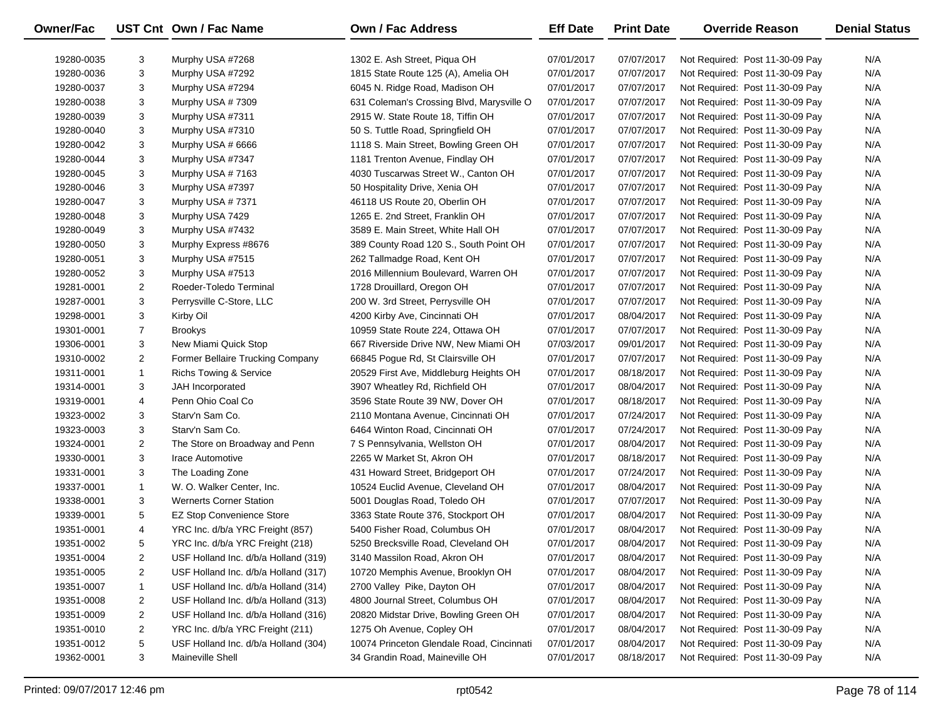| <b>Owner/Fac</b> |                | UST Cnt Own / Fac Name               | <b>Own / Fac Address</b>                  | <b>Eff Date</b> | <b>Print Date</b> | <b>Override Reason</b>          | <b>Denial Status</b> |
|------------------|----------------|--------------------------------------|-------------------------------------------|-----------------|-------------------|---------------------------------|----------------------|
| 19280-0035       | 3              | Murphy USA #7268                     | 1302 E. Ash Street, Piqua OH              | 07/01/2017      | 07/07/2017        | Not Required: Post 11-30-09 Pay | N/A                  |
| 19280-0036       | 3              | Murphy USA #7292                     | 1815 State Route 125 (A), Amelia OH       | 07/01/2017      | 07/07/2017        | Not Required: Post 11-30-09 Pay | N/A                  |
| 19280-0037       | 3              | Murphy USA #7294                     | 6045 N. Ridge Road, Madison OH            | 07/01/2017      | 07/07/2017        | Not Required: Post 11-30-09 Pay | N/A                  |
| 19280-0038       | 3              | Murphy USA #7309                     | 631 Coleman's Crossing Blvd, Marysville O | 07/01/2017      | 07/07/2017        | Not Required: Post 11-30-09 Pay | N/A                  |
| 19280-0039       | 3              | Murphy USA #7311                     | 2915 W. State Route 18, Tiffin OH         | 07/01/2017      | 07/07/2017        | Not Required: Post 11-30-09 Pay | N/A                  |
| 19280-0040       | 3              | Murphy USA #7310                     | 50 S. Tuttle Road, Springfield OH         | 07/01/2017      | 07/07/2017        | Not Required: Post 11-30-09 Pay | N/A                  |
| 19280-0042       | 3              | Murphy USA # 6666                    | 1118 S. Main Street, Bowling Green OH     | 07/01/2017      | 07/07/2017        | Not Required: Post 11-30-09 Pay | N/A                  |
| 19280-0044       | 3              | Murphy USA #7347                     | 1181 Trenton Avenue, Findlay OH           | 07/01/2017      | 07/07/2017        | Not Required: Post 11-30-09 Pay | N/A                  |
| 19280-0045       | 3              | Murphy USA #7163                     | 4030 Tuscarwas Street W., Canton OH       | 07/01/2017      | 07/07/2017        | Not Required: Post 11-30-09 Pay | N/A                  |
| 19280-0046       | 3              | Murphy USA #7397                     | 50 Hospitality Drive, Xenia OH            | 07/01/2017      | 07/07/2017        | Not Required: Post 11-30-09 Pay | N/A                  |
| 19280-0047       | 3              | Murphy USA #7371                     | 46118 US Route 20, Oberlin OH             | 07/01/2017      | 07/07/2017        | Not Required: Post 11-30-09 Pay | N/A                  |
| 19280-0048       | 3              | Murphy USA 7429                      | 1265 E. 2nd Street, Franklin OH           | 07/01/2017      | 07/07/2017        | Not Required: Post 11-30-09 Pay | N/A                  |
| 19280-0049       | 3              | Murphy USA #7432                     | 3589 E. Main Street, White Hall OH        | 07/01/2017      | 07/07/2017        | Not Required: Post 11-30-09 Pay | N/A                  |
| 19280-0050       | 3              | Murphy Express #8676                 | 389 County Road 120 S., South Point OH    | 07/01/2017      | 07/07/2017        | Not Required: Post 11-30-09 Pay | N/A                  |
| 19280-0051       | 3              | Murphy USA #7515                     | 262 Tallmadge Road, Kent OH               | 07/01/2017      | 07/07/2017        | Not Required: Post 11-30-09 Pay | N/A                  |
| 19280-0052       | 3              | Murphy USA #7513                     | 2016 Millennium Boulevard, Warren OH      | 07/01/2017      | 07/07/2017        | Not Required: Post 11-30-09 Pay | N/A                  |
| 19281-0001       | 2              | Roeder-Toledo Terminal               | 1728 Drouillard, Oregon OH                | 07/01/2017      | 07/07/2017        | Not Required: Post 11-30-09 Pay | N/A                  |
| 19287-0001       | 3              | Perrysville C-Store, LLC             | 200 W. 3rd Street, Perrysville OH         | 07/01/2017      | 07/07/2017        | Not Required: Post 11-30-09 Pay | N/A                  |
| 19298-0001       | 3              | Kirby Oil                            | 4200 Kirby Ave, Cincinnati OH             | 07/01/2017      | 08/04/2017        | Not Required: Post 11-30-09 Pay | N/A                  |
| 19301-0001       | $\overline{7}$ | <b>Brookys</b>                       | 10959 State Route 224, Ottawa OH          | 07/01/2017      | 07/07/2017        | Not Required: Post 11-30-09 Pay | N/A                  |
| 19306-0001       | 3              | New Miami Quick Stop                 | 667 Riverside Drive NW, New Miami OH      | 07/03/2017      | 09/01/2017        | Not Required: Post 11-30-09 Pay | N/A                  |
| 19310-0002       | 2              | Former Bellaire Trucking Company     | 66845 Pogue Rd, St Clairsville OH         | 07/01/2017      | 07/07/2017        | Not Required: Post 11-30-09 Pay | N/A                  |
| 19311-0001       | $\mathbf{1}$   | <b>Richs Towing &amp; Service</b>    | 20529 First Ave, Middleburg Heights OH    | 07/01/2017      | 08/18/2017        | Not Required: Post 11-30-09 Pay | N/A                  |
| 19314-0001       | 3              | JAH Incorporated                     | 3907 Wheatley Rd, Richfield OH            | 07/01/2017      | 08/04/2017        | Not Required: Post 11-30-09 Pay | N/A                  |
| 19319-0001       | 4              | Penn Ohio Coal Co                    | 3596 State Route 39 NW, Dover OH          | 07/01/2017      | 08/18/2017        | Not Required: Post 11-30-09 Pay | N/A                  |
| 19323-0002       | 3              | Starv'n Sam Co.                      | 2110 Montana Avenue, Cincinnati OH        | 07/01/2017      | 07/24/2017        | Not Required: Post 11-30-09 Pay | N/A                  |
| 19323-0003       | 3              | Starv'n Sam Co.                      | 6464 Winton Road, Cincinnati OH           | 07/01/2017      | 07/24/2017        | Not Required: Post 11-30-09 Pay | N/A                  |
| 19324-0001       | 2              | The Store on Broadway and Penn       | 7 S Pennsylvania, Wellston OH             | 07/01/2017      | 08/04/2017        | Not Required: Post 11-30-09 Pay | N/A                  |
| 19330-0001       | 3              | Irace Automotive                     | 2265 W Market St, Akron OH                | 07/01/2017      | 08/18/2017        | Not Required: Post 11-30-09 Pay | N/A                  |
| 19331-0001       | 3              | The Loading Zone                     | 431 Howard Street, Bridgeport OH          | 07/01/2017      | 07/24/2017        | Not Required: Post 11-30-09 Pay | N/A                  |
| 19337-0001       | 1              | W. O. Walker Center, Inc.            | 10524 Euclid Avenue, Cleveland OH         | 07/01/2017      | 08/04/2017        | Not Required: Post 11-30-09 Pay | N/A                  |
| 19338-0001       | 3              | <b>Wernerts Corner Station</b>       | 5001 Douglas Road, Toledo OH              | 07/01/2017      | 07/07/2017        | Not Required: Post 11-30-09 Pay | N/A                  |
| 19339-0001       | 5              | <b>EZ Stop Convenience Store</b>     | 3363 State Route 376, Stockport OH        | 07/01/2017      | 08/04/2017        | Not Required: Post 11-30-09 Pay | N/A                  |
| 19351-0001       | 4              | YRC Inc. d/b/a YRC Freight (857)     | 5400 Fisher Road, Columbus OH             | 07/01/2017      | 08/04/2017        | Not Required: Post 11-30-09 Pay | N/A                  |
| 19351-0002       | 5              | YRC Inc. d/b/a YRC Freight (218)     | 5250 Brecksville Road, Cleveland OH       | 07/01/2017      | 08/04/2017        | Not Required: Post 11-30-09 Pay | N/A                  |
| 19351-0004       | 2              | USF Holland Inc. d/b/a Holland (319) | 3140 Massilon Road, Akron OH              | 07/01/2017      | 08/04/2017        | Not Required: Post 11-30-09 Pay | N/A                  |
| 19351-0005       | 2              | USF Holland Inc. d/b/a Holland (317) | 10720 Memphis Avenue, Brooklyn OH         | 07/01/2017      | 08/04/2017        | Not Required: Post 11-30-09 Pay | N/A                  |
| 19351-0007       | $\mathbf{1}$   | USF Holland Inc. d/b/a Holland (314) | 2700 Valley Pike, Dayton OH               | 07/01/2017      | 08/04/2017        | Not Required: Post 11-30-09 Pay | N/A                  |
| 19351-0008       | 2              | USF Holland Inc. d/b/a Holland (313) | 4800 Journal Street, Columbus OH          | 07/01/2017      | 08/04/2017        | Not Required: Post 11-30-09 Pay | N/A                  |
| 19351-0009       | 2              | USF Holland Inc. d/b/a Holland (316) | 20820 Midstar Drive, Bowling Green OH     | 07/01/2017      | 08/04/2017        | Not Required: Post 11-30-09 Pay | N/A                  |
| 19351-0010       | 2              | YRC Inc. d/b/a YRC Freight (211)     | 1275 Oh Avenue, Copley OH                 | 07/01/2017      | 08/04/2017        | Not Required: Post 11-30-09 Pay | N/A                  |
| 19351-0012       | 5              | USF Holland Inc. d/b/a Holland (304) | 10074 Princeton Glendale Road, Cincinnati | 07/01/2017      | 08/04/2017        | Not Required: Post 11-30-09 Pay | N/A                  |
| 19362-0001       | 3              | Maineville Shell                     | 34 Grandin Road, Maineville OH            | 07/01/2017      | 08/18/2017        | Not Required: Post 11-30-09 Pay | N/A                  |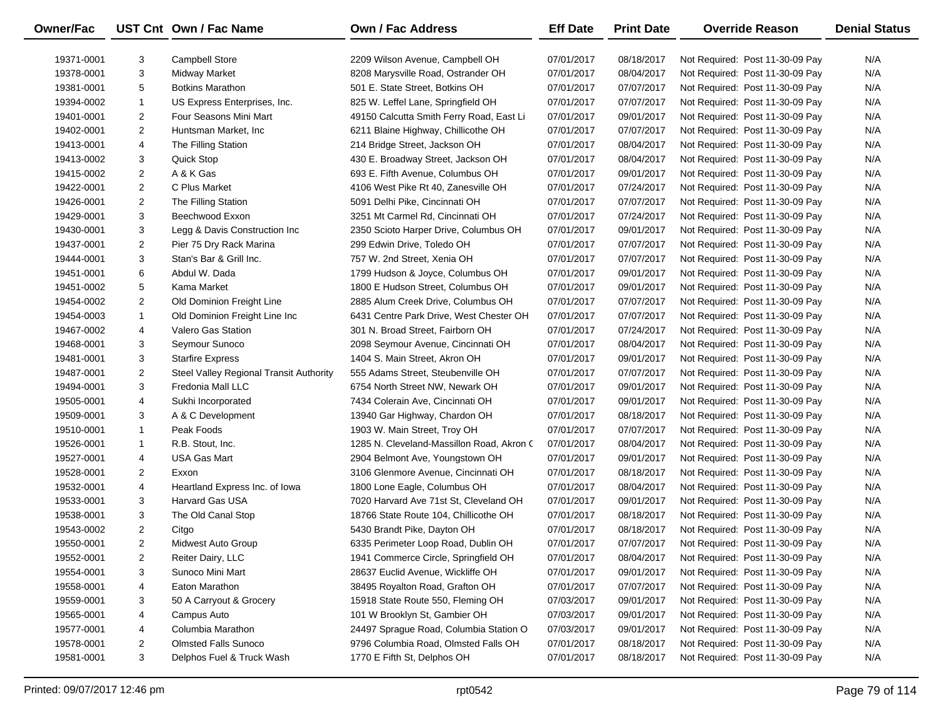| Owner/Fac  |                | UST Cnt Own / Fac Name                  | <b>Own / Fac Address</b>                   | <b>Eff Date</b> | <b>Print Date</b> | <b>Override Reason</b>          | <b>Denial Status</b> |
|------------|----------------|-----------------------------------------|--------------------------------------------|-----------------|-------------------|---------------------------------|----------------------|
| 19371-0001 | 3              | <b>Campbell Store</b>                   | 2209 Wilson Avenue, Campbell OH            | 07/01/2017      | 08/18/2017        | Not Required: Post 11-30-09 Pay | N/A                  |
| 19378-0001 | 3              | Midway Market                           | 8208 Marysville Road, Ostrander OH         | 07/01/2017      | 08/04/2017        | Not Required: Post 11-30-09 Pay | N/A                  |
| 19381-0001 | 5              | <b>Botkins Marathon</b>                 | 501 E. State Street, Botkins OH            | 07/01/2017      | 07/07/2017        | Not Required: Post 11-30-09 Pay | N/A                  |
| 19394-0002 | $\mathbf{1}$   | US Express Enterprises, Inc.            | 825 W. Leffel Lane, Springfield OH         | 07/01/2017      | 07/07/2017        | Not Required: Post 11-30-09 Pay | N/A                  |
| 19401-0001 | $\overline{2}$ | Four Seasons Mini Mart                  | 49150 Calcutta Smith Ferry Road, East Li   | 07/01/2017      | 09/01/2017        | Not Required: Post 11-30-09 Pay | N/A                  |
| 19402-0001 | $\overline{c}$ | Huntsman Market, Inc.                   | 6211 Blaine Highway, Chillicothe OH        | 07/01/2017      | 07/07/2017        | Not Required: Post 11-30-09 Pay | N/A                  |
| 19413-0001 | 4              | The Filling Station                     | 214 Bridge Street, Jackson OH              | 07/01/2017      | 08/04/2017        | Not Required: Post 11-30-09 Pay | N/A                  |
| 19413-0002 | 3              | Quick Stop                              | 430 E. Broadway Street, Jackson OH         | 07/01/2017      | 08/04/2017        | Not Required: Post 11-30-09 Pay | N/A                  |
| 19415-0002 | $\overline{2}$ | A & K Gas                               | 693 E. Fifth Avenue, Columbus OH           | 07/01/2017      | 09/01/2017        | Not Required: Post 11-30-09 Pay | N/A                  |
| 19422-0001 | $\overline{2}$ | C Plus Market                           | 4106 West Pike Rt 40, Zanesville OH        | 07/01/2017      | 07/24/2017        | Not Required: Post 11-30-09 Pay | N/A                  |
| 19426-0001 | $\overline{2}$ | The Filling Station                     | 5091 Delhi Pike, Cincinnati OH             | 07/01/2017      | 07/07/2017        | Not Required: Post 11-30-09 Pay | N/A                  |
| 19429-0001 | 3              | Beechwood Exxon                         | 3251 Mt Carmel Rd, Cincinnati OH           | 07/01/2017      | 07/24/2017        | Not Required: Post 11-30-09 Pay | N/A                  |
| 19430-0001 | 3              | Legg & Davis Construction Inc           | 2350 Scioto Harper Drive, Columbus OH      | 07/01/2017      | 09/01/2017        | Not Required: Post 11-30-09 Pay | N/A                  |
| 19437-0001 | $\overline{2}$ | Pier 75 Dry Rack Marina                 | 299 Edwin Drive, Toledo OH                 | 07/01/2017      | 07/07/2017        | Not Required: Post 11-30-09 Pay | N/A                  |
| 19444-0001 | 3              | Stan's Bar & Grill Inc.                 | 757 W. 2nd Street, Xenia OH                | 07/01/2017      | 07/07/2017        | Not Required: Post 11-30-09 Pay | N/A                  |
| 19451-0001 | 6              | Abdul W. Dada                           | 1799 Hudson & Joyce, Columbus OH           | 07/01/2017      | 09/01/2017        | Not Required: Post 11-30-09 Pay | N/A                  |
| 19451-0002 | 5              | Kama Market                             | 1800 E Hudson Street, Columbus OH          | 07/01/2017      | 09/01/2017        | Not Required: Post 11-30-09 Pay | N/A                  |
| 19454-0002 | $\overline{c}$ | Old Dominion Freight Line               | 2885 Alum Creek Drive, Columbus OH         | 07/01/2017      | 07/07/2017        | Not Required: Post 11-30-09 Pay | N/A                  |
| 19454-0003 | $\mathbf{1}$   | Old Dominion Freight Line Inc           | 6431 Centre Park Drive, West Chester OH    | 07/01/2017      | 07/07/2017        | Not Required: Post 11-30-09 Pay | N/A                  |
| 19467-0002 | 4              | <b>Valero Gas Station</b>               | 301 N. Broad Street, Fairborn OH           | 07/01/2017      | 07/24/2017        | Not Required: Post 11-30-09 Pay | N/A                  |
| 19468-0001 | 3              | Seymour Sunoco                          | 2098 Seymour Avenue, Cincinnati OH         | 07/01/2017      | 08/04/2017        | Not Required: Post 11-30-09 Pay | N/A                  |
| 19481-0001 | 3              | <b>Starfire Express</b>                 | 1404 S. Main Street, Akron OH              | 07/01/2017      | 09/01/2017        | Not Required: Post 11-30-09 Pay | N/A                  |
| 19487-0001 | $\overline{2}$ | Steel Valley Regional Transit Authority | 555 Adams Street, Steubenville OH          | 07/01/2017      | 07/07/2017        | Not Required: Post 11-30-09 Pay | N/A                  |
| 19494-0001 | 3              | Fredonia Mall LLC                       | 6754 North Street NW, Newark OH            | 07/01/2017      | 09/01/2017        | Not Required: Post 11-30-09 Pay | N/A                  |
| 19505-0001 | 4              | Sukhi Incorporated                      | 7434 Colerain Ave, Cincinnati OH           | 07/01/2017      | 09/01/2017        | Not Required: Post 11-30-09 Pay | N/A                  |
| 19509-0001 | 3              | A & C Development                       | 13940 Gar Highway, Chardon OH              | 07/01/2017      | 08/18/2017        | Not Required: Post 11-30-09 Pay | N/A                  |
| 19510-0001 | $\mathbf{1}$   | Peak Foods                              | 1903 W. Main Street, Troy OH               | 07/01/2017      | 07/07/2017        | Not Required: Post 11-30-09 Pay | N/A                  |
| 19526-0001 | $\mathbf{1}$   | R.B. Stout, Inc.                        | 1285 N. Cleveland-Massillon Road, Akron C. | 07/01/2017      | 08/04/2017        | Not Required: Post 11-30-09 Pay | N/A                  |
| 19527-0001 | 4              | <b>USA Gas Mart</b>                     | 2904 Belmont Ave, Youngstown OH            | 07/01/2017      | 09/01/2017        | Not Required: Post 11-30-09 Pay | N/A                  |
| 19528-0001 | $\overline{2}$ | Exxon                                   | 3106 Glenmore Avenue, Cincinnati OH        | 07/01/2017      | 08/18/2017        | Not Required: Post 11-30-09 Pay | N/A                  |
| 19532-0001 | 4              | Heartland Express Inc. of Iowa          | 1800 Lone Eagle, Columbus OH               | 07/01/2017      | 08/04/2017        | Not Required: Post 11-30-09 Pay | N/A                  |
| 19533-0001 | 3              | <b>Harvard Gas USA</b>                  | 7020 Harvard Ave 71st St, Cleveland OH     | 07/01/2017      | 09/01/2017        | Not Required: Post 11-30-09 Pay | N/A                  |
| 19538-0001 | 3              | The Old Canal Stop                      | 18766 State Route 104, Chillicothe OH      | 07/01/2017      | 08/18/2017        | Not Required: Post 11-30-09 Pay | N/A                  |
| 19543-0002 | $\overline{2}$ | Citgo                                   | 5430 Brandt Pike, Dayton OH                | 07/01/2017      | 08/18/2017        | Not Required: Post 11-30-09 Pay | N/A                  |
| 19550-0001 | $\overline{2}$ | Midwest Auto Group                      | 6335 Perimeter Loop Road, Dublin OH        | 07/01/2017      | 07/07/2017        | Not Required: Post 11-30-09 Pay | N/A                  |
| 19552-0001 | 2              | Reiter Dairy, LLC                       | 1941 Commerce Circle, Springfield OH       | 07/01/2017      | 08/04/2017        | Not Required: Post 11-30-09 Pay | N/A                  |
| 19554-0001 | 3              | Sunoco Mini Mart                        | 28637 Euclid Avenue, Wickliffe OH          | 07/01/2017      | 09/01/2017        | Not Required: Post 11-30-09 Pay | N/A                  |
| 19558-0001 | 4              | Eaton Marathon                          | 38495 Royalton Road, Grafton OH            | 07/01/2017      | 07/07/2017        | Not Required: Post 11-30-09 Pay | N/A                  |
| 19559-0001 | 3              | 50 A Carryout & Grocery                 | 15918 State Route 550, Fleming OH          | 07/03/2017      | 09/01/2017        | Not Required: Post 11-30-09 Pay | N/A                  |
| 19565-0001 | 4              | Campus Auto                             | 101 W Brooklyn St, Gambier OH              | 07/03/2017      | 09/01/2017        | Not Required: Post 11-30-09 Pay | N/A                  |
| 19577-0001 | 4              | Columbia Marathon                       | 24497 Sprague Road, Columbia Station O     | 07/03/2017      | 09/01/2017        | Not Required: Post 11-30-09 Pay | N/A                  |
| 19578-0001 | 2              | <b>Olmsted Falls Sunoco</b>             | 9796 Columbia Road, Olmsted Falls OH       | 07/01/2017      | 08/18/2017        | Not Required: Post 11-30-09 Pay | N/A                  |
| 19581-0001 | 3              | Delphos Fuel & Truck Wash               | 1770 E Fifth St, Delphos OH                | 07/01/2017      | 08/18/2017        | Not Required: Post 11-30-09 Pay | N/A                  |
|            |                |                                         |                                            |                 |                   |                                 |                      |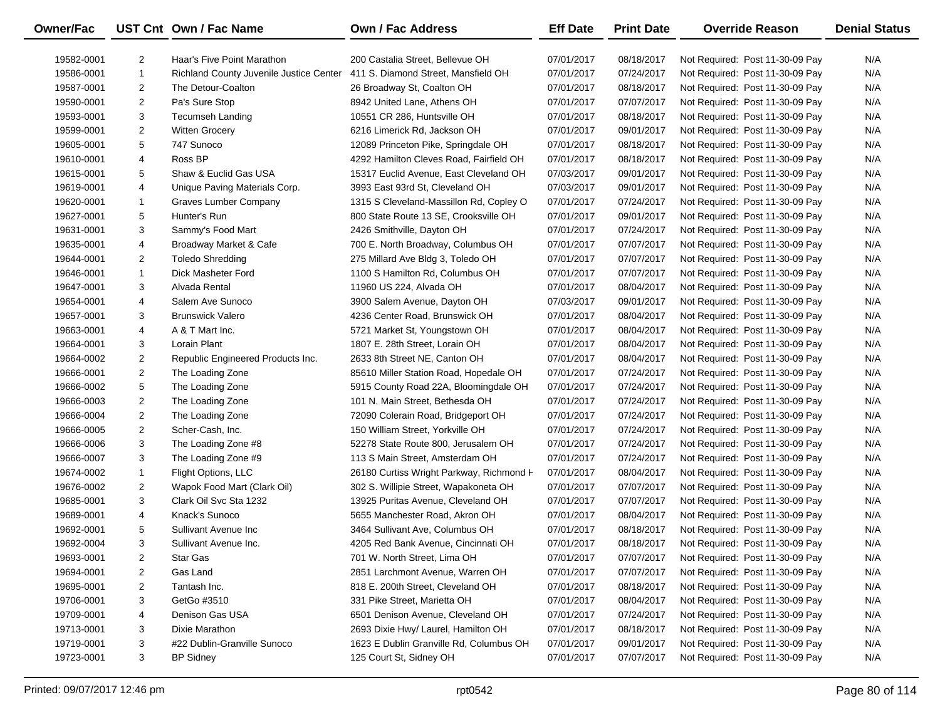| <b>Owner/Fac</b> |                | UST Cnt Own / Fac Name                  | <b>Own / Fac Address</b>                 | <b>Eff Date</b> | <b>Print Date</b> | <b>Override Reason</b>          | <b>Denial Status</b> |
|------------------|----------------|-----------------------------------------|------------------------------------------|-----------------|-------------------|---------------------------------|----------------------|
| 19582-0001       | $\overline{2}$ | Haar's Five Point Marathon              | 200 Castalia Street, Bellevue OH         | 07/01/2017      | 08/18/2017        | Not Required: Post 11-30-09 Pay | N/A                  |
| 19586-0001       | $\mathbf{1}$   | Richland County Juvenile Justice Center | 411 S. Diamond Street, Mansfield OH      | 07/01/2017      | 07/24/2017        | Not Required: Post 11-30-09 Pay | N/A                  |
| 19587-0001       | $\overline{2}$ | The Detour-Coalton                      | 26 Broadway St, Coalton OH               | 07/01/2017      | 08/18/2017        | Not Required: Post 11-30-09 Pay | N/A                  |
| 19590-0001       | 2              | Pa's Sure Stop                          | 8942 United Lane, Athens OH              | 07/01/2017      | 07/07/2017        | Not Required: Post 11-30-09 Pay | N/A                  |
| 19593-0001       | 3              | Tecumseh Landing                        | 10551 CR 286, Huntsville OH              | 07/01/2017      | 08/18/2017        | Not Required: Post 11-30-09 Pay | N/A                  |
| 19599-0001       | $\overline{2}$ | <b>Witten Grocery</b>                   | 6216 Limerick Rd, Jackson OH             | 07/01/2017      | 09/01/2017        | Not Required: Post 11-30-09 Pay | N/A                  |
| 19605-0001       | 5              | 747 Sunoco                              | 12089 Princeton Pike, Springdale OH      | 07/01/2017      | 08/18/2017        | Not Required: Post 11-30-09 Pay | N/A                  |
| 19610-0001       | 4              | Ross BP                                 | 4292 Hamilton Cleves Road, Fairfield OH  | 07/01/2017      | 08/18/2017        | Not Required: Post 11-30-09 Pay | N/A                  |
| 19615-0001       | 5              | Shaw & Euclid Gas USA                   | 15317 Euclid Avenue, East Cleveland OH   | 07/03/2017      | 09/01/2017        | Not Required: Post 11-30-09 Pay | N/A                  |
| 19619-0001       | 4              | Unique Paving Materials Corp.           | 3993 East 93rd St, Cleveland OH          | 07/03/2017      | 09/01/2017        | Not Required: Post 11-30-09 Pay | N/A                  |
| 19620-0001       | 1              | Graves Lumber Company                   | 1315 S Cleveland-Massillon Rd, Copley O  | 07/01/2017      | 07/24/2017        | Not Required: Post 11-30-09 Pay | N/A                  |
| 19627-0001       | 5              | Hunter's Run                            | 800 State Route 13 SE, Crooksville OH    | 07/01/2017      | 09/01/2017        | Not Required: Post 11-30-09 Pay | N/A                  |
| 19631-0001       | 3              | Sammy's Food Mart                       | 2426 Smithville, Dayton OH               | 07/01/2017      | 07/24/2017        | Not Required: Post 11-30-09 Pay | N/A                  |
| 19635-0001       | 4              | Broadway Market & Cafe                  | 700 E. North Broadway, Columbus OH       | 07/01/2017      | 07/07/2017        | Not Required: Post 11-30-09 Pay | N/A                  |
| 19644-0001       | 2              | <b>Toledo Shredding</b>                 | 275 Millard Ave Bldg 3, Toledo OH        | 07/01/2017      | 07/07/2017        | Not Required: Post 11-30-09 Pay | N/A                  |
| 19646-0001       | 1              | Dick Masheter Ford                      | 1100 S Hamilton Rd, Columbus OH          | 07/01/2017      | 07/07/2017        | Not Required: Post 11-30-09 Pay | N/A                  |
| 19647-0001       | 3              | Alvada Rental                           | 11960 US 224, Alvada OH                  | 07/01/2017      | 08/04/2017        | Not Required: Post 11-30-09 Pay | N/A                  |
| 19654-0001       | 4              | Salem Ave Sunoco                        | 3900 Salem Avenue, Dayton OH             | 07/03/2017      | 09/01/2017        | Not Required: Post 11-30-09 Pay | N/A                  |
| 19657-0001       | 3              | <b>Brunswick Valero</b>                 | 4236 Center Road, Brunswick OH           | 07/01/2017      | 08/04/2017        | Not Required: Post 11-30-09 Pay | N/A                  |
| 19663-0001       | 4              | A & T Mart Inc.                         | 5721 Market St, Youngstown OH            | 07/01/2017      | 08/04/2017        | Not Required: Post 11-30-09 Pay | N/A                  |
| 19664-0001       | 3              | Lorain Plant                            | 1807 E. 28th Street, Lorain OH           | 07/01/2017      | 08/04/2017        | Not Required: Post 11-30-09 Pay | N/A                  |
| 19664-0002       | 2              | Republic Engineered Products Inc.       | 2633 8th Street NE, Canton OH            | 07/01/2017      | 08/04/2017        | Not Required: Post 11-30-09 Pay | N/A                  |
| 19666-0001       | 2              | The Loading Zone                        | 85610 Miller Station Road, Hopedale OH   | 07/01/2017      | 07/24/2017        | Not Required: Post 11-30-09 Pay | N/A                  |
| 19666-0002       | 5              | The Loading Zone                        | 5915 County Road 22A, Bloomingdale OH    | 07/01/2017      | 07/24/2017        | Not Required: Post 11-30-09 Pay | N/A                  |
| 19666-0003       | 2              | The Loading Zone                        | 101 N. Main Street, Bethesda OH          | 07/01/2017      | 07/24/2017        | Not Required: Post 11-30-09 Pay | N/A                  |
| 19666-0004       | 2              | The Loading Zone                        | 72090 Colerain Road, Bridgeport OH       | 07/01/2017      | 07/24/2017        | Not Required: Post 11-30-09 Pay | N/A                  |
| 19666-0005       | $\overline{2}$ | Scher-Cash, Inc.                        | 150 William Street, Yorkville OH         | 07/01/2017      | 07/24/2017        | Not Required: Post 11-30-09 Pay | N/A                  |
| 19666-0006       | 3              | The Loading Zone #8                     | 52278 State Route 800, Jerusalem OH      | 07/01/2017      | 07/24/2017        | Not Required: Post 11-30-09 Pay | N/A                  |
| 19666-0007       | 3              | The Loading Zone #9                     | 113 S Main Street, Amsterdam OH          | 07/01/2017      | 07/24/2017        | Not Required: Post 11-30-09 Pay | N/A                  |
| 19674-0002       | $\mathbf{1}$   | Flight Options, LLC                     | 26180 Curtiss Wright Parkway, Richmond H | 07/01/2017      | 08/04/2017        | Not Required: Post 11-30-09 Pay | N/A                  |
| 19676-0002       | $\overline{2}$ | Wapok Food Mart (Clark Oil)             | 302 S. Willipie Street, Wapakoneta OH    | 07/01/2017      | 07/07/2017        | Not Required: Post 11-30-09 Pay | N/A                  |
| 19685-0001       | 3              | Clark Oil Svc Sta 1232                  | 13925 Puritas Avenue, Cleveland OH       | 07/01/2017      | 07/07/2017        | Not Required: Post 11-30-09 Pay | N/A                  |
| 19689-0001       | 4              | Knack's Sunoco                          | 5655 Manchester Road, Akron OH           | 07/01/2017      | 08/04/2017        | Not Required: Post 11-30-09 Pay | N/A                  |
| 19692-0001       | 5              | Sullivant Avenue Inc                    | 3464 Sullivant Ave, Columbus OH          | 07/01/2017      | 08/18/2017        | Not Required: Post 11-30-09 Pay | N/A                  |
| 19692-0004       | 3              | Sullivant Avenue Inc.                   | 4205 Red Bank Avenue, Cincinnati OH      | 07/01/2017      | 08/18/2017        | Not Required: Post 11-30-09 Pay | N/A                  |
| 19693-0001       | 2              | <b>Star Gas</b>                         | 701 W. North Street, Lima OH             | 07/01/2017      | 07/07/2017        | Not Required: Post 11-30-09 Pay | N/A                  |
| 19694-0001       | 2              | Gas Land                                | 2851 Larchmont Avenue, Warren OH         | 07/01/2017      | 07/07/2017        | Not Required: Post 11-30-09 Pay | N/A                  |
| 19695-0001       | 2              | Tantash Inc.                            | 818 E. 200th Street, Cleveland OH        | 07/01/2017      | 08/18/2017        | Not Required: Post 11-30-09 Pay | N/A                  |
| 19706-0001       | 3              | GetGo #3510                             | 331 Pike Street, Marietta OH             | 07/01/2017      | 08/04/2017        | Not Required: Post 11-30-09 Pay | N/A                  |
| 19709-0001       | 4              | Denison Gas USA                         | 6501 Denison Avenue, Cleveland OH        | 07/01/2017      | 07/24/2017        | Not Required: Post 11-30-09 Pay | N/A                  |
| 19713-0001       | 3              | Dixie Marathon                          | 2693 Dixie Hwy/ Laurel, Hamilton OH      | 07/01/2017      | 08/18/2017        | Not Required: Post 11-30-09 Pay | N/A                  |
| 19719-0001       | 3              | #22 Dublin-Granville Sunoco             | 1623 E Dublin Granville Rd, Columbus OH  | 07/01/2017      | 09/01/2017        | Not Required: Post 11-30-09 Pay | N/A                  |
| 19723-0001       | 3              | <b>BP Sidney</b>                        | 125 Court St, Sidney OH                  | 07/01/2017      | 07/07/2017        | Not Required: Post 11-30-09 Pay | N/A                  |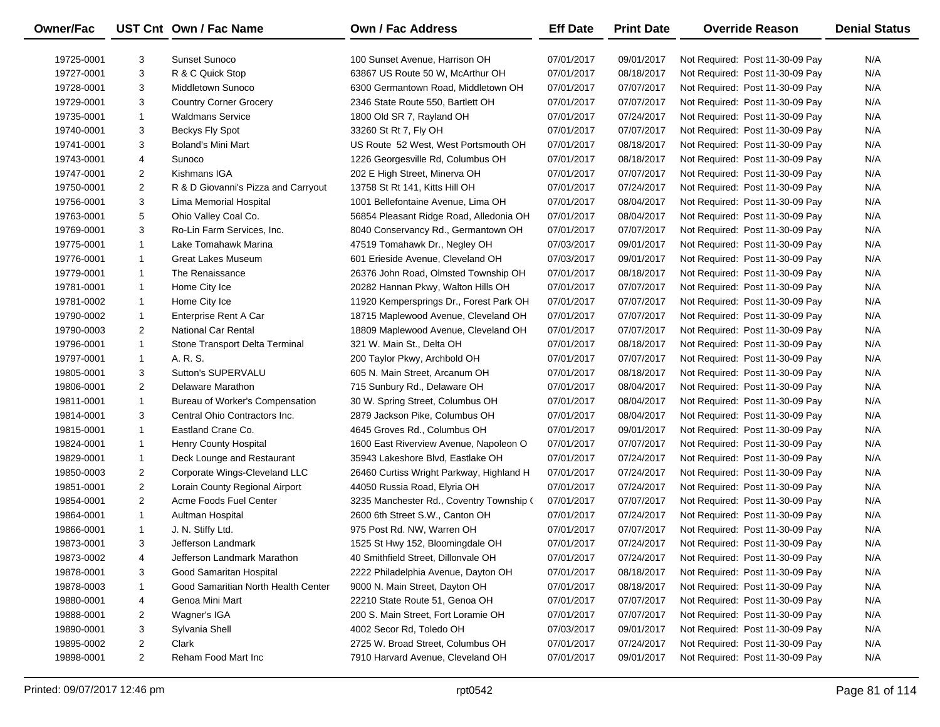| Owner/Fac  |                | UST Cnt Own / Fac Name              | Own / Fac Address                        | <b>Eff Date</b> | <b>Print Date</b> | <b>Override Reason</b>          | <b>Denial Status</b> |
|------------|----------------|-------------------------------------|------------------------------------------|-----------------|-------------------|---------------------------------|----------------------|
| 19725-0001 | 3              | <b>Sunset Sunoco</b>                | 100 Sunset Avenue, Harrison OH           | 07/01/2017      | 09/01/2017        | Not Required: Post 11-30-09 Pay | N/A                  |
| 19727-0001 | 3              | R & C Quick Stop                    | 63867 US Route 50 W, McArthur OH         | 07/01/2017      | 08/18/2017        | Not Required: Post 11-30-09 Pay | N/A                  |
| 19728-0001 | 3              | Middletown Sunoco                   | 6300 Germantown Road, Middletown OH      | 07/01/2017      | 07/07/2017        | Not Required: Post 11-30-09 Pay | N/A                  |
| 19729-0001 | 3              | <b>Country Corner Grocery</b>       | 2346 State Route 550, Bartlett OH        | 07/01/2017      | 07/07/2017        | Not Required: Post 11-30-09 Pay | N/A                  |
| 19735-0001 | $\mathbf{1}$   | <b>Waldmans Service</b>             | 1800 Old SR 7, Rayland OH                | 07/01/2017      | 07/24/2017        | Not Required: Post 11-30-09 Pay | N/A                  |
| 19740-0001 | 3              | <b>Beckys Fly Spot</b>              | 33260 St Rt 7, Fly OH                    | 07/01/2017      | 07/07/2017        | Not Required: Post 11-30-09 Pay | N/A                  |
| 19741-0001 | 3              | Boland's Mini Mart                  | US Route 52 West, West Portsmouth OH     | 07/01/2017      | 08/18/2017        | Not Required: Post 11-30-09 Pay | N/A                  |
| 19743-0001 | 4              | Sunoco                              | 1226 Georgesville Rd, Columbus OH        | 07/01/2017      | 08/18/2017        | Not Required: Post 11-30-09 Pay | N/A                  |
| 19747-0001 | $\overline{2}$ | Kishmans IGA                        | 202 E High Street, Minerva OH            | 07/01/2017      | 07/07/2017        | Not Required: Post 11-30-09 Pay | N/A                  |
| 19750-0001 | $\overline{2}$ | R & D Giovanni's Pizza and Carryout | 13758 St Rt 141, Kitts Hill OH           | 07/01/2017      | 07/24/2017        | Not Required: Post 11-30-09 Pay | N/A                  |
| 19756-0001 | 3              | Lima Memorial Hospital              | 1001 Bellefontaine Avenue, Lima OH       | 07/01/2017      | 08/04/2017        | Not Required: Post 11-30-09 Pay | N/A                  |
| 19763-0001 | 5              | Ohio Valley Coal Co.                | 56854 Pleasant Ridge Road, Alledonia OH  | 07/01/2017      | 08/04/2017        | Not Required: Post 11-30-09 Pay | N/A                  |
| 19769-0001 | 3              | Ro-Lin Farm Services, Inc.          | 8040 Conservancy Rd., Germantown OH      | 07/01/2017      | 07/07/2017        | Not Required: Post 11-30-09 Pay | N/A                  |
| 19775-0001 | $\mathbf{1}$   | Lake Tomahawk Marina                | 47519 Tomahawk Dr., Negley OH            | 07/03/2017      | 09/01/2017        | Not Required: Post 11-30-09 Pay | N/A                  |
| 19776-0001 | $\mathbf{1}$   | <b>Great Lakes Museum</b>           | 601 Erieside Avenue, Cleveland OH        | 07/03/2017      | 09/01/2017        | Not Required: Post 11-30-09 Pay | N/A                  |
| 19779-0001 | $\mathbf{1}$   | The Renaissance                     | 26376 John Road, Olmsted Township OH     | 07/01/2017      | 08/18/2017        | Not Required: Post 11-30-09 Pay | N/A                  |
| 19781-0001 | $\mathbf{1}$   | Home City Ice                       | 20282 Hannan Pkwy, Walton Hills OH       | 07/01/2017      | 07/07/2017        | Not Required: Post 11-30-09 Pay | N/A                  |
| 19781-0002 | $\mathbf{1}$   | Home City Ice                       | 11920 Kempersprings Dr., Forest Park OH  | 07/01/2017      | 07/07/2017        | Not Required: Post 11-30-09 Pay | N/A                  |
| 19790-0002 | $\mathbf{1}$   | Enterprise Rent A Car               | 18715 Maplewood Avenue, Cleveland OH     | 07/01/2017      | 07/07/2017        | Not Required: Post 11-30-09 Pay | N/A                  |
| 19790-0003 | $\overline{2}$ | <b>National Car Rental</b>          | 18809 Maplewood Avenue, Cleveland OH     | 07/01/2017      | 07/07/2017        | Not Required: Post 11-30-09 Pay | N/A                  |
| 19796-0001 | $\mathbf{1}$   | Stone Transport Delta Terminal      | 321 W. Main St., Delta OH                | 07/01/2017      | 08/18/2017        | Not Required: Post 11-30-09 Pay | N/A                  |
| 19797-0001 | $\mathbf{1}$   | A. R. S.                            | 200 Taylor Pkwy, Archbold OH             | 07/01/2017      | 07/07/2017        | Not Required: Post 11-30-09 Pay | N/A                  |
| 19805-0001 | 3              | Sutton's SUPERVALU                  | 605 N. Main Street, Arcanum OH           | 07/01/2017      | 08/18/2017        | Not Required: Post 11-30-09 Pay | N/A                  |
| 19806-0001 | $\overline{2}$ | Delaware Marathon                   | 715 Sunbury Rd., Delaware OH             | 07/01/2017      | 08/04/2017        | Not Required: Post 11-30-09 Pay | N/A                  |
| 19811-0001 | $\mathbf{1}$   | Bureau of Worker's Compensation     | 30 W. Spring Street, Columbus OH         | 07/01/2017      | 08/04/2017        | Not Required: Post 11-30-09 Pay | N/A                  |
| 19814-0001 | 3              | Central Ohio Contractors Inc.       | 2879 Jackson Pike, Columbus OH           | 07/01/2017      | 08/04/2017        | Not Required: Post 11-30-09 Pay | N/A                  |
| 19815-0001 | $\mathbf{1}$   | Eastland Crane Co.                  | 4645 Groves Rd., Columbus OH             | 07/01/2017      | 09/01/2017        | Not Required: Post 11-30-09 Pay | N/A                  |
| 19824-0001 | $\mathbf{1}$   | Henry County Hospital               | 1600 East Riverview Avenue, Napoleon O   | 07/01/2017      | 07/07/2017        | Not Required: Post 11-30-09 Pay | N/A                  |
| 19829-0001 | $\mathbf{1}$   | Deck Lounge and Restaurant          | 35943 Lakeshore Blvd, Eastlake OH        | 07/01/2017      | 07/24/2017        | Not Required: Post 11-30-09 Pay | N/A                  |
| 19850-0003 | 2              | Corporate Wings-Cleveland LLC       | 26460 Curtiss Wright Parkway, Highland H | 07/01/2017      | 07/24/2017        | Not Required: Post 11-30-09 Pay | N/A                  |
| 19851-0001 | $\overline{2}$ | Lorain County Regional Airport      | 44050 Russia Road, Elyria OH             | 07/01/2017      | 07/24/2017        | Not Required: Post 11-30-09 Pay | N/A                  |
| 19854-0001 | $\overline{2}$ | Acme Foods Fuel Center              | 3235 Manchester Rd., Coventry Township ( | 07/01/2017      | 07/07/2017        | Not Required: Post 11-30-09 Pay | N/A                  |
| 19864-0001 | $\mathbf{1}$   | Aultman Hospital                    | 2600 6th Street S.W., Canton OH          | 07/01/2017      | 07/24/2017        | Not Required: Post 11-30-09 Pay | N/A                  |
| 19866-0001 | $\mathbf{1}$   | J. N. Stiffy Ltd.                   | 975 Post Rd. NW, Warren OH               | 07/01/2017      | 07/07/2017        | Not Required: Post 11-30-09 Pay | N/A                  |
| 19873-0001 | 3              | Jefferson Landmark                  | 1525 St Hwy 152, Bloomingdale OH         | 07/01/2017      | 07/24/2017        | Not Required: Post 11-30-09 Pay | N/A                  |
| 19873-0002 | 4              | Jefferson Landmark Marathon         | 40 Smithfield Street, Dillonvale OH      | 07/01/2017      | 07/24/2017        | Not Required: Post 11-30-09 Pay | N/A                  |
| 19878-0001 | 3              | Good Samaritan Hospital             | 2222 Philadelphia Avenue, Dayton OH      | 07/01/2017      | 08/18/2017        | Not Required: Post 11-30-09 Pay | N/A                  |
| 19878-0003 | 1              | Good Samaritian North Health Center | 9000 N. Main Street, Dayton OH           | 07/01/2017      | 08/18/2017        | Not Required: Post 11-30-09 Pay | N/A                  |
| 19880-0001 | 4              | Genoa Mini Mart                     | 22210 State Route 51, Genoa OH           | 07/01/2017      | 07/07/2017        | Not Required: Post 11-30-09 Pay | N/A                  |
| 19888-0001 | 2              | Wagner's IGA                        | 200 S. Main Street, Fort Loramie OH      | 07/01/2017      | 07/07/2017        | Not Required: Post 11-30-09 Pay | N/A                  |
| 19890-0001 | 3              | Sylvania Shell                      | 4002 Secor Rd, Toledo OH                 | 07/03/2017      | 09/01/2017        | Not Required: Post 11-30-09 Pay | N/A                  |
| 19895-0002 | 2              | Clark                               | 2725 W. Broad Street, Columbus OH        | 07/01/2017      | 07/24/2017        | Not Required: Post 11-30-09 Pay | N/A                  |
| 19898-0001 | $\overline{2}$ | Reham Food Mart Inc                 | 7910 Harvard Avenue, Cleveland OH        | 07/01/2017      | 09/01/2017        | Not Required: Post 11-30-09 Pay | N/A                  |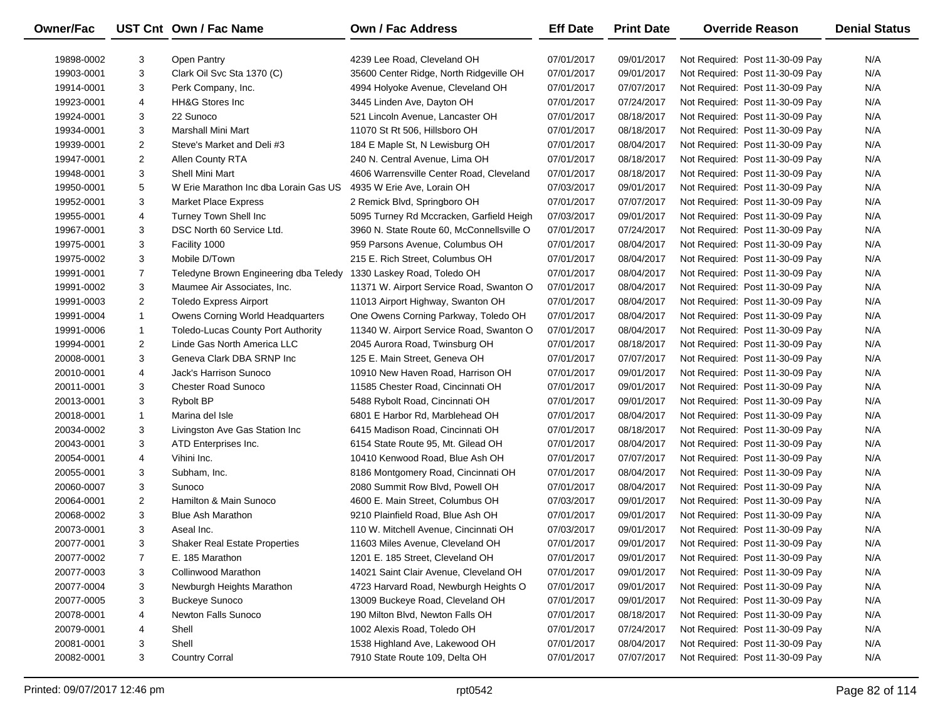| <b>Owner/Fac</b> |                | UST Cnt Own / Fac Name                | <b>Own / Fac Address</b>                  | <b>Eff Date</b> | <b>Print Date</b> | <b>Override Reason</b>          | <b>Denial Status</b> |
|------------------|----------------|---------------------------------------|-------------------------------------------|-----------------|-------------------|---------------------------------|----------------------|
| 19898-0002       | 3              | Open Pantry                           | 4239 Lee Road, Cleveland OH               | 07/01/2017      | 09/01/2017        | Not Required: Post 11-30-09 Pay | N/A                  |
| 19903-0001       | 3              | Clark Oil Svc Sta 1370 (C)            | 35600 Center Ridge, North Ridgeville OH   | 07/01/2017      | 09/01/2017        | Not Required: Post 11-30-09 Pay | N/A                  |
| 19914-0001       | 3              | Perk Company, Inc.                    | 4994 Holyoke Avenue, Cleveland OH         | 07/01/2017      | 07/07/2017        | Not Required: Post 11-30-09 Pay | N/A                  |
| 19923-0001       | 4              | <b>HH&amp;G Stores Inc</b>            | 3445 Linden Ave, Dayton OH                | 07/01/2017      | 07/24/2017        | Not Required: Post 11-30-09 Pay | N/A                  |
| 19924-0001       | 3              | 22 Sunoco                             | 521 Lincoln Avenue, Lancaster OH          | 07/01/2017      | 08/18/2017        | Not Required: Post 11-30-09 Pay | N/A                  |
| 19934-0001       | 3              | Marshall Mini Mart                    | 11070 St Rt 506, Hillsboro OH             | 07/01/2017      | 08/18/2017        | Not Required: Post 11-30-09 Pay | N/A                  |
| 19939-0001       | $\overline{2}$ | Steve's Market and Deli #3            | 184 E Maple St, N Lewisburg OH            | 07/01/2017      | 08/04/2017        | Not Required: Post 11-30-09 Pay | N/A                  |
| 19947-0001       | $\overline{2}$ | Allen County RTA                      | 240 N. Central Avenue, Lima OH            | 07/01/2017      | 08/18/2017        | Not Required: Post 11-30-09 Pay | N/A                  |
| 19948-0001       | 3              | <b>Shell Mini Mart</b>                | 4606 Warrensville Center Road, Cleveland  | 07/01/2017      | 08/18/2017        | Not Required: Post 11-30-09 Pay | N/A                  |
| 19950-0001       | 5              | W Erie Marathon Inc dba Lorain Gas US | 4935 W Erie Ave, Lorain OH                | 07/03/2017      | 09/01/2017        | Not Required: Post 11-30-09 Pay | N/A                  |
| 19952-0001       | 3              | <b>Market Place Express</b>           | 2 Remick Blvd, Springboro OH              | 07/01/2017      | 07/07/2017        | Not Required: Post 11-30-09 Pay | N/A                  |
| 19955-0001       | 4              | Turney Town Shell Inc                 | 5095 Turney Rd Mccracken, Garfield Heigh  | 07/03/2017      | 09/01/2017        | Not Required: Post 11-30-09 Pay | N/A                  |
| 19967-0001       | 3              | DSC North 60 Service Ltd.             | 3960 N. State Route 60, McConnellsville O | 07/01/2017      | 07/24/2017        | Not Required: Post 11-30-09 Pay | N/A                  |
| 19975-0001       | 3              | Facility 1000                         | 959 Parsons Avenue, Columbus OH           | 07/01/2017      | 08/04/2017        | Not Required: Post 11-30-09 Pay | N/A                  |
| 19975-0002       | 3              | Mobile D/Town                         | 215 E. Rich Street, Columbus OH           | 07/01/2017      | 08/04/2017        | Not Required: Post 11-30-09 Pay | N/A                  |
| 19991-0001       | $\overline{7}$ | Teledyne Brown Engineering dba Teledy | 1330 Laskey Road, Toledo OH               | 07/01/2017      | 08/04/2017        | Not Required: Post 11-30-09 Pay | N/A                  |
| 19991-0002       | 3              | Maumee Air Associates, Inc.           | 11371 W. Airport Service Road, Swanton O  | 07/01/2017      | 08/04/2017        | Not Required: Post 11-30-09 Pay | N/A                  |
| 19991-0003       | $\overline{2}$ | <b>Toledo Express Airport</b>         | 11013 Airport Highway, Swanton OH         | 07/01/2017      | 08/04/2017        | Not Required: Post 11-30-09 Pay | N/A                  |
| 19991-0004       | $\mathbf{1}$   | Owens Corning World Headquarters      | One Owens Corning Parkway, Toledo OH      | 07/01/2017      | 08/04/2017        | Not Required: Post 11-30-09 Pay | N/A                  |
| 19991-0006       | $\mathbf{1}$   | Toledo-Lucas County Port Authority    | 11340 W. Airport Service Road, Swanton O  | 07/01/2017      | 08/04/2017        | Not Required: Post 11-30-09 Pay | N/A                  |
| 19994-0001       | $\overline{2}$ | Linde Gas North America LLC           | 2045 Aurora Road, Twinsburg OH            | 07/01/2017      | 08/18/2017        | Not Required: Post 11-30-09 Pay | N/A                  |
| 20008-0001       | 3              | Geneva Clark DBA SRNP Inc             | 125 E. Main Street, Geneva OH             | 07/01/2017      | 07/07/2017        | Not Required: Post 11-30-09 Pay | N/A                  |
| 20010-0001       | 4              | Jack's Harrison Sunoco                | 10910 New Haven Road, Harrison OH         | 07/01/2017      | 09/01/2017        | Not Required: Post 11-30-09 Pay | N/A                  |
| 20011-0001       | 3              | <b>Chester Road Sunoco</b>            | 11585 Chester Road, Cincinnati OH         | 07/01/2017      | 09/01/2017        | Not Required: Post 11-30-09 Pay | N/A                  |
| 20013-0001       | 3              | <b>Rybolt BP</b>                      | 5488 Rybolt Road, Cincinnati OH           | 07/01/2017      | 09/01/2017        | Not Required: Post 11-30-09 Pay | N/A                  |
| 20018-0001       | $\mathbf{1}$   | Marina del Isle                       | 6801 E Harbor Rd, Marblehead OH           | 07/01/2017      | 08/04/2017        | Not Required: Post 11-30-09 Pay | N/A                  |
| 20034-0002       | 3              | Livingston Ave Gas Station Inc        | 6415 Madison Road, Cincinnati OH          | 07/01/2017      | 08/18/2017        | Not Required: Post 11-30-09 Pay | N/A                  |
| 20043-0001       | 3              | ATD Enterprises Inc.                  | 6154 State Route 95, Mt. Gilead OH        | 07/01/2017      | 08/04/2017        | Not Required: Post 11-30-09 Pay | N/A                  |
| 20054-0001       | 4              | Vihini Inc.                           | 10410 Kenwood Road, Blue Ash OH           | 07/01/2017      | 07/07/2017        | Not Required: Post 11-30-09 Pay | N/A                  |
| 20055-0001       | 3              | Subham, Inc.                          | 8186 Montgomery Road, Cincinnati OH       | 07/01/2017      | 08/04/2017        | Not Required: Post 11-30-09 Pay | N/A                  |
| 20060-0007       | 3              | Sunoco                                | 2080 Summit Row Blvd, Powell OH           | 07/01/2017      | 08/04/2017        | Not Required: Post 11-30-09 Pay | N/A                  |
| 20064-0001       | $\overline{2}$ | Hamilton & Main Sunoco                | 4600 E. Main Street, Columbus OH          | 07/03/2017      | 09/01/2017        | Not Required: Post 11-30-09 Pay | N/A                  |
| 20068-0002       | 3              | <b>Blue Ash Marathon</b>              | 9210 Plainfield Road, Blue Ash OH         | 07/01/2017      | 09/01/2017        | Not Required: Post 11-30-09 Pay | N/A                  |
| 20073-0001       | 3              | Aseal Inc.                            | 110 W. Mitchell Avenue, Cincinnati OH     | 07/03/2017      | 09/01/2017        | Not Required: Post 11-30-09 Pay | N/A                  |
| 20077-0001       | 3              | <b>Shaker Real Estate Properties</b>  | 11603 Miles Avenue, Cleveland OH          | 07/01/2017      | 09/01/2017        | Not Required: Post 11-30-09 Pay | N/A                  |
| 20077-0002       | 7              | E. 185 Marathon                       | 1201 E. 185 Street, Cleveland OH          | 07/01/2017      | 09/01/2017        | Not Required: Post 11-30-09 Pay | N/A                  |
| 20077-0003       | 3              | <b>Collinwood Marathon</b>            | 14021 Saint Clair Avenue, Cleveland OH    | 07/01/2017      | 09/01/2017        | Not Required: Post 11-30-09 Pay | N/A                  |
| 20077-0004       | 3              | Newburgh Heights Marathon             | 4723 Harvard Road, Newburgh Heights O     | 07/01/2017      | 09/01/2017        | Not Required: Post 11-30-09 Pay | N/A                  |
| 20077-0005       | 3              | <b>Buckeye Sunoco</b>                 | 13009 Buckeye Road, Cleveland OH          | 07/01/2017      | 09/01/2017        | Not Required: Post 11-30-09 Pay | N/A                  |
| 20078-0001       | 4              | <b>Newton Falls Sunoco</b>            | 190 Milton Blvd, Newton Falls OH          | 07/01/2017      | 08/18/2017        | Not Required: Post 11-30-09 Pay | N/A                  |
| 20079-0001       | 4              | Shell                                 | 1002 Alexis Road, Toledo OH               | 07/01/2017      | 07/24/2017        | Not Required: Post 11-30-09 Pay | N/A                  |
| 20081-0001       | 3              | Shell                                 | 1538 Highland Ave, Lakewood OH            | 07/01/2017      | 08/04/2017        | Not Required: Post 11-30-09 Pay | N/A                  |
| 20082-0001       | 3              | <b>Country Corral</b>                 | 7910 State Route 109, Delta OH            | 07/01/2017      | 07/07/2017        | Not Required: Post 11-30-09 Pay | N/A                  |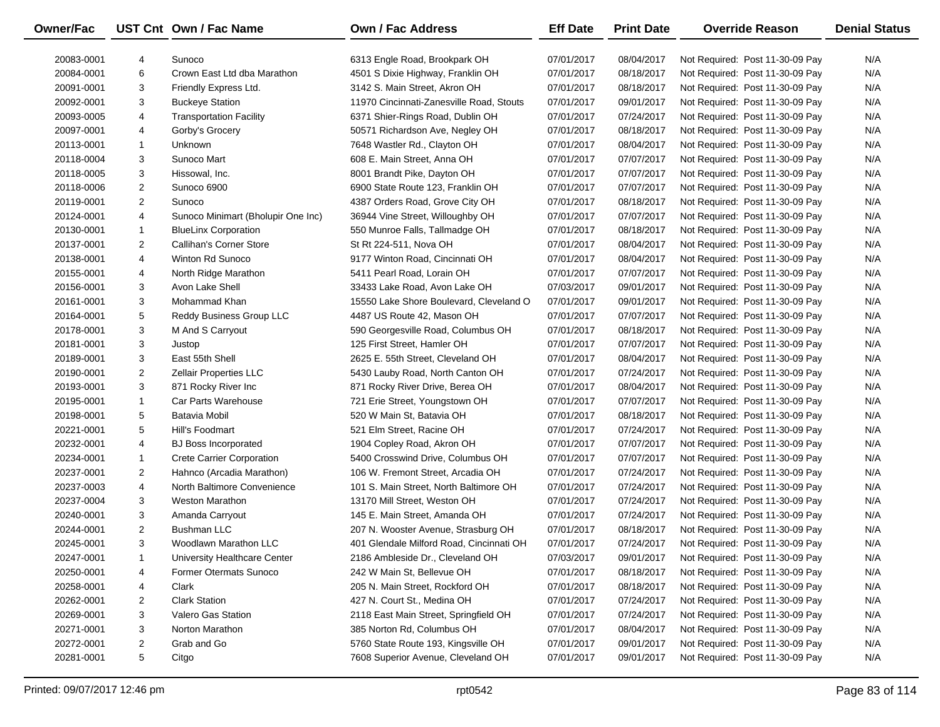| Owner/Fac  |                | UST Cnt Own / Fac Name             | <b>Own / Fac Address</b>                 | <b>Eff Date</b> | <b>Print Date</b> | <b>Override Reason</b>          | <b>Denial Status</b> |
|------------|----------------|------------------------------------|------------------------------------------|-----------------|-------------------|---------------------------------|----------------------|
| 20083-0001 | 4              | Sunoco                             | 6313 Engle Road, Brookpark OH            | 07/01/2017      | 08/04/2017        | Not Required: Post 11-30-09 Pay | N/A                  |
| 20084-0001 | 6              | Crown East Ltd dba Marathon        | 4501 S Dixie Highway, Franklin OH        | 07/01/2017      | 08/18/2017        | Not Required: Post 11-30-09 Pay | N/A                  |
| 20091-0001 | 3              | Friendly Express Ltd.              | 3142 S. Main Street, Akron OH            | 07/01/2017      | 08/18/2017        | Not Required: Post 11-30-09 Pay | N/A                  |
| 20092-0001 | 3              | <b>Buckeye Station</b>             | 11970 Cincinnati-Zanesville Road, Stouts | 07/01/2017      | 09/01/2017        | Not Required: Post 11-30-09 Pay | N/A                  |
| 20093-0005 | 4              | <b>Transportation Facility</b>     | 6371 Shier-Rings Road, Dublin OH         | 07/01/2017      | 07/24/2017        | Not Required: Post 11-30-09 Pay | N/A                  |
| 20097-0001 | 4              | Gorby's Grocery                    | 50571 Richardson Ave, Negley OH          | 07/01/2017      | 08/18/2017        | Not Required: Post 11-30-09 Pay | N/A                  |
| 20113-0001 | $\mathbf{1}$   | <b>Unknown</b>                     | 7648 Wastler Rd., Clayton OH             | 07/01/2017      | 08/04/2017        | Not Required: Post 11-30-09 Pay | N/A                  |
| 20118-0004 | 3              | Sunoco Mart                        | 608 E. Main Street, Anna OH              | 07/01/2017      | 07/07/2017        | Not Required: Post 11-30-09 Pay | N/A                  |
| 20118-0005 | 3              | Hissowal, Inc.                     | 8001 Brandt Pike, Dayton OH              | 07/01/2017      | 07/07/2017        | Not Required: Post 11-30-09 Pay | N/A                  |
| 20118-0006 | $\overline{c}$ | Sunoco 6900                        | 6900 State Route 123, Franklin OH        | 07/01/2017      | 07/07/2017        | Not Required: Post 11-30-09 Pay | N/A                  |
| 20119-0001 | 2              | Sunoco                             | 4387 Orders Road, Grove City OH          | 07/01/2017      | 08/18/2017        | Not Required: Post 11-30-09 Pay | N/A                  |
| 20124-0001 | 4              | Sunoco Minimart (Bholupir One Inc) | 36944 Vine Street, Willoughby OH         | 07/01/2017      | 07/07/2017        | Not Required: Post 11-30-09 Pay | N/A                  |
| 20130-0001 | $\mathbf{1}$   | <b>BlueLinx Corporation</b>        | 550 Munroe Falls, Tallmadge OH           | 07/01/2017      | 08/18/2017        | Not Required: Post 11-30-09 Pay | N/A                  |
| 20137-0001 | $\overline{c}$ | Callihan's Corner Store            | St Rt 224-511, Nova OH                   | 07/01/2017      | 08/04/2017        | Not Required: Post 11-30-09 Pay | N/A                  |
| 20138-0001 | 4              | Winton Rd Sunoco                   | 9177 Winton Road, Cincinnati OH          | 07/01/2017      | 08/04/2017        | Not Required: Post 11-30-09 Pay | N/A                  |
| 20155-0001 | 4              | North Ridge Marathon               | 5411 Pearl Road, Lorain OH               | 07/01/2017      | 07/07/2017        | Not Required: Post 11-30-09 Pay | N/A                  |
| 20156-0001 | 3              | Avon Lake Shell                    | 33433 Lake Road, Avon Lake OH            | 07/03/2017      | 09/01/2017        | Not Required: Post 11-30-09 Pay | N/A                  |
| 20161-0001 | 3              | Mohammad Khan                      | 15550 Lake Shore Boulevard, Cleveland O  | 07/01/2017      | 09/01/2017        | Not Required: Post 11-30-09 Pay | N/A                  |
| 20164-0001 | 5              | Reddy Business Group LLC           | 4487 US Route 42, Mason OH               | 07/01/2017      | 07/07/2017        | Not Required: Post 11-30-09 Pay | N/A                  |
| 20178-0001 | 3              | M And S Carryout                   | 590 Georgesville Road, Columbus OH       | 07/01/2017      | 08/18/2017        | Not Required: Post 11-30-09 Pay | N/A                  |
| 20181-0001 | 3              | Justop                             | 125 First Street, Hamler OH              | 07/01/2017      | 07/07/2017        | Not Required: Post 11-30-09 Pay | N/A                  |
| 20189-0001 | 3              | East 55th Shell                    | 2625 E. 55th Street, Cleveland OH        | 07/01/2017      | 08/04/2017        | Not Required: Post 11-30-09 Pay | N/A                  |
| 20190-0001 | $\overline{2}$ | <b>Zellair Properties LLC</b>      | 5430 Lauby Road, North Canton OH         | 07/01/2017      | 07/24/2017        | Not Required: Post 11-30-09 Pay | N/A                  |
| 20193-0001 | 3              | 871 Rocky River Inc                | 871 Rocky River Drive, Berea OH          | 07/01/2017      | 08/04/2017        | Not Required: Post 11-30-09 Pay | N/A                  |
| 20195-0001 | $\mathbf{1}$   | Car Parts Warehouse                | 721 Erie Street, Youngstown OH           | 07/01/2017      | 07/07/2017        | Not Required: Post 11-30-09 Pay | N/A                  |
| 20198-0001 | 5              | Batavia Mobil                      | 520 W Main St, Batavia OH                | 07/01/2017      | 08/18/2017        | Not Required: Post 11-30-09 Pay | N/A                  |
| 20221-0001 | 5              | Hill's Foodmart                    | 521 Elm Street, Racine OH                | 07/01/2017      | 07/24/2017        | Not Required: Post 11-30-09 Pay | N/A                  |
| 20232-0001 | 4              | <b>BJ Boss Incorporated</b>        | 1904 Copley Road, Akron OH               | 07/01/2017      | 07/07/2017        | Not Required: Post 11-30-09 Pay | N/A                  |
| 20234-0001 | $\mathbf{1}$   | <b>Crete Carrier Corporation</b>   | 5400 Crosswind Drive, Columbus OH        | 07/01/2017      | 07/07/2017        | Not Required: Post 11-30-09 Pay | N/A                  |
| 20237-0001 | $\overline{2}$ | Hahnco (Arcadia Marathon)          | 106 W. Fremont Street, Arcadia OH        | 07/01/2017      | 07/24/2017        | Not Required: Post 11-30-09 Pay | N/A                  |
| 20237-0003 | 4              | North Baltimore Convenience        | 101 S. Main Street, North Baltimore OH   | 07/01/2017      | 07/24/2017        | Not Required: Post 11-30-09 Pay | N/A                  |
| 20237-0004 | 3              | <b>Weston Marathon</b>             | 13170 Mill Street, Weston OH             | 07/01/2017      | 07/24/2017        | Not Required: Post 11-30-09 Pay | N/A                  |
| 20240-0001 | 3              | Amanda Carryout                    | 145 E. Main Street, Amanda OH            | 07/01/2017      | 07/24/2017        | Not Required: Post 11-30-09 Pay | N/A                  |
| 20244-0001 | $\overline{2}$ | <b>Bushman LLC</b>                 | 207 N. Wooster Avenue, Strasburg OH      | 07/01/2017      | 08/18/2017        | Not Required: Post 11-30-09 Pay | N/A                  |
| 20245-0001 | 3              | Woodlawn Marathon LLC              | 401 Glendale Milford Road, Cincinnati OH | 07/01/2017      | 07/24/2017        | Not Required: Post 11-30-09 Pay | N/A                  |
| 20247-0001 | 1              | University Healthcare Center       | 2186 Ambleside Dr., Cleveland OH         | 07/03/2017      | 09/01/2017        | Not Required: Post 11-30-09 Pay | N/A                  |
| 20250-0001 | 4              | Former Otermats Sunoco             | 242 W Main St, Bellevue OH               | 07/01/2017      | 08/18/2017        | Not Required: Post 11-30-09 Pay | N/A                  |
| 20258-0001 | 4              | Clark                              | 205 N. Main Street, Rockford OH          | 07/01/2017      | 08/18/2017        | Not Required: Post 11-30-09 Pay | N/A                  |
| 20262-0001 | 2              | <b>Clark Station</b>               | 427 N. Court St., Medina OH              | 07/01/2017      | 07/24/2017        | Not Required: Post 11-30-09 Pay | N/A                  |
| 20269-0001 | 3              | <b>Valero Gas Station</b>          | 2118 East Main Street, Springfield OH    | 07/01/2017      | 07/24/2017        | Not Required: Post 11-30-09 Pay | N/A                  |
| 20271-0001 | 3              | Norton Marathon                    | 385 Norton Rd, Columbus OH               | 07/01/2017      | 08/04/2017        | Not Required: Post 11-30-09 Pay | N/A                  |
| 20272-0001 | 2              | Grab and Go                        | 5760 State Route 193, Kingsville OH      | 07/01/2017      | 09/01/2017        | Not Required: Post 11-30-09 Pay | N/A                  |
| 20281-0001 | 5              | Citgo                              | 7608 Superior Avenue, Cleveland OH       | 07/01/2017      | 09/01/2017        | Not Required: Post 11-30-09 Pay | N/A                  |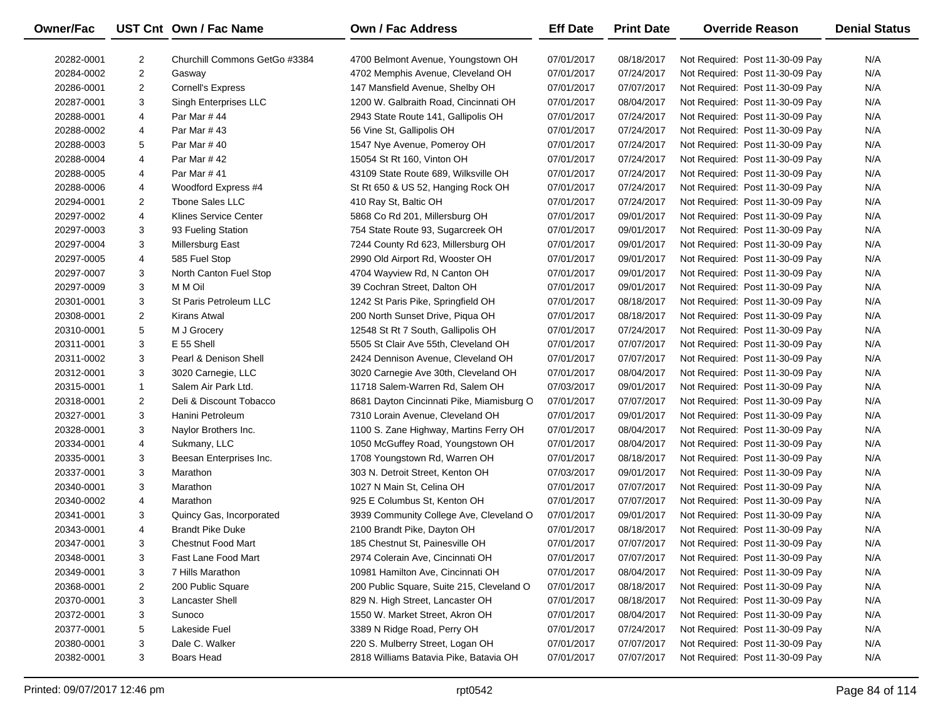| Owner/Fac  |                         | UST Cnt Own / Fac Name        | <b>Own / Fac Address</b>                  | <b>Eff Date</b> | <b>Print Date</b> | <b>Override Reason</b>          | <b>Denial Status</b> |
|------------|-------------------------|-------------------------------|-------------------------------------------|-----------------|-------------------|---------------------------------|----------------------|
| 20282-0001 | 2                       | Churchill Commons GetGo #3384 | 4700 Belmont Avenue, Youngstown OH        | 07/01/2017      | 08/18/2017        | Not Required: Post 11-30-09 Pay | N/A                  |
| 20284-0002 | $\overline{\mathbf{c}}$ | Gasway                        | 4702 Memphis Avenue, Cleveland OH         | 07/01/2017      | 07/24/2017        | Not Required: Post 11-30-09 Pay | N/A                  |
| 20286-0001 | $\overline{2}$          | <b>Cornell's Express</b>      | 147 Mansfield Avenue, Shelby OH           | 07/01/2017      | 07/07/2017        | Not Required: Post 11-30-09 Pay | N/A                  |
| 20287-0001 | 3                       | Singh Enterprises LLC         | 1200 W. Galbraith Road, Cincinnati OH     | 07/01/2017      | 08/04/2017        | Not Required: Post 11-30-09 Pay | N/A                  |
| 20288-0001 | 4                       | Par Mar #44                   | 2943 State Route 141, Gallipolis OH       | 07/01/2017      | 07/24/2017        | Not Required: Post 11-30-09 Pay | N/A                  |
| 20288-0002 | 4                       | Par Mar #43                   | 56 Vine St, Gallipolis OH                 | 07/01/2017      | 07/24/2017        | Not Required: Post 11-30-09 Pay | N/A                  |
| 20288-0003 | 5                       | Par Mar #40                   | 1547 Nye Avenue, Pomeroy OH               | 07/01/2017      | 07/24/2017        | Not Required: Post 11-30-09 Pay | N/A                  |
| 20288-0004 | 4                       | Par Mar #42                   | 15054 St Rt 160, Vinton OH                | 07/01/2017      | 07/24/2017        | Not Required: Post 11-30-09 Pay | N/A                  |
| 20288-0005 | 4                       | Par Mar # 41                  | 43109 State Route 689, Wilksville OH      | 07/01/2017      | 07/24/2017        | Not Required: Post 11-30-09 Pay | N/A                  |
| 20288-0006 | 4                       | Woodford Express #4           | St Rt 650 & US 52, Hanging Rock OH        | 07/01/2017      | 07/24/2017        | Not Required: Post 11-30-09 Pay | N/A                  |
| 20294-0001 | $\overline{2}$          | <b>Thone Sales LLC</b>        | 410 Ray St, Baltic OH                     | 07/01/2017      | 07/24/2017        | Not Required: Post 11-30-09 Pay | N/A                  |
| 20297-0002 | 4                       | <b>Klines Service Center</b>  | 5868 Co Rd 201, Millersburg OH            | 07/01/2017      | 09/01/2017        | Not Required: Post 11-30-09 Pay | N/A                  |
| 20297-0003 | 3                       | 93 Fueling Station            | 754 State Route 93, Sugarcreek OH         | 07/01/2017      | 09/01/2017        | Not Required: Post 11-30-09 Pay | N/A                  |
| 20297-0004 | 3                       | Millersburg East              | 7244 County Rd 623, Millersburg OH        | 07/01/2017      | 09/01/2017        | Not Required: Post 11-30-09 Pay | N/A                  |
| 20297-0005 | 4                       | 585 Fuel Stop                 | 2990 Old Airport Rd, Wooster OH           | 07/01/2017      | 09/01/2017        | Not Required: Post 11-30-09 Pay | N/A                  |
| 20297-0007 | 3                       | North Canton Fuel Stop        | 4704 Wayview Rd, N Canton OH              | 07/01/2017      | 09/01/2017        | Not Required: Post 11-30-09 Pay | N/A                  |
| 20297-0009 | 3                       | M M Oil                       | 39 Cochran Street, Dalton OH              | 07/01/2017      | 09/01/2017        | Not Required: Post 11-30-09 Pay | N/A                  |
| 20301-0001 | 3                       | St Paris Petroleum LLC        | 1242 St Paris Pike, Springfield OH        | 07/01/2017      | 08/18/2017        | Not Required: Post 11-30-09 Pay | N/A                  |
| 20308-0001 | $\overline{2}$          | Kirans Atwal                  | 200 North Sunset Drive, Piqua OH          | 07/01/2017      | 08/18/2017        | Not Required: Post 11-30-09 Pay | N/A                  |
| 20310-0001 | 5                       | M J Grocery                   | 12548 St Rt 7 South, Gallipolis OH        | 07/01/2017      | 07/24/2017        | Not Required: Post 11-30-09 Pay | N/A                  |
| 20311-0001 | 3                       | E 55 Shell                    | 5505 St Clair Ave 55th, Cleveland OH      | 07/01/2017      | 07/07/2017        | Not Required: Post 11-30-09 Pay | N/A                  |
| 20311-0002 | 3                       | Pearl & Denison Shell         | 2424 Dennison Avenue, Cleveland OH        | 07/01/2017      | 07/07/2017        | Not Required: Post 11-30-09 Pay | N/A                  |
| 20312-0001 | 3                       | 3020 Carnegie, LLC            | 3020 Carnegie Ave 30th, Cleveland OH      | 07/01/2017      | 08/04/2017        | Not Required: Post 11-30-09 Pay | N/A                  |
| 20315-0001 | $\mathbf{1}$            | Salem Air Park Ltd.           | 11718 Salem-Warren Rd, Salem OH           | 07/03/2017      | 09/01/2017        | Not Required: Post 11-30-09 Pay | N/A                  |
| 20318-0001 | $\overline{2}$          | Deli & Discount Tobacco       | 8681 Dayton Cincinnati Pike, Miamisburg O | 07/01/2017      | 07/07/2017        | Not Required: Post 11-30-09 Pay | N/A                  |
| 20327-0001 | 3                       | Hanini Petroleum              | 7310 Lorain Avenue, Cleveland OH          | 07/01/2017      | 09/01/2017        | Not Required: Post 11-30-09 Pay | N/A                  |
| 20328-0001 | 3                       | Naylor Brothers Inc.          | 1100 S. Zane Highway, Martins Ferry OH    | 07/01/2017      | 08/04/2017        | Not Required: Post 11-30-09 Pay | N/A                  |
| 20334-0001 | 4                       | Sukmany, LLC                  | 1050 McGuffey Road, Youngstown OH         | 07/01/2017      | 08/04/2017        | Not Required: Post 11-30-09 Pay | N/A                  |
| 20335-0001 | 3                       | Beesan Enterprises Inc.       | 1708 Youngstown Rd, Warren OH             | 07/01/2017      | 08/18/2017        | Not Required: Post 11-30-09 Pay | N/A                  |
| 20337-0001 | 3                       | Marathon                      | 303 N. Detroit Street, Kenton OH          | 07/03/2017      | 09/01/2017        | Not Required: Post 11-30-09 Pay | N/A                  |
| 20340-0001 | 3                       | Marathon                      | 1027 N Main St, Celina OH                 | 07/01/2017      | 07/07/2017        | Not Required: Post 11-30-09 Pay | N/A                  |
| 20340-0002 | 4                       | Marathon                      | 925 E Columbus St, Kenton OH              | 07/01/2017      | 07/07/2017        | Not Required: Post 11-30-09 Pay | N/A                  |
| 20341-0001 | 3                       | Quincy Gas, Incorporated      | 3939 Community College Ave, Cleveland O   | 07/01/2017      | 09/01/2017        | Not Required: Post 11-30-09 Pay | N/A                  |
| 20343-0001 | 4                       | <b>Brandt Pike Duke</b>       | 2100 Brandt Pike, Dayton OH               | 07/01/2017      | 08/18/2017        | Not Required: Post 11-30-09 Pay | N/A                  |
| 20347-0001 | 3                       | <b>Chestnut Food Mart</b>     | 185 Chestnut St, Painesville OH           | 07/01/2017      | 07/07/2017        | Not Required: Post 11-30-09 Pay | N/A                  |
| 20348-0001 | 3                       | Fast Lane Food Mart           | 2974 Colerain Ave, Cincinnati OH          | 07/01/2017      | 07/07/2017        | Not Required: Post 11-30-09 Pay | N/A                  |
| 20349-0001 | 3                       | 7 Hills Marathon              | 10981 Hamilton Ave, Cincinnati OH         | 07/01/2017      | 08/04/2017        | Not Required: Post 11-30-09 Pay | N/A                  |
| 20368-0001 | 2                       | 200 Public Square             | 200 Public Square, Suite 215, Cleveland O | 07/01/2017      | 08/18/2017        | Not Required: Post 11-30-09 Pay | N/A                  |
| 20370-0001 | 3                       | <b>Lancaster Shell</b>        | 829 N. High Street, Lancaster OH          | 07/01/2017      | 08/18/2017        | Not Required: Post 11-30-09 Pay | N/A                  |
| 20372-0001 | 3                       | Sunoco                        | 1550 W. Market Street, Akron OH           | 07/01/2017      | 08/04/2017        | Not Required: Post 11-30-09 Pay | N/A                  |
| 20377-0001 | 5                       | Lakeside Fuel                 | 3389 N Ridge Road, Perry OH               | 07/01/2017      | 07/24/2017        | Not Required: Post 11-30-09 Pay | N/A                  |
| 20380-0001 | 3                       | Dale C. Walker                | 220 S. Mulberry Street, Logan OH          | 07/01/2017      | 07/07/2017        | Not Required: Post 11-30-09 Pay | N/A                  |
| 20382-0001 | 3                       | Boars Head                    | 2818 Williams Batavia Pike, Batavia OH    | 07/01/2017      | 07/07/2017        | Not Required: Post 11-30-09 Pay | N/A                  |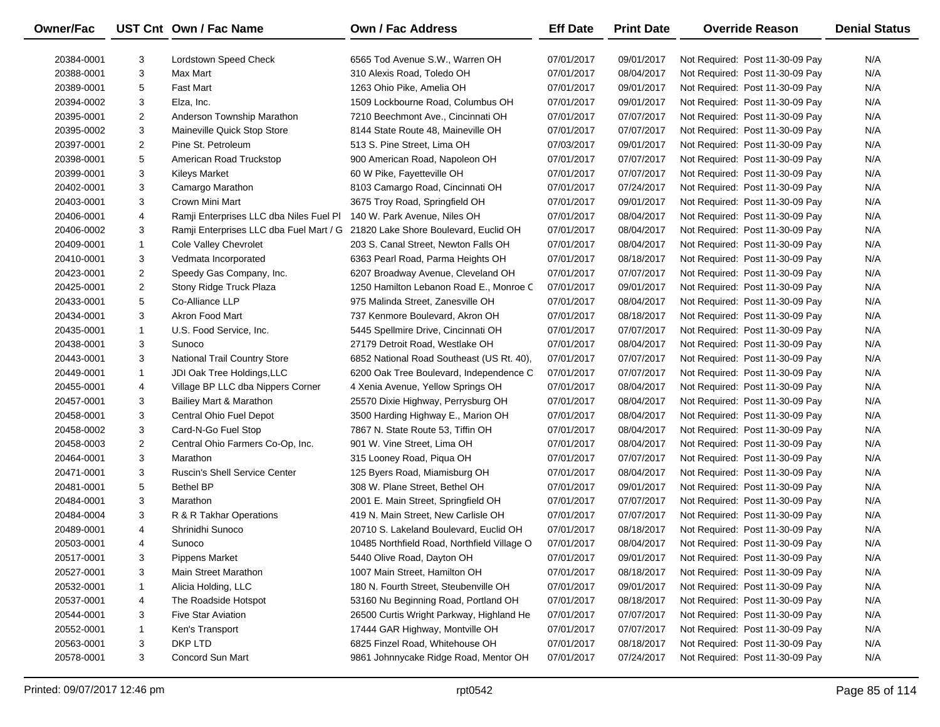| <b>Owner/Fac</b> |                | UST Cnt Own / Fac Name                  | <b>Own / Fac Address</b>                    | <b>Eff Date</b> | <b>Print Date</b> | <b>Override Reason</b>          | <b>Denial Status</b> |
|------------------|----------------|-----------------------------------------|---------------------------------------------|-----------------|-------------------|---------------------------------|----------------------|
| 20384-0001       | 3              | Lordstown Speed Check                   | 6565 Tod Avenue S.W., Warren OH             | 07/01/2017      | 09/01/2017        | Not Required: Post 11-30-09 Pay | N/A                  |
| 20388-0001       | 3              | Max Mart                                | 310 Alexis Road, Toledo OH                  | 07/01/2017      | 08/04/2017        | Not Required: Post 11-30-09 Pay | N/A                  |
| 20389-0001       | 5              | <b>Fast Mart</b>                        | 1263 Ohio Pike, Amelia OH                   | 07/01/2017      | 09/01/2017        | Not Required: Post 11-30-09 Pay | N/A                  |
| 20394-0002       | 3              | Elza, Inc.                              | 1509 Lockbourne Road, Columbus OH           | 07/01/2017      | 09/01/2017        | Not Required: Post 11-30-09 Pay | N/A                  |
| 20395-0001       | $\overline{2}$ | Anderson Township Marathon              | 7210 Beechmont Ave., Cincinnati OH          | 07/01/2017      | 07/07/2017        | Not Required: Post 11-30-09 Pay | N/A                  |
| 20395-0002       | 3              | Maineville Quick Stop Store             | 8144 State Route 48, Maineville OH          | 07/01/2017      | 07/07/2017        | Not Required: Post 11-30-09 Pay | N/A                  |
| 20397-0001       | $\overline{a}$ | Pine St. Petroleum                      | 513 S. Pine Street, Lima OH                 | 07/03/2017      | 09/01/2017        | Not Required: Post 11-30-09 Pay | N/A                  |
| 20398-0001       | 5              | American Road Truckstop                 | 900 American Road, Napoleon OH              | 07/01/2017      | 07/07/2017        | Not Required: Post 11-30-09 Pay | N/A                  |
| 20399-0001       | 3              | <b>Kileys Market</b>                    | 60 W Pike, Fayetteville OH                  | 07/01/2017      | 07/07/2017        | Not Required: Post 11-30-09 Pay | N/A                  |
| 20402-0001       | 3              | Camargo Marathon                        | 8103 Camargo Road, Cincinnati OH            | 07/01/2017      | 07/24/2017        | Not Required: Post 11-30-09 Pay | N/A                  |
| 20403-0001       | 3              | Crown Mini Mart                         | 3675 Troy Road, Springfield OH              | 07/01/2017      | 09/01/2017        | Not Required: Post 11-30-09 Pay | N/A                  |
| 20406-0001       | 4              | Ramji Enterprises LLC dba Niles Fuel Pl | 140 W. Park Avenue, Niles OH                | 07/01/2017      | 08/04/2017        | Not Required: Post 11-30-09 Pay | N/A                  |
| 20406-0002       | 3              | Ramji Enterprises LLC dba Fuel Mart / G | 21820 Lake Shore Boulevard, Euclid OH       | 07/01/2017      | 08/04/2017        | Not Required: Post 11-30-09 Pay | N/A                  |
| 20409-0001       | 1              | Cole Valley Chevrolet                   | 203 S. Canal Street, Newton Falls OH        | 07/01/2017      | 08/04/2017        | Not Required: Post 11-30-09 Pay | N/A                  |
| 20410-0001       | 3              | Vedmata Incorporated                    | 6363 Pearl Road, Parma Heights OH           | 07/01/2017      | 08/18/2017        | Not Required: Post 11-30-09 Pay | N/A                  |
| 20423-0001       | 2              | Speedy Gas Company, Inc.                | 6207 Broadway Avenue, Cleveland OH          | 07/01/2017      | 07/07/2017        | Not Required: Post 11-30-09 Pay | N/A                  |
| 20425-0001       | $\overline{2}$ | Stony Ridge Truck Plaza                 | 1250 Hamilton Lebanon Road E., Monroe C     | 07/01/2017      | 09/01/2017        | Not Required: Post 11-30-09 Pay | N/A                  |
| 20433-0001       | 5              | Co-Alliance LLP                         | 975 Malinda Street, Zanesville OH           | 07/01/2017      | 08/04/2017        | Not Required: Post 11-30-09 Pay | N/A                  |
| 20434-0001       | 3              | Akron Food Mart                         | 737 Kenmore Boulevard, Akron OH             | 07/01/2017      | 08/18/2017        | Not Required: Post 11-30-09 Pay | N/A                  |
| 20435-0001       | 1              | U.S. Food Service, Inc.                 | 5445 Spellmire Drive, Cincinnati OH         | 07/01/2017      | 07/07/2017        | Not Required: Post 11-30-09 Pay | N/A                  |
| 20438-0001       | 3              | Sunoco                                  | 27179 Detroit Road, Westlake OH             | 07/01/2017      | 08/04/2017        | Not Required: Post 11-30-09 Pay | N/A                  |
| 20443-0001       | 3              | National Trail Country Store            | 6852 National Road Southeast (US Rt. 40),   | 07/01/2017      | 07/07/2017        | Not Required: Post 11-30-09 Pay | N/A                  |
| 20449-0001       | $\mathbf{1}$   | JDI Oak Tree Holdings, LLC              | 6200 Oak Tree Boulevard, Independence C     | 07/01/2017      | 07/07/2017        | Not Required: Post 11-30-09 Pay | N/A                  |
| 20455-0001       | 4              | Village BP LLC dba Nippers Corner       | 4 Xenia Avenue, Yellow Springs OH           | 07/01/2017      | 08/04/2017        | Not Required: Post 11-30-09 Pay | N/A                  |
| 20457-0001       | 3              | Bailiey Mart & Marathon                 | 25570 Dixie Highway, Perrysburg OH          | 07/01/2017      | 08/04/2017        | Not Required: Post 11-30-09 Pay | N/A                  |
| 20458-0001       | 3              | Central Ohio Fuel Depot                 | 3500 Harding Highway E., Marion OH          | 07/01/2017      | 08/04/2017        | Not Required: Post 11-30-09 Pay | N/A                  |
| 20458-0002       | 3              | Card-N-Go Fuel Stop                     | 7867 N. State Route 53, Tiffin OH           | 07/01/2017      | 08/04/2017        | Not Required: Post 11-30-09 Pay | N/A                  |
| 20458-0003       | $\overline{2}$ | Central Ohio Farmers Co-Op, Inc.        | 901 W. Vine Street, Lima OH                 | 07/01/2017      | 08/04/2017        | Not Required: Post 11-30-09 Pay | N/A                  |
| 20464-0001       | 3              | Marathon                                | 315 Looney Road, Piqua OH                   | 07/01/2017      | 07/07/2017        | Not Required: Post 11-30-09 Pay | N/A                  |
| 20471-0001       | 3              | <b>Ruscin's Shell Service Center</b>    | 125 Byers Road, Miamisburg OH               | 07/01/2017      | 08/04/2017        | Not Required: Post 11-30-09 Pay | N/A                  |
| 20481-0001       | 5              | <b>Bethel BP</b>                        | 308 W. Plane Street, Bethel OH              | 07/01/2017      | 09/01/2017        | Not Required: Post 11-30-09 Pay | N/A                  |
| 20484-0001       | 3              | Marathon                                | 2001 E. Main Street, Springfield OH         | 07/01/2017      | 07/07/2017        | Not Required: Post 11-30-09 Pay | N/A                  |
| 20484-0004       | 3              | R & R Takhar Operations                 | 419 N. Main Street, New Carlisle OH         | 07/01/2017      | 07/07/2017        | Not Required: Post 11-30-09 Pay | N/A                  |
| 20489-0001       | 4              | Shrinidhi Sunoco                        | 20710 S. Lakeland Boulevard, Euclid OH      | 07/01/2017      | 08/18/2017        | Not Required: Post 11-30-09 Pay | N/A                  |
| 20503-0001       | 4              | Sunoco                                  | 10485 Northfield Road, Northfield Village O | 07/01/2017      | 08/04/2017        | Not Required: Post 11-30-09 Pay | N/A                  |
| 20517-0001       | 3              | <b>Pippens Market</b>                   | 5440 Olive Road, Dayton OH                  | 07/01/2017      | 09/01/2017        | Not Required: Post 11-30-09 Pay | N/A                  |
| 20527-0001       | 3              | Main Street Marathon                    | 1007 Main Street, Hamilton OH               | 07/01/2017      | 08/18/2017        | Not Required: Post 11-30-09 Pay | N/A                  |
| 20532-0001       | 1              | Alicia Holding, LLC                     | 180 N. Fourth Street, Steubenville OH       | 07/01/2017      | 09/01/2017        | Not Required: Post 11-30-09 Pay | N/A                  |
| 20537-0001       | 4              | The Roadside Hotspot                    | 53160 Nu Beginning Road, Portland OH        | 07/01/2017      | 08/18/2017        | Not Required: Post 11-30-09 Pay | N/A                  |
| 20544-0001       | 3              | <b>Five Star Aviation</b>               | 26500 Curtis Wright Parkway, Highland He    | 07/01/2017      | 07/07/2017        | Not Required: Post 11-30-09 Pay | N/A                  |
| 20552-0001       | 1              | Ken's Transport                         | 17444 GAR Highway, Montville OH             | 07/01/2017      | 07/07/2017        | Not Required: Post 11-30-09 Pay | N/A                  |
| 20563-0001       | 3              | DKP LTD                                 | 6825 Finzel Road, Whitehouse OH             | 07/01/2017      | 08/18/2017        | Not Required: Post 11-30-09 Pay | N/A                  |
| 20578-0001       | 3              | Concord Sun Mart                        | 9861 Johnnycake Ridge Road, Mentor OH       | 07/01/2017      | 07/24/2017        | Not Required: Post 11-30-09 Pay | N/A                  |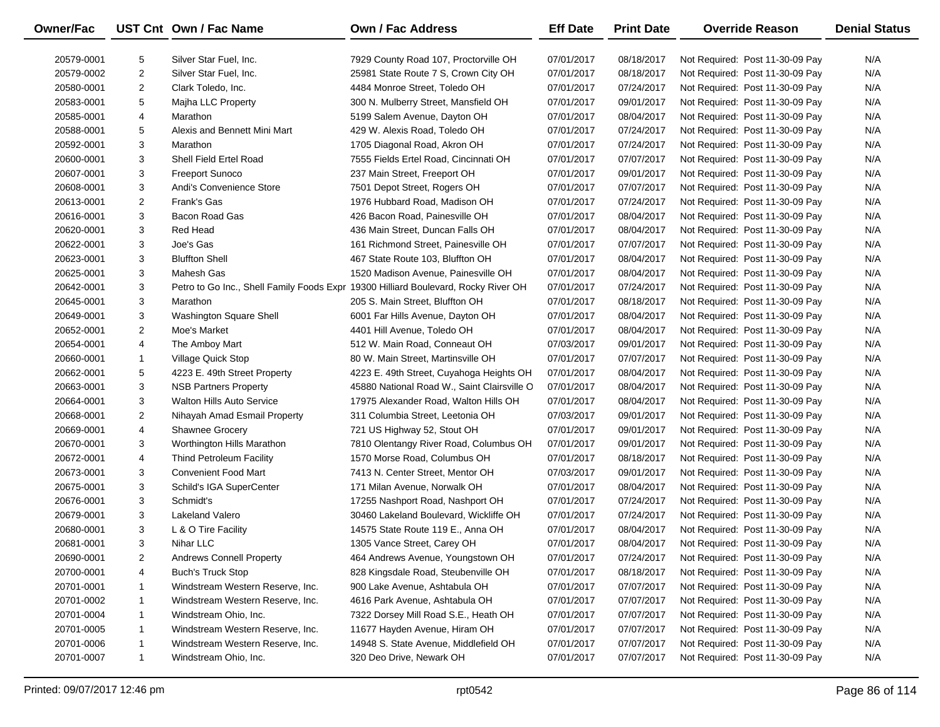| Owner/Fac  |                | UST Cnt Own / Fac Name           | <b>Own / Fac Address</b>                                                           | <b>Eff Date</b> | <b>Print Date</b> | <b>Override Reason</b>          | <b>Denial Status</b> |
|------------|----------------|----------------------------------|------------------------------------------------------------------------------------|-----------------|-------------------|---------------------------------|----------------------|
| 20579-0001 | 5              | Silver Star Fuel, Inc.           | 7929 County Road 107, Proctorville OH                                              | 07/01/2017      | 08/18/2017        | Not Required: Post 11-30-09 Pay | N/A                  |
| 20579-0002 | $\overline{2}$ | Silver Star Fuel, Inc.           | 25981 State Route 7 S, Crown City OH                                               | 07/01/2017      | 08/18/2017        | Not Required: Post 11-30-09 Pay | N/A                  |
| 20580-0001 | $\overline{2}$ | Clark Toledo, Inc.               | 4484 Monroe Street, Toledo OH                                                      | 07/01/2017      | 07/24/2017        | Not Required: Post 11-30-09 Pay | N/A                  |
| 20583-0001 | 5              | Majha LLC Property               | 300 N. Mulberry Street, Mansfield OH                                               | 07/01/2017      | 09/01/2017        | Not Required: Post 11-30-09 Pay | N/A                  |
| 20585-0001 | 4              | Marathon                         | 5199 Salem Avenue, Dayton OH                                                       | 07/01/2017      | 08/04/2017        | Not Required: Post 11-30-09 Pay | N/A                  |
| 20588-0001 | 5              | Alexis and Bennett Mini Mart     | 429 W. Alexis Road, Toledo OH                                                      | 07/01/2017      | 07/24/2017        | Not Required: Post 11-30-09 Pay | N/A                  |
| 20592-0001 | 3              | Marathon                         | 1705 Diagonal Road, Akron OH                                                       | 07/01/2017      | 07/24/2017        | Not Required: Post 11-30-09 Pay | N/A                  |
| 20600-0001 | 3              | Shell Field Ertel Road           | 7555 Fields Ertel Road, Cincinnati OH                                              | 07/01/2017      | 07/07/2017        | Not Required: Post 11-30-09 Pay | N/A                  |
| 20607-0001 | 3              | <b>Freeport Sunoco</b>           | 237 Main Street, Freeport OH                                                       | 07/01/2017      | 09/01/2017        | Not Required: Post 11-30-09 Pay | N/A                  |
| 20608-0001 | 3              | Andi's Convenience Store         | 7501 Depot Street, Rogers OH                                                       | 07/01/2017      | 07/07/2017        | Not Required: Post 11-30-09 Pay | N/A                  |
| 20613-0001 | $\overline{2}$ | Frank's Gas                      | 1976 Hubbard Road, Madison OH                                                      | 07/01/2017      | 07/24/2017        | Not Required: Post 11-30-09 Pay | N/A                  |
| 20616-0001 | 3              | Bacon Road Gas                   | 426 Bacon Road, Painesville OH                                                     | 07/01/2017      | 08/04/2017        | Not Required: Post 11-30-09 Pay | N/A                  |
| 20620-0001 | 3              | Red Head                         | 436 Main Street, Duncan Falls OH                                                   | 07/01/2017      | 08/04/2017        | Not Required: Post 11-30-09 Pay | N/A                  |
| 20622-0001 | 3              | Joe's Gas                        | 161 Richmond Street, Painesville OH                                                | 07/01/2017      | 07/07/2017        | Not Required: Post 11-30-09 Pay | N/A                  |
| 20623-0001 | 3              | <b>Bluffton Shell</b>            | 467 State Route 103, Bluffton OH                                                   | 07/01/2017      | 08/04/2017        | Not Required: Post 11-30-09 Pay | N/A                  |
| 20625-0001 | 3              | Mahesh Gas                       | 1520 Madison Avenue, Painesville OH                                                | 07/01/2017      | 08/04/2017        | Not Required: Post 11-30-09 Pay | N/A                  |
| 20642-0001 | 3              |                                  | Petro to Go Inc., Shell Family Foods Expr 19300 Hilliard Boulevard, Rocky River OH | 07/01/2017      | 07/24/2017        | Not Required: Post 11-30-09 Pay | N/A                  |
| 20645-0001 | 3              | Marathon                         | 205 S. Main Street, Bluffton OH                                                    | 07/01/2017      | 08/18/2017        | Not Required: Post 11-30-09 Pay | N/A                  |
| 20649-0001 | 3              | Washington Square Shell          | 6001 Far Hills Avenue, Dayton OH                                                   | 07/01/2017      | 08/04/2017        | Not Required: Post 11-30-09 Pay | N/A                  |
| 20652-0001 | 2              | Moe's Market                     | 4401 Hill Avenue, Toledo OH                                                        | 07/01/2017      | 08/04/2017        | Not Required: Post 11-30-09 Pay | N/A                  |
| 20654-0001 | 4              | The Amboy Mart                   | 512 W. Main Road, Conneaut OH                                                      | 07/03/2017      | 09/01/2017        | Not Required: Post 11-30-09 Pay | N/A                  |
| 20660-0001 | 1              | Village Quick Stop               | 80 W. Main Street, Martinsville OH                                                 | 07/01/2017      | 07/07/2017        | Not Required: Post 11-30-09 Pay | N/A                  |
| 20662-0001 | 5              | 4223 E. 49th Street Property     | 4223 E. 49th Street, Cuyahoga Heights OH                                           | 07/01/2017      | 08/04/2017        | Not Required: Post 11-30-09 Pay | N/A                  |
| 20663-0001 | 3              | <b>NSB Partners Property</b>     | 45880 National Road W., Saint Clairsville O                                        | 07/01/2017      | 08/04/2017        | Not Required: Post 11-30-09 Pay | N/A                  |
| 20664-0001 | 3              | <b>Walton Hills Auto Service</b> | 17975 Alexander Road, Walton Hills OH                                              | 07/01/2017      | 08/04/2017        | Not Required: Post 11-30-09 Pay | N/A                  |
| 20668-0001 | $\overline{2}$ | Nihayah Amad Esmail Property     | 311 Columbia Street, Leetonia OH                                                   | 07/03/2017      | 09/01/2017        | Not Required: Post 11-30-09 Pay | N/A                  |
| 20669-0001 | 4              | <b>Shawnee Grocery</b>           | 721 US Highway 52, Stout OH                                                        | 07/01/2017      | 09/01/2017        | Not Required: Post 11-30-09 Pay | N/A                  |
| 20670-0001 | 3              | Worthington Hills Marathon       | 7810 Olentangy River Road, Columbus OH                                             | 07/01/2017      | 09/01/2017        | Not Required: Post 11-30-09 Pay | N/A                  |
| 20672-0001 | 4              | <b>Thind Petroleum Facility</b>  | 1570 Morse Road, Columbus OH                                                       | 07/01/2017      | 08/18/2017        | Not Required: Post 11-30-09 Pay | N/A                  |
| 20673-0001 | 3              | <b>Convenient Food Mart</b>      | 7413 N. Center Street, Mentor OH                                                   | 07/03/2017      | 09/01/2017        | Not Required: Post 11-30-09 Pay | N/A                  |
| 20675-0001 | 3              | Schild's IGA SuperCenter         | 171 Milan Avenue, Norwalk OH                                                       | 07/01/2017      | 08/04/2017        | Not Required: Post 11-30-09 Pay | N/A                  |
| 20676-0001 | 3              | Schmidt's                        | 17255 Nashport Road, Nashport OH                                                   | 07/01/2017      | 07/24/2017        | Not Required: Post 11-30-09 Pay | N/A                  |
| 20679-0001 | 3              | Lakeland Valero                  | 30460 Lakeland Boulevard, Wickliffe OH                                             | 07/01/2017      | 07/24/2017        | Not Required: Post 11-30-09 Pay | N/A                  |
| 20680-0001 | 3              | L & O Tire Facility              | 14575 State Route 119 E., Anna OH                                                  | 07/01/2017      | 08/04/2017        | Not Required: Post 11-30-09 Pay | N/A                  |
| 20681-0001 | 3              | Nihar LLC                        | 1305 Vance Street, Carey OH                                                        | 07/01/2017      | 08/04/2017        | Not Required: Post 11-30-09 Pay | N/A                  |
| 20690-0001 | 2              | <b>Andrews Connell Property</b>  | 464 Andrews Avenue, Youngstown OH                                                  | 07/01/2017      | 07/24/2017        | Not Required: Post 11-30-09 Pay | N/A                  |
| 20700-0001 | 4              | Buch's Truck Stop                | 828 Kingsdale Road, Steubenville OH                                                | 07/01/2017      | 08/18/2017        | Not Required: Post 11-30-09 Pay | N/A                  |
| 20701-0001 | 1              | Windstream Western Reserve, Inc. | 900 Lake Avenue, Ashtabula OH                                                      | 07/01/2017      | 07/07/2017        | Not Required: Post 11-30-09 Pay | N/A                  |
| 20701-0002 | 1              | Windstream Western Reserve, Inc. | 4616 Park Avenue, Ashtabula OH                                                     | 07/01/2017      | 07/07/2017        | Not Required: Post 11-30-09 Pay | N/A                  |
| 20701-0004 | 1              | Windstream Ohio, Inc.            | 7322 Dorsey Mill Road S.E., Heath OH                                               | 07/01/2017      | 07/07/2017        | Not Required: Post 11-30-09 Pay | N/A                  |
| 20701-0005 | 1              | Windstream Western Reserve, Inc. | 11677 Hayden Avenue, Hiram OH                                                      | 07/01/2017      | 07/07/2017        | Not Required: Post 11-30-09 Pay | N/A                  |
| 20701-0006 | 1              | Windstream Western Reserve, Inc. | 14948 S. State Avenue, Middlefield OH                                              | 07/01/2017      | 07/07/2017        | Not Required: Post 11-30-09 Pay | N/A                  |
| 20701-0007 | $\mathbf{1}$   | Windstream Ohio, Inc.            | 320 Deo Drive, Newark OH                                                           | 07/01/2017      | 07/07/2017        | Not Required: Post 11-30-09 Pay | N/A                  |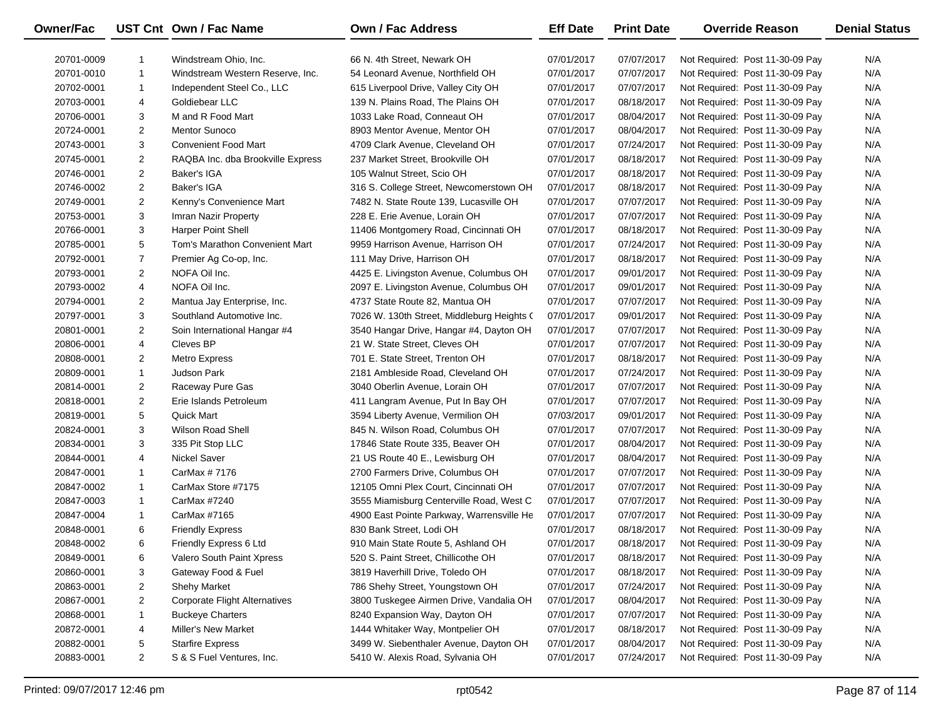| <b>Owner/Fac</b> |                | UST Cnt Own / Fac Name               | <b>Own / Fac Address</b>                   | <b>Eff Date</b> | <b>Print Date</b> | <b>Override Reason</b>          | <b>Denial Status</b> |
|------------------|----------------|--------------------------------------|--------------------------------------------|-----------------|-------------------|---------------------------------|----------------------|
| 20701-0009       | -1             | Windstream Ohio, Inc.                | 66 N. 4th Street, Newark OH                | 07/01/2017      | 07/07/2017        | Not Required: Post 11-30-09 Pay | N/A                  |
| 20701-0010       | $\mathbf{1}$   | Windstream Western Reserve, Inc.     | 54 Leonard Avenue, Northfield OH           | 07/01/2017      | 07/07/2017        | Not Required: Post 11-30-09 Pay | N/A                  |
| 20702-0001       | 1              | Independent Steel Co., LLC           | 615 Liverpool Drive, Valley City OH        | 07/01/2017      | 07/07/2017        | Not Required: Post 11-30-09 Pay | N/A                  |
| 20703-0001       | 4              | Goldiebear LLC                       | 139 N. Plains Road, The Plains OH          | 07/01/2017      | 08/18/2017        | Not Required: Post 11-30-09 Pay | N/A                  |
| 20706-0001       | 3              | M and R Food Mart                    | 1033 Lake Road, Conneaut OH                | 07/01/2017      | 08/04/2017        | Not Required: Post 11-30-09 Pay | N/A                  |
| 20724-0001       | $\overline{2}$ | <b>Mentor Sunoco</b>                 | 8903 Mentor Avenue, Mentor OH              | 07/01/2017      | 08/04/2017        | Not Required: Post 11-30-09 Pay | N/A                  |
| 20743-0001       | 3              | <b>Convenient Food Mart</b>          | 4709 Clark Avenue, Cleveland OH            | 07/01/2017      | 07/24/2017        | Not Required: Post 11-30-09 Pay | N/A                  |
| 20745-0001       | $\overline{a}$ | RAQBA Inc. dba Brookville Express    | 237 Market Street, Brookville OH           | 07/01/2017      | 08/18/2017        | Not Required: Post 11-30-09 Pay | N/A                  |
| 20746-0001       | $\overline{2}$ | Baker's IGA                          | 105 Walnut Street, Scio OH                 | 07/01/2017      | 08/18/2017        | Not Required: Post 11-30-09 Pay | N/A                  |
| 20746-0002       | $\overline{2}$ | <b>Baker's IGA</b>                   | 316 S. College Street, Newcomerstown OH    | 07/01/2017      | 08/18/2017        | Not Required: Post 11-30-09 Pay | N/A                  |
| 20749-0001       | $\overline{a}$ | Kenny's Convenience Mart             | 7482 N. State Route 139, Lucasville OH     | 07/01/2017      | 07/07/2017        | Not Required: Post 11-30-09 Pay | N/A                  |
| 20753-0001       | 3              | Imran Nazir Property                 | 228 E. Erie Avenue, Lorain OH              | 07/01/2017      | 07/07/2017        | Not Required: Post 11-30-09 Pay | N/A                  |
| 20766-0001       | 3              | <b>Harper Point Shell</b>            | 11406 Montgomery Road, Cincinnati OH       | 07/01/2017      | 08/18/2017        | Not Required: Post 11-30-09 Pay | N/A                  |
| 20785-0001       | 5              | Tom's Marathon Convenient Mart       | 9959 Harrison Avenue, Harrison OH          | 07/01/2017      | 07/24/2017        | Not Required: Post 11-30-09 Pay | N/A                  |
| 20792-0001       | $\overline{7}$ | Premier Ag Co-op, Inc.               | 111 May Drive, Harrison OH                 | 07/01/2017      | 08/18/2017        | Not Required: Post 11-30-09 Pay | N/A                  |
| 20793-0001       | $\overline{2}$ | NOFA Oil Inc.                        | 4425 E. Livingston Avenue, Columbus OH     | 07/01/2017      | 09/01/2017        | Not Required: Post 11-30-09 Pay | N/A                  |
| 20793-0002       | 4              | NOFA Oil Inc.                        | 2097 E. Livingston Avenue, Columbus OH     | 07/01/2017      | 09/01/2017        | Not Required: Post 11-30-09 Pay | N/A                  |
| 20794-0001       | $\overline{2}$ | Mantua Jay Enterprise, Inc.          | 4737 State Route 82, Mantua OH             | 07/01/2017      | 07/07/2017        | Not Required: Post 11-30-09 Pay | N/A                  |
| 20797-0001       | 3              | Southland Automotive Inc.            | 7026 W. 130th Street, Middleburg Heights ( | 07/01/2017      | 09/01/2017        | Not Required: Post 11-30-09 Pay | N/A                  |
| 20801-0001       | $\overline{2}$ | Soin International Hangar #4         | 3540 Hangar Drive, Hangar #4, Dayton OH    | 07/01/2017      | 07/07/2017        | Not Required: Post 11-30-09 Pay | N/A                  |
| 20806-0001       | 4              | Cleves BP                            | 21 W. State Street, Cleves OH              | 07/01/2017      | 07/07/2017        | Not Required: Post 11-30-09 Pay | N/A                  |
| 20808-0001       | $\overline{2}$ | <b>Metro Express</b>                 | 701 E. State Street, Trenton OH            | 07/01/2017      | 08/18/2017        | Not Required: Post 11-30-09 Pay | N/A                  |
| 20809-0001       | $\mathbf{1}$   | <b>Judson Park</b>                   | 2181 Ambleside Road, Cleveland OH          | 07/01/2017      | 07/24/2017        | Not Required: Post 11-30-09 Pay | N/A                  |
| 20814-0001       | $\overline{2}$ | Raceway Pure Gas                     | 3040 Oberlin Avenue, Lorain OH             | 07/01/2017      | 07/07/2017        | Not Required: Post 11-30-09 Pay | N/A                  |
| 20818-0001       | $\overline{2}$ | Erie Islands Petroleum               | 411 Langram Avenue, Put In Bay OH          | 07/01/2017      | 07/07/2017        | Not Required: Post 11-30-09 Pay | N/A                  |
| 20819-0001       | 5              | <b>Quick Mart</b>                    | 3594 Liberty Avenue, Vermilion OH          | 07/03/2017      | 09/01/2017        | Not Required: Post 11-30-09 Pay | N/A                  |
| 20824-0001       | 3              | <b>Wilson Road Shell</b>             | 845 N. Wilson Road, Columbus OH            | 07/01/2017      | 07/07/2017        | Not Required: Post 11-30-09 Pay | N/A                  |
| 20834-0001       | 3              | 335 Pit Stop LLC                     | 17846 State Route 335, Beaver OH           | 07/01/2017      | 08/04/2017        | Not Required: Post 11-30-09 Pay | N/A                  |
| 20844-0001       | 4              | <b>Nickel Saver</b>                  | 21 US Route 40 E., Lewisburg OH            | 07/01/2017      | 08/04/2017        | Not Required: Post 11-30-09 Pay | N/A                  |
| 20847-0001       | 1              | CarMax # 7176                        | 2700 Farmers Drive, Columbus OH            | 07/01/2017      | 07/07/2017        | Not Required: Post 11-30-09 Pay | N/A                  |
| 20847-0002       | $\mathbf{1}$   | CarMax Store #7175                   | 12105 Omni Plex Court, Cincinnati OH       | 07/01/2017      | 07/07/2017        | Not Required: Post 11-30-09 Pay | N/A                  |
| 20847-0003       | 1              | CarMax #7240                         | 3555 Miamisburg Centerville Road, West C   | 07/01/2017      | 07/07/2017        | Not Required: Post 11-30-09 Pay | N/A                  |
| 20847-0004       | 1              | CarMax #7165                         | 4900 East Pointe Parkway, Warrensville He  | 07/01/2017      | 07/07/2017        | Not Required: Post 11-30-09 Pay | N/A                  |
| 20848-0001       | 6              | <b>Friendly Express</b>              | 830 Bank Street, Lodi OH                   | 07/01/2017      | 08/18/2017        | Not Required: Post 11-30-09 Pay | N/A                  |
| 20848-0002       | 6              | Friendly Express 6 Ltd               | 910 Main State Route 5, Ashland OH         | 07/01/2017      | 08/18/2017        | Not Required: Post 11-30-09 Pay | N/A                  |
| 20849-0001       | 6              | Valero South Paint Xpress            | 520 S. Paint Street, Chillicothe OH        | 07/01/2017      | 08/18/2017        | Not Required: Post 11-30-09 Pay | N/A                  |
| 20860-0001       | 3              | Gateway Food & Fuel                  | 3819 Haverhill Drive, Toledo OH            | 07/01/2017      | 08/18/2017        | Not Required: Post 11-30-09 Pay | N/A                  |
| 20863-0001       | 2              | Shehy Market                         | 786 Shehy Street, Youngstown OH            | 07/01/2017      | 07/24/2017        | Not Required: Post 11-30-09 Pay | N/A                  |
| 20867-0001       | 2              | <b>Corporate Flight Alternatives</b> | 3800 Tuskegee Airmen Drive, Vandalia OH    | 07/01/2017      | 08/04/2017        | Not Required: Post 11-30-09 Pay | N/A                  |
| 20868-0001       | 1              | <b>Buckeye Charters</b>              | 8240 Expansion Way, Dayton OH              | 07/01/2017      | 07/07/2017        | Not Required: Post 11-30-09 Pay | N/A                  |
| 20872-0001       | 4              | <b>Miller's New Market</b>           | 1444 Whitaker Way, Montpelier OH           | 07/01/2017      | 08/18/2017        | Not Required: Post 11-30-09 Pay | N/A                  |
| 20882-0001       | 5              | <b>Starfire Express</b>              | 3499 W. Siebenthaler Avenue, Dayton OH     | 07/01/2017      | 08/04/2017        | Not Required: Post 11-30-09 Pay | N/A                  |
| 20883-0001       | $\overline{2}$ | S & S Fuel Ventures, Inc.            | 5410 W. Alexis Road, Sylvania OH           | 07/01/2017      | 07/24/2017        | Not Required: Post 11-30-09 Pay | N/A                  |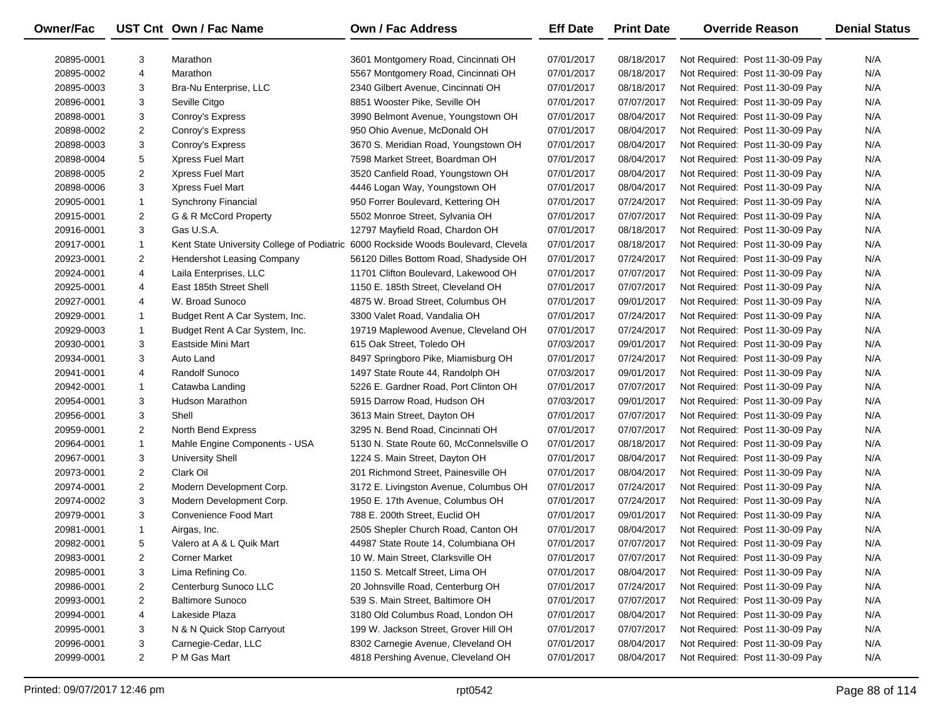| Owner/Fac  |                | UST Cnt Own / Fac Name            | <b>Own / Fac Address</b>                                                          | <b>Eff Date</b>          | <b>Print Date</b> | <b>Override Reason</b>                                             | <b>Denial Status</b> |
|------------|----------------|-----------------------------------|-----------------------------------------------------------------------------------|--------------------------|-------------------|--------------------------------------------------------------------|----------------------|
| 20895-0001 | 3              |                                   | 3601 Montgomery Road, Cincinnati OH                                               |                          | 08/18/2017        |                                                                    | N/A                  |
| 20895-0002 | 4              | Marathon<br>Marathon              | 5567 Montgomery Road, Cincinnati OH                                               | 07/01/2017<br>07/01/2017 | 08/18/2017        | Not Required: Post 11-30-09 Pay<br>Not Required: Post 11-30-09 Pay | N/A                  |
|            | 3              |                                   | 2340 Gilbert Avenue, Cincinnati OH                                                |                          |                   |                                                                    | N/A                  |
| 20895-0003 |                | Bra-Nu Enterprise, LLC            |                                                                                   | 07/01/2017               | 08/18/2017        | Not Required: Post 11-30-09 Pay                                    |                      |
| 20896-0001 | 3              | Seville Citgo                     | 8851 Wooster Pike, Seville OH                                                     | 07/01/2017               | 07/07/2017        | Not Required: Post 11-30-09 Pay                                    | N/A                  |
| 20898-0001 | 3              | Conroy's Express                  | 3990 Belmont Avenue, Youngstown OH                                                | 07/01/2017               | 08/04/2017        | Not Required: Post 11-30-09 Pay                                    | N/A                  |
| 20898-0002 | $\overline{2}$ | Conroy's Express                  | 950 Ohio Avenue, McDonald OH                                                      | 07/01/2017               | 08/04/2017        | Not Required: Post 11-30-09 Pay                                    | N/A                  |
| 20898-0003 | 3              | Conroy's Express                  | 3670 S. Meridian Road, Youngstown OH                                              | 07/01/2017               | 08/04/2017        | Not Required: Post 11-30-09 Pay                                    | N/A                  |
| 20898-0004 | 5              | Xpress Fuel Mart                  | 7598 Market Street, Boardman OH                                                   | 07/01/2017               | 08/04/2017        | Not Required: Post 11-30-09 Pay                                    | N/A                  |
| 20898-0005 | $\overline{2}$ | Xpress Fuel Mart                  | 3520 Canfield Road, Youngstown OH                                                 | 07/01/2017               | 08/04/2017        | Not Required: Post 11-30-09 Pay                                    | N/A                  |
| 20898-0006 | 3              | Xpress Fuel Mart                  | 4446 Logan Way, Youngstown OH                                                     | 07/01/2017               | 08/04/2017        | Not Required: Post 11-30-09 Pay                                    | N/A                  |
| 20905-0001 | $\mathbf{1}$   | <b>Synchrony Financial</b>        | 950 Forrer Boulevard, Kettering OH                                                | 07/01/2017               | 07/24/2017        | Not Required: Post 11-30-09 Pay                                    | N/A                  |
| 20915-0001 | $\overline{2}$ | G & R McCord Property             | 5502 Monroe Street, Sylvania OH                                                   | 07/01/2017               | 07/07/2017        | Not Required: Post 11-30-09 Pay                                    | N/A                  |
| 20916-0001 | 3              | Gas U.S.A.                        | 12797 Mayfield Road, Chardon OH                                                   | 07/01/2017               | 08/18/2017        | Not Required: Post 11-30-09 Pay                                    | N/A                  |
| 20917-0001 | $\mathbf{1}$   |                                   | Kent State University College of Podiatric 6000 Rockside Woods Boulevard, Clevela | 07/01/2017               | 08/18/2017        | Not Required: Post 11-30-09 Pay                                    | N/A                  |
| 20923-0001 | $\overline{2}$ | <b>Hendershot Leasing Company</b> | 56120 Dilles Bottom Road, Shadyside OH                                            | 07/01/2017               | 07/24/2017        | Not Required: Post 11-30-09 Pay                                    | N/A                  |
| 20924-0001 | 4              | Laila Enterprises, LLC            | 11701 Clifton Boulevard, Lakewood OH                                              | 07/01/2017               | 07/07/2017        | Not Required: Post 11-30-09 Pay                                    | N/A                  |
| 20925-0001 | 4              | East 185th Street Shell           | 1150 E. 185th Street, Cleveland OH                                                | 07/01/2017               | 07/07/2017        | Not Required: Post 11-30-09 Pay                                    | N/A                  |
| 20927-0001 | 4              | W. Broad Sunoco                   | 4875 W. Broad Street, Columbus OH                                                 | 07/01/2017               | 09/01/2017        | Not Required: Post 11-30-09 Pay                                    | N/A                  |
| 20929-0001 | 1              | Budget Rent A Car System, Inc.    | 3300 Valet Road, Vandalia OH                                                      | 07/01/2017               | 07/24/2017        | Not Required: Post 11-30-09 Pay                                    | N/A                  |
| 20929-0003 | $\mathbf{1}$   | Budget Rent A Car System, Inc.    | 19719 Maplewood Avenue, Cleveland OH                                              | 07/01/2017               | 07/24/2017        | Not Required: Post 11-30-09 Pay                                    | N/A                  |
| 20930-0001 | 3              | Eastside Mini Mart                | 615 Oak Street, Toledo OH                                                         | 07/03/2017               | 09/01/2017        | Not Required: Post 11-30-09 Pay                                    | N/A                  |
| 20934-0001 | 3              | Auto Land                         | 8497 Springboro Pike, Miamisburg OH                                               | 07/01/2017               | 07/24/2017        | Not Required: Post 11-30-09 Pay                                    | N/A                  |
| 20941-0001 | 4              | Randolf Sunoco                    | 1497 State Route 44, Randolph OH                                                  | 07/03/2017               | 09/01/2017        | Not Required: Post 11-30-09 Pay                                    | N/A                  |
| 20942-0001 | 1              | Catawba Landing                   | 5226 E. Gardner Road, Port Clinton OH                                             | 07/01/2017               | 07/07/2017        | Not Required: Post 11-30-09 Pay                                    | N/A                  |
| 20954-0001 | 3              | <b>Hudson Marathon</b>            | 5915 Darrow Road, Hudson OH                                                       | 07/03/2017               | 09/01/2017        | Not Required: Post 11-30-09 Pay                                    | N/A                  |
| 20956-0001 | 3              | Shell                             | 3613 Main Street, Dayton OH                                                       | 07/01/2017               | 07/07/2017        | Not Required: Post 11-30-09 Pay                                    | N/A                  |
| 20959-0001 | $\overline{2}$ | North Bend Express                | 3295 N. Bend Road, Cincinnati OH                                                  | 07/01/2017               | 07/07/2017        | Not Required: Post 11-30-09 Pay                                    | N/A                  |
| 20964-0001 | $\mathbf{1}$   | Mahle Engine Components - USA     | 5130 N. State Route 60, McConnelsville O                                          | 07/01/2017               | 08/18/2017        | Not Required: Post 11-30-09 Pay                                    | N/A                  |
| 20967-0001 | 3              | <b>University Shell</b>           | 1224 S. Main Street, Dayton OH                                                    | 07/01/2017               | 08/04/2017        | Not Required: Post 11-30-09 Pay                                    | N/A                  |
| 20973-0001 | $\overline{2}$ | Clark Oil                         | 201 Richmond Street, Painesville OH                                               | 07/01/2017               | 08/04/2017        | Not Required: Post 11-30-09 Pay                                    | N/A                  |
| 20974-0001 | $\overline{2}$ | Modern Development Corp.          | 3172 E. Livingston Avenue, Columbus OH                                            | 07/01/2017               | 07/24/2017        | Not Required: Post 11-30-09 Pay                                    | N/A                  |
| 20974-0002 | 3              | Modern Development Corp.          | 1950 E. 17th Avenue, Columbus OH                                                  | 07/01/2017               | 07/24/2017        | Not Required: Post 11-30-09 Pay                                    | N/A                  |
| 20979-0001 | 3              | Convenience Food Mart             | 788 E. 200th Street, Euclid OH                                                    | 07/01/2017               | 09/01/2017        | Not Required: Post 11-30-09 Pay                                    | N/A                  |
| 20981-0001 | $\mathbf{1}$   | Airgas, Inc.                      | 2505 Shepler Church Road, Canton OH                                               | 07/01/2017               | 08/04/2017        | Not Required: Post 11-30-09 Pay                                    | N/A                  |
| 20982-0001 | 5              | Valero at A & L Quik Mart         | 44987 State Route 14, Columbiana OH                                               | 07/01/2017               | 07/07/2017        | Not Required: Post 11-30-09 Pay                                    | N/A                  |
| 20983-0001 | 2              | <b>Corner Market</b>              | 10 W. Main Street, Clarksville OH                                                 | 07/01/2017               | 07/07/2017        | Not Required: Post 11-30-09 Pay                                    | N/A                  |
| 20985-0001 | 3              | Lima Refining Co.                 | 1150 S. Metcalf Street, Lima OH                                                   | 07/01/2017               | 08/04/2017        | Not Required: Post 11-30-09 Pay                                    | N/A                  |
| 20986-0001 | 2              | Centerburg Sunoco LLC             | 20 Johnsville Road, Centerburg OH                                                 | 07/01/2017               | 07/24/2017        | Not Required: Post 11-30-09 Pay                                    | N/A                  |
| 20993-0001 | $\overline{a}$ | <b>Baltimore Sunoco</b>           | 539 S. Main Street, Baltimore OH                                                  | 07/01/2017               | 07/07/2017        | Not Required: Post 11-30-09 Pay                                    | N/A                  |
| 20994-0001 | 4              | Lakeside Plaza                    | 3180 Old Columbus Road, London OH                                                 | 07/01/2017               | 08/04/2017        | Not Required: Post 11-30-09 Pay                                    | N/A                  |
| 20995-0001 | 3              | N & N Quick Stop Carryout         | 199 W. Jackson Street, Grover Hill OH                                             | 07/01/2017               | 07/07/2017        | Not Required: Post 11-30-09 Pay                                    | N/A                  |
| 20996-0001 | 3              | Carnegie-Cedar, LLC               | 8302 Carnegie Avenue, Cleveland OH                                                | 07/01/2017               | 08/04/2017        | Not Required: Post 11-30-09 Pay                                    | N/A                  |
| 20999-0001 | $\overline{2}$ | P M Gas Mart                      | 4818 Pershing Avenue, Cleveland OH                                                | 07/01/2017               | 08/04/2017        | Not Required: Post 11-30-09 Pay                                    | N/A                  |
|            |                |                                   |                                                                                   |                          |                   |                                                                    |                      |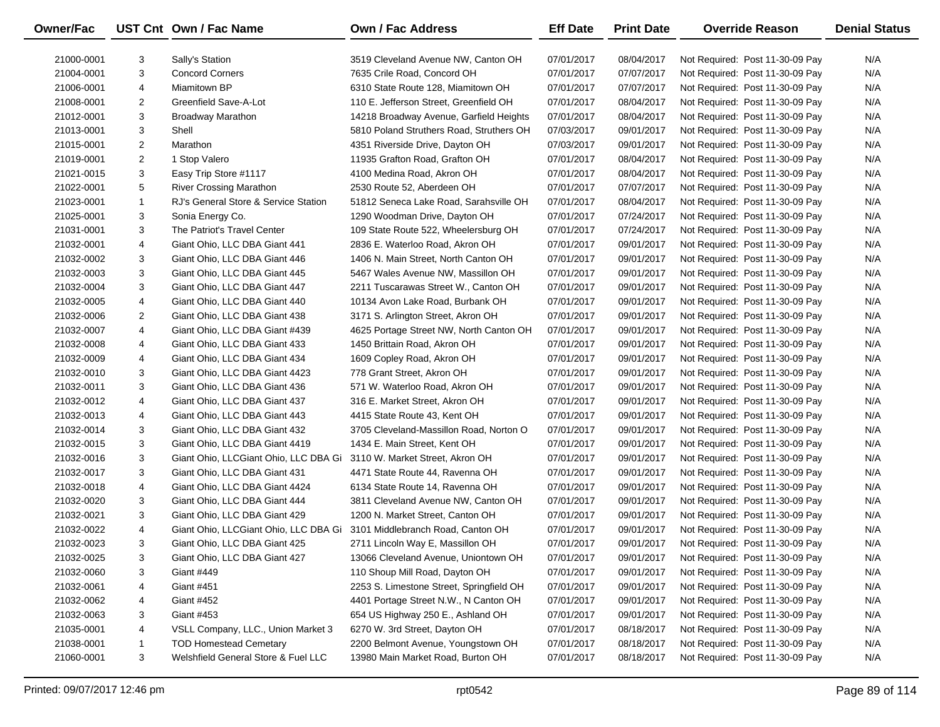| Owner/Fac  |                | UST Cnt Own / Fac Name                | <b>Own / Fac Address</b>                 | <b>Eff Date</b> | <b>Print Date</b> | <b>Override Reason</b>          | <b>Denial Status</b> |
|------------|----------------|---------------------------------------|------------------------------------------|-----------------|-------------------|---------------------------------|----------------------|
| 21000-0001 | 3              | Sally's Station                       | 3519 Cleveland Avenue NW, Canton OH      | 07/01/2017      | 08/04/2017        | Not Required: Post 11-30-09 Pay | N/A                  |
| 21004-0001 | 3              | <b>Concord Corners</b>                | 7635 Crile Road, Concord OH              | 07/01/2017      | 07/07/2017        | Not Required: Post 11-30-09 Pay | N/A                  |
| 21006-0001 | 4              | Miamitown BP                          | 6310 State Route 128, Miamitown OH       | 07/01/2017      | 07/07/2017        | Not Required: Post 11-30-09 Pay | N/A                  |
| 21008-0001 | $\overline{2}$ | Greenfield Save-A-Lot                 | 110 E. Jefferson Street, Greenfield OH   | 07/01/2017      | 08/04/2017        | Not Required: Post 11-30-09 Pay | N/A                  |
| 21012-0001 | 3              | Broadway Marathon                     | 14218 Broadway Avenue, Garfield Heights  | 07/01/2017      | 08/04/2017        | Not Required: Post 11-30-09 Pay | N/A                  |
| 21013-0001 | 3              | Shell                                 | 5810 Poland Struthers Road, Struthers OH | 07/03/2017      | 09/01/2017        | Not Required: Post 11-30-09 Pay | N/A                  |
| 21015-0001 | $\overline{2}$ | Marathon                              | 4351 Riverside Drive, Dayton OH          | 07/03/2017      | 09/01/2017        | Not Required: Post 11-30-09 Pay | N/A                  |
| 21019-0001 | $\overline{2}$ | 1 Stop Valero                         | 11935 Grafton Road, Grafton OH           | 07/01/2017      | 08/04/2017        | Not Required: Post 11-30-09 Pay | N/A                  |
| 21021-0015 | 3              | Easy Trip Store #1117                 | 4100 Medina Road, Akron OH               | 07/01/2017      | 08/04/2017        | Not Required: Post 11-30-09 Pay | N/A                  |
| 21022-0001 | 5              | <b>River Crossing Marathon</b>        | 2530 Route 52, Aberdeen OH               | 07/01/2017      | 07/07/2017        | Not Required: Post 11-30-09 Pay | N/A                  |
| 21023-0001 | $\mathbf{1}$   | RJ's General Store & Service Station  | 51812 Seneca Lake Road, Sarahsville OH   | 07/01/2017      | 08/04/2017        | Not Required: Post 11-30-09 Pay | N/A                  |
| 21025-0001 | 3              | Sonia Energy Co.                      | 1290 Woodman Drive, Dayton OH            | 07/01/2017      | 07/24/2017        | Not Required: Post 11-30-09 Pay | N/A                  |
| 21031-0001 | 3              | The Patriot's Travel Center           | 109 State Route 522, Wheelersburg OH     | 07/01/2017      | 07/24/2017        | Not Required: Post 11-30-09 Pay | N/A                  |
| 21032-0001 | 4              | Giant Ohio, LLC DBA Giant 441         | 2836 E. Waterloo Road, Akron OH          | 07/01/2017      | 09/01/2017        | Not Required: Post 11-30-09 Pay | N/A                  |
| 21032-0002 | 3              | Giant Ohio, LLC DBA Giant 446         | 1406 N. Main Street, North Canton OH     | 07/01/2017      | 09/01/2017        | Not Required: Post 11-30-09 Pay | N/A                  |
| 21032-0003 | 3              | Giant Ohio, LLC DBA Giant 445         | 5467 Wales Avenue NW, Massillon OH       | 07/01/2017      | 09/01/2017        | Not Required: Post 11-30-09 Pay | N/A                  |
| 21032-0004 | 3              | Giant Ohio, LLC DBA Giant 447         | 2211 Tuscarawas Street W., Canton OH     | 07/01/2017      | 09/01/2017        | Not Required: Post 11-30-09 Pay | N/A                  |
| 21032-0005 | 4              | Giant Ohio, LLC DBA Giant 440         | 10134 Avon Lake Road, Burbank OH         | 07/01/2017      | 09/01/2017        | Not Required: Post 11-30-09 Pay | N/A                  |
| 21032-0006 | $\overline{2}$ | Giant Ohio, LLC DBA Giant 438         | 3171 S. Arlington Street, Akron OH       | 07/01/2017      | 09/01/2017        | Not Required: Post 11-30-09 Pay | N/A                  |
| 21032-0007 | 4              | Giant Ohio, LLC DBA Giant #439        | 4625 Portage Street NW, North Canton OH  | 07/01/2017      | 09/01/2017        | Not Required: Post 11-30-09 Pay | N/A                  |
| 21032-0008 | 4              | Giant Ohio, LLC DBA Giant 433         | 1450 Brittain Road, Akron OH             | 07/01/2017      | 09/01/2017        | Not Required: Post 11-30-09 Pay | N/A                  |
| 21032-0009 | 4              | Giant Ohio, LLC DBA Giant 434         | 1609 Copley Road, Akron OH               | 07/01/2017      | 09/01/2017        | Not Required: Post 11-30-09 Pay | N/A                  |
| 21032-0010 | 3              | Giant Ohio, LLC DBA Giant 4423        | 778 Grant Street, Akron OH               | 07/01/2017      | 09/01/2017        | Not Required: Post 11-30-09 Pay | N/A                  |
| 21032-0011 | 3              | Giant Ohio, LLC DBA Giant 436         | 571 W. Waterloo Road, Akron OH           | 07/01/2017      | 09/01/2017        | Not Required: Post 11-30-09 Pay | N/A                  |
| 21032-0012 | 4              | Giant Ohio, LLC DBA Giant 437         | 316 E. Market Street, Akron OH           | 07/01/2017      | 09/01/2017        | Not Required: Post 11-30-09 Pay | N/A                  |
| 21032-0013 | 4              | Giant Ohio, LLC DBA Giant 443         | 4415 State Route 43, Kent OH             | 07/01/2017      | 09/01/2017        | Not Required: Post 11-30-09 Pay | N/A                  |
| 21032-0014 | 3              | Giant Ohio, LLC DBA Giant 432         | 3705 Cleveland-Massillon Road, Norton O  | 07/01/2017      | 09/01/2017        | Not Required: Post 11-30-09 Pay | N/A                  |
| 21032-0015 | 3              | Giant Ohio, LLC DBA Giant 4419        | 1434 E. Main Street, Kent OH             | 07/01/2017      | 09/01/2017        | Not Required: Post 11-30-09 Pay | N/A                  |
| 21032-0016 | 3              | Giant Ohio, LLCGiant Ohio, LLC DBA Gi | 3110 W. Market Street, Akron OH          | 07/01/2017      | 09/01/2017        | Not Required: Post 11-30-09 Pay | N/A                  |
| 21032-0017 | 3              | Giant Ohio, LLC DBA Giant 431         | 4471 State Route 44, Ravenna OH          | 07/01/2017      | 09/01/2017        | Not Required: Post 11-30-09 Pay | N/A                  |
| 21032-0018 | 4              | Giant Ohio, LLC DBA Giant 4424        | 6134 State Route 14, Ravenna OH          | 07/01/2017      | 09/01/2017        | Not Required: Post 11-30-09 Pay | N/A                  |
| 21032-0020 | 3              | Giant Ohio, LLC DBA Giant 444         | 3811 Cleveland Avenue NW, Canton OH      | 07/01/2017      | 09/01/2017        | Not Required: Post 11-30-09 Pay | N/A                  |
| 21032-0021 | 3              | Giant Ohio, LLC DBA Giant 429         | 1200 N. Market Street, Canton OH         | 07/01/2017      | 09/01/2017        | Not Required: Post 11-30-09 Pay | N/A                  |
| 21032-0022 | 4              | Giant Ohio, LLCGiant Ohio, LLC DBA Gi | 3101 Middlebranch Road, Canton OH        | 07/01/2017      | 09/01/2017        | Not Required: Post 11-30-09 Pay | N/A                  |
| 21032-0023 | 3              | Giant Ohio, LLC DBA Giant 425         | 2711 Lincoln Way E, Massillon OH         | 07/01/2017      | 09/01/2017        | Not Required: Post 11-30-09 Pay | N/A                  |
| 21032-0025 | 3              | Giant Ohio, LLC DBA Giant 427         | 13066 Cleveland Avenue, Uniontown OH     | 07/01/2017      | 09/01/2017        | Not Required: Post 11-30-09 Pay | N/A                  |
| 21032-0060 | 3              | <b>Giant #449</b>                     | 110 Shoup Mill Road, Dayton OH           | 07/01/2017      | 09/01/2017        | Not Required: Post 11-30-09 Pay | N/A                  |
| 21032-0061 | 4              | Giant #451                            | 2253 S. Limestone Street, Springfield OH | 07/01/2017      | 09/01/2017        | Not Required: Post 11-30-09 Pay | N/A                  |
| 21032-0062 | 4              | <b>Giant #452</b>                     | 4401 Portage Street N.W., N Canton OH    | 07/01/2017      | 09/01/2017        | Not Required: Post 11-30-09 Pay | N/A                  |
| 21032-0063 | 3              | Giant #453                            | 654 US Highway 250 E., Ashland OH        | 07/01/2017      | 09/01/2017        | Not Required: Post 11-30-09 Pay | N/A                  |
| 21035-0001 | 4              | VSLL Company, LLC., Union Market 3    | 6270 W. 3rd Street, Dayton OH            | 07/01/2017      | 08/18/2017        | Not Required: Post 11-30-09 Pay | N/A                  |
| 21038-0001 | 1              | <b>TOD Homestead Cemetary</b>         | 2200 Belmont Avenue, Youngstown OH       | 07/01/2017      | 08/18/2017        | Not Required: Post 11-30-09 Pay | N/A                  |
| 21060-0001 | 3              | Welshfield General Store & Fuel LLC   | 13980 Main Market Road, Burton OH        | 07/01/2017      | 08/18/2017        | Not Required: Post 11-30-09 Pay | N/A                  |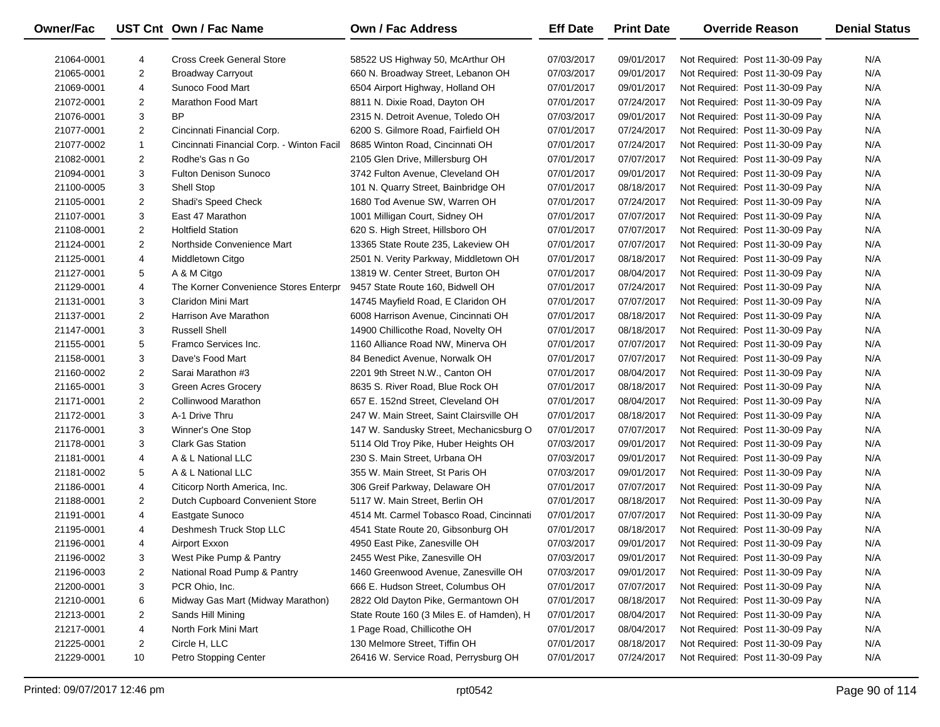| Owner/Fac  |                | UST Cnt Own / Fac Name                    | <b>Own / Fac Address</b>                  | <b>Eff Date</b> | <b>Print Date</b> | <b>Override Reason</b>          | <b>Denial Status</b> |
|------------|----------------|-------------------------------------------|-------------------------------------------|-----------------|-------------------|---------------------------------|----------------------|
| 21064-0001 | 4              | <b>Cross Creek General Store</b>          | 58522 US Highway 50, McArthur OH          | 07/03/2017      | 09/01/2017        | Not Required: Post 11-30-09 Pay | N/A                  |
| 21065-0001 | $\overline{2}$ | <b>Broadway Carryout</b>                  | 660 N. Broadway Street, Lebanon OH        | 07/03/2017      | 09/01/2017        | Not Required: Post 11-30-09 Pay | N/A                  |
| 21069-0001 | 4              | Sunoco Food Mart                          | 6504 Airport Highway, Holland OH          | 07/01/2017      | 09/01/2017        | Not Required: Post 11-30-09 Pay | N/A                  |
| 21072-0001 | 2              | <b>Marathon Food Mart</b>                 | 8811 N. Dixie Road, Dayton OH             | 07/01/2017      | 07/24/2017        | Not Required: Post 11-30-09 Pay | N/A                  |
| 21076-0001 | 3              | BP                                        | 2315 N. Detroit Avenue, Toledo OH         | 07/03/2017      | 09/01/2017        | Not Required: Post 11-30-09 Pay | N/A                  |
| 21077-0001 | $\overline{2}$ | Cincinnati Financial Corp.                | 6200 S. Gilmore Road, Fairfield OH        | 07/01/2017      | 07/24/2017        | Not Required: Post 11-30-09 Pay | N/A                  |
| 21077-0002 | $\mathbf{1}$   | Cincinnati Financial Corp. - Winton Facil | 8685 Winton Road, Cincinnati OH           | 07/01/2017      | 07/24/2017        | Not Required: Post 11-30-09 Pay | N/A                  |
| 21082-0001 | $\overline{2}$ | Rodhe's Gas n Go                          | 2105 Glen Drive, Millersburg OH           | 07/01/2017      | 07/07/2017        | Not Required: Post 11-30-09 Pay | N/A                  |
| 21094-0001 | 3              | <b>Fulton Denison Sunoco</b>              | 3742 Fulton Avenue, Cleveland OH          | 07/01/2017      | 09/01/2017        | Not Required: Post 11-30-09 Pay | N/A                  |
| 21100-0005 | 3              | <b>Shell Stop</b>                         | 101 N. Quarry Street, Bainbridge OH       | 07/01/2017      | 08/18/2017        | Not Required: Post 11-30-09 Pay | N/A                  |
| 21105-0001 | 2              | Shadi's Speed Check                       | 1680 Tod Avenue SW, Warren OH             | 07/01/2017      | 07/24/2017        | Not Required: Post 11-30-09 Pay | N/A                  |
| 21107-0001 | 3              | East 47 Marathon                          | 1001 Milligan Court, Sidney OH            | 07/01/2017      | 07/07/2017        | Not Required: Post 11-30-09 Pay | N/A                  |
| 21108-0001 | $\overline{2}$ | <b>Holtfield Station</b>                  | 620 S. High Street, Hillsboro OH          | 07/01/2017      | 07/07/2017        | Not Required: Post 11-30-09 Pay | N/A                  |
| 21124-0001 | $\overline{2}$ | Northside Convenience Mart                | 13365 State Route 235, Lakeview OH        | 07/01/2017      | 07/07/2017        | Not Required: Post 11-30-09 Pay | N/A                  |
| 21125-0001 | 4              | Middletown Citgo                          | 2501 N. Verity Parkway, Middletown OH     | 07/01/2017      | 08/18/2017        | Not Required: Post 11-30-09 Pay | N/A                  |
| 21127-0001 | 5              | A & M Citgo                               | 13819 W. Center Street, Burton OH         | 07/01/2017      | 08/04/2017        | Not Required: Post 11-30-09 Pay | N/A                  |
| 21129-0001 | 4              | The Korner Convenience Stores Enterpr     | 9457 State Route 160, Bidwell OH          | 07/01/2017      | 07/24/2017        | Not Required: Post 11-30-09 Pay | N/A                  |
| 21131-0001 | 3              | Claridon Mini Mart                        | 14745 Mayfield Road, E Claridon OH        | 07/01/2017      | 07/07/2017        | Not Required: Post 11-30-09 Pay | N/A                  |
| 21137-0001 | $\overline{2}$ | Harrison Ave Marathon                     | 6008 Harrison Avenue, Cincinnati OH       | 07/01/2017      | 08/18/2017        | Not Required: Post 11-30-09 Pay | N/A                  |
| 21147-0001 | 3              | <b>Russell Shell</b>                      | 14900 Chillicothe Road, Novelty OH        | 07/01/2017      | 08/18/2017        | Not Required: Post 11-30-09 Pay | N/A                  |
| 21155-0001 | 5              | Framco Services Inc.                      | 1160 Alliance Road NW, Minerva OH         | 07/01/2017      | 07/07/2017        | Not Required: Post 11-30-09 Pay | N/A                  |
| 21158-0001 | 3              | Dave's Food Mart                          | 84 Benedict Avenue, Norwalk OH            | 07/01/2017      | 07/07/2017        | Not Required: Post 11-30-09 Pay | N/A                  |
| 21160-0002 | $\overline{2}$ | Sarai Marathon #3                         | 2201 9th Street N.W., Canton OH           | 07/01/2017      | 08/04/2017        | Not Required: Post 11-30-09 Pay | N/A                  |
| 21165-0001 | 3              | <b>Green Acres Grocery</b>                | 8635 S. River Road, Blue Rock OH          | 07/01/2017      | 08/18/2017        | Not Required: Post 11-30-09 Pay | N/A                  |
| 21171-0001 | $\overline{2}$ | <b>Collinwood Marathon</b>                | 657 E. 152nd Street, Cleveland OH         | 07/01/2017      | 08/04/2017        | Not Required: Post 11-30-09 Pay | N/A                  |
| 21172-0001 | 3              | A-1 Drive Thru                            | 247 W. Main Street, Saint Clairsville OH  | 07/01/2017      | 08/18/2017        | Not Required: Post 11-30-09 Pay | N/A                  |
| 21176-0001 | 3              | Winner's One Stop                         | 147 W. Sandusky Street, Mechanicsburg O   | 07/01/2017      | 07/07/2017        | Not Required: Post 11-30-09 Pay | N/A                  |
| 21178-0001 | 3              | <b>Clark Gas Station</b>                  | 5114 Old Troy Pike, Huber Heights OH      | 07/03/2017      | 09/01/2017        | Not Required: Post 11-30-09 Pay | N/A                  |
| 21181-0001 | 4              | A & L National LLC                        | 230 S. Main Street, Urbana OH             | 07/03/2017      | 09/01/2017        | Not Required: Post 11-30-09 Pay | N/A                  |
| 21181-0002 | 5              | A & L National LLC                        | 355 W. Main Street, St Paris OH           | 07/03/2017      | 09/01/2017        | Not Required: Post 11-30-09 Pay | N/A                  |
| 21186-0001 | 4              | Citicorp North America, Inc.              | 306 Greif Parkway, Delaware OH            | 07/01/2017      | 07/07/2017        | Not Required: Post 11-30-09 Pay | N/A                  |
| 21188-0001 | $\overline{2}$ | Dutch Cupboard Convenient Store           | 5117 W. Main Street, Berlin OH            | 07/01/2017      | 08/18/2017        | Not Required: Post 11-30-09 Pay | N/A                  |
| 21191-0001 | 4              | Eastgate Sunoco                           | 4514 Mt. Carmel Tobasco Road, Cincinnati  | 07/01/2017      | 07/07/2017        | Not Required: Post 11-30-09 Pay | N/A                  |
| 21195-0001 | 4              | Deshmesh Truck Stop LLC                   | 4541 State Route 20, Gibsonburg OH        | 07/01/2017      | 08/18/2017        | Not Required: Post 11-30-09 Pay | N/A                  |
| 21196-0001 | 4              | Airport Exxon                             | 4950 East Pike, Zanesville OH             | 07/03/2017      | 09/01/2017        | Not Required: Post 11-30-09 Pay | N/A                  |
| 21196-0002 | 3              | West Pike Pump & Pantry                   | 2455 West Pike, Zanesville OH             | 07/03/2017      | 09/01/2017        | Not Required: Post 11-30-09 Pay | N/A                  |
| 21196-0003 | 2              | National Road Pump & Pantry               | 1460 Greenwood Avenue, Zanesville OH      | 07/03/2017      | 09/01/2017        | Not Required: Post 11-30-09 Pay | N/A                  |
| 21200-0001 | 3              | PCR Ohio, Inc.                            | 666 E. Hudson Street, Columbus OH         | 07/01/2017      | 07/07/2017        | Not Required: Post 11-30-09 Pay | N/A                  |
| 21210-0001 | 6              | Midway Gas Mart (Midway Marathon)         | 2822 Old Dayton Pike, Germantown OH       | 07/01/2017      | 08/18/2017        | Not Required: Post 11-30-09 Pay | N/A                  |
| 21213-0001 | 2              | Sands Hill Mining                         | State Route 160 (3 Miles E. of Hamden), H | 07/01/2017      | 08/04/2017        | Not Required: Post 11-30-09 Pay | N/A                  |
| 21217-0001 | 4              | North Fork Mini Mart                      | 1 Page Road, Chillicothe OH               | 07/01/2017      | 08/04/2017        | Not Required: Post 11-30-09 Pay | N/A                  |
| 21225-0001 | 2              | Circle H, LLC                             | 130 Melmore Street, Tiffin OH             | 07/01/2017      | 08/18/2017        | Not Required: Post 11-30-09 Pay | N/A                  |
| 21229-0001 | 10             | Petro Stopping Center                     | 26416 W. Service Road, Perrysburg OH      | 07/01/2017      | 07/24/2017        | Not Required: Post 11-30-09 Pay | N/A                  |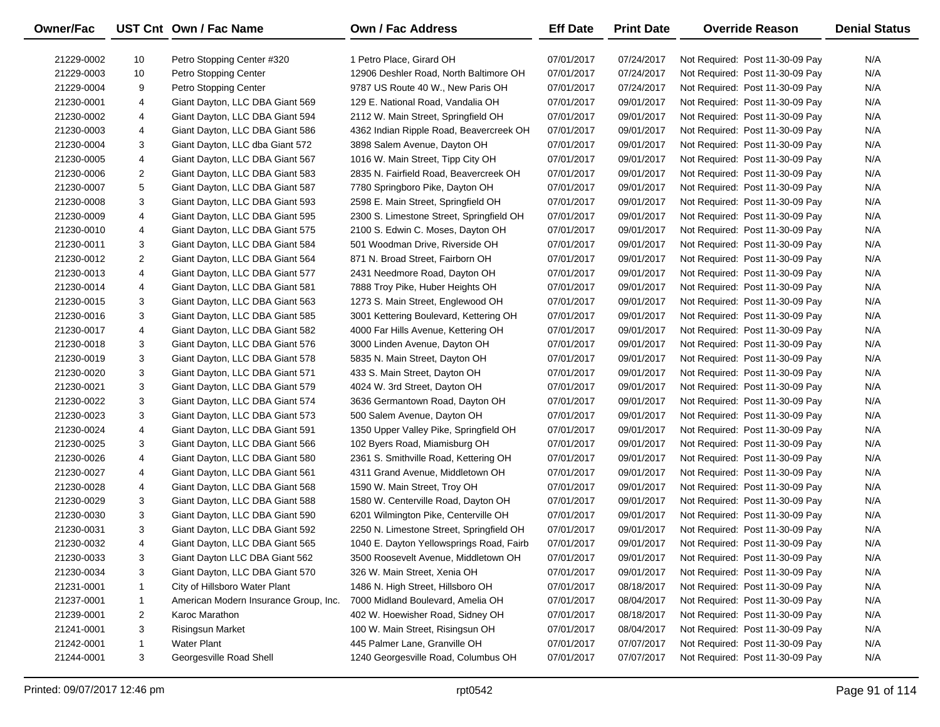| <b>Owner/Fac</b> |                | UST Cnt Own / Fac Name                | Own / Fac Address                        | <b>Eff Date</b> | <b>Print Date</b> | <b>Override Reason</b>          | <b>Denial Status</b> |
|------------------|----------------|---------------------------------------|------------------------------------------|-----------------|-------------------|---------------------------------|----------------------|
| 21229-0002       | 10             | Petro Stopping Center #320            | 1 Petro Place, Girard OH                 | 07/01/2017      | 07/24/2017        | Not Required: Post 11-30-09 Pay | N/A                  |
| 21229-0003       | 10             | Petro Stopping Center                 | 12906 Deshler Road, North Baltimore OH   | 07/01/2017      | 07/24/2017        | Not Required: Post 11-30-09 Pay | N/A                  |
| 21229-0004       | 9              | Petro Stopping Center                 | 9787 US Route 40 W., New Paris OH        | 07/01/2017      | 07/24/2017        | Not Required: Post 11-30-09 Pay | N/A                  |
| 21230-0001       | 4              | Giant Dayton, LLC DBA Giant 569       | 129 E. National Road, Vandalia OH        | 07/01/2017      | 09/01/2017        | Not Required: Post 11-30-09 Pay | N/A                  |
| 21230-0002       | 4              | Giant Dayton, LLC DBA Giant 594       | 2112 W. Main Street, Springfield OH      | 07/01/2017      | 09/01/2017        | Not Required: Post 11-30-09 Pay | N/A                  |
| 21230-0003       | 4              | Giant Dayton, LLC DBA Giant 586       | 4362 Indian Ripple Road, Beavercreek OH  | 07/01/2017      | 09/01/2017        | Not Required: Post 11-30-09 Pay | N/A                  |
| 21230-0004       | 3              | Giant Dayton, LLC dba Giant 572       | 3898 Salem Avenue, Dayton OH             | 07/01/2017      | 09/01/2017        | Not Required: Post 11-30-09 Pay | N/A                  |
| 21230-0005       | 4              | Giant Dayton, LLC DBA Giant 567       | 1016 W. Main Street, Tipp City OH        | 07/01/2017      | 09/01/2017        | Not Required: Post 11-30-09 Pay | N/A                  |
| 21230-0006       | $\overline{2}$ | Giant Dayton, LLC DBA Giant 583       | 2835 N. Fairfield Road, Beavercreek OH   | 07/01/2017      | 09/01/2017        | Not Required: Post 11-30-09 Pay | N/A                  |
| 21230-0007       | 5              | Giant Dayton, LLC DBA Giant 587       | 7780 Springboro Pike, Dayton OH          | 07/01/2017      | 09/01/2017        | Not Required: Post 11-30-09 Pay | N/A                  |
| 21230-0008       | 3              | Giant Dayton, LLC DBA Giant 593       | 2598 E. Main Street, Springfield OH      | 07/01/2017      | 09/01/2017        | Not Required: Post 11-30-09 Pay | N/A                  |
| 21230-0009       | 4              | Giant Dayton, LLC DBA Giant 595       | 2300 S. Limestone Street, Springfield OH | 07/01/2017      | 09/01/2017        | Not Required: Post 11-30-09 Pay | N/A                  |
| 21230-0010       | 4              | Giant Dayton, LLC DBA Giant 575       | 2100 S. Edwin C. Moses, Dayton OH        | 07/01/2017      | 09/01/2017        | Not Required: Post 11-30-09 Pay | N/A                  |
| 21230-0011       | 3              | Giant Dayton, LLC DBA Giant 584       | 501 Woodman Drive, Riverside OH          | 07/01/2017      | 09/01/2017        | Not Required: Post 11-30-09 Pay | N/A                  |
| 21230-0012       | $\overline{2}$ | Giant Dayton, LLC DBA Giant 564       | 871 N. Broad Street, Fairborn OH         | 07/01/2017      | 09/01/2017        | Not Required: Post 11-30-09 Pay | N/A                  |
| 21230-0013       | 4              | Giant Dayton, LLC DBA Giant 577       | 2431 Needmore Road, Dayton OH            | 07/01/2017      | 09/01/2017        | Not Required: Post 11-30-09 Pay | N/A                  |
| 21230-0014       | 4              | Giant Dayton, LLC DBA Giant 581       | 7888 Troy Pike, Huber Heights OH         | 07/01/2017      | 09/01/2017        | Not Required: Post 11-30-09 Pay | N/A                  |
| 21230-0015       | 3              | Giant Dayton, LLC DBA Giant 563       | 1273 S. Main Street, Englewood OH        | 07/01/2017      | 09/01/2017        | Not Required: Post 11-30-09 Pay | N/A                  |
| 21230-0016       | 3              | Giant Dayton, LLC DBA Giant 585       | 3001 Kettering Boulevard, Kettering OH   | 07/01/2017      | 09/01/2017        | Not Required: Post 11-30-09 Pay | N/A                  |
| 21230-0017       | 4              | Giant Dayton, LLC DBA Giant 582       | 4000 Far Hills Avenue, Kettering OH      | 07/01/2017      | 09/01/2017        | Not Required: Post 11-30-09 Pay | N/A                  |
| 21230-0018       | 3              | Giant Dayton, LLC DBA Giant 576       | 3000 Linden Avenue, Dayton OH            | 07/01/2017      | 09/01/2017        | Not Required: Post 11-30-09 Pay | N/A                  |
| 21230-0019       | 3              | Giant Dayton, LLC DBA Giant 578       | 5835 N. Main Street, Dayton OH           | 07/01/2017      | 09/01/2017        | Not Required: Post 11-30-09 Pay | N/A                  |
| 21230-0020       | 3              | Giant Dayton, LLC DBA Giant 571       | 433 S. Main Street, Dayton OH            | 07/01/2017      | 09/01/2017        | Not Required: Post 11-30-09 Pay | N/A                  |
| 21230-0021       | 3              | Giant Dayton, LLC DBA Giant 579       | 4024 W. 3rd Street, Dayton OH            | 07/01/2017      | 09/01/2017        | Not Required: Post 11-30-09 Pay | N/A                  |
| 21230-0022       | 3              | Giant Dayton, LLC DBA Giant 574       | 3636 Germantown Road, Dayton OH          | 07/01/2017      | 09/01/2017        | Not Required: Post 11-30-09 Pay | N/A                  |
| 21230-0023       | 3              | Giant Dayton, LLC DBA Giant 573       | 500 Salem Avenue, Dayton OH              | 07/01/2017      | 09/01/2017        | Not Required: Post 11-30-09 Pay | N/A                  |
| 21230-0024       | 4              | Giant Dayton, LLC DBA Giant 591       | 1350 Upper Valley Pike, Springfield OH   | 07/01/2017      | 09/01/2017        | Not Required: Post 11-30-09 Pay | N/A                  |
| 21230-0025       | 3              | Giant Dayton, LLC DBA Giant 566       | 102 Byers Road, Miamisburg OH            | 07/01/2017      | 09/01/2017        | Not Required: Post 11-30-09 Pay | N/A                  |
| 21230-0026       | 4              | Giant Dayton, LLC DBA Giant 580       | 2361 S. Smithville Road, Kettering OH    | 07/01/2017      | 09/01/2017        | Not Required: Post 11-30-09 Pay | N/A                  |
| 21230-0027       | 4              | Giant Dayton, LLC DBA Giant 561       | 4311 Grand Avenue, Middletown OH         | 07/01/2017      | 09/01/2017        | Not Required: Post 11-30-09 Pay | N/A                  |
| 21230-0028       | 4              | Giant Dayton, LLC DBA Giant 568       | 1590 W. Main Street, Troy OH             | 07/01/2017      | 09/01/2017        | Not Required: Post 11-30-09 Pay | N/A                  |
| 21230-0029       | 3              | Giant Dayton, LLC DBA Giant 588       | 1580 W. Centerville Road, Dayton OH      | 07/01/2017      | 09/01/2017        | Not Required: Post 11-30-09 Pay | N/A                  |
| 21230-0030       | 3              | Giant Dayton, LLC DBA Giant 590       | 6201 Wilmington Pike, Centerville OH     | 07/01/2017      | 09/01/2017        | Not Required: Post 11-30-09 Pay | N/A                  |
| 21230-0031       | 3              | Giant Dayton, LLC DBA Giant 592       | 2250 N. Limestone Street, Springfield OH | 07/01/2017      | 09/01/2017        | Not Required: Post 11-30-09 Pay | N/A                  |
| 21230-0032       | 4              | Giant Dayton, LLC DBA Giant 565       | 1040 E. Dayton Yellowsprings Road, Fairb | 07/01/2017      | 09/01/2017        | Not Required: Post 11-30-09 Pay | N/A                  |
| 21230-0033       | 3              | Giant Dayton LLC DBA Giant 562        | 3500 Roosevelt Avenue, Middletown OH     | 07/01/2017      | 09/01/2017        | Not Required: Post 11-30-09 Pay | N/A                  |
| 21230-0034       | 3              | Giant Dayton, LLC DBA Giant 570       | 326 W. Main Street, Xenia OH             | 07/01/2017      | 09/01/2017        | Not Required: Post 11-30-09 Pay | N/A                  |
| 21231-0001       | $\mathbf{1}$   | City of Hillsboro Water Plant         | 1486 N. High Street, Hillsboro OH        | 07/01/2017      | 08/18/2017        | Not Required: Post 11-30-09 Pay | N/A                  |
| 21237-0001       | $\mathbf{1}$   | American Modern Insurance Group, Inc. | 7000 Midland Boulevard, Amelia OH        | 07/01/2017      | 08/04/2017        | Not Required: Post 11-30-09 Pay | N/A                  |
| 21239-0001       | $\overline{c}$ | Karoc Marathon                        | 402 W. Hoewisher Road, Sidney OH         | 07/01/2017      | 08/18/2017        | Not Required: Post 11-30-09 Pay | N/A                  |
| 21241-0001       | 3              | <b>Risingsun Market</b>               | 100 W. Main Street, Risingsun OH         | 07/01/2017      | 08/04/2017        | Not Required: Post 11-30-09 Pay | N/A                  |
| 21242-0001       | $\mathbf{1}$   | <b>Water Plant</b>                    | 445 Palmer Lane, Granville OH            | 07/01/2017      | 07/07/2017        | Not Required: Post 11-30-09 Pay | N/A                  |
| 21244-0001       | 3              | Georgesville Road Shell               | 1240 Georgesville Road, Columbus OH      | 07/01/2017      | 07/07/2017        | Not Required: Post 11-30-09 Pay | N/A                  |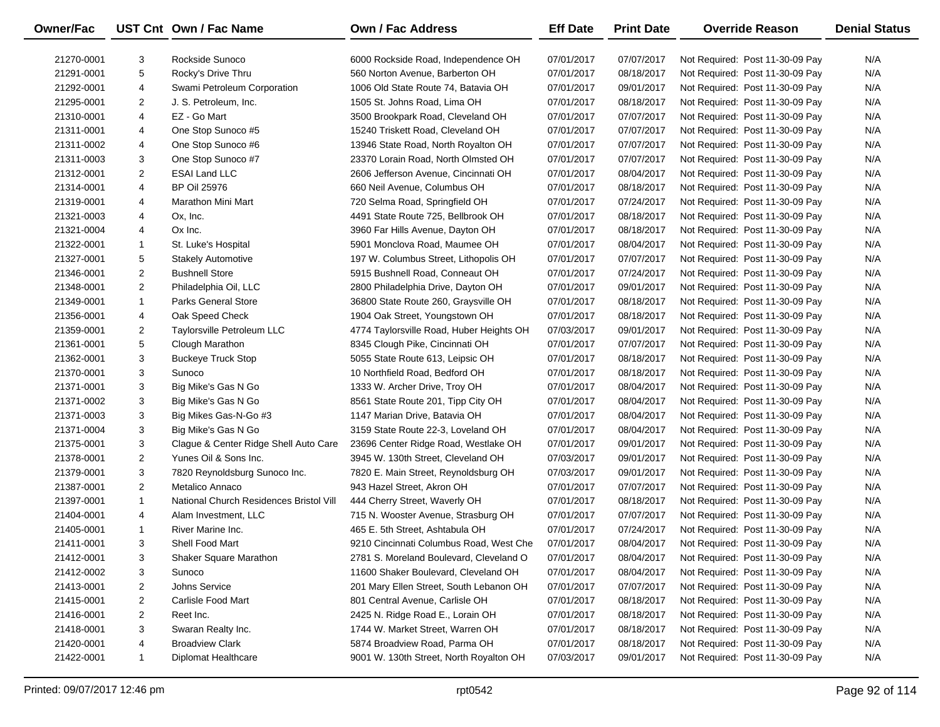| Owner/Fac  |                | UST Cnt Own / Fac Name                  | <b>Own / Fac Address</b>                 | <b>Eff Date</b> | <b>Print Date</b> | <b>Override Reason</b>          | <b>Denial Status</b> |
|------------|----------------|-----------------------------------------|------------------------------------------|-----------------|-------------------|---------------------------------|----------------------|
| 21270-0001 | 3              | Rockside Sunoco                         | 6000 Rockside Road, Independence OH      | 07/01/2017      | 07/07/2017        | Not Required: Post 11-30-09 Pay | N/A                  |
| 21291-0001 | 5              | Rocky's Drive Thru                      | 560 Norton Avenue, Barberton OH          | 07/01/2017      | 08/18/2017        | Not Required: Post 11-30-09 Pay | N/A                  |
| 21292-0001 | 4              | Swami Petroleum Corporation             | 1006 Old State Route 74, Batavia OH      | 07/01/2017      | 09/01/2017        | Not Required: Post 11-30-09 Pay | N/A                  |
| 21295-0001 | $\overline{2}$ | J. S. Petroleum, Inc.                   | 1505 St. Johns Road, Lima OH             | 07/01/2017      | 08/18/2017        | Not Required: Post 11-30-09 Pay | N/A                  |
| 21310-0001 | 4              | EZ - Go Mart                            | 3500 Brookpark Road, Cleveland OH        | 07/01/2017      | 07/07/2017        | Not Required: Post 11-30-09 Pay | N/A                  |
| 21311-0001 | 4              | One Stop Sunoco #5                      | 15240 Triskett Road, Cleveland OH        | 07/01/2017      | 07/07/2017        | Not Required: Post 11-30-09 Pay | N/A                  |
| 21311-0002 | 4              | One Stop Sunoco #6                      | 13946 State Road, North Royalton OH      | 07/01/2017      | 07/07/2017        | Not Required: Post 11-30-09 Pay | N/A                  |
| 21311-0003 | 3              | One Stop Sunoco #7                      | 23370 Lorain Road, North Olmsted OH      | 07/01/2017      | 07/07/2017        | Not Required: Post 11-30-09 Pay | N/A                  |
| 21312-0001 | $\overline{2}$ | <b>ESAI Land LLC</b>                    | 2606 Jefferson Avenue, Cincinnati OH     | 07/01/2017      | 08/04/2017        | Not Required: Post 11-30-09 Pay | N/A                  |
| 21314-0001 | 4              | <b>BP Oil 25976</b>                     | 660 Neil Avenue, Columbus OH             | 07/01/2017      | 08/18/2017        | Not Required: Post 11-30-09 Pay | N/A                  |
| 21319-0001 | 4              | Marathon Mini Mart                      | 720 Selma Road, Springfield OH           | 07/01/2017      | 07/24/2017        | Not Required: Post 11-30-09 Pay | N/A                  |
| 21321-0003 | 4              | Ox, Inc.                                | 4491 State Route 725, Bellbrook OH       | 07/01/2017      | 08/18/2017        | Not Required: Post 11-30-09 Pay | N/A                  |
| 21321-0004 | 4              | Ox Inc.                                 | 3960 Far Hills Avenue, Dayton OH         | 07/01/2017      | 08/18/2017        | Not Required: Post 11-30-09 Pay | N/A                  |
| 21322-0001 | $\mathbf{1}$   | St. Luke's Hospital                     | 5901 Monclova Road, Maumee OH            | 07/01/2017      | 08/04/2017        | Not Required: Post 11-30-09 Pay | N/A                  |
| 21327-0001 | 5              | <b>Stakely Automotive</b>               | 197 W. Columbus Street, Lithopolis OH    | 07/01/2017      | 07/07/2017        | Not Required: Post 11-30-09 Pay | N/A                  |
| 21346-0001 | $\overline{2}$ | <b>Bushnell Store</b>                   | 5915 Bushnell Road, Conneaut OH          | 07/01/2017      | 07/24/2017        | Not Required: Post 11-30-09 Pay | N/A                  |
| 21348-0001 | $\overline{2}$ | Philadelphia Oil, LLC                   | 2800 Philadelphia Drive, Dayton OH       | 07/01/2017      | 09/01/2017        | Not Required: Post 11-30-09 Pay | N/A                  |
| 21349-0001 | $\mathbf{1}$   | <b>Parks General Store</b>              | 36800 State Route 260, Graysville OH     | 07/01/2017      | 08/18/2017        | Not Required: Post 11-30-09 Pay | N/A                  |
| 21356-0001 | 4              | Oak Speed Check                         | 1904 Oak Street, Youngstown OH           | 07/01/2017      | 08/18/2017        | Not Required: Post 11-30-09 Pay | N/A                  |
| 21359-0001 | 2              | Taylorsville Petroleum LLC              | 4774 Taylorsville Road, Huber Heights OH | 07/03/2017      | 09/01/2017        | Not Required: Post 11-30-09 Pay | N/A                  |
| 21361-0001 | 5              | Clough Marathon                         | 8345 Clough Pike, Cincinnati OH          | 07/01/2017      | 07/07/2017        | Not Required: Post 11-30-09 Pay | N/A                  |
| 21362-0001 | 3              | <b>Buckeye Truck Stop</b>               | 5055 State Route 613, Leipsic OH         | 07/01/2017      | 08/18/2017        | Not Required: Post 11-30-09 Pay | N/A                  |
| 21370-0001 | 3              | Sunoco                                  | 10 Northfield Road, Bedford OH           | 07/01/2017      | 08/18/2017        | Not Required: Post 11-30-09 Pay | N/A                  |
| 21371-0001 | 3              | Big Mike's Gas N Go                     | 1333 W. Archer Drive, Troy OH            | 07/01/2017      | 08/04/2017        | Not Required: Post 11-30-09 Pay | N/A                  |
| 21371-0002 | 3              | Big Mike's Gas N Go                     | 8561 State Route 201, Tipp City OH       | 07/01/2017      | 08/04/2017        | Not Required: Post 11-30-09 Pay | N/A                  |
| 21371-0003 | 3              | Big Mikes Gas-N-Go #3                   | 1147 Marian Drive, Batavia OH            | 07/01/2017      | 08/04/2017        | Not Required: Post 11-30-09 Pay | N/A                  |
| 21371-0004 | 3              | Big Mike's Gas N Go                     | 3159 State Route 22-3, Loveland OH       | 07/01/2017      | 08/04/2017        | Not Required: Post 11-30-09 Pay | N/A                  |
| 21375-0001 | 3              | Clague & Center Ridge Shell Auto Care   | 23696 Center Ridge Road, Westlake OH     | 07/01/2017      | 09/01/2017        | Not Required: Post 11-30-09 Pay | N/A                  |
| 21378-0001 | $\overline{2}$ | Yunes Oil & Sons Inc.                   | 3945 W. 130th Street, Cleveland OH       | 07/03/2017      | 09/01/2017        | Not Required: Post 11-30-09 Pay | N/A                  |
| 21379-0001 | 3              | 7820 Reynoldsburg Sunoco Inc.           | 7820 E. Main Street, Reynoldsburg OH     | 07/03/2017      | 09/01/2017        | Not Required: Post 11-30-09 Pay | N/A                  |
| 21387-0001 | $\overline{2}$ | Metalico Annaco                         | 943 Hazel Street, Akron OH               | 07/01/2017      | 07/07/2017        | Not Required: Post 11-30-09 Pay | N/A                  |
| 21397-0001 | $\mathbf{1}$   | National Church Residences Bristol Vill | 444 Cherry Street, Waverly OH            | 07/01/2017      | 08/18/2017        | Not Required: Post 11-30-09 Pay | N/A                  |
| 21404-0001 | 4              | Alam Investment, LLC                    | 715 N. Wooster Avenue, Strasburg OH      | 07/01/2017      | 07/07/2017        | Not Required: Post 11-30-09 Pay | N/A                  |
| 21405-0001 | $\mathbf{1}$   | River Marine Inc.                       | 465 E. 5th Street, Ashtabula OH          | 07/01/2017      | 07/24/2017        | Not Required: Post 11-30-09 Pay | N/A                  |
| 21411-0001 | 3              | <b>Shell Food Mart</b>                  | 9210 Cincinnati Columbus Road, West Che  | 07/01/2017      | 08/04/2017        | Not Required: Post 11-30-09 Pay | N/A                  |
| 21412-0001 | 3              | Shaker Square Marathon                  | 2781 S. Moreland Boulevard, Cleveland O  | 07/01/2017      | 08/04/2017        | Not Required: Post 11-30-09 Pay | N/A                  |
| 21412-0002 | 3              | Sunoco                                  | 11600 Shaker Boulevard, Cleveland OH     | 07/01/2017      | 08/04/2017        | Not Required: Post 11-30-09 Pay | N/A                  |
| 21413-0001 | 2              | Johns Service                           | 201 Mary Ellen Street, South Lebanon OH  | 07/01/2017      | 07/07/2017        | Not Required: Post 11-30-09 Pay | N/A                  |
| 21415-0001 | 2              | Carlisle Food Mart                      | 801 Central Avenue, Carlisle OH          | 07/01/2017      | 08/18/2017        | Not Required: Post 11-30-09 Pay | N/A                  |
| 21416-0001 | 2              | Reet Inc.                               | 2425 N. Ridge Road E., Lorain OH         | 07/01/2017      | 08/18/2017        | Not Required: Post 11-30-09 Pay | N/A                  |
| 21418-0001 | 3              | Swaran Realty Inc.                      | 1744 W. Market Street, Warren OH         | 07/01/2017      | 08/18/2017        | Not Required: Post 11-30-09 Pay | N/A                  |
| 21420-0001 | 4              | <b>Broadview Clark</b>                  | 5874 Broadview Road, Parma OH            | 07/01/2017      | 08/18/2017        | Not Required: Post 11-30-09 Pay | N/A                  |
| 21422-0001 | $\mathbf{1}$   | Diplomat Healthcare                     | 9001 W. 130th Street, North Royalton OH  | 07/03/2017      | 09/01/2017        | Not Required: Post 11-30-09 Pay | N/A                  |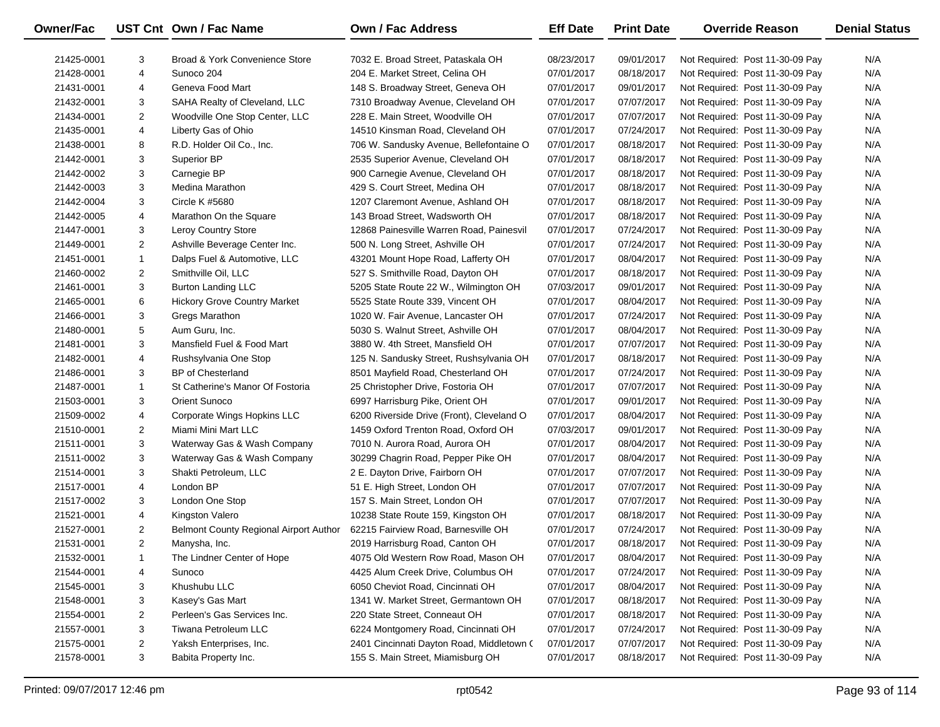| <b>Owner/Fac</b> |                | UST Cnt Own / Fac Name                 | <b>Own / Fac Address</b>                  | <b>Eff Date</b> | <b>Print Date</b> | <b>Override Reason</b>          | <b>Denial Status</b> |
|------------------|----------------|----------------------------------------|-------------------------------------------|-----------------|-------------------|---------------------------------|----------------------|
| 21425-0001       | 3              | Broad & York Convenience Store         | 7032 E. Broad Street, Pataskala OH        | 08/23/2017      | 09/01/2017        | Not Required: Post 11-30-09 Pay | N/A                  |
| 21428-0001       | $\overline{4}$ | Sunoco 204                             | 204 E. Market Street, Celina OH           | 07/01/2017      | 08/18/2017        | Not Required: Post 11-30-09 Pay | N/A                  |
| 21431-0001       | 4              | Geneva Food Mart                       | 148 S. Broadway Street, Geneva OH         | 07/01/2017      | 09/01/2017        | Not Required: Post 11-30-09 Pay | N/A                  |
| 21432-0001       | 3              | SAHA Realty of Cleveland, LLC          | 7310 Broadway Avenue, Cleveland OH        | 07/01/2017      | 07/07/2017        | Not Required: Post 11-30-09 Pay | N/A                  |
| 21434-0001       | $\overline{2}$ | Woodville One Stop Center, LLC         | 228 E. Main Street, Woodville OH          | 07/01/2017      | 07/07/2017        | Not Required: Post 11-30-09 Pay | N/A                  |
| 21435-0001       | $\overline{4}$ | Liberty Gas of Ohio                    | 14510 Kinsman Road, Cleveland OH          | 07/01/2017      | 07/24/2017        | Not Required: Post 11-30-09 Pay | N/A                  |
| 21438-0001       | 8              | R.D. Holder Oil Co., Inc.              | 706 W. Sandusky Avenue, Bellefontaine O   | 07/01/2017      | 08/18/2017        | Not Required: Post 11-30-09 Pay | N/A                  |
| 21442-0001       | 3              | Superior BP                            | 2535 Superior Avenue, Cleveland OH        | 07/01/2017      | 08/18/2017        | Not Required: Post 11-30-09 Pay | N/A                  |
| 21442-0002       | 3              | Carnegie BP                            | 900 Carnegie Avenue, Cleveland OH         | 07/01/2017      | 08/18/2017        | Not Required: Post 11-30-09 Pay | N/A                  |
| 21442-0003       | 3              | Medina Marathon                        | 429 S. Court Street, Medina OH            | 07/01/2017      | 08/18/2017        | Not Required: Post 11-30-09 Pay | N/A                  |
| 21442-0004       | 3              | Circle K #5680                         | 1207 Claremont Avenue, Ashland OH         | 07/01/2017      | 08/18/2017        | Not Required: Post 11-30-09 Pay | N/A                  |
| 21442-0005       | $\overline{4}$ | Marathon On the Square                 | 143 Broad Street, Wadsworth OH            | 07/01/2017      | 08/18/2017        | Not Required: Post 11-30-09 Pay | N/A                  |
| 21447-0001       | 3              | Leroy Country Store                    | 12868 Painesville Warren Road, Painesvil  | 07/01/2017      | 07/24/2017        | Not Required: Post 11-30-09 Pay | N/A                  |
| 21449-0001       | $\overline{2}$ | Ashville Beverage Center Inc.          | 500 N. Long Street, Ashville OH           | 07/01/2017      | 07/24/2017        | Not Required: Post 11-30-09 Pay | N/A                  |
| 21451-0001       | $\mathbf{1}$   | Dalps Fuel & Automotive, LLC           | 43201 Mount Hope Road, Lafferty OH        | 07/01/2017      | 08/04/2017        | Not Required: Post 11-30-09 Pay | N/A                  |
| 21460-0002       | 2              | Smithville Oil, LLC                    | 527 S. Smithville Road, Dayton OH         | 07/01/2017      | 08/18/2017        | Not Required: Post 11-30-09 Pay | N/A                  |
| 21461-0001       | 3              | <b>Burton Landing LLC</b>              | 5205 State Route 22 W., Wilmington OH     | 07/03/2017      | 09/01/2017        | Not Required: Post 11-30-09 Pay | N/A                  |
| 21465-0001       | 6              | <b>Hickory Grove Country Market</b>    | 5525 State Route 339, Vincent OH          | 07/01/2017      | 08/04/2017        | Not Required: Post 11-30-09 Pay | N/A                  |
| 21466-0001       | 3              | Gregs Marathon                         | 1020 W. Fair Avenue, Lancaster OH         | 07/01/2017      | 07/24/2017        | Not Required: Post 11-30-09 Pay | N/A                  |
| 21480-0001       | 5              | Aum Guru, Inc.                         | 5030 S. Walnut Street, Ashville OH        | 07/01/2017      | 08/04/2017        | Not Required: Post 11-30-09 Pay | N/A                  |
| 21481-0001       | 3              | Mansfield Fuel & Food Mart             | 3880 W. 4th Street, Mansfield OH          | 07/01/2017      | 07/07/2017        | Not Required: Post 11-30-09 Pay | N/A                  |
| 21482-0001       | 4              | Rushsylvania One Stop                  | 125 N. Sandusky Street, Rushsylvania OH   | 07/01/2017      | 08/18/2017        | Not Required: Post 11-30-09 Pay | N/A                  |
| 21486-0001       | 3              | BP of Chesterland                      | 8501 Mayfield Road, Chesterland OH        | 07/01/2017      | 07/24/2017        | Not Required: Post 11-30-09 Pay | N/A                  |
| 21487-0001       | 1              | St Catherine's Manor Of Fostoria       | 25 Christopher Drive, Fostoria OH         | 07/01/2017      | 07/07/2017        | Not Required: Post 11-30-09 Pay | N/A                  |
| 21503-0001       | 3              | Orient Sunoco                          | 6997 Harrisburg Pike, Orient OH           | 07/01/2017      | 09/01/2017        | Not Required: Post 11-30-09 Pay | N/A                  |
| 21509-0002       | $\overline{4}$ | Corporate Wings Hopkins LLC            | 6200 Riverside Drive (Front), Cleveland O | 07/01/2017      | 08/04/2017        | Not Required: Post 11-30-09 Pay | N/A                  |
| 21510-0001       | $\overline{2}$ | Miami Mini Mart LLC                    | 1459 Oxford Trenton Road, Oxford OH       | 07/03/2017      | 09/01/2017        | Not Required: Post 11-30-09 Pay | N/A                  |
| 21511-0001       | 3              | Waterway Gas & Wash Company            | 7010 N. Aurora Road, Aurora OH            | 07/01/2017      | 08/04/2017        | Not Required: Post 11-30-09 Pay | N/A                  |
| 21511-0002       | 3              | Waterway Gas & Wash Company            | 30299 Chagrin Road, Pepper Pike OH        | 07/01/2017      | 08/04/2017        | Not Required: Post 11-30-09 Pay | N/A                  |
| 21514-0001       | 3              | Shakti Petroleum, LLC                  | 2 E. Dayton Drive, Fairborn OH            | 07/01/2017      | 07/07/2017        | Not Required: Post 11-30-09 Pay | N/A                  |
| 21517-0001       | $\overline{4}$ | London BP                              | 51 E. High Street, London OH              | 07/01/2017      | 07/07/2017        | Not Required: Post 11-30-09 Pay | N/A                  |
| 21517-0002       | 3              | London One Stop                        | 157 S. Main Street, London OH             | 07/01/2017      | 07/07/2017        | Not Required: Post 11-30-09 Pay | N/A                  |
| 21521-0001       | $\overline{4}$ | Kingston Valero                        | 10238 State Route 159, Kingston OH        | 07/01/2017      | 08/18/2017        | Not Required: Post 11-30-09 Pay | N/A                  |
| 21527-0001       | $\overline{2}$ | Belmont County Regional Airport Author | 62215 Fairview Road, Barnesville OH       | 07/01/2017      | 07/24/2017        | Not Required: Post 11-30-09 Pay | N/A                  |
| 21531-0001       | $\overline{2}$ | Manysha, Inc.                          | 2019 Harrisburg Road, Canton OH           | 07/01/2017      | 08/18/2017        | Not Required: Post 11-30-09 Pay | N/A                  |
| 21532-0001       | 1              | The Lindner Center of Hope             | 4075 Old Western Row Road, Mason OH       | 07/01/2017      | 08/04/2017        | Not Required: Post 11-30-09 Pay | N/A                  |
| 21544-0001       | 4              | Sunoco                                 | 4425 Alum Creek Drive, Columbus OH        | 07/01/2017      | 07/24/2017        | Not Required: Post 11-30-09 Pay | N/A                  |
| 21545-0001       | 3              | Khushubu LLC                           | 6050 Cheviot Road, Cincinnati OH          | 07/01/2017      | 08/04/2017        | Not Required: Post 11-30-09 Pay | N/A                  |
| 21548-0001       | 3              | Kasey's Gas Mart                       | 1341 W. Market Street, Germantown OH      | 07/01/2017      | 08/18/2017        | Not Required: Post 11-30-09 Pay | N/A                  |
| 21554-0001       | $\overline{2}$ | Perleen's Gas Services Inc.            | 220 State Street, Conneaut OH             | 07/01/2017      | 08/18/2017        | Not Required: Post 11-30-09 Pay | N/A                  |
| 21557-0001       | 3              | Tiwana Petroleum LLC                   | 6224 Montgomery Road, Cincinnati OH       | 07/01/2017      | 07/24/2017        | Not Required: Post 11-30-09 Pay | N/A                  |
| 21575-0001       | $\overline{2}$ | Yaksh Enterprises, Inc.                | 2401 Cincinnati Dayton Road, Middletown ( | 07/01/2017      | 07/07/2017        | Not Required: Post 11-30-09 Pay | N/A                  |
| 21578-0001       | 3              | Babita Property Inc.                   | 155 S. Main Street, Miamisburg OH         | 07/01/2017      | 08/18/2017        | Not Required: Post 11-30-09 Pay | N/A                  |

-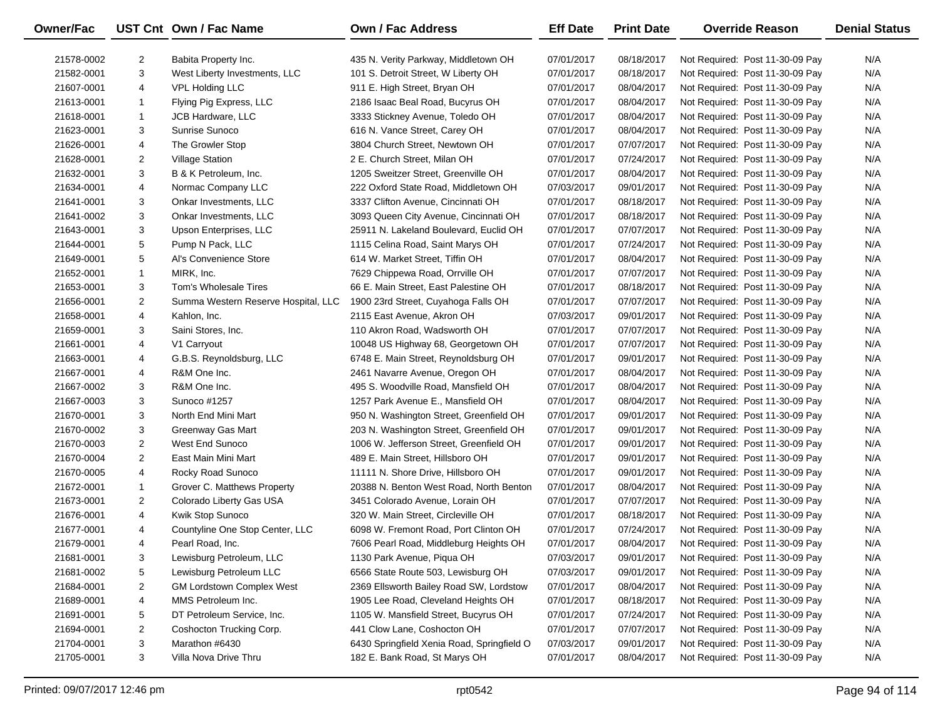| Owner/Fac  |                | UST Cnt Own / Fac Name              | <b>Own / Fac Address</b>                   | <b>Eff Date</b> | <b>Print Date</b> | <b>Override Reason</b>          | <b>Denial Status</b> |
|------------|----------------|-------------------------------------|--------------------------------------------|-----------------|-------------------|---------------------------------|----------------------|
| 21578-0002 | 2              | Babita Property Inc.                | 435 N. Verity Parkway, Middletown OH       | 07/01/2017      | 08/18/2017        | Not Required: Post 11-30-09 Pay | N/A                  |
| 21582-0001 | 3              | West Liberty Investments, LLC       | 101 S. Detroit Street, W Liberty OH        | 07/01/2017      | 08/18/2017        | Not Required: Post 11-30-09 Pay | N/A                  |
| 21607-0001 | 4              | <b>VPL Holding LLC</b>              | 911 E. High Street, Bryan OH               | 07/01/2017      | 08/04/2017        | Not Required: Post 11-30-09 Pay | N/A                  |
| 21613-0001 | $\mathbf{1}$   | Flying Pig Express, LLC             | 2186 Isaac Beal Road, Bucyrus OH           | 07/01/2017      | 08/04/2017        | Not Required: Post 11-30-09 Pay | N/A                  |
| 21618-0001 | $\mathbf{1}$   | <b>JCB Hardware, LLC</b>            | 3333 Stickney Avenue, Toledo OH            | 07/01/2017      | 08/04/2017        | Not Required: Post 11-30-09 Pay | N/A                  |
| 21623-0001 | 3              | Sunrise Sunoco                      | 616 N. Vance Street, Carey OH              | 07/01/2017      | 08/04/2017        | Not Required: Post 11-30-09 Pay | N/A                  |
| 21626-0001 | 4              | The Growler Stop                    | 3804 Church Street, Newtown OH             | 07/01/2017      | 07/07/2017        | Not Required: Post 11-30-09 Pay | N/A                  |
| 21628-0001 | $\overline{2}$ | <b>Village Station</b>              | 2 E. Church Street, Milan OH               | 07/01/2017      | 07/24/2017        | Not Required: Post 11-30-09 Pay | N/A                  |
| 21632-0001 | 3              | B & K Petroleum, Inc.               | 1205 Sweitzer Street, Greenville OH        | 07/01/2017      | 08/04/2017        | Not Required: Post 11-30-09 Pay | N/A                  |
| 21634-0001 | 4              | Normac Company LLC                  | 222 Oxford State Road, Middletown OH       | 07/03/2017      | 09/01/2017        | Not Required: Post 11-30-09 Pay | N/A                  |
| 21641-0001 | 3              | Onkar Investments, LLC              | 3337 Clifton Avenue, Cincinnati OH         | 07/01/2017      | 08/18/2017        | Not Required: Post 11-30-09 Pay | N/A                  |
| 21641-0002 | 3              | Onkar Investments, LLC              | 3093 Queen City Avenue, Cincinnati OH      | 07/01/2017      | 08/18/2017        | Not Required: Post 11-30-09 Pay | N/A                  |
| 21643-0001 | 3              | Upson Enterprises, LLC              | 25911 N. Lakeland Boulevard, Euclid OH     | 07/01/2017      | 07/07/2017        | Not Required: Post 11-30-09 Pay | N/A                  |
| 21644-0001 | 5              | Pump N Pack, LLC                    | 1115 Celina Road, Saint Marys OH           | 07/01/2017      | 07/24/2017        | Not Required: Post 11-30-09 Pay | N/A                  |
| 21649-0001 | 5              | Al's Convenience Store              | 614 W. Market Street, Tiffin OH            | 07/01/2017      | 08/04/2017        | Not Required: Post 11-30-09 Pay | N/A                  |
| 21652-0001 | $\mathbf{1}$   | MIRK, Inc.                          | 7629 Chippewa Road, Orrville OH            | 07/01/2017      | 07/07/2017        | Not Required: Post 11-30-09 Pay | N/A                  |
| 21653-0001 | 3              | Tom's Wholesale Tires               | 66 E. Main Street, East Palestine OH       | 07/01/2017      | 08/18/2017        | Not Required: Post 11-30-09 Pay | N/A                  |
| 21656-0001 | $\overline{2}$ | Summa Western Reserve Hospital, LLC | 1900 23rd Street, Cuyahoga Falls OH        | 07/01/2017      | 07/07/2017        | Not Required: Post 11-30-09 Pay | N/A                  |
| 21658-0001 | 4              | Kahlon, Inc.                        | 2115 East Avenue, Akron OH                 | 07/03/2017      | 09/01/2017        | Not Required: Post 11-30-09 Pay | N/A                  |
| 21659-0001 | 3              | Saini Stores, Inc.                  | 110 Akron Road, Wadsworth OH               | 07/01/2017      | 07/07/2017        | Not Required: Post 11-30-09 Pay | N/A                  |
| 21661-0001 | 4              | V1 Carryout                         | 10048 US Highway 68, Georgetown OH         | 07/01/2017      | 07/07/2017        | Not Required: Post 11-30-09 Pay | N/A                  |
| 21663-0001 | 4              | G.B.S. Reynoldsburg, LLC            | 6748 E. Main Street, Reynoldsburg OH       | 07/01/2017      | 09/01/2017        | Not Required: Post 11-30-09 Pay | N/A                  |
| 21667-0001 | 4              | R&M One Inc.                        | 2461 Navarre Avenue, Oregon OH             | 07/01/2017      | 08/04/2017        | Not Required: Post 11-30-09 Pay | N/A                  |
| 21667-0002 | 3              | R&M One Inc.                        | 495 S. Woodville Road, Mansfield OH        | 07/01/2017      | 08/04/2017        | Not Required: Post 11-30-09 Pay | N/A                  |
| 21667-0003 | 3              | Sunoco #1257                        | 1257 Park Avenue E., Mansfield OH          | 07/01/2017      | 08/04/2017        | Not Required: Post 11-30-09 Pay | N/A                  |
| 21670-0001 | 3              | North End Mini Mart                 | 950 N. Washington Street, Greenfield OH    | 07/01/2017      | 09/01/2017        | Not Required: Post 11-30-09 Pay | N/A                  |
| 21670-0002 | 3              | Greenway Gas Mart                   | 203 N. Washington Street, Greenfield OH    | 07/01/2017      | 09/01/2017        | Not Required: Post 11-30-09 Pay | N/A                  |
| 21670-0003 | $\overline{2}$ | West End Sunoco                     | 1006 W. Jefferson Street, Greenfield OH    | 07/01/2017      | 09/01/2017        | Not Required: Post 11-30-09 Pay | N/A                  |
| 21670-0004 | $\overline{2}$ | East Main Mini Mart                 | 489 E. Main Street, Hillsboro OH           | 07/01/2017      | 09/01/2017        | Not Required: Post 11-30-09 Pay | N/A                  |
| 21670-0005 | 4              | Rocky Road Sunoco                   | 11111 N. Shore Drive, Hillsboro OH         | 07/01/2017      | 09/01/2017        | Not Required: Post 11-30-09 Pay | N/A                  |
| 21672-0001 | $\mathbf{1}$   | Grover C. Matthews Property         | 20388 N. Benton West Road, North Benton    | 07/01/2017      | 08/04/2017        | Not Required: Post 11-30-09 Pay | N/A                  |
| 21673-0001 | $\overline{2}$ | Colorado Liberty Gas USA            | 3451 Colorado Avenue, Lorain OH            | 07/01/2017      | 07/07/2017        | Not Required: Post 11-30-09 Pay | N/A                  |
| 21676-0001 | 4              | Kwik Stop Sunoco                    | 320 W. Main Street, Circleville OH         | 07/01/2017      | 08/18/2017        | Not Required: Post 11-30-09 Pay | N/A                  |
| 21677-0001 | 4              | Countyline One Stop Center, LLC     | 6098 W. Fremont Road, Port Clinton OH      | 07/01/2017      | 07/24/2017        | Not Required: Post 11-30-09 Pay | N/A                  |
| 21679-0001 | 4              | Pearl Road, Inc.                    | 7606 Pearl Road, Middleburg Heights OH     | 07/01/2017      | 08/04/2017        | Not Required: Post 11-30-09 Pay | N/A                  |
| 21681-0001 | 3              | Lewisburg Petroleum, LLC            | 1130 Park Avenue, Piqua OH                 | 07/03/2017      | 09/01/2017        | Not Required: Post 11-30-09 Pay | N/A                  |
| 21681-0002 | 5              | Lewisburg Petroleum LLC             | 6566 State Route 503, Lewisburg OH         | 07/03/2017      | 09/01/2017        | Not Required: Post 11-30-09 Pay | N/A                  |
| 21684-0001 | 2              | <b>GM Lordstown Complex West</b>    | 2369 Ellsworth Bailey Road SW, Lordstow    | 07/01/2017      | 08/04/2017        | Not Required: Post 11-30-09 Pay | N/A                  |
| 21689-0001 | 4              | MMS Petroleum Inc.                  | 1905 Lee Road, Cleveland Heights OH        | 07/01/2017      | 08/18/2017        | Not Required: Post 11-30-09 Pay | N/A                  |
| 21691-0001 | 5              | DT Petroleum Service, Inc.          | 1105 W. Mansfield Street, Bucyrus OH       | 07/01/2017      | 07/24/2017        | Not Required: Post 11-30-09 Pay | N/A                  |
| 21694-0001 | $\overline{2}$ | Coshocton Trucking Corp.            | 441 Clow Lane, Coshocton OH                | 07/01/2017      | 07/07/2017        | Not Required: Post 11-30-09 Pay | N/A                  |
| 21704-0001 | 3              | Marathon #6430                      | 6430 Springfield Xenia Road, Springfield O | 07/03/2017      | 09/01/2017        | Not Required: Post 11-30-09 Pay | N/A                  |
| 21705-0001 | 3              | Villa Nova Drive Thru               | 182 E. Bank Road, St Marys OH              | 07/01/2017      | 08/04/2017        | Not Required: Post 11-30-09 Pay | N/A                  |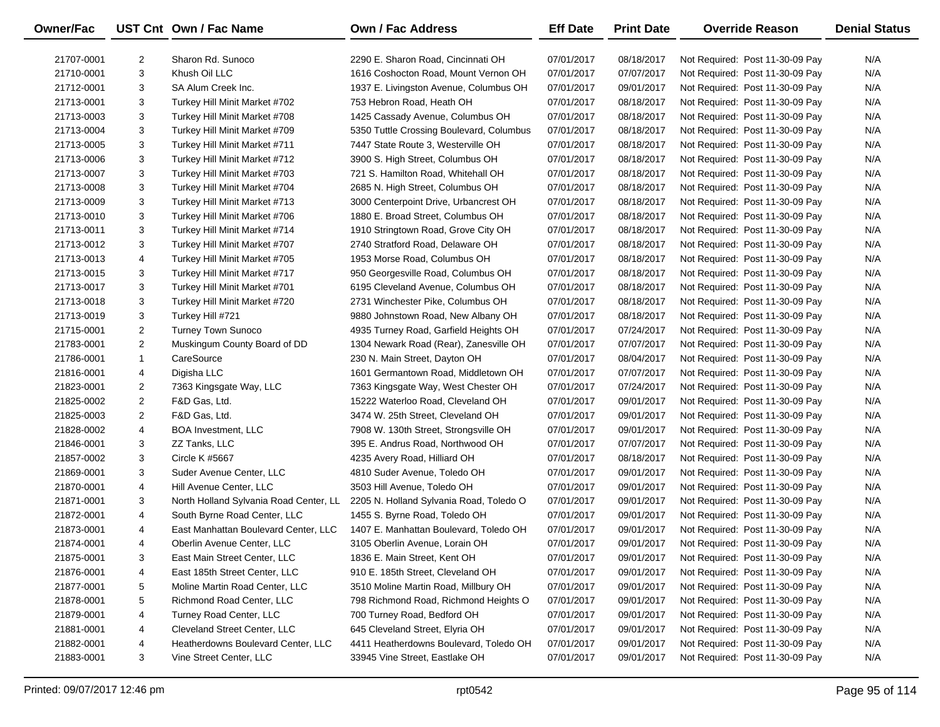| <b>Owner/Fac</b> |                | UST Cnt Own / Fac Name                 | <b>Own / Fac Address</b>                 | <b>Eff Date</b> | <b>Print Date</b> | <b>Override Reason</b>          | <b>Denial Status</b> |
|------------------|----------------|----------------------------------------|------------------------------------------|-----------------|-------------------|---------------------------------|----------------------|
| 21707-0001       | $\overline{2}$ | Sharon Rd. Sunoco                      | 2290 E. Sharon Road, Cincinnati OH       | 07/01/2017      | 08/18/2017        | Not Required: Post 11-30-09 Pay | N/A                  |
| 21710-0001       | 3              | Khush Oil LLC                          | 1616 Coshocton Road, Mount Vernon OH     | 07/01/2017      | 07/07/2017        | Not Required: Post 11-30-09 Pay | N/A                  |
| 21712-0001       | 3              | SA Alum Creek Inc.                     | 1937 E. Livingston Avenue, Columbus OH   | 07/01/2017      | 09/01/2017        | Not Required: Post 11-30-09 Pay | N/A                  |
| 21713-0001       | 3              | Turkey Hill Minit Market #702          | 753 Hebron Road, Heath OH                | 07/01/2017      | 08/18/2017        | Not Required: Post 11-30-09 Pay | N/A                  |
| 21713-0003       | 3              | Turkey Hill Minit Market #708          | 1425 Cassady Avenue, Columbus OH         | 07/01/2017      | 08/18/2017        | Not Required: Post 11-30-09 Pay | N/A                  |
| 21713-0004       | 3              | Turkey Hill Minit Market #709          | 5350 Tuttle Crossing Boulevard, Columbus | 07/01/2017      | 08/18/2017        | Not Required: Post 11-30-09 Pay | N/A                  |
| 21713-0005       | 3              | Turkey Hill Minit Market #711          | 7447 State Route 3, Westerville OH       | 07/01/2017      | 08/18/2017        | Not Required: Post 11-30-09 Pay | N/A                  |
| 21713-0006       | 3              | Turkey Hill Minit Market #712          | 3900 S. High Street, Columbus OH         | 07/01/2017      | 08/18/2017        | Not Required: Post 11-30-09 Pay | N/A                  |
| 21713-0007       | 3              | Turkey Hill Minit Market #703          | 721 S. Hamilton Road, Whitehall OH       | 07/01/2017      | 08/18/2017        | Not Required: Post 11-30-09 Pay | N/A                  |
| 21713-0008       | 3              | Turkey Hill Minit Market #704          | 2685 N. High Street, Columbus OH         | 07/01/2017      | 08/18/2017        | Not Required: Post 11-30-09 Pay | N/A                  |
| 21713-0009       | 3              | Turkey Hill Minit Market #713          | 3000 Centerpoint Drive, Urbancrest OH    | 07/01/2017      | 08/18/2017        | Not Required: Post 11-30-09 Pay | N/A                  |
| 21713-0010       | 3              | Turkey Hill Minit Market #706          | 1880 E. Broad Street, Columbus OH        | 07/01/2017      | 08/18/2017        | Not Required: Post 11-30-09 Pay | N/A                  |
| 21713-0011       | 3              | Turkey Hill Minit Market #714          | 1910 Stringtown Road, Grove City OH      | 07/01/2017      | 08/18/2017        | Not Required: Post 11-30-09 Pay | N/A                  |
| 21713-0012       | 3              | Turkey Hill Minit Market #707          | 2740 Stratford Road, Delaware OH         | 07/01/2017      | 08/18/2017        | Not Required: Post 11-30-09 Pay | N/A                  |
| 21713-0013       | 4              | Turkey Hill Minit Market #705          | 1953 Morse Road, Columbus OH             | 07/01/2017      | 08/18/2017        | Not Required: Post 11-30-09 Pay | N/A                  |
| 21713-0015       | 3              | Turkey Hill Minit Market #717          | 950 Georgesville Road, Columbus OH       | 07/01/2017      | 08/18/2017        | Not Required: Post 11-30-09 Pay | N/A                  |
| 21713-0017       | 3              | Turkey Hill Minit Market #701          | 6195 Cleveland Avenue, Columbus OH       | 07/01/2017      | 08/18/2017        | Not Required: Post 11-30-09 Pay | N/A                  |
| 21713-0018       | 3              | Turkey Hill Minit Market #720          | 2731 Winchester Pike, Columbus OH        | 07/01/2017      | 08/18/2017        | Not Required: Post 11-30-09 Pay | N/A                  |
| 21713-0019       | 3              | Turkey Hill #721                       | 9880 Johnstown Road, New Albany OH       | 07/01/2017      | 08/18/2017        | Not Required: Post 11-30-09 Pay | N/A                  |
| 21715-0001       | $\overline{c}$ | <b>Turney Town Sunoco</b>              | 4935 Turney Road, Garfield Heights OH    | 07/01/2017      | 07/24/2017        | Not Required: Post 11-30-09 Pay | N/A                  |
| 21783-0001       | $\overline{2}$ | Muskingum County Board of DD           | 1304 Newark Road (Rear), Zanesville OH   | 07/01/2017      | 07/07/2017        | Not Required: Post 11-30-09 Pay | N/A                  |
| 21786-0001       | $\mathbf{1}$   | CareSource                             | 230 N. Main Street, Dayton OH            | 07/01/2017      | 08/04/2017        | Not Required: Post 11-30-09 Pay | N/A                  |
| 21816-0001       | 4              | Digisha LLC                            | 1601 Germantown Road, Middletown OH      | 07/01/2017      | 07/07/2017        | Not Required: Post 11-30-09 Pay | N/A                  |
| 21823-0001       | 2              | 7363 Kingsgate Way, LLC                | 7363 Kingsgate Way, West Chester OH      | 07/01/2017      | 07/24/2017        | Not Required: Post 11-30-09 Pay | N/A                  |
| 21825-0002       | $\overline{c}$ | F&D Gas, Ltd.                          | 15222 Waterloo Road, Cleveland OH        | 07/01/2017      | 09/01/2017        | Not Required: Post 11-30-09 Pay | N/A                  |
| 21825-0003       | $\overline{2}$ | F&D Gas, Ltd.                          | 3474 W. 25th Street, Cleveland OH        | 07/01/2017      | 09/01/2017        | Not Required: Post 11-30-09 Pay | N/A                  |
| 21828-0002       | 4              | <b>BOA Investment, LLC</b>             | 7908 W. 130th Street, Strongsville OH    | 07/01/2017      | 09/01/2017        | Not Required: Post 11-30-09 Pay | N/A                  |
| 21846-0001       | 3              | ZZ Tanks, LLC                          | 395 E. Andrus Road, Northwood OH         | 07/01/2017      | 07/07/2017        | Not Required: Post 11-30-09 Pay | N/A                  |
| 21857-0002       | 3              | Circle K #5667                         | 4235 Avery Road, Hilliard OH             | 07/01/2017      | 08/18/2017        | Not Required: Post 11-30-09 Pay | N/A                  |
| 21869-0001       | 3              | Suder Avenue Center, LLC               | 4810 Suder Avenue, Toledo OH             | 07/01/2017      | 09/01/2017        | Not Required: Post 11-30-09 Pay | N/A                  |
| 21870-0001       | 4              | Hill Avenue Center, LLC                | 3503 Hill Avenue, Toledo OH              | 07/01/2017      | 09/01/2017        | Not Required: Post 11-30-09 Pay | N/A                  |
| 21871-0001       | 3              | North Holland Sylvania Road Center, LL | 2205 N. Holland Sylvania Road, Toledo O  | 07/01/2017      | 09/01/2017        | Not Required: Post 11-30-09 Pay | N/A                  |
| 21872-0001       | 4              | South Byrne Road Center, LLC           | 1455 S. Byrne Road, Toledo OH            | 07/01/2017      | 09/01/2017        | Not Required: Post 11-30-09 Pay | N/A                  |
| 21873-0001       | 4              | East Manhattan Boulevard Center, LLC   | 1407 E. Manhattan Boulevard, Toledo OH   | 07/01/2017      | 09/01/2017        | Not Required: Post 11-30-09 Pay | N/A                  |
| 21874-0001       | 4              | Oberlin Avenue Center, LLC             | 3105 Oberlin Avenue, Lorain OH           | 07/01/2017      | 09/01/2017        | Not Required: Post 11-30-09 Pay | N/A                  |
| 21875-0001       | 3              | East Main Street Center, LLC           | 1836 E. Main Street, Kent OH             | 07/01/2017      | 09/01/2017        | Not Required: Post 11-30-09 Pay | N/A                  |
| 21876-0001       | 4              | East 185th Street Center, LLC          | 910 E. 185th Street, Cleveland OH        | 07/01/2017      | 09/01/2017        | Not Required: Post 11-30-09 Pay | N/A                  |
| 21877-0001       | 5              | Moline Martin Road Center, LLC         | 3510 Moline Martin Road, Millbury OH     | 07/01/2017      | 09/01/2017        | Not Required: Post 11-30-09 Pay | N/A                  |
| 21878-0001       | 5              | Richmond Road Center, LLC              | 798 Richmond Road, Richmond Heights O    | 07/01/2017      | 09/01/2017        | Not Required: Post 11-30-09 Pay | N/A                  |
| 21879-0001       | 4              | Turney Road Center, LLC                | 700 Turney Road, Bedford OH              | 07/01/2017      | 09/01/2017        | Not Required: Post 11-30-09 Pay | N/A                  |
| 21881-0001       | 4              | Cleveland Street Center, LLC           | 645 Cleveland Street, Elyria OH          | 07/01/2017      | 09/01/2017        | Not Required: Post 11-30-09 Pay | N/A                  |
| 21882-0001       | 4              | Heatherdowns Boulevard Center, LLC     | 4411 Heatherdowns Boulevard, Toledo OH   | 07/01/2017      | 09/01/2017        | Not Required: Post 11-30-09 Pay | N/A                  |
| 21883-0001       | 3              | Vine Street Center, LLC                | 33945 Vine Street, Eastlake OH           | 07/01/2017      | 09/01/2017        | Not Required: Post 11-30-09 Pay | N/A                  |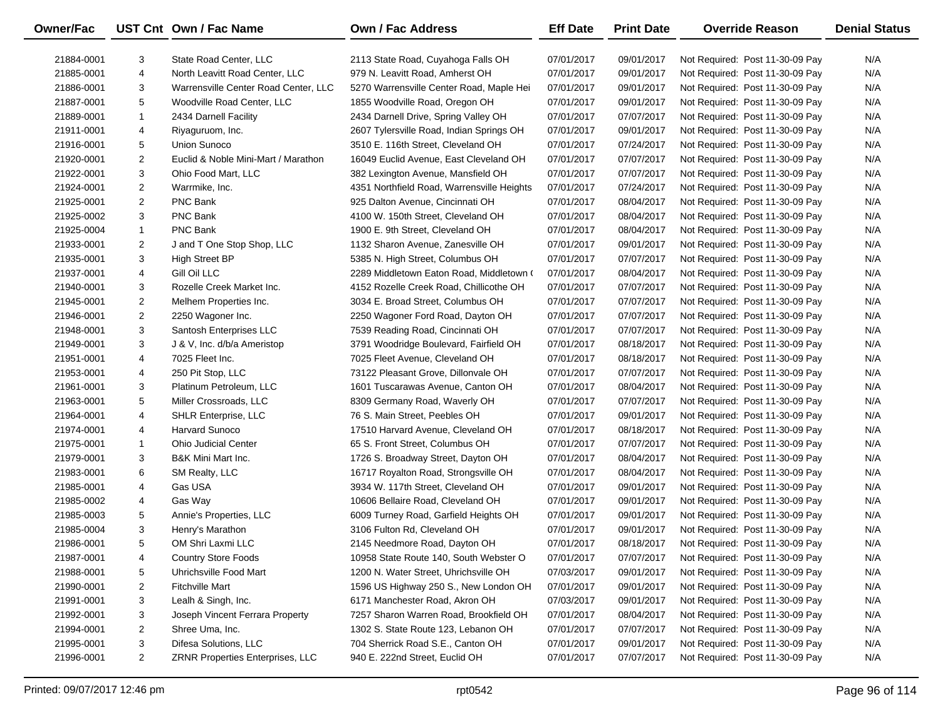| Owner/Fac  |                | UST Cnt Own / Fac Name               | <b>Own / Fac Address</b>                   | <b>Eff Date</b> | <b>Print Date</b> | <b>Override Reason</b>          | <b>Denial Status</b> |
|------------|----------------|--------------------------------------|--------------------------------------------|-----------------|-------------------|---------------------------------|----------------------|
| 21884-0001 | 3              | State Road Center, LLC               | 2113 State Road, Cuyahoga Falls OH         | 07/01/2017      | 09/01/2017        | Not Required: Post 11-30-09 Pay | N/A                  |
| 21885-0001 | $\overline{4}$ | North Leavitt Road Center, LLC       | 979 N. Leavitt Road, Amherst OH            | 07/01/2017      | 09/01/2017        | Not Required: Post 11-30-09 Pay | N/A                  |
| 21886-0001 | 3              | Warrensville Center Road Center, LLC | 5270 Warrensville Center Road, Maple Hei   | 07/01/2017      | 09/01/2017        | Not Required: Post 11-30-09 Pay | N/A                  |
| 21887-0001 | 5              | Woodville Road Center, LLC           | 1855 Woodville Road, Oregon OH             | 07/01/2017      | 09/01/2017        | Not Required: Post 11-30-09 Pay | N/A                  |
| 21889-0001 | 1              | 2434 Darnell Facility                | 2434 Darnell Drive, Spring Valley OH       | 07/01/2017      | 07/07/2017        | Not Required: Post 11-30-09 Pay | N/A                  |
| 21911-0001 | 4              | Riyaguruom, Inc.                     | 2607 Tylersville Road, Indian Springs OH   | 07/01/2017      | 09/01/2017        | Not Required: Post 11-30-09 Pay | N/A                  |
| 21916-0001 | 5              | <b>Union Sunoco</b>                  | 3510 E. 116th Street, Cleveland OH         | 07/01/2017      | 07/24/2017        | Not Required: Post 11-30-09 Pay | N/A                  |
| 21920-0001 | $\overline{2}$ | Euclid & Noble Mini-Mart / Marathon  | 16049 Euclid Avenue, East Cleveland OH     | 07/01/2017      | 07/07/2017        | Not Required: Post 11-30-09 Pay | N/A                  |
| 21922-0001 | 3              | Ohio Food Mart, LLC                  | 382 Lexington Avenue, Mansfield OH         | 07/01/2017      | 07/07/2017        | Not Required: Post 11-30-09 Pay | N/A                  |
| 21924-0001 | $\overline{2}$ | Warrmike, Inc.                       | 4351 Northfield Road, Warrensville Heights | 07/01/2017      | 07/24/2017        | Not Required: Post 11-30-09 Pay | N/A                  |
| 21925-0001 | $\overline{2}$ | PNC Bank                             | 925 Dalton Avenue, Cincinnati OH           | 07/01/2017      | 08/04/2017        | Not Required: Post 11-30-09 Pay | N/A                  |
| 21925-0002 | 3              | PNC Bank                             | 4100 W. 150th Street, Cleveland OH         | 07/01/2017      | 08/04/2017        | Not Required: Post 11-30-09 Pay | N/A                  |
| 21925-0004 | $\mathbf{1}$   | PNC Bank                             | 1900 E. 9th Street, Cleveland OH           | 07/01/2017      | 08/04/2017        | Not Required: Post 11-30-09 Pay | N/A                  |
| 21933-0001 | $\overline{2}$ | J and T One Stop Shop, LLC           | 1132 Sharon Avenue, Zanesville OH          | 07/01/2017      | 09/01/2017        | Not Required: Post 11-30-09 Pay | N/A                  |
| 21935-0001 | 3              | High Street BP                       | 5385 N. High Street, Columbus OH           | 07/01/2017      | 07/07/2017        | Not Required: Post 11-30-09 Pay | N/A                  |
| 21937-0001 | 4              | Gill Oil LLC                         | 2289 Middletown Eaton Road, Middletown (   | 07/01/2017      | 08/04/2017        | Not Required: Post 11-30-09 Pay | N/A                  |
| 21940-0001 | 3              | Rozelle Creek Market Inc.            | 4152 Rozelle Creek Road, Chillicothe OH    | 07/01/2017      | 07/07/2017        | Not Required: Post 11-30-09 Pay | N/A                  |
| 21945-0001 | $\overline{2}$ | Melhem Properties Inc.               | 3034 E. Broad Street, Columbus OH          | 07/01/2017      | 07/07/2017        | Not Required: Post 11-30-09 Pay | N/A                  |
| 21946-0001 | $\overline{2}$ | 2250 Wagoner Inc.                    | 2250 Wagoner Ford Road, Dayton OH          | 07/01/2017      | 07/07/2017        | Not Required: Post 11-30-09 Pay | N/A                  |
| 21948-0001 | 3              | Santosh Enterprises LLC              | 7539 Reading Road, Cincinnati OH           | 07/01/2017      | 07/07/2017        | Not Required: Post 11-30-09 Pay | N/A                  |
| 21949-0001 | 3              | J & V, Inc. d/b/a Ameristop          | 3791 Woodridge Boulevard, Fairfield OH     | 07/01/2017      | 08/18/2017        | Not Required: Post 11-30-09 Pay | N/A                  |
| 21951-0001 | 4              | 7025 Fleet Inc.                      | 7025 Fleet Avenue, Cleveland OH            | 07/01/2017      | 08/18/2017        | Not Required: Post 11-30-09 Pay | N/A                  |
| 21953-0001 | 4              | 250 Pit Stop, LLC                    | 73122 Pleasant Grove, Dillonvale OH        | 07/01/2017      | 07/07/2017        | Not Required: Post 11-30-09 Pay | N/A                  |
| 21961-0001 | 3              | Platinum Petroleum, LLC              | 1601 Tuscarawas Avenue, Canton OH          | 07/01/2017      | 08/04/2017        | Not Required: Post 11-30-09 Pay | N/A                  |
| 21963-0001 | 5              | Miller Crossroads, LLC               | 8309 Germany Road, Waverly OH              | 07/01/2017      | 07/07/2017        | Not Required: Post 11-30-09 Pay | N/A                  |
| 21964-0001 | 4              | SHLR Enterprise, LLC                 | 76 S. Main Street, Peebles OH              | 07/01/2017      | 09/01/2017        | Not Required: Post 11-30-09 Pay | N/A                  |
| 21974-0001 | 4              | Harvard Sunoco                       | 17510 Harvard Avenue, Cleveland OH         | 07/01/2017      | 08/18/2017        | Not Required: Post 11-30-09 Pay | N/A                  |
| 21975-0001 | 1              | <b>Ohio Judicial Center</b>          | 65 S. Front Street, Columbus OH            | 07/01/2017      | 07/07/2017        | Not Required: Post 11-30-09 Pay | N/A                  |
| 21979-0001 | 3              | B&K Mini Mart Inc.                   | 1726 S. Broadway Street, Dayton OH         | 07/01/2017      | 08/04/2017        | Not Required: Post 11-30-09 Pay | N/A                  |
| 21983-0001 | 6              | SM Realty, LLC                       | 16717 Royalton Road, Strongsville OH       | 07/01/2017      | 08/04/2017        | Not Required: Post 11-30-09 Pay | N/A                  |
| 21985-0001 | 4              | Gas USA                              | 3934 W. 117th Street, Cleveland OH         | 07/01/2017      | 09/01/2017        | Not Required: Post 11-30-09 Pay | N/A                  |
| 21985-0002 | 4              | Gas Way                              | 10606 Bellaire Road, Cleveland OH          | 07/01/2017      | 09/01/2017        | Not Required: Post 11-30-09 Pay | N/A                  |
| 21985-0003 | 5              | Annie's Properties, LLC              | 6009 Turney Road, Garfield Heights OH      | 07/01/2017      | 09/01/2017        | Not Required: Post 11-30-09 Pay | N/A                  |
| 21985-0004 | 3              | Henry's Marathon                     | 3106 Fulton Rd, Cleveland OH               | 07/01/2017      | 09/01/2017        | Not Required: Post 11-30-09 Pay | N/A                  |
| 21986-0001 | 5              | OM Shri Laxmi LLC                    | 2145 Needmore Road, Dayton OH              | 07/01/2017      | 08/18/2017        | Not Required: Post 11-30-09 Pay | N/A                  |
| 21987-0001 | 4              | <b>Country Store Foods</b>           | 10958 State Route 140, South Webster O     | 07/01/2017      | 07/07/2017        | Not Required: Post 11-30-09 Pay | N/A                  |
| 21988-0001 | 5              | Uhrichsville Food Mart               | 1200 N. Water Street, Uhrichsville OH      | 07/03/2017      | 09/01/2017        | Not Required: Post 11-30-09 Pay | N/A                  |
| 21990-0001 | 2              | <b>Fitchville Mart</b>               | 1596 US Highway 250 S., New London OH      | 07/01/2017      | 09/01/2017        | Not Required: Post 11-30-09 Pay | N/A                  |
| 21991-0001 | 3              | Lealh & Singh, Inc.                  | 6171 Manchester Road, Akron OH             | 07/03/2017      | 09/01/2017        | Not Required: Post 11-30-09 Pay | N/A                  |
| 21992-0001 | 3              | Joseph Vincent Ferrara Property      | 7257 Sharon Warren Road, Brookfield OH     | 07/01/2017      | 08/04/2017        | Not Required: Post 11-30-09 Pay | N/A                  |
| 21994-0001 | 2              | Shree Uma, Inc.                      | 1302 S. State Route 123, Lebanon OH        | 07/01/2017      | 07/07/2017        | Not Required: Post 11-30-09 Pay | N/A                  |
| 21995-0001 | 3              | Difesa Solutions, LLC                | 704 Sherrick Road S.E., Canton OH          | 07/01/2017      | 09/01/2017        | Not Required: Post 11-30-09 Pay | N/A                  |
| 21996-0001 | $\overline{2}$ | ZRNR Properties Enterprises, LLC     | 940 E. 222nd Street, Euclid OH             | 07/01/2017      | 07/07/2017        | Not Required: Post 11-30-09 Pay | N/A                  |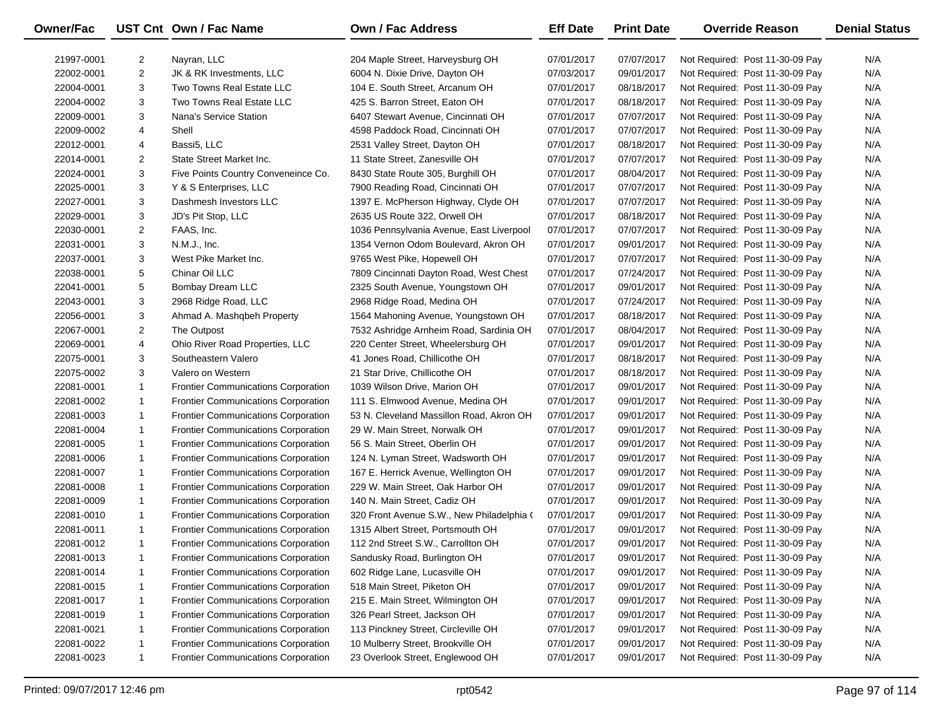| Owner/Fac  |                | UST Cnt Own / Fac Name                     | <b>Own / Fac Address</b>                  | <b>Eff Date</b> | <b>Print Date</b> | <b>Override Reason</b>          | <b>Denial Status</b> |
|------------|----------------|--------------------------------------------|-------------------------------------------|-----------------|-------------------|---------------------------------|----------------------|
| 21997-0001 | 2              | Nayran, LLC                                | 204 Maple Street, Harveysburg OH          | 07/01/2017      | 07/07/2017        | Not Required: Post 11-30-09 Pay | N/A                  |
| 22002-0001 | 2              | JK & RK Investments, LLC                   | 6004 N. Dixie Drive, Dayton OH            | 07/03/2017      | 09/01/2017        | Not Required: Post 11-30-09 Pay | N/A                  |
| 22004-0001 | 3              | Two Towns Real Estate LLC                  | 104 E. South Street, Arcanum OH           | 07/01/2017      | 08/18/2017        | Not Required: Post 11-30-09 Pay | N/A                  |
| 22004-0002 | 3              | Two Towns Real Estate LLC                  | 425 S. Barron Street, Eaton OH            | 07/01/2017      | 08/18/2017        | Not Required: Post 11-30-09 Pay | N/A                  |
| 22009-0001 | 3              | Nana's Service Station                     | 6407 Stewart Avenue, Cincinnati OH        | 07/01/2017      | 07/07/2017        | Not Required: Post 11-30-09 Pay | N/A                  |
| 22009-0002 | 4              | Shell                                      | 4598 Paddock Road, Cincinnati OH          | 07/01/2017      | 07/07/2017        | Not Required: Post 11-30-09 Pay | N/A                  |
| 22012-0001 | 4              | Bassi5, LLC                                | 2531 Valley Street, Dayton OH             | 07/01/2017      | 08/18/2017        | Not Required: Post 11-30-09 Pay | N/A                  |
| 22014-0001 | 2              | State Street Market Inc.                   | 11 State Street, Zanesville OH            | 07/01/2017      | 07/07/2017        | Not Required: Post 11-30-09 Pay | N/A                  |
| 22024-0001 | 3              | Five Points Country Conveneince Co.        | 8430 State Route 305, Burghill OH         | 07/01/2017      | 08/04/2017        | Not Required: Post 11-30-09 Pay | N/A                  |
| 22025-0001 | 3              | Y & S Enterprises, LLC                     | 7900 Reading Road, Cincinnati OH          | 07/01/2017      | 07/07/2017        | Not Required: Post 11-30-09 Pay | N/A                  |
| 22027-0001 | 3              | Dashmesh Investors LLC                     | 1397 E. McPherson Highway, Clyde OH       | 07/01/2017      | 07/07/2017        | Not Required: Post 11-30-09 Pay | N/A                  |
| 22029-0001 | 3              | JD's Pit Stop, LLC                         | 2635 US Route 322, Orwell OH              | 07/01/2017      | 08/18/2017        | Not Required: Post 11-30-09 Pay | N/A                  |
| 22030-0001 | $\overline{c}$ | FAAS, Inc.                                 | 1036 Pennsylvania Avenue, East Liverpool  | 07/01/2017      | 07/07/2017        | Not Required: Post 11-30-09 Pay | N/A                  |
| 22031-0001 | 3              | N.M.J., Inc.                               | 1354 Vernon Odom Boulevard, Akron OH      | 07/01/2017      | 09/01/2017        | Not Required: Post 11-30-09 Pay | N/A                  |
| 22037-0001 | 3              | West Pike Market Inc.                      | 9765 West Pike, Hopewell OH               | 07/01/2017      | 07/07/2017        | Not Required: Post 11-30-09 Pay | N/A                  |
| 22038-0001 | 5              | Chinar Oil LLC                             | 7809 Cincinnati Dayton Road, West Chest   | 07/01/2017      | 07/24/2017        | Not Required: Post 11-30-09 Pay | N/A                  |
| 22041-0001 | 5              | Bombay Dream LLC                           | 2325 South Avenue, Youngstown OH          | 07/01/2017      | 09/01/2017        | Not Required: Post 11-30-09 Pay | N/A                  |
| 22043-0001 | 3              | 2968 Ridge Road, LLC                       | 2968 Ridge Road, Medina OH                | 07/01/2017      | 07/24/2017        | Not Required: Post 11-30-09 Pay | N/A                  |
| 22056-0001 | 3              | Ahmad A. Mashqbeh Property                 | 1564 Mahoning Avenue, Youngstown OH       | 07/01/2017      | 08/18/2017        | Not Required: Post 11-30-09 Pay | N/A                  |
| 22067-0001 | 2              | The Outpost                                | 7532 Ashridge Arnheim Road, Sardinia OH   | 07/01/2017      | 08/04/2017        | Not Required: Post 11-30-09 Pay | N/A                  |
| 22069-0001 | 4              | Ohio River Road Properties, LLC            | 220 Center Street, Wheelersburg OH        | 07/01/2017      | 09/01/2017        | Not Required: Post 11-30-09 Pay | N/A                  |
| 22075-0001 | 3              | Southeastern Valero                        | 41 Jones Road, Chillicothe OH             | 07/01/2017      | 08/18/2017        | Not Required: Post 11-30-09 Pay | N/A                  |
| 22075-0002 | 3              | Valero on Western                          | 21 Star Drive, Chillicothe OH             | 07/01/2017      | 08/18/2017        | Not Required: Post 11-30-09 Pay | N/A                  |
| 22081-0001 | $\mathbf{1}$   | <b>Frontier Communications Corporation</b> | 1039 Wilson Drive, Marion OH              | 07/01/2017      | 09/01/2017        | Not Required: Post 11-30-09 Pay | N/A                  |
| 22081-0002 | $\mathbf{1}$   | <b>Frontier Communications Corporation</b> | 111 S. Elmwood Avenue, Medina OH          | 07/01/2017      | 09/01/2017        | Not Required: Post 11-30-09 Pay | N/A                  |
| 22081-0003 | $\mathbf{1}$   | <b>Frontier Communications Corporation</b> | 53 N. Cleveland Massillon Road, Akron OH  | 07/01/2017      | 09/01/2017        | Not Required: Post 11-30-09 Pay | N/A                  |
| 22081-0004 | $\mathbf{1}$   | <b>Frontier Communications Corporation</b> | 29 W. Main Street, Norwalk OH             | 07/01/2017      | 09/01/2017        | Not Required: Post 11-30-09 Pay | N/A                  |
| 22081-0005 | $\mathbf{1}$   | <b>Frontier Communications Corporation</b> | 56 S. Main Street, Oberlin OH             | 07/01/2017      | 09/01/2017        | Not Required: Post 11-30-09 Pay | N/A                  |
| 22081-0006 | $\mathbf{1}$   | <b>Frontier Communications Corporation</b> | 124 N. Lyman Street, Wadsworth OH         | 07/01/2017      | 09/01/2017        | Not Required: Post 11-30-09 Pay | N/A                  |
| 22081-0007 | $\mathbf{1}$   | <b>Frontier Communications Corporation</b> | 167 E. Herrick Avenue, Wellington OH      | 07/01/2017      | 09/01/2017        | Not Required: Post 11-30-09 Pay | N/A                  |
| 22081-0008 | $\mathbf{1}$   | <b>Frontier Communications Corporation</b> | 229 W. Main Street, Oak Harbor OH         | 07/01/2017      | 09/01/2017        | Not Required: Post 11-30-09 Pay | N/A                  |
| 22081-0009 | $\mathbf{1}$   | <b>Frontier Communications Corporation</b> | 140 N. Main Street, Cadiz OH              | 07/01/2017      | 09/01/2017        | Not Required: Post 11-30-09 Pay | N/A                  |
| 22081-0010 | $\mathbf{1}$   | <b>Frontier Communications Corporation</b> | 320 Front Avenue S.W., New Philadelphia ( | 07/01/2017      | 09/01/2017        | Not Required: Post 11-30-09 Pay | N/A                  |
| 22081-0011 | $\mathbf{1}$   | <b>Frontier Communications Corporation</b> | 1315 Albert Street, Portsmouth OH         | 07/01/2017      | 09/01/2017        | Not Required: Post 11-30-09 Pay | N/A                  |
| 22081-0012 | $\mathbf{1}$   | <b>Frontier Communications Corporation</b> | 112 2nd Street S.W., Carrollton OH        | 07/01/2017      | 09/01/2017        | Not Required: Post 11-30-09 Pay | N/A                  |
| 22081-0013 | 1              | <b>Frontier Communications Corporation</b> | Sandusky Road, Burlington OH              | 07/01/2017      | 09/01/2017        | Not Required: Post 11-30-09 Pay | N/A                  |
| 22081-0014 | 1              | <b>Frontier Communications Corporation</b> | 602 Ridge Lane, Lucasville OH             | 07/01/2017      | 09/01/2017        | Not Required: Post 11-30-09 Pay | N/A                  |
| 22081-0015 | 1              | Frontier Communications Corporation        | 518 Main Street, Piketon OH               | 07/01/2017      | 09/01/2017        | Not Required: Post 11-30-09 Pay | N/A                  |
| 22081-0017 | $\mathbf{1}$   | Frontier Communications Corporation        | 215 E. Main Street, Wilmington OH         | 07/01/2017      | 09/01/2017        | Not Required: Post 11-30-09 Pay | N/A                  |
| 22081-0019 | $\mathbf{1}$   | Frontier Communications Corporation        | 326 Pearl Street, Jackson OH              | 07/01/2017      | 09/01/2017        | Not Required: Post 11-30-09 Pay | N/A                  |
| 22081-0021 | 1              | Frontier Communications Corporation        | 113 Pinckney Street, Circleville OH       | 07/01/2017      | 09/01/2017        | Not Required: Post 11-30-09 Pay | N/A                  |
| 22081-0022 | 1              | Frontier Communications Corporation        | 10 Mulberry Street, Brookville OH         | 07/01/2017      | 09/01/2017        | Not Required: Post 11-30-09 Pay | N/A                  |
| 22081-0023 | $\mathbf{1}$   | Frontier Communications Corporation        | 23 Overlook Street, Englewood OH          | 07/01/2017      | 09/01/2017        | Not Required: Post 11-30-09 Pay | N/A                  |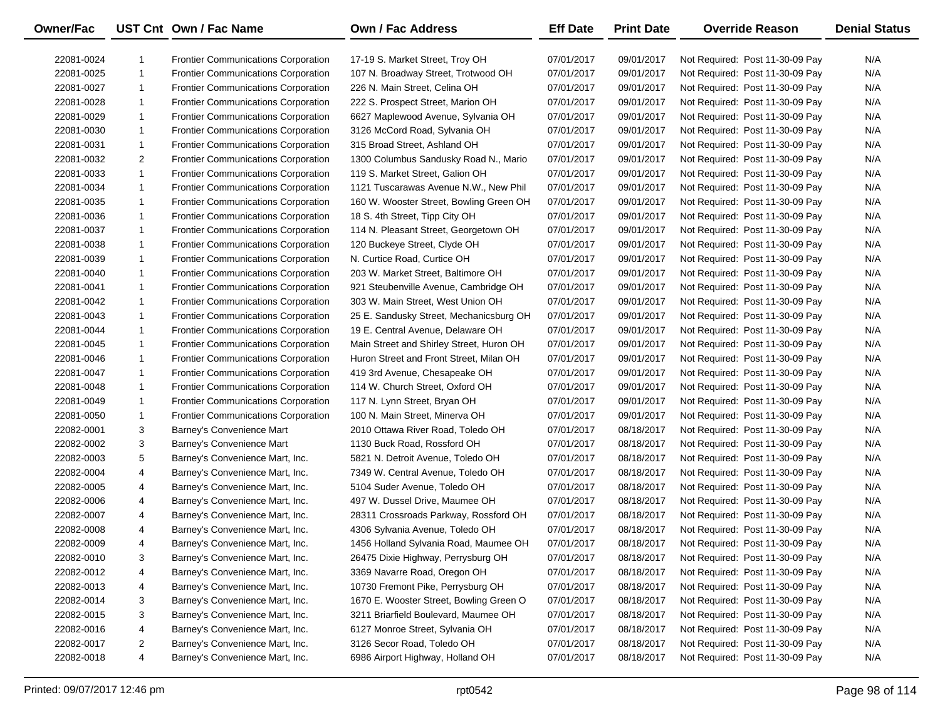| <b>Owner/Fac</b> |                | UST Cnt Own / Fac Name                     | <b>Own / Fac Address</b>                 | <b>Eff Date</b> | <b>Print Date</b> | <b>Override Reason</b>          | <b>Denial Status</b> |
|------------------|----------------|--------------------------------------------|------------------------------------------|-----------------|-------------------|---------------------------------|----------------------|
| 22081-0024       | 1              | <b>Frontier Communications Corporation</b> | 17-19 S. Market Street, Troy OH          | 07/01/2017      | 09/01/2017        | Not Required: Post 11-30-09 Pay | N/A                  |
| 22081-0025       | $\mathbf{1}$   | <b>Frontier Communications Corporation</b> | 107 N. Broadway Street, Trotwood OH      | 07/01/2017      | 09/01/2017        | Not Required: Post 11-30-09 Pay | N/A                  |
| 22081-0027       | 1              | <b>Frontier Communications Corporation</b> | 226 N. Main Street, Celina OH            | 07/01/2017      | 09/01/2017        | Not Required: Post 11-30-09 Pay | N/A                  |
| 22081-0028       | $\mathbf{1}$   | Frontier Communications Corporation        | 222 S. Prospect Street, Marion OH        | 07/01/2017      | 09/01/2017        | Not Required: Post 11-30-09 Pay | N/A                  |
| 22081-0029       | $\mathbf{1}$   | Frontier Communications Corporation        | 6627 Maplewood Avenue, Sylvania OH       | 07/01/2017      | 09/01/2017        | Not Required: Post 11-30-09 Pay | N/A                  |
| 22081-0030       | $\mathbf{1}$   | Frontier Communications Corporation        | 3126 McCord Road, Sylvania OH            | 07/01/2017      | 09/01/2017        | Not Required: Post 11-30-09 Pay | N/A                  |
| 22081-0031       | $\mathbf{1}$   | Frontier Communications Corporation        | 315 Broad Street, Ashland OH             | 07/01/2017      | 09/01/2017        | Not Required: Post 11-30-09 Pay | N/A                  |
| 22081-0032       | 2              | <b>Frontier Communications Corporation</b> | 1300 Columbus Sandusky Road N., Mario    | 07/01/2017      | 09/01/2017        | Not Required: Post 11-30-09 Pay | N/A                  |
| 22081-0033       | $\mathbf{1}$   | <b>Frontier Communications Corporation</b> | 119 S. Market Street, Galion OH          | 07/01/2017      | 09/01/2017        | Not Required: Post 11-30-09 Pay | N/A                  |
| 22081-0034       | 1              | <b>Frontier Communications Corporation</b> | 1121 Tuscarawas Avenue N.W., New Phil    | 07/01/2017      | 09/01/2017        | Not Required: Post 11-30-09 Pay | N/A                  |
| 22081-0035       | $\mathbf{1}$   | <b>Frontier Communications Corporation</b> | 160 W. Wooster Street, Bowling Green OH  | 07/01/2017      | 09/01/2017        | Not Required: Post 11-30-09 Pay | N/A                  |
| 22081-0036       | $\mathbf{1}$   | <b>Frontier Communications Corporation</b> | 18 S. 4th Street, Tipp City OH           | 07/01/2017      | 09/01/2017        | Not Required: Post 11-30-09 Pay | N/A                  |
| 22081-0037       | $\mathbf{1}$   | <b>Frontier Communications Corporation</b> | 114 N. Pleasant Street, Georgetown OH    | 07/01/2017      | 09/01/2017        | Not Required: Post 11-30-09 Pay | N/A                  |
| 22081-0038       | $\mathbf{1}$   | <b>Frontier Communications Corporation</b> | 120 Buckeye Street, Clyde OH             | 07/01/2017      | 09/01/2017        | Not Required: Post 11-30-09 Pay | N/A                  |
| 22081-0039       | $\mathbf{1}$   | <b>Frontier Communications Corporation</b> | N. Curtice Road, Curtice OH              | 07/01/2017      | 09/01/2017        | Not Required: Post 11-30-09 Pay | N/A                  |
| 22081-0040       | $\mathbf{1}$   | <b>Frontier Communications Corporation</b> | 203 W. Market Street, Baltimore OH       | 07/01/2017      | 09/01/2017        | Not Required: Post 11-30-09 Pay | N/A                  |
| 22081-0041       | $\mathbf{1}$   | Frontier Communications Corporation        | 921 Steubenville Avenue, Cambridge OH    | 07/01/2017      | 09/01/2017        | Not Required: Post 11-30-09 Pay | N/A                  |
| 22081-0042       | $\mathbf{1}$   | <b>Frontier Communications Corporation</b> | 303 W. Main Street, West Union OH        | 07/01/2017      | 09/01/2017        | Not Required: Post 11-30-09 Pay | N/A                  |
| 22081-0043       | $\mathbf{1}$   | Frontier Communications Corporation        | 25 E. Sandusky Street, Mechanicsburg OH  | 07/01/2017      | 09/01/2017        | Not Required: Post 11-30-09 Pay | N/A                  |
| 22081-0044       | $\mathbf{1}$   | <b>Frontier Communications Corporation</b> | 19 E. Central Avenue, Delaware OH        | 07/01/2017      | 09/01/2017        | Not Required: Post 11-30-09 Pay | N/A                  |
| 22081-0045       | $\mathbf{1}$   | <b>Frontier Communications Corporation</b> | Main Street and Shirley Street, Huron OH | 07/01/2017      | 09/01/2017        | Not Required: Post 11-30-09 Pay | N/A                  |
| 22081-0046       | $\mathbf{1}$   | <b>Frontier Communications Corporation</b> | Huron Street and Front Street, Milan OH  | 07/01/2017      | 09/01/2017        | Not Required: Post 11-30-09 Pay | N/A                  |
| 22081-0047       | $\mathbf{1}$   | <b>Frontier Communications Corporation</b> | 419 3rd Avenue, Chesapeake OH            | 07/01/2017      | 09/01/2017        | Not Required: Post 11-30-09 Pay | N/A                  |
| 22081-0048       | $\mathbf{1}$   | <b>Frontier Communications Corporation</b> | 114 W. Church Street, Oxford OH          | 07/01/2017      | 09/01/2017        | Not Required: Post 11-30-09 Pay | N/A                  |
| 22081-0049       | $\mathbf{1}$   | <b>Frontier Communications Corporation</b> | 117 N. Lynn Street, Bryan OH             | 07/01/2017      | 09/01/2017        | Not Required: Post 11-30-09 Pay | N/A                  |
| 22081-0050       | 1              | Frontier Communications Corporation        | 100 N. Main Street, Minerva OH           | 07/01/2017      | 09/01/2017        | Not Required: Post 11-30-09 Pay | N/A                  |
| 22082-0001       | 3              | Barney's Convenience Mart                  | 2010 Ottawa River Road, Toledo OH        | 07/01/2017      | 08/18/2017        | Not Required: Post 11-30-09 Pay | N/A                  |
| 22082-0002       | 3              | Barney's Convenience Mart                  | 1130 Buck Road, Rossford OH              | 07/01/2017      | 08/18/2017        | Not Required: Post 11-30-09 Pay | N/A                  |
| 22082-0003       | 5              | Barney's Convenience Mart, Inc.            | 5821 N. Detroit Avenue, Toledo OH        | 07/01/2017      | 08/18/2017        | Not Required: Post 11-30-09 Pay | N/A                  |
| 22082-0004       | 4              | Barney's Convenience Mart, Inc.            | 7349 W. Central Avenue, Toledo OH        | 07/01/2017      | 08/18/2017        | Not Required: Post 11-30-09 Pay | N/A                  |
| 22082-0005       | 4              | Barney's Convenience Mart, Inc.            | 5104 Suder Avenue, Toledo OH             | 07/01/2017      | 08/18/2017        | Not Required: Post 11-30-09 Pay | N/A                  |
| 22082-0006       | 4              | Barney's Convenience Mart, Inc.            | 497 W. Dussel Drive, Maumee OH           | 07/01/2017      | 08/18/2017        | Not Required: Post 11-30-09 Pay | N/A                  |
| 22082-0007       | 4              | Barney's Convenience Mart, Inc.            | 28311 Crossroads Parkway, Rossford OH    | 07/01/2017      | 08/18/2017        | Not Required: Post 11-30-09 Pay | N/A                  |
| 22082-0008       | 4              | Barney's Convenience Mart, Inc.            | 4306 Sylvania Avenue, Toledo OH          | 07/01/2017      | 08/18/2017        | Not Required: Post 11-30-09 Pay | N/A                  |
| 22082-0009       | 4              | Barney's Convenience Mart, Inc.            | 1456 Holland Sylvania Road, Maumee OH    | 07/01/2017      | 08/18/2017        | Not Required: Post 11-30-09 Pay | N/A                  |
| 22082-0010       | 3              | Barney's Convenience Mart, Inc.            | 26475 Dixie Highway, Perrysburg OH       | 07/01/2017      | 08/18/2017        | Not Required: Post 11-30-09 Pay | N/A                  |
| 22082-0012       | 4              | Barney's Convenience Mart, Inc.            | 3369 Navarre Road, Oregon OH             | 07/01/2017      | 08/18/2017        | Not Required: Post 11-30-09 Pay | N/A                  |
| 22082-0013       | 4              | Barney's Convenience Mart, Inc.            | 10730 Fremont Pike, Perrysburg OH        | 07/01/2017      | 08/18/2017        | Not Required: Post 11-30-09 Pay | N/A                  |
| 22082-0014       | 3              | Barney's Convenience Mart, Inc.            | 1670 E. Wooster Street, Bowling Green O  | 07/01/2017      | 08/18/2017        | Not Required: Post 11-30-09 Pay | N/A                  |
| 22082-0015       | 3              | Barney's Convenience Mart, Inc.            | 3211 Briarfield Boulevard, Maumee OH     | 07/01/2017      | 08/18/2017        | Not Required: Post 11-30-09 Pay | N/A                  |
| 22082-0016       | 4              | Barney's Convenience Mart, Inc.            | 6127 Monroe Street, Sylvania OH          | 07/01/2017      | 08/18/2017        | Not Required: Post 11-30-09 Pay | N/A                  |
| 22082-0017       | $\overline{2}$ | Barney's Convenience Mart, Inc.            | 3126 Secor Road, Toledo OH               | 07/01/2017      | 08/18/2017        | Not Required: Post 11-30-09 Pay | N/A                  |
| 22082-0018       | 4              | Barney's Convenience Mart, Inc.            | 6986 Airport Highway, Holland OH         | 07/01/2017      | 08/18/2017        | Not Required: Post 11-30-09 Pay | N/A                  |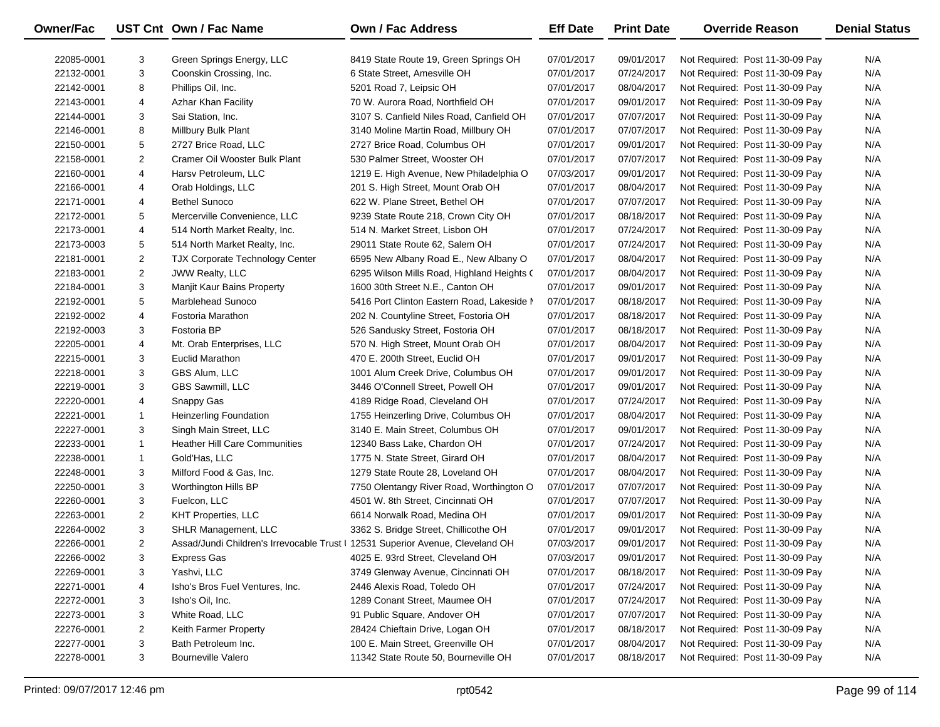| <b>Owner/Fac</b> |                | UST Cnt Own / Fac Name                                                         | Own / Fac Address                          | <b>Eff Date</b> | <b>Print Date</b> | <b>Override Reason</b>          | <b>Denial Status</b> |
|------------------|----------------|--------------------------------------------------------------------------------|--------------------------------------------|-----------------|-------------------|---------------------------------|----------------------|
| 22085-0001       | 3              | Green Springs Energy, LLC                                                      | 8419 State Route 19, Green Springs OH      | 07/01/2017      | 09/01/2017        | Not Required: Post 11-30-09 Pay | N/A                  |
| 22132-0001       | 3              | Coonskin Crossing, Inc.                                                        | 6 State Street, Amesville OH               | 07/01/2017      | 07/24/2017        | Not Required: Post 11-30-09 Pay | N/A                  |
| 22142-0001       | 8              | Phillips Oil, Inc.                                                             | 5201 Road 7, Leipsic OH                    | 07/01/2017      | 08/04/2017        | Not Required: Post 11-30-09 Pay | N/A                  |
| 22143-0001       | 4              | Azhar Khan Facility                                                            | 70 W. Aurora Road, Northfield OH           | 07/01/2017      | 09/01/2017        | Not Required: Post 11-30-09 Pay | N/A                  |
| 22144-0001       | 3              | Sai Station, Inc.                                                              | 3107 S. Canfield Niles Road, Canfield OH   | 07/01/2017      | 07/07/2017        | Not Required: Post 11-30-09 Pay | N/A                  |
| 22146-0001       | 8              | Millbury Bulk Plant                                                            | 3140 Moline Martin Road, Millbury OH       | 07/01/2017      | 07/07/2017        | Not Required: Post 11-30-09 Pay | N/A                  |
| 22150-0001       | 5              | 2727 Brice Road, LLC                                                           | 2727 Brice Road, Columbus OH               | 07/01/2017      | 09/01/2017        | Not Required: Post 11-30-09 Pay | N/A                  |
| 22158-0001       | $\overline{2}$ | Cramer Oil Wooster Bulk Plant                                                  | 530 Palmer Street, Wooster OH              | 07/01/2017      | 07/07/2017        | Not Required: Post 11-30-09 Pay | N/A                  |
| 22160-0001       | $\overline{4}$ | Harsv Petroleum, LLC                                                           | 1219 E. High Avenue, New Philadelphia O    | 07/03/2017      | 09/01/2017        | Not Required: Post 11-30-09 Pay | N/A                  |
| 22166-0001       | $\overline{4}$ | Orab Holdings, LLC                                                             | 201 S. High Street, Mount Orab OH          | 07/01/2017      | 08/04/2017        | Not Required: Post 11-30-09 Pay | N/A                  |
| 22171-0001       | $\overline{4}$ | <b>Bethel Sunoco</b>                                                           | 622 W. Plane Street, Bethel OH             | 07/01/2017      | 07/07/2017        | Not Required: Post 11-30-09 Pay | N/A                  |
| 22172-0001       | 5              | Mercerville Convenience, LLC                                                   | 9239 State Route 218, Crown City OH        | 07/01/2017      | 08/18/2017        | Not Required: Post 11-30-09 Pay | N/A                  |
| 22173-0001       | $\overline{4}$ | 514 North Market Realty, Inc.                                                  | 514 N. Market Street, Lisbon OH            | 07/01/2017      | 07/24/2017        | Not Required: Post 11-30-09 Pay | N/A                  |
| 22173-0003       | 5              | 514 North Market Realty, Inc.                                                  | 29011 State Route 62, Salem OH             | 07/01/2017      | 07/24/2017        | Not Required: Post 11-30-09 Pay | N/A                  |
| 22181-0001       | $\overline{2}$ | <b>TJX Corporate Technology Center</b>                                         | 6595 New Albany Road E., New Albany O      | 07/01/2017      | 08/04/2017        | Not Required: Post 11-30-09 Pay | N/A                  |
| 22183-0001       | $\overline{2}$ | JWW Realty, LLC                                                                | 6295 Wilson Mills Road, Highland Heights ( | 07/01/2017      | 08/04/2017        | Not Required: Post 11-30-09 Pay | N/A                  |
| 22184-0001       | 3              | Manjit Kaur Bains Property                                                     | 1600 30th Street N.E., Canton OH           | 07/01/2017      | 09/01/2017        | Not Required: Post 11-30-09 Pay | N/A                  |
| 22192-0001       | 5              | Marblehead Sunoco                                                              | 5416 Port Clinton Eastern Road, Lakeside I | 07/01/2017      | 08/18/2017        | Not Required: Post 11-30-09 Pay | N/A                  |
| 22192-0002       | $\overline{4}$ | <b>Fostoria Marathon</b>                                                       | 202 N. Countyline Street, Fostoria OH      | 07/01/2017      | 08/18/2017        | Not Required: Post 11-30-09 Pay | N/A                  |
| 22192-0003       | 3              | Fostoria BP                                                                    | 526 Sandusky Street, Fostoria OH           | 07/01/2017      | 08/18/2017        | Not Required: Post 11-30-09 Pay | N/A                  |
| 22205-0001       | $\overline{4}$ | Mt. Orab Enterprises, LLC                                                      | 570 N. High Street, Mount Orab OH          | 07/01/2017      | 08/04/2017        | Not Required: Post 11-30-09 Pay | N/A                  |
| 22215-0001       | 3              | Euclid Marathon                                                                | 470 E. 200th Street, Euclid OH             | 07/01/2017      | 09/01/2017        | Not Required: Post 11-30-09 Pay | N/A                  |
| 22218-0001       | 3              | GBS Alum, LLC                                                                  | 1001 Alum Creek Drive, Columbus OH         | 07/01/2017      | 09/01/2017        | Not Required: Post 11-30-09 Pay | N/A                  |
| 22219-0001       | 3              | GBS Sawmill, LLC                                                               | 3446 O'Connell Street, Powell OH           | 07/01/2017      | 09/01/2017        | Not Required: Post 11-30-09 Pay | N/A                  |
| 22220-0001       | $\overline{4}$ | Snappy Gas                                                                     | 4189 Ridge Road, Cleveland OH              | 07/01/2017      | 07/24/2017        | Not Required: Post 11-30-09 Pay | N/A                  |
| 22221-0001       | $\mathbf{1}$   | <b>Heinzerling Foundation</b>                                                  | 1755 Heinzerling Drive, Columbus OH        | 07/01/2017      | 08/04/2017        | Not Required: Post 11-30-09 Pay | N/A                  |
| 22227-0001       | 3              | Singh Main Street, LLC                                                         | 3140 E. Main Street, Columbus OH           | 07/01/2017      | 09/01/2017        | Not Required: Post 11-30-09 Pay | N/A                  |
| 22233-0001       | $\mathbf{1}$   | <b>Heather Hill Care Communities</b>                                           | 12340 Bass Lake, Chardon OH                | 07/01/2017      | 07/24/2017        | Not Required: Post 11-30-09 Pay | N/A                  |
| 22238-0001       | $\mathbf{1}$   | Gold'Has, LLC                                                                  | 1775 N. State Street, Girard OH            | 07/01/2017      | 08/04/2017        | Not Required: Post 11-30-09 Pay | N/A                  |
| 22248-0001       | 3              | Milford Food & Gas, Inc.                                                       | 1279 State Route 28, Loveland OH           | 07/01/2017      | 08/04/2017        | Not Required: Post 11-30-09 Pay | N/A                  |
| 22250-0001       | 3              | Worthington Hills BP                                                           | 7750 Olentangy River Road, Worthington O   | 07/01/2017      | 07/07/2017        | Not Required: Post 11-30-09 Pay | N/A                  |
| 22260-0001       | 3              | Fuelcon, LLC                                                                   | 4501 W. 8th Street, Cincinnati OH          | 07/01/2017      | 07/07/2017        | Not Required: Post 11-30-09 Pay | N/A                  |
| 22263-0001       | $\overline{2}$ | <b>KHT Properties, LLC</b>                                                     | 6614 Norwalk Road, Medina OH               | 07/01/2017      | 09/01/2017        | Not Required: Post 11-30-09 Pay | N/A                  |
| 22264-0002       | 3              | <b>SHLR Management, LLC</b>                                                    | 3362 S. Bridge Street, Chillicothe OH      | 07/01/2017      | 09/01/2017        | Not Required: Post 11-30-09 Pay | N/A                  |
| 22266-0001       | $\overline{a}$ | Assad/Jundi Children's Irrevocable Trust   12531 Superior Avenue, Cleveland OH |                                            | 07/03/2017      | 09/01/2017        | Not Required: Post 11-30-09 Pay | N/A                  |
| 22266-0002       | 3              | <b>Express Gas</b>                                                             | 4025 E. 93rd Street, Cleveland OH          | 07/03/2017      | 09/01/2017        | Not Required: Post 11-30-09 Pay | N/A                  |
| 22269-0001       | 3              | Yashvi, LLC                                                                    | 3749 Glenway Avenue, Cincinnati OH         | 07/01/2017      | 08/18/2017        | Not Required: Post 11-30-09 Pay | N/A                  |
| 22271-0001       | 4              | Isho's Bros Fuel Ventures, Inc.                                                | 2446 Alexis Road, Toledo OH                | 07/01/2017      | 07/24/2017        | Not Required: Post 11-30-09 Pay | N/A                  |
| 22272-0001       | 3              | Isho's Oil, Inc.                                                               | 1289 Conant Street, Maumee OH              | 07/01/2017      | 07/24/2017        | Not Required: Post 11-30-09 Pay | N/A                  |
| 22273-0001       | 3              | White Road, LLC                                                                | 91 Public Square, Andover OH               | 07/01/2017      | 07/07/2017        | Not Required: Post 11-30-09 Pay | N/A                  |
| 22276-0001       | $\overline{2}$ | Keith Farmer Property                                                          | 28424 Chieftain Drive, Logan OH            | 07/01/2017      | 08/18/2017        | Not Required: Post 11-30-09 Pay | N/A                  |
| 22277-0001       | 3              | Bath Petroleum Inc.                                                            | 100 E. Main Street, Greenville OH          | 07/01/2017      | 08/04/2017        | Not Required: Post 11-30-09 Pay | N/A                  |
| 22278-0001       | 3              | <b>Bourneville Valero</b>                                                      | 11342 State Route 50, Bourneville OH       | 07/01/2017      | 08/18/2017        | Not Required: Post 11-30-09 Pay | N/A                  |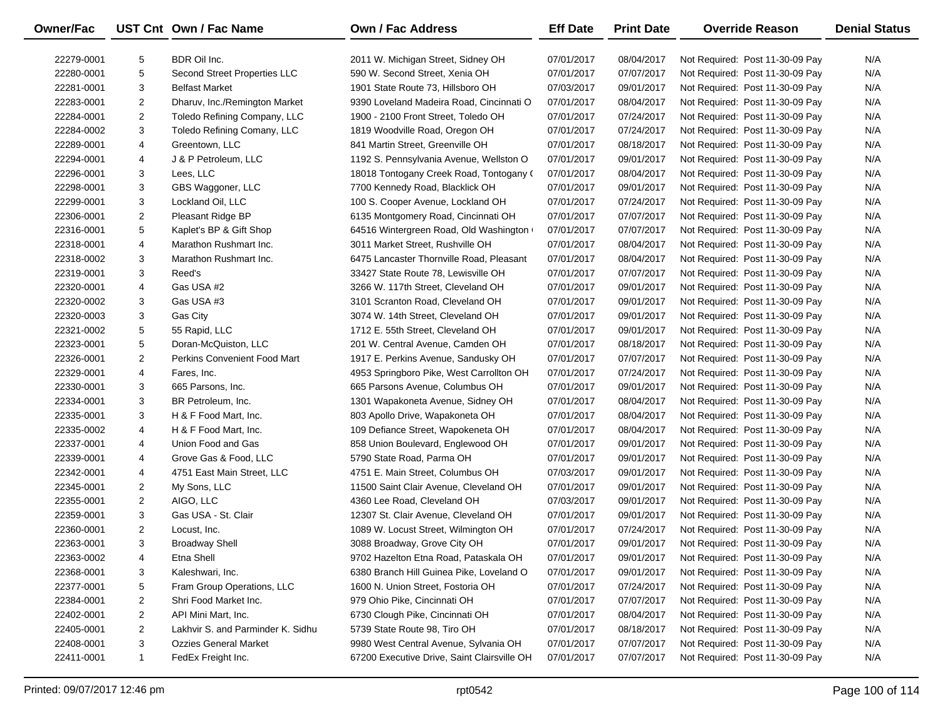| Owner/Fac  |                | UST Cnt Own / Fac Name              | <b>Own / Fac Address</b>                    | <b>Eff Date</b> | <b>Print Date</b> | <b>Override Reason</b>          | <b>Denial Status</b> |
|------------|----------------|-------------------------------------|---------------------------------------------|-----------------|-------------------|---------------------------------|----------------------|
| 22279-0001 | 5              | BDR Oil Inc.                        | 2011 W. Michigan Street, Sidney OH          | 07/01/2017      | 08/04/2017        | Not Required: Post 11-30-09 Pay | N/A                  |
| 22280-0001 | 5              | Second Street Properties LLC        | 590 W. Second Street, Xenia OH              | 07/01/2017      | 07/07/2017        | Not Required: Post 11-30-09 Pay | N/A                  |
| 22281-0001 | 3              | <b>Belfast Market</b>               | 1901 State Route 73, Hillsboro OH           | 07/03/2017      | 09/01/2017        | Not Required: Post 11-30-09 Pay | N/A                  |
| 22283-0001 | $\overline{c}$ | Dharuv, Inc./Remington Market       | 9390 Loveland Madeira Road, Cincinnati O    | 07/01/2017      | 08/04/2017        | Not Required: Post 11-30-09 Pay | N/A                  |
| 22284-0001 | $\overline{c}$ | Toledo Refining Company, LLC        | 1900 - 2100 Front Street, Toledo OH         | 07/01/2017      | 07/24/2017        | Not Required: Post 11-30-09 Pay | N/A                  |
| 22284-0002 | 3              | Toledo Refining Comany, LLC         | 1819 Woodville Road, Oregon OH              | 07/01/2017      | 07/24/2017        | Not Required: Post 11-30-09 Pay | N/A                  |
| 22289-0001 | 4              | Greentown, LLC                      | 841 Martin Street, Greenville OH            | 07/01/2017      | 08/18/2017        | Not Required: Post 11-30-09 Pay | N/A                  |
| 22294-0001 | 4              | J & P Petroleum, LLC                | 1192 S. Pennsylvania Avenue, Wellston O     | 07/01/2017      | 09/01/2017        | Not Required: Post 11-30-09 Pay | N/A                  |
| 22296-0001 | 3              | Lees, LLC                           | 18018 Tontogany Creek Road, Tontogany (     | 07/01/2017      | 08/04/2017        | Not Required: Post 11-30-09 Pay | N/A                  |
| 22298-0001 | 3              | GBS Waggoner, LLC                   | 7700 Kennedy Road, Blacklick OH             | 07/01/2017      | 09/01/2017        | Not Required: Post 11-30-09 Pay | N/A                  |
| 22299-0001 | 3              | Lockland Oil, LLC                   | 100 S. Cooper Avenue, Lockland OH           | 07/01/2017      | 07/24/2017        | Not Required: Post 11-30-09 Pay | N/A                  |
| 22306-0001 | $\overline{c}$ | Pleasant Ridge BP                   | 6135 Montgomery Road, Cincinnati OH         | 07/01/2017      | 07/07/2017        | Not Required: Post 11-30-09 Pay | N/A                  |
| 22316-0001 | 5              | Kaplet's BP & Gift Shop             | 64516 Wintergreen Road, Old Washington      | 07/01/2017      | 07/07/2017        | Not Required: Post 11-30-09 Pay | N/A                  |
| 22318-0001 | 4              | Marathon Rushmart Inc.              | 3011 Market Street, Rushville OH            | 07/01/2017      | 08/04/2017        | Not Required: Post 11-30-09 Pay | N/A                  |
| 22318-0002 | 3              | Marathon Rushmart Inc.              | 6475 Lancaster Thornville Road, Pleasant    | 07/01/2017      | 08/04/2017        | Not Required: Post 11-30-09 Pay | N/A                  |
| 22319-0001 | 3              | Reed's                              | 33427 State Route 78, Lewisville OH         | 07/01/2017      | 07/07/2017        | Not Required: Post 11-30-09 Pay | N/A                  |
| 22320-0001 | 4              | Gas USA #2                          | 3266 W. 117th Street, Cleveland OH          | 07/01/2017      | 09/01/2017        | Not Required: Post 11-30-09 Pay | N/A                  |
| 22320-0002 | 3              | Gas USA #3                          | 3101 Scranton Road, Cleveland OH            | 07/01/2017      | 09/01/2017        | Not Required: Post 11-30-09 Pay | N/A                  |
| 22320-0003 | 3              | Gas City                            | 3074 W. 14th Street, Cleveland OH           | 07/01/2017      | 09/01/2017        | Not Required: Post 11-30-09 Pay | N/A                  |
| 22321-0002 | 5              | 55 Rapid, LLC                       | 1712 E. 55th Street, Cleveland OH           | 07/01/2017      | 09/01/2017        | Not Required: Post 11-30-09 Pay | N/A                  |
| 22323-0001 | 5              | Doran-McQuiston, LLC                | 201 W. Central Avenue, Camden OH            | 07/01/2017      | 08/18/2017        | Not Required: Post 11-30-09 Pay | N/A                  |
| 22326-0001 | 2              | <b>Perkins Convenient Food Mart</b> | 1917 E. Perkins Avenue, Sandusky OH         | 07/01/2017      | 07/07/2017        | Not Required: Post 11-30-09 Pay | N/A                  |
| 22329-0001 | 4              | Fares, Inc.                         | 4953 Springboro Pike, West Carrollton OH    | 07/01/2017      | 07/24/2017        | Not Required: Post 11-30-09 Pay | N/A                  |
| 22330-0001 | 3              | 665 Parsons, Inc.                   | 665 Parsons Avenue, Columbus OH             | 07/01/2017      | 09/01/2017        | Not Required: Post 11-30-09 Pay | N/A                  |
| 22334-0001 | 3              | BR Petroleum, Inc.                  | 1301 Wapakoneta Avenue, Sidney OH           | 07/01/2017      | 08/04/2017        | Not Required: Post 11-30-09 Pay | N/A                  |
| 22335-0001 | 3              | H & F Food Mart, Inc.               | 803 Apollo Drive, Wapakoneta OH             | 07/01/2017      | 08/04/2017        | Not Required: Post 11-30-09 Pay | N/A                  |
| 22335-0002 | 4              | H & F Food Mart, Inc.               | 109 Defiance Street, Wapokeneta OH          | 07/01/2017      | 08/04/2017        | Not Required: Post 11-30-09 Pay | N/A                  |
| 22337-0001 | 4              | Union Food and Gas                  | 858 Union Boulevard, Englewood OH           | 07/01/2017      | 09/01/2017        | Not Required: Post 11-30-09 Pay | N/A                  |
| 22339-0001 | 4              | Grove Gas & Food, LLC               | 5790 State Road, Parma OH                   | 07/01/2017      | 09/01/2017        | Not Required: Post 11-30-09 Pay | N/A                  |
| 22342-0001 | 4              | 4751 East Main Street, LLC          | 4751 E. Main Street, Columbus OH            | 07/03/2017      | 09/01/2017        | Not Required: Post 11-30-09 Pay | N/A                  |
| 22345-0001 | $\overline{2}$ | My Sons, LLC                        | 11500 Saint Clair Avenue, Cleveland OH      | 07/01/2017      | 09/01/2017        | Not Required: Post 11-30-09 Pay | N/A                  |
| 22355-0001 | $\overline{2}$ | AIGO, LLC                           | 4360 Lee Road, Cleveland OH                 | 07/03/2017      | 09/01/2017        | Not Required: Post 11-30-09 Pay | N/A                  |
| 22359-0001 | 3              | Gas USA - St. Clair                 | 12307 St. Clair Avenue, Cleveland OH        | 07/01/2017      | 09/01/2017        | Not Required: Post 11-30-09 Pay | N/A                  |
| 22360-0001 | $\overline{c}$ | Locust, Inc.                        | 1089 W. Locust Street, Wilmington OH        | 07/01/2017      | 07/24/2017        | Not Required: Post 11-30-09 Pay | N/A                  |
| 22363-0001 | 3              | <b>Broadway Shell</b>               | 3088 Broadway, Grove City OH                | 07/01/2017      | 09/01/2017        | Not Required: Post 11-30-09 Pay | N/A                  |
| 22363-0002 | 4              | Etna Shell                          | 9702 Hazelton Etna Road, Pataskala OH       | 07/01/2017      | 09/01/2017        | Not Required: Post 11-30-09 Pay | N/A                  |
| 22368-0001 | 3              | Kaleshwari, Inc.                    | 6380 Branch Hill Guinea Pike, Loveland O    | 07/01/2017      | 09/01/2017        | Not Required: Post 11-30-09 Pay | N/A                  |
| 22377-0001 | 5              | Fram Group Operations, LLC          | 1600 N. Union Street, Fostoria OH           | 07/01/2017      | 07/24/2017        | Not Required: Post 11-30-09 Pay | N/A                  |
| 22384-0001 | 2              | Shri Food Market Inc.               | 979 Ohio Pike, Cincinnati OH                | 07/01/2017      | 07/07/2017        | Not Required: Post 11-30-09 Pay | N/A                  |
| 22402-0001 | 2              | API Mini Mart, Inc.                 | 6730 Clough Pike, Cincinnati OH             | 07/01/2017      | 08/04/2017        | Not Required: Post 11-30-09 Pay | N/A                  |
| 22405-0001 | 2              | Lakhvir S. and Parminder K. Sidhu   | 5739 State Route 98, Tiro OH                | 07/01/2017      | 08/18/2017        | Not Required: Post 11-30-09 Pay | N/A                  |
| 22408-0001 | 3              | <b>Ozzies General Market</b>        | 9980 West Central Avenue, Sylvania OH       | 07/01/2017      | 07/07/2017        | Not Required: Post 11-30-09 Pay | N/A                  |
| 22411-0001 | $\mathbf{1}$   | FedEx Freight Inc.                  | 67200 Executive Drive, Saint Clairsville OH | 07/01/2017      | 07/07/2017        | Not Required: Post 11-30-09 Pay | N/A                  |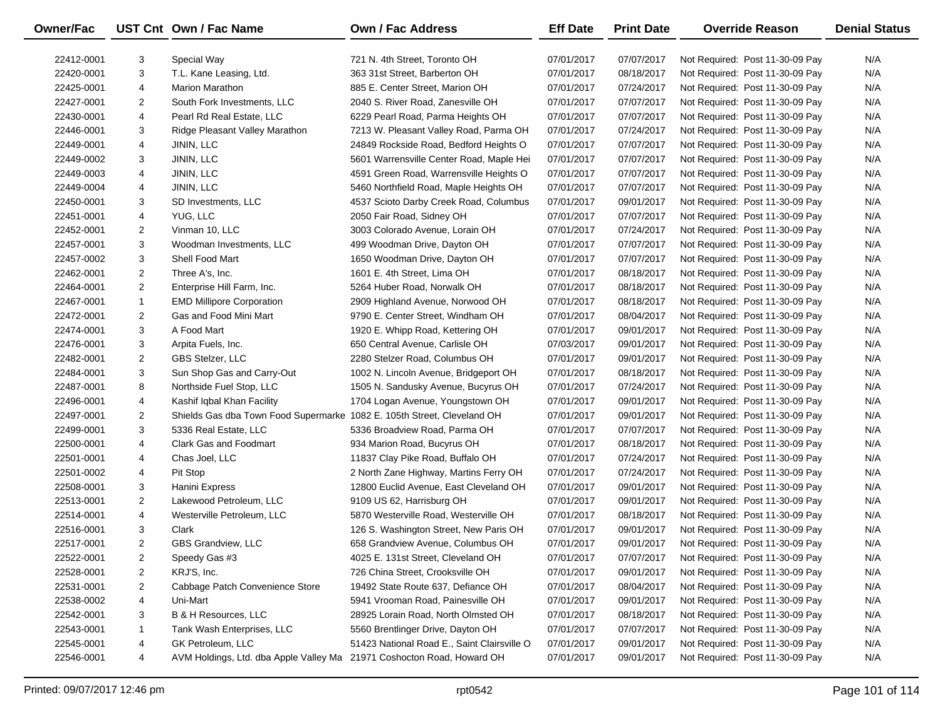| Owner/Fac  |                | UST Cnt Own / Fac Name                                                  | <b>Own / Fac Address</b>                    | <b>Eff Date</b> | <b>Print Date</b> | <b>Override Reason</b>          | <b>Denial Status</b> |
|------------|----------------|-------------------------------------------------------------------------|---------------------------------------------|-----------------|-------------------|---------------------------------|----------------------|
| 22412-0001 | 3              | Special Way                                                             | 721 N. 4th Street, Toronto OH               | 07/01/2017      | 07/07/2017        | Not Required: Post 11-30-09 Pay | N/A                  |
| 22420-0001 | 3              | T.L. Kane Leasing, Ltd.                                                 | 363 31st Street, Barberton OH               | 07/01/2017      | 08/18/2017        | Not Required: Post 11-30-09 Pay | N/A                  |
| 22425-0001 | 4              | <b>Marion Marathon</b>                                                  | 885 E. Center Street, Marion OH             | 07/01/2017      | 07/24/2017        | Not Required: Post 11-30-09 Pay | N/A                  |
| 22427-0001 | $\overline{2}$ | South Fork Investments, LLC                                             | 2040 S. River Road, Zanesville OH           | 07/01/2017      | 07/07/2017        | Not Required: Post 11-30-09 Pay | N/A                  |
| 22430-0001 | 4              | Pearl Rd Real Estate, LLC                                               | 6229 Pearl Road, Parma Heights OH           | 07/01/2017      | 07/07/2017        | Not Required: Post 11-30-09 Pay | N/A                  |
| 22446-0001 | 3              | Ridge Pleasant Valley Marathon                                          | 7213 W. Pleasant Valley Road, Parma OH      | 07/01/2017      | 07/24/2017        | Not Required: Post 11-30-09 Pay | N/A                  |
| 22449-0001 | 4              | JININ, LLC                                                              | 24849 Rockside Road, Bedford Heights O      | 07/01/2017      | 07/07/2017        | Not Required: Post 11-30-09 Pay | N/A                  |
| 22449-0002 | 3              | JININ, LLC                                                              | 5601 Warrensville Center Road, Maple Hei    | 07/01/2017      | 07/07/2017        | Not Required: Post 11-30-09 Pay | N/A                  |
| 22449-0003 | 4              | JININ, LLC                                                              | 4591 Green Road, Warrensville Heights O     | 07/01/2017      | 07/07/2017        | Not Required: Post 11-30-09 Pay | N/A                  |
| 22449-0004 | 4              | JININ, LLC                                                              | 5460 Northfield Road, Maple Heights OH      | 07/01/2017      | 07/07/2017        | Not Required: Post 11-30-09 Pay | N/A                  |
| 22450-0001 | 3              | SD Investments, LLC                                                     | 4537 Scioto Darby Creek Road, Columbus      | 07/01/2017      | 09/01/2017        | Not Required: Post 11-30-09 Pay | N/A                  |
| 22451-0001 | 4              | YUG, LLC                                                                | 2050 Fair Road, Sidney OH                   | 07/01/2017      | 07/07/2017        | Not Required: Post 11-30-09 Pay | N/A                  |
| 22452-0001 | 2              | Vinman 10, LLC                                                          | 3003 Colorado Avenue, Lorain OH             | 07/01/2017      | 07/24/2017        | Not Required: Post 11-30-09 Pay | N/A                  |
| 22457-0001 | 3              | Woodman Investments, LLC                                                | 499 Woodman Drive, Dayton OH                | 07/01/2017      | 07/07/2017        | Not Required: Post 11-30-09 Pay | N/A                  |
| 22457-0002 | 3              | Shell Food Mart                                                         | 1650 Woodman Drive, Dayton OH               | 07/01/2017      | 07/07/2017        | Not Required: Post 11-30-09 Pay | N/A                  |
| 22462-0001 | $\overline{2}$ | Three A's, Inc.                                                         | 1601 E. 4th Street, Lima OH                 | 07/01/2017      | 08/18/2017        | Not Required: Post 11-30-09 Pay | N/A                  |
| 22464-0001 | $\overline{2}$ | Enterprise Hill Farm, Inc.                                              | 5264 Huber Road, Norwalk OH                 | 07/01/2017      | 08/18/2017        | Not Required: Post 11-30-09 Pay | N/A                  |
| 22467-0001 | $\mathbf{1}$   | <b>EMD Millipore Corporation</b>                                        | 2909 Highland Avenue, Norwood OH            | 07/01/2017      | 08/18/2017        | Not Required: Post 11-30-09 Pay | N/A                  |
| 22472-0001 | $\overline{2}$ | Gas and Food Mini Mart                                                  | 9790 E. Center Street, Windham OH           | 07/01/2017      | 08/04/2017        | Not Required: Post 11-30-09 Pay | N/A                  |
| 22474-0001 | 3              | A Food Mart                                                             | 1920 E. Whipp Road, Kettering OH            | 07/01/2017      | 09/01/2017        | Not Required: Post 11-30-09 Pay | N/A                  |
| 22476-0001 | 3              | Arpita Fuels, Inc.                                                      | 650 Central Avenue, Carlisle OH             | 07/03/2017      | 09/01/2017        | Not Required: Post 11-30-09 Pay | N/A                  |
| 22482-0001 | $\overline{2}$ | GBS Stelzer, LLC                                                        | 2280 Stelzer Road, Columbus OH              | 07/01/2017      | 09/01/2017        | Not Required: Post 11-30-09 Pay | N/A                  |
| 22484-0001 | 3              | Sun Shop Gas and Carry-Out                                              | 1002 N. Lincoln Avenue, Bridgeport OH       | 07/01/2017      | 08/18/2017        | Not Required: Post 11-30-09 Pay | N/A                  |
| 22487-0001 | 8              | Northside Fuel Stop, LLC                                                | 1505 N. Sandusky Avenue, Bucyrus OH         | 07/01/2017      | 07/24/2017        | Not Required: Post 11-30-09 Pay | N/A                  |
| 22496-0001 | 4              | Kashif Iqbal Khan Facility                                              | 1704 Logan Avenue, Youngstown OH            | 07/01/2017      | 09/01/2017        | Not Required: Post 11-30-09 Pay | N/A                  |
| 22497-0001 | $\overline{2}$ | Shields Gas dba Town Food Supermarke 1082 E. 105th Street, Cleveland OH |                                             | 07/01/2017      | 09/01/2017        | Not Required: Post 11-30-09 Pay | N/A                  |
| 22499-0001 | 3              | 5336 Real Estate, LLC                                                   | 5336 Broadview Road, Parma OH               | 07/01/2017      | 07/07/2017        | Not Required: Post 11-30-09 Pay | N/A                  |
| 22500-0001 | 4              | <b>Clark Gas and Foodmart</b>                                           | 934 Marion Road, Bucyrus OH                 | 07/01/2017      | 08/18/2017        | Not Required: Post 11-30-09 Pay | N/A                  |
| 22501-0001 | 4              | Chas Joel, LLC                                                          | 11837 Clay Pike Road, Buffalo OH            | 07/01/2017      | 07/24/2017        | Not Required: Post 11-30-09 Pay | N/A                  |
| 22501-0002 | 4              | Pit Stop                                                                | 2 North Zane Highway, Martins Ferry OH      | 07/01/2017      | 07/24/2017        | Not Required: Post 11-30-09 Pay | N/A                  |
| 22508-0001 | 3              | Hanini Express                                                          | 12800 Euclid Avenue, East Cleveland OH      | 07/01/2017      | 09/01/2017        | Not Required: Post 11-30-09 Pay | N/A                  |
| 22513-0001 | $\overline{2}$ | Lakewood Petroleum, LLC                                                 | 9109 US 62, Harrisburg OH                   | 07/01/2017      | 09/01/2017        | Not Required: Post 11-30-09 Pay | N/A                  |
| 22514-0001 | 4              | Westerville Petroleum, LLC                                              | 5870 Westerville Road, Westerville OH       | 07/01/2017      | 08/18/2017        | Not Required: Post 11-30-09 Pay | N/A                  |
| 22516-0001 | 3              | Clark                                                                   | 126 S. Washington Street, New Paris OH      | 07/01/2017      | 09/01/2017        | Not Required: Post 11-30-09 Pay | N/A                  |
| 22517-0001 | $\overline{2}$ | GBS Grandview, LLC                                                      | 658 Grandview Avenue, Columbus OH           | 07/01/2017      | 09/01/2017        | Not Required: Post 11-30-09 Pay | N/A                  |
| 22522-0001 | 2              | Speedy Gas #3                                                           | 4025 E. 131st Street, Cleveland OH          | 07/01/2017      | 07/07/2017        | Not Required: Post 11-30-09 Pay | N/A                  |
| 22528-0001 | 2              | KRJ'S, Inc.                                                             | 726 China Street, Crooksville OH            | 07/01/2017      | 09/01/2017        | Not Required: Post 11-30-09 Pay | N/A                  |
| 22531-0001 | 2              | Cabbage Patch Convenience Store                                         | 19492 State Route 637, Defiance OH          | 07/01/2017      | 08/04/2017        | Not Required: Post 11-30-09 Pay | N/A                  |
| 22538-0002 | 4              | Uni-Mart                                                                | 5941 Vrooman Road, Painesville OH           | 07/01/2017      | 09/01/2017        | Not Required: Post 11-30-09 Pay | N/A                  |
| 22542-0001 | 3              | <b>B &amp; H Resources, LLC</b>                                         | 28925 Lorain Road, North Olmsted OH         | 07/01/2017      | 08/18/2017        | Not Required: Post 11-30-09 Pay | N/A                  |
| 22543-0001 | $\mathbf{1}$   | Tank Wash Enterprises, LLC                                              | 5560 Brentlinger Drive, Dayton OH           | 07/01/2017      | 07/07/2017        | Not Required: Post 11-30-09 Pay | N/A                  |
| 22545-0001 | 4              | GK Petroleum, LLC                                                       | 51423 National Road E., Saint Clairsville O | 07/01/2017      | 09/01/2017        | Not Required: Post 11-30-09 Pay | N/A                  |
| 22546-0001 | 4              | AVM Holdings, Ltd. dba Apple Valley Ma 21971 Coshocton Road, Howard OH  |                                             | 07/01/2017      | 09/01/2017        | Not Required: Post 11-30-09 Pay | N/A                  |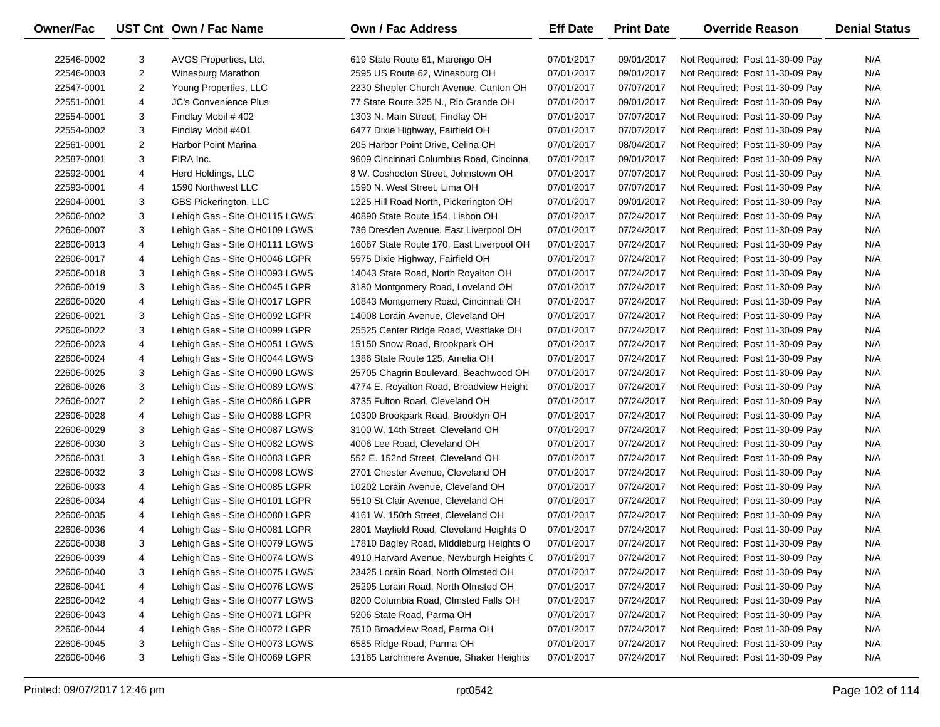| Owner/Fac  |                | UST Cnt Own / Fac Name        | Own / Fac Address                        | <b>Eff Date</b> | <b>Print Date</b> | <b>Override Reason</b>          | <b>Denial Status</b> |
|------------|----------------|-------------------------------|------------------------------------------|-----------------|-------------------|---------------------------------|----------------------|
| 22546-0002 | 3              | AVGS Properties, Ltd.         | 619 State Route 61, Marengo OH           | 07/01/2017      | 09/01/2017        | Not Required: Post 11-30-09 Pay | N/A                  |
| 22546-0003 | $\overline{2}$ | <b>Winesburg Marathon</b>     | 2595 US Route 62, Winesburg OH           | 07/01/2017      | 09/01/2017        | Not Required: Post 11-30-09 Pay | N/A                  |
| 22547-0001 | $\overline{2}$ | Young Properties, LLC         | 2230 Shepler Church Avenue, Canton OH    | 07/01/2017      | 07/07/2017        | Not Required: Post 11-30-09 Pay | N/A                  |
| 22551-0001 | 4              | <b>JC's Convenience Plus</b>  | 77 State Route 325 N., Rio Grande OH     | 07/01/2017      | 09/01/2017        | Not Required: Post 11-30-09 Pay | N/A                  |
| 22554-0001 | 3              | Findlay Mobil #402            | 1303 N. Main Street, Findlay OH          | 07/01/2017      | 07/07/2017        | Not Required: Post 11-30-09 Pay | N/A                  |
| 22554-0002 | 3              | Findlay Mobil #401            | 6477 Dixie Highway, Fairfield OH         | 07/01/2017      | 07/07/2017        | Not Required: Post 11-30-09 Pay | N/A                  |
| 22561-0001 | $\overline{2}$ | <b>Harbor Point Marina</b>    | 205 Harbor Point Drive, Celina OH        | 07/01/2017      | 08/04/2017        | Not Required: Post 11-30-09 Pay | N/A                  |
| 22587-0001 | 3              | FIRA Inc.                     | 9609 Cincinnati Columbus Road, Cincinna  | 07/01/2017      | 09/01/2017        | Not Required: Post 11-30-09 Pay | N/A                  |
| 22592-0001 | 4              | Herd Holdings, LLC            | 8 W. Coshocton Street, Johnstown OH      | 07/01/2017      | 07/07/2017        | Not Required: Post 11-30-09 Pay | N/A                  |
| 22593-0001 | 4              | 1590 Northwest LLC            | 1590 N. West Street, Lima OH             | 07/01/2017      | 07/07/2017        | Not Required: Post 11-30-09 Pay | N/A                  |
| 22604-0001 | 3              | GBS Pickerington, LLC         | 1225 Hill Road North, Pickerington OH    | 07/01/2017      | 09/01/2017        | Not Required: Post 11-30-09 Pay | N/A                  |
| 22606-0002 | 3              | Lehigh Gas - Site OH0115 LGWS | 40890 State Route 154, Lisbon OH         | 07/01/2017      | 07/24/2017        | Not Required: Post 11-30-09 Pay | N/A                  |
| 22606-0007 | 3              | Lehigh Gas - Site OH0109 LGWS | 736 Dresden Avenue, East Liverpool OH    | 07/01/2017      | 07/24/2017        | Not Required: Post 11-30-09 Pay | N/A                  |
| 22606-0013 | 4              | Lehigh Gas - Site OH0111 LGWS | 16067 State Route 170, East Liverpool OH | 07/01/2017      | 07/24/2017        | Not Required: Post 11-30-09 Pay | N/A                  |
| 22606-0017 | 4              | Lehigh Gas - Site OH0046 LGPR | 5575 Dixie Highway, Fairfield OH         | 07/01/2017      | 07/24/2017        | Not Required: Post 11-30-09 Pay | N/A                  |
| 22606-0018 | 3              | Lehigh Gas - Site OH0093 LGWS | 14043 State Road, North Royalton OH      | 07/01/2017      | 07/24/2017        | Not Required: Post 11-30-09 Pay | N/A                  |
| 22606-0019 | 3              | Lehigh Gas - Site OH0045 LGPR | 3180 Montgomery Road, Loveland OH        | 07/01/2017      | 07/24/2017        | Not Required: Post 11-30-09 Pay | N/A                  |
| 22606-0020 | 4              | Lehigh Gas - Site OH0017 LGPR | 10843 Montgomery Road, Cincinnati OH     | 07/01/2017      | 07/24/2017        | Not Required: Post 11-30-09 Pay | N/A                  |
| 22606-0021 | 3              | Lehigh Gas - Site OH0092 LGPR | 14008 Lorain Avenue, Cleveland OH        | 07/01/2017      | 07/24/2017        | Not Required: Post 11-30-09 Pay | N/A                  |
| 22606-0022 | 3              | Lehigh Gas - Site OH0099 LGPR | 25525 Center Ridge Road, Westlake OH     | 07/01/2017      | 07/24/2017        | Not Required: Post 11-30-09 Pay | N/A                  |
| 22606-0023 | 4              | Lehigh Gas - Site OH0051 LGWS | 15150 Snow Road, Brookpark OH            | 07/01/2017      | 07/24/2017        | Not Required: Post 11-30-09 Pay | N/A                  |
| 22606-0024 | 4              | Lehigh Gas - Site OH0044 LGWS | 1386 State Route 125, Amelia OH          | 07/01/2017      | 07/24/2017        | Not Required: Post 11-30-09 Pay | N/A                  |
| 22606-0025 | 3              | Lehigh Gas - Site OH0090 LGWS | 25705 Chagrin Boulevard, Beachwood OH    | 07/01/2017      | 07/24/2017        | Not Required: Post 11-30-09 Pay | N/A                  |
| 22606-0026 | 3              | Lehigh Gas - Site OH0089 LGWS | 4774 E. Royalton Road, Broadview Height  | 07/01/2017      | 07/24/2017        | Not Required: Post 11-30-09 Pay | N/A                  |
| 22606-0027 | $\overline{2}$ | Lehigh Gas - Site OH0086 LGPR | 3735 Fulton Road, Cleveland OH           | 07/01/2017      | 07/24/2017        | Not Required: Post 11-30-09 Pay | N/A                  |
| 22606-0028 | 4              | Lehigh Gas - Site OH0088 LGPR | 10300 Brookpark Road, Brooklyn OH        | 07/01/2017      | 07/24/2017        | Not Required: Post 11-30-09 Pay | N/A                  |
| 22606-0029 | 3              | Lehigh Gas - Site OH0087 LGWS | 3100 W. 14th Street, Cleveland OH        | 07/01/2017      | 07/24/2017        | Not Required: Post 11-30-09 Pay | N/A                  |
| 22606-0030 | 3              | Lehigh Gas - Site OH0082 LGWS | 4006 Lee Road, Cleveland OH              | 07/01/2017      | 07/24/2017        | Not Required: Post 11-30-09 Pay | N/A                  |
| 22606-0031 | 3              | Lehigh Gas - Site OH0083 LGPR | 552 E. 152nd Street, Cleveland OH        | 07/01/2017      | 07/24/2017        | Not Required: Post 11-30-09 Pay | N/A                  |
| 22606-0032 | 3              | Lehigh Gas - Site OH0098 LGWS | 2701 Chester Avenue, Cleveland OH        | 07/01/2017      | 07/24/2017        | Not Required: Post 11-30-09 Pay | N/A                  |
| 22606-0033 | 4              | Lehigh Gas - Site OH0085 LGPR | 10202 Lorain Avenue, Cleveland OH        | 07/01/2017      | 07/24/2017        | Not Required: Post 11-30-09 Pay | N/A                  |
| 22606-0034 | 4              | Lehigh Gas - Site OH0101 LGPR | 5510 St Clair Avenue, Cleveland OH       | 07/01/2017      | 07/24/2017        | Not Required: Post 11-30-09 Pay | N/A                  |
| 22606-0035 | 4              | Lehigh Gas - Site OH0080 LGPR | 4161 W. 150th Street, Cleveland OH       | 07/01/2017      | 07/24/2017        | Not Required: Post 11-30-09 Pay | N/A                  |
| 22606-0036 | 4              | Lehigh Gas - Site OH0081 LGPR | 2801 Mayfield Road, Cleveland Heights O  | 07/01/2017      | 07/24/2017        | Not Required: Post 11-30-09 Pay | N/A                  |
| 22606-0038 | 3              | Lehigh Gas - Site OH0079 LGWS | 17810 Bagley Road, Middleburg Heights O  | 07/01/2017      | 07/24/2017        | Not Required: Post 11-30-09 Pay | N/A                  |
| 22606-0039 | 4              | Lehigh Gas - Site OH0074 LGWS | 4910 Harvard Avenue, Newburgh Heights C  | 07/01/2017      | 07/24/2017        | Not Required: Post 11-30-09 Pay | N/A                  |
| 22606-0040 | 3              | Lehigh Gas - Site OH0075 LGWS | 23425 Lorain Road, North Olmsted OH      | 07/01/2017      | 07/24/2017        | Not Required: Post 11-30-09 Pay | N/A                  |
| 22606-0041 | 4              | Lehigh Gas - Site OH0076 LGWS | 25295 Lorain Road, North Olmsted OH      | 07/01/2017      | 07/24/2017        | Not Required: Post 11-30-09 Pay | N/A                  |
| 22606-0042 | 4              | Lehigh Gas - Site OH0077 LGWS | 8200 Columbia Road, Olmsted Falls OH     | 07/01/2017      | 07/24/2017        | Not Required: Post 11-30-09 Pay | N/A                  |
| 22606-0043 | 4              | Lehigh Gas - Site OH0071 LGPR | 5206 State Road, Parma OH                | 07/01/2017      | 07/24/2017        | Not Required: Post 11-30-09 Pay | N/A                  |
| 22606-0044 | 4              | Lehigh Gas - Site OH0072 LGPR | 7510 Broadview Road, Parma OH            | 07/01/2017      | 07/24/2017        | Not Required: Post 11-30-09 Pay | N/A                  |
| 22606-0045 | 3              | Lehigh Gas - Site OH0073 LGWS | 6585 Ridge Road, Parma OH                | 07/01/2017      | 07/24/2017        | Not Required: Post 11-30-09 Pay | N/A                  |
| 22606-0046 | 3              | Lehigh Gas - Site OH0069 LGPR | 13165 Larchmere Avenue, Shaker Heights   | 07/01/2017      | 07/24/2017        | Not Required: Post 11-30-09 Pay | N/A                  |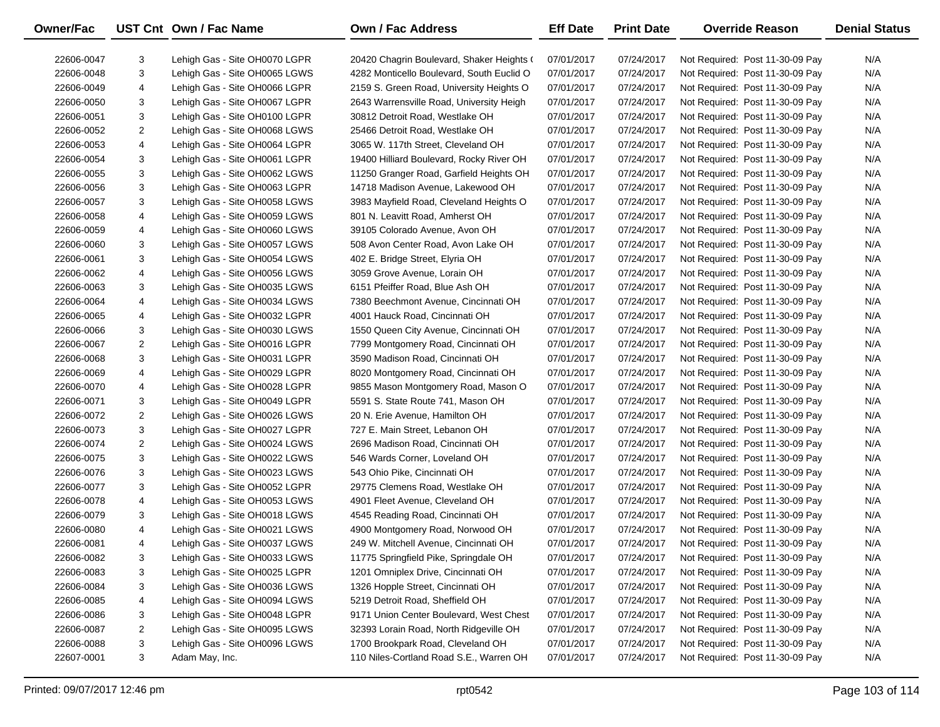| Owner/Fac  |                | UST Cnt Own / Fac Name        | <b>Own / Fac Address</b>                  | <b>Eff Date</b> | <b>Print Date</b> | <b>Override Reason</b>          | <b>Denial Status</b> |
|------------|----------------|-------------------------------|-------------------------------------------|-----------------|-------------------|---------------------------------|----------------------|
| 22606-0047 | 3              | Lehigh Gas - Site OH0070 LGPR | 20420 Chagrin Boulevard, Shaker Heights ( | 07/01/2017      | 07/24/2017        | Not Required: Post 11-30-09 Pay | N/A                  |
| 22606-0048 | 3              | Lehigh Gas - Site OH0065 LGWS | 4282 Monticello Boulevard, South Euclid O | 07/01/2017      | 07/24/2017        | Not Required: Post 11-30-09 Pay | N/A                  |
| 22606-0049 | 4              | Lehigh Gas - Site OH0066 LGPR | 2159 S. Green Road, University Heights O  | 07/01/2017      | 07/24/2017        | Not Required: Post 11-30-09 Pay | N/A                  |
| 22606-0050 | 3              | Lehigh Gas - Site OH0067 LGPR | 2643 Warrensville Road, University Heigh  | 07/01/2017      | 07/24/2017        | Not Required: Post 11-30-09 Pay | N/A                  |
| 22606-0051 | 3              | Lehigh Gas - Site OH0100 LGPR | 30812 Detroit Road, Westlake OH           | 07/01/2017      | 07/24/2017        | Not Required: Post 11-30-09 Pay | N/A                  |
| 22606-0052 | 2              | Lehigh Gas - Site OH0068 LGWS | 25466 Detroit Road, Westlake OH           | 07/01/2017      | 07/24/2017        | Not Required: Post 11-30-09 Pay | N/A                  |
| 22606-0053 | 4              | Lehigh Gas - Site OH0064 LGPR | 3065 W. 117th Street, Cleveland OH        | 07/01/2017      | 07/24/2017        | Not Required: Post 11-30-09 Pay | N/A                  |
| 22606-0054 | 3              | Lehigh Gas - Site OH0061 LGPR | 19400 Hilliard Boulevard, Rocky River OH  | 07/01/2017      | 07/24/2017        | Not Required: Post 11-30-09 Pay | N/A                  |
| 22606-0055 | 3              | Lehigh Gas - Site OH0062 LGWS | 11250 Granger Road, Garfield Heights OH   | 07/01/2017      | 07/24/2017        | Not Required: Post 11-30-09 Pay | N/A                  |
| 22606-0056 | 3              | Lehigh Gas - Site OH0063 LGPR | 14718 Madison Avenue, Lakewood OH         | 07/01/2017      | 07/24/2017        | Not Required: Post 11-30-09 Pay | N/A                  |
| 22606-0057 | 3              | Lehigh Gas - Site OH0058 LGWS | 3983 Mayfield Road, Cleveland Heights O   | 07/01/2017      | 07/24/2017        | Not Required: Post 11-30-09 Pay | N/A                  |
| 22606-0058 | 4              | Lehigh Gas - Site OH0059 LGWS | 801 N. Leavitt Road, Amherst OH           | 07/01/2017      | 07/24/2017        | Not Required: Post 11-30-09 Pay | N/A                  |
| 22606-0059 | 4              | Lehigh Gas - Site OH0060 LGWS | 39105 Colorado Avenue, Avon OH            | 07/01/2017      | 07/24/2017        | Not Required: Post 11-30-09 Pay | N/A                  |
|            | 3              |                               | 508 Avon Center Road, Avon Lake OH        | 07/01/2017      | 07/24/2017        |                                 | N/A                  |
| 22606-0060 |                | Lehigh Gas - Site OH0057 LGWS |                                           |                 |                   | Not Required: Post 11-30-09 Pay |                      |
| 22606-0061 | 3              | Lehigh Gas - Site OH0054 LGWS | 402 E. Bridge Street, Elyria OH           | 07/01/2017      | 07/24/2017        | Not Required: Post 11-30-09 Pay | N/A                  |
| 22606-0062 | 4              | Lehigh Gas - Site OH0056 LGWS | 3059 Grove Avenue, Lorain OH              | 07/01/2017      | 07/24/2017        | Not Required: Post 11-30-09 Pay | N/A                  |
| 22606-0063 | 3              | Lehigh Gas - Site OH0035 LGWS | 6151 Pfeiffer Road, Blue Ash OH           | 07/01/2017      | 07/24/2017        | Not Required: Post 11-30-09 Pay | N/A                  |
| 22606-0064 | 4              | Lehigh Gas - Site OH0034 LGWS | 7380 Beechmont Avenue, Cincinnati OH      | 07/01/2017      | 07/24/2017        | Not Required: Post 11-30-09 Pay | N/A                  |
| 22606-0065 | 4              | Lehigh Gas - Site OH0032 LGPR | 4001 Hauck Road, Cincinnati OH            | 07/01/2017      | 07/24/2017        | Not Required: Post 11-30-09 Pay | N/A                  |
| 22606-0066 | 3              | Lehigh Gas - Site OH0030 LGWS | 1550 Queen City Avenue, Cincinnati OH     | 07/01/2017      | 07/24/2017        | Not Required: Post 11-30-09 Pay | N/A                  |
| 22606-0067 | 2              | Lehigh Gas - Site OH0016 LGPR | 7799 Montgomery Road, Cincinnati OH       | 07/01/2017      | 07/24/2017        | Not Required: Post 11-30-09 Pay | N/A                  |
| 22606-0068 | 3              | Lehigh Gas - Site OH0031 LGPR | 3590 Madison Road, Cincinnati OH          | 07/01/2017      | 07/24/2017        | Not Required: Post 11-30-09 Pay | N/A                  |
| 22606-0069 | 4              | Lehigh Gas - Site OH0029 LGPR | 8020 Montgomery Road, Cincinnati OH       | 07/01/2017      | 07/24/2017        | Not Required: Post 11-30-09 Pay | N/A                  |
| 22606-0070 | 4              | Lehigh Gas - Site OH0028 LGPR | 9855 Mason Montgomery Road, Mason O       | 07/01/2017      | 07/24/2017        | Not Required: Post 11-30-09 Pay | N/A                  |
| 22606-0071 | 3              | Lehigh Gas - Site OH0049 LGPR | 5591 S. State Route 741, Mason OH         | 07/01/2017      | 07/24/2017        | Not Required: Post 11-30-09 Pay | N/A                  |
| 22606-0072 | 2              | Lehigh Gas - Site OH0026 LGWS | 20 N. Erie Avenue, Hamilton OH            | 07/01/2017      | 07/24/2017        | Not Required: Post 11-30-09 Pay | N/A                  |
| 22606-0073 | 3              | Lehigh Gas - Site OH0027 LGPR | 727 E. Main Street, Lebanon OH            | 07/01/2017      | 07/24/2017        | Not Required: Post 11-30-09 Pay | N/A                  |
| 22606-0074 | 2              | Lehigh Gas - Site OH0024 LGWS | 2696 Madison Road, Cincinnati OH          | 07/01/2017      | 07/24/2017        | Not Required: Post 11-30-09 Pay | N/A                  |
| 22606-0075 | 3              | Lehigh Gas - Site OH0022 LGWS | 546 Wards Corner, Loveland OH             | 07/01/2017      | 07/24/2017        | Not Required: Post 11-30-09 Pay | N/A                  |
| 22606-0076 | 3              | Lehigh Gas - Site OH0023 LGWS | 543 Ohio Pike, Cincinnati OH              | 07/01/2017      | 07/24/2017        | Not Required: Post 11-30-09 Pay | N/A                  |
| 22606-0077 | 3              | Lehigh Gas - Site OH0052 LGPR | 29775 Clemens Road, Westlake OH           | 07/01/2017      | 07/24/2017        | Not Required: Post 11-30-09 Pay | N/A                  |
| 22606-0078 | 4              | Lehigh Gas - Site OH0053 LGWS | 4901 Fleet Avenue, Cleveland OH           | 07/01/2017      | 07/24/2017        | Not Required: Post 11-30-09 Pay | N/A                  |
| 22606-0079 | 3              | Lehigh Gas - Site OH0018 LGWS | 4545 Reading Road, Cincinnati OH          | 07/01/2017      | 07/24/2017        | Not Required: Post 11-30-09 Pay | N/A                  |
| 22606-0080 | 4              | Lehigh Gas - Site OH0021 LGWS | 4900 Montgomery Road, Norwood OH          | 07/01/2017      | 07/24/2017        | Not Required: Post 11-30-09 Pay | N/A                  |
| 22606-0081 | 4              | Lehigh Gas - Site OH0037 LGWS | 249 W. Mitchell Avenue, Cincinnati OH     | 07/01/2017      | 07/24/2017        | Not Required: Post 11-30-09 Pay | N/A                  |
| 22606-0082 | 3              | Lehigh Gas - Site OH0033 LGWS | 11775 Springfield Pike, Springdale OH     | 07/01/2017      | 07/24/2017        | Not Required: Post 11-30-09 Pay | N/A                  |
| 22606-0083 | 3              | Lehigh Gas - Site OH0025 LGPR | 1201 Omniplex Drive, Cincinnati OH        | 07/01/2017      | 07/24/2017        | Not Required: Post 11-30-09 Pay | N/A                  |
| 22606-0084 | 3              | Lehigh Gas - Site OH0036 LGWS | 1326 Hopple Street, Cincinnati OH         | 07/01/2017      | 07/24/2017        | Not Required: Post 11-30-09 Pay | N/A                  |
| 22606-0085 | 4              | Lehigh Gas - Site OH0094 LGWS | 5219 Detroit Road, Sheffield OH           | 07/01/2017      | 07/24/2017        | Not Required: Post 11-30-09 Pay | N/A                  |
| 22606-0086 | 3              | Lehigh Gas - Site OH0048 LGPR | 9171 Union Center Boulevard, West Chest   | 07/01/2017      | 07/24/2017        | Not Required: Post 11-30-09 Pay | N/A                  |
| 22606-0087 | $\overline{2}$ | Lehigh Gas - Site OH0095 LGWS | 32393 Lorain Road, North Ridgeville OH    | 07/01/2017      | 07/24/2017        | Not Required: Post 11-30-09 Pay | N/A                  |
| 22606-0088 | 3              | Lehigh Gas - Site OH0096 LGWS | 1700 Brookpark Road, Cleveland OH         | 07/01/2017      | 07/24/2017        | Not Required: Post 11-30-09 Pay | N/A                  |
| 22607-0001 | 3              | Adam May, Inc.                | 110 Niles-Cortland Road S.E., Warren OH   | 07/01/2017      | 07/24/2017        | Not Required: Post 11-30-09 Pay | N/A                  |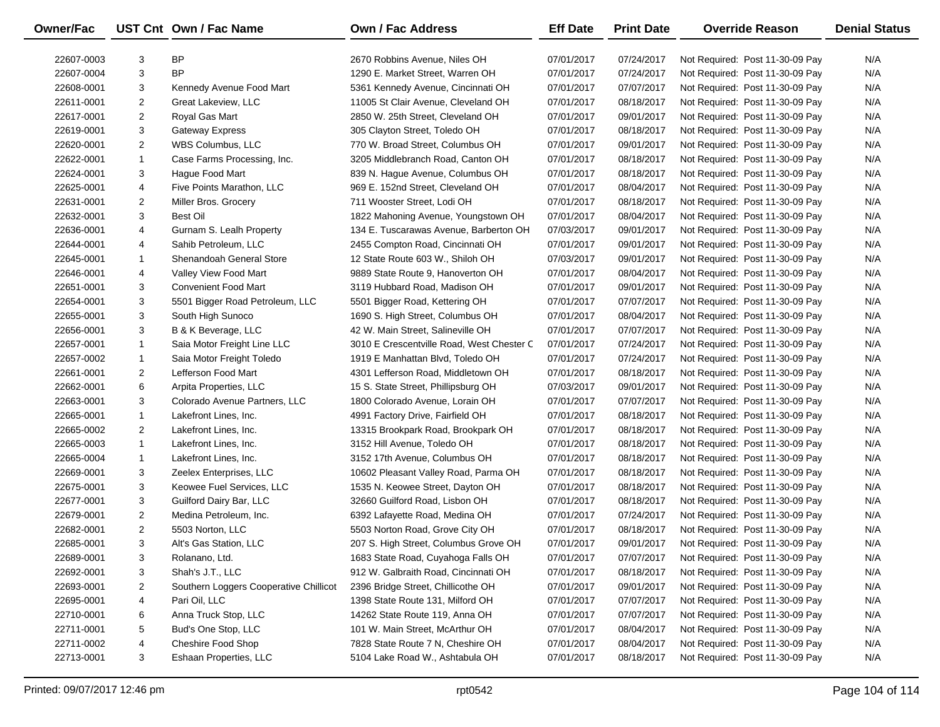| Owner/Fac  |                | UST Cnt Own / Fac Name                 | <b>Own / Fac Address</b>                  | <b>Eff Date</b> | <b>Print Date</b> | <b>Override Reason</b>          | <b>Denial Status</b> |
|------------|----------------|----------------------------------------|-------------------------------------------|-----------------|-------------------|---------------------------------|----------------------|
| 22607-0003 | 3              | <b>BP</b>                              | 2670 Robbins Avenue, Niles OH             | 07/01/2017      | 07/24/2017        | Not Required: Post 11-30-09 Pay | N/A                  |
| 22607-0004 | 3              | <b>BP</b>                              | 1290 E. Market Street, Warren OH          | 07/01/2017      | 07/24/2017        | Not Required: Post 11-30-09 Pay | N/A                  |
| 22608-0001 | 3              | Kennedy Avenue Food Mart               | 5361 Kennedy Avenue, Cincinnati OH        | 07/01/2017      | 07/07/2017        | Not Required: Post 11-30-09 Pay | N/A                  |
| 22611-0001 | $\overline{2}$ | Great Lakeview, LLC                    | 11005 St Clair Avenue, Cleveland OH       | 07/01/2017      | 08/18/2017        | Not Required: Post 11-30-09 Pay | N/A                  |
| 22617-0001 | 2              | Royal Gas Mart                         | 2850 W. 25th Street, Cleveland OH         | 07/01/2017      | 09/01/2017        | Not Required: Post 11-30-09 Pay | N/A                  |
| 22619-0001 | 3              | <b>Gateway Express</b>                 | 305 Clayton Street, Toledo OH             | 07/01/2017      | 08/18/2017        | Not Required: Post 11-30-09 Pay | N/A                  |
| 22620-0001 | $\overline{2}$ | WBS Columbus, LLC                      | 770 W. Broad Street, Columbus OH          | 07/01/2017      | 09/01/2017        | Not Required: Post 11-30-09 Pay | N/A                  |
| 22622-0001 | $\mathbf{1}$   | Case Farms Processing, Inc.            | 3205 Middlebranch Road, Canton OH         | 07/01/2017      | 08/18/2017        | Not Required: Post 11-30-09 Pay | N/A                  |
| 22624-0001 | 3              | Haque Food Mart                        | 839 N. Hague Avenue, Columbus OH          | 07/01/2017      | 08/18/2017        | Not Required: Post 11-30-09 Pay | N/A                  |
| 22625-0001 | 4              | Five Points Marathon, LLC              | 969 E. 152nd Street, Cleveland OH         | 07/01/2017      | 08/04/2017        | Not Required: Post 11-30-09 Pay | N/A                  |
| 22631-0001 | $\overline{2}$ | Miller Bros. Grocery                   | 711 Wooster Street, Lodi OH               | 07/01/2017      | 08/18/2017        | Not Required: Post 11-30-09 Pay | N/A                  |
| 22632-0001 | 3              | <b>Best Oil</b>                        | 1822 Mahoning Avenue, Youngstown OH       | 07/01/2017      | 08/04/2017        | Not Required: Post 11-30-09 Pay | N/A                  |
| 22636-0001 | 4              | Gurnam S. Lealh Property               | 134 E. Tuscarawas Avenue, Barberton OH    | 07/03/2017      | 09/01/2017        | Not Required: Post 11-30-09 Pay | N/A                  |
| 22644-0001 | 4              | Sahib Petroleum, LLC                   | 2455 Compton Road, Cincinnati OH          | 07/01/2017      | 09/01/2017        | Not Required: Post 11-30-09 Pay | N/A                  |
| 22645-0001 | 1              | Shenandoah General Store               | 12 State Route 603 W., Shiloh OH          | 07/03/2017      | 09/01/2017        | Not Required: Post 11-30-09 Pay | N/A                  |
| 22646-0001 | 4              | Valley View Food Mart                  | 9889 State Route 9, Hanoverton OH         | 07/01/2017      | 08/04/2017        | Not Required: Post 11-30-09 Pay | N/A                  |
| 22651-0001 | 3              | Convenient Food Mart                   | 3119 Hubbard Road, Madison OH             | 07/01/2017      | 09/01/2017        | Not Required: Post 11-30-09 Pay | N/A                  |
| 22654-0001 | 3              | 5501 Bigger Road Petroleum, LLC        | 5501 Bigger Road, Kettering OH            | 07/01/2017      | 07/07/2017        | Not Required: Post 11-30-09 Pay | N/A                  |
| 22655-0001 | 3              | South High Sunoco                      | 1690 S. High Street, Columbus OH          | 07/01/2017      | 08/04/2017        | Not Required: Post 11-30-09 Pay | N/A                  |
| 22656-0001 | 3              | B & K Beverage, LLC                    | 42 W. Main Street, Salineville OH         | 07/01/2017      | 07/07/2017        | Not Required: Post 11-30-09 Pay | N/A                  |
| 22657-0001 | 1              | Saia Motor Freight Line LLC            | 3010 E Crescentville Road, West Chester C | 07/01/2017      | 07/24/2017        | Not Required: Post 11-30-09 Pay | N/A                  |
| 22657-0002 | $\mathbf{1}$   | Saia Motor Freight Toledo              | 1919 E Manhattan Blvd, Toledo OH          | 07/01/2017      | 07/24/2017        | Not Required: Post 11-30-09 Pay | N/A                  |
| 22661-0001 | $\overline{2}$ | Lefferson Food Mart                    | 4301 Lefferson Road, Middletown OH        | 07/01/2017      | 08/18/2017        | Not Required: Post 11-30-09 Pay | N/A                  |
| 22662-0001 | 6              | Arpita Properties, LLC                 | 15 S. State Street, Phillipsburg OH       | 07/03/2017      | 09/01/2017        | Not Required: Post 11-30-09 Pay | N/A                  |
| 22663-0001 | 3              | Colorado Avenue Partners, LLC          | 1800 Colorado Avenue, Lorain OH           | 07/01/2017      | 07/07/2017        | Not Required: Post 11-30-09 Pay | N/A                  |
| 22665-0001 | $\mathbf{1}$   | Lakefront Lines, Inc.                  | 4991 Factory Drive, Fairfield OH          | 07/01/2017      | 08/18/2017        | Not Required: Post 11-30-09 Pay | N/A                  |
| 22665-0002 | 2              | Lakefront Lines, Inc.                  | 13315 Brookpark Road, Brookpark OH        | 07/01/2017      | 08/18/2017        | Not Required: Post 11-30-09 Pay | N/A                  |
| 22665-0003 | $\mathbf{1}$   | Lakefront Lines, Inc.                  | 3152 Hill Avenue, Toledo OH               | 07/01/2017      | 08/18/2017        | Not Required: Post 11-30-09 Pay | N/A                  |
| 22665-0004 | $\mathbf{1}$   | Lakefront Lines, Inc.                  | 3152 17th Avenue, Columbus OH             | 07/01/2017      | 08/18/2017        | Not Required: Post 11-30-09 Pay | N/A                  |
| 22669-0001 | 3              | Zeelex Enterprises, LLC                | 10602 Pleasant Valley Road, Parma OH      | 07/01/2017      | 08/18/2017        | Not Required: Post 11-30-09 Pay | N/A                  |
| 22675-0001 | 3              | Keowee Fuel Services, LLC              | 1535 N. Keowee Street, Dayton OH          | 07/01/2017      | 08/18/2017        | Not Required: Post 11-30-09 Pay | N/A                  |
| 22677-0001 | 3              | Guilford Dairy Bar, LLC                | 32660 Guilford Road, Lisbon OH            | 07/01/2017      | 08/18/2017        | Not Required: Post 11-30-09 Pay | N/A                  |
| 22679-0001 | 2              | Medina Petroleum, Inc.                 | 6392 Lafayette Road, Medina OH            | 07/01/2017      | 07/24/2017        | Not Required: Post 11-30-09 Pay | N/A                  |
| 22682-0001 | $\overline{2}$ | 5503 Norton, LLC                       | 5503 Norton Road, Grove City OH           | 07/01/2017      | 08/18/2017        | Not Required: Post 11-30-09 Pay | N/A                  |
| 22685-0001 | 3              | Alt's Gas Station, LLC                 | 207 S. High Street, Columbus Grove OH     | 07/01/2017      | 09/01/2017        | Not Required: Post 11-30-09 Pay | N/A                  |
| 22689-0001 | 3              | Rolanano, Ltd.                         | 1683 State Road, Cuyahoga Falls OH        | 07/01/2017      | 07/07/2017        | Not Required: Post 11-30-09 Pay | N/A                  |
| 22692-0001 | 3              | Shah's J.T., LLC                       | 912 W. Galbraith Road, Cincinnati OH      | 07/01/2017      | 08/18/2017        | Not Required: Post 11-30-09 Pay | N/A                  |
| 22693-0001 | 2              | Southern Loggers Cooperative Chillicot | 2396 Bridge Street, Chillicothe OH        | 07/01/2017      | 09/01/2017        | Not Required: Post 11-30-09 Pay | N/A                  |
| 22695-0001 | 4              | Pari Oil, LLC                          | 1398 State Route 131, Milford OH          | 07/01/2017      | 07/07/2017        | Not Required: Post 11-30-09 Pay | N/A                  |
| 22710-0001 | 6              | Anna Truck Stop, LLC                   | 14262 State Route 119, Anna OH            | 07/01/2017      | 07/07/2017        | Not Required: Post 11-30-09 Pay | N/A                  |
| 22711-0001 | 5              | Bud's One Stop, LLC                    | 101 W. Main Street, McArthur OH           | 07/01/2017      | 08/04/2017        | Not Required: Post 11-30-09 Pay | N/A                  |
| 22711-0002 | 4              | Cheshire Food Shop                     | 7828 State Route 7 N, Cheshire OH         | 07/01/2017      | 08/04/2017        | Not Required: Post 11-30-09 Pay | N/A                  |
| 22713-0001 | 3              | Eshaan Properties, LLC                 | 5104 Lake Road W., Ashtabula OH           | 07/01/2017      | 08/18/2017        | Not Required: Post 11-30-09 Pay | N/A                  |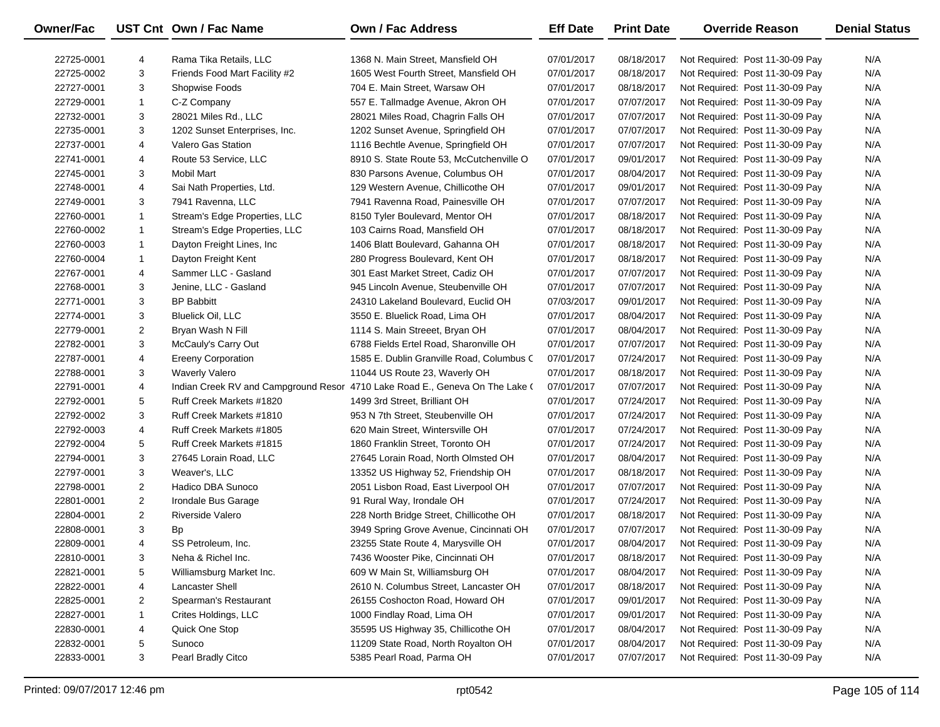| Owner/Fac  |                | UST Cnt Own / Fac Name        | <b>Own / Fac Address</b>                                                     | <b>Eff Date</b> | <b>Print Date</b> | <b>Override Reason</b>          | <b>Denial Status</b> |
|------------|----------------|-------------------------------|------------------------------------------------------------------------------|-----------------|-------------------|---------------------------------|----------------------|
| 22725-0001 | 4              | Rama Tika Retails, LLC        | 1368 N. Main Street, Mansfield OH                                            | 07/01/2017      | 08/18/2017        | Not Required: Post 11-30-09 Pay | N/A                  |
| 22725-0002 | 3              | Friends Food Mart Facility #2 | 1605 West Fourth Street, Mansfield OH                                        | 07/01/2017      | 08/18/2017        | Not Required: Post 11-30-09 Pay | N/A                  |
| 22727-0001 | 3              | Shopwise Foods                | 704 E. Main Street, Warsaw OH                                                | 07/01/2017      | 08/18/2017        | Not Required: Post 11-30-09 Pay | N/A                  |
| 22729-0001 | $\mathbf{1}$   | C-Z Company                   | 557 E. Tallmadge Avenue, Akron OH                                            | 07/01/2017      | 07/07/2017        | Not Required: Post 11-30-09 Pay | N/A                  |
| 22732-0001 | 3              | 28021 Miles Rd., LLC          | 28021 Miles Road, Chagrin Falls OH                                           | 07/01/2017      | 07/07/2017        | Not Required: Post 11-30-09 Pay | N/A                  |
| 22735-0001 | 3              | 1202 Sunset Enterprises, Inc. | 1202 Sunset Avenue, Springfield OH                                           | 07/01/2017      | 07/07/2017        | Not Required: Post 11-30-09 Pay | N/A                  |
| 22737-0001 | 4              | <b>Valero Gas Station</b>     | 1116 Bechtle Avenue, Springfield OH                                          | 07/01/2017      | 07/07/2017        | Not Required: Post 11-30-09 Pay | N/A                  |
| 22741-0001 | 4              | Route 53 Service, LLC         | 8910 S. State Route 53, McCutchenville O                                     | 07/01/2017      | 09/01/2017        | Not Required: Post 11-30-09 Pay | N/A                  |
| 22745-0001 | 3              | Mobil Mart                    | 830 Parsons Avenue, Columbus OH                                              | 07/01/2017      | 08/04/2017        | Not Required: Post 11-30-09 Pay | N/A                  |
| 22748-0001 | 4              | Sai Nath Properties, Ltd.     | 129 Western Avenue, Chillicothe OH                                           | 07/01/2017      | 09/01/2017        | Not Required: Post 11-30-09 Pay | N/A                  |
| 22749-0001 | 3              | 7941 Ravenna, LLC             | 7941 Ravenna Road, Painesville OH                                            | 07/01/2017      | 07/07/2017        | Not Required: Post 11-30-09 Pay | N/A                  |
| 22760-0001 | 1              | Stream's Edge Properties, LLC | 8150 Tyler Boulevard, Mentor OH                                              | 07/01/2017      | 08/18/2017        | Not Required: Post 11-30-09 Pay | N/A                  |
| 22760-0002 | 1              | Stream's Edge Properties, LLC | 103 Cairns Road, Mansfield OH                                                | 07/01/2017      | 08/18/2017        | Not Required: Post 11-30-09 Pay | N/A                  |
| 22760-0003 | 1              | Dayton Freight Lines, Inc     | 1406 Blatt Boulevard, Gahanna OH                                             | 07/01/2017      | 08/18/2017        | Not Required: Post 11-30-09 Pay | N/A                  |
| 22760-0004 | 1              | Dayton Freight Kent           | 280 Progress Boulevard, Kent OH                                              | 07/01/2017      | 08/18/2017        | Not Required: Post 11-30-09 Pay | N/A                  |
| 22767-0001 | 4              | Sammer LLC - Gasland          | 301 East Market Street, Cadiz OH                                             | 07/01/2017      | 07/07/2017        | Not Required: Post 11-30-09 Pay | N/A                  |
| 22768-0001 | 3              | Jenine, LLC - Gasland         | 945 Lincoln Avenue, Steubenville OH                                          | 07/01/2017      | 07/07/2017        | Not Required: Post 11-30-09 Pay | N/A                  |
| 22771-0001 | 3              | <b>BP Babbitt</b>             | 24310 Lakeland Boulevard, Euclid OH                                          | 07/03/2017      | 09/01/2017        | Not Required: Post 11-30-09 Pay | N/A                  |
| 22774-0001 | 3              | <b>Bluelick Oil, LLC</b>      | 3550 E. Bluelick Road, Lima OH                                               | 07/01/2017      | 08/04/2017        | Not Required: Post 11-30-09 Pay | N/A                  |
| 22779-0001 | $\overline{2}$ | Bryan Wash N Fill             | 1114 S. Main Streeet, Bryan OH                                               | 07/01/2017      | 08/04/2017        | Not Required: Post 11-30-09 Pay | N/A                  |
| 22782-0001 | 3              | McCauly's Carry Out           | 6788 Fields Ertel Road, Sharonville OH                                       | 07/01/2017      | 07/07/2017        | Not Required: Post 11-30-09 Pay | N/A                  |
| 22787-0001 | 4              | <b>Ereeny Corporation</b>     | 1585 E. Dublin Granville Road, Columbus C                                    | 07/01/2017      | 07/24/2017        | Not Required: Post 11-30-09 Pay | N/A                  |
| 22788-0001 | 3              | <b>Waverly Valero</b>         | 11044 US Route 23, Waverly OH                                                | 07/01/2017      | 08/18/2017        | Not Required: Post 11-30-09 Pay | N/A                  |
| 22791-0001 | 4              |                               | Indian Creek RV and Campground Resor 4710 Lake Road E., Geneva On The Lake ( | 07/01/2017      | 07/07/2017        | Not Required: Post 11-30-09 Pay | N/A                  |
| 22792-0001 | 5              | Ruff Creek Markets #1820      | 1499 3rd Street, Brilliant OH                                                | 07/01/2017      | 07/24/2017        | Not Required: Post 11-30-09 Pay | N/A                  |
| 22792-0002 | 3              | Ruff Creek Markets #1810      | 953 N 7th Street, Steubenville OH                                            | 07/01/2017      | 07/24/2017        | Not Required: Post 11-30-09 Pay | N/A                  |
| 22792-0003 | 4              | Ruff Creek Markets #1805      | 620 Main Street, Wintersville OH                                             | 07/01/2017      | 07/24/2017        | Not Required: Post 11-30-09 Pay | N/A                  |
| 22792-0004 | 5              | Ruff Creek Markets #1815      | 1860 Franklin Street, Toronto OH                                             | 07/01/2017      | 07/24/2017        | Not Required: Post 11-30-09 Pay | N/A                  |
| 22794-0001 | 3              | 27645 Lorain Road, LLC        | 27645 Lorain Road, North Olmsted OH                                          | 07/01/2017      | 08/04/2017        | Not Required: Post 11-30-09 Pay | N/A                  |
| 22797-0001 | 3              | Weaver's, LLC                 | 13352 US Highway 52, Friendship OH                                           | 07/01/2017      | 08/18/2017        | Not Required: Post 11-30-09 Pay | N/A                  |
| 22798-0001 | $\overline{2}$ | Hadico DBA Sunoco             | 2051 Lisbon Road, East Liverpool OH                                          | 07/01/2017      | 07/07/2017        | Not Required: Post 11-30-09 Pay | N/A                  |
| 22801-0001 | $\overline{2}$ | Irondale Bus Garage           | 91 Rural Way, Irondale OH                                                    | 07/01/2017      | 07/24/2017        | Not Required: Post 11-30-09 Pay | N/A                  |
| 22804-0001 | $\overline{2}$ | <b>Riverside Valero</b>       | 228 North Bridge Street, Chillicothe OH                                      | 07/01/2017      | 08/18/2017        | Not Required: Post 11-30-09 Pay | N/A                  |
| 22808-0001 | 3              | Bp                            | 3949 Spring Grove Avenue, Cincinnati OH                                      | 07/01/2017      | 07/07/2017        | Not Required: Post 11-30-09 Pay | N/A                  |
| 22809-0001 | 4              | SS Petroleum, Inc.            | 23255 State Route 4, Marysville OH                                           | 07/01/2017      | 08/04/2017        | Not Required: Post 11-30-09 Pay | N/A                  |
| 22810-0001 | 3              | Neha & Richel Inc.            | 7436 Wooster Pike, Cincinnati OH                                             | 07/01/2017      | 08/18/2017        | Not Required: Post 11-30-09 Pay | N/A                  |
| 22821-0001 | 5              | Williamsburg Market Inc.      | 609 W Main St, Williamsburg OH                                               | 07/01/2017      | 08/04/2017        | Not Required: Post 11-30-09 Pay | N/A                  |
| 22822-0001 | 4              | Lancaster Shell               | 2610 N. Columbus Street, Lancaster OH                                        | 07/01/2017      | 08/18/2017        | Not Required: Post 11-30-09 Pay | N/A                  |
| 22825-0001 | 2              | Spearman's Restaurant         | 26155 Coshocton Road, Howard OH                                              | 07/01/2017      | 09/01/2017        | Not Required: Post 11-30-09 Pay | N/A                  |
| 22827-0001 | 1              | Crites Holdings, LLC          | 1000 Findlay Road, Lima OH                                                   | 07/01/2017      | 09/01/2017        | Not Required: Post 11-30-09 Pay | N/A                  |
| 22830-0001 | 4              | Quick One Stop                | 35595 US Highway 35, Chillicothe OH                                          | 07/01/2017      | 08/04/2017        | Not Required: Post 11-30-09 Pay | N/A                  |
| 22832-0001 | 5              | Sunoco                        | 11209 State Road, North Royalton OH                                          | 07/01/2017      | 08/04/2017        | Not Required: Post 11-30-09 Pay | N/A                  |
| 22833-0001 | 3              | Pearl Bradly Citco            | 5385 Pearl Road, Parma OH                                                    | 07/01/2017      | 07/07/2017        | Not Required: Post 11-30-09 Pay | N/A                  |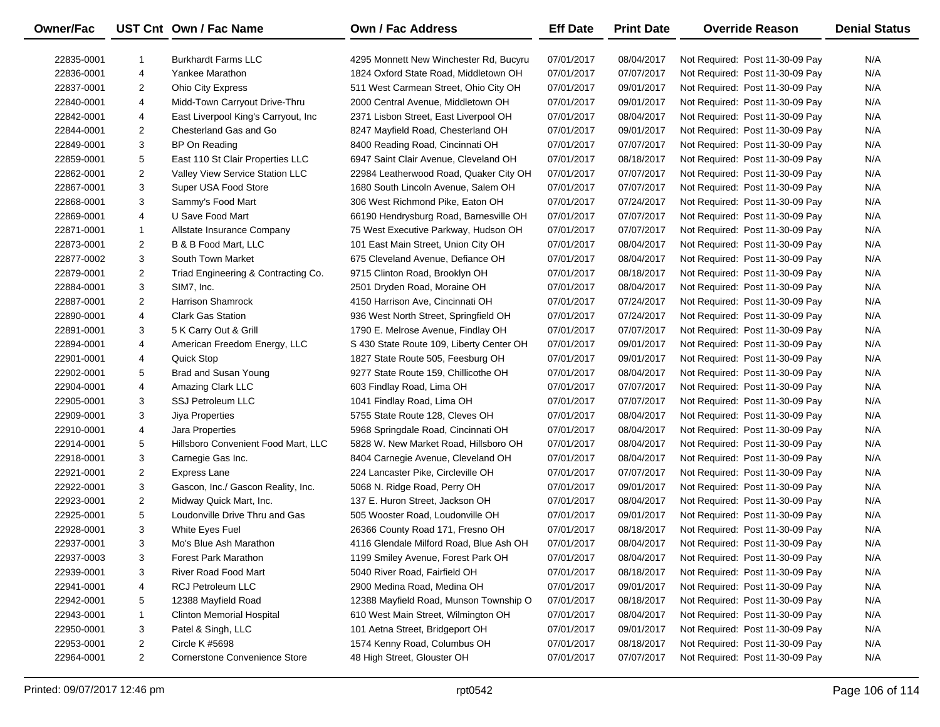| <b>Owner/Fac</b> |                | UST Cnt Own / Fac Name               | <b>Own / Fac Address</b>                 | <b>Eff Date</b> | <b>Print Date</b> | <b>Override Reason</b>          | <b>Denial Status</b> |
|------------------|----------------|--------------------------------------|------------------------------------------|-----------------|-------------------|---------------------------------|----------------------|
| 22835-0001       | -1             | <b>Burkhardt Farms LLC</b>           | 4295 Monnett New Winchester Rd, Bucyru   | 07/01/2017      | 08/04/2017        | Not Required: Post 11-30-09 Pay | N/A                  |
| 22836-0001       | 4              | Yankee Marathon                      | 1824 Oxford State Road, Middletown OH    | 07/01/2017      | 07/07/2017        | Not Required: Post 11-30-09 Pay | N/A                  |
| 22837-0001       | $\overline{2}$ | <b>Ohio City Express</b>             | 511 West Carmean Street, Ohio City OH    | 07/01/2017      | 09/01/2017        | Not Required: Post 11-30-09 Pay | N/A                  |
| 22840-0001       | 4              | Midd-Town Carryout Drive-Thru        | 2000 Central Avenue, Middletown OH       | 07/01/2017      | 09/01/2017        | Not Required: Post 11-30-09 Pay | N/A                  |
| 22842-0001       | 4              | East Liverpool King's Carryout, Inc  | 2371 Lisbon Street, East Liverpool OH    | 07/01/2017      | 08/04/2017        | Not Required: Post 11-30-09 Pay | N/A                  |
| 22844-0001       | $\overline{2}$ | Chesterland Gas and Go               | 8247 Mayfield Road, Chesterland OH       | 07/01/2017      | 09/01/2017        | Not Required: Post 11-30-09 Pay | N/A                  |
| 22849-0001       | 3              | BP On Reading                        | 8400 Reading Road, Cincinnati OH         | 07/01/2017      | 07/07/2017        | Not Required: Post 11-30-09 Pay | N/A                  |
| 22859-0001       | 5              | East 110 St Clair Properties LLC     | 6947 Saint Clair Avenue, Cleveland OH    | 07/01/2017      | 08/18/2017        | Not Required: Post 11-30-09 Pay | N/A                  |
| 22862-0001       | $\overline{2}$ | Valley View Service Station LLC      | 22984 Leatherwood Road, Quaker City OH   | 07/01/2017      | 07/07/2017        | Not Required: Post 11-30-09 Pay | N/A                  |
| 22867-0001       | 3              | Super USA Food Store                 | 1680 South Lincoln Avenue, Salem OH      | 07/01/2017      | 07/07/2017        | Not Required: Post 11-30-09 Pay | N/A                  |
| 22868-0001       | 3              | Sammy's Food Mart                    | 306 West Richmond Pike, Eaton OH         | 07/01/2017      | 07/24/2017        | Not Required: Post 11-30-09 Pay | N/A                  |
| 22869-0001       | 4              | U Save Food Mart                     | 66190 Hendrysburg Road, Barnesville OH   | 07/01/2017      | 07/07/2017        | Not Required: Post 11-30-09 Pay | N/A                  |
| 22871-0001       | 1              | Allstate Insurance Company           | 75 West Executive Parkway, Hudson OH     | 07/01/2017      | 07/07/2017        | Not Required: Post 11-30-09 Pay | N/A                  |
| 22873-0001       | $\overline{2}$ | B & B Food Mart, LLC                 | 101 East Main Street, Union City OH      | 07/01/2017      | 08/04/2017        | Not Required: Post 11-30-09 Pay | N/A                  |
| 22877-0002       | 3              | South Town Market                    | 675 Cleveland Avenue, Defiance OH        | 07/01/2017      | 08/04/2017        | Not Required: Post 11-30-09 Pay | N/A                  |
| 22879-0001       | $\overline{2}$ | Triad Engineering & Contracting Co.  | 9715 Clinton Road, Brooklyn OH           | 07/01/2017      | 08/18/2017        | Not Required: Post 11-30-09 Pay | N/A                  |
| 22884-0001       | 3              | SIM7, Inc.                           | 2501 Dryden Road, Moraine OH             | 07/01/2017      | 08/04/2017        | Not Required: Post 11-30-09 Pay | N/A                  |
| 22887-0001       | $\overline{2}$ | <b>Harrison Shamrock</b>             | 4150 Harrison Ave, Cincinnati OH         | 07/01/2017      | 07/24/2017        | Not Required: Post 11-30-09 Pay | N/A                  |
| 22890-0001       | 4              | <b>Clark Gas Station</b>             | 936 West North Street, Springfield OH    | 07/01/2017      | 07/24/2017        | Not Required: Post 11-30-09 Pay | N/A                  |
| 22891-0001       | 3              | 5 K Carry Out & Grill                | 1790 E. Melrose Avenue, Findlay OH       | 07/01/2017      | 07/07/2017        | Not Required: Post 11-30-09 Pay | N/A                  |
| 22894-0001       | 4              | American Freedom Energy, LLC         | S 430 State Route 109, Liberty Center OH | 07/01/2017      | 09/01/2017        | Not Required: Post 11-30-09 Pay | N/A                  |
| 22901-0001       | 4              | <b>Quick Stop</b>                    | 1827 State Route 505, Feesburg OH        | 07/01/2017      | 09/01/2017        | Not Required: Post 11-30-09 Pay | N/A                  |
| 22902-0001       | 5              | Brad and Susan Young                 | 9277 State Route 159, Chillicothe OH     | 07/01/2017      | 08/04/2017        | Not Required: Post 11-30-09 Pay | N/A                  |
| 22904-0001       | 4              | Amazing Clark LLC                    | 603 Findlay Road, Lima OH                | 07/01/2017      | 07/07/2017        | Not Required: Post 11-30-09 Pay | N/A                  |
| 22905-0001       | 3              | <b>SSJ Petroleum LLC</b>             | 1041 Findlay Road, Lima OH               | 07/01/2017      | 07/07/2017        | Not Required: Post 11-30-09 Pay | N/A                  |
| 22909-0001       | 3              | Jiya Properties                      | 5755 State Route 128, Cleves OH          | 07/01/2017      | 08/04/2017        | Not Required: Post 11-30-09 Pay | N/A                  |
| 22910-0001       | 4              | Jara Properties                      | 5968 Springdale Road, Cincinnati OH      | 07/01/2017      | 08/04/2017        | Not Required: Post 11-30-09 Pay | N/A                  |
| 22914-0001       | 5              | Hillsboro Convenient Food Mart, LLC  | 5828 W. New Market Road, Hillsboro OH    | 07/01/2017      | 08/04/2017        | Not Required: Post 11-30-09 Pay | N/A                  |
| 22918-0001       | 3              | Carnegie Gas Inc.                    | 8404 Carnegie Avenue, Cleveland OH       | 07/01/2017      | 08/04/2017        | Not Required: Post 11-30-09 Pay | N/A                  |
| 22921-0001       | $\overline{a}$ | <b>Express Lane</b>                  | 224 Lancaster Pike, Circleville OH       | 07/01/2017      | 07/07/2017        | Not Required: Post 11-30-09 Pay | N/A                  |
| 22922-0001       | 3              | Gascon, Inc./ Gascon Reality, Inc.   | 5068 N. Ridge Road, Perry OH             | 07/01/2017      | 09/01/2017        | Not Required: Post 11-30-09 Pay | N/A                  |
| 22923-0001       | $\overline{2}$ | Midway Quick Mart, Inc.              | 137 E. Huron Street, Jackson OH          | 07/01/2017      | 08/04/2017        | Not Required: Post 11-30-09 Pay | N/A                  |
| 22925-0001       | 5              | Loudonville Drive Thru and Gas       | 505 Wooster Road, Loudonville OH         | 07/01/2017      | 09/01/2017        | Not Required: Post 11-30-09 Pay | N/A                  |
| 22928-0001       | 3              | White Eyes Fuel                      | 26366 County Road 171, Fresno OH         | 07/01/2017      | 08/18/2017        | Not Required: Post 11-30-09 Pay | N/A                  |
| 22937-0001       | 3              | Mo's Blue Ash Marathon               | 4116 Glendale Milford Road, Blue Ash OH  | 07/01/2017      | 08/04/2017        | Not Required: Post 11-30-09 Pay | N/A                  |
| 22937-0003       | 3              | Forest Park Marathon                 | 1199 Smiley Avenue, Forest Park OH       | 07/01/2017      | 08/04/2017        | Not Required: Post 11-30-09 Pay | N/A                  |
| 22939-0001       | 3              | River Road Food Mart                 | 5040 River Road, Fairfield OH            | 07/01/2017      | 08/18/2017        | Not Required: Post 11-30-09 Pay | N/A                  |
| 22941-0001       | 4              | RCJ Petroleum LLC                    | 2900 Medina Road, Medina OH              | 07/01/2017      | 09/01/2017        | Not Required: Post 11-30-09 Pay | N/A                  |
| 22942-0001       | 5              | 12388 Mayfield Road                  | 12388 Mayfield Road, Munson Township O   | 07/01/2017      | 08/18/2017        | Not Required: Post 11-30-09 Pay | N/A                  |
| 22943-0001       | 1              | Clinton Memorial Hospital            | 610 West Main Street, Wilmington OH      | 07/01/2017      | 08/04/2017        | Not Required: Post 11-30-09 Pay | N/A                  |
| 22950-0001       | 3              | Patel & Singh, LLC                   | 101 Aetna Street, Bridgeport OH          | 07/01/2017      | 09/01/2017        | Not Required: Post 11-30-09 Pay | N/A                  |
| 22953-0001       | 2              | <b>Circle K #5698</b>                | 1574 Kenny Road, Columbus OH             | 07/01/2017      | 08/18/2017        | Not Required: Post 11-30-09 Pay | N/A                  |
| 22964-0001       | $\overline{2}$ | <b>Cornerstone Convenience Store</b> | 48 High Street, Glouster OH              | 07/01/2017      | 07/07/2017        | Not Required: Post 11-30-09 Pay | N/A                  |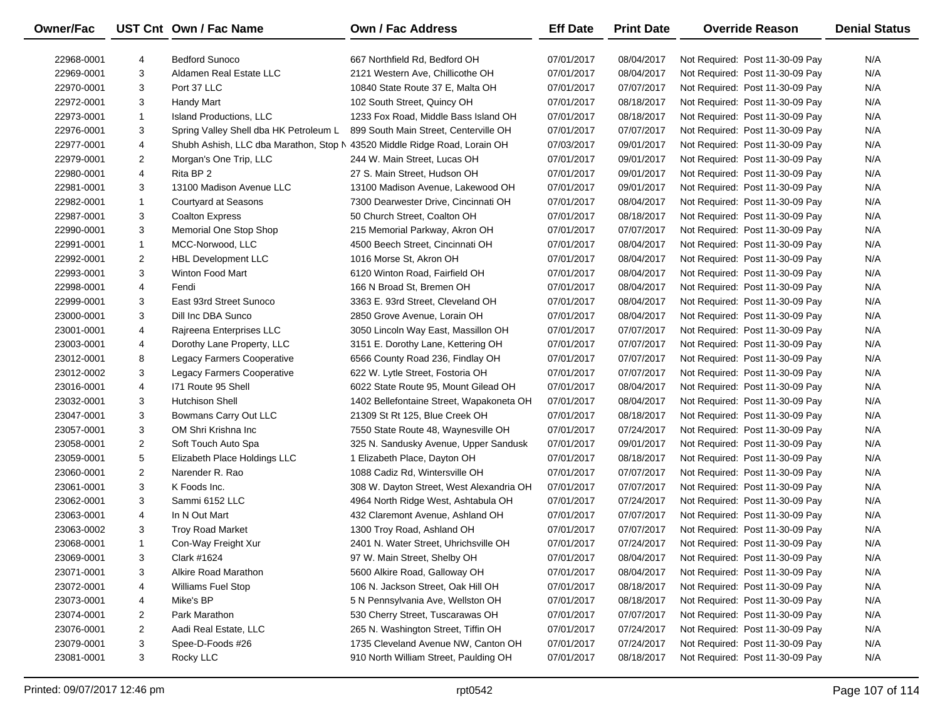| Owner/Fac  |                | UST Cnt Own / Fac Name                                                    | <b>Own / Fac Address</b>                 | <b>Eff Date</b> | <b>Print Date</b> | <b>Override Reason</b>          | <b>Denial Status</b> |
|------------|----------------|---------------------------------------------------------------------------|------------------------------------------|-----------------|-------------------|---------------------------------|----------------------|
| 22968-0001 | 4              | <b>Bedford Sunoco</b>                                                     | 667 Northfield Rd, Bedford OH            | 07/01/2017      | 08/04/2017        | Not Required: Post 11-30-09 Pay | N/A                  |
| 22969-0001 | 3              | Aldamen Real Estate LLC                                                   | 2121 Western Ave, Chillicothe OH         | 07/01/2017      | 08/04/2017        | Not Required: Post 11-30-09 Pay | N/A                  |
| 22970-0001 | 3              | Port 37 LLC                                                               | 10840 State Route 37 E, Malta OH         | 07/01/2017      | 07/07/2017        | Not Required: Post 11-30-09 Pay | N/A                  |
| 22972-0001 | 3              | Handy Mart                                                                | 102 South Street, Quincy OH              | 07/01/2017      | 08/18/2017        | Not Required: Post 11-30-09 Pay | N/A                  |
| 22973-0001 | $\mathbf{1}$   | Island Productions, LLC                                                   | 1233 Fox Road, Middle Bass Island OH     | 07/01/2017      | 08/18/2017        | Not Required: Post 11-30-09 Pay | N/A                  |
| 22976-0001 | 3              | Spring Valley Shell dba HK Petroleum L                                    | 899 South Main Street, Centerville OH    | 07/01/2017      | 07/07/2017        | Not Required: Post 11-30-09 Pay | N/A                  |
| 22977-0001 | 4              | Shubh Ashish, LLC dba Marathon, Stop N 43520 Middle Ridge Road, Lorain OH |                                          | 07/03/2017      | 09/01/2017        | Not Required: Post 11-30-09 Pay | N/A                  |
| 22979-0001 | $\overline{2}$ | Morgan's One Trip, LLC                                                    | 244 W. Main Street, Lucas OH             | 07/01/2017      | 09/01/2017        | Not Required: Post 11-30-09 Pay | N/A                  |
| 22980-0001 | 4              | Rita BP 2                                                                 | 27 S. Main Street, Hudson OH             | 07/01/2017      | 09/01/2017        | Not Required: Post 11-30-09 Pay | N/A                  |
| 22981-0001 | 3              | 13100 Madison Avenue LLC                                                  | 13100 Madison Avenue, Lakewood OH        | 07/01/2017      | 09/01/2017        | Not Required: Post 11-30-09 Pay | N/A                  |
| 22982-0001 | $\mathbf{1}$   | <b>Courtyard at Seasons</b>                                               | 7300 Dearwester Drive, Cincinnati OH     | 07/01/2017      | 08/04/2017        | Not Required: Post 11-30-09 Pay | N/A                  |
| 22987-0001 | 3              | <b>Coalton Express</b>                                                    | 50 Church Street, Coalton OH             | 07/01/2017      | 08/18/2017        | Not Required: Post 11-30-09 Pay | N/A                  |
| 22990-0001 | 3              | Memorial One Stop Shop                                                    | 215 Memorial Parkway, Akron OH           | 07/01/2017      | 07/07/2017        | Not Required: Post 11-30-09 Pay | N/A                  |
| 22991-0001 | $\mathbf{1}$   | MCC-Norwood, LLC                                                          | 4500 Beech Street, Cincinnati OH         | 07/01/2017      | 08/04/2017        | Not Required: Post 11-30-09 Pay | N/A                  |
| 22992-0001 | $\overline{2}$ | <b>HBL Development LLC</b>                                                | 1016 Morse St, Akron OH                  | 07/01/2017      | 08/04/2017        | Not Required: Post 11-30-09 Pay | N/A                  |
| 22993-0001 | 3              | Winton Food Mart                                                          | 6120 Winton Road, Fairfield OH           | 07/01/2017      | 08/04/2017        | Not Required: Post 11-30-09 Pay | N/A                  |
| 22998-0001 | 4              | Fendi                                                                     | 166 N Broad St, Bremen OH                | 07/01/2017      | 08/04/2017        | Not Required: Post 11-30-09 Pay | N/A                  |
| 22999-0001 | 3              | East 93rd Street Sunoco                                                   | 3363 E. 93rd Street, Cleveland OH        | 07/01/2017      | 08/04/2017        | Not Required: Post 11-30-09 Pay | N/A                  |
| 23000-0001 | 3              | Dill Inc DBA Sunco                                                        | 2850 Grove Avenue, Lorain OH             | 07/01/2017      | 08/04/2017        | Not Required: Post 11-30-09 Pay | N/A                  |
| 23001-0001 | 4              | Rajreena Enterprises LLC                                                  | 3050 Lincoln Way East, Massillon OH      | 07/01/2017      | 07/07/2017        | Not Required: Post 11-30-09 Pay | N/A                  |
| 23003-0001 | 4              | Dorothy Lane Property, LLC                                                | 3151 E. Dorothy Lane, Kettering OH       | 07/01/2017      | 07/07/2017        | Not Required: Post 11-30-09 Pay | N/A                  |
| 23012-0001 | 8              | Legacy Farmers Cooperative                                                | 6566 County Road 236, Findlay OH         | 07/01/2017      | 07/07/2017        | Not Required: Post 11-30-09 Pay | N/A                  |
| 23012-0002 | 3              | Legacy Farmers Cooperative                                                | 622 W. Lytle Street, Fostoria OH         | 07/01/2017      | 07/07/2017        | Not Required: Post 11-30-09 Pay | N/A                  |
| 23016-0001 | 4              | 171 Route 95 Shell                                                        | 6022 State Route 95, Mount Gilead OH     | 07/01/2017      | 08/04/2017        | Not Required: Post 11-30-09 Pay | N/A                  |
| 23032-0001 | 3              | <b>Hutchison Shell</b>                                                    | 1402 Bellefontaine Street, Wapakoneta OH | 07/01/2017      | 08/04/2017        | Not Required: Post 11-30-09 Pay | N/A                  |
| 23047-0001 | 3              | Bowmans Carry Out LLC                                                     | 21309 St Rt 125, Blue Creek OH           | 07/01/2017      | 08/18/2017        | Not Required: Post 11-30-09 Pay | N/A                  |
| 23057-0001 | 3              | OM Shri Krishna Inc                                                       | 7550 State Route 48, Waynesville OH      | 07/01/2017      | 07/24/2017        | Not Required: Post 11-30-09 Pay | N/A                  |
| 23058-0001 | 2              | Soft Touch Auto Spa                                                       | 325 N. Sandusky Avenue, Upper Sandusk    | 07/01/2017      | 09/01/2017        | Not Required: Post 11-30-09 Pay | N/A                  |
| 23059-0001 | 5              | Elizabeth Place Holdings LLC                                              | 1 Elizabeth Place, Dayton OH             | 07/01/2017      | 08/18/2017        | Not Required: Post 11-30-09 Pay | N/A                  |
| 23060-0001 | $\overline{2}$ | Narender R. Rao                                                           | 1088 Cadiz Rd, Wintersville OH           | 07/01/2017      | 07/07/2017        | Not Required: Post 11-30-09 Pay | N/A                  |
| 23061-0001 | 3              | K Foods Inc.                                                              | 308 W. Dayton Street, West Alexandria OH | 07/01/2017      | 07/07/2017        | Not Required: Post 11-30-09 Pay | N/A                  |
| 23062-0001 | 3              | Sammi 6152 LLC                                                            | 4964 North Ridge West, Ashtabula OH      | 07/01/2017      | 07/24/2017        | Not Required: Post 11-30-09 Pay | N/A                  |
| 23063-0001 | 4              | In N Out Mart                                                             | 432 Claremont Avenue, Ashland OH         | 07/01/2017      | 07/07/2017        | Not Required: Post 11-30-09 Pay | N/A                  |
| 23063-0002 | 3              | <b>Troy Road Market</b>                                                   | 1300 Troy Road, Ashland OH               | 07/01/2017      | 07/07/2017        | Not Required: Post 11-30-09 Pay | N/A                  |
| 23068-0001 | $\mathbf{1}$   | Con-Way Freight Xur                                                       | 2401 N. Water Street, Uhrichsville OH    | 07/01/2017      | 07/24/2017        | Not Required: Post 11-30-09 Pay | N/A                  |
| 23069-0001 | 3              | Clark #1624                                                               | 97 W. Main Street, Shelby OH             | 07/01/2017      | 08/04/2017        | Not Required: Post 11-30-09 Pay | N/A                  |
| 23071-0001 | 3              | Alkire Road Marathon                                                      | 5600 Alkire Road, Galloway OH            | 07/01/2017      | 08/04/2017        | Not Required: Post 11-30-09 Pay | N/A                  |
| 23072-0001 | 4              | <b>Williams Fuel Stop</b>                                                 | 106 N. Jackson Street, Oak Hill OH       | 07/01/2017      | 08/18/2017        | Not Required: Post 11-30-09 Pay | N/A                  |
| 23073-0001 | 4              | Mike's BP                                                                 | 5 N Pennsylvania Ave, Wellston OH        | 07/01/2017      | 08/18/2017        | Not Required: Post 11-30-09 Pay | N/A                  |
| 23074-0001 | 2              | Park Marathon                                                             | 530 Cherry Street, Tuscarawas OH         | 07/01/2017      | 07/07/2017        | Not Required: Post 11-30-09 Pay | N/A                  |
| 23076-0001 | $\overline{2}$ | Aadi Real Estate, LLC                                                     | 265 N. Washington Street, Tiffin OH      | 07/01/2017      | 07/24/2017        | Not Required: Post 11-30-09 Pay | N/A                  |
| 23079-0001 | 3              | Spee-D-Foods #26                                                          | 1735 Cleveland Avenue NW, Canton OH      | 07/01/2017      | 07/24/2017        | Not Required: Post 11-30-09 Pay | N/A                  |
| 23081-0001 | 3              | Rocky LLC                                                                 | 910 North William Street, Paulding OH    | 07/01/2017      | 08/18/2017        | Not Required: Post 11-30-09 Pay | N/A                  |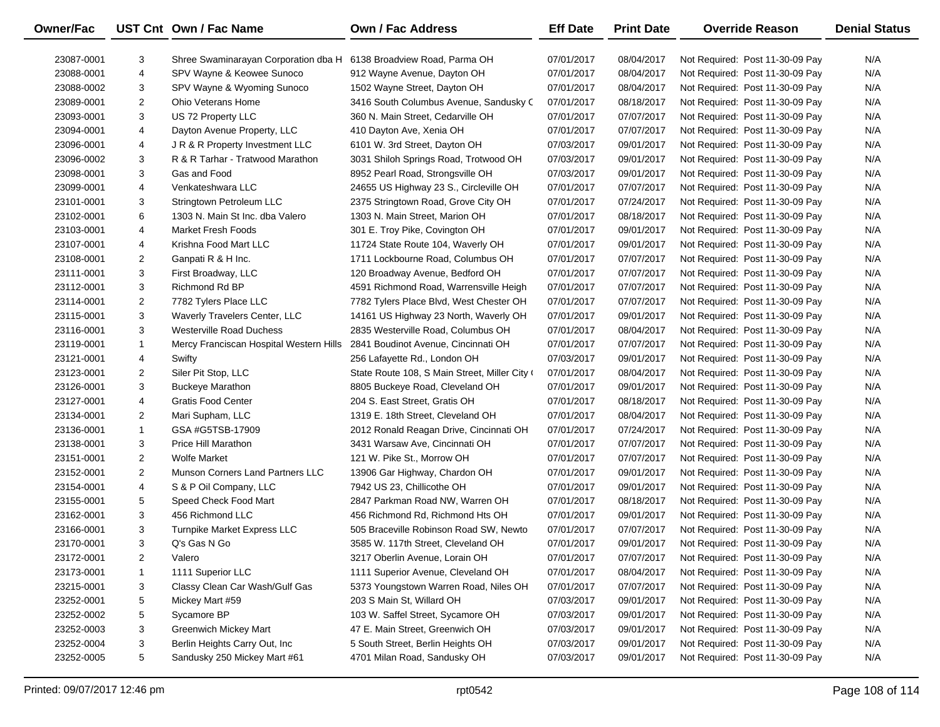| Owner/Fac  |                | UST Cnt Own / Fac Name                                             | <b>Own / Fac Address</b>                      | <b>Eff Date</b> | <b>Print Date</b> | <b>Override Reason</b>          | <b>Denial Status</b> |
|------------|----------------|--------------------------------------------------------------------|-----------------------------------------------|-----------------|-------------------|---------------------------------|----------------------|
| 23087-0001 | 3              | Shree Swaminarayan Corporation dba H 6138 Broadview Road, Parma OH |                                               | 07/01/2017      | 08/04/2017        | Not Required: Post 11-30-09 Pay | N/A                  |
| 23088-0001 | 4              | SPV Wayne & Keowee Sunoco                                          | 912 Wayne Avenue, Dayton OH                   | 07/01/2017      | 08/04/2017        | Not Required: Post 11-30-09 Pay | N/A                  |
| 23088-0002 | 3              | SPV Wayne & Wyoming Sunoco                                         | 1502 Wayne Street, Dayton OH                  | 07/01/2017      | 08/04/2017        | Not Required: Post 11-30-09 Pay | N/A                  |
| 23089-0001 | $\overline{2}$ | <b>Ohio Veterans Home</b>                                          | 3416 South Columbus Avenue, Sandusky C        | 07/01/2017      | 08/18/2017        | Not Required: Post 11-30-09 Pay | N/A                  |
| 23093-0001 | 3              | US 72 Property LLC                                                 | 360 N. Main Street, Cedarville OH             | 07/01/2017      | 07/07/2017        | Not Required: Post 11-30-09 Pay | N/A                  |
| 23094-0001 | 4              | Dayton Avenue Property, LLC                                        | 410 Dayton Ave, Xenia OH                      | 07/01/2017      | 07/07/2017        | Not Required: Post 11-30-09 Pay | N/A                  |
| 23096-0001 | 4              | JR & R Property Investment LLC                                     | 6101 W. 3rd Street, Dayton OH                 | 07/03/2017      | 09/01/2017        | Not Required: Post 11-30-09 Pay | N/A                  |
| 23096-0002 | 3              | R & R Tarhar - Tratwood Marathon                                   | 3031 Shiloh Springs Road, Trotwood OH         | 07/03/2017      | 09/01/2017        | Not Required: Post 11-30-09 Pay | N/A                  |
| 23098-0001 | 3              | Gas and Food                                                       | 8952 Pearl Road, Strongsville OH              | 07/03/2017      | 09/01/2017        | Not Required: Post 11-30-09 Pay | N/A                  |
| 23099-0001 | 4              | Venkateshwara LLC                                                  | 24655 US Highway 23 S., Circleville OH        | 07/01/2017      | 07/07/2017        | Not Required: Post 11-30-09 Pay | N/A                  |
| 23101-0001 | 3              | Stringtown Petroleum LLC                                           | 2375 Stringtown Road, Grove City OH           | 07/01/2017      | 07/24/2017        | Not Required: Post 11-30-09 Pay | N/A                  |
| 23102-0001 | 6              | 1303 N. Main St Inc. dba Valero                                    | 1303 N. Main Street, Marion OH                | 07/01/2017      | 08/18/2017        | Not Required: Post 11-30-09 Pay | N/A                  |
| 23103-0001 | 4              | Market Fresh Foods                                                 | 301 E. Troy Pike, Covington OH                | 07/01/2017      | 09/01/2017        | Not Required: Post 11-30-09 Pay | N/A                  |
| 23107-0001 | 4              | Krishna Food Mart LLC                                              | 11724 State Route 104, Waverly OH             | 07/01/2017      | 09/01/2017        | Not Required: Post 11-30-09 Pay | N/A                  |
| 23108-0001 | $\overline{2}$ | Ganpati R & H Inc.                                                 | 1711 Lockbourne Road, Columbus OH             | 07/01/2017      | 07/07/2017        | Not Required: Post 11-30-09 Pay | N/A                  |
| 23111-0001 | 3              | First Broadway, LLC                                                | 120 Broadway Avenue, Bedford OH               | 07/01/2017      | 07/07/2017        | Not Required: Post 11-30-09 Pay | N/A                  |
| 23112-0001 | 3              | Richmond Rd BP                                                     | 4591 Richmond Road, Warrensville Heigh        | 07/01/2017      | 07/07/2017        | Not Required: Post 11-30-09 Pay | N/A                  |
| 23114-0001 | $\overline{2}$ | 7782 Tylers Place LLC                                              | 7782 Tylers Place Blvd, West Chester OH       | 07/01/2017      | 07/07/2017        | Not Required: Post 11-30-09 Pay | N/A                  |
| 23115-0001 | 3              | Waverly Travelers Center, LLC                                      | 14161 US Highway 23 North, Waverly OH         | 07/01/2017      | 09/01/2017        | Not Required: Post 11-30-09 Pay | N/A                  |
| 23116-0001 | 3              | <b>Westerville Road Duchess</b>                                    | 2835 Westerville Road, Columbus OH            | 07/01/2017      | 08/04/2017        | Not Required: Post 11-30-09 Pay | N/A                  |
| 23119-0001 | $\mathbf{1}$   | Mercy Franciscan Hospital Western Hills                            | 2841 Boudinot Avenue, Cincinnati OH           | 07/01/2017      | 07/07/2017        | Not Required: Post 11-30-09 Pay | N/A                  |
| 23121-0001 | 4              | Swifty                                                             | 256 Lafayette Rd., London OH                  | 07/03/2017      | 09/01/2017        | Not Required: Post 11-30-09 Pay | N/A                  |
| 23123-0001 | $\overline{2}$ | Siler Pit Stop, LLC                                                | State Route 108, S Main Street, Miller City ( | 07/01/2017      | 08/04/2017        | Not Required: Post 11-30-09 Pay | N/A                  |
| 23126-0001 | 3              | <b>Buckeye Marathon</b>                                            | 8805 Buckeye Road, Cleveland OH               | 07/01/2017      | 09/01/2017        | Not Required: Post 11-30-09 Pay | N/A                  |
| 23127-0001 | 4              | <b>Gratis Food Center</b>                                          | 204 S. East Street, Gratis OH                 | 07/01/2017      | 08/18/2017        | Not Required: Post 11-30-09 Pay | N/A                  |
| 23134-0001 | $\overline{2}$ | Mari Supham, LLC                                                   | 1319 E. 18th Street, Cleveland OH             | 07/01/2017      | 08/04/2017        | Not Required: Post 11-30-09 Pay | N/A                  |
| 23136-0001 | $\mathbf{1}$   | GSA #G5TSB-17909                                                   | 2012 Ronald Reagan Drive, Cincinnati OH       | 07/01/2017      | 07/24/2017        | Not Required: Post 11-30-09 Pay | N/A                  |
| 23138-0001 | 3              | Price Hill Marathon                                                | 3431 Warsaw Ave, Cincinnati OH                | 07/01/2017      | 07/07/2017        | Not Required: Post 11-30-09 Pay | N/A                  |
| 23151-0001 | $\overline{2}$ | <b>Wolfe Market</b>                                                | 121 W. Pike St., Morrow OH                    | 07/01/2017      | 07/07/2017        | Not Required: Post 11-30-09 Pay | N/A                  |
| 23152-0001 | $\overline{2}$ | Munson Corners Land Partners LLC                                   | 13906 Gar Highway, Chardon OH                 | 07/01/2017      | 09/01/2017        | Not Required: Post 11-30-09 Pay | N/A                  |
| 23154-0001 | 4              | S & P Oil Company, LLC                                             | 7942 US 23, Chillicothe OH                    | 07/01/2017      | 09/01/2017        | Not Required: Post 11-30-09 Pay | N/A                  |
| 23155-0001 | 5              | Speed Check Food Mart                                              | 2847 Parkman Road NW, Warren OH               | 07/01/2017      | 08/18/2017        | Not Required: Post 11-30-09 Pay | N/A                  |
| 23162-0001 | 3              | 456 Richmond LLC                                                   | 456 Richmond Rd, Richmond Hts OH              | 07/01/2017      | 09/01/2017        | Not Required: Post 11-30-09 Pay | N/A                  |
| 23166-0001 | 3              | Turnpike Market Express LLC                                        | 505 Braceville Robinson Road SW, Newto        | 07/01/2017      | 07/07/2017        | Not Required: Post 11-30-09 Pay | N/A                  |
| 23170-0001 | 3              | Q's Gas N Go                                                       | 3585 W. 117th Street, Cleveland OH            | 07/01/2017      | 09/01/2017        | Not Required: Post 11-30-09 Pay | N/A                  |
| 23172-0001 | 2              | Valero                                                             | 3217 Oberlin Avenue, Lorain OH                | 07/01/2017      | 07/07/2017        | Not Required: Post 11-30-09 Pay | N/A                  |
| 23173-0001 | 1              | 1111 Superior LLC                                                  | 1111 Superior Avenue, Cleveland OH            | 07/01/2017      | 08/04/2017        | Not Required: Post 11-30-09 Pay | N/A                  |
| 23215-0001 | 3              | Classy Clean Car Wash/Gulf Gas                                     | 5373 Youngstown Warren Road, Niles OH         | 07/01/2017      | 07/07/2017        | Not Required: Post 11-30-09 Pay | N/A                  |
| 23252-0001 | 5              | Mickey Mart #59                                                    | 203 S Main St, Willard OH                     | 07/03/2017      | 09/01/2017        | Not Required: Post 11-30-09 Pay | N/A                  |
| 23252-0002 | 5              | Sycamore BP                                                        | 103 W. Saffel Street, Sycamore OH             | 07/03/2017      | 09/01/2017        | Not Required: Post 11-30-09 Pay | N/A                  |
| 23252-0003 | 3              | <b>Greenwich Mickey Mart</b>                                       | 47 E. Main Street, Greenwich OH               | 07/03/2017      | 09/01/2017        | Not Required: Post 11-30-09 Pay | N/A                  |
| 23252-0004 | 3              | Berlin Heights Carry Out, Inc                                      | 5 South Street, Berlin Heights OH             | 07/03/2017      | 09/01/2017        | Not Required: Post 11-30-09 Pay | N/A                  |
| 23252-0005 | 5              | Sandusky 250 Mickey Mart #61                                       | 4701 Milan Road, Sandusky OH                  | 07/03/2017      | 09/01/2017        | Not Required: Post 11-30-09 Pay | N/A                  |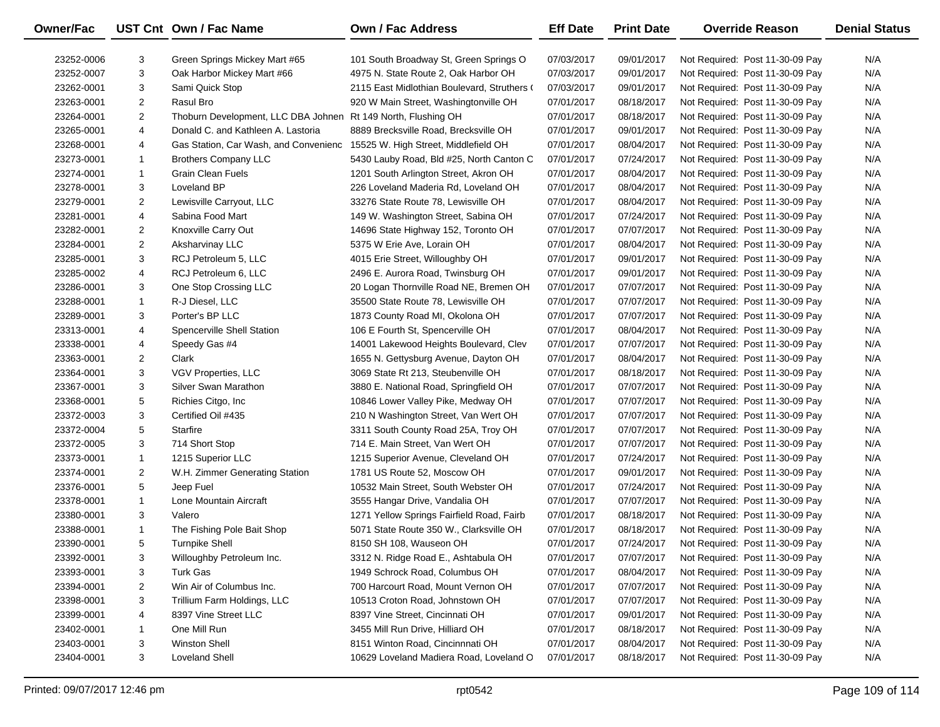| Owner/Fac  |                | UST Cnt Own / Fac Name                | Own / Fac Address                           | <b>Eff Date</b> | <b>Print Date</b> | <b>Override Reason</b>          | <b>Denial Status</b> |
|------------|----------------|---------------------------------------|---------------------------------------------|-----------------|-------------------|---------------------------------|----------------------|
| 23252-0006 | 3              | Green Springs Mickey Mart #65         | 101 South Broadway St, Green Springs O      | 07/03/2017      | 09/01/2017        | Not Required: Post 11-30-09 Pay | N/A                  |
| 23252-0007 | 3              | Oak Harbor Mickey Mart #66            | 4975 N. State Route 2, Oak Harbor OH        | 07/03/2017      | 09/01/2017        | Not Required: Post 11-30-09 Pay | N/A                  |
| 23262-0001 | 3              | Sami Quick Stop                       | 2115 East Midlothian Boulevard, Struthers ( | 07/03/2017      | 09/01/2017        | Not Required: Post 11-30-09 Pay | N/A                  |
| 23263-0001 | $\overline{2}$ | Rasul Bro                             | 920 W Main Street, Washingtonville OH       | 07/01/2017      | 08/18/2017        | Not Required: Post 11-30-09 Pay | N/A                  |
| 23264-0001 | $\overline{2}$ | Thoburn Development, LLC DBA Johnen   | Rt 149 North, Flushing OH                   | 07/01/2017      | 08/18/2017        | Not Required: Post 11-30-09 Pay | N/A                  |
| 23265-0001 | 4              | Donald C. and Kathleen A. Lastoria    | 8889 Brecksville Road, Brecksville OH       | 07/01/2017      | 09/01/2017        | Not Required: Post 11-30-09 Pay | N/A                  |
| 23268-0001 | 4              | Gas Station, Car Wash, and Convenienc | 15525 W. High Street, Middlefield OH        | 07/01/2017      | 08/04/2017        | Not Required: Post 11-30-09 Pay | N/A                  |
| 23273-0001 | 1              | <b>Brothers Company LLC</b>           | 5430 Lauby Road, Bld #25, North Canton C    | 07/01/2017      | 07/24/2017        | Not Required: Post 11-30-09 Pay | N/A                  |
| 23274-0001 | $\mathbf{1}$   | <b>Grain Clean Fuels</b>              | 1201 South Arlington Street, Akron OH       | 07/01/2017      | 08/04/2017        | Not Required: Post 11-30-09 Pay | N/A                  |
| 23278-0001 | 3              | Loveland BP                           | 226 Loveland Maderia Rd, Loveland OH        | 07/01/2017      | 08/04/2017        | Not Required: Post 11-30-09 Pay | N/A                  |
| 23279-0001 | $\overline{2}$ | Lewisville Carryout, LLC              | 33276 State Route 78, Lewisville OH         | 07/01/2017      | 08/04/2017        | Not Required: Post 11-30-09 Pay | N/A                  |
| 23281-0001 | 4              | Sabina Food Mart                      | 149 W. Washington Street, Sabina OH         | 07/01/2017      | 07/24/2017        | Not Required: Post 11-30-09 Pay | N/A                  |
| 23282-0001 | $\overline{2}$ | Knoxville Carry Out                   | 14696 State Highway 152, Toronto OH         | 07/01/2017      | 07/07/2017        | Not Required: Post 11-30-09 Pay | N/A                  |
| 23284-0001 | $\overline{2}$ | Aksharvinay LLC                       | 5375 W Erie Ave, Lorain OH                  | 07/01/2017      | 08/04/2017        | Not Required: Post 11-30-09 Pay | N/A                  |
| 23285-0001 | 3              | RCJ Petroleum 5, LLC                  | 4015 Erie Street, Willoughby OH             | 07/01/2017      | 09/01/2017        | Not Required: Post 11-30-09 Pay | N/A                  |
| 23285-0002 | 4              | RCJ Petroleum 6, LLC                  | 2496 E. Aurora Road, Twinsburg OH           | 07/01/2017      | 09/01/2017        | Not Required: Post 11-30-09 Pay | N/A                  |
| 23286-0001 | 3              | One Stop Crossing LLC                 | 20 Logan Thornville Road NE, Bremen OH      | 07/01/2017      | 07/07/2017        | Not Required: Post 11-30-09 Pay | N/A                  |
| 23288-0001 | 1              | R-J Diesel, LLC                       | 35500 State Route 78, Lewisville OH         | 07/01/2017      | 07/07/2017        | Not Required: Post 11-30-09 Pay | N/A                  |
| 23289-0001 | 3              | Porter's BP LLC                       | 1873 County Road MI, Okolona OH             | 07/01/2017      | 07/07/2017        | Not Required: Post 11-30-09 Pay | N/A                  |
| 23313-0001 | 4              | Spencerville Shell Station            | 106 E Fourth St, Spencerville OH            | 07/01/2017      | 08/04/2017        | Not Required: Post 11-30-09 Pay | N/A                  |
| 23338-0001 | 4              | Speedy Gas #4                         | 14001 Lakewood Heights Boulevard, Clev      | 07/01/2017      | 07/07/2017        | Not Required: Post 11-30-09 Pay | N/A                  |
| 23363-0001 | 2              | Clark                                 | 1655 N. Gettysburg Avenue, Dayton OH        | 07/01/2017      | 08/04/2017        | Not Required: Post 11-30-09 Pay | N/A                  |
| 23364-0001 | 3              | VGV Properties, LLC                   | 3069 State Rt 213, Steubenville OH          | 07/01/2017      | 08/18/2017        | Not Required: Post 11-30-09 Pay | N/A                  |
| 23367-0001 | 3              | Silver Swan Marathon                  | 3880 E. National Road, Springfield OH       | 07/01/2017      | 07/07/2017        | Not Required: Post 11-30-09 Pay | N/A                  |
| 23368-0001 | 5              | Richies Citgo, Inc                    | 10846 Lower Valley Pike, Medway OH          | 07/01/2017      | 07/07/2017        | Not Required: Post 11-30-09 Pay | N/A                  |
| 23372-0003 | 3              | Certified Oil #435                    | 210 N Washington Street, Van Wert OH        | 07/01/2017      | 07/07/2017        | Not Required: Post 11-30-09 Pay | N/A                  |
| 23372-0004 | 5              | Starfire                              | 3311 South County Road 25A, Troy OH         | 07/01/2017      | 07/07/2017        | Not Required: Post 11-30-09 Pay | N/A                  |
| 23372-0005 | 3              | 714 Short Stop                        | 714 E. Main Street, Van Wert OH             | 07/01/2017      | 07/07/2017        | Not Required: Post 11-30-09 Pay | N/A                  |
| 23373-0001 | $\mathbf{1}$   | 1215 Superior LLC                     | 1215 Superior Avenue, Cleveland OH          | 07/01/2017      | 07/24/2017        | Not Required: Post 11-30-09 Pay | N/A                  |
| 23374-0001 | $\overline{2}$ | W.H. Zimmer Generating Station        | 1781 US Route 52, Moscow OH                 | 07/01/2017      | 09/01/2017        | Not Required: Post 11-30-09 Pay | N/A                  |
| 23376-0001 | 5              | Jeep Fuel                             | 10532 Main Street, South Webster OH         | 07/01/2017      | 07/24/2017        | Not Required: Post 11-30-09 Pay | N/A                  |
| 23378-0001 | $\mathbf{1}$   | Lone Mountain Aircraft                | 3555 Hangar Drive, Vandalia OH              | 07/01/2017      | 07/07/2017        | Not Required: Post 11-30-09 Pay | N/A                  |
| 23380-0001 | 3              | Valero                                | 1271 Yellow Springs Fairfield Road, Fairb   | 07/01/2017      | 08/18/2017        | Not Required: Post 11-30-09 Pay | N/A                  |
| 23388-0001 | $\mathbf{1}$   | The Fishing Pole Bait Shop            | 5071 State Route 350 W., Clarksville OH     | 07/01/2017      | 08/18/2017        | Not Required: Post 11-30-09 Pay | N/A                  |
| 23390-0001 | 5              | <b>Turnpike Shell</b>                 | 8150 SH 108, Wauseon OH                     | 07/01/2017      | 07/24/2017        | Not Required: Post 11-30-09 Pay | N/A                  |
| 23392-0001 | 3              | Willoughby Petroleum Inc.             | 3312 N. Ridge Road E., Ashtabula OH         | 07/01/2017      | 07/07/2017        | Not Required: Post 11-30-09 Pay | N/A                  |
| 23393-0001 | 3              | <b>Turk Gas</b>                       | 1949 Schrock Road, Columbus OH              | 07/01/2017      | 08/04/2017        | Not Required: Post 11-30-09 Pay | N/A                  |
| 23394-0001 | 2              | Win Air of Columbus Inc.              | 700 Harcourt Road, Mount Vernon OH          | 07/01/2017      | 07/07/2017        | Not Required: Post 11-30-09 Pay | N/A                  |
| 23398-0001 | 3              | Trillium Farm Holdings, LLC           | 10513 Croton Road, Johnstown OH             | 07/01/2017      | 07/07/2017        | Not Required: Post 11-30-09 Pay | N/A                  |
| 23399-0001 | 4              | 8397 Vine Street LLC                  | 8397 Vine Street, Cincinnati OH             | 07/01/2017      | 09/01/2017        | Not Required: Post 11-30-09 Pay | N/A                  |
| 23402-0001 | 1              | One Mill Run                          | 3455 Mill Run Drive, Hilliard OH            | 07/01/2017      | 08/18/2017        | Not Required: Post 11-30-09 Pay | N/A                  |
| 23403-0001 | 3              | <b>Winston Shell</b>                  | 8151 Winton Road, Cincinnnati OH            | 07/01/2017      | 08/04/2017        | Not Required: Post 11-30-09 Pay | N/A                  |
| 23404-0001 | 3              | <b>Loveland Shell</b>                 | 10629 Loveland Madiera Road, Loveland C     | 07/01/2017      | 08/18/2017        | Not Required: Post 11-30-09 Pay | N/A                  |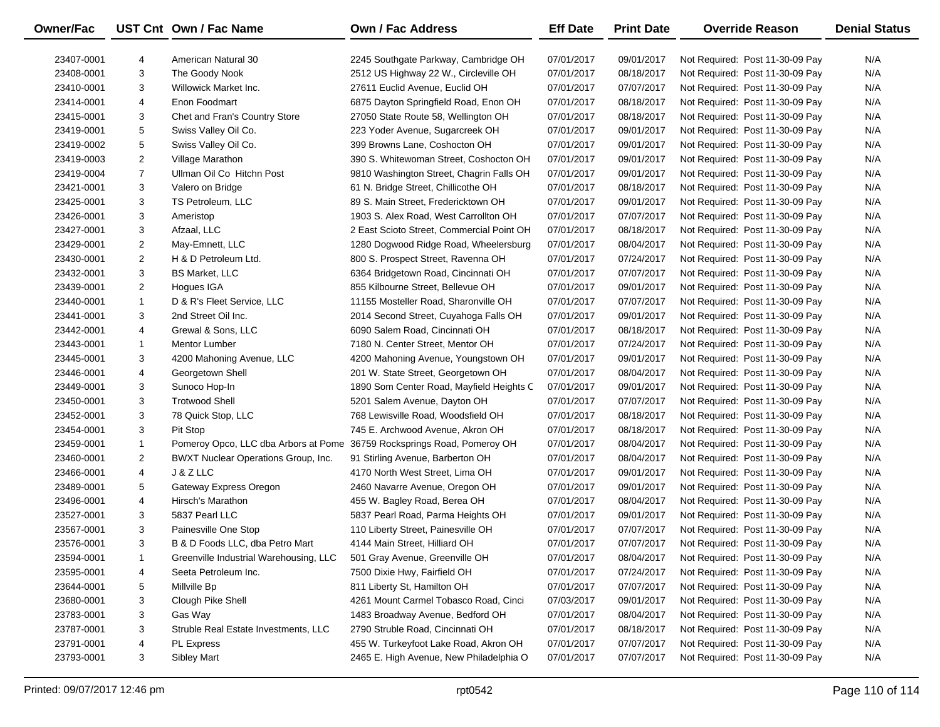| <b>Owner/Fac</b> |                | UST Cnt Own / Fac Name                 | <b>Own / Fac Address</b>                  | <b>Eff Date</b> | <b>Print Date</b> | <b>Override Reason</b>          | <b>Denial Status</b> |
|------------------|----------------|----------------------------------------|-------------------------------------------|-----------------|-------------------|---------------------------------|----------------------|
| 23407-0001       | 4              | American Natural 30                    | 2245 Southgate Parkway, Cambridge OH      | 07/01/2017      | 09/01/2017        | Not Required: Post 11-30-09 Pay | N/A                  |
| 23408-0001       | 3              | The Goody Nook                         | 2512 US Highway 22 W., Circleville OH     | 07/01/2017      | 08/18/2017        | Not Required: Post 11-30-09 Pay | N/A                  |
| 23410-0001       | 3              | <b>Willowick Market Inc.</b>           | 27611 Euclid Avenue, Euclid OH            | 07/01/2017      | 07/07/2017        | Not Required: Post 11-30-09 Pay | N/A                  |
| 23414-0001       | 4              | Enon Foodmart                          | 6875 Dayton Springfield Road, Enon OH     | 07/01/2017      | 08/18/2017        | Not Required: Post 11-30-09 Pay | N/A                  |
| 23415-0001       | 3              | Chet and Fran's Country Store          | 27050 State Route 58, Wellington OH       | 07/01/2017      | 08/18/2017        | Not Required: Post 11-30-09 Pay | N/A                  |
| 23419-0001       | 5              | Swiss Valley Oil Co.                   | 223 Yoder Avenue, Sugarcreek OH           | 07/01/2017      | 09/01/2017        | Not Required: Post 11-30-09 Pay | N/A                  |
| 23419-0002       | 5              | Swiss Valley Oil Co.                   | 399 Browns Lane, Coshocton OH             | 07/01/2017      | 09/01/2017        | Not Required: Post 11-30-09 Pay | N/A                  |
| 23419-0003       | $\overline{2}$ | Village Marathon                       | 390 S. Whitewoman Street, Coshocton OH    | 07/01/2017      | 09/01/2017        | Not Required: Post 11-30-09 Pay | N/A                  |
| 23419-0004       | $\overline{7}$ | Ullman Oil Co Hitchn Post              | 9810 Washington Street, Chagrin Falls OH  | 07/01/2017      | 09/01/2017        | Not Required: Post 11-30-09 Pay | N/A                  |
| 23421-0001       | 3              | Valero on Bridge                       | 61 N. Bridge Street, Chillicothe OH       | 07/01/2017      | 08/18/2017        | Not Required: Post 11-30-09 Pay | N/A                  |
| 23425-0001       | 3              | TS Petroleum, LLC                      | 89 S. Main Street, Fredericktown OH       | 07/01/2017      | 09/01/2017        | Not Required: Post 11-30-09 Pay | N/A                  |
| 23426-0001       | 3              | Ameristop                              | 1903 S. Alex Road, West Carrollton OH     | 07/01/2017      | 07/07/2017        | Not Required: Post 11-30-09 Pay | N/A                  |
| 23427-0001       | 3              | Afzaal, LLC                            | 2 East Scioto Street, Commercial Point OH | 07/01/2017      | 08/18/2017        | Not Required: Post 11-30-09 Pay | N/A                  |
| 23429-0001       | $\overline{2}$ | May-Emnett, LLC                        | 1280 Dogwood Ridge Road, Wheelersburg     | 07/01/2017      | 08/04/2017        | Not Required: Post 11-30-09 Pay | N/A                  |
| 23430-0001       | $\overline{2}$ | H & D Petroleum Ltd.                   | 800 S. Prospect Street, Ravenna OH        | 07/01/2017      | 07/24/2017        | Not Required: Post 11-30-09 Pay | N/A                  |
| 23432-0001       | 3              | <b>BS Market, LLC</b>                  | 6364 Bridgetown Road, Cincinnati OH       | 07/01/2017      | 07/07/2017        | Not Required: Post 11-30-09 Pay | N/A                  |
| 23439-0001       | 2              | Hogues IGA                             | 855 Kilbourne Street, Bellevue OH         | 07/01/2017      | 09/01/2017        | Not Required: Post 11-30-09 Pay | N/A                  |
| 23440-0001       | $\mathbf{1}$   | D & R's Fleet Service, LLC             | 11155 Mosteller Road, Sharonville OH      | 07/01/2017      | 07/07/2017        | Not Required: Post 11-30-09 Pay | N/A                  |
| 23441-0001       | 3              | 2nd Street Oil Inc.                    | 2014 Second Street, Cuyahoga Falls OH     | 07/01/2017      | 09/01/2017        | Not Required: Post 11-30-09 Pay | N/A                  |
| 23442-0001       | 4              | Grewal & Sons, LLC                     | 6090 Salem Road, Cincinnati OH            | 07/01/2017      | 08/18/2017        | Not Required: Post 11-30-09 Pay | N/A                  |
| 23443-0001       | $\mathbf{1}$   | <b>Mentor Lumber</b>                   | 7180 N. Center Street, Mentor OH          | 07/01/2017      | 07/24/2017        | Not Required: Post 11-30-09 Pay | N/A                  |
| 23445-0001       | 3              | 4200 Mahoning Avenue, LLC              | 4200 Mahoning Avenue, Youngstown OH       | 07/01/2017      | 09/01/2017        | Not Required: Post 11-30-09 Pay | N/A                  |
| 23446-0001       | 4              | Georgetown Shell                       | 201 W. State Street, Georgetown OH        | 07/01/2017      | 08/04/2017        | Not Required: Post 11-30-09 Pay | N/A                  |
| 23449-0001       | 3              | Sunoco Hop-In                          | 1890 Som Center Road, Mayfield Heights C  | 07/01/2017      | 09/01/2017        | Not Required: Post 11-30-09 Pay | N/A                  |
| 23450-0001       | 3              | <b>Trotwood Shell</b>                  | 5201 Salem Avenue, Dayton OH              | 07/01/2017      | 07/07/2017        | Not Required: Post 11-30-09 Pay | N/A                  |
| 23452-0001       | 3              | 78 Quick Stop, LLC                     | 768 Lewisville Road, Woodsfield OH        | 07/01/2017      | 08/18/2017        | Not Required: Post 11-30-09 Pay | N/A                  |
| 23454-0001       | 3              | Pit Stop                               | 745 E. Archwood Avenue, Akron OH          | 07/01/2017      | 08/18/2017        | Not Required: Post 11-30-09 Pay | N/A                  |
| 23459-0001       | $\mathbf{1}$   | Pomeroy Opco, LLC dba Arbors at Pome   | 36759 Rocksprings Road, Pomeroy OH        | 07/01/2017      | 08/04/2017        | Not Required: Post 11-30-09 Pay | N/A                  |
| 23460-0001       | $\overline{2}$ | BWXT Nuclear Operations Group, Inc.    | 91 Stirling Avenue, Barberton OH          | 07/01/2017      | 08/04/2017        | Not Required: Post 11-30-09 Pay | N/A                  |
| 23466-0001       | 4              | J & Z LLC                              | 4170 North West Street, Lima OH           | 07/01/2017      | 09/01/2017        | Not Required: Post 11-30-09 Pay | N/A                  |
| 23489-0001       | 5              | Gateway Express Oregon                 | 2460 Navarre Avenue, Oregon OH            | 07/01/2017      | 09/01/2017        | Not Required: Post 11-30-09 Pay | N/A                  |
| 23496-0001       | 4              | Hirsch's Marathon                      | 455 W. Bagley Road, Berea OH              | 07/01/2017      | 08/04/2017        | Not Required: Post 11-30-09 Pay | N/A                  |
| 23527-0001       | 3              | 5837 Pearl LLC                         | 5837 Pearl Road, Parma Heights OH         | 07/01/2017      | 09/01/2017        | Not Required: Post 11-30-09 Pay | N/A                  |
| 23567-0001       | 3              | Painesville One Stop                   | 110 Liberty Street, Painesville OH        | 07/01/2017      | 07/07/2017        | Not Required: Post 11-30-09 Pay | N/A                  |
| 23576-0001       | 3              | B & D Foods LLC, dba Petro Mart        | 4144 Main Street, Hilliard OH             | 07/01/2017      | 07/07/2017        | Not Required: Post 11-30-09 Pay | N/A                  |
| 23594-0001       | 1              | Greenville Industrial Warehousing, LLC | 501 Gray Avenue, Greenville OH            | 07/01/2017      | 08/04/2017        | Not Required: Post 11-30-09 Pay | N/A                  |
| 23595-0001       | 4              | Seeta Petroleum Inc.                   | 7500 Dixie Hwy, Fairfield OH              | 07/01/2017      | 07/24/2017        | Not Required: Post 11-30-09 Pay | N/A                  |
| 23644-0001       | 5              | Millville Bp                           | 811 Liberty St, Hamilton OH               | 07/01/2017      | 07/07/2017        | Not Required: Post 11-30-09 Pay | N/A                  |
| 23680-0001       | 3              | Clough Pike Shell                      | 4261 Mount Carmel Tobasco Road, Cinci     | 07/03/2017      | 09/01/2017        | Not Required: Post 11-30-09 Pay | N/A                  |
| 23783-0001       | 3              | Gas Way                                | 1483 Broadway Avenue, Bedford OH          | 07/01/2017      | 08/04/2017        | Not Required: Post 11-30-09 Pay | N/A                  |
| 23787-0001       | 3              | Struble Real Estate Investments, LLC   | 2790 Struble Road, Cincinnati OH          | 07/01/2017      | 08/18/2017        | Not Required: Post 11-30-09 Pay | N/A                  |
| 23791-0001       | 4              | PL Express                             | 455 W. Turkeyfoot Lake Road, Akron OH     | 07/01/2017      | 07/07/2017        | Not Required: Post 11-30-09 Pay | N/A                  |
| 23793-0001       | 3              | <b>Sibley Mart</b>                     | 2465 E. High Avenue, New Philadelphia O   | 07/01/2017      | 07/07/2017        | Not Required: Post 11-30-09 Pay | N/A                  |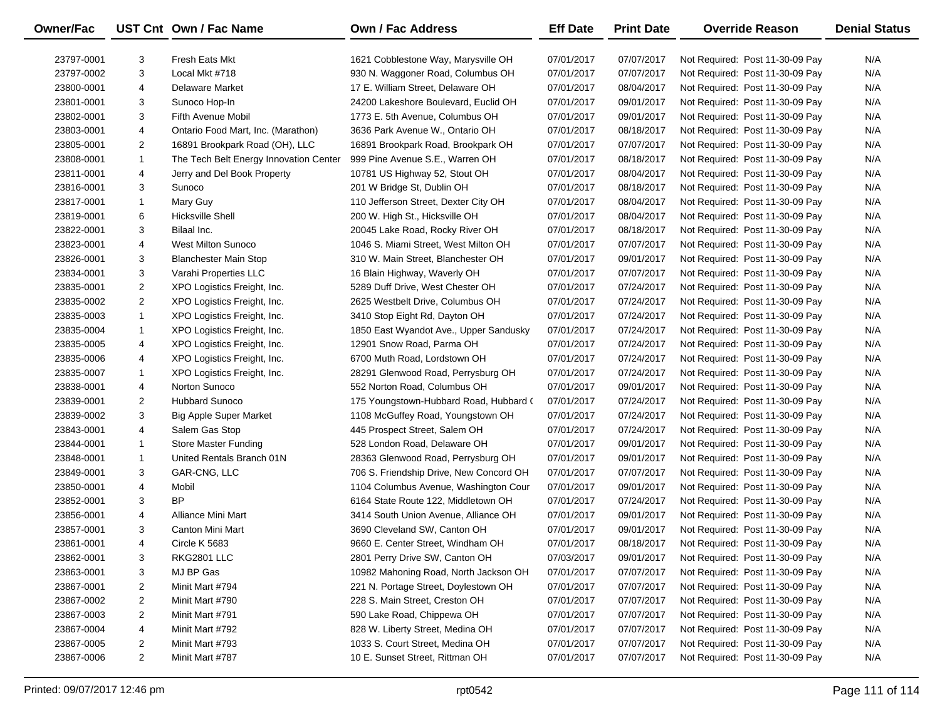| Owner/Fac  |                | UST Cnt Own / Fac Name                 | <b>Own / Fac Address</b>                | <b>Eff Date</b> | <b>Print Date</b> | <b>Override Reason</b>          | <b>Denial Status</b> |
|------------|----------------|----------------------------------------|-----------------------------------------|-----------------|-------------------|---------------------------------|----------------------|
| 23797-0001 | 3              | <b>Fresh Eats Mkt</b>                  | 1621 Cobblestone Way, Marysville OH     | 07/01/2017      | 07/07/2017        | Not Required: Post 11-30-09 Pay | N/A                  |
| 23797-0002 | 3              | Local Mkt #718                         | 930 N. Waggoner Road, Columbus OH       | 07/01/2017      | 07/07/2017        | Not Required: Post 11-30-09 Pay | N/A                  |
| 23800-0001 | 4              | Delaware Market                        | 17 E. William Street, Delaware OH       | 07/01/2017      | 08/04/2017        | Not Required: Post 11-30-09 Pay | N/A                  |
| 23801-0001 | 3              | Sunoco Hop-In                          | 24200 Lakeshore Boulevard, Euclid OH    | 07/01/2017      | 09/01/2017        | Not Required: Post 11-30-09 Pay | N/A                  |
| 23802-0001 | 3              | Fifth Avenue Mobil                     | 1773 E. 5th Avenue, Columbus OH         | 07/01/2017      | 09/01/2017        | Not Required: Post 11-30-09 Pay | N/A                  |
| 23803-0001 | 4              | Ontario Food Mart, Inc. (Marathon)     | 3636 Park Avenue W., Ontario OH         | 07/01/2017      | 08/18/2017        | Not Required: Post 11-30-09 Pay | N/A                  |
| 23805-0001 | $\overline{2}$ | 16891 Brookpark Road (OH), LLC         | 16891 Brookpark Road, Brookpark OH      | 07/01/2017      | 07/07/2017        | Not Required: Post 11-30-09 Pay | N/A                  |
| 23808-0001 | $\mathbf{1}$   | The Tech Belt Energy Innovation Center | 999 Pine Avenue S.E., Warren OH         | 07/01/2017      | 08/18/2017        | Not Required: Post 11-30-09 Pay | N/A                  |
| 23811-0001 | 4              | Jerry and Del Book Property            | 10781 US Highway 52, Stout OH           | 07/01/2017      | 08/04/2017        | Not Required: Post 11-30-09 Pay | N/A                  |
| 23816-0001 | 3              | Sunoco                                 | 201 W Bridge St, Dublin OH              | 07/01/2017      | 08/18/2017        | Not Required: Post 11-30-09 Pay | N/A                  |
| 23817-0001 | $\mathbf{1}$   | Mary Guy                               | 110 Jefferson Street, Dexter City OH    | 07/01/2017      | 08/04/2017        | Not Required: Post 11-30-09 Pay | N/A                  |
| 23819-0001 | 6              | <b>Hicksville Shell</b>                | 200 W. High St., Hicksville OH          | 07/01/2017      | 08/04/2017        | Not Required: Post 11-30-09 Pay | N/A                  |
| 23822-0001 | 3              | Bilaal Inc.                            | 20045 Lake Road, Rocky River OH         | 07/01/2017      | 08/18/2017        | Not Required: Post 11-30-09 Pay | N/A                  |
| 23823-0001 | 4              | West Milton Sunoco                     | 1046 S. Miami Street, West Milton OH    | 07/01/2017      | 07/07/2017        | Not Required: Post 11-30-09 Pay | N/A                  |
| 23826-0001 | 3              | <b>Blanchester Main Stop</b>           | 310 W. Main Street, Blanchester OH      | 07/01/2017      | 09/01/2017        | Not Required: Post 11-30-09 Pay | N/A                  |
| 23834-0001 | 3              | Varahi Properties LLC                  | 16 Blain Highway, Waverly OH            | 07/01/2017      | 07/07/2017        | Not Required: Post 11-30-09 Pay | N/A                  |
| 23835-0001 | $\overline{2}$ | XPO Logistics Freight, Inc.            | 5289 Duff Drive, West Chester OH        | 07/01/2017      | 07/24/2017        | Not Required: Post 11-30-09 Pay | N/A                  |
| 23835-0002 | $\overline{c}$ | XPO Logistics Freight, Inc.            | 2625 Westbelt Drive, Columbus OH        | 07/01/2017      | 07/24/2017        | Not Required: Post 11-30-09 Pay | N/A                  |
| 23835-0003 | $\mathbf{1}$   | XPO Logistics Freight, Inc.            | 3410 Stop Eight Rd, Dayton OH           | 07/01/2017      | 07/24/2017        | Not Required: Post 11-30-09 Pay | N/A                  |
| 23835-0004 | 1              | XPO Logistics Freight, Inc.            | 1850 East Wyandot Ave., Upper Sandusky  | 07/01/2017      | 07/24/2017        | Not Required: Post 11-30-09 Pay | N/A                  |
| 23835-0005 | 4              | XPO Logistics Freight, Inc.            | 12901 Snow Road, Parma OH               | 07/01/2017      | 07/24/2017        | Not Required: Post 11-30-09 Pay | N/A                  |
| 23835-0006 | 4              | XPO Logistics Freight, Inc.            | 6700 Muth Road, Lordstown OH            | 07/01/2017      | 07/24/2017        | Not Required: Post 11-30-09 Pay | N/A                  |
| 23835-0007 | $\mathbf{1}$   | XPO Logistics Freight, Inc.            | 28291 Glenwood Road, Perrysburg OH      | 07/01/2017      | 07/24/2017        | Not Required: Post 11-30-09 Pay | N/A                  |
| 23838-0001 | 4              | Norton Sunoco                          | 552 Norton Road, Columbus OH            | 07/01/2017      | 09/01/2017        | Not Required: Post 11-30-09 Pay | N/A                  |
| 23839-0001 | $\overline{2}$ | <b>Hubbard Sunoco</b>                  | 175 Youngstown-Hubbard Road, Hubbard (  | 07/01/2017      | 07/24/2017        | Not Required: Post 11-30-09 Pay | N/A                  |
| 23839-0002 | 3              | <b>Big Apple Super Market</b>          | 1108 McGuffey Road, Youngstown OH       | 07/01/2017      | 07/24/2017        | Not Required: Post 11-30-09 Pay | N/A                  |
| 23843-0001 | 4              | Salem Gas Stop                         | 445 Prospect Street, Salem OH           | 07/01/2017      | 07/24/2017        | Not Required: Post 11-30-09 Pay | N/A                  |
| 23844-0001 | 1              | Store Master Funding                   | 528 London Road, Delaware OH            | 07/01/2017      | 09/01/2017        | Not Required: Post 11-30-09 Pay | N/A                  |
| 23848-0001 | $\mathbf{1}$   | United Rentals Branch 01N              | 28363 Glenwood Road, Perrysburg OH      | 07/01/2017      | 09/01/2017        | Not Required: Post 11-30-09 Pay | N/A                  |
| 23849-0001 | 3              | GAR-CNG, LLC                           | 706 S. Friendship Drive, New Concord OH | 07/01/2017      | 07/07/2017        | Not Required: Post 11-30-09 Pay | N/A                  |
| 23850-0001 | 4              | Mobil                                  | 1104 Columbus Avenue, Washington Cour   | 07/01/2017      | 09/01/2017        | Not Required: Post 11-30-09 Pay | N/A                  |
| 23852-0001 | 3              | <b>BP</b>                              | 6164 State Route 122, Middletown OH     | 07/01/2017      | 07/24/2017        | Not Required: Post 11-30-09 Pay | N/A                  |
| 23856-0001 | 4              | Alliance Mini Mart                     | 3414 South Union Avenue, Alliance OH    | 07/01/2017      | 09/01/2017        | Not Required: Post 11-30-09 Pay | N/A                  |
| 23857-0001 | 3              | Canton Mini Mart                       | 3690 Cleveland SW, Canton OH            | 07/01/2017      | 09/01/2017        | Not Required: Post 11-30-09 Pay | N/A                  |
| 23861-0001 | 4              | Circle K 5683                          | 9660 E. Center Street, Windham OH       | 07/01/2017      | 08/18/2017        | Not Required: Post 11-30-09 Pay | N/A                  |
| 23862-0001 | 3              | RKG2801 LLC                            | 2801 Perry Drive SW, Canton OH          | 07/03/2017      | 09/01/2017        | Not Required: Post 11-30-09 Pay | N/A                  |
| 23863-0001 | 3              | MJ BP Gas                              | 10982 Mahoning Road, North Jackson OH   | 07/01/2017      | 07/07/2017        | Not Required: Post 11-30-09 Pay | N/A                  |
| 23867-0001 | 2              | Minit Mart #794                        | 221 N. Portage Street, Doylestown OH    | 07/01/2017      | 07/07/2017        | Not Required: Post 11-30-09 Pay | N/A                  |
| 23867-0002 | $\overline{c}$ | Minit Mart #790                        | 228 S. Main Street, Creston OH          | 07/01/2017      | 07/07/2017        | Not Required: Post 11-30-09 Pay | N/A                  |
| 23867-0003 | 2              | Minit Mart #791                        | 590 Lake Road, Chippewa OH              | 07/01/2017      | 07/07/2017        | Not Required: Post 11-30-09 Pay | N/A                  |
| 23867-0004 | 4              | Minit Mart #792                        | 828 W. Liberty Street, Medina OH        | 07/01/2017      | 07/07/2017        | Not Required: Post 11-30-09 Pay | N/A                  |
| 23867-0005 | 2              | Minit Mart #793                        | 1033 S. Court Street, Medina OH         | 07/01/2017      | 07/07/2017        | Not Required: Post 11-30-09 Pay | N/A                  |
| 23867-0006 | $\overline{2}$ | Minit Mart #787                        | 10 E. Sunset Street, Rittman OH         | 07/01/2017      | 07/07/2017        | Not Required: Post 11-30-09 Pay | N/A                  |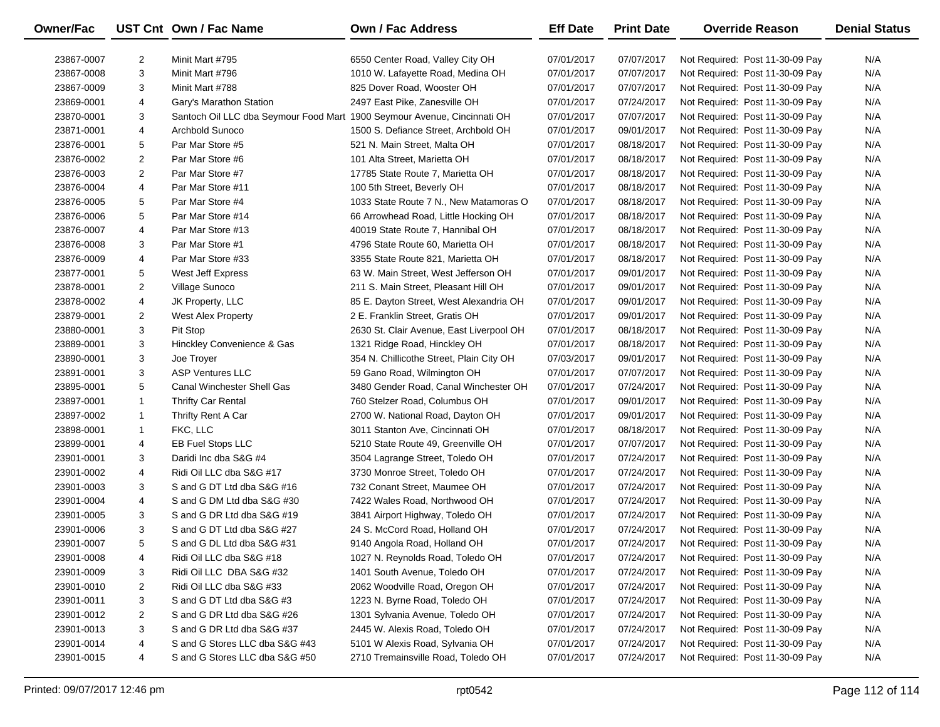| Owner/Fac  |                | UST Cnt Own / Fac Name                                                   | <b>Own / Fac Address</b>                 | <b>Eff Date</b> | <b>Print Date</b> | <b>Override Reason</b>          | <b>Denial Status</b> |
|------------|----------------|--------------------------------------------------------------------------|------------------------------------------|-----------------|-------------------|---------------------------------|----------------------|
| 23867-0007 | 2              | Minit Mart #795                                                          | 6550 Center Road, Valley City OH         | 07/01/2017      | 07/07/2017        | Not Required: Post 11-30-09 Pay | N/A                  |
| 23867-0008 | 3              | Minit Mart #796                                                          | 1010 W. Lafayette Road, Medina OH        | 07/01/2017      | 07/07/2017        | Not Required: Post 11-30-09 Pay | N/A                  |
| 23867-0009 | 3              | Minit Mart #788                                                          | 825 Dover Road, Wooster OH               | 07/01/2017      | 07/07/2017        | Not Required: Post 11-30-09 Pay | N/A                  |
| 23869-0001 | 4              | Gary's Marathon Station                                                  | 2497 East Pike, Zanesville OH            | 07/01/2017      | 07/24/2017        | Not Required: Post 11-30-09 Pay | N/A                  |
| 23870-0001 | 3              | Santoch Oil LLC dba Seymour Food Mart 1900 Seymour Avenue, Cincinnati OH |                                          | 07/01/2017      | 07/07/2017        | Not Required: Post 11-30-09 Pay | N/A                  |
| 23871-0001 | 4              | Archbold Sunoco                                                          | 1500 S. Defiance Street, Archbold OH     | 07/01/2017      | 09/01/2017        | Not Required: Post 11-30-09 Pay | N/A                  |
| 23876-0001 | 5              | Par Mar Store #5                                                         | 521 N. Main Street, Malta OH             | 07/01/2017      | 08/18/2017        | Not Required: Post 11-30-09 Pay | N/A                  |
| 23876-0002 | $\overline{2}$ | Par Mar Store #6                                                         | 101 Alta Street, Marietta OH             | 07/01/2017      | 08/18/2017        | Not Required: Post 11-30-09 Pay | N/A                  |
| 23876-0003 | 2              | Par Mar Store #7                                                         | 17785 State Route 7, Marietta OH         | 07/01/2017      | 08/18/2017        | Not Required: Post 11-30-09 Pay | N/A                  |
| 23876-0004 | 4              | Par Mar Store #11                                                        | 100 5th Street, Beverly OH               | 07/01/2017      | 08/18/2017        | Not Required: Post 11-30-09 Pay | N/A                  |
| 23876-0005 | 5              | Par Mar Store #4                                                         | 1033 State Route 7 N., New Matamoras O   | 07/01/2017      | 08/18/2017        | Not Required: Post 11-30-09 Pay | N/A                  |
| 23876-0006 | 5              | Par Mar Store #14                                                        | 66 Arrowhead Road, Little Hocking OH     | 07/01/2017      | 08/18/2017        | Not Required: Post 11-30-09 Pay | N/A                  |
| 23876-0007 | 4              | Par Mar Store #13                                                        | 40019 State Route 7, Hannibal OH         | 07/01/2017      | 08/18/2017        | Not Required: Post 11-30-09 Pay | N/A                  |
| 23876-0008 | 3              | Par Mar Store #1                                                         | 4796 State Route 60, Marietta OH         | 07/01/2017      | 08/18/2017        | Not Required: Post 11-30-09 Pay | N/A                  |
| 23876-0009 | 4              | Par Mar Store #33                                                        | 3355 State Route 821, Marietta OH        | 07/01/2017      | 08/18/2017        | Not Required: Post 11-30-09 Pay | N/A                  |
| 23877-0001 | 5              | West Jeff Express                                                        | 63 W. Main Street, West Jefferson OH     | 07/01/2017      | 09/01/2017        | Not Required: Post 11-30-09 Pay | N/A                  |
| 23878-0001 | 2              | Village Sunoco                                                           | 211 S. Main Street, Pleasant Hill OH     | 07/01/2017      | 09/01/2017        | Not Required: Post 11-30-09 Pay | N/A                  |
| 23878-0002 | 4              | JK Property, LLC                                                         | 85 E. Dayton Street, West Alexandria OH  | 07/01/2017      | 09/01/2017        | Not Required: Post 11-30-09 Pay | N/A                  |
| 23879-0001 | 2              | West Alex Property                                                       | 2 E. Franklin Street, Gratis OH          | 07/01/2017      | 09/01/2017        | Not Required: Post 11-30-09 Pay | N/A                  |
| 23880-0001 | 3              | Pit Stop                                                                 | 2630 St. Clair Avenue, East Liverpool OH | 07/01/2017      | 08/18/2017        | Not Required: Post 11-30-09 Pay | N/A                  |
| 23889-0001 | 3              | Hinckley Convenience & Gas                                               | 1321 Ridge Road, Hinckley OH             | 07/01/2017      | 08/18/2017        | Not Required: Post 11-30-09 Pay | N/A                  |
| 23890-0001 | 3              | Joe Troyer                                                               | 354 N. Chillicothe Street, Plain City OH | 07/03/2017      | 09/01/2017        | Not Required: Post 11-30-09 Pay | N/A                  |
| 23891-0001 | 3              | <b>ASP Ventures LLC</b>                                                  | 59 Gano Road, Wilmington OH              | 07/01/2017      | 07/07/2017        | Not Required: Post 11-30-09 Pay | N/A                  |
| 23895-0001 | 5              | Canal Winchester Shell Gas                                               | 3480 Gender Road, Canal Winchester OH    | 07/01/2017      | 07/24/2017        | Not Required: Post 11-30-09 Pay | N/A                  |
| 23897-0001 | $\mathbf{1}$   | <b>Thrifty Car Rental</b>                                                | 760 Stelzer Road, Columbus OH            | 07/01/2017      | 09/01/2017        | Not Required: Post 11-30-09 Pay | N/A                  |
| 23897-0002 | $\mathbf{1}$   | Thrifty Rent A Car                                                       | 2700 W. National Road, Dayton OH         | 07/01/2017      | 09/01/2017        | Not Required: Post 11-30-09 Pay | N/A                  |
| 23898-0001 | $\mathbf{1}$   | FKC, LLC                                                                 | 3011 Stanton Ave, Cincinnati OH          | 07/01/2017      | 08/18/2017        | Not Required: Post 11-30-09 Pay | N/A                  |
| 23899-0001 | 4              | <b>EB Fuel Stops LLC</b>                                                 | 5210 State Route 49, Greenville OH       | 07/01/2017      | 07/07/2017        | Not Required: Post 11-30-09 Pay | N/A                  |
| 23901-0001 | 3              | Daridi Inc dba S&G #4                                                    | 3504 Lagrange Street, Toledo OH          | 07/01/2017      | 07/24/2017        | Not Required: Post 11-30-09 Pay | N/A                  |
| 23901-0002 | 4              | Ridi Oil LLC dba S&G #17                                                 | 3730 Monroe Street, Toledo OH            | 07/01/2017      | 07/24/2017        | Not Required: Post 11-30-09 Pay | N/A                  |
| 23901-0003 | 3              | S and G DT Ltd dba S&G #16                                               | 732 Conant Street, Maumee OH             | 07/01/2017      | 07/24/2017        | Not Required: Post 11-30-09 Pay | N/A                  |
| 23901-0004 | 4              | S and G DM Ltd dba S&G #30                                               | 7422 Wales Road, Northwood OH            | 07/01/2017      | 07/24/2017        | Not Required: Post 11-30-09 Pay | N/A                  |
| 23901-0005 | 3              | S and G DR Ltd dba S&G #19                                               | 3841 Airport Highway, Toledo OH          | 07/01/2017      | 07/24/2017        | Not Required: Post 11-30-09 Pay | N/A                  |
| 23901-0006 | 3              | S and G DT Ltd dba S&G #27                                               | 24 S. McCord Road, Holland OH            | 07/01/2017      | 07/24/2017        | Not Required: Post 11-30-09 Pay | N/A                  |
| 23901-0007 | 5              | S and G DL Ltd dba S&G #31                                               | 9140 Angola Road, Holland OH             | 07/01/2017      | 07/24/2017        | Not Required: Post 11-30-09 Pay | N/A                  |
| 23901-0008 | 4              | Ridi Oil LLC dba S&G #18                                                 | 1027 N. Reynolds Road, Toledo OH         | 07/01/2017      | 07/24/2017        | Not Required: Post 11-30-09 Pay | N/A                  |
| 23901-0009 | 3              | Ridi Oil LLC DBA S&G #32                                                 | 1401 South Avenue, Toledo OH             | 07/01/2017      | 07/24/2017        | Not Required: Post 11-30-09 Pay | N/A                  |
| 23901-0010 | 2              | Ridi Oil LLC dba S&G #33                                                 | 2062 Woodville Road, Oregon OH           | 07/01/2017      | 07/24/2017        | Not Required: Post 11-30-09 Pay | N/A                  |
| 23901-0011 | 3              | S and G DT Ltd dba S&G #3                                                | 1223 N. Byrne Road, Toledo OH            | 07/01/2017      | 07/24/2017        | Not Required: Post 11-30-09 Pay | N/A                  |
| 23901-0012 | 2              | S and G DR Ltd dba S&G #26                                               | 1301 Sylvania Avenue, Toledo OH          | 07/01/2017      | 07/24/2017        | Not Required: Post 11-30-09 Pay | N/A                  |
| 23901-0013 | 3              | S and G DR Ltd dba S&G #37                                               | 2445 W. Alexis Road, Toledo OH           | 07/01/2017      | 07/24/2017        | Not Required: Post 11-30-09 Pay | N/A                  |
| 23901-0014 | 4              | S and G Stores LLC dba S&G #43                                           | 5101 W Alexis Road, Sylvania OH          | 07/01/2017      | 07/24/2017        | Not Required: Post 11-30-09 Pay | N/A                  |
| 23901-0015 | 4              | S and G Stores LLC dba S&G #50                                           | 2710 Tremainsville Road, Toledo OH       | 07/01/2017      | 07/24/2017        | Not Required: Post 11-30-09 Pay | N/A                  |
|            |                |                                                                          |                                          |                 |                   |                                 |                      |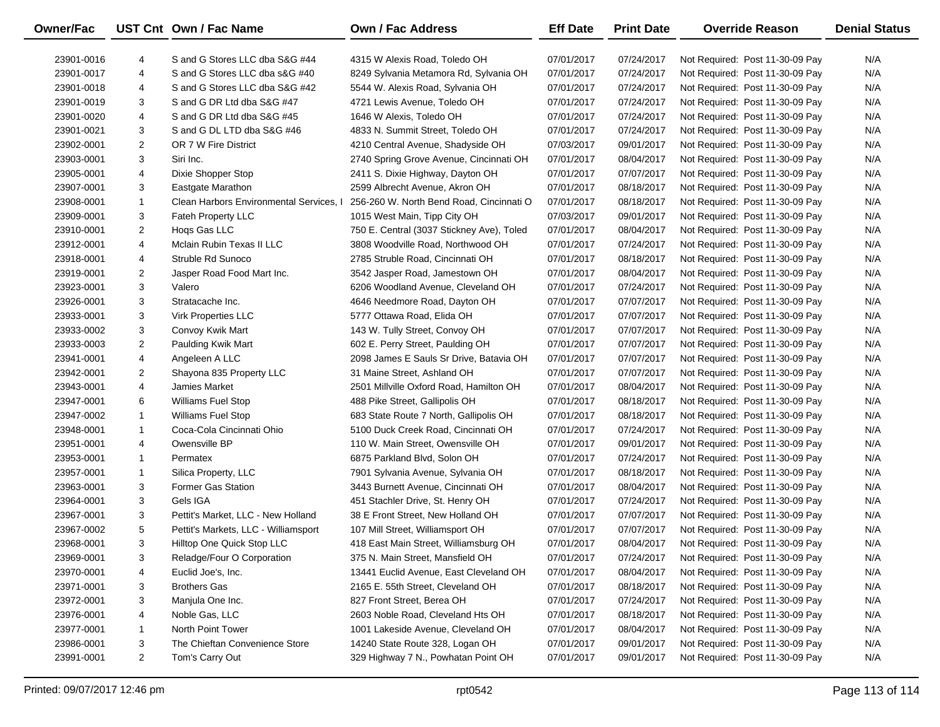| <b>Owner/Fac</b> |                | UST Cnt Own / Fac Name                  | <b>Own / Fac Address</b>                  | <b>Eff Date</b> | <b>Print Date</b> | <b>Override Reason</b>          | <b>Denial Status</b> |
|------------------|----------------|-----------------------------------------|-------------------------------------------|-----------------|-------------------|---------------------------------|----------------------|
| 23901-0016       | 4              | S and G Stores LLC dba S&G #44          | 4315 W Alexis Road, Toledo OH             | 07/01/2017      | 07/24/2017        | Not Required: Post 11-30-09 Pay | N/A                  |
| 23901-0017       | 4              | S and G Stores LLC dba s&G #40          | 8249 Sylvania Metamora Rd, Sylvania OH    | 07/01/2017      | 07/24/2017        | Not Required: Post 11-30-09 Pay | N/A                  |
| 23901-0018       | 4              | S and G Stores LLC dba S&G #42          | 5544 W. Alexis Road, Sylvania OH          | 07/01/2017      | 07/24/2017        | Not Required: Post 11-30-09 Pay | N/A                  |
| 23901-0019       | 3              | S and G DR Ltd dba S&G #47              | 4721 Lewis Avenue, Toledo OH              | 07/01/2017      | 07/24/2017        | Not Required: Post 11-30-09 Pay | N/A                  |
| 23901-0020       | 4              | S and G DR Ltd dba S&G #45              | 1646 W Alexis, Toledo OH                  | 07/01/2017      | 07/24/2017        | Not Required: Post 11-30-09 Pay | N/A                  |
| 23901-0021       | 3              | S and G DL LTD dba S&G #46              | 4833 N. Summit Street, Toledo OH          | 07/01/2017      | 07/24/2017        | Not Required: Post 11-30-09 Pay | N/A                  |
| 23902-0001       | $\overline{2}$ | OR 7 W Fire District                    | 4210 Central Avenue, Shadyside OH         | 07/03/2017      | 09/01/2017        | Not Required: Post 11-30-09 Pay | N/A                  |
| 23903-0001       | 3              | Siri Inc.                               | 2740 Spring Grove Avenue, Cincinnati OH   | 07/01/2017      | 08/04/2017        | Not Required: Post 11-30-09 Pay | N/A                  |
| 23905-0001       | 4              | Dixie Shopper Stop                      | 2411 S. Dixie Highway, Dayton OH          | 07/01/2017      | 07/07/2017        | Not Required: Post 11-30-09 Pay | N/A                  |
| 23907-0001       | 3              | Eastgate Marathon                       | 2599 Albrecht Avenue, Akron OH            | 07/01/2017      | 08/18/2017        | Not Required: Post 11-30-09 Pay | N/A                  |
| 23908-0001       | 1              | Clean Harbors Environmental Services, I | 256-260 W. North Bend Road, Cincinnati O  | 07/01/2017      | 08/18/2017        | Not Required: Post 11-30-09 Pay | N/A                  |
| 23909-0001       | 3              | Fateh Property LLC                      | 1015 West Main, Tipp City OH              | 07/03/2017      | 09/01/2017        | Not Required: Post 11-30-09 Pay | N/A                  |
| 23910-0001       | $\overline{2}$ | Hogs Gas LLC                            | 750 E. Central (3037 Stickney Ave), Toled | 07/01/2017      | 08/04/2017        | Not Required: Post 11-30-09 Pay | N/A                  |
| 23912-0001       | 4              | Mclain Rubin Texas II LLC               | 3808 Woodville Road, Northwood OH         | 07/01/2017      | 07/24/2017        | Not Required: Post 11-30-09 Pay | N/A                  |
| 23918-0001       | 4              | Struble Rd Sunoco                       | 2785 Struble Road, Cincinnati OH          | 07/01/2017      | 08/18/2017        | Not Required: Post 11-30-09 Pay | N/A                  |
| 23919-0001       | $\overline{2}$ | Jasper Road Food Mart Inc.              | 3542 Jasper Road, Jamestown OH            | 07/01/2017      | 08/04/2017        | Not Required: Post 11-30-09 Pay | N/A                  |
| 23923-0001       | 3              | Valero                                  | 6206 Woodland Avenue, Cleveland OH        | 07/01/2017      | 07/24/2017        | Not Required: Post 11-30-09 Pay | N/A                  |
| 23926-0001       | 3              | Stratacache Inc.                        | 4646 Needmore Road, Dayton OH             | 07/01/2017      | 07/07/2017        | Not Required: Post 11-30-09 Pay | N/A                  |
| 23933-0001       | 3              | <b>Virk Properties LLC</b>              | 5777 Ottawa Road, Elida OH                | 07/01/2017      | 07/07/2017        | Not Required: Post 11-30-09 Pay | N/A                  |
| 23933-0002       | 3              | Convoy Kwik Mart                        | 143 W. Tully Street, Convoy OH            | 07/01/2017      | 07/07/2017        | Not Required: Post 11-30-09 Pay | N/A                  |
| 23933-0003       | $\overline{2}$ | Paulding Kwik Mart                      | 602 E. Perry Street, Paulding OH          | 07/01/2017      | 07/07/2017        | Not Required: Post 11-30-09 Pay | N/A                  |
| 23941-0001       | 4              | Angeleen A LLC                          | 2098 James E Sauls Sr Drive, Batavia OH   | 07/01/2017      | 07/07/2017        | Not Required: Post 11-30-09 Pay | N/A                  |
| 23942-0001       | $\overline{2}$ | Shayona 835 Property LLC                | 31 Maine Street, Ashland OH               | 07/01/2017      | 07/07/2017        | Not Required: Post 11-30-09 Pay | N/A                  |
| 23943-0001       | 4              | Jamies Market                           | 2501 Millville Oxford Road, Hamilton OH   | 07/01/2017      | 08/04/2017        | Not Required: Post 11-30-09 Pay | N/A                  |
| 23947-0001       | 6              | <b>Williams Fuel Stop</b>               | 488 Pike Street, Gallipolis OH            | 07/01/2017      | 08/18/2017        | Not Required: Post 11-30-09 Pay | N/A                  |
| 23947-0002       | 1              | <b>Williams Fuel Stop</b>               | 683 State Route 7 North, Gallipolis OH    | 07/01/2017      | 08/18/2017        | Not Required: Post 11-30-09 Pay | N/A                  |
| 23948-0001       | 1              | Coca-Cola Cincinnati Ohio               | 5100 Duck Creek Road, Cincinnati OH       | 07/01/2017      | 07/24/2017        | Not Required: Post 11-30-09 Pay | N/A                  |
| 23951-0001       | 4              | Owensville BP                           | 110 W. Main Street, Owensville OH         | 07/01/2017      | 09/01/2017        | Not Required: Post 11-30-09 Pay | N/A                  |
| 23953-0001       | 1              | Permatex                                | 6875 Parkland Blvd, Solon OH              | 07/01/2017      | 07/24/2017        | Not Required: Post 11-30-09 Pay | N/A                  |
| 23957-0001       | 1              | Silica Property, LLC                    | 7901 Sylvania Avenue, Sylvania OH         | 07/01/2017      | 08/18/2017        | Not Required: Post 11-30-09 Pay | N/A                  |
| 23963-0001       | 3              | <b>Former Gas Station</b>               | 3443 Burnett Avenue, Cincinnati OH        | 07/01/2017      | 08/04/2017        | Not Required: Post 11-30-09 Pay | N/A                  |
| 23964-0001       | 3              | Gels IGA                                | 451 Stachler Drive, St. Henry OH          | 07/01/2017      | 07/24/2017        | Not Required: Post 11-30-09 Pay | N/A                  |
| 23967-0001       | 3              | Pettit's Market, LLC - New Holland      | 38 E Front Street, New Holland OH         | 07/01/2017      | 07/07/2017        | Not Required: Post 11-30-09 Pay | N/A                  |
| 23967-0002       | 5              | Pettit's Markets, LLC - Williamsport    | 107 Mill Street, Williamsport OH          | 07/01/2017      | 07/07/2017        | Not Required: Post 11-30-09 Pay | N/A                  |
| 23968-0001       | 3              | Hilltop One Quick Stop LLC              | 418 East Main Street, Williamsburg OH     | 07/01/2017      | 08/04/2017        | Not Required: Post 11-30-09 Pay | N/A                  |
| 23969-0001       | 3              | Reladge/Four O Corporation              | 375 N. Main Street, Mansfield OH          | 07/01/2017      | 07/24/2017        | Not Required: Post 11-30-09 Pay | N/A                  |
| 23970-0001       | 4              | Euclid Joe's, Inc.                      | 13441 Euclid Avenue, East Cleveland OH    | 07/01/2017      | 08/04/2017        | Not Required: Post 11-30-09 Pay | N/A                  |
| 23971-0001       | 3              | <b>Brothers Gas</b>                     | 2165 E. 55th Street, Cleveland OH         | 07/01/2017      | 08/18/2017        | Not Required: Post 11-30-09 Pay | N/A                  |
| 23972-0001       | 3              | Manjula One Inc.                        | 827 Front Street, Berea OH                | 07/01/2017      | 07/24/2017        | Not Required: Post 11-30-09 Pay | N/A                  |
| 23976-0001       | 4              | Noble Gas, LLC                          | 2603 Noble Road, Cleveland Hts OH         | 07/01/2017      | 08/18/2017        | Not Required: Post 11-30-09 Pay | N/A                  |
| 23977-0001       | 1              | North Point Tower                       | 1001 Lakeside Avenue, Cleveland OH        | 07/01/2017      | 08/04/2017        | Not Required: Post 11-30-09 Pay | N/A                  |
| 23986-0001       | 3              | The Chieftan Convenience Store          | 14240 State Route 328, Logan OH           | 07/01/2017      | 09/01/2017        | Not Required: Post 11-30-09 Pay | N/A                  |
| 23991-0001       | $\overline{2}$ | Tom's Carry Out                         | 329 Highway 7 N., Powhatan Point OH       | 07/01/2017      | 09/01/2017        | Not Required: Post 11-30-09 Pay | N/A                  |